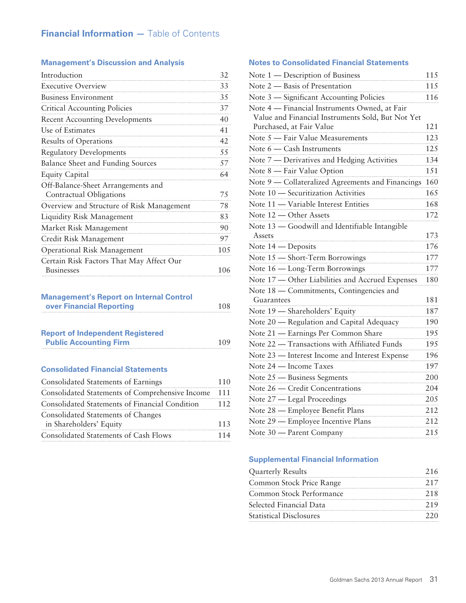# **Management's Discussion and Analysis**

| Introduction                                                  | 32  |
|---------------------------------------------------------------|-----|
| <b>Executive Overview</b>                                     | 33  |
| <b>Business Environment</b>                                   | 35  |
| <b>Critical Accounting Policies</b>                           | 37  |
| <b>Recent Accounting Developments</b>                         | 40  |
| Use of Estimates                                              | 41  |
| <b>Results of Operations</b>                                  | 42  |
| <b>Regulatory Developments</b>                                | 55  |
| Balance Sheet and Funding Sources                             | 57  |
| <b>Equity Capital</b>                                         | 64  |
| Off-Balance-Sheet Arrangements and<br>Contractual Obligations | 75  |
| Overview and Structure of Risk Management                     | 78  |
| <b>Liquidity Risk Management</b>                              | 83  |
| Market Risk Management                                        | 90  |
| Credit Risk Management                                        | 97  |
| <b>Operational Risk Management</b>                            | 105 |
| Certain Risk Factors That May Affect Our<br>Businesses        | 106 |

## **Management's Report on Internal Control**

| over Financial Reporting |  |  |
|--------------------------|--|--|
|                          |  |  |

# **Report of Independent Registered**

|  | <b>Public Accounting Firm</b> | 109 |
|--|-------------------------------|-----|
|  |                               |     |

# **Consolidated Financial Statements**

| Consolidated Statements of Earnings             | 110  |
|-------------------------------------------------|------|
| Consolidated Statements of Comprehensive Income | -111 |
| Consolidated Statements of Financial Condition  | 112  |
| Consolidated Statements of Changes              |      |
| in Shareholders' Equity                         | 113  |
| Consolidated Statements of Cash Flows           |      |

# **Notes to Consolidated Financial Statements**

|            | Note 1 — Description of Business                  | 115 |
|------------|---------------------------------------------------|-----|
|            | Note $2$ — Basis of Presentation                  | 115 |
|            | Note 3 - Significant Accounting Policies          | 116 |
|            | Note 4 - Financial Instruments Owned, at Fair     |     |
|            | Value and Financial Instruments Sold, But Not Yet |     |
|            | Purchased, at Fair Value                          | 121 |
|            | Note 5 - Fair Value Measurements                  | 123 |
|            | Note $6$ — Cash Instruments                       | 125 |
|            | Note 7 — Derivatives and Hedging Activities       | 134 |
|            | Note 8 - Fair Value Option                        | 151 |
|            | Note 9 - Collateralized Agreements and Financings | 160 |
|            | Note 10 - Securitization Activities               | 165 |
|            | Note 11 - Variable Interest Entities              | 168 |
|            | Note 12 - Other Assets                            | 172 |
|            | Note 13 - Goodwill and Identifiable Intangible    |     |
| Assets     |                                                   | 173 |
|            | Note $14$ — Deposits                              | 176 |
|            | Note 15 - Short-Term Borrowings                   | 177 |
|            | Note 16 - Long-Term Borrowings                    | 177 |
|            | Note 17 - Other Liabilities and Accrued Expenses  | 180 |
|            | Note 18 - Commitments, Contingencies and          |     |
| Guarantees |                                                   | 181 |
|            | Note 19 - Shareholders' Equity                    | 187 |
|            | Note 20 - Regulation and Capital Adequacy         | 190 |
|            | Note 21 - Earnings Per Common Share               | 195 |
|            | Note 22 - Transactions with Affiliated Funds      | 195 |
|            | Note 23 - Interest Income and Interest Expense    | 196 |
|            | Note 24 - Income Taxes                            | 197 |
|            | Note 25 - Business Segments                       | 200 |
|            | Note $26$ — Credit Concentrations                 | 204 |
|            | Note 27 - Legal Proceedings                       | 205 |
|            | Note 28 - Employee Benefit Plans                  | 212 |
|            | Note 29 - Employee Incentive Plans                | 212 |
|            | Note 30 - Parent Company                          | 215 |

# **Supplemental Financial Information**

| Quarterly Results              | 216 |
|--------------------------------|-----|
| Common Stock Price Range       | 217 |
| Common Stock Performance       | 218 |
| Selected Financial Data        | 219 |
| <b>Statistical Disclosures</b> | 220 |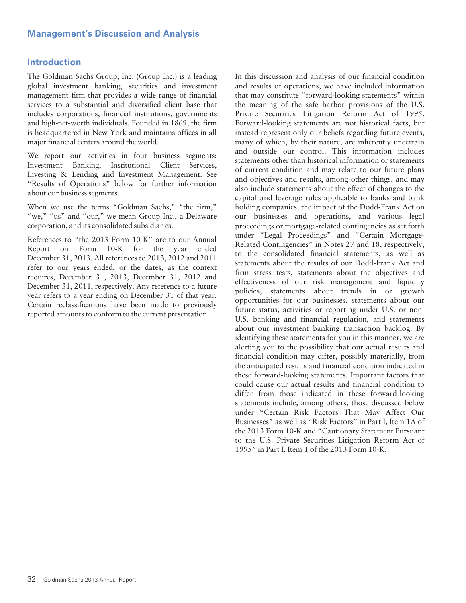# **Introduction**

The Goldman Sachs Group, Inc. (Group Inc.) is a leading global investment banking, securities and investment management firm that provides a wide range of financial services to a substantial and diversified client base that includes corporations, financial institutions, governments and high-net-worth individuals. Founded in 1869, the firm is headquartered in New York and maintains offices in all major financial centers around the world.

We report our activities in four business segments: Investment Banking, Institutional Client Services, Investing & Lending and Investment Management. See "Results of Operations" below for further information about our business segments.

When we use the terms "Goldman Sachs," "the firm," "we," "us" and "our," we mean Group Inc., a Delaware corporation, and its consolidated subsidiaries.

References to "the 2013 Form 10-K" are to our Annual Report on Form 10-K for the year ended December 31, 2013. All references to 2013, 2012 and 2011 refer to our years ended, or the dates, as the context requires, December 31, 2013, December 31, 2012 and December 31, 2011, respectively. Any reference to a future year refers to a year ending on December 31 of that year. Certain reclassifications have been made to previously reported amounts to conform to the current presentation.

In this discussion and analysis of our financial condition and results of operations, we have included information that may constitute "forward-looking statements" within the meaning of the safe harbor provisions of the U.S. Private Securities Litigation Reform Act of 1995. Forward-looking statements are not historical facts, but instead represent only our beliefs regarding future events, many of which, by their nature, are inherently uncertain and outside our control. This information includes statements other than historical information or statements of current condition and may relate to our future plans and objectives and results, among other things, and may also include statements about the effect of changes to the capital and leverage rules applicable to banks and bank holding companies, the impact of the Dodd-Frank Act on our businesses and operations, and various legal proceedings or mortgage-related contingencies as set forth under "Legal Proceedings" and "Certain Mortgage-Related Contingencies" in Notes 27 and 18, respectively, to the consolidated financial statements, as well as statements about the results of our Dodd-Frank Act and firm stress tests, statements about the objectives and effectiveness of our risk management and liquidity policies, statements about trends in or growth opportunities for our businesses, statements about our future status, activities or reporting under U.S. or non-U.S. banking and financial regulation, and statements about our investment banking transaction backlog. By identifying these statements for you in this manner, we are alerting you to the possibility that our actual results and financial condition may differ, possibly materially, from the anticipated results and financial condition indicated in these forward-looking statements. Important factors that could cause our actual results and financial condition to differ from those indicated in these forward-looking statements include, among others, those discussed below under "Certain Risk Factors That May Affect Our Businesses" as well as "Risk Factors" in Part I, Item 1A of the 2013 Form 10-K and "Cautionary Statement Pursuant to the U.S. Private Securities Litigation Reform Act of 1995" in Part I, Item 1 of the 2013 Form 10-K.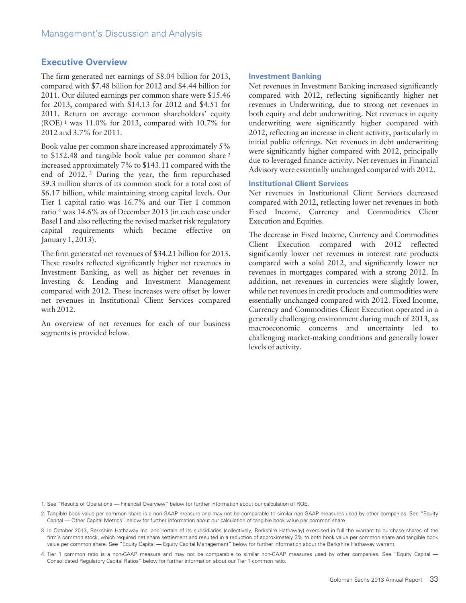# **Executive Overview**

The firm generated net earnings of \$8.04 billion for 2013, compared with \$7.48 billion for 2012 and \$4.44 billion for 2011. Our diluted earnings per common share were \$15.46 for 2013, compared with \$14.13 for 2012 and \$4.51 for 2011. Return on average common shareholders' equity (ROE) <sup>1</sup> was 11.0% for 2013, compared with 10.7% for 2012 and 3.7% for 2011.

Book value per common share increased approximately 5% to \$152.48 and tangible book value per common share <sup>2</sup> increased approximately 7% to \$143.11 compared with the end of 2012. <sup>3</sup> During the year, the firm repurchased 39.3 million shares of its common stock for a total cost of \$6.17 billion, while maintaining strong capital levels. Our Tier 1 capital ratio was 16.7% and our Tier 1 common ratio <sup>4</sup> was 14.6% as of December 2013 (in each case under Basel I and also reflecting the revised market risk regulatory capital requirements which became effective on January 1, 2013).

The firm generated net revenues of \$34.21 billion for 2013. These results reflected significantly higher net revenues in Investment Banking, as well as higher net revenues in Investing & Lending and Investment Management compared with 2012. These increases were offset by lower net revenues in Institutional Client Services compared with 2012.

An overview of net revenues for each of our business segments is provided below.

## **Investment Banking**

Net revenues in Investment Banking increased significantly compared with 2012, reflecting significantly higher net revenues in Underwriting, due to strong net revenues in both equity and debt underwriting. Net revenues in equity underwriting were significantly higher compared with 2012, reflecting an increase in client activity, particularly in initial public offerings. Net revenues in debt underwriting were significantly higher compared with 2012, principally due to leveraged finance activity. Net revenues in Financial Advisory were essentially unchanged compared with 2012.

## **Institutional Client Services**

Net revenues in Institutional Client Services decreased compared with 2012, reflecting lower net revenues in both Fixed Income, Currency and Commodities Client Execution and Equities.

The decrease in Fixed Income, Currency and Commodities Client Execution compared with 2012 reflected significantly lower net revenues in interest rate products compared with a solid 2012, and significantly lower net revenues in mortgages compared with a strong 2012. In addition, net revenues in currencies were slightly lower, while net revenues in credit products and commodities were essentially unchanged compared with 2012. Fixed Income, Currency and Commodities Client Execution operated in a generally challenging environment during much of 2013, as macroeconomic concerns and uncertainty led to challenging market-making conditions and generally lower levels of activity.

1. See "Results of Operations — Financial Overview" below for further information about our calculation of ROE.

<sup>2.</sup> Tangible book value per common share is a non-GAAP measure and may not be comparable to similar non-GAAP measures used by other companies. See "Equity Capital — Other Capital Metrics" below for further information about our calculation of tangible book value per common share.

<sup>3.</sup> In October 2013, Berkshire Hathaway Inc. and certain of its subsidiaries (collectively, Berkshire Hathaway) exercised in full the warrant to purchase shares of the firm's common stock, which required net share settlement and resulted in a reduction of approximately 3% to both book value per common share and tangible book value per common share. See "Equity Capital — Equity Capital Management" below for further information about the Berkshire Hathaway warrant.

<sup>4.</sup> Tier 1 common ratio is a non-GAAP measure and may not be comparable to similar non-GAAP measures used by other companies. See "Equity Capital -Consolidated Regulatory Capital Ratios" below for further information about our Tier 1 common ratio.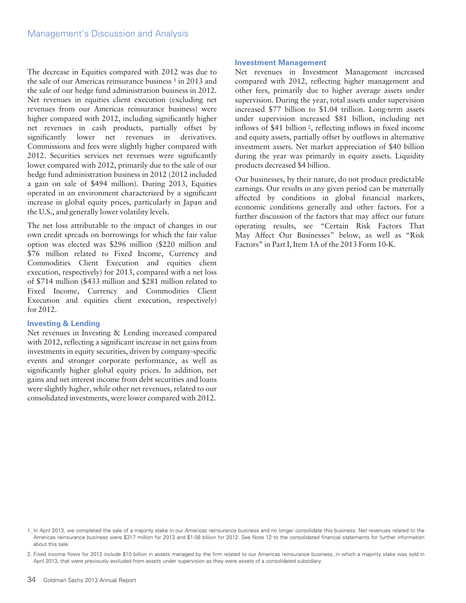The decrease in Equities compared with 2012 was due to the sale of our Americas reinsurance business <sup>1</sup> in 2013 and the sale of our hedge fund administration business in 2012. Net revenues in equities client execution (excluding net revenues from our Americas reinsurance business) were higher compared with 2012, including significantly higher net revenues in cash products, partially offset by significantly lower net revenues in derivatives. Commissions and fees were slightly higher compared with 2012. Securities services net revenues were significantly lower compared with 2012, primarily due to the sale of our hedge fund administration business in 2012 (2012 included a gain on sale of \$494 million). During 2013, Equities operated in an environment characterized by a significant increase in global equity prices, particularly in Japan and the U.S., and generally lower volatility levels.

The net loss attributable to the impact of changes in our own credit spreads on borrowings for which the fair value option was elected was \$296 million (\$220 million and \$76 million related to Fixed Income, Currency and Commodities Client Execution and equities client execution, respectively) for 2013, compared with a net loss of \$714 million (\$433 million and \$281 million related to Fixed Income, Currency and Commodities Client Execution and equities client execution, respectively) for 2012.

## **Investing & Lending**

Net revenues in Investing & Lending increased compared with 2012, reflecting a significant increase in net gains from investments in equity securities, driven by company-specific events and stronger corporate performance, as well as significantly higher global equity prices. In addition, net gains and net interest income from debt securities and loans were slightly higher, while other net revenues, related to our consolidated investments, were lower compared with 2012.

## **Investment Management**

Net revenues in Investment Management increased compared with 2012, reflecting higher management and other fees, primarily due to higher average assets under supervision. During the year, total assets under supervision increased \$77 billion to \$1.04 trillion. Long-term assets under supervision increased \$81 billion, including net inflows of \$41 billion 2, reflecting inflows in fixed income and equity assets, partially offset by outflows in alternative investment assets. Net market appreciation of \$40 billion during the year was primarily in equity assets. Liquidity products decreased \$4 billion.

Our businesses, by their nature, do not produce predictable earnings. Our results in any given period can be materially affected by conditions in global financial markets, economic conditions generally and other factors. For a further discussion of the factors that may affect our future operating results, see "Certain Risk Factors That May Affect Our Businesses" below, as well as "Risk Factors" in Part I, Item 1A of the 2013 Form 10-K.

2. Fixed income flows for 2013 include \$10 billion in assets managed by the firm related to our Americas reinsurance business, in which a majority stake was sold in April 2013, that were previously excluded from assets under supervision as they were assets of a consolidated subsidiary.

<sup>1.</sup> In April 2013, we completed the sale of a majority stake in our Americas reinsurance business and no longer consolidate this business. Net revenues related to the Americas reinsurance business were \$317 million for 2013 and \$1.08 billion for 2012. See Note 12 to the consolidated financial statements for further information about this sale.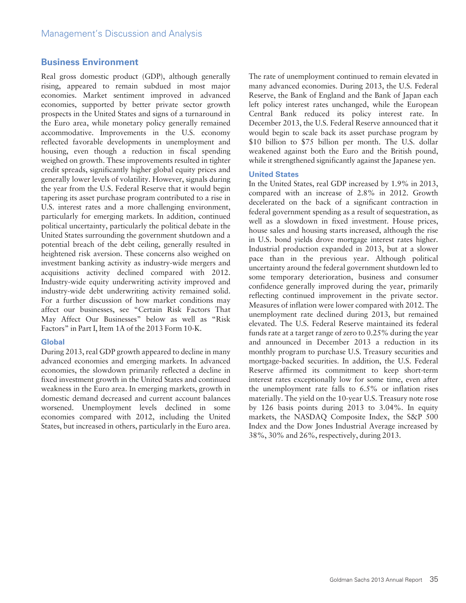# **Business Environment**

Real gross domestic product (GDP), although generally rising, appeared to remain subdued in most major economies. Market sentiment improved in advanced economies, supported by better private sector growth prospects in the United States and signs of a turnaround in the Euro area, while monetary policy generally remained accommodative. Improvements in the U.S. economy reflected favorable developments in unemployment and housing, even though a reduction in fiscal spending weighed on growth. These improvements resulted in tighter credit spreads, significantly higher global equity prices and generally lower levels of volatility. However, signals during the year from the U.S. Federal Reserve that it would begin tapering its asset purchase program contributed to a rise in U.S. interest rates and a more challenging environment, particularly for emerging markets. In addition, continued political uncertainty, particularly the political debate in the United States surrounding the government shutdown and a potential breach of the debt ceiling, generally resulted in heightened risk aversion. These concerns also weighed on investment banking activity as industry-wide mergers and acquisitions activity declined compared with 2012. Industry-wide equity underwriting activity improved and industry-wide debt underwriting activity remained solid. For a further discussion of how market conditions may affect our businesses, see "Certain Risk Factors That May Affect Our Businesses" below as well as "Risk Factors" in Part I, Item 1A of the 2013 Form 10-K.

## **Global**

During 2013, real GDP growth appeared to decline in many advanced economies and emerging markets. In advanced economies, the slowdown primarily reflected a decline in fixed investment growth in the United States and continued weakness in the Euro area. In emerging markets, growth in domestic demand decreased and current account balances worsened. Unemployment levels declined in some economies compared with 2012, including the United States, but increased in others, particularly in the Euro area. The rate of unemployment continued to remain elevated in many advanced economies. During 2013, the U.S. Federal Reserve, the Bank of England and the Bank of Japan each left policy interest rates unchanged, while the European Central Bank reduced its policy interest rate. In December 2013, the U.S. Federal Reserve announced that it would begin to scale back its asset purchase program by \$10 billion to \$75 billion per month. The U.S. dollar weakened against both the Euro and the British pound, while it strengthened significantly against the Japanese yen.

## **United States**

In the United States, real GDP increased by 1.9% in 2013, compared with an increase of 2.8% in 2012. Growth decelerated on the back of a significant contraction in federal government spending as a result of sequestration, as well as a slowdown in fixed investment. House prices, house sales and housing starts increased, although the rise in U.S. bond yields drove mortgage interest rates higher. Industrial production expanded in 2013, but at a slower pace than in the previous year. Although political uncertainty around the federal government shutdown led to some temporary deterioration, business and consumer confidence generally improved during the year, primarily reflecting continued improvement in the private sector. Measures of inflation were lower compared with 2012. The unemployment rate declined during 2013, but remained elevated. The U.S. Federal Reserve maintained its federal funds rate at a target range of zero to 0.25% during the year and announced in December 2013 a reduction in its monthly program to purchase U.S. Treasury securities and mortgage-backed securities. In addition, the U.S. Federal Reserve affirmed its commitment to keep short-term interest rates exceptionally low for some time, even after the unemployment rate falls to 6.5% or inflation rises materially. The yield on the 10-year U.S. Treasury note rose by 126 basis points during 2013 to 3.04%. In equity markets, the NASDAQ Composite Index, the S&P 500 Index and the Dow Jones Industrial Average increased by 38%, 30% and 26%, respectively, during 2013.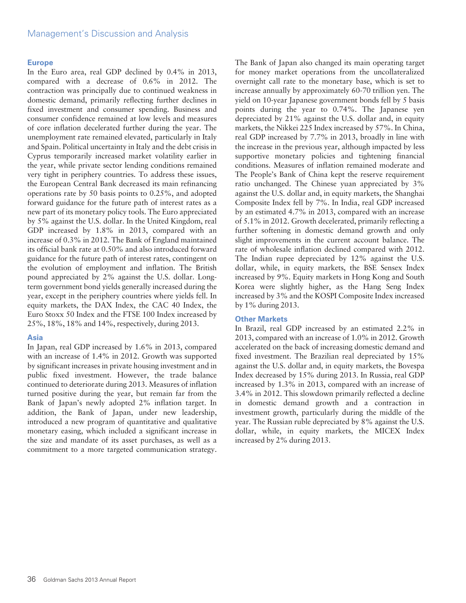#### **Europe**

In the Euro area, real GDP declined by 0.4% in 2013, compared with a decrease of 0.6% in 2012. The contraction was principally due to continued weakness in domestic demand, primarily reflecting further declines in fixed investment and consumer spending. Business and consumer confidence remained at low levels and measures of core inflation decelerated further during the year. The unemployment rate remained elevated, particularly in Italy and Spain. Political uncertainty in Italy and the debt crisis in Cyprus temporarily increased market volatility earlier in the year, while private sector lending conditions remained very tight in periphery countries. To address these issues, the European Central Bank decreased its main refinancing operations rate by 50 basis points to 0.25%, and adopted forward guidance for the future path of interest rates as a new part of its monetary policy tools. The Euro appreciated by 5% against the U.S. dollar. In the United Kingdom, real GDP increased by 1.8% in 2013, compared with an increase of 0.3% in 2012. The Bank of England maintained its official bank rate at 0.50% and also introduced forward guidance for the future path of interest rates, contingent on the evolution of employment and inflation. The British pound appreciated by 2% against the U.S. dollar. Longterm government bond yields generally increased during the year, except in the periphery countries where yields fell. In equity markets, the DAX Index, the CAC 40 Index, the Euro Stoxx 50 Index and the FTSE 100 Index increased by 25%, 18%, 18% and 14%, respectively, during 2013.

## **Asia**

In Japan, real GDP increased by 1.6% in 2013, compared with an increase of 1.4% in 2012. Growth was supported by significant increases in private housing investment and in public fixed investment. However, the trade balance continued to deteriorate during 2013. Measures of inflation turned positive during the year, but remain far from the Bank of Japan's newly adopted 2% inflation target. In addition, the Bank of Japan, under new leadership, introduced a new program of quantitative and qualitative monetary easing, which included a significant increase in the size and mandate of its asset purchases, as well as a commitment to a more targeted communication strategy. The Bank of Japan also changed its main operating target for money market operations from the uncollateralized overnight call rate to the monetary base, which is set to increase annually by approximately 60-70 trillion yen. The yield on 10-year Japanese government bonds fell by 5 basis points during the year to 0.74%. The Japanese yen depreciated by 21% against the U.S. dollar and, in equity markets, the Nikkei 225 Index increased by 57%. In China, real GDP increased by 7.7% in 2013, broadly in line with the increase in the previous year, although impacted by less supportive monetary policies and tightening financial conditions. Measures of inflation remained moderate and The People's Bank of China kept the reserve requirement ratio unchanged. The Chinese yuan appreciated by 3% against the U.S. dollar and, in equity markets, the Shanghai Composite Index fell by 7%. In India, real GDP increased by an estimated 4.7% in 2013, compared with an increase of 5.1% in 2012. Growth decelerated, primarily reflecting a further softening in domestic demand growth and only slight improvements in the current account balance. The rate of wholesale inflation declined compared with 2012. The Indian rupee depreciated by 12% against the U.S. dollar, while, in equity markets, the BSE Sensex Index increased by 9%. Equity markets in Hong Kong and South Korea were slightly higher, as the Hang Seng Index increased by 3% and the KOSPI Composite Index increased by 1% during 2013.

## **Other Markets**

In Brazil, real GDP increased by an estimated 2.2% in 2013, compared with an increase of 1.0% in 2012. Growth accelerated on the back of increasing domestic demand and fixed investment. The Brazilian real depreciated by 15% against the U.S. dollar and, in equity markets, the Bovespa Index decreased by 15% during 2013. In Russia, real GDP increased by 1.3% in 2013, compared with an increase of 3.4% in 2012. This slowdown primarily reflected a decline in domestic demand growth and a contraction in investment growth, particularly during the middle of the year. The Russian ruble depreciated by 8% against the U.S. dollar, while, in equity markets, the MICEX Index increased by 2% during 2013.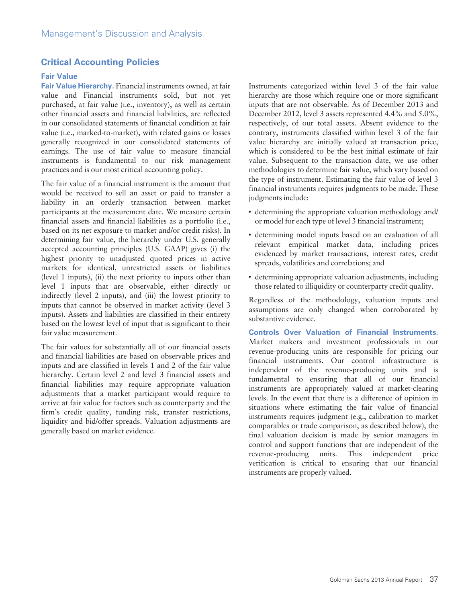# **Critical Accounting Policies**

## **Fair Value**

**Fair Value Hierarchy.** Financial instruments owned, at fair value and Financial instruments sold, but not yet purchased, at fair value (i.e., inventory), as well as certain other financial assets and financial liabilities, are reflected in our consolidated statements of financial condition at fair value (i.e., marked-to-market), with related gains or losses generally recognized in our consolidated statements of earnings. The use of fair value to measure financial instruments is fundamental to our risk management practices and is our most critical accounting policy.

The fair value of a financial instrument is the amount that would be received to sell an asset or paid to transfer a liability in an orderly transaction between market participants at the measurement date. We measure certain financial assets and financial liabilities as a portfolio (i.e., based on its net exposure to market and/or credit risks). In determining fair value, the hierarchy under U.S. generally accepted accounting principles (U.S. GAAP) gives (i) the highest priority to unadjusted quoted prices in active markets for identical, unrestricted assets or liabilities (level 1 inputs), (ii) the next priority to inputs other than level 1 inputs that are observable, either directly or indirectly (level 2 inputs), and (iii) the lowest priority to inputs that cannot be observed in market activity (level 3 inputs). Assets and liabilities are classified in their entirety based on the lowest level of input that is significant to their fair value measurement.

The fair values for substantially all of our financial assets and financial liabilities are based on observable prices and inputs and are classified in levels 1 and 2 of the fair value hierarchy. Certain level 2 and level 3 financial assets and financial liabilities may require appropriate valuation adjustments that a market participant would require to arrive at fair value for factors such as counterparty and the firm's credit quality, funding risk, transfer restrictions, liquidity and bid/offer spreads. Valuation adjustments are generally based on market evidence.

Instruments categorized within level 3 of the fair value hierarchy are those which require one or more significant inputs that are not observable. As of December 2013 and December 2012, level 3 assets represented 4.4% and 5.0%, respectively, of our total assets. Absent evidence to the contrary, instruments classified within level 3 of the fair value hierarchy are initially valued at transaction price, which is considered to be the best initial estimate of fair value. Subsequent to the transaction date, we use other methodologies to determine fair value, which vary based on the type of instrument. Estimating the fair value of level 3 financial instruments requires judgments to be made. These judgments include:

- determining the appropriate valuation methodology and/ or model for each type of level 3 financial instrument;
- ‰ determining model inputs based on an evaluation of all relevant empirical market data, including prices evidenced by market transactions, interest rates, credit spreads, volatilities and correlations; and
- ‰ determining appropriate valuation adjustments, including those related to illiquidity or counterparty credit quality.

Regardless of the methodology, valuation inputs and assumptions are only changed when corroborated by substantive evidence.

**Controls Over Valuation of Financial Instruments.** Market makers and investment professionals in our revenue-producing units are responsible for pricing our financial instruments. Our control infrastructure is independent of the revenue-producing units and is fundamental to ensuring that all of our financial instruments are appropriately valued at market-clearing levels. In the event that there is a difference of opinion in situations where estimating the fair value of financial instruments requires judgment (e.g., calibration to market comparables or trade comparison, as described below), the final valuation decision is made by senior managers in control and support functions that are independent of the revenue-producing units. This independent price verification is critical to ensuring that our financial instruments are properly valued.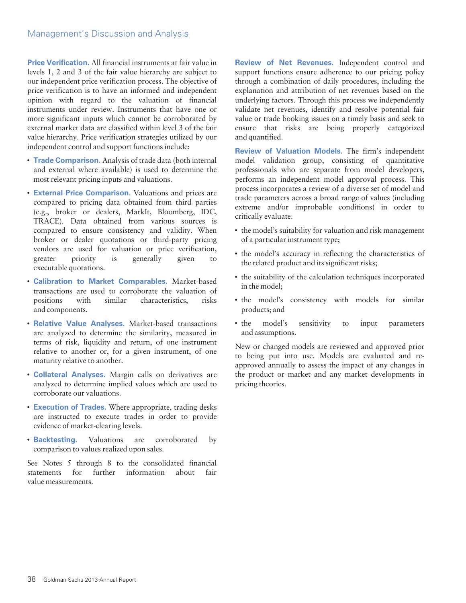**Price Verification.** All financial instruments at fair value in levels 1, 2 and 3 of the fair value hierarchy are subject to our independent price verification process. The objective of price verification is to have an informed and independent opinion with regard to the valuation of financial instruments under review. Instruments that have one or more significant inputs which cannot be corroborated by external market data are classified within level 3 of the fair value hierarchy. Price verification strategies utilized by our independent control and support functions include:

- **Trade Comparison.** Analysis of trade data (both internal and external where available) is used to determine the most relevant pricing inputs and valuations.
- ‰ **External Price Comparison.** Valuations and prices are compared to pricing data obtained from third parties (e.g., broker or dealers, MarkIt, Bloomberg, IDC, TRACE). Data obtained from various sources is compared to ensure consistency and validity. When broker or dealer quotations or third-party pricing vendors are used for valuation or price verification, greater priority is generally given to executable quotations.
- ‰ **Calibration to Market Comparables.** Market-based transactions are used to corroborate the valuation of positions with similar characteristics, risks and components.
- ‰ **Relative Value Analyses.** Market-based transactions are analyzed to determine the similarity, measured in terms of risk, liquidity and return, of one instrument relative to another or, for a given instrument, of one maturity relative to another.
- ‰ **Collateral Analyses.** Margin calls on derivatives are analyzed to determine implied values which are used to corroborate our valuations.
- ‰ **Execution of Trades.** Where appropriate, trading desks are instructed to execute trades in order to provide evidence of market-clearing levels.
- ‰ **Backtesting.** Valuations are corroborated by comparison to values realized upon sales.

See Notes 5 through 8 to the consolidated financial statements for further information about fair value measurements.

**Review of Net Revenues.** Independent control and support functions ensure adherence to our pricing policy through a combination of daily procedures, including the explanation and attribution of net revenues based on the underlying factors. Through this process we independently validate net revenues, identify and resolve potential fair value or trade booking issues on a timely basis and seek to ensure that risks are being properly categorized and quantified.

**Review of Valuation Models.** The firm's independent model validation group, consisting of quantitative professionals who are separate from model developers, performs an independent model approval process. This process incorporates a review of a diverse set of model and trade parameters across a broad range of values (including extreme and/or improbable conditions) in order to critically evaluate:

- the model's suitability for valuation and risk management of a particular instrument type;
- the model's accuracy in reflecting the characteristics of the related product and its significant risks;
- the suitability of the calculation techniques incorporated in the model;
- the model's consistency with models for similar products; and
- the model's sensitivity to input parameters and assumptions.

New or changed models are reviewed and approved prior to being put into use. Models are evaluated and reapproved annually to assess the impact of any changes in the product or market and any market developments in pricing theories.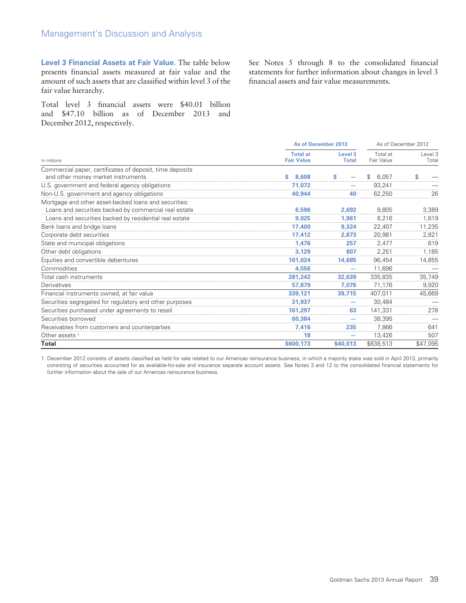**Level 3 Financial Assets at Fair Value.** The table below presents financial assets measured at fair value and the amount of such assets that are classified within level 3 of the fair value hierarchy.

Total level 3 financial assets were \$40.01 billion and \$47.10 billion as of December 2013 and December 2012, respectively.

See Notes 5 through 8 to the consolidated financial statements for further information about changes in level 3 financial assets and fair value measurements.

|                                                          | <b>As of December 2013</b>           |                         | As of December 2012    |                  |
|----------------------------------------------------------|--------------------------------------|-------------------------|------------------------|------------------|
| in millions                                              | <b>Total at</b><br><b>Fair Value</b> | Level 3<br><b>Total</b> | Total at<br>Fair Value | Level 3<br>Total |
| Commercial paper, certificates of deposit, time deposits |                                      |                         |                        |                  |
| and other money market instruments                       | 8,608                                |                         | 6.057                  |                  |
| U.S. government and federal agency obligations           | 71,072                               |                         | 93.241                 |                  |
| Non-U.S. government and agency obligations               | 40.944                               | 40                      | 62,250                 | 26               |
| Mortgage and other asset-backed loans and securities:    |                                      |                         |                        |                  |
| Loans and securities backed by commercial real estate    | 6,596                                | 2,692                   | 9.805                  | 3,389            |
| Loans and securities backed by residential real estate   | 9,025                                | 1,961                   | 8,216                  | 1,619            |
| Bank loans and bridge loans                              | 17.400                               | 9,324                   | 22,407                 | 11,235           |
| Corporate debt securities                                | 17,412                               | 2.873                   | 20,981                 | 2,821            |
| State and municipal obligations                          | 1.476                                | 257                     | 2.477                  | 619              |
| Other debt obligations                                   | 3,129                                | 807                     | 2.251                  | 1.185            |
| Equities and convertible debentures                      | 101,024                              | 14,685                  | 96,454                 | 14,855           |
| Commodities                                              | 4.556                                |                         | 11,696                 |                  |
| Total cash instruments                                   | 281,242                              | 32,639                  | 335,835                | 35,749           |
| Derivatives                                              | 57,879                               | 7,076                   | 71,176                 | 9,920            |
| Financial instruments owned, at fair value               | 339,121                              | 39.715                  | 407.011                | 45,669           |
| Securities segregated for regulatory and other purposes  | 31.937                               |                         | 30.484                 |                  |
| Securities purchased under agreements to resell          | 161.297                              | 63                      | 141.331                | 278              |
| Securities borrowed                                      | 60,384                               |                         | 38.395                 |                  |
| Receivables from customers and counterparties            | 7,416                                | 235                     | 7.866                  | 641              |
| Other assets <sup>1</sup>                                | 18                                   |                         | 13,426                 | 507              |
| <b>Total</b>                                             | \$600.173                            | \$40,013                | \$638,513              | \$47,095         |

1. December 2012 consists of assets classified as held for sale related to our Americas reinsurance business, in which a majority stake was sold in April 2013, primarily consisting of securities accounted for as available-for-sale and insurance separate account assets. See Notes 3 and 12 to the consolidated financial statements for further information about the sale of our Americas reinsurance business.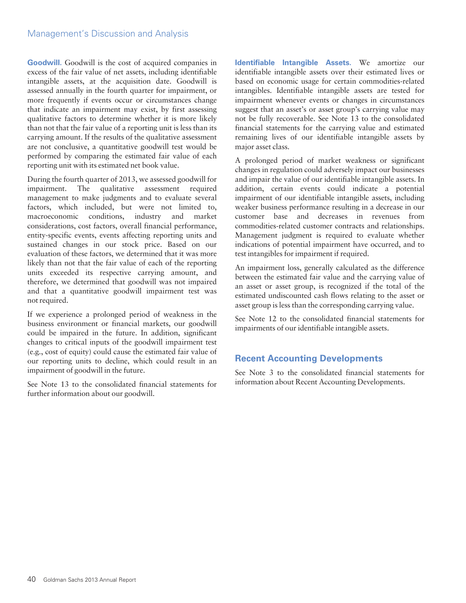# Management's Discussion and Analysis

**Goodwill.** Goodwill is the cost of acquired companies in excess of the fair value of net assets, including identifiable intangible assets, at the acquisition date. Goodwill is assessed annually in the fourth quarter for impairment, or more frequently if events occur or circumstances change that indicate an impairment may exist, by first assessing qualitative factors to determine whether it is more likely than not that the fair value of a reporting unit is less than its carrying amount. If the results of the qualitative assessment are not conclusive, a quantitative goodwill test would be performed by comparing the estimated fair value of each reporting unit with its estimated net book value.

During the fourth quarter of 2013, we assessed goodwill for impairment. The qualitative assessment required management to make judgments and to evaluate several factors, which included, but were not limited to, macroeconomic conditions, industry and market considerations, cost factors, overall financial performance, entity-specific events, events affecting reporting units and sustained changes in our stock price. Based on our evaluation of these factors, we determined that it was more likely than not that the fair value of each of the reporting units exceeded its respective carrying amount, and therefore, we determined that goodwill was not impaired and that a quantitative goodwill impairment test was not required.

If we experience a prolonged period of weakness in the business environment or financial markets, our goodwill could be impaired in the future. In addition, significant changes to critical inputs of the goodwill impairment test (e.g., cost of equity) could cause the estimated fair value of our reporting units to decline, which could result in an impairment of goodwill in the future.

See Note 13 to the consolidated financial statements for further information about our goodwill.

**Identifiable Intangible Assets.** We amortize our identifiable intangible assets over their estimated lives or based on economic usage for certain commodities-related intangibles. Identifiable intangible assets are tested for impairment whenever events or changes in circumstances suggest that an asset's or asset group's carrying value may not be fully recoverable. See Note 13 to the consolidated financial statements for the carrying value and estimated remaining lives of our identifiable intangible assets by major asset class.

A prolonged period of market weakness or significant changes in regulation could adversely impact our businesses and impair the value of our identifiable intangible assets. In addition, certain events could indicate a potential impairment of our identifiable intangible assets, including weaker business performance resulting in a decrease in our customer base and decreases in revenues from commodities-related customer contracts and relationships. Management judgment is required to evaluate whether indications of potential impairment have occurred, and to test intangibles for impairment if required.

An impairment loss, generally calculated as the difference between the estimated fair value and the carrying value of an asset or asset group, is recognized if the total of the estimated undiscounted cash flows relating to the asset or asset group is less than the corresponding carrying value.

See Note 12 to the consolidated financial statements for impairments of our identifiable intangible assets.

# **Recent Accounting Developments**

See Note 3 to the consolidated financial statements for information about Recent Accounting Developments.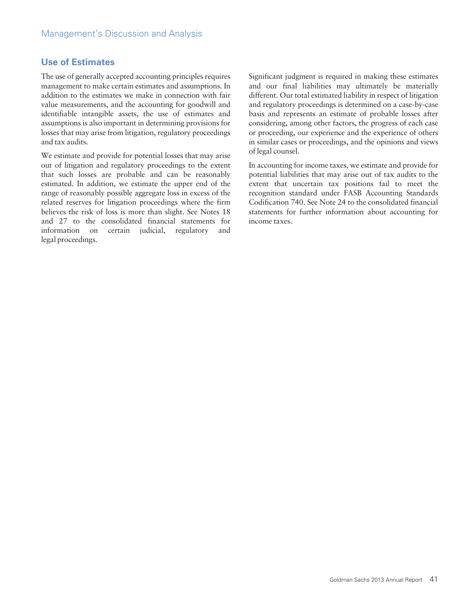# **Use of Estimates**

The use of generally accepted accounting principles requires management to make certain estimates and assumptions. In addition to the estimates we make in connection with fair value measurements, and the accounting for goodwill and identifiable intangible assets, the use of estimates and assumptions is also important in determining provisions for losses that may arise from litigation, regulatory proceedings and tax audits.

We estimate and provide for potential losses that may arise out of litigation and regulatory proceedings to the extent that such losses are probable and can be reasonably estimated. In addition, we estimate the upper end of the range of reasonably possible aggregate loss in excess of the related reserves for litigation proceedings where the firm believes the risk of loss is more than slight. See Notes 18 and 27 to the consolidated financial statements for information on certain judicial, regulatory and legal proceedings.

Significant judgment is required in making these estimates and our final liabilities may ultimately be materially different. Our total estimated liability in respect of litigation and regulatory proceedings is determined on a case-by-case basis and represents an estimate of probable losses after considering, among other factors, the progress of each case or proceeding, our experience and the experience of others in similar cases or proceedings, and the opinions and views of legal counsel.

In accounting for income taxes, we estimate and provide for potential liabilities that may arise out of tax audits to the extent that uncertain tax positions fail to meet the recognition standard under FASB Accounting Standards Codification 740. See Note 24 to the consolidated financial statements for further information about accounting for income taxes.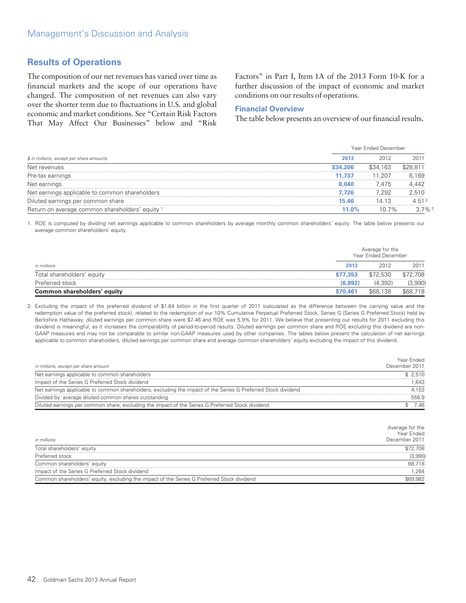# **Results of Operations**

The composition of our net revenues has varied over time as financial markets and the scope of our operations have changed. The composition of net revenues can also vary over the shorter term due to fluctuations in U.S. and global economic and market conditions. See "Certain Risk Factors That May Affect Our Businesses" below and "Risk Factors" in Part I, Item 1A of the 2013 Form 10-K for a further discussion of the impact of economic and market conditions on our results of operations.

#### **Financial Overview**

The table below presents an overview of our financial results.

|                                                | Year Ended December |       |      |
|------------------------------------------------|---------------------|-------|------|
| \$ in millions, except per share amounts       | 2013                | 2012  |      |
| Net revenues                                   | \$34.206            |       |      |
| Pre-tax earnings                               | 11 737              |       | .169 |
| Net earnings                                   | 040                 | 475   |      |
| Net earnings applicable to common shareholders | 726                 | 292   |      |
| Jiluted earnings per common share              | 15 46               | 413   |      |
| Return on average common shareholders' equity  | 0%                  | 1በ 7% |      |

1. ROE is computed by dividing net earnings applicable to common shareholders by average monthly common shareholders' equity. The table below presents our average common shareholders' equity.

|                             |          | Average for the<br>Year Ended December |                  |  |  |
|-----------------------------|----------|----------------------------------------|------------------|--|--|
| in millions                 | 2013     | 2012                                   | 2011             |  |  |
| Total shareholders' equity  | \$77,353 | \$72,530                               | \$72,708         |  |  |
| Preferred stock             | 6.892    | (4.392)                                | $^{\circ}$ ,990) |  |  |
| Common shareholders' equity | \$70.461 | \$68,138                               | \$68,718         |  |  |

2. Excluding the impact of the preferred dividend of \$1.64 billion in the first quarter of 2011 (calculated as the difference between the carrying value and the redemption value of the preferred stock), related to the redemption of our 10% Cumulative Perpetual Preferred Stock, Series G (Series G Preferred Stock) held by Berkshire Hathaway, diluted earnings per common share were \$7.46 and ROE was 5.9% for 2011. We believe that presenting our results for 2011 excluding this dividend is meaningful, as it increases the comparability of period-to-period results. Diluted earnings per common share and ROE excluding this dividend are non-GAAP measures and may not be comparable to similar non-GAAP measures used by other companies. The tables below present the calculation of net earnings applicable to common shareholders, diluted earnings per common share and average common shareholders' equity excluding the impact of this dividend.

|                                                                                                               | Year Ended    |
|---------------------------------------------------------------------------------------------------------------|---------------|
| in millions, except per share amount                                                                          | December 2011 |
| Net earnings applicable to common shareholders                                                                | \$2.510       |
| Impact of the Series G Preferred Stock dividend                                                               | .643          |
| Net earnings applicable to common shareholders, excluding the impact of the Series G Preferred Stock dividend | 4.153         |
| Divided by: average diluted common shares outstanding                                                         | 556.9         |
| Diluted earnings per common share, excluding the impact of the Series G Preferred Stock dividend              | 7.46          |

|                                                                                            | or the<br>Average<br>Year Ended |
|--------------------------------------------------------------------------------------------|---------------------------------|
| in millions                                                                                | December 2011                   |
| Total shareholders' equity                                                                 | \$72.708                        |
| Preferred stock                                                                            | 3.990                           |
| Common shareholders' equity                                                                | 68.718                          |
| Impact of the Series G Preferred Stock dividend                                            | .264                            |
| Common shareholders' equity, excluding the impact of the Series G Preferred Stock dividend | \$69.982                        |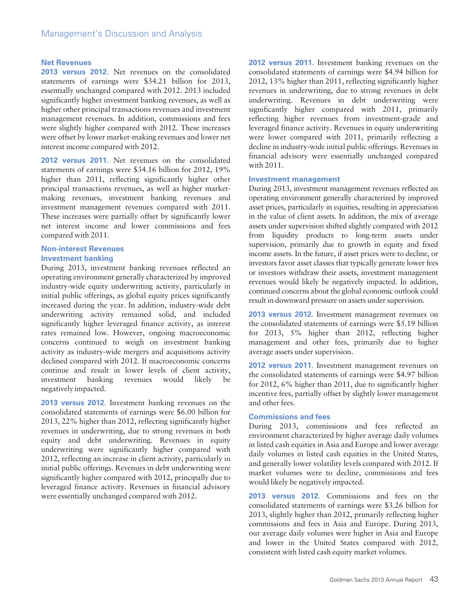#### **Net Revenues**

**2013 versus 2012.** Net revenues on the consolidated statements of earnings were \$34.21 billion for 2013, essentially unchanged compared with 2012. 2013 included significantly higher investment banking revenues, as well as higher other principal transactions revenues and investment management revenues. In addition, commissions and fees were slightly higher compared with 2012. These increases were offset by lower market-making revenues and lower net interest income compared with 2012.

**2012 versus 2011.** Net revenues on the consolidated statements of earnings were \$34.16 billion for 2012, 19% higher than 2011, reflecting significantly higher other principal transactions revenues, as well as higher marketmaking revenues, investment banking revenues and investment management revenues compared with 2011. These increases were partially offset by significantly lower net interest income and lower commissions and fees compared with 2011.

## **Non-interest Revenues Investment banking**

During 2013, investment banking revenues reflected an operating environment generally characterized by improved industry-wide equity underwriting activity, particularly in initial public offerings, as global equity prices significantly increased during the year. In addition, industry-wide debt underwriting activity remained solid, and included significantly higher leveraged finance activity, as interest rates remained low. However, ongoing macroeconomic concerns continued to weigh on investment banking activity as industry-wide mergers and acquisitions activity declined compared with 2012. If macroeconomic concerns continue and result in lower levels of client activity, investment banking revenues would likely be negatively impacted.

**2013 versus 2012.** Investment banking revenues on the consolidated statements of earnings were \$6.00 billion for 2013, 22% higher than 2012, reflecting significantly higher revenues in underwriting, due to strong revenues in both equity and debt underwriting. Revenues in equity underwriting were significantly higher compared with 2012, reflecting an increase in client activity, particularly in initial public offerings. Revenues in debt underwriting were significantly higher compared with 2012, principally due to leveraged finance activity. Revenues in financial advisory were essentially unchanged compared with 2012.

**2012 versus 2011.** Investment banking revenues on the consolidated statements of earnings were \$4.94 billion for 2012, 13% higher than 2011, reflecting significantly higher revenues in underwriting, due to strong revenues in debt underwriting. Revenues in debt underwriting were significantly higher compared with 2011, primarily reflecting higher revenues from investment-grade and leveraged finance activity. Revenues in equity underwriting were lower compared with 2011, primarily reflecting a decline in industry-wide initial public offerings. Revenues in financial advisory were essentially unchanged compared with 2011.

#### **Investment management**

During 2013, investment management revenues reflected an operating environment generally characterized by improved asset prices, particularly in equities, resulting in appreciation in the value of client assets. In addition, the mix of average assets under supervision shifted slightly compared with 2012 from liquidity products to long-term assets under supervision, primarily due to growth in equity and fixed income assets. In the future, if asset prices were to decline, or investors favor asset classes that typically generate lower fees or investors withdraw their assets, investment management revenues would likely be negatively impacted. In addition, continued concerns about the global economic outlook could result in downward pressure on assets under supervision.

**2013 versus 2012.** Investment management revenues on the consolidated statements of earnings were \$5.19 billion for 2013, 5% higher than 2012, reflecting higher management and other fees, primarily due to higher average assets under supervision.

**2012 versus 2011.** Investment management revenues on the consolidated statements of earnings were \$4.97 billion for 2012, 6% higher than 2011, due to significantly higher incentive fees, partially offset by slightly lower management and other fees.

#### **Commissions and fees**

During 2013, commissions and fees reflected an environment characterized by higher average daily volumes in listed cash equities in Asia and Europe and lower average daily volumes in listed cash equities in the United States, and generally lower volatility levels compared with 2012. If market volumes were to decline, commissions and fees would likely be negatively impacted.

**2013 versus 2012.** Commissions and fees on the consolidated statements of earnings were \$3.26 billion for 2013, slightly higher than 2012, primarily reflecting higher commissions and fees in Asia and Europe. During 2013, our average daily volumes were higher in Asia and Europe and lower in the United States compared with 2012, consistent with listed cash equity market volumes.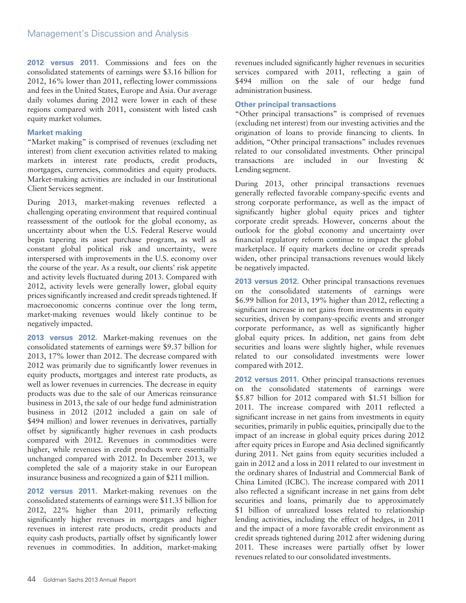**2012 versus 2011.** Commissions and fees on the consolidated statements of earnings were \$3.16 billion for 2012, 16% lower than 2011, reflecting lower commissions and fees in the United States, Europe and Asia. Our average daily volumes during 2012 were lower in each of these regions compared with 2011, consistent with listed cash equity market volumes.

## **Market making**

"Market making" is comprised of revenues (excluding net interest) from client execution activities related to making markets in interest rate products, credit products, mortgages, currencies, commodities and equity products. Market-making activities are included in our Institutional Client Services segment.

During 2013, market-making revenues reflected a challenging operating environment that required continual reassessment of the outlook for the global economy, as uncertainty about when the U.S. Federal Reserve would begin tapering its asset purchase program, as well as constant global political risk and uncertainty, were interspersed with improvements in the U.S. economy over the course of the year. As a result, our clients' risk appetite and activity levels fluctuated during 2013. Compared with 2012, activity levels were generally lower, global equity prices significantly increased and credit spreads tightened. If macroeconomic concerns continue over the long term, market-making revenues would likely continue to be negatively impacted.

**2013 versus 2012.** Market-making revenues on the consolidated statements of earnings were \$9.37 billion for 2013, 17% lower than 2012. The decrease compared with 2012 was primarily due to significantly lower revenues in equity products, mortgages and interest rate products, as well as lower revenues in currencies. The decrease in equity products was due to the sale of our Americas reinsurance business in 2013, the sale of our hedge fund administration business in 2012 (2012 included a gain on sale of \$494 million) and lower revenues in derivatives, partially offset by significantly higher revenues in cash products compared with 2012. Revenues in commodities were higher, while revenues in credit products were essentially unchanged compared with 2012. In December 2013, we completed the sale of a majority stake in our European insurance business and recognized a gain of \$211 million.

**2012 versus 2011.** Market-making revenues on the consolidated statements of earnings were \$11.35 billion for 2012, 22% higher than 2011, primarily reflecting significantly higher revenues in mortgages and higher revenues in interest rate products, credit products and equity cash products, partially offset by significantly lower revenues in commodities. In addition, market-making

revenues included significantly higher revenues in securities services compared with 2011, reflecting a gain of \$494 million on the sale of our hedge fund administration business.

# **Other principal transactions**

"Other principal transactions" is comprised of revenues (excluding net interest) from our investing activities and the origination of loans to provide financing to clients. In addition, "Other principal transactions" includes revenues related to our consolidated investments. Other principal transactions are included in our Investing & Lending segment.

During 2013, other principal transactions revenues generally reflected favorable company-specific events and strong corporate performance, as well as the impact of significantly higher global equity prices and tighter corporate credit spreads. However, concerns about the outlook for the global economy and uncertainty over financial regulatory reform continue to impact the global marketplace. If equity markets decline or credit spreads widen, other principal transactions revenues would likely be negatively impacted.

**2013 versus 2012.** Other principal transactions revenues on the consolidated statements of earnings were \$6.99 billion for 2013, 19% higher than 2012, reflecting a significant increase in net gains from investments in equity securities, driven by company-specific events and stronger corporate performance, as well as significantly higher global equity prices. In addition, net gains from debt securities and loans were slightly higher, while revenues related to our consolidated investments were lower compared with 2012.

**2012 versus 2011.** Other principal transactions revenues on the consolidated statements of earnings were \$5.87 billion for 2012 compared with \$1.51 billion for 2011. The increase compared with 2011 reflected a significant increase in net gains from investments in equity securities, primarily in public equities, principally due to the impact of an increase in global equity prices during 2012 after equity prices in Europe and Asia declined significantly during 2011. Net gains from equity securities included a gain in 2012 and a loss in 2011 related to our investment in the ordinary shares of Industrial and Commercial Bank of China Limited (ICBC). The increase compared with 2011 also reflected a significant increase in net gains from debt securities and loans, primarily due to approximately \$1 billion of unrealized losses related to relationship lending activities, including the effect of hedges, in 2011 and the impact of a more favorable credit environment as credit spreads tightened during 2012 after widening during 2011. These increases were partially offset by lower revenues related to our consolidated investments.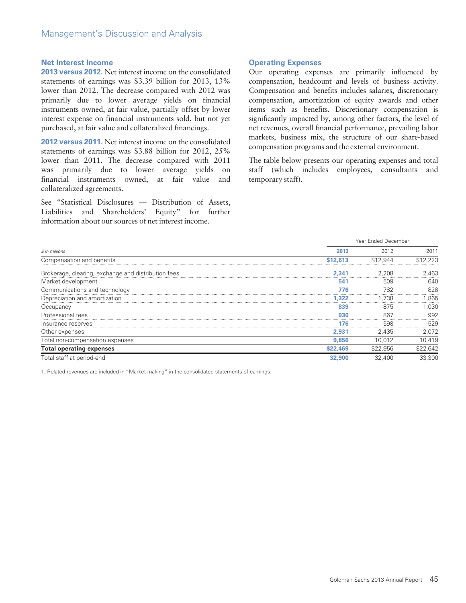# **Net Interest Income**

**2013 versus 2012.** Net interest income on the consolidated statements of earnings was \$3.39 billion for 2013, 13% lower than 2012. The decrease compared with 2012 was primarily due to lower average yields on financial instruments owned, at fair value, partially offset by lower interest expense on financial instruments sold, but not yet purchased, at fair value and collateralized financings.

**2012 versus 2011.** Net interest income on the consolidated statements of earnings was \$3.88 billion for 2012, 25% lower than 2011. The decrease compared with 2011 was primarily due to lower average yields on financial instruments owned, at fair value and collateralized agreements.

See "Statistical Disclosures — Distribution of Assets, Liabilities and Shareholders' Equity" for further information about our sources of net interest income.

## **Operating Expenses**

Our operating expenses are primarily influenced by compensation, headcount and levels of business activity. Compensation and benefits includes salaries, discretionary compensation, amortization of equity awards and other items such as benefits. Discretionary compensation is significantly impacted by, among other factors, the level of net revenues, overall financial performance, prevailing labor markets, business mix, the structure of our share-based compensation programs and the external environment.

The table below presents our operating expenses and total staff (which includes employees, consultants and temporary staff).

|                                                     | Year Ended December |          |          |  |
|-----------------------------------------------------|---------------------|----------|----------|--|
| \$ in millions                                      | 2013                | 2012     | 2011     |  |
| Compensation and benefits                           | \$12.613            | \$12.944 |          |  |
| Brokerage, clearing, exchange and distribution fees | 2.341               | 2.208    | 2.463    |  |
| Market development                                  |                     | 509      | 640      |  |
| Communications and technology                       | 776                 | 782      | 828      |  |
| Depreciation and amortization                       | .322                | 738      | .865     |  |
| Occupancy                                           | 839                 | 875      | .030     |  |
| Professional fees                                   | 930                 | 867      | 992      |  |
| Insurance reserves                                  | <br>176             | 598      | <br>529  |  |
| Other expenses                                      | 2.931               | 2.435    | 2.072    |  |
| Total non-compensation expenses                     | 9.856               | 10.012   | 0,419    |  |
| <b>Total operating expenses</b>                     | \$22.469            | \$22,956 | \$22,642 |  |
| Total staff at period-end                           | 32.900              | 32,400   | 33.300   |  |

1. Related revenues are included in "Market making" in the consolidated statements of earnings.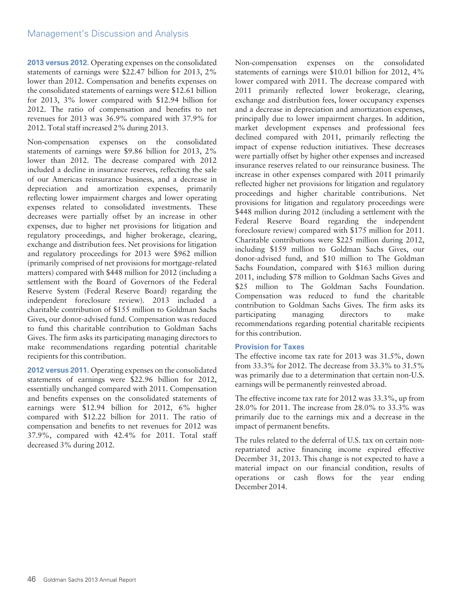**2013 versus 2012.** Operating expenses on the consolidated statements of earnings were \$22.47 billion for 2013, 2% lower than 2012. Compensation and benefits expenses on the consolidated statements of earnings were \$12.61 billion for 2013, 3% lower compared with \$12.94 billion for 2012. The ratio of compensation and benefits to net revenues for 2013 was 36.9% compared with 37.9% for 2012. Total staff increased 2% during 2013.

Non-compensation expenses on the consolidated statements of earnings were \$9.86 billion for 2013, 2% lower than 2012. The decrease compared with 2012 included a decline in insurance reserves, reflecting the sale of our Americas reinsurance business, and a decrease in depreciation and amortization expenses, primarily reflecting lower impairment charges and lower operating expenses related to consolidated investments. These decreases were partially offset by an increase in other expenses, due to higher net provisions for litigation and regulatory proceedings, and higher brokerage, clearing, exchange and distribution fees. Net provisions for litigation and regulatory proceedings for 2013 were \$962 million (primarily comprised of net provisions for mortgage-related matters) compared with \$448 million for 2012 (including a settlement with the Board of Governors of the Federal Reserve System (Federal Reserve Board) regarding the independent foreclosure review). 2013 included a charitable contribution of \$155 million to Goldman Sachs Gives, our donor-advised fund. Compensation was reduced to fund this charitable contribution to Goldman Sachs Gives. The firm asks its participating managing directors to make recommendations regarding potential charitable recipients for this contribution.

**2012 versus 2011.** Operating expenses on the consolidated statements of earnings were \$22.96 billion for 2012, essentially unchanged compared with 2011. Compensation and benefits expenses on the consolidated statements of earnings were \$12.94 billion for 2012, 6% higher compared with \$12.22 billion for 2011. The ratio of compensation and benefits to net revenues for 2012 was 37.9%, compared with 42.4% for 2011. Total staff decreased 3% during 2012.

Non-compensation expenses on the consolidated statements of earnings were \$10.01 billion for 2012, 4% lower compared with 2011. The decrease compared with 2011 primarily reflected lower brokerage, clearing, exchange and distribution fees, lower occupancy expenses and a decrease in depreciation and amortization expenses, principally due to lower impairment charges. In addition, market development expenses and professional fees declined compared with 2011, primarily reflecting the impact of expense reduction initiatives. These decreases were partially offset by higher other expenses and increased insurance reserves related to our reinsurance business. The increase in other expenses compared with 2011 primarily reflected higher net provisions for litigation and regulatory proceedings and higher charitable contributions. Net provisions for litigation and regulatory proceedings were \$448 million during 2012 (including a settlement with the Federal Reserve Board regarding the independent foreclosure review) compared with \$175 million for 2011. Charitable contributions were \$225 million during 2012, including \$159 million to Goldman Sachs Gives, our donor-advised fund, and \$10 million to The Goldman Sachs Foundation, compared with \$163 million during 2011, including \$78 million to Goldman Sachs Gives and \$25 million to The Goldman Sachs Foundation. Compensation was reduced to fund the charitable contribution to Goldman Sachs Gives. The firm asks its participating managing directors to make recommendations regarding potential charitable recipients for this contribution.

## **Provision for Taxes**

The effective income tax rate for 2013 was 31.5%, down from 33.3% for 2012. The decrease from 33.3% to 31.5% was primarily due to a determination that certain non-U.S. earnings will be permanently reinvested abroad.

The effective income tax rate for 2012 was 33.3%, up from 28.0% for 2011. The increase from 28.0% to 33.3% was primarily due to the earnings mix and a decrease in the impact of permanent benefits.

The rules related to the deferral of U.S. tax on certain nonrepatriated active financing income expired effective December 31, 2013. This change is not expected to have a material impact on our financial condition, results of operations or cash flows for the year ending December 2014.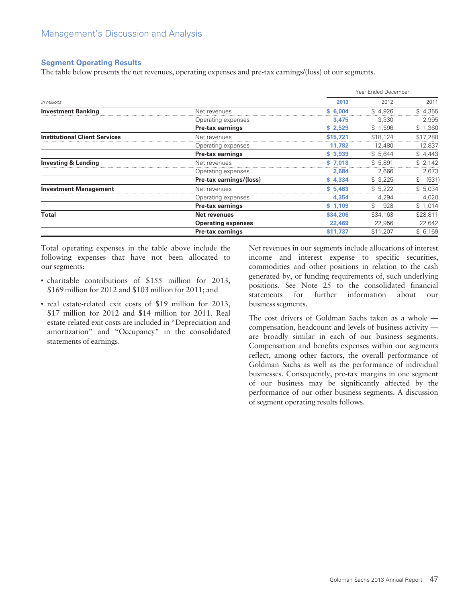## **Segment Operating Results**

The table below presents the net revenues, operating expenses and pre-tax earnings/(loss) of our segments.

|                                      |                           | Year Ended December |           |                         |  |  |
|--------------------------------------|---------------------------|---------------------|-----------|-------------------------|--|--|
| in millions                          |                           | 2013                | 2012      | 2011                    |  |  |
| <b>Investment Banking</b>            | Net revenues              | \$6.004             | \$4.926   | \$4,355                 |  |  |
|                                      | Operating expenses        | 3,475               | 3,330     | 2,995                   |  |  |
|                                      | <b>Pre-tax earnings</b>   | \$2,529             | \$1,596   | \$1,360                 |  |  |
| <b>Institutional Client Services</b> | Net revenues              | \$15,721            | \$18,124  | \$17,280                |  |  |
|                                      | Operating expenses        | 11,782              | 12,480    | 12,837                  |  |  |
|                                      | Pre-tax earnings          | \$3,939             | \$5,644   | \$4,443                 |  |  |
| <b>Investing &amp; Lending</b>       | Net revenues              | \$7.018             | \$5.891   | \$2,142                 |  |  |
|                                      | Operating expenses        | 2.684               | 2.666     | 2,673                   |  |  |
|                                      | Pre-tax earnings/(loss)   | \$4,334             | \$3,225   | (531)<br>$\mathbb{S}^-$ |  |  |
| <b>Investment Management</b>         | Net revenues              | \$5.463             | \$5,222   | \$5.034                 |  |  |
|                                      | Operating expenses        | 4.354               | 4.294     | 4,020                   |  |  |
|                                      | <b>Pre-tax earnings</b>   | \$1,109             | \$<br>928 | \$1,014                 |  |  |
| Total                                | <b>Net revenues</b>       | \$34,206            | \$34,163  | \$28,811                |  |  |
|                                      | <b>Operating expenses</b> | 22,469              | 22,956    | 22,642                  |  |  |
|                                      | <b>Pre-tax earnings</b>   | \$11.737            | \$11,207  | \$6,169                 |  |  |

Total operating expenses in the table above include the following expenses that have not been allocated to our segments:

- ‰ charitable contributions of \$155 million for 2013, \$169 million for 2012 and \$103 million for 2011; and
- real estate-related exit costs of \$19 million for 2013, \$17 million for 2012 and \$14 million for 2011. Real estate-related exit costs are included in "Depreciation and amortization" and "Occupancy" in the consolidated statements of earnings.

Net revenues in our segments include allocations of interest income and interest expense to specific securities, commodities and other positions in relation to the cash generated by, or funding requirements of, such underlying positions. See Note 25 to the consolidated financial statements for further information about our business segments.

The cost drivers of Goldman Sachs taken as a whole compensation, headcount and levels of business activity are broadly similar in each of our business segments. Compensation and benefits expenses within our segments reflect, among other factors, the overall performance of Goldman Sachs as well as the performance of individual businesses. Consequently, pre-tax margins in one segment of our business may be significantly affected by the performance of our other business segments. A discussion of segment operating results follows.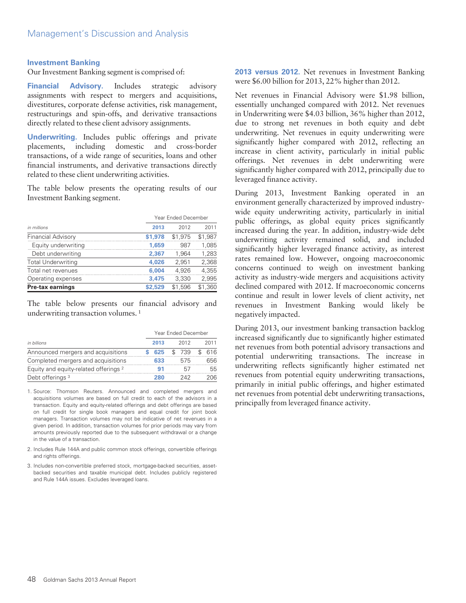#### **Investment Banking**

Our Investment Banking segment is comprised of:

**Financial Advisory.** Includes strategic advisory assignments with respect to mergers and acquisitions, divestitures, corporate defense activities, risk management, restructurings and spin-offs, and derivative transactions directly related to these client advisory assignments.

**Underwriting.** Includes public offerings and private placements, including domestic and cross-border transactions, of a wide range of securities, loans and other financial instruments, and derivative transactions directly related to these client underwriting activities.

The table below presents the operating results of our Investment Banking segment.

|                           | Year Ended December |         |         |  |
|---------------------------|---------------------|---------|---------|--|
| in millions               | 2013                | 2012    | 2011    |  |
| <b>Financial Advisory</b> | \$1,978             | \$1,975 | \$1,987 |  |
| Equity underwriting       | 1.659               | 987     | 1,085   |  |
| Debt underwriting         | 2,367               | 1,964   | 1,283   |  |
| <b>Total Underwriting</b> | 4.026               | 2.951   | 2,368   |  |
| Total net revenues        | 6.004               | 4,926   | 4,355   |  |
| Operating expenses        | 3.475               | 3.330   | 2,995   |  |
| <b>Pre-tax earnings</b>   | \$2,529             | \$1,596 | \$1,360 |  |

The table below presents our financial advisory and underwriting transaction volumes. <sup>1</sup>

|                                       | Year Ended December |  |      |  |      |  |
|---------------------------------------|---------------------|--|------|--|------|--|
| in billions                           | 2013                |  | 2012 |  | 2011 |  |
| Announced mergers and acquisitions    | 625                 |  | 739  |  | 616  |  |
| Completed mergers and acquisitions    | 633                 |  | 575  |  | 656  |  |
| Equity and equity-related offerings 2 | 91                  |  | 57   |  | 55   |  |
| Debt offerings <sup>3</sup>           | 280                 |  | 242  |  | 206  |  |

- 1. Source: Thomson Reuters. Announced and completed mergers and acquisitions volumes are based on full credit to each of the advisors in a transaction. Equity and equity-related offerings and debt offerings are based on full credit for single book managers and equal credit for joint book managers. Transaction volumes may not be indicative of net revenues in a given period. In addition, transaction volumes for prior periods may vary from amounts previously reported due to the subsequent withdrawal or a change in the value of a transaction.
- 2. Includes Rule 144A and public common stock offerings, convertible offerings and rights offerings.
- 3. Includes non-convertible preferred stock, mortgage-backed securities, assetbacked securities and taxable municipal debt. Includes publicly registered and Rule 144A issues. Excludes leveraged loans.

**2013 versus 2012.** Net revenues in Investment Banking were \$6.00 billion for 2013, 22% higher than 2012.

Net revenues in Financial Advisory were \$1.98 billion, essentially unchanged compared with 2012. Net revenues in Underwriting were \$4.03 billion, 36% higher than 2012, due to strong net revenues in both equity and debt underwriting. Net revenues in equity underwriting were significantly higher compared with 2012, reflecting an increase in client activity, particularly in initial public offerings. Net revenues in debt underwriting were significantly higher compared with 2012, principally due to leveraged finance activity.

During 2013, Investment Banking operated in an environment generally characterized by improved industrywide equity underwriting activity, particularly in initial public offerings, as global equity prices significantly increased during the year. In addition, industry-wide debt underwriting activity remained solid, and included significantly higher leveraged finance activity, as interest rates remained low. However, ongoing macroeconomic concerns continued to weigh on investment banking activity as industry-wide mergers and acquisitions activity declined compared with 2012. If macroeconomic concerns continue and result in lower levels of client activity, net revenues in Investment Banking would likely be negatively impacted.

During 2013, our investment banking transaction backlog increased significantly due to significantly higher estimated net revenues from both potential advisory transactions and potential underwriting transactions. The increase in underwriting reflects significantly higher estimated net revenues from potential equity underwriting transactions, primarily in initial public offerings, and higher estimated net revenues from potential debt underwriting transactions, principally from leveraged finance activity.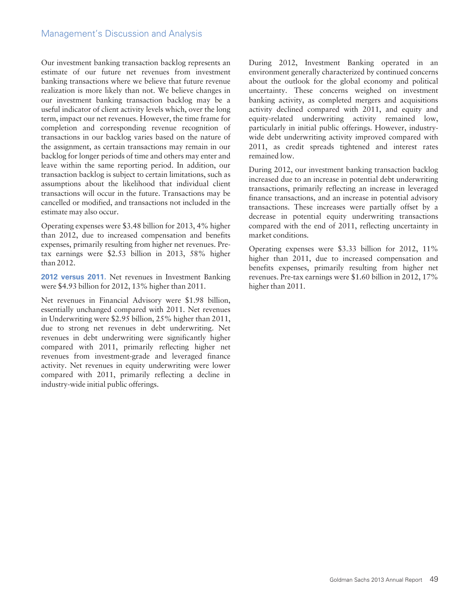# Management's Discussion and Analysis

Our investment banking transaction backlog represents an estimate of our future net revenues from investment banking transactions where we believe that future revenue realization is more likely than not. We believe changes in our investment banking transaction backlog may be a useful indicator of client activity levels which, over the long term, impact our net revenues. However, the time frame for completion and corresponding revenue recognition of transactions in our backlog varies based on the nature of the assignment, as certain transactions may remain in our backlog for longer periods of time and others may enter and leave within the same reporting period. In addition, our transaction backlog is subject to certain limitations, such as assumptions about the likelihood that individual client transactions will occur in the future. Transactions may be cancelled or modified, and transactions not included in the estimate may also occur.

Operating expenses were \$3.48 billion for 2013, 4% higher than 2012, due to increased compensation and benefits expenses, primarily resulting from higher net revenues. Pretax earnings were \$2.53 billion in 2013, 58% higher than 2012.

**2012 versus 2011.** Net revenues in Investment Banking were \$4.93 billion for 2012, 13% higher than 2011.

Net revenues in Financial Advisory were \$1.98 billion, essentially unchanged compared with 2011. Net revenues in Underwriting were \$2.95 billion, 25% higher than 2011, due to strong net revenues in debt underwriting. Net revenues in debt underwriting were significantly higher compared with 2011, primarily reflecting higher net revenues from investment-grade and leveraged finance activity. Net revenues in equity underwriting were lower compared with 2011, primarily reflecting a decline in industry-wide initial public offerings.

During 2012, Investment Banking operated in an environment generally characterized by continued concerns about the outlook for the global economy and political uncertainty. These concerns weighed on investment banking activity, as completed mergers and acquisitions activity declined compared with 2011, and equity and equity-related underwriting activity remained low, particularly in initial public offerings. However, industrywide debt underwriting activity improved compared with 2011, as credit spreads tightened and interest rates remained low.

During 2012, our investment banking transaction backlog increased due to an increase in potential debt underwriting transactions, primarily reflecting an increase in leveraged finance transactions, and an increase in potential advisory transactions. These increases were partially offset by a decrease in potential equity underwriting transactions compared with the end of 2011, reflecting uncertainty in market conditions.

Operating expenses were \$3.33 billion for 2012, 11% higher than 2011, due to increased compensation and benefits expenses, primarily resulting from higher net revenues. Pre-tax earnings were \$1.60 billion in 2012, 17% higher than 2011.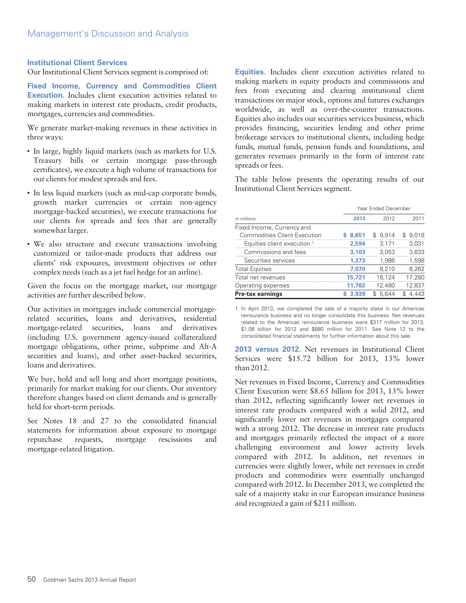## **Institutional Client Services**

Our Institutional Client Services segment is comprised of:

**Fixed Income, Currency and Commodities Client Execution.** Includes client execution activities related to making markets in interest rate products, credit products, mortgages, currencies and commodities.

We generate market-making revenues in these activities in three ways:

- In large, highly liquid markets (such as markets for U.S. Treasury bills or certain mortgage pass-through certificates), we execute a high volume of transactions for our clients for modest spreads and fees.
- ‰ In less liquid markets (such as mid-cap corporate bonds, growth market currencies or certain non-agency mortgage-backed securities), we execute transactions for our clients for spreads and fees that are generally somewhat larger.
- ‰ We also structure and execute transactions involving customized or tailor-made products that address our clients' risk exposures, investment objectives or other complex needs (such as a jet fuel hedge for an airline).

Given the focus on the mortgage market, our mortgage activities are further described below.

Our activities in mortgages include commercial mortgagerelated securities, loans and derivatives, residential mortgage-related securities, loans and derivatives (including U.S. government agency-issued collateralized mortgage obligations, other prime, subprime and Alt-A securities and loans), and other asset-backed securities, loans and derivatives.

We buy, hold and sell long and short mortgage positions, primarily for market making for our clients. Our inventory therefore changes based on client demands and is generally held for short-term periods.

See Notes 18 and 27 to the consolidated financial statements for information about exposure to mortgage repurchase requests, mortgage rescissions and mortgage-related litigation.

**Equities.** Includes client execution activities related to making markets in equity products and commissions and fees from executing and clearing institutional client transactions on major stock, options and futures exchanges worldwide, as well as over-the-counter transactions. Equities also includes our securities services business, which provides financing, securities lending and other prime brokerage services to institutional clients, including hedge funds, mutual funds, pension funds and foundations, and generates revenues primarily in the form of interest rate spreads or fees.

The table below presents the operating results of our Institutional Client Services segment.

|                                     | Year Ended December |         |            |  |  |
|-------------------------------------|---------------------|---------|------------|--|--|
| in millions                         | 2013                | 2012    | 2011       |  |  |
| Fixed Income, Currency and          |                     |         |            |  |  |
| <b>Commodities Client Execution</b> | 8,651<br>s.         | \$9,914 | \$9,018    |  |  |
| Equities client execution 1         | 2,594               | 3,171   | 3,031      |  |  |
| Commissions and fees                | 3,103               | 3,053   | 3,633      |  |  |
| Securities services                 | 1,373               | 1,986   | 1,598      |  |  |
| <b>Total Equities</b>               | 7,070               | 8,210   | 8,262      |  |  |
| Total net revenues                  | 15,721              | 18,124  | 17,280     |  |  |
| Operating expenses                  | 11,782              | 12,480  | 12,837     |  |  |
| Pre-tax earnings                    | \$3,939             | \$5.644 | 4.443<br>S |  |  |

1. In April 2013, we completed the sale of a majority stake in our Americas reinsurance business and no longer consolidate this business. Net revenues related to the Americas reinsurance business were \$317 million for 2013, \$1.08 billion for 2012 and \$880 million for 2011. See Note 12 to the consolidated financial statements for further information about this sale.

**2013 versus 2012.** Net revenues in Institutional Client Services were \$15.72 billion for 2013, 13% lower than 2012.

Net revenues in Fixed Income, Currency and Commodities Client Execution were \$8.65 billion for 2013, 13% lower than 2012, reflecting significantly lower net revenues in interest rate products compared with a solid 2012, and significantly lower net revenues in mortgages compared with a strong 2012. The decrease in interest rate products and mortgages primarily reflected the impact of a more challenging environment and lower activity levels compared with 2012. In addition, net revenues in currencies were slightly lower, while net revenues in credit products and commodities were essentially unchanged compared with 2012. In December 2013, we completed the sale of a majority stake in our European insurance business and recognized a gain of \$211 million.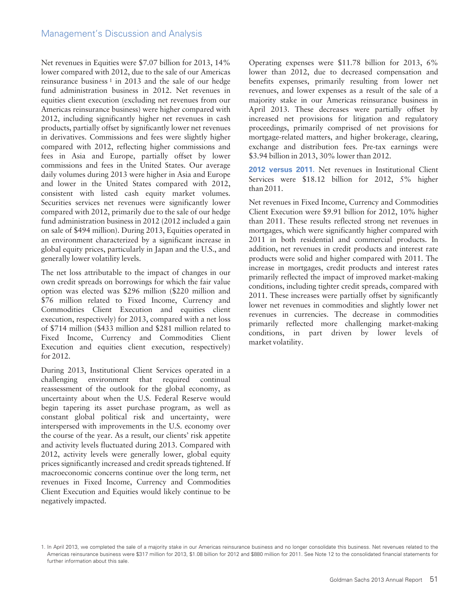Net revenues in Equities were \$7.07 billion for 2013, 14% lower compared with 2012, due to the sale of our Americas reinsurance business <sup>1</sup> in 2013 and the sale of our hedge fund administration business in 2012. Net revenues in equities client execution (excluding net revenues from our Americas reinsurance business) were higher compared with 2012, including significantly higher net revenues in cash products, partially offset by significantly lower net revenues in derivatives. Commissions and fees were slightly higher compared with 2012, reflecting higher commissions and fees in Asia and Europe, partially offset by lower commissions and fees in the United States. Our average daily volumes during 2013 were higher in Asia and Europe and lower in the United States compared with 2012, consistent with listed cash equity market volumes. Securities services net revenues were significantly lower compared with 2012, primarily due to the sale of our hedge fund administration business in 2012 (2012 included a gain on sale of \$494 million). During 2013, Equities operated in an environment characterized by a significant increase in global equity prices, particularly in Japan and the U.S., and generally lower volatility levels.

The net loss attributable to the impact of changes in our own credit spreads on borrowings for which the fair value option was elected was \$296 million (\$220 million and \$76 million related to Fixed Income, Currency and Commodities Client Execution and equities client execution, respectively) for 2013, compared with a net loss of \$714 million (\$433 million and \$281 million related to Fixed Income, Currency and Commodities Client Execution and equities client execution, respectively) for 2012.

During 2013, Institutional Client Services operated in a challenging environment that required continual reassessment of the outlook for the global economy, as uncertainty about when the U.S. Federal Reserve would begin tapering its asset purchase program, as well as constant global political risk and uncertainty, were interspersed with improvements in the U.S. economy over the course of the year. As a result, our clients' risk appetite and activity levels fluctuated during 2013. Compared with 2012, activity levels were generally lower, global equity prices significantly increased and credit spreads tightened. If macroeconomic concerns continue over the long term, net revenues in Fixed Income, Currency and Commodities Client Execution and Equities would likely continue to be negatively impacted.

Operating expenses were \$11.78 billion for 2013, 6% lower than 2012, due to decreased compensation and benefits expenses, primarily resulting from lower net revenues, and lower expenses as a result of the sale of a majority stake in our Americas reinsurance business in April 2013. These decreases were partially offset by increased net provisions for litigation and regulatory proceedings, primarily comprised of net provisions for mortgage-related matters, and higher brokerage, clearing, exchange and distribution fees. Pre-tax earnings were \$3.94 billion in 2013, 30% lower than 2012.

**2012 versus 2011.** Net revenues in Institutional Client Services were \$18.12 billion for 2012, 5% higher than 2011.

Net revenues in Fixed Income, Currency and Commodities Client Execution were \$9.91 billion for 2012, 10% higher than 2011. These results reflected strong net revenues in mortgages, which were significantly higher compared with 2011 in both residential and commercial products. In addition, net revenues in credit products and interest rate products were solid and higher compared with 2011. The increase in mortgages, credit products and interest rates primarily reflected the impact of improved market-making conditions, including tighter credit spreads, compared with 2011. These increases were partially offset by significantly lower net revenues in commodities and slightly lower net revenues in currencies. The decrease in commodities primarily reflected more challenging market-making conditions, in part driven by lower levels of market volatility.

<sup>1.</sup> In April 2013, we completed the sale of a majority stake in our Americas reinsurance business and no longer consolidate this business. Net revenues related to the Americas reinsurance business were \$317 million for 2013, \$1.08 billion for 2012 and \$880 million for 2011. See Note 12 to the consolidated financial statements for further information about this sale.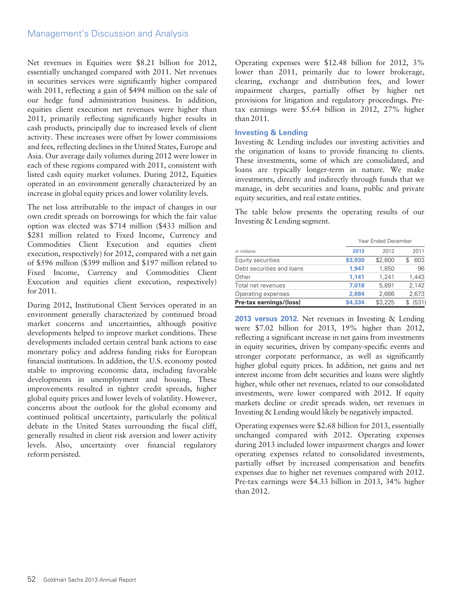Net revenues in Equities were \$8.21 billion for 2012, essentially unchanged compared with 2011. Net revenues in securities services were significantly higher compared with 2011, reflecting a gain of \$494 million on the sale of our hedge fund administration business. In addition, equities client execution net revenues were higher than 2011, primarily reflecting significantly higher results in cash products, principally due to increased levels of client activity. These increases were offset by lower commissions and fees, reflecting declines in the United States, Europe and Asia. Our average daily volumes during 2012 were lower in each of these regions compared with 2011, consistent with listed cash equity market volumes. During 2012, Equities operated in an environment generally characterized by an increase in global equity prices and lower volatility levels.

The net loss attributable to the impact of changes in our own credit spreads on borrowings for which the fair value option was elected was \$714 million (\$433 million and \$281 million related to Fixed Income, Currency and Commodities Client Execution and equities client execution, respectively) for 2012, compared with a net gain of \$596 million (\$399 million and \$197 million related to Fixed Income, Currency and Commodities Client Execution and equities client execution, respectively) for 2011.

During 2012, Institutional Client Services operated in an environment generally characterized by continued broad market concerns and uncertainties, although positive developments helped to improve market conditions. These developments included certain central bank actions to ease monetary policy and address funding risks for European financial institutions. In addition, the U.S. economy posted stable to improving economic data, including favorable developments in unemployment and housing. These improvements resulted in tighter credit spreads, higher global equity prices and lower levels of volatility. However, concerns about the outlook for the global economy and continued political uncertainty, particularly the political debate in the United States surrounding the fiscal cliff, generally resulted in client risk aversion and lower activity levels. Also, uncertainty over financial regulatory reform persisted.

Operating expenses were \$12.48 billion for 2012, 3% lower than 2011, primarily due to lower brokerage, clearing, exchange and distribution fees, and lower impairment charges, partially offset by higher net provisions for litigation and regulatory proceedings. Pretax earnings were \$5.64 billion in 2012, 27% higher than 2011.

### **Investing & Lending**

Investing & Lending includes our investing activities and the origination of loans to provide financing to clients. These investments, some of which are consolidated, and loans are typically longer-term in nature. We make investments, directly and indirectly through funds that we manage, in debt securities and loans, public and private equity securities, and real estate entities.

The table below presents the operating results of our Investing & Lending segment.

|                           | Year Ended December |         |       |  |  |  |
|---------------------------|---------------------|---------|-------|--|--|--|
| in millions               | 2013                | 2012    | 2011  |  |  |  |
| Equity securities         | \$3,930             | \$2,800 | 603   |  |  |  |
| Debt securities and loans | 1.947               | 1.850   | 96    |  |  |  |
| Other                     | 1.141               | 1.241   | 1,443 |  |  |  |
| Total net revenues        | 7.018               | 5.891   | 2.142 |  |  |  |
| Operating expenses        | 2,684               | 2,666   | 2,673 |  |  |  |
| Pre-tax earnings/(loss)   | \$4,334             | \$3.225 | (531) |  |  |  |

**2013 versus 2012.** Net revenues in Investing & Lending were \$7.02 billion for 2013, 19% higher than 2012, reflecting a significant increase in net gains from investments in equity securities, driven by company-specific events and stronger corporate performance, as well as significantly higher global equity prices. In addition, net gains and net interest income from debt securities and loans were slightly higher, while other net revenues, related to our consolidated investments, were lower compared with 2012. If equity markets decline or credit spreads widen, net revenues in Investing & Lending would likely be negatively impacted.

Operating expenses were \$2.68 billion for 2013, essentially unchanged compared with 2012. Operating expenses during 2013 included lower impairment charges and lower operating expenses related to consolidated investments, partially offset by increased compensation and benefits expenses due to higher net revenues compared with 2012. Pre-tax earnings were \$4.33 billion in 2013, 34% higher than 2012.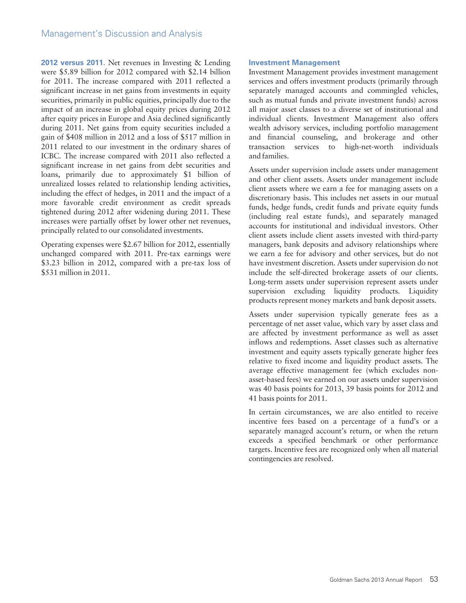# Management's Discussion and Analysis

**2012 versus 2011.** Net revenues in Investing & Lending were \$5.89 billion for 2012 compared with \$2.14 billion for 2011. The increase compared with 2011 reflected a significant increase in net gains from investments in equity securities, primarily in public equities, principally due to the impact of an increase in global equity prices during 2012 after equity prices in Europe and Asia declined significantly during 2011. Net gains from equity securities included a gain of \$408 million in 2012 and a loss of \$517 million in 2011 related to our investment in the ordinary shares of ICBC. The increase compared with 2011 also reflected a significant increase in net gains from debt securities and loans, primarily due to approximately \$1 billion of unrealized losses related to relationship lending activities, including the effect of hedges, in 2011 and the impact of a more favorable credit environment as credit spreads tightened during 2012 after widening during 2011. These increases were partially offset by lower other net revenues, principally related to our consolidated investments.

Operating expenses were \$2.67 billion for 2012, essentially unchanged compared with 2011. Pre-tax earnings were \$3.23 billion in 2012, compared with a pre-tax loss of \$531 million in 2011.

## **Investment Management**

Investment Management provides investment management services and offers investment products (primarily through separately managed accounts and commingled vehicles, such as mutual funds and private investment funds) across all major asset classes to a diverse set of institutional and individual clients. Investment Management also offers wealth advisory services, including portfolio management and financial counseling, and brokerage and other transaction services to high-net-worth individuals and families.

Assets under supervision include assets under management and other client assets. Assets under management include client assets where we earn a fee for managing assets on a discretionary basis. This includes net assets in our mutual funds, hedge funds, credit funds and private equity funds (including real estate funds), and separately managed accounts for institutional and individual investors. Other client assets include client assets invested with third-party managers, bank deposits and advisory relationships where we earn a fee for advisory and other services, but do not have investment discretion. Assets under supervision do not include the self-directed brokerage assets of our clients. Long-term assets under supervision represent assets under supervision excluding liquidity products. Liquidity products represent money markets and bank deposit assets.

Assets under supervision typically generate fees as a percentage of net asset value, which vary by asset class and are affected by investment performance as well as asset inflows and redemptions. Asset classes such as alternative investment and equity assets typically generate higher fees relative to fixed income and liquidity product assets. The average effective management fee (which excludes nonasset-based fees) we earned on our assets under supervision was 40 basis points for 2013, 39 basis points for 2012 and 41 basis points for 2011.

In certain circumstances, we are also entitled to receive incentive fees based on a percentage of a fund's or a separately managed account's return, or when the return exceeds a specified benchmark or other performance targets. Incentive fees are recognized only when all material contingencies are resolved.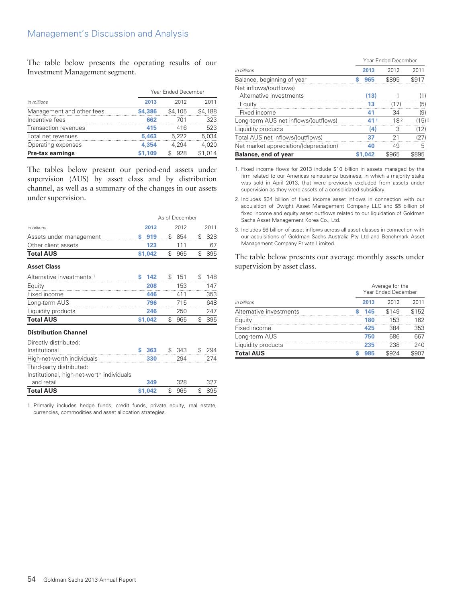The table below presents the operating results of our Investment Management segment.

|                           | Year Ended December |         |         |  |  |  |
|---------------------------|---------------------|---------|---------|--|--|--|
| in millions               | 2013                | 2012    | 2011    |  |  |  |
| Management and other fees | \$4,386             | \$4,105 | \$4,188 |  |  |  |
| Incentive fees            | 662                 | 701     | 323     |  |  |  |
| Transaction revenues      | 415                 | 416     | 523     |  |  |  |
| Total net revenues        | 5.463               | 5.222   | 5,034   |  |  |  |
| Operating expenses        | 4,354               | 4.294   | 4,020   |  |  |  |
| <b>Pre-tax earnings</b>   | \$1,109             | 928     | \$1.014 |  |  |  |

The tables below present our period-end assets under supervision (AUS) by asset class and by distribution channel, as well as a summary of the changes in our assets under supervision.

|                                           |    |         | As of December |           |
|-------------------------------------------|----|---------|----------------|-----------|
| in billions                               |    | 2013    | 2012           | 2011      |
| Assets under management                   | \$ | 919     | \$<br>854      | \$<br>828 |
| Other client assets                       |    | 123     | 111            | 67        |
| <b>Total AUS</b>                          |    | \$1,042 | \$<br>965      | \$<br>895 |
| <b>Asset Class</b>                        |    |         |                |           |
| Alternative investments 1                 | S  | 142     | \$<br>151      | \$<br>148 |
| Equity                                    |    | 208     | 153            | 147       |
| Fixed income                              |    | 446     | 411            | 353       |
| Long-term AUS                             |    | 796     | 715            | 648       |
| Liquidity products                        |    | 246     | 250            | 247       |
| <b>Total AUS</b>                          |    | \$1,042 | \$<br>965      | \$<br>895 |
| <b>Distribution Channel</b>               |    |         |                |           |
| Directly distributed:                     |    |         |                |           |
| Institutional                             | s  | 363     | \$ 343         | \$<br>294 |
| High-net-worth individuals                |    | 330     | 294            | 274       |
| Third-party distributed:                  |    |         |                |           |
| Institutional, high-net-worth individuals |    |         |                |           |
| and retail                                |    | 349     | 328            | 327       |
| <b>Total AUS</b>                          |    | \$1,042 | \$<br>965      | \$<br>895 |

1. Primarily includes hedge funds, credit funds, private equity, real estate, currencies, commodities and asset allocation strategies.

|                                        |         | Year Ended December |                     |
|----------------------------------------|---------|---------------------|---------------------|
| in billions                            | 2013    | 2012                | 2011                |
| Balance, beginning of year             | 965     | \$895               | \$917               |
| Net inflows/(outflows)                 |         |                     |                     |
| Alternative investments                | (13)    |                     | (1)                 |
| Equity                                 | 13      | (17)                | (5)                 |
| Fixed income                           | 41      | 34                  | (9)                 |
| Long-term AUS net inflows/(outflows)   | 411     | 182                 | $(15)$ <sup>3</sup> |
| Liquidity products                     | (4)     | 3                   | (12)                |
| Total AUS net inflows/(outflows)       | 37      | 21                  | (27)                |
| Net market appreciation/(depreciation) | 40      | 49                  | 5                   |
| Balance, end of year                   | \$1,042 | \$965               | \$895               |

1. Fixed income flows for 2013 include \$10 billion in assets managed by the firm related to our Americas reinsurance business, in which a majority stake was sold in April 2013, that were previously excluded from assets under supervision as they were assets of a consolidated subsidiary.

2. Includes \$34 billion of fixed income asset inflows in connection with our acquisition of Dwight Asset Management Company LLC and \$5 billion of fixed income and equity asset outflows related to our liquidation of Goldman Sachs Asset Management Korea Co., Ltd.

3. Includes \$6 billion of asset inflows across all asset classes in connection with our acquisitions of Goldman Sachs Australia Pty Ltd and Benchmark Asset Management Company Private Limited.

The table below presents our average monthly assets under supervision by asset class.

| <b>Total AUS</b>        | 985                                    | \$924 | \$907 |  |
|-------------------------|----------------------------------------|-------|-------|--|
| Liquidity products      | 235                                    | 238   | 240   |  |
| Long-term AUS           | 750                                    | 686   | 667   |  |
| Fixed income            | 425                                    | 384   | 353   |  |
| Equity                  | 180                                    | 153   | 162   |  |
| Alternative investments | 145                                    | \$149 | \$152 |  |
| in billions             | 2013                                   | 2012  | 2011  |  |
|                         | Average for the<br>Year Ended December |       |       |  |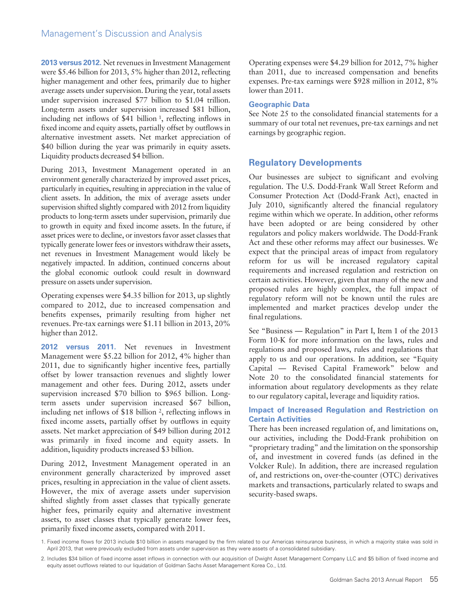**2013 versus 2012.** Net revenues in Investment Management were \$5.46 billion for 2013, 5% higher than 2012, reflecting higher management and other fees, primarily due to higher average assets under supervision. During the year, total assets under supervision increased \$77 billion to \$1.04 trillion. Long-term assets under supervision increased \$81 billion, including net inflows of \$41 billion 1, reflecting inflows in fixed income and equity assets, partially offset by outflows in alternative investment assets. Net market appreciation of \$40 billion during the year was primarily in equity assets. Liquidity products decreased \$4 billion.

During 2013, Investment Management operated in an environment generally characterized by improved asset prices, particularly in equities, resulting in appreciation in the value of client assets. In addition, the mix of average assets under supervision shifted slightly compared with 2012 from liquidity products to long-term assets under supervision, primarily due to growth in equity and fixed income assets. In the future, if asset prices were to decline, or investors favor asset classes that typically generate lower fees or investors withdraw their assets, net revenues in Investment Management would likely be negatively impacted. In addition, continued concerns about the global economic outlook could result in downward pressure on assets under supervision.

Operating expenses were \$4.35 billion for 2013, up slightly compared to 2012, due to increased compensation and benefits expenses, primarily resulting from higher net revenues. Pre-tax earnings were \$1.11 billion in 2013, 20% higher than 2012.

**2012 versus 2011.** Net revenues in Investment Management were \$5.22 billion for 2012, 4% higher than 2011, due to significantly higher incentive fees, partially offset by lower transaction revenues and slightly lower management and other fees. During 2012, assets under supervision increased \$70 billion to \$965 billion. Longterm assets under supervision increased \$67 billion, including net inflows of \$18 billion 2, reflecting inflows in fixed income assets, partially offset by outflows in equity assets. Net market appreciation of \$49 billion during 2012 was primarily in fixed income and equity assets. In addition, liquidity products increased \$3 billion.

During 2012, Investment Management operated in an environment generally characterized by improved asset prices, resulting in appreciation in the value of client assets. However, the mix of average assets under supervision shifted slightly from asset classes that typically generate higher fees, primarily equity and alternative investment assets, to asset classes that typically generate lower fees, primarily fixed income assets, compared with 2011.

Operating expenses were \$4.29 billion for 2012, 7% higher than 2011, due to increased compensation and benefits expenses. Pre-tax earnings were \$928 million in 2012, 8% lower than 2011.

## **Geographic Data**

See Note 25 to the consolidated financial statements for a summary of our total net revenues, pre-tax earnings and net earnings by geographic region.

# **Regulatory Developments**

Our businesses are subject to significant and evolving regulation. The U.S. Dodd-Frank Wall Street Reform and Consumer Protection Act (Dodd-Frank Act), enacted in July 2010, significantly altered the financial regulatory regime within which we operate. In addition, other reforms have been adopted or are being considered by other regulators and policy makers worldwide. The Dodd-Frank Act and these other reforms may affect our businesses. We expect that the principal areas of impact from regulatory reform for us will be increased regulatory capital requirements and increased regulation and restriction on certain activities. However, given that many of the new and proposed rules are highly complex, the full impact of regulatory reform will not be known until the rules are implemented and market practices develop under the final regulations.

See "Business — Regulation" in Part I, Item 1 of the 2013 Form 10-K for more information on the laws, rules and regulations and proposed laws, rules and regulations that apply to us and our operations. In addition, see "Equity Capital — Revised Capital Framework" below and Note 20 to the consolidated financial statements for information about regulatory developments as they relate to our regulatory capital, leverage and liquidity ratios.

# **Impact of Increased Regulation and Restriction on Certain Activities**

There has been increased regulation of, and limitations on, our activities, including the Dodd-Frank prohibition on "proprietary trading" and the limitation on the sponsorship of, and investment in covered funds (as defined in the Volcker Rule). In addition, there are increased regulation of, and restrictions on, over-the-counter (OTC) derivatives markets and transactions, particularly related to swaps and security-based swaps.

<sup>1.</sup> Fixed income flows for 2013 include \$10 billion in assets managed by the firm related to our Americas reinsurance business, in which a majority stake was sold in April 2013, that were previously excluded from assets under supervision as they were assets of a consolidated subsidiary.

<sup>2.</sup> Includes \$34 billion of fixed income asset inflows in connection with our acquisition of Dwight Asset Management Company LLC and \$5 billion of fixed income and equity asset outflows related to our liquidation of Goldman Sachs Asset Management Korea Co., Ltd.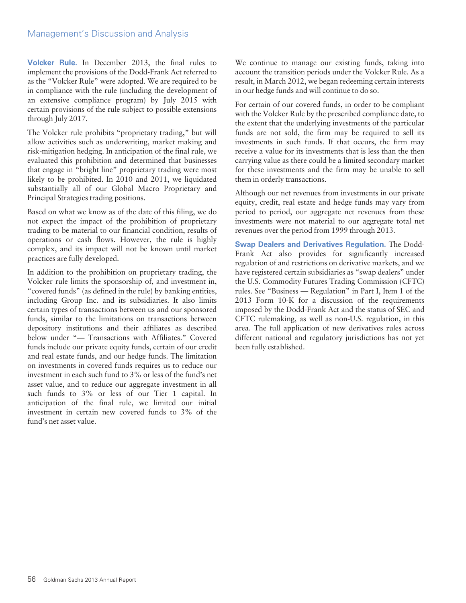**Volcker Rule.** In December 2013, the final rules to implement the provisions of the Dodd-Frank Act referred to as the "Volcker Rule" were adopted. We are required to be in compliance with the rule (including the development of an extensive compliance program) by July 2015 with certain provisions of the rule subject to possible extensions through July 2017.

The Volcker rule prohibits "proprietary trading," but will allow activities such as underwriting, market making and risk-mitigation hedging. In anticipation of the final rule, we evaluated this prohibition and determined that businesses that engage in "bright line" proprietary trading were most likely to be prohibited. In 2010 and 2011, we liquidated substantially all of our Global Macro Proprietary and Principal Strategies trading positions.

Based on what we know as of the date of this filing, we do not expect the impact of the prohibition of proprietary trading to be material to our financial condition, results of operations or cash flows. However, the rule is highly complex, and its impact will not be known until market practices are fully developed.

In addition to the prohibition on proprietary trading, the Volcker rule limits the sponsorship of, and investment in, "covered funds" (as defined in the rule) by banking entities, including Group Inc. and its subsidiaries. It also limits certain types of transactions between us and our sponsored funds, similar to the limitations on transactions between depository institutions and their affiliates as described below under "— Transactions with Affiliates." Covered funds include our private equity funds, certain of our credit and real estate funds, and our hedge funds. The limitation on investments in covered funds requires us to reduce our investment in each such fund to 3% or less of the fund's net asset value, and to reduce our aggregate investment in all such funds to 3% or less of our Tier 1 capital. In anticipation of the final rule, we limited our initial investment in certain new covered funds to 3% of the fund's net asset value.

We continue to manage our existing funds, taking into account the transition periods under the Volcker Rule. As a result, in March 2012, we began redeeming certain interests in our hedge funds and will continue to do so.

For certain of our covered funds, in order to be compliant with the Volcker Rule by the prescribed compliance date, to the extent that the underlying investments of the particular funds are not sold, the firm may be required to sell its investments in such funds. If that occurs, the firm may receive a value for its investments that is less than the then carrying value as there could be a limited secondary market for these investments and the firm may be unable to sell them in orderly transactions.

Although our net revenues from investments in our private equity, credit, real estate and hedge funds may vary from period to period, our aggregate net revenues from these investments were not material to our aggregate total net revenues over the period from 1999 through 2013.

**Swap Dealers and Derivatives Regulation.** The Dodd-Frank Act also provides for significantly increased regulation of and restrictions on derivative markets, and we have registered certain subsidiaries as "swap dealers" under the U.S. Commodity Futures Trading Commission (CFTC) rules. See "Business — Regulation" in Part I, Item 1 of the 2013 Form 10-K for a discussion of the requirements imposed by the Dodd-Frank Act and the status of SEC and CFTC rulemaking, as well as non-U.S. regulation, in this area. The full application of new derivatives rules across different national and regulatory jurisdictions has not yet been fully established.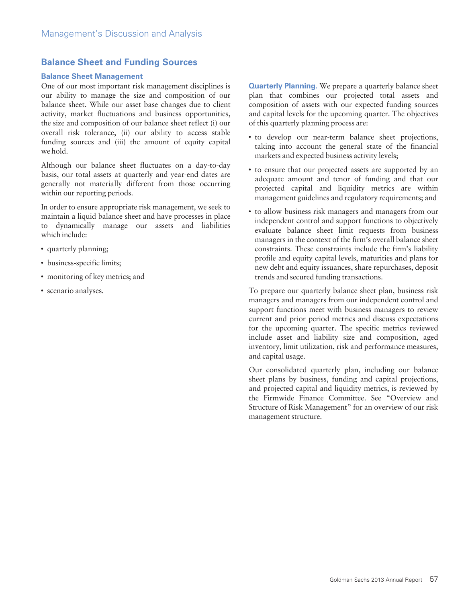# **Balance Sheet and Funding Sources**

## **Balance Sheet Management**

One of our most important risk management disciplines is our ability to manage the size and composition of our balance sheet. While our asset base changes due to client activity, market fluctuations and business opportunities, the size and composition of our balance sheet reflect (i) our overall risk tolerance, (ii) our ability to access stable funding sources and (iii) the amount of equity capital we hold.

Although our balance sheet fluctuates on a day-to-day basis, our total assets at quarterly and year-end dates are generally not materially different from those occurring within our reporting periods.

In order to ensure appropriate risk management, we seek to maintain a liquid balance sheet and have processes in place to dynamically manage our assets and liabilities which include:

- ‰ quarterly planning;
- ‰ business-specific limits;
- ‰ monitoring of key metrics; and
- scenario analyses.

**Quarterly Planning.** We prepare a quarterly balance sheet plan that combines our projected total assets and composition of assets with our expected funding sources and capital levels for the upcoming quarter. The objectives of this quarterly planning process are:

- ‰ to develop our near-term balance sheet projections, taking into account the general state of the financial markets and expected business activity levels;
- to ensure that our projected assets are supported by an adequate amount and tenor of funding and that our projected capital and liquidity metrics are within management guidelines and regulatory requirements; and
- to allow business risk managers and managers from our independent control and support functions to objectively evaluate balance sheet limit requests from business managers in the context of the firm's overall balance sheet constraints. These constraints include the firm's liability profile and equity capital levels, maturities and plans for new debt and equity issuances, share repurchases, deposit trends and secured funding transactions.

To prepare our quarterly balance sheet plan, business risk managers and managers from our independent control and support functions meet with business managers to review current and prior period metrics and discuss expectations for the upcoming quarter. The specific metrics reviewed include asset and liability size and composition, aged inventory, limit utilization, risk and performance measures, and capital usage.

Our consolidated quarterly plan, including our balance sheet plans by business, funding and capital projections, and projected capital and liquidity metrics, is reviewed by the Firmwide Finance Committee. See "Overview and Structure of Risk Management" for an overview of our risk management structure.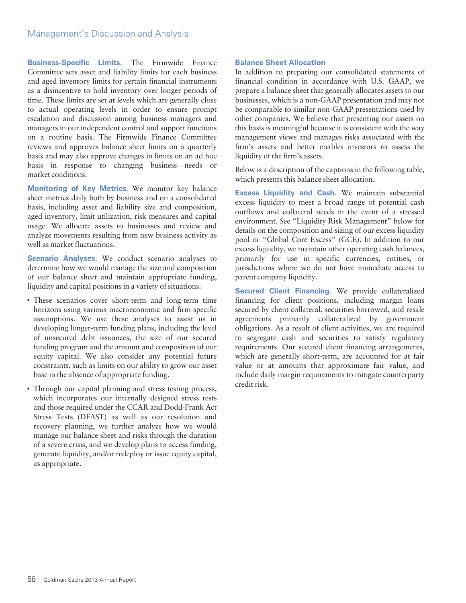# Management's Discussion and Analysis

**Business-Specific Limits.** The Firmwide Finance Committee sets asset and liability limits for each business and aged inventory limits for certain financial instruments as a disincentive to hold inventory over longer periods of time. These limits are set at levels which are generally close to actual operating levels in order to ensure prompt escalation and discussion among business managers and managers in our independent control and support functions on a routine basis. The Firmwide Finance Committee reviews and approves balance sheet limits on a quarterly basis and may also approve changes in limits on an ad hoc basis in response to changing business needs or market conditions.

**Monitoring of Key Metrics.** We monitor key balance sheet metrics daily both by business and on a consolidated basis, including asset and liability size and composition, aged inventory, limit utilization, risk measures and capital usage. We allocate assets to businesses and review and analyze movements resulting from new business activity as well as market fluctuations.

**Scenario Analyses.** We conduct scenario analyses to determine how we would manage the size and composition of our balance sheet and maintain appropriate funding, liquidity and capital positions in a variety of situations:

- ‰ These scenarios cover short-term and long-term time horizons using various macroeconomic and firm-specific assumptions. We use these analyses to assist us in developing longer-term funding plans, including the level of unsecured debt issuances, the size of our secured funding program and the amount and composition of our equity capital. We also consider any potential future constraints, such as limits on our ability to grow our asset base in the absence of appropriate funding.
- ‰ Through our capital planning and stress testing process, which incorporates our internally designed stress tests and those required under the CCAR and Dodd-Frank Act Stress Tests (DFAST) as well as our resolution and recovery planning, we further analyze how we would manage our balance sheet and risks through the duration of a severe crisis, and we develop plans to access funding, generate liquidity, and/or redeploy or issue equity capital, as appropriate.

#### **Balance Sheet Allocation**

In addition to preparing our consolidated statements of financial condition in accordance with U.S. GAAP, we prepare a balance sheet that generally allocates assets to our businesses, which is a non-GAAP presentation and may not be comparable to similar non-GAAP presentations used by other companies. We believe that presenting our assets on this basis is meaningful because it is consistent with the way management views and manages risks associated with the firm's assets and better enables investors to assess the liquidity of the firm's assets.

Below is a description of the captions in the following table, which presents this balance sheet allocation.

**Excess Liquidity and Cash.** We maintain substantial excess liquidity to meet a broad range of potential cash outflows and collateral needs in the event of a stressed environment. See "Liquidity Risk Management" below for details on the composition and sizing of our excess liquidity pool or "Global Core Excess" (GCE). In addition to our excess liquidity, we maintain other operating cash balances, primarily for use in specific currencies, entities, or jurisdictions where we do not have immediate access to parent company liquidity.

**Secured Client Financing.** We provide collateralized financing for client positions, including margin loans secured by client collateral, securities borrowed, and resale agreements primarily collateralized by government obligations. As a result of client activities, we are required to segregate cash and securities to satisfy regulatory requirements. Our secured client financing arrangements, which are generally short-term, are accounted for at fair value or at amounts that approximate fair value, and include daily margin requirements to mitigate counterparty credit risk.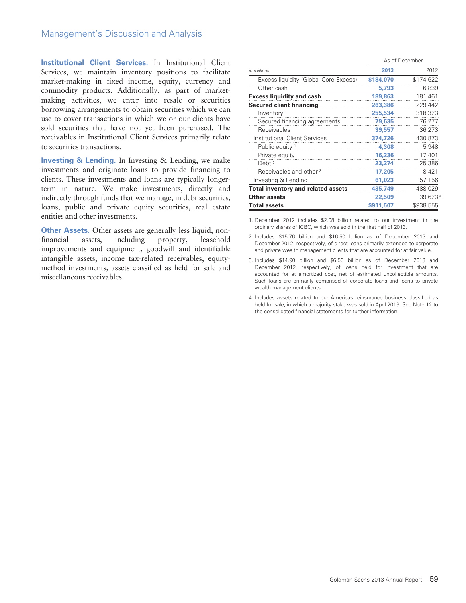**Institutional Client Services.** In Institutional Client Services, we maintain inventory positions to facilitate market-making in fixed income, equity, currency and commodity products. Additionally, as part of marketmaking activities, we enter into resale or securities borrowing arrangements to obtain securities which we can use to cover transactions in which we or our clients have sold securities that have not yet been purchased. The receivables in Institutional Client Services primarily relate to securities transactions.

**Investing & Lending.** In Investing & Lending, we make investments and originate loans to provide financing to clients. These investments and loans are typically longerterm in nature. We make investments, directly and indirectly through funds that we manage, in debt securities, loans, public and private equity securities, real estate entities and other investments.

**Other Assets.** Other assets are generally less liquid, nonfinancial assets, including property, leasehold improvements and equipment, goodwill and identifiable intangible assets, income tax-related receivables, equitymethod investments, assets classified as held for sale and miscellaneous receivables.

|                                           | As of December |           |  |  |
|-------------------------------------------|----------------|-----------|--|--|
| in millions                               | 2013           | 2012      |  |  |
| Excess liquidity (Global Core Excess)     | \$184,070      | \$174,622 |  |  |
| Other cash                                | 5,793          | 6,839     |  |  |
| <b>Excess liquidity and cash</b>          | 189,863        | 181,461   |  |  |
| <b>Secured client financing</b>           | 263,386        | 229,442   |  |  |
| Inventory                                 | 255,534        | 318,323   |  |  |
| Secured financing agreements              | 79,635         | 76,277    |  |  |
| Receivables                               | 39,557         | 36,273    |  |  |
| <b>Institutional Client Services</b>      | 374,726        | 430,873   |  |  |
| Public equity <sup>1</sup>                | 4.308          | 5,948     |  |  |
| Private equity                            | 16,236         | 17,401    |  |  |
| Debt <sup>2</sup>                         | 23,274         | 25,386    |  |  |
| Receivables and other 3                   | 17,205         | 8,421     |  |  |
| Investing & Lending                       | 61,023         | 57,156    |  |  |
| <b>Total inventory and related assets</b> | 435,749        | 488,029   |  |  |
| Other assets                              | 22,509         | 39,6234   |  |  |
| Total assets                              | \$911,507      | \$938,555 |  |  |

1. December 2012 includes \$2.08 billion related to our investment in the ordinary shares of ICBC, which was sold in the first half of 2013.

2. Includes \$15.76 billion and \$16.50 billion as of December 2013 and December 2012, respectively, of direct loans primarily extended to corporate and private wealth management clients that are accounted for at fair value.

3. Includes \$14.90 billion and \$6.50 billion as of December 2013 and December 2012, respectively, of loans held for investment that are accounted for at amortized cost, net of estimated uncollectible amounts. Such loans are primarily comprised of corporate loans and loans to private wealth management clients.

4. Includes assets related to our Americas reinsurance business classified as held for sale, in which a majority stake was sold in April 2013. See Note 12 to the consolidated financial statements for further information.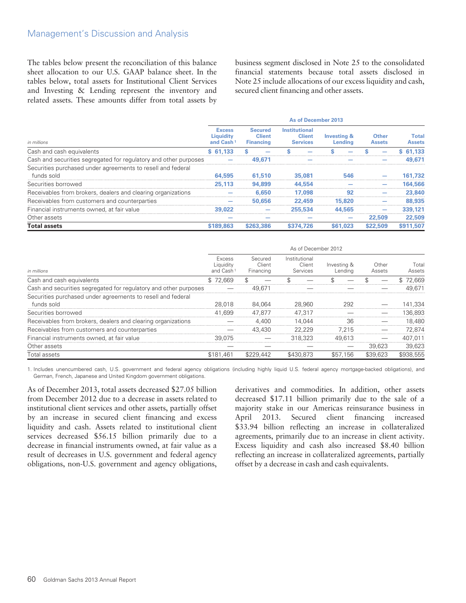# Management's Discussion and Analysis

The tables below present the reconciliation of this balance sheet allocation to our U.S. GAAP balance sheet. In the tables below, total assets for Institutional Client Services and Investing & Lending represent the inventory and related assets. These amounts differ from total assets by

business segment disclosed in Note 25 to the consolidated financial statements because total assets disclosed in Note 25 include allocations of our excess liquidity and cash, secured client financing and other assets.

|                                                                  | As of December 2013                                 |                                                     |                                                          |                                   |                               |                        |  |
|------------------------------------------------------------------|-----------------------------------------------------|-----------------------------------------------------|----------------------------------------------------------|-----------------------------------|-------------------------------|------------------------|--|
| in millions                                                      | <b>Excess</b><br>Liauiditv<br>and Cash <sup>1</sup> | <b>Secured</b><br><b>Client</b><br><b>Financing</b> | <b>Institutional</b><br><b>Client</b><br><b>Services</b> | <b>Investing &amp;</b><br>Lendina | <b>Other</b><br><b>Assets</b> | Total<br><b>Assets</b> |  |
| Cash and cash equivalents                                        | 61.133                                              |                                                     |                                                          |                                   |                               | 61.133                 |  |
| Cash and securities segregated for regulatory and other purposes |                                                     | 49.671                                              |                                                          |                                   |                               |                        |  |
| Securities purchased under agreements to resell and federal      |                                                     |                                                     |                                                          |                                   |                               |                        |  |
| funds sold                                                       | 64,595                                              | 61.510                                              | 35,081                                                   |                                   |                               | 161.732                |  |
| Securities borrowed                                              | 25.113                                              | 94.899                                              | 44.554                                                   |                                   |                               | 164.566                |  |
| Receivables from brokers, dealers and clearing organizations     |                                                     | 6.650                                               | 17.098                                                   |                                   |                               | 23,840                 |  |
| Receivables from customers and counterparties                    |                                                     | 50.656                                              | 22.459                                                   | 15,820                            |                               | 88,935                 |  |
| Financial instruments owned, at fair value                       | 39.022                                              |                                                     | 255.534                                                  | 44.565                            |                               | 339.121                |  |
| Other assets                                                     |                                                     |                                                     |                                                          |                                   | 22.509                        | 22,509                 |  |
| <b>Total assets</b>                                              | \$189.863                                           | \$263.386                                           |                                                          | \$61.023                          | \$22,509                      | \$911.507              |  |

|                                                                           | As of December 2012                          |                                |                                     |                        |                 |                 |  |
|---------------------------------------------------------------------------|----------------------------------------------|--------------------------------|-------------------------------------|------------------------|-----------------|-----------------|--|
| in millions                                                               | Excess<br>Liquidity<br>and Cash <sup>1</sup> | Secured<br>Client<br>Financing | Institutional<br>Client<br>Services | Investing &<br>Lending | Other<br>Assets | Total<br>Assets |  |
| Cash and cash equivalents                                                 | \$72.669                                     |                                |                                     |                        |                 | 72.669          |  |
| Cash and securities segregated for regulatory and other purposes          |                                              | 49.671                         |                                     |                        |                 | 49 671          |  |
| Securities purchased under agreements to resell and federal<br>funds sold | 28.018                                       | 84.064                         | 28,960                              | 292                    |                 | 141.334         |  |
| Securities borrowed                                                       | 41.699                                       | 47.877                         | 47.317                              |                        |                 | 36.893          |  |
| Receivables from brokers, dealers and clearing organizations              |                                              | 4.400                          | 14.044                              |                        |                 | 18.480          |  |
| Receivables from customers and counterparties                             |                                              | 43.430                         | 22.229                              | 7 215                  |                 | 72.874          |  |
| Financial instruments owned, at fair value                                | 39 075                                       |                                | 318.323                             | 49.613                 |                 | 407.011         |  |
| Other assets                                                              |                                              |                                |                                     |                        | 39.623          | 39,623          |  |
| Total assets                                                              | \$181,461                                    | \$229.442                      | \$430,873                           | \$57,156               | \$39,623        | \$938,555       |  |

1. Includes unencumbered cash, U.S. government and federal agency obligations (including highly liquid U.S. federal agency mortgage-backed obligations), and German, French, Japanese and United Kingdom government obligations.

As of December 2013, total assets decreased \$27.05 billion from December 2012 due to a decrease in assets related to institutional client services and other assets, partially offset by an increase in secured client financing and excess liquidity and cash. Assets related to institutional client services decreased \$56.15 billion primarily due to a decrease in financial instruments owned, at fair value as a result of decreases in U.S. government and federal agency obligations, non-U.S. government and agency obligations, derivatives and commodities. In addition, other assets decreased \$17.11 billion primarily due to the sale of a majority stake in our Americas reinsurance business in April 2013. Secured client financing increased \$33.94 billion reflecting an increase in collateralized agreements, primarily due to an increase in client activity. Excess liquidity and cash also increased \$8.40 billion reflecting an increase in collateralized agreements, partially offset by a decrease in cash and cash equivalents.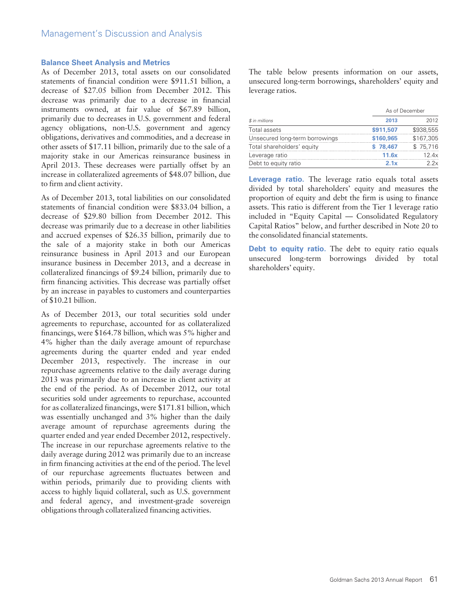#### **Balance Sheet Analysis and Metrics**

As of December 2013, total assets on our consolidated statements of financial condition were \$911.51 billion, a decrease of \$27.05 billion from December 2012. This decrease was primarily due to a decrease in financial instruments owned, at fair value of \$67.89 billion, primarily due to decreases in U.S. government and federal agency obligations, non-U.S. government and agency obligations, derivatives and commodities, and a decrease in other assets of \$17.11 billion, primarily due to the sale of a majority stake in our Americas reinsurance business in April 2013. These decreases were partially offset by an increase in collateralized agreements of \$48.07 billion, due to firm and client activity.

As of December 2013, total liabilities on our consolidated statements of financial condition were \$833.04 billion, a decrease of \$29.80 billion from December 2012. This decrease was primarily due to a decrease in other liabilities and accrued expenses of \$26.35 billion, primarily due to the sale of a majority stake in both our Americas reinsurance business in April 2013 and our European insurance business in December 2013, and a decrease in collateralized financings of \$9.24 billion, primarily due to firm financing activities. This decrease was partially offset by an increase in payables to customers and counterparties of \$10.21 billion.

As of December 2013, our total securities sold under agreements to repurchase, accounted for as collateralized financings, were \$164.78 billion, which was 5% higher and 4% higher than the daily average amount of repurchase agreements during the quarter ended and year ended December 2013, respectively. The increase in our repurchase agreements relative to the daily average during 2013 was primarily due to an increase in client activity at the end of the period. As of December 2012, our total securities sold under agreements to repurchase, accounted for as collateralized financings, were \$171.81 billion, which was essentially unchanged and 3% higher than the daily average amount of repurchase agreements during the quarter ended and year ended December 2012, respectively. The increase in our repurchase agreements relative to the daily average during 2012 was primarily due to an increase in firm financing activities at the end of the period. The level of our repurchase agreements fluctuates between and within periods, primarily due to providing clients with access to highly liquid collateral, such as U.S. government and federal agency, and investment-grade sovereign obligations through collateralized financing activities.

The table below presents information on our assets, unsecured long-term borrowings, shareholders' equity and leverage ratios.

| \$ in millions                 | As of December |           |  |
|--------------------------------|----------------|-----------|--|
|                                | 2013           | 2012      |  |
| Total assets                   | \$911,507      | \$938,555 |  |
| Unsecured long-term borrowings | \$160,965      | \$167.305 |  |
| Total shareholders' equity     | \$78.467       | \$75.716  |  |
| Leverage ratio                 | 11.6x          | 12.4x     |  |
| Debt to equity ratio           | 21x            | 2.2x      |  |

**Leverage ratio.** The leverage ratio equals total assets divided by total shareholders' equity and measures the proportion of equity and debt the firm is using to finance assets. This ratio is different from the Tier 1 leverage ratio included in "Equity Capital — Consolidated Regulatory Capital Ratios" below, and further described in Note 20 to the consolidated financial statements.

**Debt to equity ratio.** The debt to equity ratio equals unsecured long-term borrowings divided by total shareholders' equity.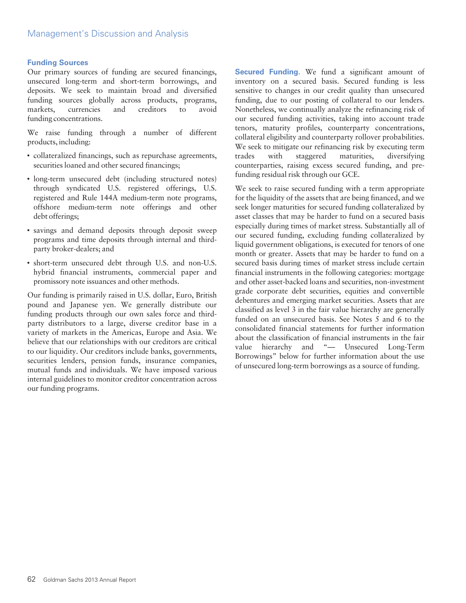## **Funding Sources**

Our primary sources of funding are secured financings, unsecured long-term and short-term borrowings, and deposits. We seek to maintain broad and diversified funding sources globally across products, programs, markets, currencies and creditors to avoid funding concentrations.

We raise funding through a number of different products, including:

- collateralized financings, such as repurchase agreements, securities loaned and other secured financings;
- long-term unsecured debt (including structured notes) through syndicated U.S. registered offerings, U.S. registered and Rule 144A medium-term note programs, offshore medium-term note offerings and other debt offerings;
- ‰ savings and demand deposits through deposit sweep programs and time deposits through internal and thirdparty broker-dealers; and
- ‰ short-term unsecured debt through U.S. and non-U.S. hybrid financial instruments, commercial paper and promissory note issuances and other methods.

Our funding is primarily raised in U.S. dollar, Euro, British pound and Japanese yen. We generally distribute our funding products through our own sales force and thirdparty distributors to a large, diverse creditor base in a variety of markets in the Americas, Europe and Asia. We believe that our relationships with our creditors are critical to our liquidity. Our creditors include banks, governments, securities lenders, pension funds, insurance companies, mutual funds and individuals. We have imposed various internal guidelines to monitor creditor concentration across our funding programs.

**Secured Funding.** We fund a significant amount of inventory on a secured basis. Secured funding is less sensitive to changes in our credit quality than unsecured funding, due to our posting of collateral to our lenders. Nonetheless, we continually analyze the refinancing risk of our secured funding activities, taking into account trade tenors, maturity profiles, counterparty concentrations, collateral eligibility and counterparty rollover probabilities. We seek to mitigate our refinancing risk by executing term trades with staggered maturities, diversifying counterparties, raising excess secured funding, and prefunding residual risk through our GCE.

We seek to raise secured funding with a term appropriate for the liquidity of the assets that are being financed, and we seek longer maturities for secured funding collateralized by asset classes that may be harder to fund on a secured basis especially during times of market stress. Substantially all of our secured funding, excluding funding collateralized by liquid government obligations, is executed for tenors of one month or greater. Assets that may be harder to fund on a secured basis during times of market stress include certain financial instruments in the following categories: mortgage and other asset-backed loans and securities, non-investment grade corporate debt securities, equities and convertible debentures and emerging market securities. Assets that are classified as level 3 in the fair value hierarchy are generally funded on an unsecured basis. See Notes 5 and 6 to the consolidated financial statements for further information about the classification of financial instruments in the fair value hierarchy and "— Unsecured Long-Term Borrowings" below for further information about the use of unsecured long-term borrowings as a source of funding.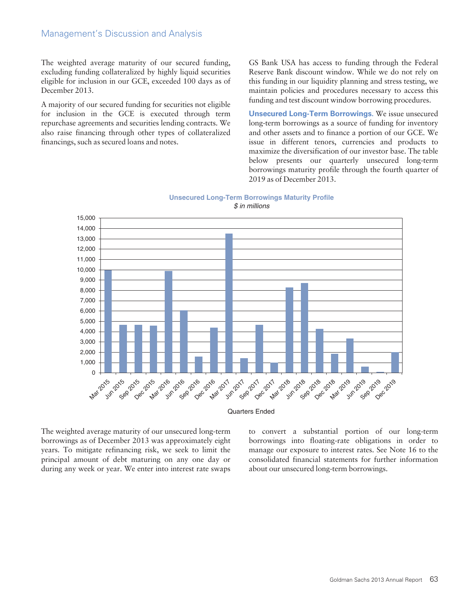The weighted average maturity of our secured funding, excluding funding collateralized by highly liquid securities eligible for inclusion in our GCE, exceeded 100 days as of December 2013.

A majority of our secured funding for securities not eligible for inclusion in the GCE is executed through term repurchase agreements and securities lending contracts. We also raise financing through other types of collateralized financings, such as secured loans and notes.

GS Bank USA has access to funding through the Federal Reserve Bank discount window. While we do not rely on this funding in our liquidity planning and stress testing, we maintain policies and procedures necessary to access this funding and test discount window borrowing procedures.

**Unsecured Long-Term Borrowings.** We issue unsecured long-term borrowings as a source of funding for inventory and other assets and to finance a portion of our GCE. We issue in different tenors, currencies and products to maximize the diversification of our investor base. The table below presents our quarterly unsecured long-term borrowings maturity profile through the fourth quarter of 2019 as of December 2013.



**Unsecured Long-Term Borrowings Maturity Profile** *\$ in millions*

Quarters Ended

The weighted average maturity of our unsecured long-term borrowings as of December 2013 was approximately eight years. To mitigate refinancing risk, we seek to limit the principal amount of debt maturing on any one day or during any week or year. We enter into interest rate swaps to convert a substantial portion of our long-term borrowings into floating-rate obligations in order to manage our exposure to interest rates. See Note 16 to the consolidated financial statements for further information about our unsecured long-term borrowings.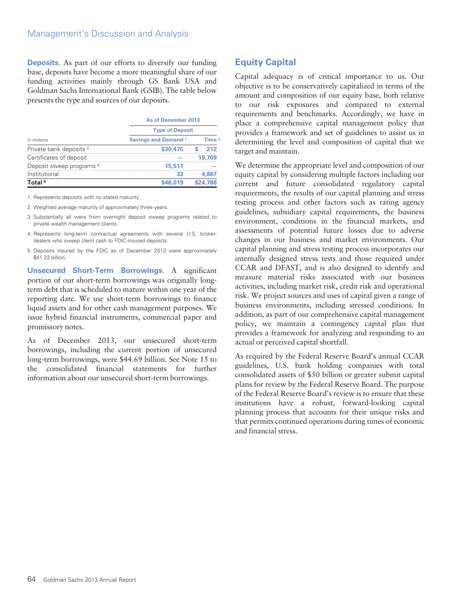**Deposits.** As part of our efforts to diversify our funding base, deposits have become a more meaningful share of our funding activities mainly through GS Bank USA and Goldman Sachs International Bank (GSIB). The table below presents the type and sources of our deposits.

| in millions              | As of December 2013<br><b>Type of Deposit</b> |          |          |
|--------------------------|-----------------------------------------------|----------|----------|
|                          |                                               |          |          |
|                          | Private bank deposits 3                       | \$30,475 |          |
| Certificates of deposit  |                                               |          | 19,709   |
| Deposit sweep programs 4 | 15,511                                        |          |          |
| Institutional            | 33                                            |          | 4,867    |
| Total <sup>5</sup>       | \$46,019                                      |          | \$24,788 |

1. Represents deposits with no stated maturity.

2. Weighted average maturity of approximately three years.

- 3. Substantially all were from overnight deposit sweep programs related to private wealth management clients.
- 4. Represents long-term contractual agreements with several U.S. brokerdealers who sweep client cash to FDIC-insured deposits.
- 5. Deposits insured by the FDIC as of December 2013 were approximately \$41.22 billion.

**Unsecured Short-Term Borrowings.** A significant portion of our short-term borrowings was originally longterm debt that is scheduled to mature within one year of the reporting date. We use short-term borrowings to finance liquid assets and for other cash management purposes. We issue hybrid financial instruments, commercial paper and promissory notes.

As of December 2013, our unsecured short-term borrowings, including the current portion of unsecured long-term borrowings, were \$44.69 billion. See Note 15 to the consolidated financial statements for further information about our unsecured short-term borrowings.

# **Equity Capital**

Capital adequacy is of critical importance to us. Our objective is to be conservatively capitalized in terms of the amount and composition of our equity base, both relative to our risk exposures and compared to external requirements and benchmarks. Accordingly, we have in place a comprehensive capital management policy that provides a framework and set of guidelines to assist us in determining the level and composition of capital that we target and maintain.

We determine the appropriate level and composition of our equity capital by considering multiple factors including our current and future consolidated regulatory capital requirements, the results of our capital planning and stress testing process and other factors such as rating agency guidelines, subsidiary capital requirements, the business environment, conditions in the financial markets, and assessments of potential future losses due to adverse changes in our business and market environments. Our capital planning and stress testing process incorporates our internally designed stress tests and those required under CCAR and DFAST, and is also designed to identify and measure material risks associated with our business activities, including market risk, credit risk and operational risk. We project sources and uses of capital given a range of business environments, including stressed conditions. In addition, as part of our comprehensive capital management policy, we maintain a contingency capital plan that provides a framework for analyzing and responding to an actual or perceived capital shortfall.

As required by the Federal Reserve Board's annual CCAR guidelines, U.S. bank holding companies with total consolidated assets of \$50 billion or greater submit capital plans for review by the Federal Reserve Board. The purpose of the Federal Reserve Board's review is to ensure that these institutions have a robust, forward-looking capital planning process that accounts for their unique risks and that permits continued operations during times of economic and financial stress.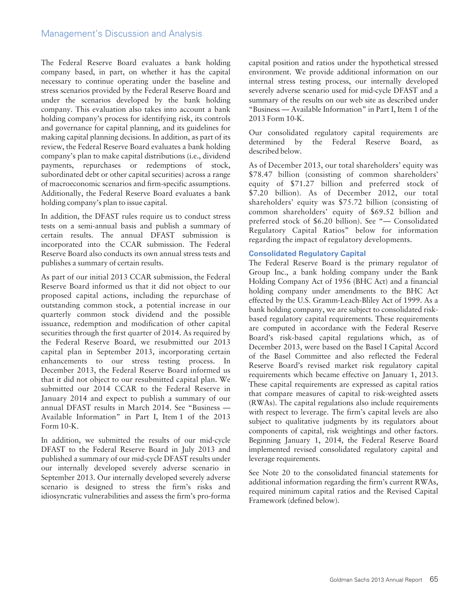# Management's Discussion and Analysis

The Federal Reserve Board evaluates a bank holding company based, in part, on whether it has the capital necessary to continue operating under the baseline and stress scenarios provided by the Federal Reserve Board and under the scenarios developed by the bank holding company. This evaluation also takes into account a bank holding company's process for identifying risk, its controls and governance for capital planning, and its guidelines for making capital planning decisions. In addition, as part of its review, the Federal Reserve Board evaluates a bank holding company's plan to make capital distributions (i.e., dividend payments, repurchases or redemptions of stock, subordinated debt or other capital securities) across a range of macroeconomic scenarios and firm-specific assumptions. Additionally, the Federal Reserve Board evaluates a bank holding company's plan to issue capital.

In addition, the DFAST rules require us to conduct stress tests on a semi-annual basis and publish a summary of certain results. The annual DFAST submission is incorporated into the CCAR submission. The Federal Reserve Board also conducts its own annual stress tests and publishes a summary of certain results.

As part of our initial 2013 CCAR submission, the Federal Reserve Board informed us that it did not object to our proposed capital actions, including the repurchase of outstanding common stock, a potential increase in our quarterly common stock dividend and the possible issuance, redemption and modification of other capital securities through the first quarter of 2014. As required by the Federal Reserve Board, we resubmitted our 2013 capital plan in September 2013, incorporating certain enhancements to our stress testing process. In December 2013, the Federal Reserve Board informed us that it did not object to our resubmitted capital plan. We submitted our 2014 CCAR to the Federal Reserve in January 2014 and expect to publish a summary of our annual DFAST results in March 2014. See "Business — Available Information" in Part I, Item 1 of the 2013 Form 10-K.

In addition, we submitted the results of our mid-cycle DFAST to the Federal Reserve Board in July 2013 and published a summary of our mid-cycle DFAST results under our internally developed severely adverse scenario in September 2013. Our internally developed severely adverse scenario is designed to stress the firm's risks and idiosyncratic vulnerabilities and assess the firm's pro-forma capital position and ratios under the hypothetical stressed environment. We provide additional information on our internal stress testing process, our internally developed severely adverse scenario used for mid-cycle DFAST and a summary of the results on our web site as described under "Business — Available Information" in Part I, Item 1 of the 2013 Form 10-K.

Our consolidated regulatory capital requirements are determined by the Federal Reserve Board, as described below.

As of December 2013, our total shareholders' equity was \$78.47 billion (consisting of common shareholders' equity of \$71.27 billion and preferred stock of \$7.20 billion). As of December 2012, our total shareholders' equity was \$75.72 billion (consisting of common shareholders' equity of \$69.52 billion and preferred stock of \$6.20 billion). See "— Consolidated Regulatory Capital Ratios" below for information regarding the impact of regulatory developments.

## **Consolidated Regulatory Capital**

The Federal Reserve Board is the primary regulator of Group Inc., a bank holding company under the Bank Holding Company Act of 1956 (BHC Act) and a financial holding company under amendments to the BHC Act effected by the U.S. Gramm-Leach-Bliley Act of 1999. As a bank holding company, we are subject to consolidated riskbased regulatory capital requirements. These requirements are computed in accordance with the Federal Reserve Board's risk-based capital regulations which, as of December 2013, were based on the Basel I Capital Accord of the Basel Committee and also reflected the Federal Reserve Board's revised market risk regulatory capital requirements which became effective on January 1, 2013. These capital requirements are expressed as capital ratios that compare measures of capital to risk-weighted assets (RWAs). The capital regulations also include requirements with respect to leverage. The firm's capital levels are also subject to qualitative judgments by its regulators about components of capital, risk weightings and other factors. Beginning January 1, 2014, the Federal Reserve Board implemented revised consolidated regulatory capital and leverage requirements.

See Note 20 to the consolidated financial statements for additional information regarding the firm's current RWAs, required minimum capital ratios and the Revised Capital Framework (defined below).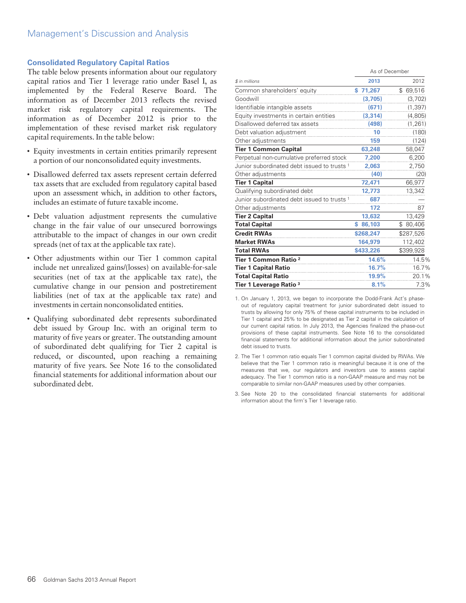## **Consolidated Regulatory Capital Ratios**

The table below presents information about our regulatory capital ratios and Tier 1 leverage ratio under Basel I, as implemented by the Federal Reserve Board. The information as of December 2013 reflects the revised market risk regulatory capital requirements. The information as of December 2012 is prior to the implementation of these revised market risk regulatory capital requirements. In the table below:

- ‰ Equity investments in certain entities primarily represent a portion of our nonconsolidated equity investments.
- ‰ Disallowed deferred tax assets represent certain deferred tax assets that are excluded from regulatory capital based upon an assessment which, in addition to other factors, includes an estimate of future taxable income.
- ‰ Debt valuation adjustment represents the cumulative change in the fair value of our unsecured borrowings attributable to the impact of changes in our own credit spreads (net of tax at the applicable tax rate).
- ‰ Other adjustments within our Tier 1 common capital include net unrealized gains/(losses) on available-for-sale securities (net of tax at the applicable tax rate), the cumulative change in our pension and postretirement liabilities (net of tax at the applicable tax rate) and investments in certain nonconsolidated entities.
- ‰ Qualifying subordinated debt represents subordinated debt issued by Group Inc. with an original term to maturity of five years or greater. The outstanding amount of subordinated debt qualifying for Tier 2 capital is reduced, or discounted, upon reaching a remaining maturity of five years. See Note 16 to the consolidated financial statements for additional information about our subordinated debt.

|                                                        | As of December |           |
|--------------------------------------------------------|----------------|-----------|
| \$ in millions                                         | 2013           | 2012      |
| Common shareholders' equity                            | \$71,267       | \$69,516  |
| Goodwill                                               | (3,705)        | (3,702)   |
| Identifiable intangible assets                         | (671)          | (1, 397)  |
| Equity investments in certain entities                 | (3, 314)       | (4,805)   |
| Disallowed deferred tax assets                         | (498)          | (1, 261)  |
| Debt valuation adjustment                              | 10             | (180)     |
| Other adjustments                                      | 159            | (124)     |
| <b>Tier 1 Common Capital</b>                           | 63.248         | 58,047    |
| Perpetual non-cumulative preferred stock               | 7.200          | 6,200     |
| Junior subordinated debt issued to trusts <sup>1</sup> | 2,063          | 2,750     |
| Other adjustments                                      | (40)           | (20)      |
| <b>Tier 1 Capital</b>                                  | 72,471         | 66,977    |
| Qualifying subordinated debt                           | 12,773         | 13,342    |
| Junior subordinated debt issued to trusts <sup>1</sup> | 687            |           |
| Other adjustments                                      | 172            | 87        |
| <b>Tier 2 Capital</b>                                  | 13,632         | 13,429    |
| <b>Total Capital</b>                                   | 86,103<br>\$   | \$ 80,406 |
| <b>Credit RWAs</b>                                     | \$268,247      | \$287,526 |
| <b>Market RWAs</b>                                     | 164,979        | 112,402   |
| <b>Total RWAs</b>                                      | \$433,226      | \$399,928 |
| Tier 1 Common Ratio <sup>2</sup>                       | 14.6%          | 14.5%     |
| <b>Tier 1 Capital Ratio</b>                            | 16.7%          | 16.7%     |
| <b>Total Capital Ratio</b>                             | 19.9%          | 20.1%     |
| Tier 1 Leverage Ratio 3                                | 8.1%           | 7.3%      |

1. On January 1, 2013, we began to incorporate the Dodd-Frank Act's phaseout of regulatory capital treatment for junior subordinated debt issued to trusts by allowing for only 75% of these capital instruments to be included in Tier 1 capital and 25% to be designated as Tier 2 capital in the calculation of our current capital ratios. In July 2013, the Agencies finalized the phase-out provisions of these capital instruments. See Note 16 to the consolidated financial statements for additional information about the junior subordinated debt issued to trusts.

- 2. The Tier 1 common ratio equals Tier 1 common capital divided by RWAs. We believe that the Tier 1 common ratio is meaningful because it is one of the measures that we, our regulators and investors use to assess capital adequacy. The Tier 1 common ratio is a non-GAAP measure and may not be comparable to similar non-GAAP measures used by other companies.
- 3. See Note 20 to the consolidated financial statements for additional information about the firm's Tier 1 leverage ratio.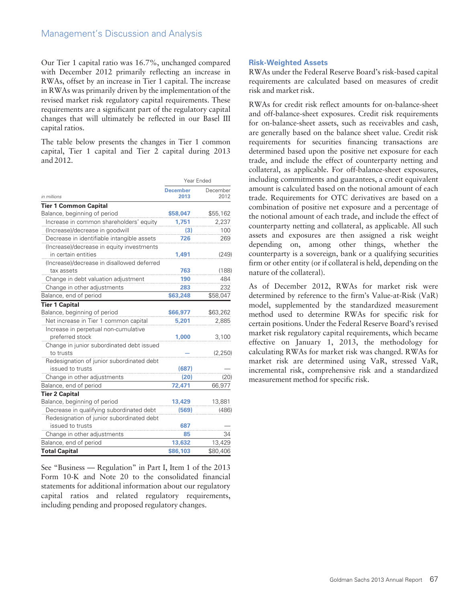# Management's Discussion and Analysis

Our Tier 1 capital ratio was 16.7%, unchanged compared with December 2012 primarily reflecting an increase in RWAs, offset by an increase in Tier 1 capital. The increase in RWAs was primarily driven by the implementation of the revised market risk regulatory capital requirements. These requirements are a significant part of the regulatory capital changes that will ultimately be reflected in our Basel III capital ratios.

The table below presents the changes in Tier 1 common capital, Tier 1 capital and Tier 2 capital during 2013 and 2012.

|                                            | Year Ended              |                  |  |
|--------------------------------------------|-------------------------|------------------|--|
| in millions                                | <b>December</b><br>2013 | December<br>2012 |  |
| <b>Tier 1 Common Capital</b>               |                         |                  |  |
| Balance, beginning of period               | \$58,047                | \$55,162         |  |
| Increase in common shareholders' equity    | 1,751                   | 2,237            |  |
| (Increase)/decrease in goodwill            | (3)                     | 100              |  |
| Decrease in identifiable intangible assets | 726                     | 269              |  |
| (Increase)/decrease in equity investments  |                         |                  |  |
| in certain entities                        | 1.491                   | (249)            |  |
| (Increase)/decrease in disallowed deferred |                         |                  |  |
| tax assets                                 | 763                     | (188)            |  |
| Change in debt valuation adjustment        | 190                     | 484              |  |
| Change in other adjustments                | 283                     | 232              |  |
| Balance, end of period                     | \$63,248                | \$58,047         |  |
| <b>Tier 1 Capital</b>                      |                         |                  |  |
| Balance, beginning of period               | \$66,977                | \$63,262         |  |
| Net increase in Tier 1 common capital      | 5,201                   | 2,885            |  |
| Increase in perpetual non-cumulative       |                         |                  |  |
| preferred stock                            | 1,000                   | 3,100            |  |
| Change in junior subordinated debt issued  |                         |                  |  |
| to trusts                                  |                         | (2, 250)         |  |
| Redesignation of junior subordinated debt  |                         |                  |  |
| issued to trusts                           | (687)                   |                  |  |
| Change in other adjustments                | (20)                    | (20)             |  |
| Balance, end of period                     | 72,471                  | 66,977           |  |
| <b>Tier 2 Capital</b>                      |                         |                  |  |
| Balance, beginning of period               | 13,429                  | 13,881           |  |
| Decrease in qualifying subordinated debt   | (569)                   | (486)            |  |
| Redesignation of junior subordinated debt  |                         |                  |  |
| issued to trusts                           | 687                     |                  |  |
| Change in other adjustments                | 85                      | 34               |  |
| Balance, end of period                     | 13,632                  | 13,429           |  |
| <b>Total Capital</b>                       | \$86,103                | \$80,406         |  |

See "Business — Regulation" in Part I, Item 1 of the 2013 Form 10-K and Note 20 to the consolidated financial statements for additional information about our regulatory capital ratios and related regulatory requirements, including pending and proposed regulatory changes.

## **Risk-Weighted Assets**

RWAs under the Federal Reserve Board's risk-based capital requirements are calculated based on measures of credit risk and market risk.

RWAs for credit risk reflect amounts for on-balance-sheet and off-balance-sheet exposures. Credit risk requirements for on-balance-sheet assets, such as receivables and cash, are generally based on the balance sheet value. Credit risk requirements for securities financing transactions are determined based upon the positive net exposure for each trade, and include the effect of counterparty netting and collateral, as applicable. For off-balance-sheet exposures, including commitments and guarantees, a credit equivalent amount is calculated based on the notional amount of each trade. Requirements for OTC derivatives are based on a combination of positive net exposure and a percentage of the notional amount of each trade, and include the effect of counterparty netting and collateral, as applicable. All such assets and exposures are then assigned a risk weight depending on, among other things, whether the counterparty is a sovereign, bank or a qualifying securities firm or other entity (or if collateral is held, depending on the nature of the collateral).

As of December 2012, RWAs for market risk were determined by reference to the firm's Value-at-Risk (VaR) model, supplemented by the standardized measurement method used to determine RWAs for specific risk for certain positions. Under the Federal Reserve Board's revised market risk regulatory capital requirements, which became effective on January 1, 2013, the methodology for calculating RWAs for market risk was changed. RWAs for market risk are determined using VaR, stressed VaR, incremental risk, comprehensive risk and a standardized measurement method for specific risk.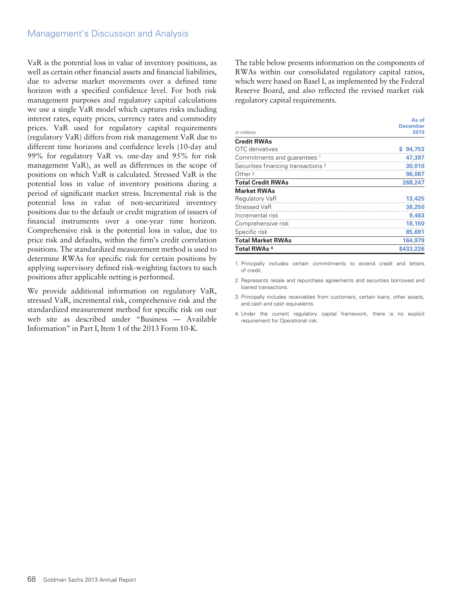## Management's Discussion and Analysis

VaR is the potential loss in value of inventory positions, as well as certain other financial assets and financial liabilities, due to adverse market movements over a defined time horizon with a specified confidence level. For both risk management purposes and regulatory capital calculations we use a single VaR model which captures risks including interest rates, equity prices, currency rates and commodity prices. VaR used for regulatory capital requirements (regulatory VaR) differs from risk management VaR due to different time horizons and confidence levels (10-day and 99% for regulatory VaR vs. one-day and 95% for risk management VaR), as well as differences in the scope of positions on which VaR is calculated. Stressed VaR is the potential loss in value of inventory positions during a period of significant market stress. Incremental risk is the potential loss in value of non-securitized inventory positions due to the default or credit migration of issuers of financial instruments over a one-year time horizon. Comprehensive risk is the potential loss in value, due to price risk and defaults, within the firm's credit correlation positions. The standardized measurement method is used to determine RWAs for specific risk for certain positions by applying supervisory defined risk-weighting factors to such positions after applicable netting is performed.

We provide additional information on regulatory VaR, stressed VaR, incremental risk, comprehensive risk and the standardized measurement method for specific risk on our web site as described under "Business — Available Information" in Part I, Item 1 of the 2013 Form 10-K.

The table below presents information on the components of RWAs within our consolidated regulatory capital ratios, which were based on Basel I, as implemented by the Federal Reserve Board, and also reflected the revised market risk regulatory capital requirements.

|                                                | As of<br><b>December</b> |
|------------------------------------------------|--------------------------|
| in millions                                    | 2013                     |
| <b>Credit RWAs</b>                             |                          |
| OTC derivatives                                | \$94,753                 |
| Commitments and guarantees <sup>1</sup>        | 47,397                   |
| Securities financing transactions <sup>2</sup> | 30,010                   |
| Other <sup>3</sup>                             | 96,087                   |
| <b>Total Credit RWAs</b>                       | 268,247                  |
| <b>Market RWAs</b>                             |                          |
| Regulatory VaR                                 | 13,425                   |
| Stressed VaR                                   | 38,250                   |
| Incremental risk                               | 9,463                    |
| Comprehensive risk                             | 18,150                   |
| Specific risk                                  | 85,691                   |
| <b>Total Market RWAs</b>                       | 164,979                  |
| Total RWAs <sup>4</sup>                        | \$433,226                |

1. Principally includes certain commitments to extend credit and letters of credit.

2. Represents resale and repurchase agreements and securities borrowed and loaned transactions.

- 3. Principally includes receivables from customers, certain loans, other assets, and cash and cash equivalents.
- 4. Under the current regulatory capital framework, there is no explicit requirement for Operational risk.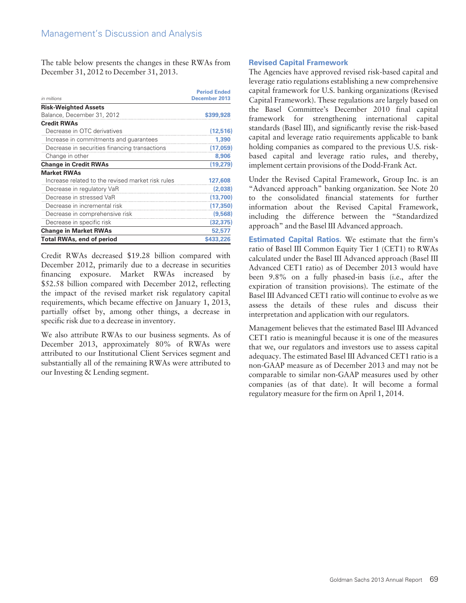The table below presents the changes in these RWAs from December 31, 2012 to December 31, 2013.

| in millions                                       | <b>Period Ended</b><br>December 2013 |
|---------------------------------------------------|--------------------------------------|
| <b>Risk-Weighted Assets</b>                       |                                      |
| Balance, December 31, 2012                        | \$399,928                            |
| <b>Credit RWAs</b>                                |                                      |
| Decrease in OTC derivatives                       | (12,516)                             |
| Increase in commitments and guarantees            | 1,390                                |
| Decrease in securities financing transactions     | (17,059)                             |
| Change in other                                   | 8,906                                |
| <b>Change in Credit RWAs</b>                      | (19, 279)                            |
| <b>Market RWAs</b>                                |                                      |
| Increase related to the revised market risk rules | 127,608                              |
| Decrease in regulatory VaR                        | (2,038)                              |
| Decrease in stressed VaR                          | (13,700)                             |
| Decrease in incremental risk                      | (17, 350)                            |
| Decrease in comprehensive risk                    | (9,568)                              |
| Decrease in specific risk                         | (32, 375)                            |
| <b>Change in Market RWAs</b>                      | 52,577                               |
| <b>Total RWAs, end of period</b>                  | \$433,226                            |

Credit RWAs decreased \$19.28 billion compared with December 2012, primarily due to a decrease in securities financing exposure. Market RWAs increased by \$52.58 billion compared with December 2012, reflecting the impact of the revised market risk regulatory capital requirements, which became effective on January 1, 2013, partially offset by, among other things, a decrease in specific risk due to a decrease in inventory.

We also attribute RWAs to our business segments. As of December 2013, approximately 80% of RWAs were attributed to our Institutional Client Services segment and substantially all of the remaining RWAs were attributed to our Investing & Lending segment.

### **Revised Capital Framework**

The Agencies have approved revised risk-based capital and leverage ratio regulations establishing a new comprehensive capital framework for U.S. banking organizations (Revised Capital Framework). These regulations are largely based on the Basel Committee's December 2010 final capital framework for strengthening international capital standards (Basel III), and significantly revise the risk-based capital and leverage ratio requirements applicable to bank holding companies as compared to the previous U.S. riskbased capital and leverage ratio rules, and thereby, implement certain provisions of the Dodd-Frank Act.

Under the Revised Capital Framework, Group Inc. is an "Advanced approach" banking organization. See Note 20 to the consolidated financial statements for further information about the Revised Capital Framework, including the difference between the "Standardized approach" and the Basel III Advanced approach.

**Estimated Capital Ratios.** We estimate that the firm's ratio of Basel III Common Equity Tier 1 (CET1) to RWAs calculated under the Basel III Advanced approach (Basel III Advanced CET1 ratio) as of December 2013 would have been 9.8% on a fully phased-in basis (i.e., after the expiration of transition provisions). The estimate of the Basel III Advanced CET1 ratio will continue to evolve as we assess the details of these rules and discuss their interpretation and application with our regulators.

Management believes that the estimated Basel III Advanced CET1 ratio is meaningful because it is one of the measures that we, our regulators and investors use to assess capital adequacy. The estimated Basel III Advanced CET1 ratio is a non-GAAP measure as of December 2013 and may not be comparable to similar non-GAAP measures used by other companies (as of that date). It will become a formal regulatory measure for the firm on April 1, 2014.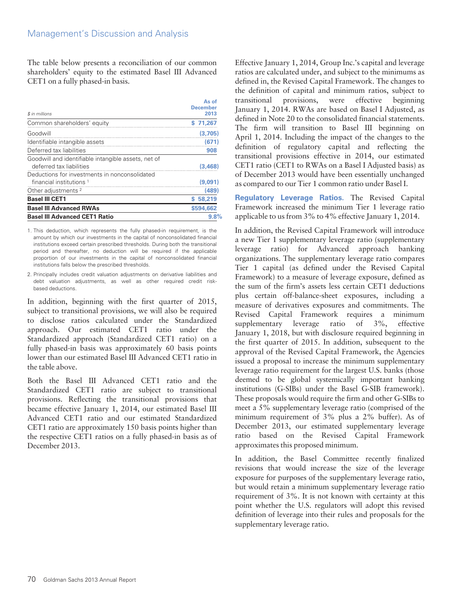The table below presents a reconciliation of our common shareholders' equity to the estimated Basel III Advanced CET1 on a fully phased-in basis.

|                                                                                 | As of<br><b>December</b> |
|---------------------------------------------------------------------------------|--------------------------|
| \$ in millions                                                                  | 2013                     |
| Common shareholders' equity                                                     | \$71,267                 |
| Goodwill                                                                        | (3.705)                  |
| Identifiable intangible assets                                                  | (671)                    |
| Deferred tax liabilities                                                        | 908                      |
| Goodwill and identifiable intangible assets, net of<br>deferred tax liabilities | (3, 468)                 |
| Deductions for investments in nonconsolidated                                   |                          |
| financial institutions 1                                                        | (9,091)                  |
| Other adjustments <sup>2</sup>                                                  | (489)                    |
| <b>Basel III CET1</b>                                                           | 58,219<br>s              |
| <b>Basel III Advanced RWAs</b>                                                  | \$594,662                |
| <b>Basel III Advanced CET1 Ratio</b>                                            | 9.8%                     |

1. This deduction, which represents the fully phased-in requirement, is the amount by which our investments in the capital of nonconsolidated financial institutions exceed certain prescribed thresholds. During both the transitional period and thereafter, no deduction will be required if the applicable proportion of our investments in the capital of nonconsolidated financial institutions falls below the prescribed thresholds.

2. Principally includes credit valuation adjustments on derivative liabilities and debt valuation adjustments, as well as other required credit riskbased deductions.

In addition, beginning with the first quarter of 2015, subject to transitional provisions, we will also be required to disclose ratios calculated under the Standardized approach. Our estimated CET1 ratio under the Standardized approach (Standardized CET1 ratio) on a fully phased-in basis was approximately 60 basis points lower than our estimated Basel III Advanced CET1 ratio in the table above.

Both the Basel III Advanced CET1 ratio and the Standardized CET1 ratio are subject to transitional provisions. Reflecting the transitional provisions that became effective January 1, 2014, our estimated Basel III Advanced CET1 ratio and our estimated Standardized CET1 ratio are approximately 150 basis points higher than the respective CET1 ratios on a fully phased-in basis as of December 2013.

Effective January 1, 2014, Group Inc.'s capital and leverage ratios are calculated under, and subject to the minimums as defined in, the Revised Capital Framework. The changes to the definition of capital and minimum ratios, subject to transitional provisions, were effective beginning January 1, 2014. RWAs are based on Basel I Adjusted, as defined in Note 20 to the consolidated financial statements. The firm will transition to Basel III beginning on April 1, 2014. Including the impact of the changes to the definition of regulatory capital and reflecting the transitional provisions effective in 2014, our estimated CET1 ratio (CET1 to RWAs on a Basel I Adjusted basis) as of December 2013 would have been essentially unchanged as compared to our Tier 1 common ratio under Basel I.

**Regulatory Leverage Ratios.** The Revised Capital Framework increased the minimum Tier 1 leverage ratio applicable to us from 3% to 4% effective January 1, 2014.

In addition, the Revised Capital Framework will introduce a new Tier 1 supplementary leverage ratio (supplementary leverage ratio) for Advanced approach banking organizations. The supplementary leverage ratio compares Tier 1 capital (as defined under the Revised Capital Framework) to a measure of leverage exposure, defined as the sum of the firm's assets less certain CET1 deductions plus certain off-balance-sheet exposures, including a measure of derivatives exposures and commitments. The Revised Capital Framework requires a minimum supplementary leverage ratio of 3%, effective January 1, 2018, but with disclosure required beginning in the first quarter of 2015. In addition, subsequent to the approval of the Revised Capital Framework, the Agencies issued a proposal to increase the minimum supplementary leverage ratio requirement for the largest U.S. banks (those deemed to be global systemically important banking institutions (G-SIBs) under the Basel G-SIB framework). These proposals would require the firm and other G-SIBs to meet a 5% supplementary leverage ratio (comprised of the minimum requirement of 3% plus a 2% buffer). As of December 2013, our estimated supplementary leverage ratio based on the Revised Capital Framework approximates this proposed minimum.

In addition, the Basel Committee recently finalized revisions that would increase the size of the leverage exposure for purposes of the supplementary leverage ratio, but would retain a minimum supplementary leverage ratio requirement of 3%. It is not known with certainty at this point whether the U.S. regulators will adopt this revised definition of leverage into their rules and proposals for the supplementary leverage ratio.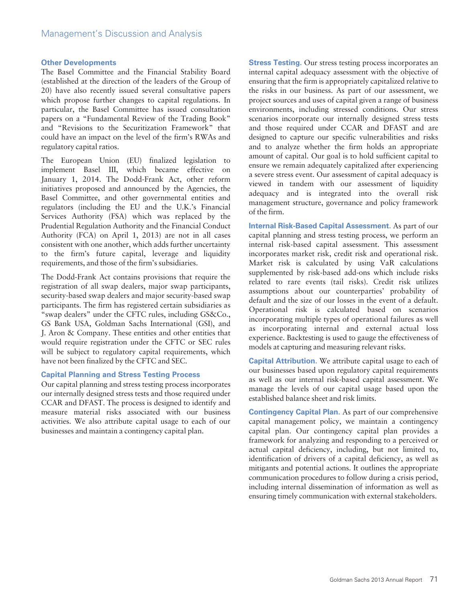### **Other Developments**

The Basel Committee and the Financial Stability Board (established at the direction of the leaders of the Group of 20) have also recently issued several consultative papers which propose further changes to capital regulations. In particular, the Basel Committee has issued consultation papers on a "Fundamental Review of the Trading Book" and "Revisions to the Securitization Framework" that could have an impact on the level of the firm's RWAs and regulatory capital ratios.

The European Union (EU) finalized legislation to implement Basel III, which became effective on January 1, 2014. The Dodd-Frank Act, other reform initiatives proposed and announced by the Agencies, the Basel Committee, and other governmental entities and regulators (including the EU and the U.K.'s Financial Services Authority (FSA) which was replaced by the Prudential Regulation Authority and the Financial Conduct Authority (FCA) on April 1, 2013) are not in all cases consistent with one another, which adds further uncertainty to the firm's future capital, leverage and liquidity requirements, and those of the firm's subsidiaries.

The Dodd-Frank Act contains provisions that require the registration of all swap dealers, major swap participants, security-based swap dealers and major security-based swap participants. The firm has registered certain subsidiaries as "swap dealers" under the CFTC rules, including GS&Co., GS Bank USA, Goldman Sachs International (GSI), and J. Aron & Company. These entities and other entities that would require registration under the CFTC or SEC rules will be subject to regulatory capital requirements, which have not been finalized by the CFTC and SEC.

### **Capital Planning and Stress Testing Process**

Our capital planning and stress testing process incorporates our internally designed stress tests and those required under CCAR and DFAST. The process is designed to identify and measure material risks associated with our business activities. We also attribute capital usage to each of our businesses and maintain a contingency capital plan.

**Stress Testing.** Our stress testing process incorporates an internal capital adequacy assessment with the objective of ensuring that the firm is appropriately capitalized relative to the risks in our business. As part of our assessment, we project sources and uses of capital given a range of business environments, including stressed conditions. Our stress scenarios incorporate our internally designed stress tests and those required under CCAR and DFAST and are designed to capture our specific vulnerabilities and risks and to analyze whether the firm holds an appropriate amount of capital. Our goal is to hold sufficient capital to ensure we remain adequately capitalized after experiencing a severe stress event. Our assessment of capital adequacy is viewed in tandem with our assessment of liquidity adequacy and is integrated into the overall risk management structure, governance and policy framework of the firm.

**Internal Risk-Based Capital Assessment.** As part of our capital planning and stress testing process, we perform an internal risk-based capital assessment. This assessment incorporates market risk, credit risk and operational risk. Market risk is calculated by using VaR calculations supplemented by risk-based add-ons which include risks related to rare events (tail risks). Credit risk utilizes assumptions about our counterparties' probability of default and the size of our losses in the event of a default. Operational risk is calculated based on scenarios incorporating multiple types of operational failures as well as incorporating internal and external actual loss experience. Backtesting is used to gauge the effectiveness of models at capturing and measuring relevant risks.

**Capital Attribution.** We attribute capital usage to each of our businesses based upon regulatory capital requirements as well as our internal risk-based capital assessment. We manage the levels of our capital usage based upon the established balance sheet and risk limits.

**Contingency Capital Plan.** As part of our comprehensive capital management policy, we maintain a contingency capital plan. Our contingency capital plan provides a framework for analyzing and responding to a perceived or actual capital deficiency, including, but not limited to, identification of drivers of a capital deficiency, as well as mitigants and potential actions. It outlines the appropriate communication procedures to follow during a crisis period, including internal dissemination of information as well as ensuring timely communication with external stakeholders.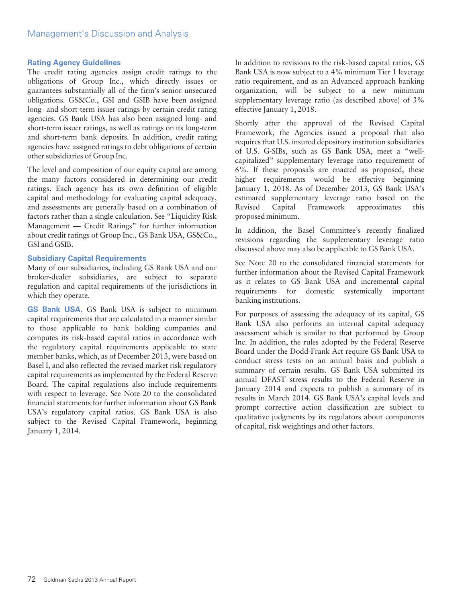## **Rating Agency Guidelines**

The credit rating agencies assign credit ratings to the obligations of Group Inc., which directly issues or guarantees substantially all of the firm's senior unsecured obligations. GS&Co., GSI and GSIB have been assigned long- and short-term issuer ratings by certain credit rating agencies. GS Bank USA has also been assigned long- and short-term issuer ratings, as well as ratings on its long-term and short-term bank deposits. In addition, credit rating agencies have assigned ratings to debt obligations of certain other subsidiaries of Group Inc.

The level and composition of our equity capital are among the many factors considered in determining our credit ratings. Each agency has its own definition of eligible capital and methodology for evaluating capital adequacy, and assessments are generally based on a combination of factors rather than a single calculation. See "Liquidity Risk Management — Credit Ratings" for further information about credit ratings of Group Inc., GS Bank USA, GS&Co., GSI and GSIB.

## **Subsidiary Capital Requirements**

Many of our subsidiaries, including GS Bank USA and our broker-dealer subsidiaries, are subject to separate regulation and capital requirements of the jurisdictions in which they operate.

**GS Bank USA.** GS Bank USA is subject to minimum capital requirements that are calculated in a manner similar to those applicable to bank holding companies and computes its risk-based capital ratios in accordance with the regulatory capital requirements applicable to state member banks, which, as of December 2013, were based on Basel I, and also reflected the revised market risk regulatory capital requirements as implemented by the Federal Reserve Board. The capital regulations also include requirements with respect to leverage. See Note 20 to the consolidated financial statements for further information about GS Bank USA's regulatory capital ratios. GS Bank USA is also subject to the Revised Capital Framework, beginning January 1, 2014.

In addition to revisions to the risk-based capital ratios, GS Bank USA is now subject to a 4% minimum Tier 1 leverage ratio requirement, and as an Advanced approach banking organization, will be subject to a new minimum supplementary leverage ratio (as described above) of 3% effective January 1, 2018.

Shortly after the approval of the Revised Capital Framework, the Agencies issued a proposal that also requires that U.S. insured depository institution subsidiaries of U.S. G-SIBs, such as GS Bank USA, meet a "wellcapitalized" supplementary leverage ratio requirement of 6%. If these proposals are enacted as proposed, these higher requirements would be effective beginning January 1, 2018. As of December 2013, GS Bank USA's estimated supplementary leverage ratio based on the<br>Revised Capital Framework approximates this Revised Capital Framework approximates this proposed minimum.

In addition, the Basel Committee's recently finalized revisions regarding the supplementary leverage ratio discussed above may also be applicable to GS Bank USA.

See Note 20 to the consolidated financial statements for further information about the Revised Capital Framework as it relates to GS Bank USA and incremental capital requirements for domestic systemically important banking institutions.

For purposes of assessing the adequacy of its capital, GS Bank USA also performs an internal capital adequacy assessment which is similar to that performed by Group Inc. In addition, the rules adopted by the Federal Reserve Board under the Dodd-Frank Act require GS Bank USA to conduct stress tests on an annual basis and publish a summary of certain results. GS Bank USA submitted its annual DFAST stress results to the Federal Reserve in January 2014 and expects to publish a summary of its results in March 2014. GS Bank USA's capital levels and prompt corrective action classification are subject to qualitative judgments by its regulators about components of capital, risk weightings and other factors.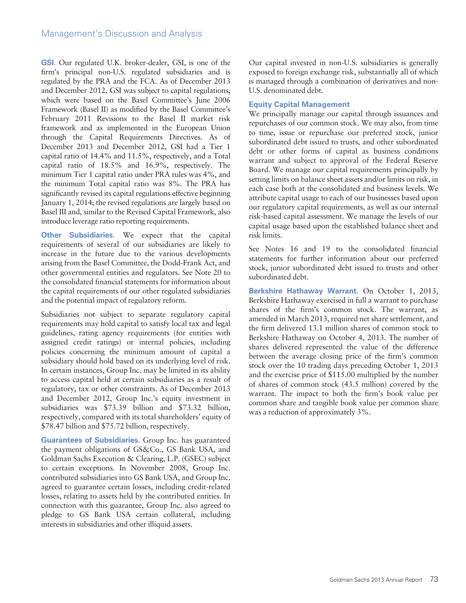**GSI.** Our regulated U.K. broker-dealer, GSI, is one of the firm's principal non-U.S. regulated subsidiaries and is regulated by the PRA and the FCA. As of December 2013 and December 2012, GSI was subject to capital regulations, which were based on the Basel Committee's June 2006 Framework (Basel II) as modified by the Basel Committee's February 2011 Revisions to the Basel II market risk framework and as implemented in the European Union through the Capital Requirements Directives. As of December 2013 and December 2012, GSI had a Tier 1 capital ratio of 14.4% and 11.5%, respectively, and a Total capital ratio of 18.5% and 16.9%, respectively. The minimum Tier 1 capital ratio under PRA rules was 4%, and the minimum Total capital ratio was 8%. The PRA has significantly revised its capital regulations effective beginning January 1, 2014; the revised regulations are largely based on Basel III and, similar to the Revised Capital Framework, also introduce leverage ratio reporting requirements.

**Other Subsidiaries.** We expect that the capital requirements of several of our subsidiaries are likely to increase in the future due to the various developments arising from the Basel Committee, the Dodd-Frank Act, and other governmental entities and regulators. See Note 20 to the consolidated financial statements for information about the capital requirements of our other regulated subsidiaries and the potential impact of regulatory reform.

Subsidiaries not subject to separate regulatory capital requirements may hold capital to satisfy local tax and legal guidelines, rating agency requirements (for entities with assigned credit ratings) or internal policies, including policies concerning the minimum amount of capital a subsidiary should hold based on its underlying level of risk. In certain instances, Group Inc. may be limited in its ability to access capital held at certain subsidiaries as a result of regulatory, tax or other constraints. As of December 2013 and December 2012, Group Inc.'s equity investment in subsidiaries was \$73.39 billion and \$73.32 billion, respectively, compared with its total shareholders' equity of \$78.47 billion and \$75.72 billion, respectively.

**Guarantees of Subsidiaries.** Group Inc. has guaranteed the payment obligations of GS&Co., GS Bank USA, and Goldman Sachs Execution & Clearing, L.P. (GSEC) subject to certain exceptions. In November 2008, Group Inc. contributed subsidiaries into GS Bank USA, and Group Inc. agreed to guarantee certain losses, including credit-related losses, relating to assets held by the contributed entities. In connection with this guarantee, Group Inc. also agreed to pledge to GS Bank USA certain collateral, including interests in subsidiaries and other illiquid assets.

Our capital invested in non-U.S. subsidiaries is generally exposed to foreign exchange risk, substantially all of which is managed through a combination of derivatives and non-U.S. denominated debt.

## **Equity Capital Management**

We principally manage our capital through issuances and repurchases of our common stock. We may also, from time to time, issue or repurchase our preferred stock, junior subordinated debt issued to trusts, and other subordinated debt or other forms of capital as business conditions warrant and subject to approval of the Federal Reserve Board. We manage our capital requirements principally by setting limits on balance sheet assets and/or limits on risk, in each case both at the consolidated and business levels. We attribute capital usage to each of our businesses based upon our regulatory capital requirements, as well as our internal risk-based capital assessment. We manage the levels of our capital usage based upon the established balance sheet and risk limits.

See Notes 16 and 19 to the consolidated financial statements for further information about our preferred stock, junior subordinated debt issued to trusts and other subordinated debt.

**Berkshire Hathaway Warrant.** On October 1, 2013, Berkshire Hathaway exercised in full a warrant to purchase shares of the firm's common stock. The warrant, as amended in March 2013, required net share settlement, and the firm delivered 13.1 million shares of common stock to Berkshire Hathaway on October 4, 2013. The number of shares delivered represented the value of the difference between the average closing price of the firm's common stock over the 10 trading days preceding October 1, 2013 and the exercise price of \$115.00 multiplied by the number of shares of common stock (43.5 million) covered by the warrant. The impact to both the firm's book value per common share and tangible book value per common share was a reduction of approximately 3%.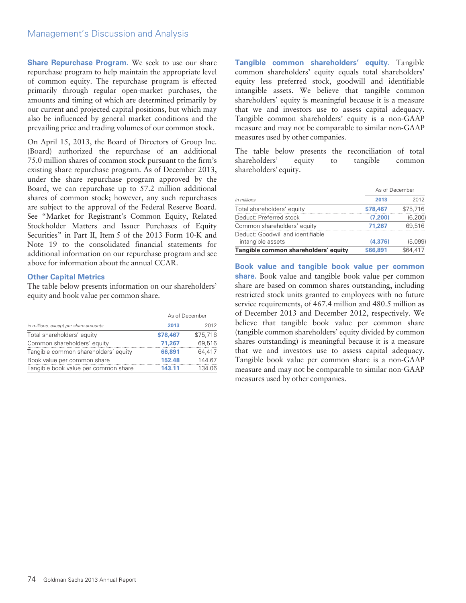**Share Repurchase Program.** We seek to use our share repurchase program to help maintain the appropriate level of common equity. The repurchase program is effected primarily through regular open-market purchases, the amounts and timing of which are determined primarily by our current and projected capital positions, but which may also be influenced by general market conditions and the prevailing price and trading volumes of our common stock.

On April 15, 2013, the Board of Directors of Group Inc. (Board) authorized the repurchase of an additional 75.0 million shares of common stock pursuant to the firm's existing share repurchase program. As of December 2013, under the share repurchase program approved by the Board, we can repurchase up to 57.2 million additional shares of common stock; however, any such repurchases are subject to the approval of the Federal Reserve Board. See "Market for Registrant's Common Equity, Related Stockholder Matters and Issuer Purchases of Equity Securities" in Part II, Item 5 of the 2013 Form 10-K and Note 19 to the consolidated financial statements for additional information on our repurchase program and see above for information about the annual CCAR.

## **Other Capital Metrics**

The table below presents information on our shareholders' equity and book value per common share.

|                                       | As of December |          |  |
|---------------------------------------|----------------|----------|--|
| in millions, except per share amounts | 2013           | 2012     |  |
| Total shareholders' equity            | \$78,467       | \$75,716 |  |
| Common shareholders' equity           | 71,267         | 69,516   |  |
| Tangible common shareholders' equity  | 66.891         | 64.417   |  |
| Book value per common share           | 152.48         | 144.67   |  |
| Tangible book value per common share  | 143.11         | 134.06   |  |

**Tangible common shareholders' equity.** Tangible common shareholders' equity equals total shareholders' equity less preferred stock, goodwill and identifiable intangible assets. We believe that tangible common shareholders' equity is meaningful because it is a measure that we and investors use to assess capital adequacy. Tangible common shareholders' equity is a non-GAAP measure and may not be comparable to similar non-GAAP measures used by other companies.

The table below presents the reconciliation of total shareholders' equity to tangible common shareholders' equity.

|                                      | As of December |          |  |
|--------------------------------------|----------------|----------|--|
| in millions                          | 2013           | 2012     |  |
| Total shareholders' equity           | \$78,467       | \$75,716 |  |
| Deduct: Preferred stock              | (7,200)        | (6, 200) |  |
| Common shareholders' equity          | 71.267         | 69.516   |  |
| Deduct: Goodwill and identifiable    |                |          |  |
| intangible assets                    | (4, 376)       | (5,099)  |  |
| Tangible common shareholders' equity | \$66,891       | \$64,417 |  |

**Book value and tangible book value per common share.** Book value and tangible book value per common share are based on common shares outstanding, including restricted stock units granted to employees with no future service requirements, of 467.4 million and 480.5 million as of December 2013 and December 2012, respectively. We believe that tangible book value per common share (tangible common shareholders' equity divided by common shares outstanding) is meaningful because it is a measure that we and investors use to assess capital adequacy. Tangible book value per common share is a non-GAAP measure and may not be comparable to similar non-GAAP measures used by other companies.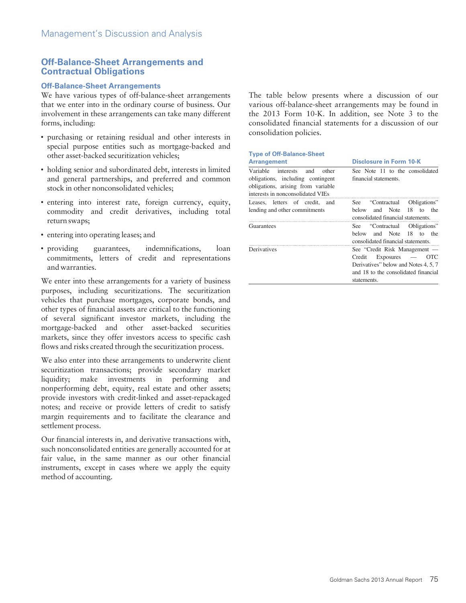# **Off-Balance-Sheet Arrangements and Contractual Obligations**

### **Off-Balance-Sheet Arrangements**

We have various types of off-balance-sheet arrangements that we enter into in the ordinary course of business. Our involvement in these arrangements can take many different forms, including:

- ‰ purchasing or retaining residual and other interests in special purpose entities such as mortgage-backed and other asset-backed securitization vehicles;
- ‰ holding senior and subordinated debt, interests in limited and general partnerships, and preferred and common stock in other nonconsolidated vehicles;
- ‰ entering into interest rate, foreign currency, equity, commodity and credit derivatives, including total return swaps;
- entering into operating leases; and
- ‰ providing guarantees, indemnifications, loan commitments, letters of credit and representations and warranties.

We enter into these arrangements for a variety of business purposes, including securitizations. The securitization vehicles that purchase mortgages, corporate bonds, and other types of financial assets are critical to the functioning of several significant investor markets, including the mortgage-backed and other asset-backed securities markets, since they offer investors access to specific cash flows and risks created through the securitization process.

We also enter into these arrangements to underwrite client securitization transactions; provide secondary market liquidity; make investments in performing and nonperforming debt, equity, real estate and other assets; provide investors with credit-linked and asset-repackaged notes; and receive or provide letters of credit to satisfy margin requirements and to facilitate the clearance and settlement process.

Our financial interests in, and derivative transactions with, such nonconsolidated entities are generally accounted for at fair value, in the same manner as our other financial instruments, except in cases where we apply the equity method of accounting.

The table below presents where a discussion of our various off-balance-sheet arrangements may be found in the 2013 Form 10-K. In addition, see Note 3 to the consolidated financial statements for a discussion of our consolidation policies.

| <b>Type of Off-Balance-Sheet</b><br><b>Arrangement</b>                                                                                          | <b>Disclosure in Form 10-K</b>                                                                                                                            |  |  |
|-------------------------------------------------------------------------------------------------------------------------------------------------|-----------------------------------------------------------------------------------------------------------------------------------------------------------|--|--|
| Variable interests and<br>other<br>obligations, including contingent<br>obligations, arising from variable<br>interests in nonconsolidated VIEs | See Note 11 to the consolidated<br>financial statements.                                                                                                  |  |  |
| Leases, letters of credit, and<br>lending and other commitments                                                                                 | "Contractual Obligations"<br>See<br>and Note 18 to the<br>below<br>consolidated financial statements.                                                     |  |  |
| Guarantees                                                                                                                                      | "Contractual Obligations"<br>See<br>and Note 18 to the<br>helow<br>consolidated financial statements.                                                     |  |  |
| Derivatives                                                                                                                                     | See "Credit Risk Management —<br>Credit<br>Exposures — OTC<br>Derivatives" below and Notes 4, 5, 7<br>and 18 to the consolidated financial<br>statements. |  |  |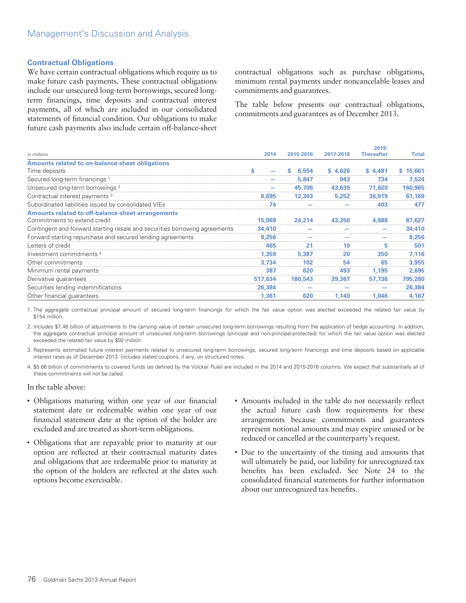### **Contractual Obligations**

We have certain contractual obligations which require us to make future cash payments. These contractual obligations include our unsecured long-term borrowings, secured longterm financings, time deposits and contractual interest payments, all of which are included in our consolidated statements of financial condition. Our obligations to make future cash payments also include certain off-balance-sheet contractual obligations such as purchase obligations, minimum rental payments under noncancelable leases and commitments and guarantees.

The table below presents our contractual obligations, commitments and guarantees as of December 2013.

|                                                                            |         |           |           | 2019-             |              |
|----------------------------------------------------------------------------|---------|-----------|-----------|-------------------|--------------|
| in millions                                                                | 2014    | 2015-2016 | 2017-2018 | <b>Thereafter</b> | <b>Total</b> |
| Amounts related to on-balance-sheet obligations                            |         |           |           |                   |              |
| Time deposits                                                              |         | 6,554     | \$4,626   | \$4,481           | \$15,661     |
| Secured long-term financings <sup>1</sup>                                  |         | 5,847     | 943       | 734               | 7,524        |
| Unsecured long-term borrowings <sup>2</sup>                                |         | 45.706    | 43,639    | 71,620            | 160,965      |
| Contractual interest payments 3                                            | 6.695   | 12,303    | 5,252     | 36,919            | 61.169       |
| Subordinated liabilities issued by consolidated VIEs                       | 74      |           |           | 403               | 477          |
| Amounts related to off-balance-sheet arrangements                          |         |           |           |                   |              |
| Commitments to extend credit                                               | 15,069  | 24,214    | 43,356    | 4.988             | 87.627       |
| Contingent and forward starting resale and securities borrowing agreements | 34,410  |           |           |                   | 34,410       |
| Forward starting repurchase and secured lending agreements                 | 8.256   |           |           |                   | 8.256        |
| Letters of credit                                                          | 465     |           |           | h                 | 501          |
| Investment commitments *                                                   | 1.359   | 5.387     | 20        | 350               | 7.116        |
| Other commitments                                                          | 3.734   | 102       | 54        | 65                | 3.955        |
| Minimum rental payments                                                    | 387     | 620       | 493       | 1.195             | 2.695        |
| Derivative guarantees                                                      | 517.634 | 180.543   | 39,367    | 57.736            | 795.280      |
| Securities lending indemnifications                                        | 26.384  |           |           |                   | 26,384       |
| Other financial quarantees                                                 | 1.361   | 620       | 1.140     | 1.046             | 4,167        |

1. The aggregate contractual principal amount of secured long-term financings for which the fair value option was elected exceeded the related fair value by \$154 million.

2. Includes \$7.48 billion of adjustments to the carrying value of certain unsecured long-term borrowings resulting from the application of hedge accounting. In addition, the aggregate contractual principal amount of unsecured long-term borrowings (principal and non-principal-protected) for which the fair value option was elected exceeded the related fair value by \$92 million.

3. Represents estimated future interest payments related to unsecured long-term borrowings, secured long-term financings and time deposits based on applicable interest rates as of December 2013. Includes stated coupons, if any, on structured notes.

4. \$5.66 billion of commitments to covered funds (as defined by the Volcker Rule) are included in the 2014 and 2015-2016 columns. We expect that substantially all of these commitments will not be called.

#### In the table above:

- ‰ Obligations maturing within one year of our financial statement date or redeemable within one year of our financial statement date at the option of the holder are excluded and are treated as short-term obligations.
- Obligations that are repayable prior to maturity at our option are reflected at their contractual maturity dates and obligations that are redeemable prior to maturity at the option of the holders are reflected at the dates such options become exercisable.
- ‰ Amounts included in the table do not necessarily reflect the actual future cash flow requirements for these arrangements because commitments and guarantees represent notional amounts and may expire unused or be reduced or cancelled at the counterparty's request.
- Due to the uncertainty of the timing and amounts that will ultimately be paid, our liability for unrecognized tax benefits has been excluded. See Note 24 to the consolidated financial statements for further information about our unrecognized tax benefits.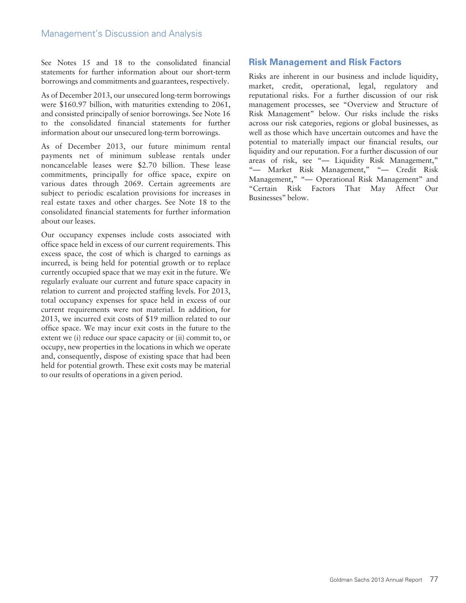See Notes 15 and 18 to the consolidated financial statements for further information about our short-term borrowings and commitments and guarantees, respectively.

As of December 2013, our unsecured long-term borrowings were \$160.97 billion, with maturities extending to 2061, and consisted principally of senior borrowings. See Note 16 to the consolidated financial statements for further information about our unsecured long-term borrowings.

As of December 2013, our future minimum rental payments net of minimum sublease rentals under noncancelable leases were \$2.70 billion. These lease commitments, principally for office space, expire on various dates through 2069. Certain agreements are subject to periodic escalation provisions for increases in real estate taxes and other charges. See Note 18 to the consolidated financial statements for further information about our leases.

Our occupancy expenses include costs associated with office space held in excess of our current requirements. This excess space, the cost of which is charged to earnings as incurred, is being held for potential growth or to replace currently occupied space that we may exit in the future. We regularly evaluate our current and future space capacity in relation to current and projected staffing levels. For 2013, total occupancy expenses for space held in excess of our current requirements were not material. In addition, for 2013, we incurred exit costs of \$19 million related to our office space. We may incur exit costs in the future to the extent we (i) reduce our space capacity or (ii) commit to, or occupy, new properties in the locations in which we operate and, consequently, dispose of existing space that had been held for potential growth. These exit costs may be material to our results of operations in a given period.

# **Risk Management and Risk Factors**

Risks are inherent in our business and include liquidity, market, credit, operational, legal, regulatory and reputational risks. For a further discussion of our risk management processes, see "Overview and Structure of Risk Management" below. Our risks include the risks across our risk categories, regions or global businesses, as well as those which have uncertain outcomes and have the potential to materially impact our financial results, our liquidity and our reputation. For a further discussion of our areas of risk, see "— Liquidity Risk Management," "— Market Risk Management," "— Credit Risk Management," "— Operational Risk Management" and "Certain Risk Factors That May Affect Our Businesses" below.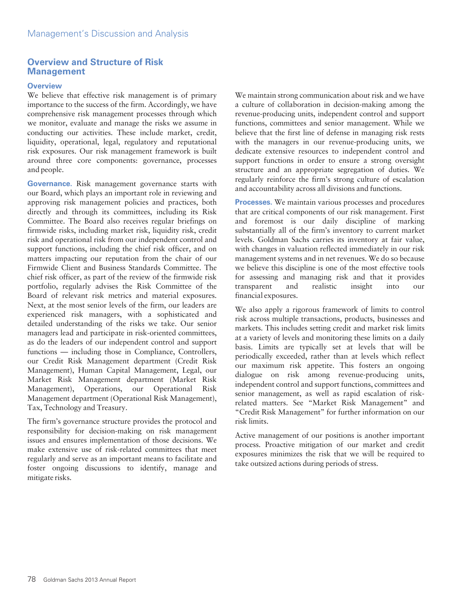## **Overview and Structure of Risk Management**

### **Overview**

We believe that effective risk management is of primary importance to the success of the firm. Accordingly, we have comprehensive risk management processes through which we monitor, evaluate and manage the risks we assume in conducting our activities. These include market, credit, liquidity, operational, legal, regulatory and reputational risk exposures. Our risk management framework is built around three core components: governance, processes and people.

**Governance.** Risk management governance starts with our Board, which plays an important role in reviewing and approving risk management policies and practices, both directly and through its committees, including its Risk Committee. The Board also receives regular briefings on firmwide risks, including market risk, liquidity risk, credit risk and operational risk from our independent control and support functions, including the chief risk officer, and on matters impacting our reputation from the chair of our Firmwide Client and Business Standards Committee. The chief risk officer, as part of the review of the firmwide risk portfolio, regularly advises the Risk Committee of the Board of relevant risk metrics and material exposures. Next, at the most senior levels of the firm, our leaders are experienced risk managers, with a sophisticated and detailed understanding of the risks we take. Our senior managers lead and participate in risk-oriented committees, as do the leaders of our independent control and support functions — including those in Compliance, Controllers, our Credit Risk Management department (Credit Risk Management), Human Capital Management, Legal, our Market Risk Management department (Market Risk Management), Operations, our Operational Risk Management department (Operational Risk Management), Tax, Technology and Treasury.

The firm's governance structure provides the protocol and responsibility for decision-making on risk management issues and ensures implementation of those decisions. We make extensive use of risk-related committees that meet regularly and serve as an important means to facilitate and foster ongoing discussions to identify, manage and mitigate risks.

We maintain strong communication about risk and we have a culture of collaboration in decision-making among the revenue-producing units, independent control and support functions, committees and senior management. While we believe that the first line of defense in managing risk rests with the managers in our revenue-producing units, we dedicate extensive resources to independent control and support functions in order to ensure a strong oversight structure and an appropriate segregation of duties. We regularly reinforce the firm's strong culture of escalation and accountability across all divisions and functions.

**Processes.** We maintain various processes and procedures that are critical components of our risk management. First and foremost is our daily discipline of marking substantially all of the firm's inventory to current market levels. Goldman Sachs carries its inventory at fair value, with changes in valuation reflected immediately in our risk management systems and in net revenues. We do so because we believe this discipline is one of the most effective tools for assessing and managing risk and that it provides transparent and realistic insight into our financial exposures.

We also apply a rigorous framework of limits to control risk across multiple transactions, products, businesses and markets. This includes setting credit and market risk limits at a variety of levels and monitoring these limits on a daily basis. Limits are typically set at levels that will be periodically exceeded, rather than at levels which reflect our maximum risk appetite. This fosters an ongoing dialogue on risk among revenue-producing units, independent control and support functions, committees and senior management, as well as rapid escalation of riskrelated matters. See "Market Risk Management" and "Credit Risk Management" for further information on our risk limits.

Active management of our positions is another important process. Proactive mitigation of our market and credit exposures minimizes the risk that we will be required to take outsized actions during periods of stress.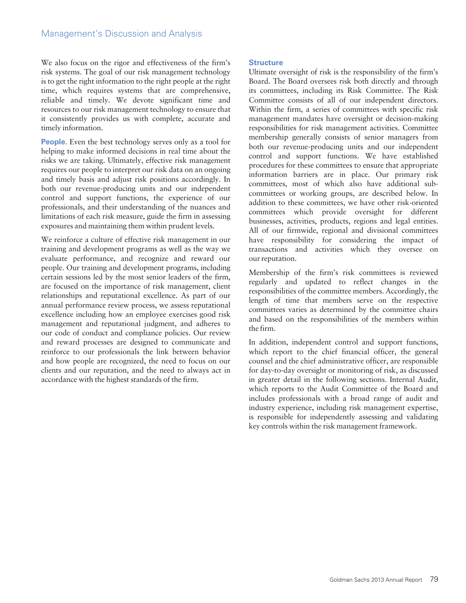We also focus on the rigor and effectiveness of the firm's risk systems. The goal of our risk management technology is to get the right information to the right people at the right time, which requires systems that are comprehensive, reliable and timely. We devote significant time and resources to our risk management technology to ensure that it consistently provides us with complete, accurate and timely information.

**People.** Even the best technology serves only as a tool for helping to make informed decisions in real time about the risks we are taking. Ultimately, effective risk management requires our people to interpret our risk data on an ongoing and timely basis and adjust risk positions accordingly. In both our revenue-producing units and our independent control and support functions, the experience of our professionals, and their understanding of the nuances and limitations of each risk measure, guide the firm in assessing exposures and maintaining them within prudent levels.

We reinforce a culture of effective risk management in our training and development programs as well as the way we evaluate performance, and recognize and reward our people. Our training and development programs, including certain sessions led by the most senior leaders of the firm, are focused on the importance of risk management, client relationships and reputational excellence. As part of our annual performance review process, we assess reputational excellence including how an employee exercises good risk management and reputational judgment, and adheres to our code of conduct and compliance policies. Our review and reward processes are designed to communicate and reinforce to our professionals the link between behavior and how people are recognized, the need to focus on our clients and our reputation, and the need to always act in accordance with the highest standards of the firm.

## **Structure**

Ultimate oversight of risk is the responsibility of the firm's Board. The Board oversees risk both directly and through its committees, including its Risk Committee. The Risk Committee consists of all of our independent directors. Within the firm, a series of committees with specific risk management mandates have oversight or decision-making responsibilities for risk management activities. Committee membership generally consists of senior managers from both our revenue-producing units and our independent control and support functions. We have established procedures for these committees to ensure that appropriate information barriers are in place. Our primary risk committees, most of which also have additional subcommittees or working groups, are described below. In addition to these committees, we have other risk-oriented committees which provide oversight for different businesses, activities, products, regions and legal entities. All of our firmwide, regional and divisional committees have responsibility for considering the impact of transactions and activities which they oversee on our reputation.

Membership of the firm's risk committees is reviewed regularly and updated to reflect changes in the responsibilities of the committee members. Accordingly, the length of time that members serve on the respective committees varies as determined by the committee chairs and based on the responsibilities of the members within the firm.

In addition, independent control and support functions, which report to the chief financial officer, the general counsel and the chief administrative officer, are responsible for day-to-day oversight or monitoring of risk, as discussed in greater detail in the following sections. Internal Audit, which reports to the Audit Committee of the Board and includes professionals with a broad range of audit and industry experience, including risk management expertise, is responsible for independently assessing and validating key controls within the risk management framework.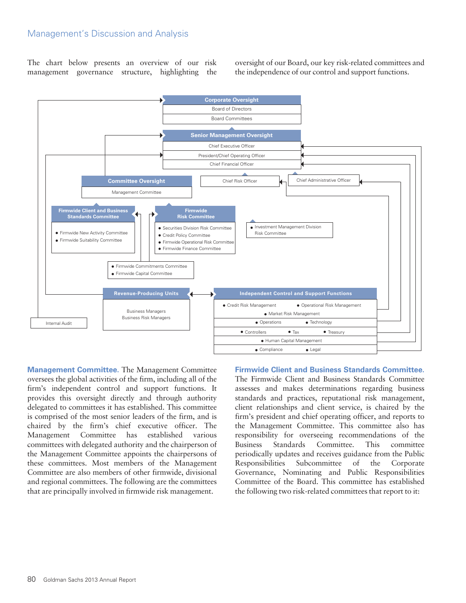## Management's Discussion and Analysis

The chart below presents an overview of our risk management governance structure, highlighting the oversight of our Board, our key risk-related committees and the independence of our control and support functions.



**Management Committee.** The Management Committee oversees the global activities of the firm, including all of the firm's independent control and support functions. It provides this oversight directly and through authority delegated to committees it has established. This committee is comprised of the most senior leaders of the firm, and is chaired by the firm's chief executive officer. The Management Committee has established various committees with delegated authority and the chairperson of the Management Committee appoints the chairpersons of these committees. Most members of the Management Committee are also members of other firmwide, divisional and regional committees. The following are the committees that are principally involved in firmwide risk management.

**Firmwide Client and Business Standards Committee.** The Firmwide Client and Business Standards Committee assesses and makes determinations regarding business standards and practices, reputational risk management, client relationships and client service, is chaired by the firm's president and chief operating officer, and reports to the Management Committee. This committee also has responsibility for overseeing recommendations of the Business Standards Committee. This committee periodically updates and receives guidance from the Public Responsibilities Subcommittee of the Corporate Governance, Nominating and Public Responsibilities Committee of the Board. This committee has established the following two risk-related committees that report to it: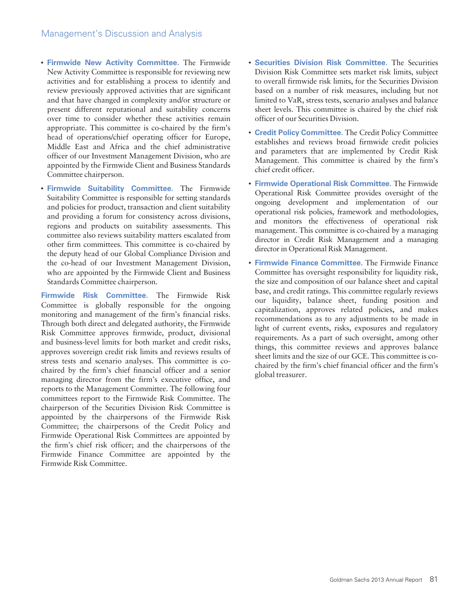- ‰ **Firmwide New Activity Committee.** The Firmwide New Activity Committee is responsible for reviewing new activities and for establishing a process to identify and review previously approved activities that are significant and that have changed in complexity and/or structure or present different reputational and suitability concerns over time to consider whether these activities remain appropriate. This committee is co-chaired by the firm's head of operations/chief operating officer for Europe, Middle East and Africa and the chief administrative officer of our Investment Management Division, who are appointed by the Firmwide Client and Business Standards Committee chairperson.
- ‰ **Firmwide Suitability Committee.** The Firmwide Suitability Committee is responsible for setting standards and policies for product, transaction and client suitability and providing a forum for consistency across divisions, regions and products on suitability assessments. This committee also reviews suitability matters escalated from other firm committees. This committee is co-chaired by the deputy head of our Global Compliance Division and the co-head of our Investment Management Division, who are appointed by the Firmwide Client and Business Standards Committee chairperson.

**Firmwide Risk Committee.** The Firmwide Risk Committee is globally responsible for the ongoing monitoring and management of the firm's financial risks. Through both direct and delegated authority, the Firmwide Risk Committee approves firmwide, product, divisional and business-level limits for both market and credit risks, approves sovereign credit risk limits and reviews results of stress tests and scenario analyses. This committee is cochaired by the firm's chief financial officer and a senior managing director from the firm's executive office, and reports to the Management Committee. The following four committees report to the Firmwide Risk Committee. The chairperson of the Securities Division Risk Committee is appointed by the chairpersons of the Firmwide Risk Committee; the chairpersons of the Credit Policy and Firmwide Operational Risk Committees are appointed by the firm's chief risk officer; and the chairpersons of the Firmwide Finance Committee are appointed by the Firmwide Risk Committee.

- ‰ **Securities Division Risk Committee.** The Securities Division Risk Committee sets market risk limits, subject to overall firmwide risk limits, for the Securities Division based on a number of risk measures, including but not limited to VaR, stress tests, scenario analyses and balance sheet levels. This committee is chaired by the chief risk officer of our Securities Division.
- ‰ **Credit Policy Committee.** The Credit Policy Committee establishes and reviews broad firmwide credit policies and parameters that are implemented by Credit Risk Management. This committee is chaired by the firm's chief credit officer.
- ‰ **Firmwide Operational Risk Committee.** The Firmwide Operational Risk Committee provides oversight of the ongoing development and implementation of our operational risk policies, framework and methodologies, and monitors the effectiveness of operational risk management. This committee is co-chaired by a managing director in Credit Risk Management and a managing director in Operational Risk Management.
- ‰ **Firmwide Finance Committee.** The Firmwide Finance Committee has oversight responsibility for liquidity risk, the size and composition of our balance sheet and capital base, and credit ratings. This committee regularly reviews our liquidity, balance sheet, funding position and capitalization, approves related policies, and makes recommendations as to any adjustments to be made in light of current events, risks, exposures and regulatory requirements. As a part of such oversight, among other things, this committee reviews and approves balance sheet limits and the size of our GCE. This committee is cochaired by the firm's chief financial officer and the firm's global treasurer.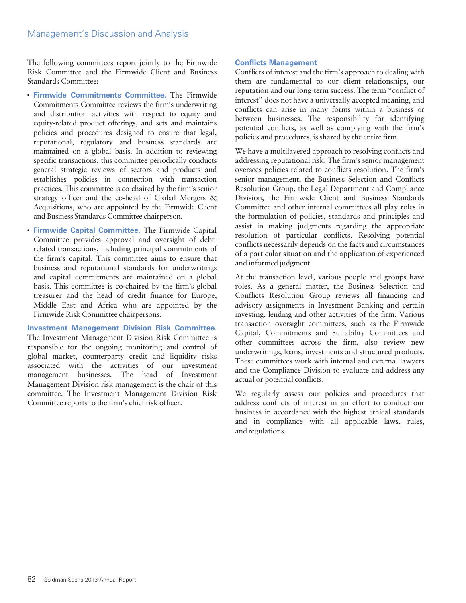The following committees report jointly to the Firmwide Risk Committee and the Firmwide Client and Business Standards Committee:

- ‰ **Firmwide Commitments Committee.** The Firmwide Commitments Committee reviews the firm's underwriting and distribution activities with respect to equity and equity-related product offerings, and sets and maintains policies and procedures designed to ensure that legal, reputational, regulatory and business standards are maintained on a global basis. In addition to reviewing specific transactions, this committee periodically conducts general strategic reviews of sectors and products and establishes policies in connection with transaction practices. This committee is co-chaired by the firm's senior strategy officer and the co-head of Global Mergers & Acquisitions, who are appointed by the Firmwide Client and Business Standards Committee chairperson.
- ‰ **Firmwide Capital Committee.** The Firmwide Capital Committee provides approval and oversight of debtrelated transactions, including principal commitments of the firm's capital. This committee aims to ensure that business and reputational standards for underwritings and capital commitments are maintained on a global basis. This committee is co-chaired by the firm's global treasurer and the head of credit finance for Europe, Middle East and Africa who are appointed by the Firmwide Risk Committee chairpersons.

**Investment Management Division Risk Committee.** The Investment Management Division Risk Committee is responsible for the ongoing monitoring and control of global market, counterparty credit and liquidity risks associated with the activities of our investment management businesses. The head of Investment Management Division risk management is the chair of this committee. The Investment Management Division Risk Committee reports to the firm's chief risk officer.

## **Conflicts Management**

Conflicts of interest and the firm's approach to dealing with them are fundamental to our client relationships, our reputation and our long-term success. The term "conflict of interest" does not have a universally accepted meaning, and conflicts can arise in many forms within a business or between businesses. The responsibility for identifying potential conflicts, as well as complying with the firm's policies and procedures, is shared by the entire firm.

We have a multilayered approach to resolving conflicts and addressing reputational risk. The firm's senior management oversees policies related to conflicts resolution. The firm's senior management, the Business Selection and Conflicts Resolution Group, the Legal Department and Compliance Division, the Firmwide Client and Business Standards Committee and other internal committees all play roles in the formulation of policies, standards and principles and assist in making judgments regarding the appropriate resolution of particular conflicts. Resolving potential conflicts necessarily depends on the facts and circumstances of a particular situation and the application of experienced and informed judgment.

At the transaction level, various people and groups have roles. As a general matter, the Business Selection and Conflicts Resolution Group reviews all financing and advisory assignments in Investment Banking and certain investing, lending and other activities of the firm. Various transaction oversight committees, such as the Firmwide Capital, Commitments and Suitability Committees and other committees across the firm, also review new underwritings, loans, investments and structured products. These committees work with internal and external lawyers and the Compliance Division to evaluate and address any actual or potential conflicts.

We regularly assess our policies and procedures that address conflicts of interest in an effort to conduct our business in accordance with the highest ethical standards and in compliance with all applicable laws, rules, and regulations.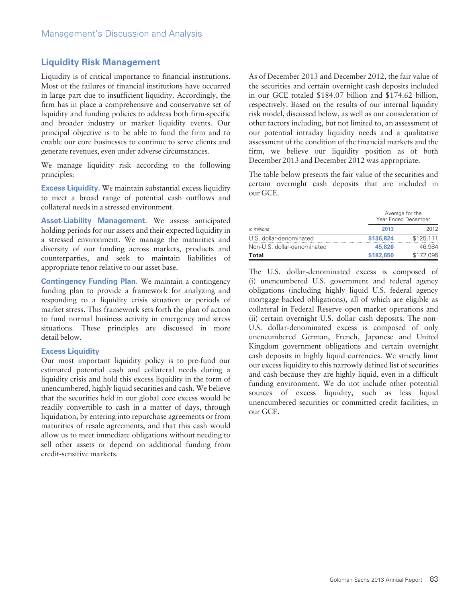# **Liquidity Risk Management**

Liquidity is of critical importance to financial institutions. Most of the failures of financial institutions have occurred in large part due to insufficient liquidity. Accordingly, the firm has in place a comprehensive and conservative set of liquidity and funding policies to address both firm-specific and broader industry or market liquidity events. Our principal objective is to be able to fund the firm and to enable our core businesses to continue to serve clients and generate revenues, even under adverse circumstances.

We manage liquidity risk according to the following principles:

**Excess Liquidity.** We maintain substantial excess liquidity to meet a broad range of potential cash outflows and collateral needs in a stressed environment.

**Asset-Liability Management.** We assess anticipated holding periods for our assets and their expected liquidity in a stressed environment. We manage the maturities and diversity of our funding across markets, products and counterparties, and seek to maintain liabilities of appropriate tenor relative to our asset base.

**Contingency Funding Plan.** We maintain a contingency funding plan to provide a framework for analyzing and responding to a liquidity crisis situation or periods of market stress. This framework sets forth the plan of action to fund normal business activity in emergency and stress situations. These principles are discussed in more detail below.

### **Excess Liquidity**

Our most important liquidity policy is to pre-fund our estimated potential cash and collateral needs during a liquidity crisis and hold this excess liquidity in the form of unencumbered, highly liquid securities and cash. We believe that the securities held in our global core excess would be readily convertible to cash in a matter of days, through liquidation, by entering into repurchase agreements or from maturities of resale agreements, and that this cash would allow us to meet immediate obligations without needing to sell other assets or depend on additional funding from credit-sensitive markets.

As of December 2013 and December 2012, the fair value of the securities and certain overnight cash deposits included in our GCE totaled \$184.07 billion and \$174.62 billion, respectively. Based on the results of our internal liquidity risk model, discussed below, as well as our consideration of other factors including, but not limited to, an assessment of our potential intraday liquidity needs and a qualitative assessment of the condition of the financial markets and the firm, we believe our liquidity position as of both December 2013 and December 2012 was appropriate.

The table below presents the fair value of the securities and certain overnight cash deposits that are included in our GCE.

|                             | Average for the<br>Year Ended December |           |  |
|-----------------------------|----------------------------------------|-----------|--|
| in millions                 | 2013                                   | 2012      |  |
| U.S. dollar-denominated     | \$136,824                              | \$125.111 |  |
| Non-U.S. dollar-denominated | 45,826                                 | 46.984    |  |
| Total                       | \$182,650                              | \$172.095 |  |

The U.S. dollar-denominated excess is composed of (i) unencumbered U.S. government and federal agency obligations (including highly liquid U.S. federal agency mortgage-backed obligations), all of which are eligible as collateral in Federal Reserve open market operations and (ii) certain overnight U.S. dollar cash deposits. The non-U.S. dollar-denominated excess is composed of only unencumbered German, French, Japanese and United Kingdom government obligations and certain overnight cash deposits in highly liquid currencies. We strictly limit our excess liquidity to this narrowly defined list of securities and cash because they are highly liquid, even in a difficult funding environment. We do not include other potential sources of excess liquidity, such as less liquid unencumbered securities or committed credit facilities, in our GCE.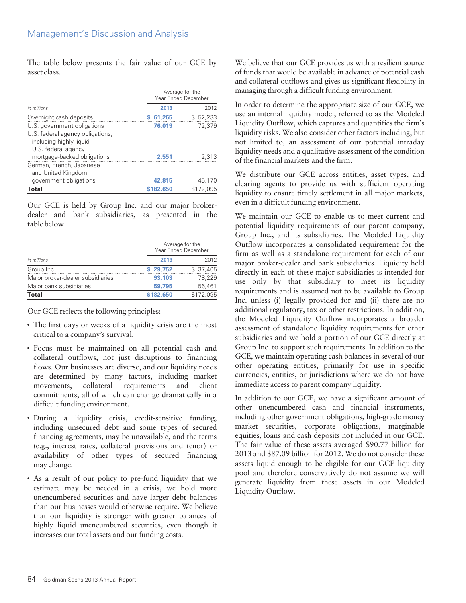The table below presents the fair value of our GCE by asset class.

|                                                                                                                   | Average for the<br>Year Ended December |           |  |  |
|-------------------------------------------------------------------------------------------------------------------|----------------------------------------|-----------|--|--|
| in millions                                                                                                       | 2013                                   | 2012      |  |  |
| Overnight cash deposits                                                                                           | 61.265<br>S                            | \$52,233  |  |  |
| U.S. government obligations                                                                                       | 76,019                                 | 72.379    |  |  |
| U.S. federal agency obligations,<br>including highly liguid<br>U.S. federal agency<br>mortgage-backed obligations | 2.551                                  | 2.313     |  |  |
| German, French, Japanese<br>and United Kingdom                                                                    |                                        |           |  |  |
| government obligations                                                                                            | 42,815                                 | 45,170    |  |  |
| <b>Total</b>                                                                                                      | \$182,650                              | \$172,095 |  |  |

Our GCE is held by Group Inc. and our major brokerdealer and bank subsidiaries, as presented in the table below.

|                                  | Average for the<br>Year Ended December |           |  |  |
|----------------------------------|----------------------------------------|-----------|--|--|
| in millions                      | 2013                                   | 2012      |  |  |
| Group Inc.                       | \$29,752                               | \$37,405  |  |  |
| Major broker-dealer subsidiaries | 93.103                                 | 78.229    |  |  |
| Major bank subsidiaries          | 59.795                                 | 56.461    |  |  |
| <b>Total</b>                     | \$182,650                              | \$172,095 |  |  |

Our GCE reflects the following principles:

- The first days or weeks of a liquidity crisis are the most critical to a company's survival.
- ‰ Focus must be maintained on all potential cash and collateral outflows, not just disruptions to financing flows. Our businesses are diverse, and our liquidity needs are determined by many factors, including market movements, collateral requirements and client commitments, all of which can change dramatically in a difficult funding environment.
- ‰ During a liquidity crisis, credit-sensitive funding, including unsecured debt and some types of secured financing agreements, may be unavailable, and the terms (e.g., interest rates, collateral provisions and tenor) or availability of other types of secured financing may change.
- ‰ As a result of our policy to pre-fund liquidity that we estimate may be needed in a crisis, we hold more unencumbered securities and have larger debt balances than our businesses would otherwise require. We believe that our liquidity is stronger with greater balances of highly liquid unencumbered securities, even though it increases our total assets and our funding costs.

We believe that our GCE provides us with a resilient source of funds that would be available in advance of potential cash and collateral outflows and gives us significant flexibility in managing through a difficult funding environment.

In order to determine the appropriate size of our GCE, we use an internal liquidity model, referred to as the Modeled Liquidity Outflow, which captures and quantifies the firm's liquidity risks. We also consider other factors including, but not limited to, an assessment of our potential intraday liquidity needs and a qualitative assessment of the condition of the financial markets and the firm.

We distribute our GCE across entities, asset types, and clearing agents to provide us with sufficient operating liquidity to ensure timely settlement in all major markets, even in a difficult funding environment.

We maintain our GCE to enable us to meet current and potential liquidity requirements of our parent company, Group Inc., and its subsidiaries. The Modeled Liquidity Outflow incorporates a consolidated requirement for the firm as well as a standalone requirement for each of our major broker-dealer and bank subsidiaries. Liquidity held directly in each of these major subsidiaries is intended for use only by that subsidiary to meet its liquidity requirements and is assumed not to be available to Group Inc. unless (i) legally provided for and (ii) there are no additional regulatory, tax or other restrictions. In addition, the Modeled Liquidity Outflow incorporates a broader assessment of standalone liquidity requirements for other subsidiaries and we hold a portion of our GCE directly at Group Inc. to support such requirements. In addition to the GCE, we maintain operating cash balances in several of our other operating entities, primarily for use in specific currencies, entities, or jurisdictions where we do not have immediate access to parent company liquidity.

In addition to our GCE, we have a significant amount of other unencumbered cash and financial instruments, including other government obligations, high-grade money market securities, corporate obligations, marginable equities, loans and cash deposits not included in our GCE. The fair value of these assets averaged \$90.77 billion for 2013 and \$87.09 billion for 2012. We do not consider these assets liquid enough to be eligible for our GCE liquidity pool and therefore conservatively do not assume we will generate liquidity from these assets in our Modeled Liquidity Outflow.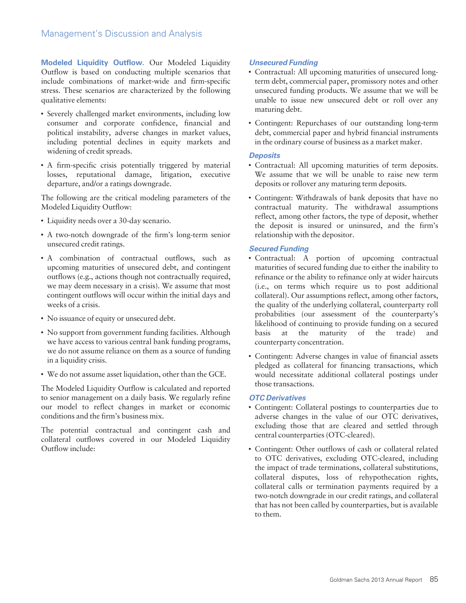**Modeled Liquidity Outflow.** Our Modeled Liquidity Outflow is based on conducting multiple scenarios that include combinations of market-wide and firm-specific stress. These scenarios are characterized by the following qualitative elements:

- ‰ Severely challenged market environments, including low consumer and corporate confidence, financial and political instability, adverse changes in market values, including potential declines in equity markets and widening of credit spreads.
- A firm-specific crisis potentially triggered by material losses, reputational damage, litigation, executive departure, and/or a ratings downgrade.

The following are the critical modeling parameters of the Modeled Liquidity Outflow:

- ‰ Liquidity needs over a 30-day scenario.
- ‰ A two-notch downgrade of the firm's long-term senior unsecured credit ratings.
- ‰ A combination of contractual outflows, such as upcoming maturities of unsecured debt, and contingent outflows (e.g., actions though not contractually required, we may deem necessary in a crisis). We assume that most contingent outflows will occur within the initial days and weeks of a crisis.
- ‰ No issuance of equity or unsecured debt.
- No support from government funding facilities. Although we have access to various central bank funding programs, we do not assume reliance on them as a source of funding in a liquidity crisis.
- ‰ We do not assume asset liquidation, other than the GCE.

The Modeled Liquidity Outflow is calculated and reported to senior management on a daily basis. We regularly refine our model to reflect changes in market or economic conditions and the firm's business mix.

The potential contractual and contingent cash and collateral outflows covered in our Modeled Liquidity Outflow include:

## *Unsecured Funding*

- ‰ Contractual: All upcoming maturities of unsecured longterm debt, commercial paper, promissory notes and other unsecured funding products. We assume that we will be unable to issue new unsecured debt or roll over any maturing debt.
- ‰ Contingent: Repurchases of our outstanding long-term debt, commercial paper and hybrid financial instruments in the ordinary course of business as a market maker.

## *Deposits*

- ‰ Contractual: All upcoming maturities of term deposits. We assume that we will be unable to raise new term deposits or rollover any maturing term deposits.
- ‰ Contingent: Withdrawals of bank deposits that have no contractual maturity. The withdrawal assumptions reflect, among other factors, the type of deposit, whether the deposit is insured or uninsured, and the firm's relationship with the depositor.

## *Secured Funding*

- Contractual: A portion of upcoming contractual maturities of secured funding due to either the inability to refinance or the ability to refinance only at wider haircuts (i.e., on terms which require us to post additional collateral). Our assumptions reflect, among other factors, the quality of the underlying collateral, counterparty roll probabilities (our assessment of the counterparty's likelihood of continuing to provide funding on a secured basis at the maturity of the trade) and counterparty concentration.
- ‰ Contingent: Adverse changes in value of financial assets pledged as collateral for financing transactions, which would necessitate additional collateral postings under those transactions.

## *OTC Derivatives*

- ‰ Contingent: Collateral postings to counterparties due to adverse changes in the value of our OTC derivatives, excluding those that are cleared and settled through central counterparties (OTC-cleared).
- ‰ Contingent: Other outflows of cash or collateral related to OTC derivatives, excluding OTC-cleared, including the impact of trade terminations, collateral substitutions, collateral disputes, loss of rehypothecation rights, collateral calls or termination payments required by a two-notch downgrade in our credit ratings, and collateral that has not been called by counterparties, but is available to them.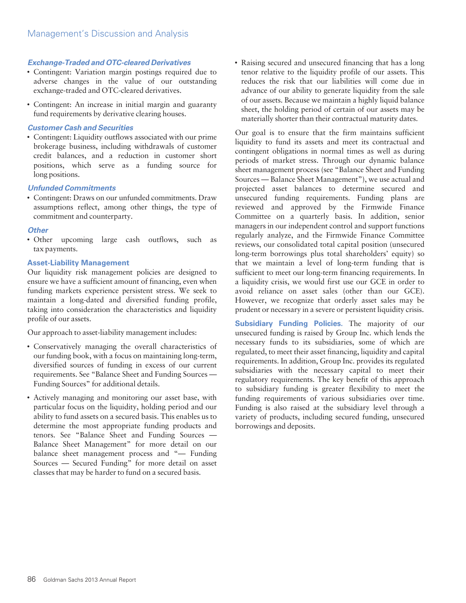## *Exchange-Traded and OTC-cleared Derivatives*

- ‰ Contingent: Variation margin postings required due to adverse changes in the value of our outstanding exchange-traded and OTC-cleared derivatives.
- ‰ Contingent: An increase in initial margin and guaranty fund requirements by derivative clearing houses.

### *Customer Cash and Securities*

‰ Contingent: Liquidity outflows associated with our prime brokerage business, including withdrawals of customer credit balances, and a reduction in customer short positions, which serve as a funding source for long positions.

### *Unfunded Commitments*

‰ Contingent: Draws on our unfunded commitments. Draw assumptions reflect, among other things, the type of commitment and counterparty.

### *Other*

‰ Other upcoming large cash outflows, such as tax payments.

### **Asset-Liability Management**

Our liquidity risk management policies are designed to ensure we have a sufficient amount of financing, even when funding markets experience persistent stress. We seek to maintain a long-dated and diversified funding profile, taking into consideration the characteristics and liquidity profile of our assets.

Our approach to asset-liability management includes:

- ‰ Conservatively managing the overall characteristics of our funding book, with a focus on maintaining long-term, diversified sources of funding in excess of our current requirements. See "Balance Sheet and Funding Sources — Funding Sources" for additional details.
- ‰ Actively managing and monitoring our asset base, with particular focus on the liquidity, holding period and our ability to fund assets on a secured basis. This enables us to determine the most appropriate funding products and tenors. See "Balance Sheet and Funding Sources — Balance Sheet Management" for more detail on our balance sheet management process and "— Funding Sources — Secured Funding" for more detail on asset classes that may be harder to fund on a secured basis.

‰ Raising secured and unsecured financing that has a long tenor relative to the liquidity profile of our assets. This reduces the risk that our liabilities will come due in advance of our ability to generate liquidity from the sale of our assets. Because we maintain a highly liquid balance sheet, the holding period of certain of our assets may be materially shorter than their contractual maturity dates.

Our goal is to ensure that the firm maintains sufficient liquidity to fund its assets and meet its contractual and contingent obligations in normal times as well as during periods of market stress. Through our dynamic balance sheet management process (see "Balance Sheet and Funding Sources — Balance Sheet Management"), we use actual and projected asset balances to determine secured and unsecured funding requirements. Funding plans are reviewed and approved by the Firmwide Finance Committee on a quarterly basis. In addition, senior managers in our independent control and support functions regularly analyze, and the Firmwide Finance Committee reviews, our consolidated total capital position (unsecured long-term borrowings plus total shareholders' equity) so that we maintain a level of long-term funding that is sufficient to meet our long-term financing requirements. In a liquidity crisis, we would first use our GCE in order to avoid reliance on asset sales (other than our GCE). However, we recognize that orderly asset sales may be prudent or necessary in a severe or persistent liquidity crisis.

**Subsidiary Funding Policies.** The majority of our unsecured funding is raised by Group Inc. which lends the necessary funds to its subsidiaries, some of which are regulated, to meet their asset financing, liquidity and capital requirements. In addition, Group Inc. provides its regulated subsidiaries with the necessary capital to meet their regulatory requirements. The key benefit of this approach to subsidiary funding is greater flexibility to meet the funding requirements of various subsidiaries over time. Funding is also raised at the subsidiary level through a variety of products, including secured funding, unsecured borrowings and deposits.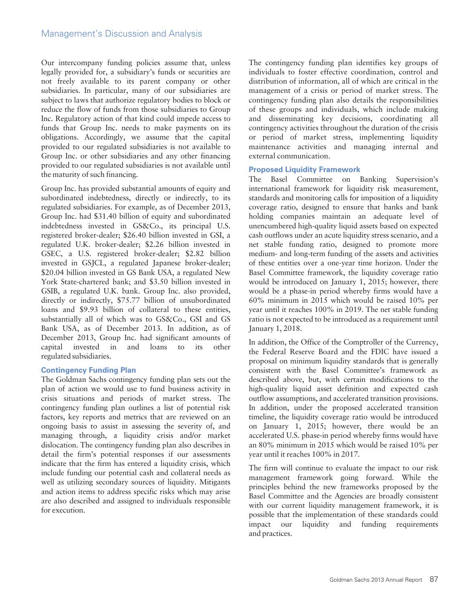Our intercompany funding policies assume that, unless legally provided for, a subsidiary's funds or securities are not freely available to its parent company or other subsidiaries. In particular, many of our subsidiaries are subject to laws that authorize regulatory bodies to block or reduce the flow of funds from those subsidiaries to Group Inc. Regulatory action of that kind could impede access to funds that Group Inc. needs to make payments on its obligations. Accordingly, we assume that the capital provided to our regulated subsidiaries is not available to Group Inc. or other subsidiaries and any other financing provided to our regulated subsidiaries is not available until the maturity of such financing.

Group Inc. has provided substantial amounts of equity and subordinated indebtedness, directly or indirectly, to its regulated subsidiaries. For example, as of December 2013, Group Inc. had \$31.40 billion of equity and subordinated indebtedness invested in GS&Co., its principal U.S. registered broker-dealer; \$26.40 billion invested in GSI, a regulated U.K. broker-dealer; \$2.26 billion invested in GSEC, a U.S. registered broker-dealer; \$2.82 billion invested in GSJCL, a regulated Japanese broker-dealer; \$20.04 billion invested in GS Bank USA, a regulated New York State-chartered bank; and \$3.50 billion invested in GSIB, a regulated U.K. bank. Group Inc. also provided, directly or indirectly, \$75.77 billion of unsubordinated loans and \$9.93 billion of collateral to these entities, substantially all of which was to GS&Co., GSI and GS Bank USA, as of December 2013. In addition, as of December 2013, Group Inc. had significant amounts of capital invested in and loans to its other regulated subsidiaries.

## **Contingency Funding Plan**

The Goldman Sachs contingency funding plan sets out the plan of action we would use to fund business activity in crisis situations and periods of market stress. The contingency funding plan outlines a list of potential risk factors, key reports and metrics that are reviewed on an ongoing basis to assist in assessing the severity of, and managing through, a liquidity crisis and/or market dislocation. The contingency funding plan also describes in detail the firm's potential responses if our assessments indicate that the firm has entered a liquidity crisis, which include funding our potential cash and collateral needs as well as utilizing secondary sources of liquidity. Mitigants and action items to address specific risks which may arise are also described and assigned to individuals responsible for execution.

The contingency funding plan identifies key groups of individuals to foster effective coordination, control and distribution of information, all of which are critical in the management of a crisis or period of market stress. The contingency funding plan also details the responsibilities of these groups and individuals, which include making and disseminating key decisions, coordinating all contingency activities throughout the duration of the crisis or period of market stress, implementing liquidity maintenance activities and managing internal and external communication.

## **Proposed Liquidity Framework**

The Basel Committee on Banking Supervision's international framework for liquidity risk measurement, standards and monitoring calls for imposition of a liquidity coverage ratio, designed to ensure that banks and bank holding companies maintain an adequate level of unencumbered high-quality liquid assets based on expected cash outflows under an acute liquidity stress scenario, and a net stable funding ratio, designed to promote more medium- and long-term funding of the assets and activities of these entities over a one-year time horizon. Under the Basel Committee framework, the liquidity coverage ratio would be introduced on January 1, 2015; however, there would be a phase-in period whereby firms would have a 60% minimum in 2015 which would be raised 10% per year until it reaches 100% in 2019. The net stable funding ratio is not expected to be introduced as a requirement until January 1, 2018.

In addition, the Office of the Comptroller of the Currency, the Federal Reserve Board and the FDIC have issued a proposal on minimum liquidity standards that is generally consistent with the Basel Committee's framework as described above, but, with certain modifications to the high-quality liquid asset definition and expected cash outflow assumptions, and accelerated transition provisions. In addition, under the proposed accelerated transition timeline, the liquidity coverage ratio would be introduced on January 1, 2015; however, there would be an accelerated U.S. phase-in period whereby firms would have an 80% minimum in 2015 which would be raised 10% per year until it reaches 100% in 2017.

The firm will continue to evaluate the impact to our risk management framework going forward. While the principles behind the new frameworks proposed by the Basel Committee and the Agencies are broadly consistent with our current liquidity management framework, it is possible that the implementation of these standards could impact our liquidity and funding requirements and practices.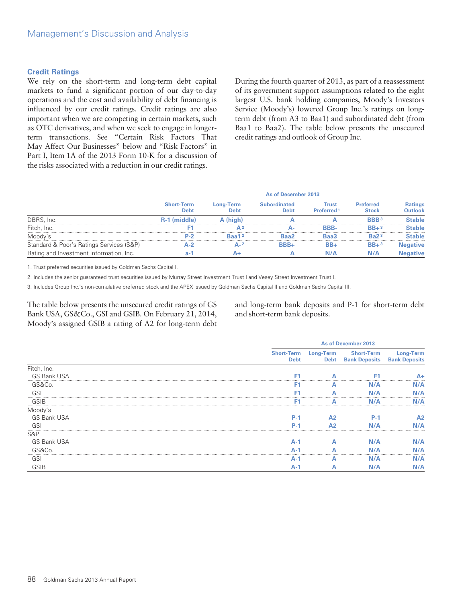## **Credit Ratings**

We rely on the short-term and long-term debt capital markets to fund a significant portion of our day-to-day operations and the cost and availability of debt financing is influenced by our credit ratings. Credit ratings are also important when we are competing in certain markets, such as OTC derivatives, and when we seek to engage in longerterm transactions. See "Certain Risk Factors That May Affect Our Businesses" below and "Risk Factors" in Part I, Item 1A of the 2013 Form 10-K for a discussion of the risks associated with a reduction in our credit ratings.

During the fourth quarter of 2013, as part of a reassessment of its government support assumptions related to the eight largest U.S. bank holding companies, Moody's Investors Service (Moody's) lowered Group Inc.'s ratings on longterm debt (from A3 to Baa1) and subordinated debt (from Baa1 to Baa2). The table below presents the unsecured credit ratings and outlook of Group Inc.

|                                          | As of December 2013       |           |                        |                      |                           |                           |
|------------------------------------------|---------------------------|-----------|------------------------|----------------------|---------------------------|---------------------------|
|                                          | <b>Short-Term</b><br>Debt | Long-Term | iuhordinated<br>ີ Pebt | Trust<br>Preferred 1 | Preferred<br><b>Stock</b> | Ratings<br><b>Outlook</b> |
| DBRS, Inc.                               |                           |           |                        |                      | RRR                       | Stable                    |
| Fitch, Inc.                              |                           |           |                        |                      | $RR + 3$                  | Stable                    |
| Moody's                                  |                           | Baa12     | Raa2                   | Baa3                 |                           | Stable                    |
| Standard & Poor's Ratings Services (S&P) |                           |           |                        |                      | $RR+3$                    |                           |
| Rating and Investment Information, Inc.  |                           |           |                        |                      |                           |                           |

1. Trust preferred securities issued by Goldman Sachs Capital I.

2. Includes the senior guaranteed trust securities issued by Murray Street Investment Trust I and Vesey Street Investment Trust I.

3. Includes Group Inc.'s non-cumulative preferred stock and the APEX issued by Goldman Sachs Capital II and Goldman Sachs Capital III.

The table below presents the unsecured credit ratings of GS Bank USA, GS&Co., GSI and GSIB. On February 21, 2014, Moody's assigned GSIB a rating of A2 for long-term debt and long-term bank deposits and P-1 for short-term debt and short-term bank deposits.

|                                   | As of December 2013              |                  |                                       |                                          |  |  |  |  |
|-----------------------------------|----------------------------------|------------------|---------------------------------------|------------------------------------------|--|--|--|--|
|                                   | <b>Short-Term</b><br><b>Daht</b> | <b>Long-Term</b> | Term Short-Term<br>Debt Bank Deposits | <b>Long-Term</b><br><b>Bank Deposits</b> |  |  |  |  |
| Fitch, Inc.<br><b>GS Bank USA</b> |                                  |                  |                                       |                                          |  |  |  |  |
| GS&Co.                            |                                  |                  |                                       |                                          |  |  |  |  |
|                                   |                                  |                  |                                       |                                          |  |  |  |  |
|                                   |                                  |                  |                                       |                                          |  |  |  |  |
| Moodv's<br>GS Bank l              |                                  |                  |                                       |                                          |  |  |  |  |
|                                   |                                  | Α2               |                                       |                                          |  |  |  |  |
| S&P                               |                                  |                  |                                       |                                          |  |  |  |  |
| GS Bank l                         |                                  |                  |                                       |                                          |  |  |  |  |
|                                   |                                  |                  |                                       |                                          |  |  |  |  |
|                                   |                                  |                  | N/A                                   |                                          |  |  |  |  |
|                                   |                                  |                  |                                       |                                          |  |  |  |  |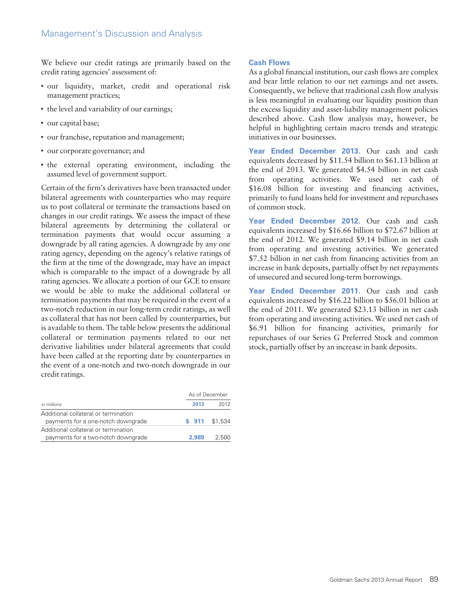We believe our credit ratings are primarily based on the credit rating agencies' assessment of:

- ‰ our liquidity, market, credit and operational risk management practices;
- the level and variability of our earnings;
- our capital base;
- our franchise, reputation and management;
- our corporate governance; and
- the external operating environment, including the assumed level of government support.

Certain of the firm's derivatives have been transacted under bilateral agreements with counterparties who may require us to post collateral or terminate the transactions based on changes in our credit ratings. We assess the impact of these bilateral agreements by determining the collateral or termination payments that would occur assuming a downgrade by all rating agencies. A downgrade by any one rating agency, depending on the agency's relative ratings of the firm at the time of the downgrade, may have an impact which is comparable to the impact of a downgrade by all rating agencies. We allocate a portion of our GCE to ensure we would be able to make the additional collateral or termination payments that may be required in the event of a two-notch reduction in our long-term credit ratings, as well as collateral that has not been called by counterparties, but is available to them. The table below presents the additional collateral or termination payments related to our net derivative liabilities under bilateral agreements that could have been called at the reporting date by counterparties in the event of a one-notch and two-notch downgrade in our credit ratings.

|                                      |                 | As of December |
|--------------------------------------|-----------------|----------------|
| in millions                          | 2013            | 2012           |
| Additional collateral or termination |                 |                |
| payments for a one-notch downgrade   | $$911$ $$1.534$ |                |
| Additional collateral or termination |                 |                |
| payments for a two-notch downgrade   | 2,989           | 2.500          |

## **Cash Flows**

As a global financial institution, our cash flows are complex and bear little relation to our net earnings and net assets. Consequently, we believe that traditional cash flow analysis is less meaningful in evaluating our liquidity position than the excess liquidity and asset-liability management policies described above. Cash flow analysis may, however, be helpful in highlighting certain macro trends and strategic initiatives in our businesses.

**Year Ended December 2013.** Our cash and cash equivalents decreased by \$11.54 billion to \$61.13 billion at the end of 2013. We generated \$4.54 billion in net cash from operating activities. We used net cash of \$16.08 billion for investing and financing activities, primarily to fund loans held for investment and repurchases of common stock.

**Year Ended December 2012.** Our cash and cash equivalents increased by \$16.66 billion to \$72.67 billion at the end of 2012. We generated \$9.14 billion in net cash from operating and investing activities. We generated \$7.52 billion in net cash from financing activities from an increase in bank deposits, partially offset by net repayments of unsecured and secured long-term borrowings.

**Year Ended December 2011.** Our cash and cash equivalents increased by \$16.22 billion to \$56.01 billion at the end of 2011. We generated \$23.13 billion in net cash from operating and investing activities. We used net cash of \$6.91 billion for financing activities, primarily for repurchases of our Series G Preferred Stock and common stock, partially offset by an increase in bank deposits.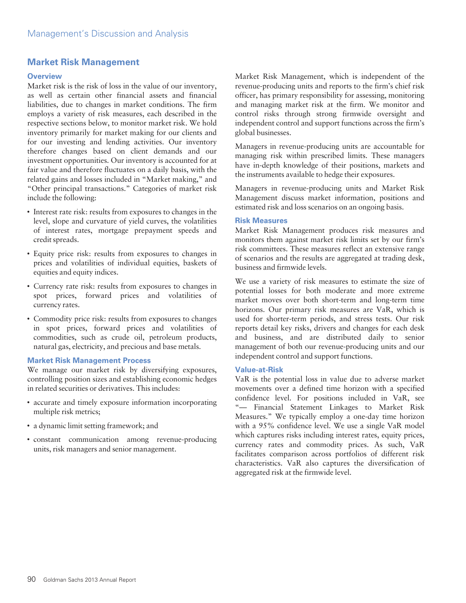# **Market Risk Management**

## **Overview**

Market risk is the risk of loss in the value of our inventory, as well as certain other financial assets and financial liabilities, due to changes in market conditions. The firm employs a variety of risk measures, each described in the respective sections below, to monitor market risk. We hold inventory primarily for market making for our clients and for our investing and lending activities. Our inventory therefore changes based on client demands and our investment opportunities. Our inventory is accounted for at fair value and therefore fluctuates on a daily basis, with the related gains and losses included in "Market making," and "Other principal transactions." Categories of market risk include the following:

- Interest rate risk: results from exposures to changes in the level, slope and curvature of yield curves, the volatilities of interest rates, mortgage prepayment speeds and credit spreads.
- ‰ Equity price risk: results from exposures to changes in prices and volatilities of individual equities, baskets of equities and equity indices.
- ‰ Currency rate risk: results from exposures to changes in spot prices, forward prices and volatilities of currency rates.
- ‰ Commodity price risk: results from exposures to changes in spot prices, forward prices and volatilities of commodities, such as crude oil, petroleum products, natural gas, electricity, and precious and base metals.

### **Market Risk Management Process**

We manage our market risk by diversifying exposures, controlling position sizes and establishing economic hedges in related securities or derivatives. This includes:

- accurate and timely exposure information incorporating multiple risk metrics;
- ‰ a dynamic limit setting framework; and
- constant communication among revenue-producing units, risk managers and senior management.

Market Risk Management, which is independent of the revenue-producing units and reports to the firm's chief risk officer, has primary responsibility for assessing, monitoring and managing market risk at the firm. We monitor and control risks through strong firmwide oversight and independent control and support functions across the firm's global businesses.

Managers in revenue-producing units are accountable for managing risk within prescribed limits. These managers have in-depth knowledge of their positions, markets and the instruments available to hedge their exposures.

Managers in revenue-producing units and Market Risk Management discuss market information, positions and estimated risk and loss scenarios on an ongoing basis.

#### **Risk Measures**

Market Risk Management produces risk measures and monitors them against market risk limits set by our firm's risk committees. These measures reflect an extensive range of scenarios and the results are aggregated at trading desk, business and firmwide levels.

We use a variety of risk measures to estimate the size of potential losses for both moderate and more extreme market moves over both short-term and long-term time horizons. Our primary risk measures are VaR, which is used for shorter-term periods, and stress tests. Our risk reports detail key risks, drivers and changes for each desk and business, and are distributed daily to senior management of both our revenue-producing units and our independent control and support functions.

### **Value-at-Risk**

VaR is the potential loss in value due to adverse market movements over a defined time horizon with a specified confidence level. For positions included in VaR, see "— Financial Statement Linkages to Market Risk Measures." We typically employ a one-day time horizon with a 95% confidence level. We use a single VaR model which captures risks including interest rates, equity prices, currency rates and commodity prices. As such, VaR facilitates comparison across portfolios of different risk characteristics. VaR also captures the diversification of aggregated risk at the firmwide level.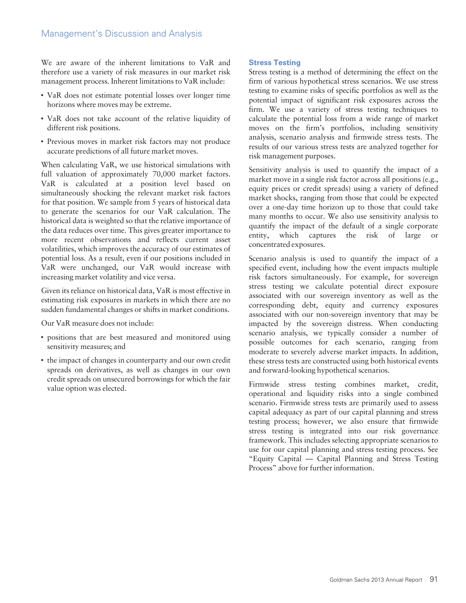We are aware of the inherent limitations to VaR and therefore use a variety of risk measures in our market risk management process. Inherent limitations to VaR include:

- ‰ VaR does not estimate potential losses over longer time horizons where moves may be extreme.
- ‰ VaR does not take account of the relative liquidity of different risk positions.
- ‰ Previous moves in market risk factors may not produce accurate predictions of all future market moves.

When calculating VaR, we use historical simulations with full valuation of approximately 70,000 market factors. VaR is calculated at a position level based on simultaneously shocking the relevant market risk factors for that position. We sample from 5 years of historical data to generate the scenarios for our VaR calculation. The historical data is weighted so that the relative importance of the data reduces over time. This gives greater importance to more recent observations and reflects current asset volatilities, which improves the accuracy of our estimates of potential loss. As a result, even if our positions included in VaR were unchanged, our VaR would increase with increasing market volatility and vice versa.

Given its reliance on historical data, VaR is most effective in estimating risk exposures in markets in which there are no sudden fundamental changes or shifts in market conditions.

Our VaR measure does not include:

- ‰ positions that are best measured and monitored using sensitivity measures; and
- the impact of changes in counterparty and our own credit spreads on derivatives, as well as changes in our own credit spreads on unsecured borrowings for which the fair value option was elected.

## **Stress Testing**

Stress testing is a method of determining the effect on the firm of various hypothetical stress scenarios. We use stress testing to examine risks of specific portfolios as well as the potential impact of significant risk exposures across the firm. We use a variety of stress testing techniques to calculate the potential loss from a wide range of market moves on the firm's portfolios, including sensitivity analysis, scenario analysis and firmwide stress tests. The results of our various stress tests are analyzed together for risk management purposes.

Sensitivity analysis is used to quantify the impact of a market move in a single risk factor across all positions (e.g., equity prices or credit spreads) using a variety of defined market shocks, ranging from those that could be expected over a one-day time horizon up to those that could take many months to occur. We also use sensitivity analysis to quantify the impact of the default of a single corporate entity, which captures the risk of large or concentrated exposures.

Scenario analysis is used to quantify the impact of a specified event, including how the event impacts multiple risk factors simultaneously. For example, for sovereign stress testing we calculate potential direct exposure associated with our sovereign inventory as well as the corresponding debt, equity and currency exposures associated with our non-sovereign inventory that may be impacted by the sovereign distress. When conducting scenario analysis, we typically consider a number of possible outcomes for each scenario, ranging from moderate to severely adverse market impacts. In addition, these stress tests are constructed using both historical events and forward-looking hypothetical scenarios.

Firmwide stress testing combines market, credit, operational and liquidity risks into a single combined scenario. Firmwide stress tests are primarily used to assess capital adequacy as part of our capital planning and stress testing process; however, we also ensure that firmwide stress testing is integrated into our risk governance framework. This includes selecting appropriate scenarios to use for our capital planning and stress testing process. See "Equity Capital — Capital Planning and Stress Testing Process" above for further information.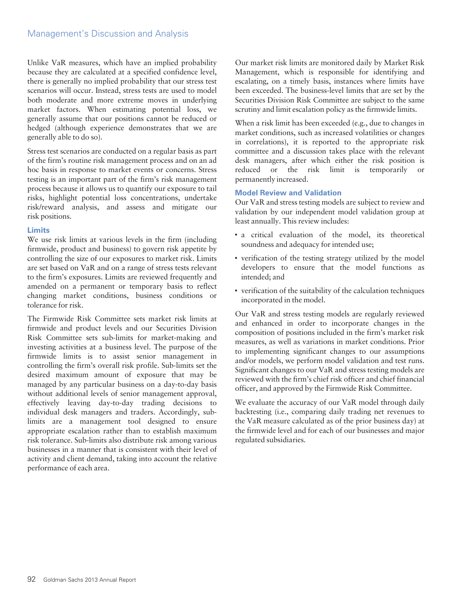# Management's Discussion and Analysis

Unlike VaR measures, which have an implied probability because they are calculated at a specified confidence level, there is generally no implied probability that our stress test scenarios will occur. Instead, stress tests are used to model both moderate and more extreme moves in underlying market factors. When estimating potential loss, we generally assume that our positions cannot be reduced or hedged (although experience demonstrates that we are generally able to do so).

Stress test scenarios are conducted on a regular basis as part of the firm's routine risk management process and on an ad hoc basis in response to market events or concerns. Stress testing is an important part of the firm's risk management process because it allows us to quantify our exposure to tail risks, highlight potential loss concentrations, undertake risk/reward analysis, and assess and mitigate our risk positions.

### **Limits**

We use risk limits at various levels in the firm (including firmwide, product and business) to govern risk appetite by controlling the size of our exposures to market risk. Limits are set based on VaR and on a range of stress tests relevant to the firm's exposures. Limits are reviewed frequently and amended on a permanent or temporary basis to reflect changing market conditions, business conditions or tolerance for risk.

The Firmwide Risk Committee sets market risk limits at firmwide and product levels and our Securities Division Risk Committee sets sub-limits for market-making and investing activities at a business level. The purpose of the firmwide limits is to assist senior management in controlling the firm's overall risk profile. Sub-limits set the desired maximum amount of exposure that may be managed by any particular business on a day-to-day basis without additional levels of senior management approval, effectively leaving day-to-day trading decisions to individual desk managers and traders. Accordingly, sublimits are a management tool designed to ensure appropriate escalation rather than to establish maximum risk tolerance. Sub-limits also distribute risk among various businesses in a manner that is consistent with their level of activity and client demand, taking into account the relative performance of each area.

Our market risk limits are monitored daily by Market Risk Management, which is responsible for identifying and escalating, on a timely basis, instances where limits have been exceeded. The business-level limits that are set by the Securities Division Risk Committee are subject to the same scrutiny and limit escalation policy as the firmwide limits.

When a risk limit has been exceeded (e.g., due to changes in market conditions, such as increased volatilities or changes in correlations), it is reported to the appropriate risk committee and a discussion takes place with the relevant desk managers, after which either the risk position is reduced or the risk limit is temporarily or permanently increased.

## **Model Review and Validation**

Our VaR and stress testing models are subject to review and validation by our independent model validation group at least annually. This review includes:

- a critical evaluation of the model, its theoretical soundness and adequacy for intended use;
- verification of the testing strategy utilized by the model developers to ensure that the model functions as intended; and
- ‰ verification of the suitability of the calculation techniques incorporated in the model.

Our VaR and stress testing models are regularly reviewed and enhanced in order to incorporate changes in the composition of positions included in the firm's market risk measures, as well as variations in market conditions. Prior to implementing significant changes to our assumptions and/or models, we perform model validation and test runs. Significant changes to our VaR and stress testing models are reviewed with the firm's chief risk officer and chief financial officer, and approved by the Firmwide Risk Committee.

We evaluate the accuracy of our VaR model through daily backtesting (i.e., comparing daily trading net revenues to the VaR measure calculated as of the prior business day) at the firmwide level and for each of our businesses and major regulated subsidiaries.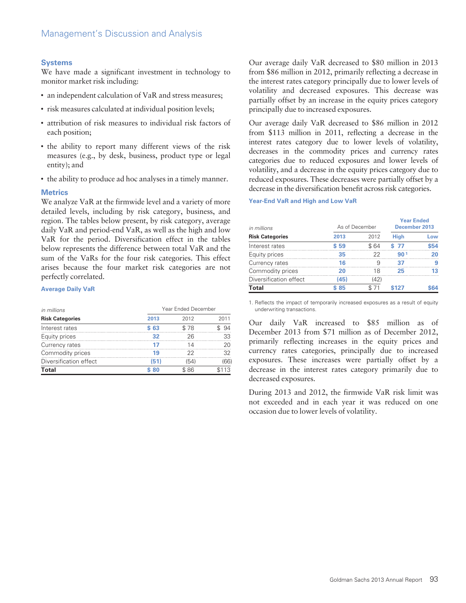### **Systems**

We have made a significant investment in technology to monitor market risk including:

- an independent calculation of VaR and stress measures;
- risk measures calculated at individual position levels;
- attribution of risk measures to individual risk factors of each position;
- the ability to report many different views of the risk measures (e.g., by desk, business, product type or legal entity); and
- the ability to produce ad hoc analyses in a timely manner.

#### **Metrics**

We analyze VaR at the firmwide level and a variety of more detailed levels, including by risk category, business, and region. The tables below present, by risk category, average daily VaR and period-end VaR, as well as the high and low VaR for the period. Diversification effect in the tables below represents the difference between total VaR and the sum of the VaRs for the four risk categories. This effect arises because the four market risk categories are not perfectly correlated.

#### **Average Daily VaR**

| in millions            | Year Ended December |       |      |  |  |  |  |  |
|------------------------|---------------------|-------|------|--|--|--|--|--|
| <b>Risk Categories</b> | 2013                | 2012  | 2011 |  |  |  |  |  |
| Interest rates         | \$ 63               | \$78  | .94  |  |  |  |  |  |
| Equity prices          | 32                  | 26    | 33   |  |  |  |  |  |
| Currency rates         | 17                  | 14    | 20   |  |  |  |  |  |
| Commodity prices       | 19                  | 22    | 32   |  |  |  |  |  |
| Diversification effect | (51)                | (54)  | (66) |  |  |  |  |  |
| Total                  | 80                  | \$ 86 |      |  |  |  |  |  |

Our average daily VaR decreased to \$80 million in 2013 from \$86 million in 2012, primarily reflecting a decrease in the interest rates category principally due to lower levels of volatility and decreased exposures. This decrease was partially offset by an increase in the equity prices category principally due to increased exposures.

Our average daily VaR decreased to \$86 million in 2012 from \$113 million in 2011, reflecting a decrease in the interest rates category due to lower levels of volatility, decreases in the commodity prices and currency rates categories due to reduced exposures and lower levels of volatility, and a decrease in the equity prices category due to reduced exposures. These decreases were partially offset by a decrease in the diversification benefit across risk categories.

#### **Year-End VaR and High and Low VaR**

| in millions            | As of December | <b>Year Ended</b><br>December 2013 |       |      |
|------------------------|----------------|------------------------------------|-------|------|
| <b>Risk Categories</b> | 2013           | 2012                               | Hiah  | Low  |
| Interest rates         | \$59           | \$64                               | 77    | \$54 |
| Equity prices          | 35             | 22                                 | 901   | 20   |
| Currency rates         | 16             | 9                                  | 37    | 9    |
| Commodity prices       | 20             | 18                                 | 25    | 13   |
| Diversification effect | (45)           | (42)                               |       |      |
| Total                  | 85<br>\$.      | \$71                               | \$127 | \$64 |

1. Reflects the impact of temporarily increased exposures as a result of equity underwriting transactions.

Our daily VaR increased to \$85 million as of December 2013 from \$71 million as of December 2012, primarily reflecting increases in the equity prices and currency rates categories, principally due to increased exposures. These increases were partially offset by a decrease in the interest rates category primarily due to decreased exposures.

During 2013 and 2012, the firmwide VaR risk limit was not exceeded and in each year it was reduced on one occasion due to lower levels of volatility.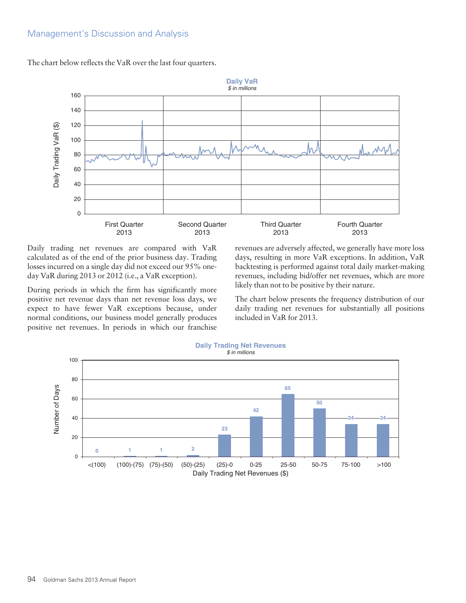# Management's Discussion and Analysis



The chart below reflects the VaR over the last four quarters.

Daily trading net revenues are compared with VaR calculated as of the end of the prior business day. Trading losses incurred on a single day did not exceed our 95% oneday VaR during 2013 or 2012 (i.e., a VaR exception).

During periods in which the firm has significantly more positive net revenue days than net revenue loss days, we expect to have fewer VaR exceptions because, under normal conditions, our business model generally produces positive net revenues. In periods in which our franchise revenues are adversely affected, we generally have more loss days, resulting in more VaR exceptions. In addition, VaR backtesting is performed against total daily market-making revenues, including bid/offer net revenues, which are more likely than not to be positive by their nature.

The chart below presents the frequency distribution of our daily trading net revenues for substantially all positions included in VaR for 2013.



# **Daily Trading Net Revenues**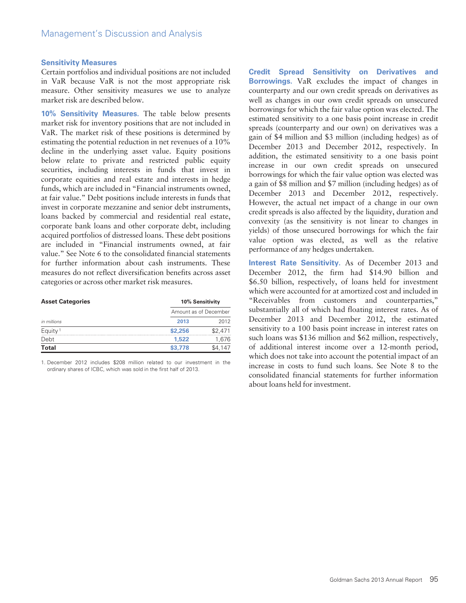#### **Sensitivity Measures**

Certain portfolios and individual positions are not included in VaR because VaR is not the most appropriate risk measure. Other sensitivity measures we use to analyze market risk are described below.

**10% Sensitivity Measures.** The table below presents market risk for inventory positions that are not included in VaR. The market risk of these positions is determined by estimating the potential reduction in net revenues of a 10% decline in the underlying asset value. Equity positions below relate to private and restricted public equity securities, including interests in funds that invest in corporate equities and real estate and interests in hedge funds, which are included in "Financial instruments owned, at fair value." Debt positions include interests in funds that invest in corporate mezzanine and senior debt instruments, loans backed by commercial and residential real estate, corporate bank loans and other corporate debt, including acquired portfolios of distressed loans. These debt positions are included in "Financial instruments owned, at fair value." See Note 6 to the consolidated financial statements for further information about cash instruments. These measures do not reflect diversification benefits across asset categories or across other market risk measures.

| <b>Asset Categories</b> | 10% Sensitivity |                       |  |  |  |
|-------------------------|-----------------|-----------------------|--|--|--|
|                         |                 | Amount as of December |  |  |  |
| in millions             | 2013            | 2012                  |  |  |  |
| Equity <sup>1</sup>     | \$2,256         | \$2,471               |  |  |  |
| Debt                    | 1.522           | 1,676                 |  |  |  |
| <b>Total</b>            | \$3,778         | \$4,147               |  |  |  |

1. December 2012 includes \$208 million related to our investment in the ordinary shares of ICBC, which was sold in the first half of 2013.

**Credit Spread Sensitivity on Derivatives and Borrowings.** VaR excludes the impact of changes in counterparty and our own credit spreads on derivatives as well as changes in our own credit spreads on unsecured borrowings for which the fair value option was elected. The estimated sensitivity to a one basis point increase in credit spreads (counterparty and our own) on derivatives was a gain of \$4 million and \$3 million (including hedges) as of December 2013 and December 2012, respectively. In addition, the estimated sensitivity to a one basis point increase in our own credit spreads on unsecured borrowings for which the fair value option was elected was a gain of \$8 million and \$7 million (including hedges) as of December 2013 and December 2012, respectively. However, the actual net impact of a change in our own credit spreads is also affected by the liquidity, duration and convexity (as the sensitivity is not linear to changes in yields) of those unsecured borrowings for which the fair value option was elected, as well as the relative performance of any hedges undertaken.

**Interest Rate Sensitivity.** As of December 2013 and December 2012, the firm had \$14.90 billion and \$6.50 billion, respectively, of loans held for investment which were accounted for at amortized cost and included in "Receivables from customers and counterparties," substantially all of which had floating interest rates. As of December 2013 and December 2012, the estimated sensitivity to a 100 basis point increase in interest rates on such loans was \$136 million and \$62 million, respectively, of additional interest income over a 12-month period, which does not take into account the potential impact of an increase in costs to fund such loans. See Note 8 to the consolidated financial statements for further information about loans held for investment.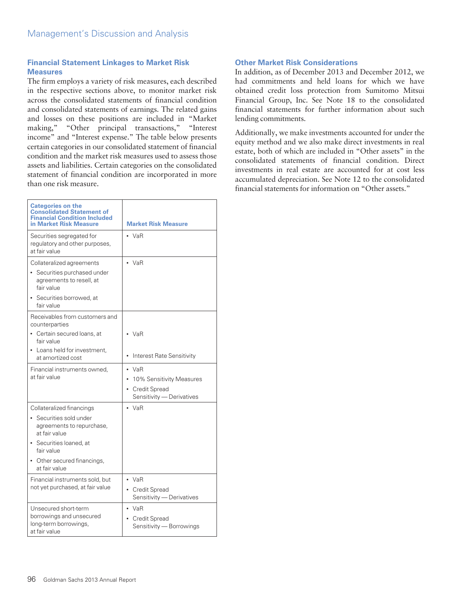## **Financial Statement Linkages to Market Risk Measures**

The firm employs a variety of risk measures, each described in the respective sections above, to monitor market risk across the consolidated statements of financial condition and consolidated statements of earnings. The related gains and losses on these positions are included in "Market making," "Other principal transactions," "Interest income" and "Interest expense." The table below presents certain categories in our consolidated statement of financial condition and the market risk measures used to assess those assets and liabilities. Certain categories on the consolidated statement of financial condition are incorporated in more than one risk measure.

| <b>Categories on the</b><br><b>Consolidated Statement of</b><br><b>Financial Condition Included</b><br>in Market Risk Measure                                                           | <b>Market Risk Measure</b>                                                                |
|-----------------------------------------------------------------------------------------------------------------------------------------------------------------------------------------|-------------------------------------------------------------------------------------------|
| Securities segregated for<br>regulatory and other purposes,<br>at fair value                                                                                                            | $\bullet$ VaR                                                                             |
| Collateralized agreements                                                                                                                                                               | $\bullet$ VaR                                                                             |
| Securities purchased under<br>agreements to resell, at<br>fair value                                                                                                                    |                                                                                           |
| Securities borrowed, at<br>fair value                                                                                                                                                   |                                                                                           |
| Receivables from customers and<br>counterparties                                                                                                                                        |                                                                                           |
| • Certain secured loans, at<br>fair value                                                                                                                                               | $\cdot$ VaR                                                                               |
| Loans held for investment,<br>at amortized cost                                                                                                                                         | Interest Rate Sensitivity                                                                 |
| Financial instruments owned,<br>at fair value                                                                                                                                           | $\bullet$ VaR<br>10% Sensitivity Measures<br>• Credit Spread<br>Sensitivity - Derivatives |
| Collateralized financings<br>Securities sold under<br>agreements to repurchase,<br>at fair value<br>• Securities loaned, at<br>fair value<br>Other secured financings,<br>at fair value | $\cdot$ VaR                                                                               |
| Financial instruments sold, but<br>not yet purchased, at fair value                                                                                                                     | $\cdot$ VaR<br>• Credit Spread<br>Sensitivity - Derivatives                               |
| Unsecured short-term<br>borrowings and unsecured<br>long-term borrowings,<br>at fair value                                                                                              | $\bullet$ VaR<br>• Credit Spread<br>Sensitivity - Borrowings                              |

### **Other Market Risk Considerations**

In addition, as of December 2013 and December 2012, we had commitments and held loans for which we have obtained credit loss protection from Sumitomo Mitsui Financial Group, Inc. See Note 18 to the consolidated financial statements for further information about such lending commitments.

Additionally, we make investments accounted for under the equity method and we also make direct investments in real estate, both of which are included in "Other assets" in the consolidated statements of financial condition. Direct investments in real estate are accounted for at cost less accumulated depreciation. See Note 12 to the consolidated financial statements for information on "Other assets."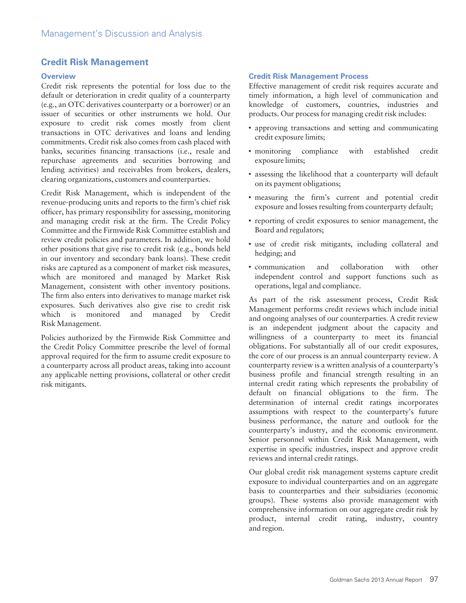# **Credit Risk Management**

## **Overview**

Credit risk represents the potential for loss due to the default or deterioration in credit quality of a counterparty (e.g., an OTC derivatives counterparty or a borrower) or an issuer of securities or other instruments we hold. Our exposure to credit risk comes mostly from client transactions in OTC derivatives and loans and lending commitments. Credit risk also comes from cash placed with banks, securities financing transactions (i.e., resale and repurchase agreements and securities borrowing and lending activities) and receivables from brokers, dealers, clearing organizations, customers and counterparties.

Credit Risk Management, which is independent of the revenue-producing units and reports to the firm's chief risk officer, has primary responsibility for assessing, monitoring and managing credit risk at the firm. The Credit Policy Committee and the Firmwide Risk Committee establish and review credit policies and parameters. In addition, we hold other positions that give rise to credit risk (e.g., bonds held in our inventory and secondary bank loans). These credit risks are captured as a component of market risk measures, which are monitored and managed by Market Risk Management, consistent with other inventory positions. The firm also enters into derivatives to manage market risk exposures. Such derivatives also give rise to credit risk which is monitored and managed by Credit RiskManagement.

Policies authorized by the Firmwide Risk Committee and the Credit Policy Committee prescribe the level of formal approval required for the firm to assume credit exposure to a counterparty across all product areas, taking into account any applicable netting provisions, collateral or other credit risk mitigants.

### **Credit Risk Management Process**

Effective management of credit risk requires accurate and timely information, a high level of communication and knowledge of customers, countries, industries and products. Our process for managing credit risk includes:

- approving transactions and setting and communicating credit exposure limits;
- ‰ monitoring compliance with established credit exposure limits;
- assessing the likelihood that a counterparty will default on its payment obligations;
- ‰ measuring the firm's current and potential credit exposure and losses resulting from counterparty default;
- reporting of credit exposures to senior management, the Board and regulators;
- use of credit risk mitigants, including collateral and hedging; and
- communication and collaboration with other independent control and support functions such as operations, legal and compliance.

As part of the risk assessment process, Credit Risk Management performs credit reviews which include initial and ongoing analyses of our counterparties. A credit review is an independent judgment about the capacity and willingness of a counterparty to meet its financial obligations. For substantially all of our credit exposures, the core of our process is an annual counterparty review. A counterparty review is a written analysis of a counterparty's business profile and financial strength resulting in an internal credit rating which represents the probability of default on financial obligations to the firm. The determination of internal credit ratings incorporates assumptions with respect to the counterparty's future business performance, the nature and outlook for the counterparty's industry, and the economic environment. Senior personnel within Credit Risk Management, with expertise in specific industries, inspect and approve credit reviews and internal credit ratings.

Our global credit risk management systems capture credit exposure to individual counterparties and on an aggregate basis to counterparties and their subsidiaries (economic groups). These systems also provide management with comprehensive information on our aggregate credit risk by product, internal credit rating, industry, country and region.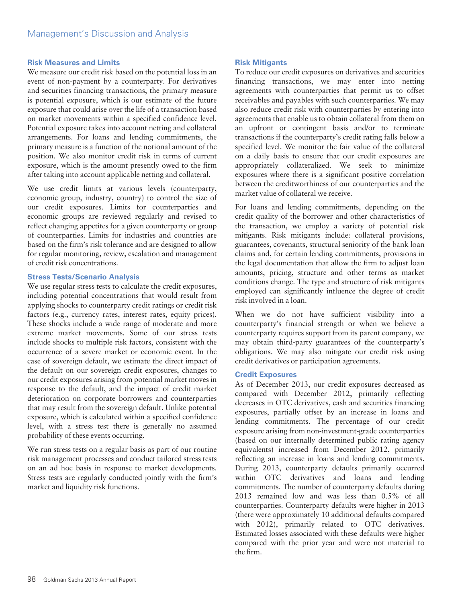### **Risk Measures and Limits**

We measure our credit risk based on the potential loss in an event of non-payment by a counterparty. For derivatives and securities financing transactions, the primary measure is potential exposure, which is our estimate of the future exposure that could arise over the life of a transaction based on market movements within a specified confidence level. Potential exposure takes into account netting and collateral arrangements. For loans and lending commitments, the primary measure is a function of the notional amount of the position. We also monitor credit risk in terms of current exposure, which is the amount presently owed to the firm after taking into account applicable netting and collateral.

We use credit limits at various levels (counterparty, economic group, industry, country) to control the size of our credit exposures. Limits for counterparties and economic groups are reviewed regularly and revised to reflect changing appetites for a given counterparty or group of counterparties. Limits for industries and countries are based on the firm's risk tolerance and are designed to allow for regular monitoring, review, escalation and management of credit risk concentrations.

### **Stress Tests/Scenario Analysis**

We use regular stress tests to calculate the credit exposures, including potential concentrations that would result from applying shocks to counterparty credit ratings or credit risk factors (e.g., currency rates, interest rates, equity prices). These shocks include a wide range of moderate and more extreme market movements. Some of our stress tests include shocks to multiple risk factors, consistent with the occurrence of a severe market or economic event. In the case of sovereign default, we estimate the direct impact of the default on our sovereign credit exposures, changes to our credit exposures arising from potential market moves in response to the default, and the impact of credit market deterioration on corporate borrowers and counterparties that may result from the sovereign default. Unlike potential exposure, which is calculated within a specified confidence level, with a stress test there is generally no assumed probability of these events occurring.

We run stress tests on a regular basis as part of our routine risk management processes and conduct tailored stress tests on an ad hoc basis in response to market developments. Stress tests are regularly conducted jointly with the firm's market and liquidity risk functions.

### **Risk Mitigants**

To reduce our credit exposures on derivatives and securities financing transactions, we may enter into netting agreements with counterparties that permit us to offset receivables and payables with such counterparties. We may also reduce credit risk with counterparties by entering into agreements that enable us to obtain collateral from them on an upfront or contingent basis and/or to terminate transactions if the counterparty's credit rating falls below a specified level. We monitor the fair value of the collateral on a daily basis to ensure that our credit exposures are appropriately collateralized. We seek to minimize exposures where there is a significant positive correlation between the creditworthiness of our counterparties and the market value of collateral we receive.

For loans and lending commitments, depending on the credit quality of the borrower and other characteristics of the transaction, we employ a variety of potential risk mitigants. Risk mitigants include: collateral provisions, guarantees, covenants, structural seniority of the bank loan claims and, for certain lending commitments, provisions in the legal documentation that allow the firm to adjust loan amounts, pricing, structure and other terms as market conditions change. The type and structure of risk mitigants employed can significantly influence the degree of credit risk involved in a loan.

When we do not have sufficient visibility into a counterparty's financial strength or when we believe a counterparty requires support from its parent company, we may obtain third-party guarantees of the counterparty's obligations. We may also mitigate our credit risk using credit derivatives or participation agreements.

### **Credit Exposures**

As of December 2013, our credit exposures decreased as compared with December 2012, primarily reflecting decreases in OTC derivatives, cash and securities financing exposures, partially offset by an increase in loans and lending commitments. The percentage of our credit exposure arising from non-investment-grade counterparties (based on our internally determined public rating agency equivalents) increased from December 2012, primarily reflecting an increase in loans and lending commitments. During 2013, counterparty defaults primarily occurred within OTC derivatives and loans and lending commitments. The number of counterparty defaults during 2013 remained low and was less than 0.5% of all counterparties. Counterparty defaults were higher in 2013 (there were approximately 10 additional defaults compared with 2012), primarily related to OTC derivatives. Estimated losses associated with these defaults were higher compared with the prior year and were not material to the firm.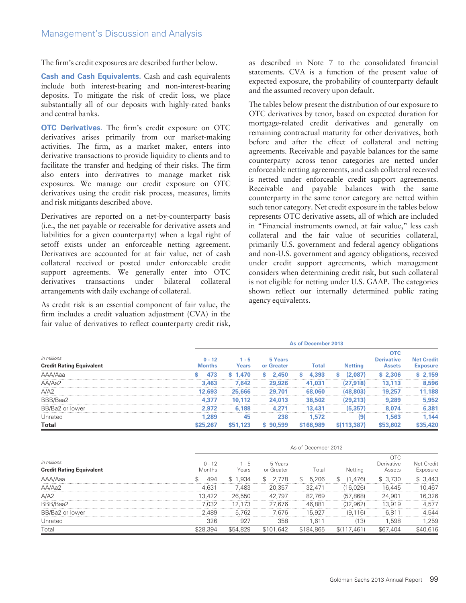The firm's credit exposures are described further below.

**Cash and Cash Equivalents.** Cash and cash equivalents include both interest-bearing and non-interest-bearing deposits. To mitigate the risk of credit loss, we place substantially all of our deposits with highly-rated banks and central banks.

**OTC Derivatives.** The firm's credit exposure on OTC derivatives arises primarily from our market-making activities. The firm, as a market maker, enters into derivative transactions to provide liquidity to clients and to facilitate the transfer and hedging of their risks. The firm also enters into derivatives to manage market risk exposures. We manage our credit exposure on OTC derivatives using the credit risk process, measures, limits and risk mitigants described above.

Derivatives are reported on a net-by-counterparty basis (i.e., the net payable or receivable for derivative assets and liabilities for a given counterparty) when a legal right of setoff exists under an enforceable netting agreement. Derivatives are accounted for at fair value, net of cash collateral received or posted under enforceable credit support agreements. We generally enter into OTC derivatives transactions under bilateral collateral arrangements with daily exchange of collateral.

As credit risk is an essential component of fair value, the firm includes a credit valuation adjustment (CVA) in the fair value of derivatives to reflect counterparty credit risk,

as described in Note 7 to the consolidated financial statements. CVA is a function of the present value of expected exposure, the probability of counterparty default and the assumed recovery upon default.

The tables below present the distribution of our exposure to OTC derivatives by tenor, based on expected duration for mortgage-related credit derivatives and generally on remaining contractual maturity for other derivatives, both before and after the effect of collateral and netting agreements. Receivable and payable balances for the same counterparty across tenor categories are netted under enforceable netting agreements, and cash collateral received is netted under enforceable credit support agreements. Receivable and payable balances with the same counterparty in the same tenor category are netted within such tenor category. Net credit exposure in the tables below represents OTC derivative assets, all of which are included in "Financial instruments owned, at fair value," less cash collateral and the fair value of securities collateral, primarily U.S. government and federal agency obligations and non-U.S. government and agency obligations, received under credit support agreements, which management considers when determining credit risk, but such collateral is not eligible for netting under U.S. GAAP. The categories shown reflect our internally determined public rating agency equivalents.

|                                                |          | As of December 2013 |                       |           |                |                                           |                                      |  |  |  |  |
|------------------------------------------------|----------|---------------------|-----------------------|-----------|----------------|-------------------------------------------|--------------------------------------|--|--|--|--|
| in millions<br><b>Credit Rating Equivalent</b> | $0 - 12$ | - 5<br>Years        | 5 Years<br>or Greater | Total     | <b>Netting</b> | <b>OTC</b><br><b>Derivative</b><br>Assets | <b>Net Credit</b><br><b>Exposure</b> |  |  |  |  |
| AAA/Aaa                                        |          | .470                | .450                  | 393       |                | 306                                       | 2.159                                |  |  |  |  |
| AA/Aa2                                         | 3.463    | 7.642               | 29,926                | .031      | (27.918)       |                                           | 3.596                                |  |  |  |  |
| A/A2                                           | 12.693   | 25.666              | 29<br>701             | 68.060    | 8031<br>.      | 19.257                                    | .188                                 |  |  |  |  |
| BBB/Baa2                                       | 377      | 10.112              | 24.013                | 38.502    | 213)           | 9.289                                     | .952                                 |  |  |  |  |
| BB/Ba2 or lower                                | 2.972    | 6.188               |                       | 3.431     |                |                                           | .381                                 |  |  |  |  |
| Unrated                                        | 1.289    |                     | 238                   | .572      | 9              | 1.563                                     | .144                                 |  |  |  |  |
| <b>Total</b>                                   | .267     | .123                |                       | \$166.989 |                | .602                                      | .420                                 |  |  |  |  |

|                                                |                    |              |                       |           | As of December 2012 |                             |                        |  |  |  |  |  |  |  |
|------------------------------------------------|--------------------|--------------|-----------------------|-----------|---------------------|-----------------------------|------------------------|--|--|--|--|--|--|--|
| in millions<br><b>Credit Rating Equivalent</b> | $0 - 12$<br>Months | - 5<br>Years | 5 Years<br>or Greater | Total     | Nettina             | OTC<br>Derivative<br>Assets | Net Credit<br>Exposure |  |  |  |  |  |  |  |
| AAA/Aaa                                        | 494                | .934         | 778                   | 206<br>R  | .476)               | .730                        | 3.443                  |  |  |  |  |  |  |  |
| AA/Aa2                                         | .631               | 483.         | .357<br>20.           | 32.471    | )26)                | 16.445                      | 10.467                 |  |  |  |  |  |  |  |
| A/A2                                           | 13.422             | 26.550       | .797<br>42            | .769      | (57)<br>.868)       | 24.901                      | 16.326                 |  |  |  |  |  |  |  |
| BBB/Baa2                                       | .032               | 173          | 27.676                | 46.881    | 962)                | 13.919                      | $+0.577$               |  |  |  |  |  |  |  |
| BB/Ba2 or lower                                | .489               | 5.762        | 1.676                 | 15.927    | 16)                 | 6.81                        | .544                   |  |  |  |  |  |  |  |
| Unrated                                        | 326                | 92           | 358                   | .61       | [13]                | 1.598                       | ,259                   |  |  |  |  |  |  |  |
| <b>Fotal</b>                                   | \$28.394           | \$54.829     | \$101,642             | \$184,865 | 461                 | 404                         | .616                   |  |  |  |  |  |  |  |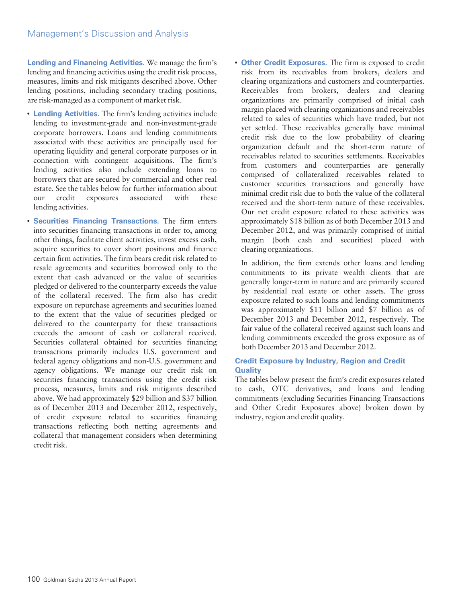**Lending and Financing Activities.** We manage the firm's lending and financing activities using the credit risk process, measures, limits and risk mitigants described above. Other lending positions, including secondary trading positions, are risk-managed as a component of market risk.

- ‰ **Lending Activities.** The firm's lending activities include lending to investment-grade and non-investment-grade corporate borrowers. Loans and lending commitments associated with these activities are principally used for operating liquidity and general corporate purposes or in connection with contingent acquisitions. The firm's lending activities also include extending loans to borrowers that are secured by commercial and other real estate. See the tables below for further information about our credit exposures associated with these lending activities.
- ‰ **Securities Financing Transactions.** The firm enters into securities financing transactions in order to, among other things, facilitate client activities, invest excess cash, acquire securities to cover short positions and finance certain firm activities. The firm bears credit risk related to resale agreements and securities borrowed only to the extent that cash advanced or the value of securities pledged or delivered to the counterparty exceeds the value of the collateral received. The firm also has credit exposure on repurchase agreements and securities loaned to the extent that the value of securities pledged or delivered to the counterparty for these transactions exceeds the amount of cash or collateral received. Securities collateral obtained for securities financing transactions primarily includes U.S. government and federal agency obligations and non-U.S. government and agency obligations. We manage our credit risk on securities financing transactions using the credit risk process, measures, limits and risk mitigants described above. We had approximately \$29 billion and \$37 billion as of December 2013 and December 2012, respectively, of credit exposure related to securities financing transactions reflecting both netting agreements and collateral that management considers when determining credit risk.
- ‰ **Other Credit Exposures.** The firm is exposed to credit risk from its receivables from brokers, dealers and clearing organizations and customers and counterparties. Receivables from brokers, dealers and clearing organizations are primarily comprised of initial cash margin placed with clearing organizations and receivables related to sales of securities which have traded, but not yet settled. These receivables generally have minimal credit risk due to the low probability of clearing organization default and the short-term nature of receivables related to securities settlements. Receivables from customers and counterparties are generally comprised of collateralized receivables related to customer securities transactions and generally have minimal credit risk due to both the value of the collateral received and the short-term nature of these receivables. Our net credit exposure related to these activities was approximately \$18 billion as of both December 2013 and December 2012, and was primarily comprised of initial margin (both cash and securities) placed with clearing organizations.

In addition, the firm extends other loans and lending commitments to its private wealth clients that are generally longer-term in nature and are primarily secured by residential real estate or other assets. The gross exposure related to such loans and lending commitments was approximately \$11 billion and \$7 billion as of December 2013 and December 2012, respectively. The fair value of the collateral received against such loans and lending commitments exceeded the gross exposure as of both December 2013 and December 2012.

## **Credit Exposure by Industry, Region and Credit Quality**

The tables below present the firm's credit exposures related to cash, OTC derivatives, and loans and lending commitments (excluding Securities Financing Transactions and Other Credit Exposures above) broken down by industry, region and credit quality.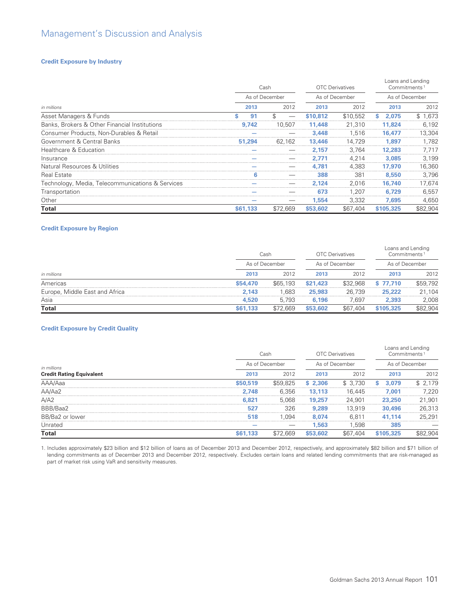## **Credit Exposure by Industry**

|                                                  |          |      | Cash           | <b>OTC</b> Derivatives | Loans and Lending<br>Commitments <sup>1</sup> |                |           |          |
|--------------------------------------------------|----------|------|----------------|------------------------|-----------------------------------------------|----------------|-----------|----------|
|                                                  |          |      | As of December |                        | As of December                                | As of December |           |          |
| in millions                                      |          | 2013 | 2012           | 2013                   | 2012                                          |                | 2013      | 2012     |
| Asset Managers & Funds                           |          | 91   |                | \$10.812               | \$10,552                                      |                | 2.075     | .673     |
| Banks, Brokers & Other Financial Institutions    | 9.742    |      | 10.507         | 11.448                 | 21,310                                        |                | 11.824    | 6.192    |
| Consumer Products, Non-Durables & Retail         |          |      |                | 3.448                  | 1.516                                         |                | 16.477    | 13.304   |
| Government & Central Banks                       | 51       | .294 | 62.162         | 13.446                 | 14.729                                        |                | 1.897     | 1,782    |
| <b>Healthcare &amp; Education</b>                |          |      |                | 2.157                  | 3.764                                         |                | 12.283    | 7.717    |
| Insurance                                        |          |      |                |                        | 4.214                                         |                | 3.085     | 3.199    |
| Natural Resources & Utilities                    |          |      |                |                        | 4.383                                         |                | 17.970    | 16.360   |
| <b>Real Estate</b>                               |          |      |                | 388                    | 381                                           |                | 8.550     | 3.796    |
| Technology, Media, Telecommunications & Services |          |      |                | 2.124                  | 2.016                                         |                | 16.740    | 7.674    |
| Transportation                                   |          |      |                | 673                    | 1.207                                         |                | 6.729     | 6.557    |
| Other                                            |          |      |                | 1.554                  | 3.332                                         |                | 7.695     | 4,650    |
| Total                                            | \$61.133 |      | \$72,669       | \$53,602               | \$67,404                                      |                | \$105,325 | \$82,904 |

#### **Credit Exposure by Region**

|                                |          | Cash<br>As of December |          | <b>OTC</b> Derivatives<br>As of December | Loans and Lending<br>Commitments <sup>1</sup><br>As of December |          |
|--------------------------------|----------|------------------------|----------|------------------------------------------|-----------------------------------------------------------------|----------|
| in millions                    | 2013     | 2012                   | 2013     | 2012                                     | 2013                                                            | 2012     |
| Americas                       | \$54,470 | \$65,193               | \$21,423 | \$32,968                                 | \$77.710                                                        | \$59,792 |
| Europe, Middle East and Africa | 2.143    | .683                   | 25,983   | 26.739                                   | 25.222                                                          | 21.104   |
| Asia                           | 4.520    | 5.793                  | 6.196    | 7.697                                    | 2.393                                                           | 2,008    |
| <b>Total</b>                   | \$61.133 | \$72,669               | \$53,602 | \$67,404                                 | \$105.325                                                       | \$82,904 |

#### **Credit Exposure by Credit Quality**

|                                 |          | Cash           |          |             | Loans and Lending<br>Commitments <sup>1</sup> |                |  |
|---------------------------------|----------|----------------|----------|-------------|-----------------------------------------------|----------------|--|
| in millions                     |          | As of December |          |             |                                               | As of December |  |
| <b>Credit Rating Equivalent</b> | 2013     | 2012           | 2013     | 2012        | 2013                                          | 2012           |  |
| AAA/Aaa                         | \$50.519 | \$59.825       | .306     | .730<br>\$3 | 3.079                                         | .179           |  |
| AA/Aa2                          | 2.748    | 6.356          | 13.113   | 16.445      | 7.001                                         | $'$ .220       |  |
| A/A2                            | 6.821    | 5.068          | 19.257   | 24.901      | 23.250                                        | .901<br>21     |  |
| BBB/Baa2                        | 527      | 326            | 9.289    | 13.919      | 30.496                                        | 26.313         |  |
| BB/Ba2 or lower                 | 518      | 094            | 8.074    | հ Զ1<br>    |                                               | 25.291         |  |
| Unrated                         |          |                | 1.563    | .598        | 385                                           |                |  |
| Total                           | \$61.133 | \$72,669       | \$53,602 | \$67,404    | \$105,325                                     | \$82.904       |  |

1. Includes approximately \$23 billion and \$12 billion of loans as of December 2013 and December 2012, respectively, and approximately \$82 billion and \$71 billion of lending commitments as of December 2013 and December 2012, respectively. Excludes certain loans and related lending commitments that are risk-managed as part of market risk using VaR and sensitivity measures.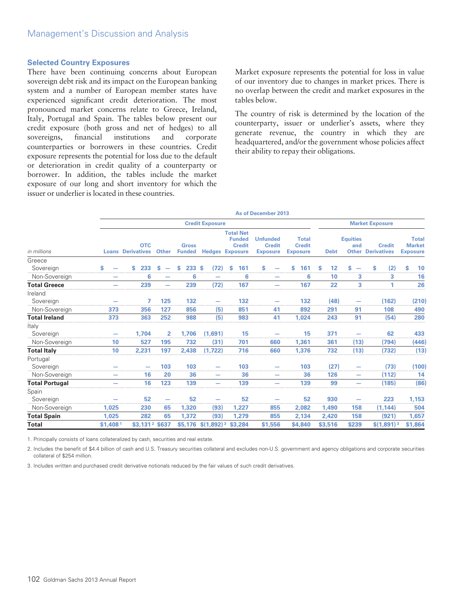### **Selected Country Exposures**

There have been continuing concerns about European sovereign debt risk and its impact on the European banking system and a number of European member states have experienced significant credit deterioration. The most pronounced market concerns relate to Greece, Ireland, Italy, Portugal and Spain. The tables below present our credit exposure (both gross and net of hedges) to all sovereigns, financial institutions and corporate counterparties or borrowers in these countries. Credit exposure represents the potential for loss due to the default or deterioration in credit quality of a counterparty or borrower. In addition, the tables include the market exposure of our long and short inventory for which the issuer or underlier is located in these countries.

Market exposure represents the potential for loss in value of our inventory due to changes in market prices. There is no overlap between the credit and market exposures in the tables below.

The country of risk is determined by the location of the counterparty, issuer or underlier's assets, where they generate revenue, the country in which they are headquartered, and/or the government whose policies affect their ability to repay their obligations.

|                       | As of December 2013    |                                        |              |                               |                |                                                                              |                                                     |                                                  |             |                        |                                           |                                                  |
|-----------------------|------------------------|----------------------------------------|--------------|-------------------------------|----------------|------------------------------------------------------------------------------|-----------------------------------------------------|--------------------------------------------------|-------------|------------------------|-------------------------------------------|--------------------------------------------------|
|                       | <b>Credit Exposure</b> |                                        |              |                               |                |                                                                              |                                                     |                                                  |             | <b>Market Exposure</b> |                                           |                                                  |
| in millions           |                        | <b>OTC</b><br><b>Loans Derivatives</b> | <b>Other</b> | <b>Gross</b><br><b>Funded</b> |                | <b>Total Net</b><br><b>Funded</b><br><b>Credit</b><br><b>Hedges Exposure</b> | <b>Unfunded</b><br><b>Credit</b><br><b>Exposure</b> | <b>Total</b><br><b>Credit</b><br><b>Exposure</b> | <b>Debt</b> | <b>Equities</b><br>and | <b>Credit</b><br><b>Other Derivatives</b> | <b>Total</b><br><b>Market</b><br><b>Exposure</b> |
| Greece                |                        |                                        |              |                               |                |                                                                              |                                                     |                                                  |             |                        |                                           |                                                  |
| Sovereign             | Ŝ                      | 233                                    | s            | \$<br>233S                    | (72)           | 161<br>s                                                                     | \$                                                  | 161<br>\$.                                       | 12<br>\$    | \$<br>۰                | (2)<br>S                                  | \$<br>10                                         |
| Non-Sovereign         |                        | 6                                      |              | 6                             | ۰              | 6                                                                            |                                                     | 6                                                | 10          | 3                      | 3                                         | 16                                               |
| <b>Total Greece</b>   |                        | 239                                    |              | 239                           | (72)           | 167                                                                          |                                                     | 167                                              | 22          | 3                      | 1                                         | 26                                               |
| Ireland<br>Sovereign  |                        | 7                                      | 125          | 132                           |                | 132                                                                          |                                                     | 132                                              | (48)        | -                      | (162)                                     | (210)                                            |
| Non-Sovereign         | 373                    | 356                                    | 127          | 856                           | (5)            | 851                                                                          | 41                                                  | 892                                              | 291         | 91                     | 108                                       | 490                                              |
| <b>Total Ireland</b>  | 373                    | 363                                    | 252          | 988                           | (5)            | 983                                                                          | 41                                                  | 1.024                                            | 243         | 91                     | (54)                                      | 280                                              |
| Italy                 |                        |                                        |              |                               |                |                                                                              |                                                     |                                                  |             |                        |                                           |                                                  |
| Sovereign             |                        | 1.704                                  | 2            | 1.706                         | (1.691)        | 15                                                                           |                                                     | 15                                               | 371         |                        | 62                                        | 433                                              |
| Non-Sovereian         | 10                     | 527                                    | 195          | 732                           | (31)           | 701                                                                          | 660                                                 | 1.361                                            | 361         | (13)                   | (794)                                     | (446)                                            |
| <b>Total Italy</b>    | 10                     | 2.231                                  | 197          | 2.438                         | (1.722)        | 716                                                                          | 660                                                 | 1.376                                            | 732         | (13)                   | (732)                                     | (13)                                             |
| Portugal              |                        |                                        |              |                               |                |                                                                              |                                                     |                                                  |             |                        |                                           |                                                  |
| Sovereign             |                        |                                        | 103          | 103                           |                | 103                                                                          |                                                     | 103                                              | (27)        |                        | (73)                                      | (100)                                            |
| Non-Sovereign         |                        | 16                                     | 20           | 36                            |                | 36                                                                           |                                                     | 36                                               | 126         | -                      | (112)                                     | 14                                               |
| <b>Total Portugal</b> |                        | 16                                     | 123          | 139                           |                | 139                                                                          |                                                     | 139                                              | 99          |                        | (185)                                     | (86)                                             |
| Spain                 |                        |                                        |              |                               |                |                                                                              |                                                     |                                                  |             |                        |                                           |                                                  |
| Sovereign             |                        | 52                                     |              | 52                            |                | 52                                                                           |                                                     | 52                                               | 930         |                        | 223                                       | 1,153                                            |
| Non-Sovereign         | 1,025                  | 230                                    | 65           | 1,320                         | (93)           | 1,227                                                                        | 855                                                 | 2,082                                            | 1,490       | 158                    | (1, 144)                                  | 504                                              |
| <b>Total Spain</b>    | 1.025                  | 282                                    | 65           | 1.372                         | (93)           | 1,279                                                                        | 855                                                 | 2,134                                            | 2,420       | 158                    | (921)                                     | 1,657                                            |
| <b>Total</b>          | \$1,4081               | \$3,131 <sup>2</sup> \$637             |              | \$5,176                       | $$(1.892)^{3}$ | \$3,284                                                                      | \$1,556                                             | \$4,840                                          | \$3,516     | \$239                  | \$(1,891) <sup>3</sup>                    | \$1,864                                          |

1. Principally consists of loans collateralized by cash, securities and real estate.

2. Includes the benefit of \$4.4 billion of cash and U.S. Treasury securities collateral and excludes non-U.S. government and agency obligations and corporate securities collateral of \$254 million.

3. Includes written and purchased credit derivative notionals reduced by the fair values of such credit derivatives.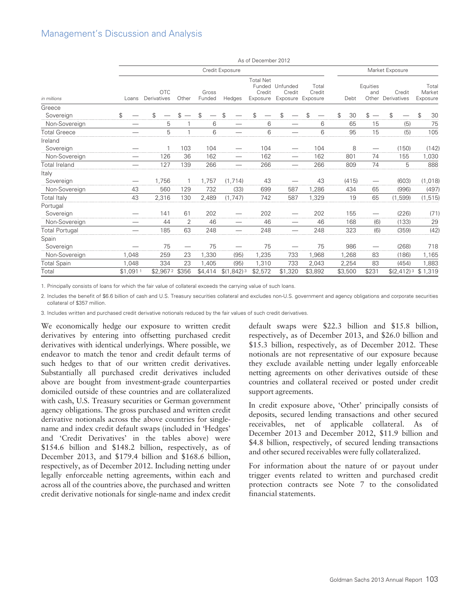|                      |                                    |             |            |                |                 |                | As of December 2012                    |                                       |                             |         |                          |                       |                             |
|----------------------|------------------------------------|-------------|------------|----------------|-----------------|----------------|----------------------------------------|---------------------------------------|-----------------------------|---------|--------------------------|-----------------------|-----------------------------|
|                      | Credit Exposure<br>Market Exposure |             |            |                |                 |                |                                        |                                       |                             |         |                          |                       |                             |
| in millions          | Loans                              | Derivatives | <b>OTC</b> | Other          | Gross<br>Funded | Hedges         | <b>Total Net</b><br>Credit<br>Exposure | Funded Unfunded<br>Credit<br>Exposure | Total<br>Credit<br>Exposure | Debt    | Equities<br>and<br>Other | Credit<br>Derivatives | Total<br>Market<br>Exposure |
| Greece               |                                    |             |            |                |                 |                |                                        |                                       |                             |         |                          |                       |                             |
| Sovereign            | \$                                 |             |            | \$             | \$              | \$             | \$                                     |                                       | \$                          | 30      | \$                       | \$                    | \$<br>30                    |
| Non-Sovereign        |                                    |             | 5          |                | 6               |                | 6                                      |                                       | 6                           | 65      | 15                       | (5)                   | 75                          |
| <b>Total Greece</b>  |                                    |             | 5          | 1              | 6               |                | 6                                      |                                       | 6                           | 95      | 15                       | (5)                   | 105                         |
| Ireland              |                                    |             |            |                |                 |                |                                        |                                       |                             |         |                          |                       |                             |
| Sovereign            |                                    |             |            | 103            | 104             |                | 104                                    |                                       | 104                         | 8       |                          | (150)                 | (142)                       |
| Non-Sovereign        |                                    |             | 126        | 36             | 162             |                | 162                                    |                                       | 162                         | 801     | 74                       | 155                   | 1,030                       |
| <b>Total Ireland</b> |                                    |             | 127        | 139            | 266             |                | 266                                    |                                       | 266                         | 809     | 74                       | 5                     | 888                         |
| Italy                |                                    |             |            |                |                 |                |                                        |                                       |                             |         |                          |                       |                             |
| Sovereign            |                                    |             | 1,756      |                | 1,757           | (1,714)        | 43                                     |                                       | 43                          | (415)   |                          | (603)                 | (1,018)                     |
| Non-Sovereign        | 43                                 |             | 560        | 129            | 732             | (33)           | 699                                    | 587                                   | 1,286                       | 434     | 65                       | (996)                 | (497)                       |
| Total Italy          | 43                                 |             | 2,316      | 130            | 2,489           | (1.747)        | 742                                    | 587                                   | 1,329                       | 19      | 65                       | (1,599)               | (1, 515)                    |
| Portugal             |                                    |             |            |                |                 |                |                                        |                                       |                             |         |                          |                       |                             |
| Sovereign            |                                    |             | 141        | 61             | 202             |                | 202                                    |                                       | 202                         | 155     |                          | (226)                 | (71)                        |
| Non-Sovereign        |                                    |             | 44         | 2              | 46              |                | 46                                     |                                       | 46                          | 168     | (6)                      | (133)                 | 29                          |
| Total Portugal       |                                    |             | 185        | 63             | 248             |                | 248                                    |                                       | 248                         | 323     | (6)                      | (359)                 | (42)                        |
| Spain                |                                    |             |            |                |                 |                |                                        |                                       |                             |         |                          |                       |                             |
| Sovereign            |                                    |             | 75         |                | 75              |                | 75                                     |                                       | 75                          | 986     |                          | (268)                 | 718                         |
| Non-Sovereign        | 1,048                              |             | 259        | 23             | 1,330           | (95)           | 1,235                                  | 733                                   | 1,968                       | 1,268   | 83                       | (186)                 | 1,165                       |
| <b>Total Spain</b>   | 1,048                              |             | 334        | 23             | 1,405           | (95)           | 1,310                                  | 733                                   | 2,043                       | 2,254   | 83                       | (454)                 | 1,883                       |
| Total                | \$1,0911                           |             |            | \$2,9672 \$356 | \$4,414         | $$(1,842)^{3}$ | \$2,572                                | \$1,320                               | \$3,892                     | \$3,500 | \$231                    | $$(2,412)^{3}$        | \$1,319                     |

1. Principally consists of loans for which the fair value of collateral exceeds the carrying value of such loans.

2. Includes the benefit of \$6.6 billion of cash and U.S. Treasury securities collateral and excludes non-U.S. government and agency obligations and corporate securities collateral of \$357 million.

3. Includes written and purchased credit derivative notionals reduced by the fair values of such credit derivatives.

We economically hedge our exposure to written credit derivatives by entering into offsetting purchased credit derivatives with identical underlyings. Where possible, we endeavor to match the tenor and credit default terms of such hedges to that of our written credit derivatives. Substantially all purchased credit derivatives included above are bought from investment-grade counterparties domiciled outside of these countries and are collateralized with cash, U.S. Treasury securities or German government agency obligations. The gross purchased and written credit derivative notionals across the above countries for singlename and index credit default swaps (included in 'Hedges' and 'Credit Derivatives' in the tables above) were \$154.6 billion and \$148.2 billion, respectively, as of December 2013, and \$179.4 billion and \$168.6 billion, respectively, as of December 2012. Including netting under legally enforceable netting agreements, within each and across all of the countries above, the purchased and written credit derivative notionals for single-name and index credit default swaps were \$22.3 billion and \$15.8 billion, respectively, as of December 2013, and \$26.0 billion and \$15.3 billion, respectively, as of December 2012. These notionals are not representative of our exposure because they exclude available netting under legally enforceable netting agreements on other derivatives outside of these countries and collateral received or posted under credit support agreements.

In credit exposure above, 'Other' principally consists of deposits, secured lending transactions and other secured receivables, net of applicable collateral. As of December 2013 and December 2012, \$11.9 billion and \$4.8 billion, respectively, of secured lending transactions and other secured receivables were fully collateralized.

For information about the nature of or payout under trigger events related to written and purchased credit protection contracts see Note 7 to the consolidated financial statements.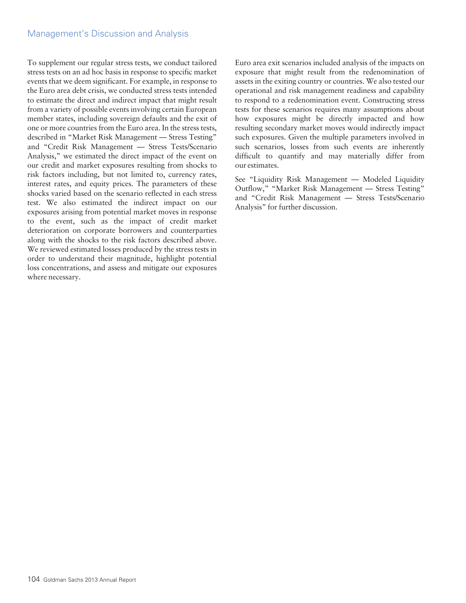# Management's Discussion and Analysis

To supplement our regular stress tests, we conduct tailored stress tests on an ad hoc basis in response to specific market events that we deem significant. For example, in response to the Euro area debt crisis, we conducted stress tests intended to estimate the direct and indirect impact that might result from a variety of possible events involving certain European member states, including sovereign defaults and the exit of one or more countries from the Euro area. In the stress tests, described in "Market Risk Management — Stress Testing" and "Credit Risk Management — Stress Tests/Scenario Analysis," we estimated the direct impact of the event on our credit and market exposures resulting from shocks to risk factors including, but not limited to, currency rates, interest rates, and equity prices. The parameters of these shocks varied based on the scenario reflected in each stress test. We also estimated the indirect impact on our exposures arising from potential market moves in response to the event, such as the impact of credit market deterioration on corporate borrowers and counterparties along with the shocks to the risk factors described above. We reviewed estimated losses produced by the stress tests in order to understand their magnitude, highlight potential loss concentrations, and assess and mitigate our exposures where necessary.

Euro area exit scenarios included analysis of the impacts on exposure that might result from the redenomination of assets in the exiting country or countries. We also tested our operational and risk management readiness and capability to respond to a redenomination event. Constructing stress tests for these scenarios requires many assumptions about how exposures might be directly impacted and how resulting secondary market moves would indirectly impact such exposures. Given the multiple parameters involved in such scenarios, losses from such events are inherently difficult to quantify and may materially differ from our estimates.

See "Liquidity Risk Management — Modeled Liquidity Outflow," "Market Risk Management — Stress Testing" and "Credit Risk Management — Stress Tests/Scenario Analysis" for further discussion.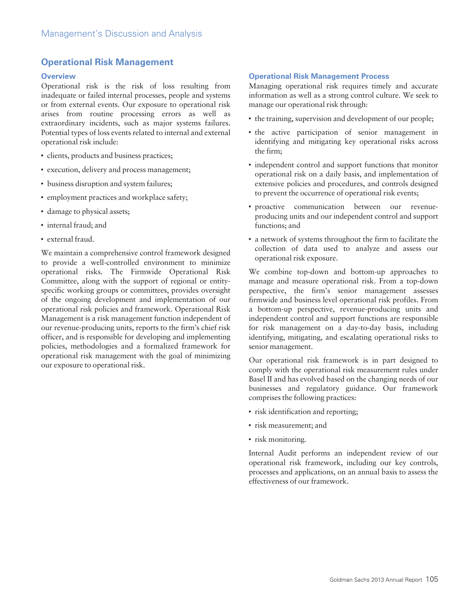# **Operational Risk Management**

## **Overview**

Operational risk is the risk of loss resulting from inadequate or failed internal processes, people and systems or from external events. Our exposure to operational risk arises from routine processing errors as well as extraordinary incidents, such as major systems failures. Potential types of loss events related to internal and external operational risk include:

- clients, products and business practices;
- execution, delivery and process management;
- ‰ business disruption and system failures;
- employment practices and workplace safety;
- damage to physical assets;
- ‰ internal fraud; and
- external fraud.

We maintain a comprehensive control framework designed to provide a well-controlled environment to minimize operational risks. The Firmwide Operational Risk Committee, along with the support of regional or entityspecific working groups or committees, provides oversight of the ongoing development and implementation of our operational risk policies and framework. Operational Risk Management is a risk management function independent of our revenue-producing units, reports to the firm's chief risk officer, and is responsible for developing and implementing policies, methodologies and a formalized framework for operational risk management with the goal of minimizing our exposure to operational risk.

## **Operational Risk Management Process**

Managing operational risk requires timely and accurate information as well as a strong control culture. We seek to manage our operational risk through:

- the training, supervision and development of our people;
- the active participation of senior management in identifying and mitigating key operational risks across the firm;
- independent control and support functions that monitor operational risk on a daily basis, and implementation of extensive policies and procedures, and controls designed to prevent the occurrence of operational risk events;
- ‰ proactive communication between our revenueproducing units and our independent control and support functions; and
- a network of systems throughout the firm to facilitate the collection of data used to analyze and assess our operational risk exposure.

We combine top-down and bottom-up approaches to manage and measure operational risk. From a top-down perspective, the firm's senior management assesses firmwide and business level operational risk profiles. From a bottom-up perspective, revenue-producing units and independent control and support functions are responsible for risk management on a day-to-day basis, including identifying, mitigating, and escalating operational risks to senior management.

Our operational risk framework is in part designed to comply with the operational risk measurement rules under Basel II and has evolved based on the changing needs of our businesses and regulatory guidance. Our framework comprises the following practices:

- risk identification and reporting;
- ‰ risk measurement; and
- risk monitoring.

Internal Audit performs an independent review of our operational risk framework, including our key controls, processes and applications, on an annual basis to assess the effectiveness of our framework.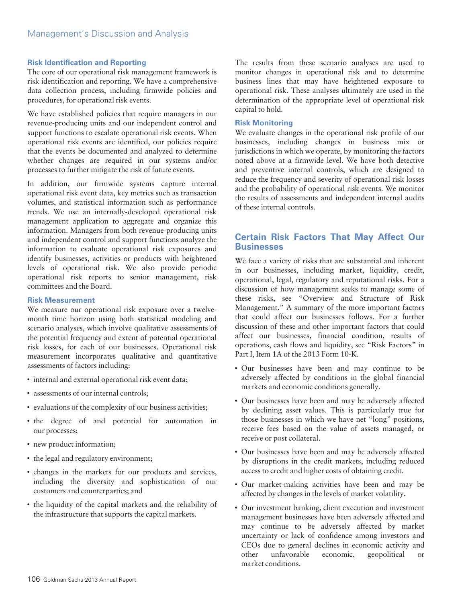## **Risk Identification and Reporting**

The core of our operational risk management framework is risk identification and reporting. We have a comprehensive data collection process, including firmwide policies and procedures, for operational risk events.

We have established policies that require managers in our revenue-producing units and our independent control and support functions to escalate operational risk events. When operational risk events are identified, our policies require that the events be documented and analyzed to determine whether changes are required in our systems and/or processes to further mitigate the risk of future events.

In addition, our firmwide systems capture internal operational risk event data, key metrics such as transaction volumes, and statistical information such as performance trends. We use an internally-developed operational risk management application to aggregate and organize this information. Managers from both revenue-producing units and independent control and support functions analyze the information to evaluate operational risk exposures and identify businesses, activities or products with heightened levels of operational risk. We also provide periodic operational risk reports to senior management, risk committees and the Board.

### **Risk Measurement**

We measure our operational risk exposure over a twelvemonth time horizon using both statistical modeling and scenario analyses, which involve qualitative assessments of the potential frequency and extent of potential operational risk losses, for each of our businesses. Operational risk measurement incorporates qualitative and quantitative assessments of factors including:

- internal and external operational risk event data;
- assessments of our internal controls:
- evaluations of the complexity of our business activities;
- the degree of and potential for automation in our processes;
- new product information;
- the legal and regulatory environment;
- ‰ changes in the markets for our products and services, including the diversity and sophistication of our customers and counterparties; and
- the liquidity of the capital markets and the reliability of the infrastructure that supports the capital markets.

The results from these scenario analyses are used to monitor changes in operational risk and to determine business lines that may have heightened exposure to operational risk. These analyses ultimately are used in the determination of the appropriate level of operational risk capital to hold.

### **Risk Monitoring**

We evaluate changes in the operational risk profile of our businesses, including changes in business mix or jurisdictions in which we operate, by monitoring the factors noted above at a firmwide level. We have both detective and preventive internal controls, which are designed to reduce the frequency and severity of operational risk losses and the probability of operational risk events. We monitor the results of assessments and independent internal audits of these internal controls.

# **Certain Risk Factors That May Affect Our Businesses**

We face a variety of risks that are substantial and inherent in our businesses, including market, liquidity, credit, operational, legal, regulatory and reputational risks. For a discussion of how management seeks to manage some of these risks, see "Overview and Structure of Risk Management." A summary of the more important factors that could affect our businesses follows. For a further discussion of these and other important factors that could affect our businesses, financial condition, results of operations, cash flows and liquidity, see "Risk Factors" in Part I, Item 1A of the 2013 Form 10-K.

- ‰ Our businesses have been and may continue to be adversely affected by conditions in the global financial markets and economic conditions generally.
- ‰ Our businesses have been and may be adversely affected by declining asset values. This is particularly true for those businesses in which we have net "long" positions, receive fees based on the value of assets managed, or receive or post collateral.
- ‰ Our businesses have been and may be adversely affected by disruptions in the credit markets, including reduced access to credit and higher costs of obtaining credit.
- ‰ Our market-making activities have been and may be affected by changes in the levels of market volatility.
- ‰ Our investment banking, client execution and investment management businesses have been adversely affected and may continue to be adversely affected by market uncertainty or lack of confidence among investors and CEOs due to general declines in economic activity and other unfavorable economic, geopolitical or market conditions.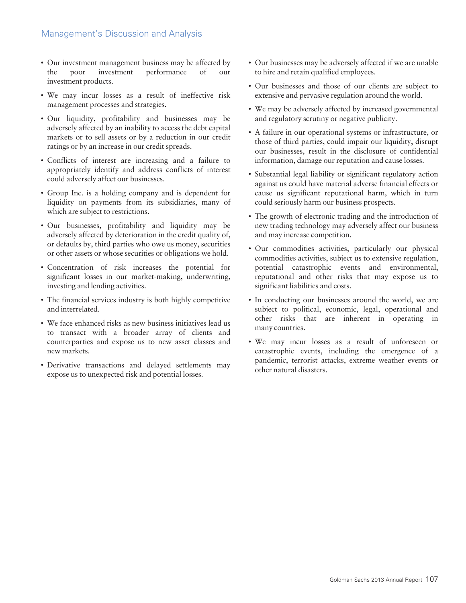- ‰ Our investment management business may be affected by the poor investment performance of our investment products.
- ‰ We may incur losses as a result of ineffective risk management processes and strategies.
- ‰ Our liquidity, profitability and businesses may be adversely affected by an inability to access the debt capital markets or to sell assets or by a reduction in our credit ratings or by an increase in our credit spreads.
- ‰ Conflicts of interest are increasing and a failure to appropriately identify and address conflicts of interest could adversely affect our businesses.
- ‰ Group Inc. is a holding company and is dependent for liquidity on payments from its subsidiaries, many of which are subject to restrictions.
- ‰ Our businesses, profitability and liquidity may be adversely affected by deterioration in the credit quality of, or defaults by, third parties who owe us money, securities or other assets or whose securities or obligations we hold.
- ‰ Concentration of risk increases the potential for significant losses in our market-making, underwriting, investing and lending activities.
- The financial services industry is both highly competitive and interrelated.
- ‰ We face enhanced risks as new business initiatives lead us to transact with a broader array of clients and counterparties and expose us to new asset classes and new markets.
- ‰ Derivative transactions and delayed settlements may expose us to unexpected risk and potential losses.
- ‰ Our businesses may be adversely affected if we are unable to hire and retain qualified employees.
- ‰ Our businesses and those of our clients are subject to extensive and pervasive regulation around the world.
- ‰ We may be adversely affected by increased governmental and regulatory scrutiny or negative publicity.
- ‰ A failure in our operational systems or infrastructure, or those of third parties, could impair our liquidity, disrupt our businesses, result in the disclosure of confidential information, damage our reputation and cause losses.
- ‰ Substantial legal liability or significant regulatory action against us could have material adverse financial effects or cause us significant reputational harm, which in turn could seriously harm our business prospects.
- The growth of electronic trading and the introduction of new trading technology may adversely affect our business and may increase competition.
- ‰ Our commodities activities, particularly our physical commodities activities, subject us to extensive regulation, potential catastrophic events and environmental, reputational and other risks that may expose us to significant liabilities and costs.
- In conducting our businesses around the world, we are subject to political, economic, legal, operational and other risks that are inherent in operating in many countries.
- ‰ We may incur losses as a result of unforeseen or catastrophic events, including the emergence of a pandemic, terrorist attacks, extreme weather events or other natural disasters.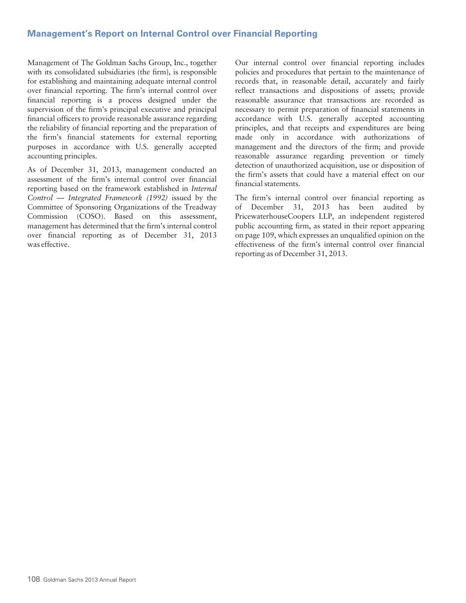# **Management's Report on Internal Control over Financial Reporting**

Management of The Goldman Sachs Group, Inc., together with its consolidated subsidiaries (the firm), is responsible for establishing and maintaining adequate internal control over financial reporting. The firm's internal control over financial reporting is a process designed under the supervision of the firm's principal executive and principal financial officers to provide reasonable assurance regarding the reliability of financial reporting and the preparation of the firm's financial statements for external reporting purposes in accordance with U.S. generally accepted accounting principles.

As of December 31, 2013, management conducted an assessment of the firm's internal control over financial reporting based on the framework established in *Internal Control — Integrated Framework (1992)* issued by the Committee of Sponsoring Organizations of the Treadway Commission (COSO). Based on this assessment, management has determined that the firm's internal control over financial reporting as of December 31, 2013 was effective.

Our internal control over financial reporting includes policies and procedures that pertain to the maintenance of records that, in reasonable detail, accurately and fairly reflect transactions and dispositions of assets; provide reasonable assurance that transactions are recorded as necessary to permit preparation of financial statements in accordance with U.S. generally accepted accounting principles, and that receipts and expenditures are being made only in accordance with authorizations of management and the directors of the firm; and provide reasonable assurance regarding prevention or timely detection of unauthorized acquisition, use or disposition of the firm's assets that could have a material effect on our financial statements.

The firm's internal control over financial reporting as of December 31, 2013 has been audited by PricewaterhouseCoopers LLP, an independent registered public accounting firm, as stated in their report appearing on page 109, which expresses an unqualified opinion on the effectiveness of the firm's internal control over financial reporting as of December 31, 2013.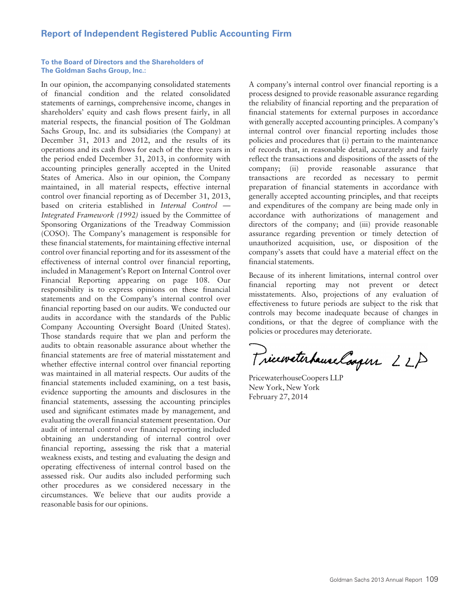# **Report of Independent Registered Public Accounting Firm**

### **To the Board of Directors and the Shareholders of The Goldman Sachs Group, Inc.:**

In our opinion, the accompanying consolidated statements of financial condition and the related consolidated statements of earnings, comprehensive income, changes in shareholders' equity and cash flows present fairly, in all material respects, the financial position of The Goldman Sachs Group, Inc. and its subsidiaries (the Company) at December 31, 2013 and 2012, and the results of its operations and its cash flows for each of the three years in the period ended December 31, 2013, in conformity with accounting principles generally accepted in the United States of America. Also in our opinion, the Company maintained, in all material respects, effective internal control over financial reporting as of December 31, 2013, based on criteria established in *Internal Control — Integrated Framework (1992)* issued by the Committee of Sponsoring Organizations of the Treadway Commission (COSO). The Company's management is responsible for these financial statements, for maintaining effective internal control over financial reporting and for its assessment of the effectiveness of internal control over financial reporting, included in Management's Report on Internal Control over Financial Reporting appearing on page 108. Our responsibility is to express opinions on these financial statements and on the Company's internal control over financial reporting based on our audits. We conducted our audits in accordance with the standards of the Public Company Accounting Oversight Board (United States). Those standards require that we plan and perform the audits to obtain reasonable assurance about whether the financial statements are free of material misstatement and whether effective internal control over financial reporting was maintained in all material respects. Our audits of the financial statements included examining, on a test basis, evidence supporting the amounts and disclosures in the financial statements, assessing the accounting principles used and significant estimates made by management, and evaluating the overall financial statement presentation. Our audit of internal control over financial reporting included obtaining an understanding of internal control over financial reporting, assessing the risk that a material weakness exists, and testing and evaluating the design and operating effectiveness of internal control based on the assessed risk. Our audits also included performing such other procedures as we considered necessary in the circumstances. We believe that our audits provide a reasonable basis for our opinions.

A company's internal control over financial reporting is a process designed to provide reasonable assurance regarding the reliability of financial reporting and the preparation of financial statements for external purposes in accordance with generally accepted accounting principles. A company's internal control over financial reporting includes those policies and procedures that (i) pertain to the maintenance of records that, in reasonable detail, accurately and fairly reflect the transactions and dispositions of the assets of the company; (ii) provide reasonable assurance that transactions are recorded as necessary to permit preparation of financial statements in accordance with generally accepted accounting principles, and that receipts and expenditures of the company are being made only in accordance with authorizations of management and directors of the company; and (iii) provide reasonable assurance regarding prevention or timely detection of unauthorized acquisition, use, or disposition of the company's assets that could have a material effect on the financial statements.

Because of its inherent limitations, internal control over financial reporting may not prevent or detect misstatements. Also, projections of any evaluation of effectiveness to future periods are subject to the risk that controls may become inadequate because of changes in conditions, or that the degree of compliance with the policies or procedures may deteriorate.

Princevaterhauselagen 22A

PricewaterhouseCoopers LLP New York, New York February 27, 2014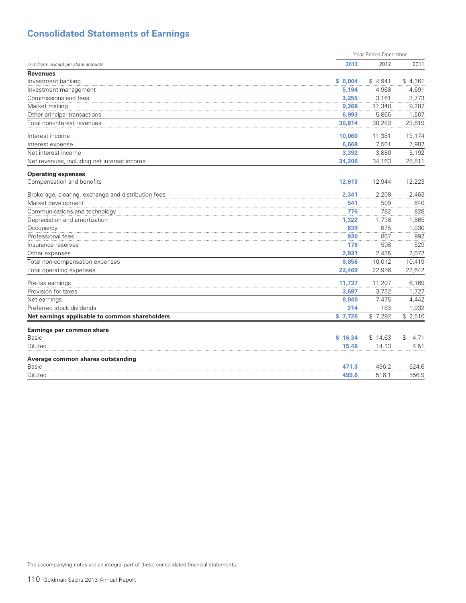# **Consolidated Statements of Earnings**

|                                                     |         | Year Ended December |             |  |  |
|-----------------------------------------------------|---------|---------------------|-------------|--|--|
| in millions, except per share amounts               | 2013    | 2012                | 2011        |  |  |
| <b>Revenues</b>                                     |         |                     |             |  |  |
| Investment banking                                  | \$6,004 | \$4,941             | \$4,361     |  |  |
| Investment management                               | 5,194   | 4,968               | 4,691       |  |  |
| Commissions and fees                                | 3,255   | 3,161               | 3,773       |  |  |
| Market making                                       | 9,368   | 11,348              | 9,287       |  |  |
| Other principal transactions                        | 6,993   | 5,865               | 1,507       |  |  |
| Total non-interest revenues                         | 30,814  | 30,283              | 23,619      |  |  |
| Interest income                                     | 10,060  | 11,381              | 13,174      |  |  |
| Interest expense                                    | 6,668   | 7,501               | 7,982       |  |  |
| Net interest income                                 | 3,392   | 3,880               | 5,192       |  |  |
| Net revenues, including net interest income         | 34,206  | 34,163              | 28,811      |  |  |
| <b>Operating expenses</b>                           |         |                     |             |  |  |
| Compensation and benefits                           | 12,613  | 12,944              | 12,223      |  |  |
| Brokerage, clearing, exchange and distribution fees | 2.341   | 2,208               | 2,463       |  |  |
| Market development                                  | 541     | 509                 | 640         |  |  |
| Communications and technology                       | 776     | 782                 | 828         |  |  |
| Depreciation and amortization                       | 1,322   | 1,738               | 1,865       |  |  |
| Occupancy                                           | 839     | 875                 | 1,030       |  |  |
| Professional fees                                   | 930     | 867                 | 992         |  |  |
| Insurance reserves                                  | 176     | 598                 | 529         |  |  |
| Other expenses                                      | 2,931   | 2,435               | 2,072       |  |  |
| Total non-compensation expenses                     | 9,856   | 10,012              | 10,419      |  |  |
| Total operating expenses                            | 22,469  | 22,956              | 22,642      |  |  |
| Pre-tax earnings                                    | 11,737  | 11,207              | 6,169       |  |  |
| Provision for taxes                                 | 3,697   | 3,732               | 1,727       |  |  |
| Net earnings                                        | 8,040   | 7,475               | 4.442       |  |  |
| Preferred stock dividends                           | 314     | 183                 | 1,932       |  |  |
| Net earnings applicable to common shareholders      | \$7,726 | \$7,292             | \$2,510     |  |  |
| Earnings per common share                           |         |                     |             |  |  |
| Basic                                               | \$16.34 | \$14.63             | \$.<br>4.71 |  |  |
| Diluted                                             | 15.46   | 14.13               | 4.51        |  |  |
| Average common shares outstanding                   |         |                     |             |  |  |
| Basic                                               | 471.3   | 496.2               | 524.6       |  |  |
| Diluted                                             | 499.6   | 516.1               | 556.9       |  |  |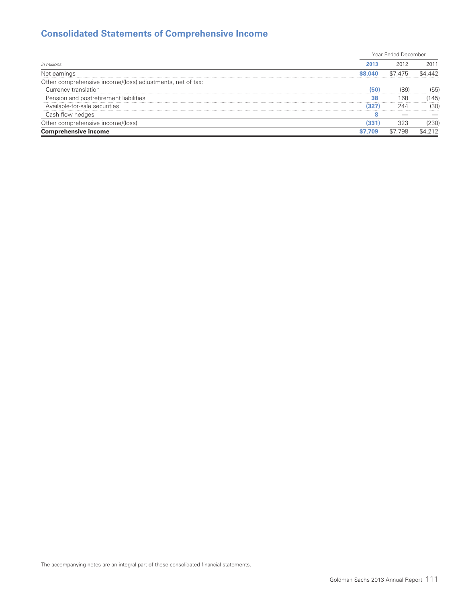# **Consolidated Statements of Comprehensive Income**

|                                                            |      | Year Ended December |       |
|------------------------------------------------------------|------|---------------------|-------|
| in millions                                                | 2013 | 2012                |       |
| Net earnings                                               |      | 475                 | 442   |
| Other comprehensive income/(loss) adjustments, net of tax: |      |                     |       |
| Currency translation                                       |      | 189                 | (bb   |
| Pension and postretirement liabilities                     | 38   | 168                 | 145   |
| ailable-for-sale securities                                |      | 244                 | ദ്രവ  |
| Cash flow hedges                                           |      |                     |       |
| Other comprehensive income/(loss)                          |      |                     | 230)  |
| comprehensive income?                                      | 709  | '98                 | 4 212 |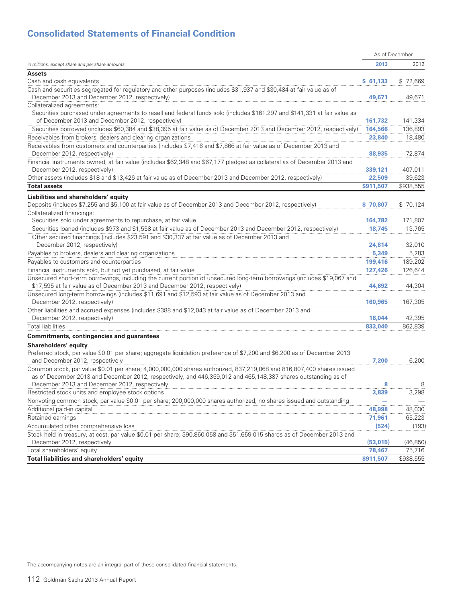# **Consolidated Statements of Financial Condition**

| 2013<br>2012<br>in millions, except share and per share amounts<br><b>Assets</b><br>Cash and cash equivalents<br>\$61,133<br>\$72,669<br>Cash and securities segregated for regulatory and other purposes (includes \$31,937 and \$30,484 at fair value as of<br>December 2013 and December 2012, respectively)<br>49,671<br>49,671<br>Collateralized agreements:<br>Securities purchased under agreements to resell and federal funds sold (includes \$161,297 and \$141,331 at fair value as<br>of December 2013 and December 2012, respectively)<br>161,732<br>141,334<br>Securities borrowed (includes \$60,384 and \$38,395 at fair value as of December 2013 and December 2012, respectively)<br>164,566<br>136,893<br>Receivables from brokers, dealers and clearing organizations<br>23,840<br>18,480<br>Receivables from customers and counterparties (includes \$7,416 and \$7,866 at fair value as of December 2013 and<br>December 2012, respectively)<br>72,874<br>88,935<br>Financial instruments owned, at fair value (includes \$62,348 and \$67,177 pledged as collateral as of December 2013 and<br>December 2012, respectively)<br>339,121<br>407,011<br>Other assets (includes \$18 and \$13,426 at fair value as of December 2013 and December 2012, respectively)<br>22,509<br>39,623<br>\$938,555<br><b>Total assets</b><br>\$911,507<br>Liabilities and shareholders' equity<br>Deposits (includes \$7,255 and \$5,100 at fair value as of December 2013 and December 2012, respectively)<br>\$70,807<br>\$70,124<br>Collateralized financings:<br>Securities sold under agreements to repurchase, at fair value<br>171,807<br>164,782<br>Securities loaned (includes \$973 and \$1,558 at fair value as of December 2013 and December 2012, respectively)<br>18,745<br>13,765<br>Other secured financings (includes \$23,591 and \$30,337 at fair value as of December 2013 and<br>December 2012, respectively)<br>32,010<br>24,814<br>Payables to brokers, dealers and clearing organizations<br>5,349<br>5,283<br>Payables to customers and counterparties<br>189,202<br>199,416<br>Financial instruments sold, but not yet purchased, at fair value<br>126,644<br>127,426<br>Unsecured short-term borrowings, including the current portion of unsecured long-term borrowings (includes \$19,067 and<br>\$17,595 at fair value as of December 2013 and December 2012, respectively)<br>44,692<br>44,304<br>Unsecured long-term borrowings (includes \$11,691 and \$12,593 at fair value as of December 2013 and<br>December 2012, respectively)<br>160,965<br>167,305<br>Other liabilities and accrued expenses (includes \$388 and \$12,043 at fair value as of December 2013 and<br>December 2012, respectively)<br>16,044<br>42,395<br><b>Total liabilities</b><br>833,040<br>862,839<br><b>Commitments, contingencies and guarantees</b><br>Shareholders' equity<br>Preferred stock, par value \$0.01 per share; aggregate liquidation preference of \$7,200 and \$6,200 as of December 2013<br>and December 2012, respectively<br>7,200<br>6,200<br>Common stock, par value \$0.01 per share; 4,000,000,000 shares authorized, 837,219,068 and 816,807,400 shares issued<br>as of December 2013 and December 2012, respectively, and 446,359,012 and 465,148,387 shares outstanding as of<br>December 2013 and December 2012, respectively<br>8<br>8<br>3,298<br>Restricted stock units and employee stock options<br>3,839<br>Nonvoting common stock, par value \$0.01 per share; 200,000,000 shares authorized, no shares issued and outstanding<br>Additional paid-in capital<br>48,998<br>48,030<br>Retained earnings<br>71,961<br>65,223<br>Accumulated other comprehensive loss<br>(524)<br>Stock held in treasury, at cost, par value \$0.01 per share; 390,860,058 and 351,659,015 shares as of December 2013 and<br>December 2012, respectively<br>(53, 015)<br>Total shareholders' equity<br>75,716<br>78,467<br>Total liabilities and shareholders' equity<br>\$911,507<br>\$938,555 |  | As of December |
|----------------------------------------------------------------------------------------------------------------------------------------------------------------------------------------------------------------------------------------------------------------------------------------------------------------------------------------------------------------------------------------------------------------------------------------------------------------------------------------------------------------------------------------------------------------------------------------------------------------------------------------------------------------------------------------------------------------------------------------------------------------------------------------------------------------------------------------------------------------------------------------------------------------------------------------------------------------------------------------------------------------------------------------------------------------------------------------------------------------------------------------------------------------------------------------------------------------------------------------------------------------------------------------------------------------------------------------------------------------------------------------------------------------------------------------------------------------------------------------------------------------------------------------------------------------------------------------------------------------------------------------------------------------------------------------------------------------------------------------------------------------------------------------------------------------------------------------------------------------------------------------------------------------------------------------------------------------------------------------------------------------------------------------------------------------------------------------------------------------------------------------------------------------------------------------------------------------------------------------------------------------------------------------------------------------------------------------------------------------------------------------------------------------------------------------------------------------------------------------------------------------------------------------------------------------------------------------------------------------------------------------------------------------------------------------------------------------------------------------------------------------------------------------------------------------------------------------------------------------------------------------------------------------------------------------------------------------------------------------------------------------------------------------------------------------------------------------------------------------------------------------------------------------------------------------------------------------------------------------------------------------------------------------------------------------------------------------------------------------------------------------------------------------------------------------------------------------------------------------------------------------------------------------------------------------------------------------------------------------------------------------------------------------------------------------------------------------------------------------------------------------------------------------------------------------------------------------------------------------------------------------------------------------------------------------------------------------------------------------------------------------------------------|--|----------------|
|                                                                                                                                                                                                                                                                                                                                                                                                                                                                                                                                                                                                                                                                                                                                                                                                                                                                                                                                                                                                                                                                                                                                                                                                                                                                                                                                                                                                                                                                                                                                                                                                                                                                                                                                                                                                                                                                                                                                                                                                                                                                                                                                                                                                                                                                                                                                                                                                                                                                                                                                                                                                                                                                                                                                                                                                                                                                                                                                                                                                                                                                                                                                                                                                                                                                                                                                                                                                                                                                                                                                                                                                                                                                                                                                                                                                                                                                                                                                                                                                                                  |  |                |
|                                                                                                                                                                                                                                                                                                                                                                                                                                                                                                                                                                                                                                                                                                                                                                                                                                                                                                                                                                                                                                                                                                                                                                                                                                                                                                                                                                                                                                                                                                                                                                                                                                                                                                                                                                                                                                                                                                                                                                                                                                                                                                                                                                                                                                                                                                                                                                                                                                                                                                                                                                                                                                                                                                                                                                                                                                                                                                                                                                                                                                                                                                                                                                                                                                                                                                                                                                                                                                                                                                                                                                                                                                                                                                                                                                                                                                                                                                                                                                                                                                  |  |                |
|                                                                                                                                                                                                                                                                                                                                                                                                                                                                                                                                                                                                                                                                                                                                                                                                                                                                                                                                                                                                                                                                                                                                                                                                                                                                                                                                                                                                                                                                                                                                                                                                                                                                                                                                                                                                                                                                                                                                                                                                                                                                                                                                                                                                                                                                                                                                                                                                                                                                                                                                                                                                                                                                                                                                                                                                                                                                                                                                                                                                                                                                                                                                                                                                                                                                                                                                                                                                                                                                                                                                                                                                                                                                                                                                                                                                                                                                                                                                                                                                                                  |  |                |
|                                                                                                                                                                                                                                                                                                                                                                                                                                                                                                                                                                                                                                                                                                                                                                                                                                                                                                                                                                                                                                                                                                                                                                                                                                                                                                                                                                                                                                                                                                                                                                                                                                                                                                                                                                                                                                                                                                                                                                                                                                                                                                                                                                                                                                                                                                                                                                                                                                                                                                                                                                                                                                                                                                                                                                                                                                                                                                                                                                                                                                                                                                                                                                                                                                                                                                                                                                                                                                                                                                                                                                                                                                                                                                                                                                                                                                                                                                                                                                                                                                  |  |                |
|                                                                                                                                                                                                                                                                                                                                                                                                                                                                                                                                                                                                                                                                                                                                                                                                                                                                                                                                                                                                                                                                                                                                                                                                                                                                                                                                                                                                                                                                                                                                                                                                                                                                                                                                                                                                                                                                                                                                                                                                                                                                                                                                                                                                                                                                                                                                                                                                                                                                                                                                                                                                                                                                                                                                                                                                                                                                                                                                                                                                                                                                                                                                                                                                                                                                                                                                                                                                                                                                                                                                                                                                                                                                                                                                                                                                                                                                                                                                                                                                                                  |  |                |
| (193)<br>(46, 850)                                                                                                                                                                                                                                                                                                                                                                                                                                                                                                                                                                                                                                                                                                                                                                                                                                                                                                                                                                                                                                                                                                                                                                                                                                                                                                                                                                                                                                                                                                                                                                                                                                                                                                                                                                                                                                                                                                                                                                                                                                                                                                                                                                                                                                                                                                                                                                                                                                                                                                                                                                                                                                                                                                                                                                                                                                                                                                                                                                                                                                                                                                                                                                                                                                                                                                                                                                                                                                                                                                                                                                                                                                                                                                                                                                                                                                                                                                                                                                                                               |  |                |
|                                                                                                                                                                                                                                                                                                                                                                                                                                                                                                                                                                                                                                                                                                                                                                                                                                                                                                                                                                                                                                                                                                                                                                                                                                                                                                                                                                                                                                                                                                                                                                                                                                                                                                                                                                                                                                                                                                                                                                                                                                                                                                                                                                                                                                                                                                                                                                                                                                                                                                                                                                                                                                                                                                                                                                                                                                                                                                                                                                                                                                                                                                                                                                                                                                                                                                                                                                                                                                                                                                                                                                                                                                                                                                                                                                                                                                                                                                                                                                                                                                  |  |                |
|                                                                                                                                                                                                                                                                                                                                                                                                                                                                                                                                                                                                                                                                                                                                                                                                                                                                                                                                                                                                                                                                                                                                                                                                                                                                                                                                                                                                                                                                                                                                                                                                                                                                                                                                                                                                                                                                                                                                                                                                                                                                                                                                                                                                                                                                                                                                                                                                                                                                                                                                                                                                                                                                                                                                                                                                                                                                                                                                                                                                                                                                                                                                                                                                                                                                                                                                                                                                                                                                                                                                                                                                                                                                                                                                                                                                                                                                                                                                                                                                                                  |  |                |
|                                                                                                                                                                                                                                                                                                                                                                                                                                                                                                                                                                                                                                                                                                                                                                                                                                                                                                                                                                                                                                                                                                                                                                                                                                                                                                                                                                                                                                                                                                                                                                                                                                                                                                                                                                                                                                                                                                                                                                                                                                                                                                                                                                                                                                                                                                                                                                                                                                                                                                                                                                                                                                                                                                                                                                                                                                                                                                                                                                                                                                                                                                                                                                                                                                                                                                                                                                                                                                                                                                                                                                                                                                                                                                                                                                                                                                                                                                                                                                                                                                  |  |                |
|                                                                                                                                                                                                                                                                                                                                                                                                                                                                                                                                                                                                                                                                                                                                                                                                                                                                                                                                                                                                                                                                                                                                                                                                                                                                                                                                                                                                                                                                                                                                                                                                                                                                                                                                                                                                                                                                                                                                                                                                                                                                                                                                                                                                                                                                                                                                                                                                                                                                                                                                                                                                                                                                                                                                                                                                                                                                                                                                                                                                                                                                                                                                                                                                                                                                                                                                                                                                                                                                                                                                                                                                                                                                                                                                                                                                                                                                                                                                                                                                                                  |  |                |
|                                                                                                                                                                                                                                                                                                                                                                                                                                                                                                                                                                                                                                                                                                                                                                                                                                                                                                                                                                                                                                                                                                                                                                                                                                                                                                                                                                                                                                                                                                                                                                                                                                                                                                                                                                                                                                                                                                                                                                                                                                                                                                                                                                                                                                                                                                                                                                                                                                                                                                                                                                                                                                                                                                                                                                                                                                                                                                                                                                                                                                                                                                                                                                                                                                                                                                                                                                                                                                                                                                                                                                                                                                                                                                                                                                                                                                                                                                                                                                                                                                  |  |                |
|                                                                                                                                                                                                                                                                                                                                                                                                                                                                                                                                                                                                                                                                                                                                                                                                                                                                                                                                                                                                                                                                                                                                                                                                                                                                                                                                                                                                                                                                                                                                                                                                                                                                                                                                                                                                                                                                                                                                                                                                                                                                                                                                                                                                                                                                                                                                                                                                                                                                                                                                                                                                                                                                                                                                                                                                                                                                                                                                                                                                                                                                                                                                                                                                                                                                                                                                                                                                                                                                                                                                                                                                                                                                                                                                                                                                                                                                                                                                                                                                                                  |  |                |
|                                                                                                                                                                                                                                                                                                                                                                                                                                                                                                                                                                                                                                                                                                                                                                                                                                                                                                                                                                                                                                                                                                                                                                                                                                                                                                                                                                                                                                                                                                                                                                                                                                                                                                                                                                                                                                                                                                                                                                                                                                                                                                                                                                                                                                                                                                                                                                                                                                                                                                                                                                                                                                                                                                                                                                                                                                                                                                                                                                                                                                                                                                                                                                                                                                                                                                                                                                                                                                                                                                                                                                                                                                                                                                                                                                                                                                                                                                                                                                                                                                  |  |                |
|                                                                                                                                                                                                                                                                                                                                                                                                                                                                                                                                                                                                                                                                                                                                                                                                                                                                                                                                                                                                                                                                                                                                                                                                                                                                                                                                                                                                                                                                                                                                                                                                                                                                                                                                                                                                                                                                                                                                                                                                                                                                                                                                                                                                                                                                                                                                                                                                                                                                                                                                                                                                                                                                                                                                                                                                                                                                                                                                                                                                                                                                                                                                                                                                                                                                                                                                                                                                                                                                                                                                                                                                                                                                                                                                                                                                                                                                                                                                                                                                                                  |  |                |
|                                                                                                                                                                                                                                                                                                                                                                                                                                                                                                                                                                                                                                                                                                                                                                                                                                                                                                                                                                                                                                                                                                                                                                                                                                                                                                                                                                                                                                                                                                                                                                                                                                                                                                                                                                                                                                                                                                                                                                                                                                                                                                                                                                                                                                                                                                                                                                                                                                                                                                                                                                                                                                                                                                                                                                                                                                                                                                                                                                                                                                                                                                                                                                                                                                                                                                                                                                                                                                                                                                                                                                                                                                                                                                                                                                                                                                                                                                                                                                                                                                  |  |                |
|                                                                                                                                                                                                                                                                                                                                                                                                                                                                                                                                                                                                                                                                                                                                                                                                                                                                                                                                                                                                                                                                                                                                                                                                                                                                                                                                                                                                                                                                                                                                                                                                                                                                                                                                                                                                                                                                                                                                                                                                                                                                                                                                                                                                                                                                                                                                                                                                                                                                                                                                                                                                                                                                                                                                                                                                                                                                                                                                                                                                                                                                                                                                                                                                                                                                                                                                                                                                                                                                                                                                                                                                                                                                                                                                                                                                                                                                                                                                                                                                                                  |  |                |
|                                                                                                                                                                                                                                                                                                                                                                                                                                                                                                                                                                                                                                                                                                                                                                                                                                                                                                                                                                                                                                                                                                                                                                                                                                                                                                                                                                                                                                                                                                                                                                                                                                                                                                                                                                                                                                                                                                                                                                                                                                                                                                                                                                                                                                                                                                                                                                                                                                                                                                                                                                                                                                                                                                                                                                                                                                                                                                                                                                                                                                                                                                                                                                                                                                                                                                                                                                                                                                                                                                                                                                                                                                                                                                                                                                                                                                                                                                                                                                                                                                  |  |                |
|                                                                                                                                                                                                                                                                                                                                                                                                                                                                                                                                                                                                                                                                                                                                                                                                                                                                                                                                                                                                                                                                                                                                                                                                                                                                                                                                                                                                                                                                                                                                                                                                                                                                                                                                                                                                                                                                                                                                                                                                                                                                                                                                                                                                                                                                                                                                                                                                                                                                                                                                                                                                                                                                                                                                                                                                                                                                                                                                                                                                                                                                                                                                                                                                                                                                                                                                                                                                                                                                                                                                                                                                                                                                                                                                                                                                                                                                                                                                                                                                                                  |  |                |
|                                                                                                                                                                                                                                                                                                                                                                                                                                                                                                                                                                                                                                                                                                                                                                                                                                                                                                                                                                                                                                                                                                                                                                                                                                                                                                                                                                                                                                                                                                                                                                                                                                                                                                                                                                                                                                                                                                                                                                                                                                                                                                                                                                                                                                                                                                                                                                                                                                                                                                                                                                                                                                                                                                                                                                                                                                                                                                                                                                                                                                                                                                                                                                                                                                                                                                                                                                                                                                                                                                                                                                                                                                                                                                                                                                                                                                                                                                                                                                                                                                  |  |                |
|                                                                                                                                                                                                                                                                                                                                                                                                                                                                                                                                                                                                                                                                                                                                                                                                                                                                                                                                                                                                                                                                                                                                                                                                                                                                                                                                                                                                                                                                                                                                                                                                                                                                                                                                                                                                                                                                                                                                                                                                                                                                                                                                                                                                                                                                                                                                                                                                                                                                                                                                                                                                                                                                                                                                                                                                                                                                                                                                                                                                                                                                                                                                                                                                                                                                                                                                                                                                                                                                                                                                                                                                                                                                                                                                                                                                                                                                                                                                                                                                                                  |  |                |
|                                                                                                                                                                                                                                                                                                                                                                                                                                                                                                                                                                                                                                                                                                                                                                                                                                                                                                                                                                                                                                                                                                                                                                                                                                                                                                                                                                                                                                                                                                                                                                                                                                                                                                                                                                                                                                                                                                                                                                                                                                                                                                                                                                                                                                                                                                                                                                                                                                                                                                                                                                                                                                                                                                                                                                                                                                                                                                                                                                                                                                                                                                                                                                                                                                                                                                                                                                                                                                                                                                                                                                                                                                                                                                                                                                                                                                                                                                                                                                                                                                  |  |                |
|                                                                                                                                                                                                                                                                                                                                                                                                                                                                                                                                                                                                                                                                                                                                                                                                                                                                                                                                                                                                                                                                                                                                                                                                                                                                                                                                                                                                                                                                                                                                                                                                                                                                                                                                                                                                                                                                                                                                                                                                                                                                                                                                                                                                                                                                                                                                                                                                                                                                                                                                                                                                                                                                                                                                                                                                                                                                                                                                                                                                                                                                                                                                                                                                                                                                                                                                                                                                                                                                                                                                                                                                                                                                                                                                                                                                                                                                                                                                                                                                                                  |  |                |
|                                                                                                                                                                                                                                                                                                                                                                                                                                                                                                                                                                                                                                                                                                                                                                                                                                                                                                                                                                                                                                                                                                                                                                                                                                                                                                                                                                                                                                                                                                                                                                                                                                                                                                                                                                                                                                                                                                                                                                                                                                                                                                                                                                                                                                                                                                                                                                                                                                                                                                                                                                                                                                                                                                                                                                                                                                                                                                                                                                                                                                                                                                                                                                                                                                                                                                                                                                                                                                                                                                                                                                                                                                                                                                                                                                                                                                                                                                                                                                                                                                  |  |                |
|                                                                                                                                                                                                                                                                                                                                                                                                                                                                                                                                                                                                                                                                                                                                                                                                                                                                                                                                                                                                                                                                                                                                                                                                                                                                                                                                                                                                                                                                                                                                                                                                                                                                                                                                                                                                                                                                                                                                                                                                                                                                                                                                                                                                                                                                                                                                                                                                                                                                                                                                                                                                                                                                                                                                                                                                                                                                                                                                                                                                                                                                                                                                                                                                                                                                                                                                                                                                                                                                                                                                                                                                                                                                                                                                                                                                                                                                                                                                                                                                                                  |  |                |
|                                                                                                                                                                                                                                                                                                                                                                                                                                                                                                                                                                                                                                                                                                                                                                                                                                                                                                                                                                                                                                                                                                                                                                                                                                                                                                                                                                                                                                                                                                                                                                                                                                                                                                                                                                                                                                                                                                                                                                                                                                                                                                                                                                                                                                                                                                                                                                                                                                                                                                                                                                                                                                                                                                                                                                                                                                                                                                                                                                                                                                                                                                                                                                                                                                                                                                                                                                                                                                                                                                                                                                                                                                                                                                                                                                                                                                                                                                                                                                                                                                  |  |                |
|                                                                                                                                                                                                                                                                                                                                                                                                                                                                                                                                                                                                                                                                                                                                                                                                                                                                                                                                                                                                                                                                                                                                                                                                                                                                                                                                                                                                                                                                                                                                                                                                                                                                                                                                                                                                                                                                                                                                                                                                                                                                                                                                                                                                                                                                                                                                                                                                                                                                                                                                                                                                                                                                                                                                                                                                                                                                                                                                                                                                                                                                                                                                                                                                                                                                                                                                                                                                                                                                                                                                                                                                                                                                                                                                                                                                                                                                                                                                                                                                                                  |  |                |
|                                                                                                                                                                                                                                                                                                                                                                                                                                                                                                                                                                                                                                                                                                                                                                                                                                                                                                                                                                                                                                                                                                                                                                                                                                                                                                                                                                                                                                                                                                                                                                                                                                                                                                                                                                                                                                                                                                                                                                                                                                                                                                                                                                                                                                                                                                                                                                                                                                                                                                                                                                                                                                                                                                                                                                                                                                                                                                                                                                                                                                                                                                                                                                                                                                                                                                                                                                                                                                                                                                                                                                                                                                                                                                                                                                                                                                                                                                                                                                                                                                  |  |                |
|                                                                                                                                                                                                                                                                                                                                                                                                                                                                                                                                                                                                                                                                                                                                                                                                                                                                                                                                                                                                                                                                                                                                                                                                                                                                                                                                                                                                                                                                                                                                                                                                                                                                                                                                                                                                                                                                                                                                                                                                                                                                                                                                                                                                                                                                                                                                                                                                                                                                                                                                                                                                                                                                                                                                                                                                                                                                                                                                                                                                                                                                                                                                                                                                                                                                                                                                                                                                                                                                                                                                                                                                                                                                                                                                                                                                                                                                                                                                                                                                                                  |  |                |
|                                                                                                                                                                                                                                                                                                                                                                                                                                                                                                                                                                                                                                                                                                                                                                                                                                                                                                                                                                                                                                                                                                                                                                                                                                                                                                                                                                                                                                                                                                                                                                                                                                                                                                                                                                                                                                                                                                                                                                                                                                                                                                                                                                                                                                                                                                                                                                                                                                                                                                                                                                                                                                                                                                                                                                                                                                                                                                                                                                                                                                                                                                                                                                                                                                                                                                                                                                                                                                                                                                                                                                                                                                                                                                                                                                                                                                                                                                                                                                                                                                  |  |                |
|                                                                                                                                                                                                                                                                                                                                                                                                                                                                                                                                                                                                                                                                                                                                                                                                                                                                                                                                                                                                                                                                                                                                                                                                                                                                                                                                                                                                                                                                                                                                                                                                                                                                                                                                                                                                                                                                                                                                                                                                                                                                                                                                                                                                                                                                                                                                                                                                                                                                                                                                                                                                                                                                                                                                                                                                                                                                                                                                                                                                                                                                                                                                                                                                                                                                                                                                                                                                                                                                                                                                                                                                                                                                                                                                                                                                                                                                                                                                                                                                                                  |  |                |
|                                                                                                                                                                                                                                                                                                                                                                                                                                                                                                                                                                                                                                                                                                                                                                                                                                                                                                                                                                                                                                                                                                                                                                                                                                                                                                                                                                                                                                                                                                                                                                                                                                                                                                                                                                                                                                                                                                                                                                                                                                                                                                                                                                                                                                                                                                                                                                                                                                                                                                                                                                                                                                                                                                                                                                                                                                                                                                                                                                                                                                                                                                                                                                                                                                                                                                                                                                                                                                                                                                                                                                                                                                                                                                                                                                                                                                                                                                                                                                                                                                  |  |                |
|                                                                                                                                                                                                                                                                                                                                                                                                                                                                                                                                                                                                                                                                                                                                                                                                                                                                                                                                                                                                                                                                                                                                                                                                                                                                                                                                                                                                                                                                                                                                                                                                                                                                                                                                                                                                                                                                                                                                                                                                                                                                                                                                                                                                                                                                                                                                                                                                                                                                                                                                                                                                                                                                                                                                                                                                                                                                                                                                                                                                                                                                                                                                                                                                                                                                                                                                                                                                                                                                                                                                                                                                                                                                                                                                                                                                                                                                                                                                                                                                                                  |  |                |
|                                                                                                                                                                                                                                                                                                                                                                                                                                                                                                                                                                                                                                                                                                                                                                                                                                                                                                                                                                                                                                                                                                                                                                                                                                                                                                                                                                                                                                                                                                                                                                                                                                                                                                                                                                                                                                                                                                                                                                                                                                                                                                                                                                                                                                                                                                                                                                                                                                                                                                                                                                                                                                                                                                                                                                                                                                                                                                                                                                                                                                                                                                                                                                                                                                                                                                                                                                                                                                                                                                                                                                                                                                                                                                                                                                                                                                                                                                                                                                                                                                  |  |                |
|                                                                                                                                                                                                                                                                                                                                                                                                                                                                                                                                                                                                                                                                                                                                                                                                                                                                                                                                                                                                                                                                                                                                                                                                                                                                                                                                                                                                                                                                                                                                                                                                                                                                                                                                                                                                                                                                                                                                                                                                                                                                                                                                                                                                                                                                                                                                                                                                                                                                                                                                                                                                                                                                                                                                                                                                                                                                                                                                                                                                                                                                                                                                                                                                                                                                                                                                                                                                                                                                                                                                                                                                                                                                                                                                                                                                                                                                                                                                                                                                                                  |  |                |
|                                                                                                                                                                                                                                                                                                                                                                                                                                                                                                                                                                                                                                                                                                                                                                                                                                                                                                                                                                                                                                                                                                                                                                                                                                                                                                                                                                                                                                                                                                                                                                                                                                                                                                                                                                                                                                                                                                                                                                                                                                                                                                                                                                                                                                                                                                                                                                                                                                                                                                                                                                                                                                                                                                                                                                                                                                                                                                                                                                                                                                                                                                                                                                                                                                                                                                                                                                                                                                                                                                                                                                                                                                                                                                                                                                                                                                                                                                                                                                                                                                  |  |                |
|                                                                                                                                                                                                                                                                                                                                                                                                                                                                                                                                                                                                                                                                                                                                                                                                                                                                                                                                                                                                                                                                                                                                                                                                                                                                                                                                                                                                                                                                                                                                                                                                                                                                                                                                                                                                                                                                                                                                                                                                                                                                                                                                                                                                                                                                                                                                                                                                                                                                                                                                                                                                                                                                                                                                                                                                                                                                                                                                                                                                                                                                                                                                                                                                                                                                                                                                                                                                                                                                                                                                                                                                                                                                                                                                                                                                                                                                                                                                                                                                                                  |  |                |
|                                                                                                                                                                                                                                                                                                                                                                                                                                                                                                                                                                                                                                                                                                                                                                                                                                                                                                                                                                                                                                                                                                                                                                                                                                                                                                                                                                                                                                                                                                                                                                                                                                                                                                                                                                                                                                                                                                                                                                                                                                                                                                                                                                                                                                                                                                                                                                                                                                                                                                                                                                                                                                                                                                                                                                                                                                                                                                                                                                                                                                                                                                                                                                                                                                                                                                                                                                                                                                                                                                                                                                                                                                                                                                                                                                                                                                                                                                                                                                                                                                  |  |                |
|                                                                                                                                                                                                                                                                                                                                                                                                                                                                                                                                                                                                                                                                                                                                                                                                                                                                                                                                                                                                                                                                                                                                                                                                                                                                                                                                                                                                                                                                                                                                                                                                                                                                                                                                                                                                                                                                                                                                                                                                                                                                                                                                                                                                                                                                                                                                                                                                                                                                                                                                                                                                                                                                                                                                                                                                                                                                                                                                                                                                                                                                                                                                                                                                                                                                                                                                                                                                                                                                                                                                                                                                                                                                                                                                                                                                                                                                                                                                                                                                                                  |  |                |
|                                                                                                                                                                                                                                                                                                                                                                                                                                                                                                                                                                                                                                                                                                                                                                                                                                                                                                                                                                                                                                                                                                                                                                                                                                                                                                                                                                                                                                                                                                                                                                                                                                                                                                                                                                                                                                                                                                                                                                                                                                                                                                                                                                                                                                                                                                                                                                                                                                                                                                                                                                                                                                                                                                                                                                                                                                                                                                                                                                                                                                                                                                                                                                                                                                                                                                                                                                                                                                                                                                                                                                                                                                                                                                                                                                                                                                                                                                                                                                                                                                  |  |                |
|                                                                                                                                                                                                                                                                                                                                                                                                                                                                                                                                                                                                                                                                                                                                                                                                                                                                                                                                                                                                                                                                                                                                                                                                                                                                                                                                                                                                                                                                                                                                                                                                                                                                                                                                                                                                                                                                                                                                                                                                                                                                                                                                                                                                                                                                                                                                                                                                                                                                                                                                                                                                                                                                                                                                                                                                                                                                                                                                                                                                                                                                                                                                                                                                                                                                                                                                                                                                                                                                                                                                                                                                                                                                                                                                                                                                                                                                                                                                                                                                                                  |  |                |
|                                                                                                                                                                                                                                                                                                                                                                                                                                                                                                                                                                                                                                                                                                                                                                                                                                                                                                                                                                                                                                                                                                                                                                                                                                                                                                                                                                                                                                                                                                                                                                                                                                                                                                                                                                                                                                                                                                                                                                                                                                                                                                                                                                                                                                                                                                                                                                                                                                                                                                                                                                                                                                                                                                                                                                                                                                                                                                                                                                                                                                                                                                                                                                                                                                                                                                                                                                                                                                                                                                                                                                                                                                                                                                                                                                                                                                                                                                                                                                                                                                  |  |                |
|                                                                                                                                                                                                                                                                                                                                                                                                                                                                                                                                                                                                                                                                                                                                                                                                                                                                                                                                                                                                                                                                                                                                                                                                                                                                                                                                                                                                                                                                                                                                                                                                                                                                                                                                                                                                                                                                                                                                                                                                                                                                                                                                                                                                                                                                                                                                                                                                                                                                                                                                                                                                                                                                                                                                                                                                                                                                                                                                                                                                                                                                                                                                                                                                                                                                                                                                                                                                                                                                                                                                                                                                                                                                                                                                                                                                                                                                                                                                                                                                                                  |  |                |
|                                                                                                                                                                                                                                                                                                                                                                                                                                                                                                                                                                                                                                                                                                                                                                                                                                                                                                                                                                                                                                                                                                                                                                                                                                                                                                                                                                                                                                                                                                                                                                                                                                                                                                                                                                                                                                                                                                                                                                                                                                                                                                                                                                                                                                                                                                                                                                                                                                                                                                                                                                                                                                                                                                                                                                                                                                                                                                                                                                                                                                                                                                                                                                                                                                                                                                                                                                                                                                                                                                                                                                                                                                                                                                                                                                                                                                                                                                                                                                                                                                  |  |                |
|                                                                                                                                                                                                                                                                                                                                                                                                                                                                                                                                                                                                                                                                                                                                                                                                                                                                                                                                                                                                                                                                                                                                                                                                                                                                                                                                                                                                                                                                                                                                                                                                                                                                                                                                                                                                                                                                                                                                                                                                                                                                                                                                                                                                                                                                                                                                                                                                                                                                                                                                                                                                                                                                                                                                                                                                                                                                                                                                                                                                                                                                                                                                                                                                                                                                                                                                                                                                                                                                                                                                                                                                                                                                                                                                                                                                                                                                                                                                                                                                                                  |  |                |
|                                                                                                                                                                                                                                                                                                                                                                                                                                                                                                                                                                                                                                                                                                                                                                                                                                                                                                                                                                                                                                                                                                                                                                                                                                                                                                                                                                                                                                                                                                                                                                                                                                                                                                                                                                                                                                                                                                                                                                                                                                                                                                                                                                                                                                                                                                                                                                                                                                                                                                                                                                                                                                                                                                                                                                                                                                                                                                                                                                                                                                                                                                                                                                                                                                                                                                                                                                                                                                                                                                                                                                                                                                                                                                                                                                                                                                                                                                                                                                                                                                  |  |                |
|                                                                                                                                                                                                                                                                                                                                                                                                                                                                                                                                                                                                                                                                                                                                                                                                                                                                                                                                                                                                                                                                                                                                                                                                                                                                                                                                                                                                                                                                                                                                                                                                                                                                                                                                                                                                                                                                                                                                                                                                                                                                                                                                                                                                                                                                                                                                                                                                                                                                                                                                                                                                                                                                                                                                                                                                                                                                                                                                                                                                                                                                                                                                                                                                                                                                                                                                                                                                                                                                                                                                                                                                                                                                                                                                                                                                                                                                                                                                                                                                                                  |  |                |
|                                                                                                                                                                                                                                                                                                                                                                                                                                                                                                                                                                                                                                                                                                                                                                                                                                                                                                                                                                                                                                                                                                                                                                                                                                                                                                                                                                                                                                                                                                                                                                                                                                                                                                                                                                                                                                                                                                                                                                                                                                                                                                                                                                                                                                                                                                                                                                                                                                                                                                                                                                                                                                                                                                                                                                                                                                                                                                                                                                                                                                                                                                                                                                                                                                                                                                                                                                                                                                                                                                                                                                                                                                                                                                                                                                                                                                                                                                                                                                                                                                  |  |                |
|                                                                                                                                                                                                                                                                                                                                                                                                                                                                                                                                                                                                                                                                                                                                                                                                                                                                                                                                                                                                                                                                                                                                                                                                                                                                                                                                                                                                                                                                                                                                                                                                                                                                                                                                                                                                                                                                                                                                                                                                                                                                                                                                                                                                                                                                                                                                                                                                                                                                                                                                                                                                                                                                                                                                                                                                                                                                                                                                                                                                                                                                                                                                                                                                                                                                                                                                                                                                                                                                                                                                                                                                                                                                                                                                                                                                                                                                                                                                                                                                                                  |  |                |
|                                                                                                                                                                                                                                                                                                                                                                                                                                                                                                                                                                                                                                                                                                                                                                                                                                                                                                                                                                                                                                                                                                                                                                                                                                                                                                                                                                                                                                                                                                                                                                                                                                                                                                                                                                                                                                                                                                                                                                                                                                                                                                                                                                                                                                                                                                                                                                                                                                                                                                                                                                                                                                                                                                                                                                                                                                                                                                                                                                                                                                                                                                                                                                                                                                                                                                                                                                                                                                                                                                                                                                                                                                                                                                                                                                                                                                                                                                                                                                                                                                  |  |                |

The accompanying notes are an integral part of these consolidated financial statements.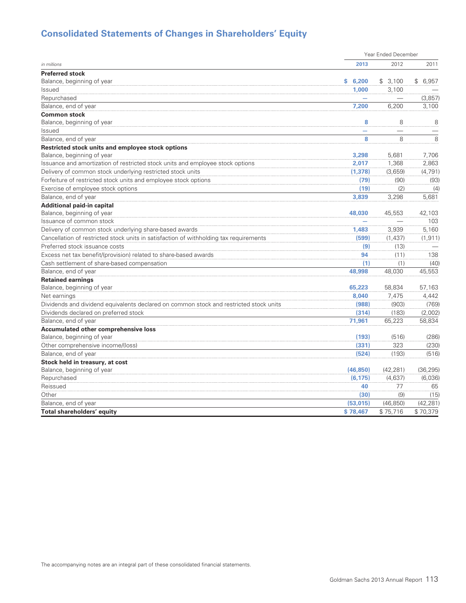# **Consolidated Statements of Changes in Shareholders' Equity**

|                                                                                        |              | Year Ended December |           |
|----------------------------------------------------------------------------------------|--------------|---------------------|-----------|
| in millions                                                                            | 2013         | 2012                | 2011      |
| <b>Preferred stock</b>                                                                 |              |                     |           |
| Balance, beginning of year                                                             | 6,200<br>\$. | \$3,100             | \$6,957   |
| Issued                                                                                 | 1,000        | 3,100               |           |
| Repurchased                                                                            |              |                     | (3,857)   |
| Balance, end of year                                                                   | 7.200        | 6,200               | 3,100     |
| <b>Common stock</b>                                                                    |              |                     |           |
| Balance, beginning of year                                                             | 8            | 8                   | 8         |
| Issued                                                                                 |              |                     |           |
| Balance, end of year                                                                   | 8            | 8                   | 8         |
| Restricted stock units and employee stock options                                      |              |                     |           |
| Balance, beginning of year                                                             | 3,298        | 5,681               | 7,706     |
| Issuance and amortization of restricted stock units and employee stock options         | 2,017        | 1,368               | 2,863     |
| Delivery of common stock underlying restricted stock units                             | (1, 378)     | (3,659)             | (4,791)   |
| Forfeiture of restricted stock units and employee stock options                        | (79)         | (90)                | (93)      |
| Exercise of employee stock options                                                     | (19)         | (2)                 | (4)       |
| Balance, end of year                                                                   | 3,839        | 3,298               | 5,681     |
| <b>Additional paid-in capital</b>                                                      |              |                     |           |
| Balance, beginning of year                                                             | 48,030       | 45,553              | 42,103    |
| Issuance of common stock                                                               |              |                     | 103       |
| Delivery of common stock underlying share-based awards                                 | 1.483        | 3,939               | 5,160     |
| Cancellation of restricted stock units in satisfaction of withholding tax requirements | (599)        | (1,437)             | (1, 911)  |
| Preferred stock issuance costs                                                         | (9)          | (13)                |           |
| Excess net tax benefit/(provision) related to share-based awards                       | 94           | (11)                | 138       |
| Cash settlement of share-based compensation                                            | (1)          | (1)                 | (40)      |
| Balance, end of year                                                                   | 48,998       | 48,030              | 45,553    |
| <b>Retained earnings</b>                                                               |              |                     |           |
| Balance, beginning of year                                                             | 65,223       | 58,834              | 57,163    |
| Net earnings                                                                           | 8,040        | 7,475               | 4,442     |
| Dividends and dividend equivalents declared on common stock and restricted stock units | (988)        | (903)               | (769)     |
| Dividends declared on preferred stock                                                  | (314)        | (183)               | (2,002)   |
| Balance, end of year                                                                   | 71.961       | 65,223              | 58,834    |
| <b>Accumulated other comprehensive loss</b>                                            |              |                     |           |
| Balance, beginning of year                                                             | (193)        | (516)               | (286)     |
| Other comprehensive income/(loss)                                                      | (331)        | 323                 | (230)     |
| Balance, end of year                                                                   | (524)        | (193)               | (516)     |
| Stock held in treasury, at cost                                                        |              |                     |           |
| Balance, beginning of year                                                             | (46, 850)    | (42, 281)           | (36, 295) |
| Repurchased                                                                            | (6, 175)     | (4,637)             | (6,036)   |
| Reissued                                                                               | 40           | 77                  | 65        |
| Other                                                                                  | (30)         | (9)                 | (15)      |
| Balance, end of year                                                                   | (53,015)     | (46, 850)           | (42, 281) |
| Total shareholders' equity                                                             | \$78,467     | \$75,716            | \$70,379  |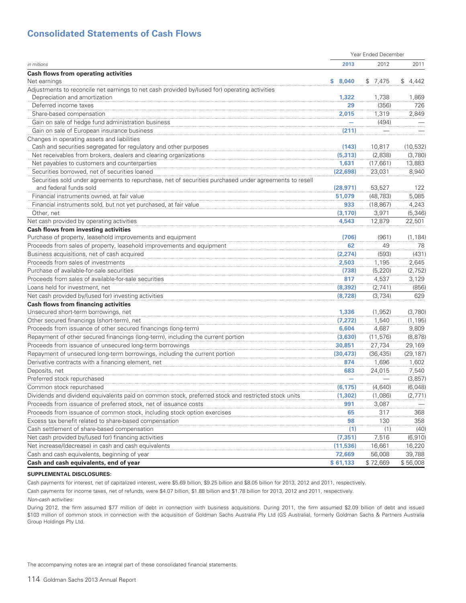# **Consolidated Statements of Cash Flows**

|                                                                                                        |           | Year Ended December |           |  |
|--------------------------------------------------------------------------------------------------------|-----------|---------------------|-----------|--|
| in millions                                                                                            | 2013      | 2012                | 2011      |  |
| <b>Cash flows from operating activities</b>                                                            |           |                     |           |  |
| Net earnings                                                                                           | \$8.040   | \$7,475             | \$4,442   |  |
| Adjustments to reconcile net earnings to net cash provided by/(used for) operating activities          |           |                     |           |  |
| Depreciation and amortization                                                                          | 1,322     | 1,738               | 1,869     |  |
| Deferred income taxes                                                                                  | 29        | (356)               | 726       |  |
| Share-based compensation                                                                               | 2,015     | 1,319               | 2,849     |  |
| Gain on sale of hedge fund administration business                                                     |           | (494)               |           |  |
| Gain on sale of European insurance business                                                            | (211)     |                     |           |  |
| Changes in operating assets and liabilities                                                            |           |                     |           |  |
| Cash and securities segregated for regulatory and other purposes                                       | (143)     | 10,817              | (10, 532) |  |
| Net receivables from brokers, dealers and clearing organizations                                       | (5, 313)  | (2,838)             | (3,780)   |  |
| Net payables to customers and counterparties                                                           | 1,631     | (17,661)            | 13,883    |  |
| Securities borrowed, net of securities loaned                                                          | (22, 698) | 23,031              | 8,940     |  |
| Securities sold under agreements to repurchase, net of securities purchased under agreements to resell |           |                     |           |  |
| and federal funds sold                                                                                 | (28, 971) | 53,527              | 122       |  |
| Financial instruments owned, at fair value                                                             | 51,079    | (48, 783)           | 5,085     |  |
| Financial instruments sold, but not yet purchased, at fair value                                       | 933       | (18, 867)           | 4,243     |  |
| Other, net                                                                                             | (3, 170)  | 3,971               | (5, 346)  |  |
| Net cash provided by operating activities                                                              | 4,543     | 12,879              | 22,501    |  |
| <b>Cash flows from investing activities</b>                                                            |           |                     |           |  |
| Purchase of property, leasehold improvements and equipment                                             | (706)     | (961)               | (1, 184)  |  |
| Proceeds from sales of property, leasehold improvements and equipment                                  | 62        | 49                  | 78        |  |
| Business acquisitions, net of cash acquired                                                            | (2, 274)  | (593)               | (431)     |  |
| Proceeds from sales of investments                                                                     | 2,503     | 1,195               | 2,645     |  |
| Purchase of available-for-sale securities                                                              | (738)     | (5, 220)            | (2,752)   |  |
| Proceeds from sales of available-for-sale securities                                                   | 817       | 4,537               | 3,129     |  |
| Loans held for investment, net                                                                         | (8, 392)  | (2,741)             | (856)     |  |
| Net cash provided by/(used for) investing activities                                                   | (8,728)   | (3,734)             | 629       |  |
| <b>Cash flows from financing activities</b>                                                            |           |                     |           |  |
| Unsecured short-term borrowings, net                                                                   | 1.336     | (1, 952)            | (3,780)   |  |
| Other secured financings (short-term), net                                                             | (7,272)   | 1,540               | (1, 195)  |  |
| Proceeds from issuance of other secured financings (long-term)                                         | 6,604     | 4,687               | 9,809     |  |
| Repayment of other secured financings (long-term), including the current portion                       | (3,630)   | (11, 576)           | (8, 878)  |  |
| Proceeds from issuance of unsecured long-term borrowings                                               | 30,851    | 27,734              | 29,169    |  |
| Repayment of unsecured long-term borrowings, including the current portion                             | (30, 473) | (36, 435)           | (29, 187) |  |
| Derivative contracts with a financing element, net                                                     | 874       | 1,696               | 1,602     |  |
| Deposits, net                                                                                          | 683       | 24,015              | 7,540     |  |
| Preferred stock repurchased                                                                            |           |                     | (3.857)   |  |
| Common stock repurchased                                                                               | (6, 175)  | (4,640)             | (6,048)   |  |
| Dividends and dividend equivalents paid on common stock, preferred stock and restricted stock units    | (1, 302)  | (1,086)             | (2,771)   |  |
| Proceeds from issuance of preferred stock, net of issuance costs                                       | 991       | 3,087               |           |  |
| Proceeds from issuance of common stock, including stock option exercises                               | 65        | 317                 | 368       |  |
| Excess tax benefit related to share-based compensation                                                 | 98        | 130                 | 358       |  |
| Cash settlement of share-based compensation                                                            | (1)       | (1)                 | (40)      |  |
| Net cash provided by/(used for) financing activities                                                   | (7, 351)  | 7,516               | (6,910)   |  |
| Net increase/(decrease) in cash and cash equivalents                                                   | (11, 536) | 16,661              | 16,220    |  |
| Cash and cash equivalents, beginning of year                                                           | 72,669    | 56,008              | 39,788    |  |
| Cash and cash equivalents, end of year                                                                 | \$61,133  | \$72,669            | \$56,008  |  |
|                                                                                                        |           |                     |           |  |

#### **SUPPLEMENTAL DISCLOSURES:**

Cash payments for interest, net of capitalized interest, were \$5.69 billion, \$9.25 billion and \$8.05 billion for 2013, 2012 and 2011, respectively.

Cash payments for income taxes, net of refunds, were \$4.07 billion, \$1.88 billion and \$1.78 billion for 2013, 2012 and 2011, respectively.

*Non-cash activities:*

During 2012, the firm assumed \$77 million of debt in connection with business acquisitions. During 2011, the firm assumed \$2.09 billion of debt and issued \$103 million of common stock in connection with the acquisition of Goldman Sachs Australia Pty Ltd (GS Australia), formerly Goldman Sachs & Partners Australia Group Holdings Pty Ltd.

The accompanying notes are an integral part of these consolidated financial statements.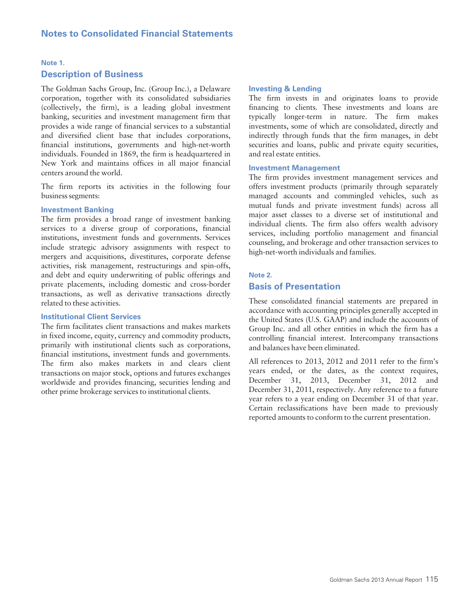#### **Note 1.**

## **Description of Business**

The Goldman Sachs Group, Inc. (Group Inc.), a Delaware corporation, together with its consolidated subsidiaries (collectively, the firm), is a leading global investment banking, securities and investment management firm that provides a wide range of financial services to a substantial and diversified client base that includes corporations, financial institutions, governments and high-net-worth individuals. Founded in 1869, the firm is headquartered in New York and maintains offices in all major financial centers around the world.

The firm reports its activities in the following four business segments:

#### **Investment Banking**

The firm provides a broad range of investment banking services to a diverse group of corporations, financial institutions, investment funds and governments. Services include strategic advisory assignments with respect to mergers and acquisitions, divestitures, corporate defense activities, risk management, restructurings and spin-offs, and debt and equity underwriting of public offerings and private placements, including domestic and cross-border transactions, as well as derivative transactions directly related to these activities.

## **Institutional Client Services**

The firm facilitates client transactions and makes markets in fixed income, equity, currency and commodity products, primarily with institutional clients such as corporations, financial institutions, investment funds and governments. The firm also makes markets in and clears client transactions on major stock, options and futures exchanges worldwide and provides financing, securities lending and other prime brokerage services to institutional clients.

#### **Investing & Lending**

The firm invests in and originates loans to provide financing to clients. These investments and loans are typically longer-term in nature. The firm makes investments, some of which are consolidated, directly and indirectly through funds that the firm manages, in debt securities and loans, public and private equity securities, and real estate entities.

#### **Investment Management**

The firm provides investment management services and offers investment products (primarily through separately managed accounts and commingled vehicles, such as mutual funds and private investment funds) across all major asset classes to a diverse set of institutional and individual clients. The firm also offers wealth advisory services, including portfolio management and financial counseling, and brokerage and other transaction services to high-net-worth individuals and families.

#### **Note 2.**

# **Basis of Presentation**

These consolidated financial statements are prepared in accordance with accounting principles generally accepted in the United States (U.S. GAAP) and include the accounts of Group Inc. and all other entities in which the firm has a controlling financial interest. Intercompany transactions and balances have been eliminated.

All references to 2013, 2012 and 2011 refer to the firm's years ended, or the dates, as the context requires, December 31, 2013, December 31, 2012 and December 31, 2011, respectively. Any reference to a future year refers to a year ending on December 31 of that year. Certain reclassifications have been made to previously reported amounts to conform to the current presentation.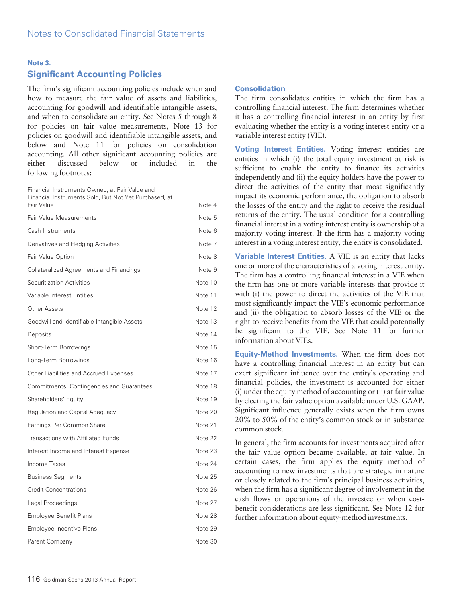# **Note 3.**

# **Significant Accounting Policies**

The firm's significant accounting policies include when and how to measure the fair value of assets and liabilities, accounting for goodwill and identifiable intangible assets, and when to consolidate an entity. See Notes 5 through 8 for policies on fair value measurements, Note 13 for policies on goodwill and identifiable intangible assets, and below and Note 11 for policies on consolidation accounting. All other significant accounting policies are either discussed below or included in the following footnotes:

Financial Instruments Owned, at Fair Value and Financial Instruments Sold, But Not Yet Purchased, at

| Fair Value                                      | Note 4  |
|-------------------------------------------------|---------|
| Fair Value Measurements                         | Note 5  |
| Cash Instruments                                | Note 6  |
| Derivatives and Hedging Activities              | Note 7  |
| Fair Value Option                               | Note 8  |
| <b>Collateralized Agreements and Financings</b> | Note 9  |
| <b>Securitization Activities</b>                | Note 10 |
| Variable Interest Entities                      | Note 11 |
| <b>Other Assets</b>                             | Note 12 |
| Goodwill and Identifiable Intangible Assets     | Note 13 |
| Deposits                                        | Note 14 |
| Short-Term Borrowings                           | Note 15 |
| Long-Term Borrowings                            | Note 16 |
| Other Liabilities and Accrued Expenses          | Note 17 |
| Commitments, Contingencies and Guarantees       | Note 18 |
| Shareholders' Equity                            | Note 19 |
| Regulation and Capital Adequacy                 | Note 20 |
| Earnings Per Common Share                       | Note 21 |
| Transactions with Affiliated Funds              | Note 22 |
| Interest Income and Interest Expense            | Note 23 |
| Income Taxes                                    | Note 24 |
| <b>Business Segments</b>                        | Note 25 |
| <b>Credit Concentrations</b>                    | Note 26 |
| Legal Proceedings                               | Note 27 |
| <b>Employee Benefit Plans</b>                   | Note 28 |
| Employee Incentive Plans                        | Note 29 |
| Parent Company                                  | Note 30 |

### **Consolidation**

The firm consolidates entities in which the firm has a controlling financial interest. The firm determines whether it has a controlling financial interest in an entity by first evaluating whether the entity is a voting interest entity or a variable interest entity (VIE).

**Voting Interest Entities.** Voting interest entities are entities in which (i) the total equity investment at risk is sufficient to enable the entity to finance its activities independently and (ii) the equity holders have the power to direct the activities of the entity that most significantly impact its economic performance, the obligation to absorb the losses of the entity and the right to receive the residual returns of the entity. The usual condition for a controlling financial interest in a voting interest entity is ownership of a majority voting interest. If the firm has a majority voting interest in a voting interest entity, the entity is consolidated.

**Variable Interest Entities.** A VIE is an entity that lacks one or more of the characteristics of a voting interest entity. The firm has a controlling financial interest in a VIE when the firm has one or more variable interests that provide it with (i) the power to direct the activities of the VIE that most significantly impact the VIE's economic performance and (ii) the obligation to absorb losses of the VIE or the right to receive benefits from the VIE that could potentially be significant to the VIE. See Note 11 for further information about VIEs.

**Equity-Method Investments.** When the firm does not have a controlling financial interest in an entity but can exert significant influence over the entity's operating and financial policies, the investment is accounted for either (i) under the equity method of accounting or (ii) at fair value by electing the fair value option available under U.S. GAAP. Significant influence generally exists when the firm owns 20% to 50% of the entity's common stock or in-substance common stock.

In general, the firm accounts for investments acquired after the fair value option became available, at fair value. In certain cases, the firm applies the equity method of accounting to new investments that are strategic in nature or closely related to the firm's principal business activities, when the firm has a significant degree of involvement in the cash flows or operations of the investee or when costbenefit considerations are less significant. See Note 12 for further information about equity-method investments.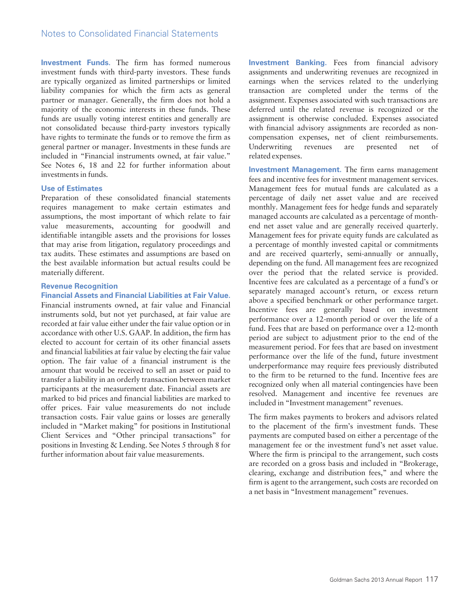**Investment Funds.** The firm has formed numerous investment funds with third-party investors. These funds are typically organized as limited partnerships or limited liability companies for which the firm acts as general partner or manager. Generally, the firm does not hold a majority of the economic interests in these funds. These funds are usually voting interest entities and generally are not consolidated because third-party investors typically have rights to terminate the funds or to remove the firm as general partner or manager. Investments in these funds are included in "Financial instruments owned, at fair value." See Notes 6, 18 and 22 for further information about investments in funds.

## **Use of Estimates**

Preparation of these consolidated financial statements requires management to make certain estimates and assumptions, the most important of which relate to fair value measurements, accounting for goodwill and identifiable intangible assets and the provisions for losses that may arise from litigation, regulatory proceedings and tax audits. These estimates and assumptions are based on the best available information but actual results could be materially different.

#### **Revenue Recognition**

**Financial Assets and Financial Liabilities at Fair Value.** Financial instruments owned, at fair value and Financial instruments sold, but not yet purchased, at fair value are recorded at fair value either under the fair value option or in accordance with other U.S. GAAP. In addition, the firm has elected to account for certain of its other financial assets and financial liabilities at fair value by electing the fair value option. The fair value of a financial instrument is the amount that would be received to sell an asset or paid to transfer a liability in an orderly transaction between market participants at the measurement date. Financial assets are marked to bid prices and financial liabilities are marked to offer prices. Fair value measurements do not include transaction costs. Fair value gains or losses are generally included in "Market making" for positions in Institutional Client Services and "Other principal transactions" for positions in Investing & Lending. See Notes 5 through 8 for further information about fair value measurements.

**Investment Banking.** Fees from financial advisory assignments and underwriting revenues are recognized in earnings when the services related to the underlying transaction are completed under the terms of the assignment. Expenses associated with such transactions are deferred until the related revenue is recognized or the assignment is otherwise concluded. Expenses associated with financial advisory assignments are recorded as noncompensation expenses, net of client reimbursements. Underwriting revenues are presented net of related expenses.

**Investment Management.** The firm earns management fees and incentive fees for investment management services. Management fees for mutual funds are calculated as a percentage of daily net asset value and are received monthly. Management fees for hedge funds and separately managed accounts are calculated as a percentage of monthend net asset value and are generally received quarterly. Management fees for private equity funds are calculated as a percentage of monthly invested capital or commitments and are received quarterly, semi-annually or annually, depending on the fund. All management fees are recognized over the period that the related service is provided. Incentive fees are calculated as a percentage of a fund's or separately managed account's return, or excess return above a specified benchmark or other performance target. Incentive fees are generally based on investment performance over a 12-month period or over the life of a fund. Fees that are based on performance over a 12-month period are subject to adjustment prior to the end of the measurement period. For fees that are based on investment performance over the life of the fund, future investment underperformance may require fees previously distributed to the firm to be returned to the fund. Incentive fees are recognized only when all material contingencies have been resolved. Management and incentive fee revenues are included in "Investment management" revenues.

The firm makes payments to brokers and advisors related to the placement of the firm's investment funds. These payments are computed based on either a percentage of the management fee or the investment fund's net asset value. Where the firm is principal to the arrangement, such costs are recorded on a gross basis and included in "Brokerage, clearing, exchange and distribution fees," and where the firm is agent to the arrangement, such costs are recorded on a net basis in "Investment management" revenues.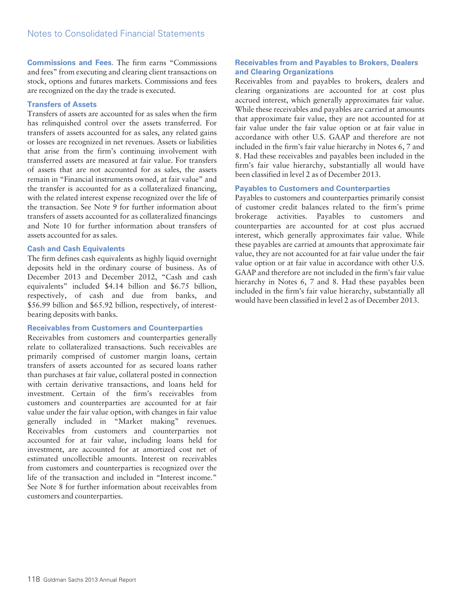**Commissions and Fees.** The firm earns "Commissions and fees" from executing and clearing client transactions on stock, options and futures markets. Commissions and fees are recognized on the day the trade is executed.

# **Transfers of Assets**

Transfers of assets are accounted for as sales when the firm has relinquished control over the assets transferred. For transfers of assets accounted for as sales, any related gains or losses are recognized in net revenues. Assets or liabilities that arise from the firm's continuing involvement with transferred assets are measured at fair value. For transfers of assets that are not accounted for as sales, the assets remain in "Financial instruments owned, at fair value" and the transfer is accounted for as a collateralized financing, with the related interest expense recognized over the life of the transaction. See Note 9 for further information about transfers of assets accounted for as collateralized financings and Note 10 for further information about transfers of assets accounted for as sales.

# **Cash and Cash Equivalents**

The firm defines cash equivalents as highly liquid overnight deposits held in the ordinary course of business. As of December 2013 and December 2012, "Cash and cash equivalents" included \$4.14 billion and \$6.75 billion, respectively, of cash and due from banks, and \$56.99 billion and \$65.92 billion, respectively, of interestbearing deposits with banks.

## **Receivables from Customers and Counterparties**

Receivables from customers and counterparties generally relate to collateralized transactions. Such receivables are primarily comprised of customer margin loans, certain transfers of assets accounted for as secured loans rather than purchases at fair value, collateral posted in connection with certain derivative transactions, and loans held for investment. Certain of the firm's receivables from customers and counterparties are accounted for at fair value under the fair value option, with changes in fair value generally included in "Market making" revenues. Receivables from customers and counterparties not accounted for at fair value, including loans held for investment, are accounted for at amortized cost net of estimated uncollectible amounts. Interest on receivables from customers and counterparties is recognized over the life of the transaction and included in "Interest income." See Note 8 for further information about receivables from customers and counterparties.

# **Receivables from and Payables to Brokers, Dealers and Clearing Organizations**

Receivables from and payables to brokers, dealers and clearing organizations are accounted for at cost plus accrued interest, which generally approximates fair value. While these receivables and payables are carried at amounts that approximate fair value, they are not accounted for at fair value under the fair value option or at fair value in accordance with other U.S. GAAP and therefore are not included in the firm's fair value hierarchy in Notes 6, 7 and 8. Had these receivables and payables been included in the firm's fair value hierarchy, substantially all would have been classified in level 2 as of December 2013.

# **Payables to Customers and Counterparties**

Payables to customers and counterparties primarily consist of customer credit balances related to the firm's prime brokerage activities. Payables to customers and counterparties are accounted for at cost plus accrued interest, which generally approximates fair value. While these payables are carried at amounts that approximate fair value, they are not accounted for at fair value under the fair value option or at fair value in accordance with other U.S. GAAP and therefore are not included in the firm's fair value hierarchy in Notes 6, 7 and 8. Had these payables been included in the firm's fair value hierarchy, substantially all would have been classified in level 2 as of December 2013.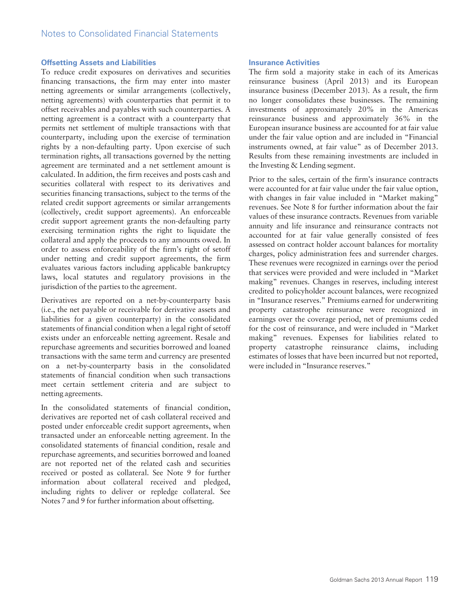#### **Offsetting Assets and Liabilities**

To reduce credit exposures on derivatives and securities financing transactions, the firm may enter into master netting agreements or similar arrangements (collectively, netting agreements) with counterparties that permit it to offset receivables and payables with such counterparties. A netting agreement is a contract with a counterparty that permits net settlement of multiple transactions with that counterparty, including upon the exercise of termination rights by a non-defaulting party. Upon exercise of such termination rights, all transactions governed by the netting agreement are terminated and a net settlement amount is calculated. In addition, the firm receives and posts cash and securities collateral with respect to its derivatives and securities financing transactions, subject to the terms of the related credit support agreements or similar arrangements (collectively, credit support agreements). An enforceable credit support agreement grants the non-defaulting party exercising termination rights the right to liquidate the collateral and apply the proceeds to any amounts owed. In order to assess enforceability of the firm's right of setoff under netting and credit support agreements, the firm evaluates various factors including applicable bankruptcy laws, local statutes and regulatory provisions in the jurisdiction of the parties to the agreement.

Derivatives are reported on a net-by-counterparty basis (i.e., the net payable or receivable for derivative assets and liabilities for a given counterparty) in the consolidated statements of financial condition when a legal right of setoff exists under an enforceable netting agreement. Resale and repurchase agreements and securities borrowed and loaned transactions with the same term and currency are presented on a net-by-counterparty basis in the consolidated statements of financial condition when such transactions meet certain settlement criteria and are subject to netting agreements.

In the consolidated statements of financial condition, derivatives are reported net of cash collateral received and posted under enforceable credit support agreements, when transacted under an enforceable netting agreement. In the consolidated statements of financial condition, resale and repurchase agreements, and securities borrowed and loaned are not reported net of the related cash and securities received or posted as collateral. See Note 9 for further information about collateral received and pledged, including rights to deliver or repledge collateral. See Notes 7 and 9 for further information about offsetting.

#### **Insurance Activities**

The firm sold a majority stake in each of its Americas reinsurance business (April 2013) and its European insurance business (December 2013). As a result, the firm no longer consolidates these businesses. The remaining investments of approximately 20% in the Americas reinsurance business and approximately 36% in the European insurance business are accounted for at fair value under the fair value option and are included in "Financial instruments owned, at fair value" as of December 2013. Results from these remaining investments are included in the Investing & Lending segment.

Prior to the sales, certain of the firm's insurance contracts were accounted for at fair value under the fair value option, with changes in fair value included in "Market making" revenues. See Note 8 for further information about the fair values of these insurance contracts. Revenues from variable annuity and life insurance and reinsurance contracts not accounted for at fair value generally consisted of fees assessed on contract holder account balances for mortality charges, policy administration fees and surrender charges. These revenues were recognized in earnings over the period that services were provided and were included in "Market making" revenues. Changes in reserves, including interest credited to policyholder account balances, were recognized in "Insurance reserves." Premiums earned for underwriting property catastrophe reinsurance were recognized in earnings over the coverage period, net of premiums ceded for the cost of reinsurance, and were included in "Market making" revenues. Expenses for liabilities related to property catastrophe reinsurance claims, including estimates of losses that have been incurred but not reported, were included in "Insurance reserves."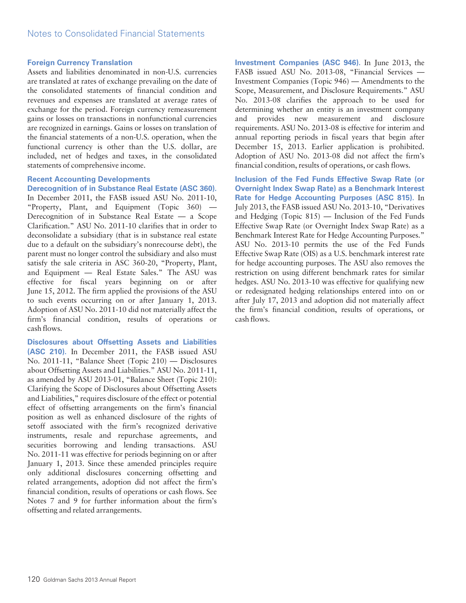## **Foreign Currency Translation**

Assets and liabilities denominated in non-U.S. currencies are translated at rates of exchange prevailing on the date of the consolidated statements of financial condition and revenues and expenses are translated at average rates of exchange for the period. Foreign currency remeasurement gains or losses on transactions in nonfunctional currencies are recognized in earnings. Gains or losses on translation of the financial statements of a non-U.S. operation, when the functional currency is other than the U.S. dollar, are included, net of hedges and taxes, in the consolidated statements of comprehensive income.

## **Recent Accounting Developments**

**Derecognition of in Substance Real Estate (ASC 360).** In December 2011, the FASB issued ASU No. 2011-10, "Property, Plant, and Equipment (Topic 360) — Derecognition of in Substance Real Estate — a Scope Clarification." ASU No. 2011-10 clarifies that in order to deconsolidate a subsidiary (that is in substance real estate due to a default on the subsidiary's nonrecourse debt), the parent must no longer control the subsidiary and also must satisfy the sale criteria in ASC 360-20, "Property, Plant, and Equipment — Real Estate Sales." The ASU was effective for fiscal years beginning on or after June 15, 2012. The firm applied the provisions of the ASU to such events occurring on or after January 1, 2013. Adoption of ASU No. 2011-10 did not materially affect the firm's financial condition, results of operations or cash flows.

**Disclosures about Offsetting Assets and Liabilities (ASC 210).** In December 2011, the FASB issued ASU No. 2011-11, "Balance Sheet (Topic 210) — Disclosures about Offsetting Assets and Liabilities." ASU No. 2011-11, as amended by ASU 2013-01, "Balance Sheet (Topic 210): Clarifying the Scope of Disclosures about Offsetting Assets and Liabilities," requires disclosure of the effect or potential effect of offsetting arrangements on the firm's financial position as well as enhanced disclosure of the rights of setoff associated with the firm's recognized derivative instruments, resale and repurchase agreements, and securities borrowing and lending transactions. ASU No. 2011-11 was effective for periods beginning on or after January 1, 2013. Since these amended principles require only additional disclosures concerning offsetting and related arrangements, adoption did not affect the firm's financial condition, results of operations or cash flows. See Notes 7 and 9 for further information about the firm's offsetting and related arrangements.

**Investment Companies (ASC 946).** In June 2013, the FASB issued ASU No. 2013-08, "Financial Services — Investment Companies (Topic 946) — Amendments to the Scope, Measurement, and Disclosure Requirements." ASU No. 2013-08 clarifies the approach to be used for determining whether an entity is an investment company and provides new measurement and disclosure requirements. ASU No. 2013-08 is effective for interim and annual reporting periods in fiscal years that begin after December 15, 2013. Earlier application is prohibited. Adoption of ASU No. 2013-08 did not affect the firm's financial condition, results of operations, or cash flows.

**Inclusion of the Fed Funds Effective Swap Rate (or Overnight Index Swap Rate) as a Benchmark Interest Rate for Hedge Accounting Purposes (ASC 815).** In July 2013, the FASB issued ASU No. 2013-10, "Derivatives and Hedging (Topic 815) — Inclusion of the Fed Funds Effective Swap Rate (or Overnight Index Swap Rate) as a Benchmark Interest Rate for Hedge Accounting Purposes." ASU No. 2013-10 permits the use of the Fed Funds Effective Swap Rate (OIS) as a U.S. benchmark interest rate for hedge accounting purposes. The ASU also removes the restriction on using different benchmark rates for similar hedges. ASU No. 2013-10 was effective for qualifying new or redesignated hedging relationships entered into on or after July 17, 2013 and adoption did not materially affect the firm's financial condition, results of operations, or cash flows.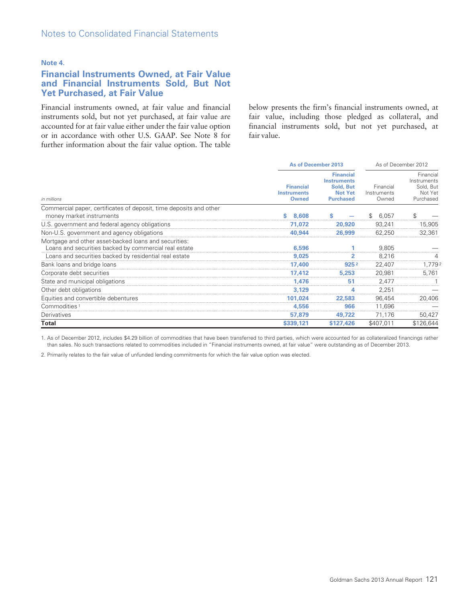#### **Note 4.**

# **Financial Instruments Owned, at Fair Value and Financial Instruments Sold, But Not Yet Purchased, at Fair Value**

Financial instruments owned, at fair value and financial instruments sold, but not yet purchased, at fair value are accounted for at fair value either under the fair value option or in accordance with other U.S. GAAP. See Note 8 for further information about the fair value option. The table below presents the firm's financial instruments owned, at fair value, including those pledged as collateral, and financial instruments sold, but not yet purchased, at fair value.

|                                                                                                                | As of December 2013                             |                                                                                           | As of December 2012               |                                                               |
|----------------------------------------------------------------------------------------------------------------|-------------------------------------------------|-------------------------------------------------------------------------------------------|-----------------------------------|---------------------------------------------------------------|
| in millions                                                                                                    | <b>Financial</b><br><b>Instruments</b><br>Owned | <b>Financial</b><br><b>Instruments</b><br>Sold, But<br><b>Not Yet</b><br><b>Purchased</b> | Financial<br>Instruments<br>Owned | Financial<br>Instruments<br>Sold, But<br>Not Yet<br>Purchased |
| Commercial paper, certificates of deposit, time deposits and other                                             |                                                 |                                                                                           |                                   |                                                               |
| money market instruments                                                                                       | 8.608                                           |                                                                                           | 6.057                             |                                                               |
| U.S. government and federal agency obligations                                                                 | 71.072                                          | 20,920                                                                                    | 93,241                            | 15,905                                                        |
| Non-U.S. government and agency obligations                                                                     | 40,944                                          | 26,999                                                                                    | 62.250                            | 32,361                                                        |
| Mortgage and other asset-backed loans and securities:<br>Loans and securities backed by commercial real estate | 6,596                                           |                                                                                           | 9,805                             |                                                               |
| Loans and securities backed by residential real estate                                                         | 9,025                                           |                                                                                           | 8.216                             |                                                               |
| Bank loans and bridge loans                                                                                    | 17.400                                          | 9252                                                                                      | 22,407                            |                                                               |
| Corporate debt securities                                                                                      | 17.412                                          | 5.253                                                                                     | 20,981                            | 5.761                                                         |
| State and municipal obligations                                                                                | 1,476                                           | 51                                                                                        | 2,477                             |                                                               |
| Other debt obligations                                                                                         | 3,129                                           |                                                                                           | 2,251                             |                                                               |
| Equities and convertible debentures                                                                            | 101,024                                         | 22,583                                                                                    | 96,454                            | 20,406                                                        |
| Commodities <sup>1</sup>                                                                                       | 4,556                                           | 966                                                                                       | 11,696                            |                                                               |
| Derivatives                                                                                                    | 57,879                                          | 49,722                                                                                    | 71,176                            | 50,427                                                        |
| Total                                                                                                          | \$339.121                                       | \$127.426                                                                                 | \$407,011                         | \$126,644                                                     |

1. As of December 2012, includes \$4.29 billion of commodities that have been transferred to third parties, which were accounted for as collateralized financings rather than sales. No such transactions related to commodities included in "Financial instruments owned, at fair value" were outstanding as of December 2013.

2. Primarily relates to the fair value of unfunded lending commitments for which the fair value option was elected.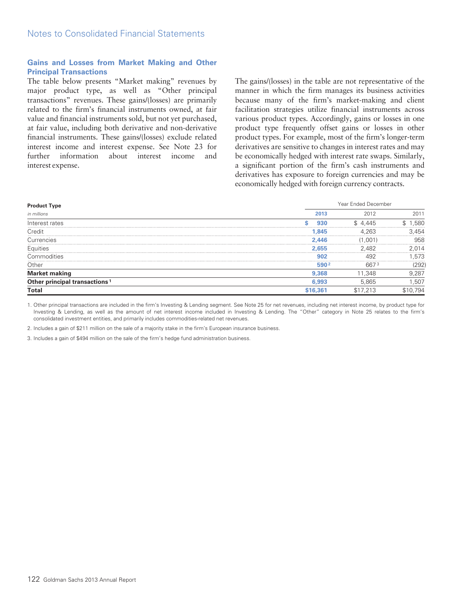# **Gains and Losses from Market Making and Other Principal Transactions**

The table below presents "Market making" revenues by major product type, as well as "Other principal transactions" revenues. These gains/(losses) are primarily related to the firm's financial instruments owned, at fair value and financial instruments sold, but not yet purchased, at fair value, including both derivative and non-derivative financial instruments. These gains/(losses) exclude related interest income and interest expense. See Note 23 for further information about interest income and interest expense.

The gains/(losses) in the table are not representative of the manner in which the firm manages its business activities because many of the firm's market-making and client facilitation strategies utilize financial instruments across various product types. Accordingly, gains or losses in one product type frequently offset gains or losses in other product types. For example, most of the firm's longer-term derivatives are sensitive to changes in interest rates and may be economically hedged with interest rate swaps. Similarly, a significant portion of the firm's cash instruments and derivatives has exposure to foreign currencies and may be economically hedged with foreign currency contracts.

| <b>Product Type</b>                       |          | Year Ended December |       |  |  |
|-------------------------------------------|----------|---------------------|-------|--|--|
| in millions                               |          | 2012                | 2011  |  |  |
| Interest rates                            |          |                     | .580  |  |  |
| Credit                                    | <br>.845 |                     | 454   |  |  |
| Currencies                                | 446      |                     | 958   |  |  |
| Equities                                  |          | 2.482               |       |  |  |
| difies                                    |          |                     | .573  |  |  |
| Other                                     | 5902     | 6673                | 292)  |  |  |
| <b>Market making</b>                      | .368     | .348                | 0.287 |  |  |
| Other principal transactions <sup>1</sup> | 6.993    | 5865                | .507  |  |  |
|                                           |          |                     | 794   |  |  |

1. Other principal transactions are included in the firm's Investing & Lending segment. See Note 25 for net revenues, including net interest income, by product type for Investing & Lending, as well as the amount of net interest income included in Investing & Lending. The "Other" category in Note 25 relates to the firm's consolidated investment entities, and primarily includes commodities-related net revenues.

2. Includes a gain of \$211 million on the sale of a majority stake in the firm's European insurance business.

3. Includes a gain of \$494 million on the sale of the firm's hedge fund administration business.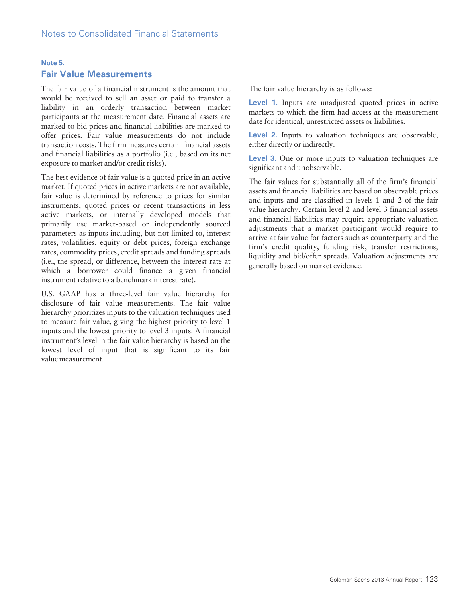#### **Note 5.**

# **Fair Value Measurements**

The fair value of a financial instrument is the amount that would be received to sell an asset or paid to transfer a liability in an orderly transaction between market participants at the measurement date. Financial assets are marked to bid prices and financial liabilities are marked to offer prices. Fair value measurements do not include transaction costs. The firm measures certain financial assets and financial liabilities as a portfolio (i.e., based on its net exposure to market and/or credit risks).

The best evidence of fair value is a quoted price in an active market. If quoted prices in active markets are not available, fair value is determined by reference to prices for similar instruments, quoted prices or recent transactions in less active markets, or internally developed models that primarily use market-based or independently sourced parameters as inputs including, but not limited to, interest rates, volatilities, equity or debt prices, foreign exchange rates, commodity prices, credit spreads and funding spreads (i.e., the spread, or difference, between the interest rate at which a borrower could finance a given financial instrument relative to a benchmark interest rate).

U.S. GAAP has a three-level fair value hierarchy for disclosure of fair value measurements. The fair value hierarchy prioritizes inputs to the valuation techniques used to measure fair value, giving the highest priority to level 1 inputs and the lowest priority to level 3 inputs. A financial instrument's level in the fair value hierarchy is based on the lowest level of input that is significant to its fair value measurement.

The fair value hierarchy is as follows:

**Level 1.** Inputs are unadjusted quoted prices in active markets to which the firm had access at the measurement date for identical, unrestricted assets or liabilities.

**Level 2.** Inputs to valuation techniques are observable, either directly or indirectly.

**Level 3.** One or more inputs to valuation techniques are significant and unobservable.

The fair values for substantially all of the firm's financial assets and financial liabilities are based on observable prices and inputs and are classified in levels 1 and 2 of the fair value hierarchy. Certain level 2 and level 3 financial assets and financial liabilities may require appropriate valuation adjustments that a market participant would require to arrive at fair value for factors such as counterparty and the firm's credit quality, funding risk, transfer restrictions, liquidity and bid/offer spreads. Valuation adjustments are generally based on market evidence.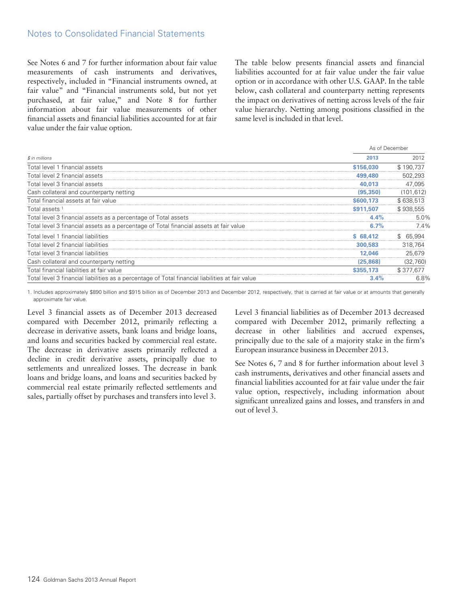# Notes to Consolidated Financial Statements

See Notes 6 and 7 for further information about fair value measurements of cash instruments and derivatives, respectively, included in "Financial instruments owned, at fair value" and "Financial instruments sold, but not yet purchased, at fair value," and Note 8 for further information about fair value measurements of other financial assets and financial liabilities accounted for at fair value under the fair value option.

The table below presents financial assets and financial liabilities accounted for at fair value under the fair value option or in accordance with other U.S. GAAP. In the table below, cash collateral and counterparty netting represents the impact on derivatives of netting across levels of the fair value hierarchy. Netting among positions classified in the same level is included in that level.

|                                                                                                  | As of December |           |
|--------------------------------------------------------------------------------------------------|----------------|-----------|
| \$ in millions                                                                                   | 2013           | 2012      |
| Total level 1 financial assets                                                                   | \$156,030      | \$190.737 |
| Total level 2 financial assets                                                                   | 499,480        | 502,293   |
| Total level 3 financial assets                                                                   | 40,013         | 47.095    |
| Cash collateral and counterparty netting                                                         | (95.350)       | (101.612) |
| Total financial assets at fair value                                                             | \$600.173      | \$638,513 |
| Total assets                                                                                     | \$911.507      | \$938,555 |
| Total level 3 financial assets as a percentage of lotal assets                                   |                | 50%       |
| Total level 3 financial assets as a percentage of Total financial assets at fair value           | 6 7%           | 74%       |
| Total level 1 financial liabilities                                                              | \$68.412       | 65.994    |
| Total level 2 financial liabilities                                                              | 300,583        | 318,764   |
| Total level 3 financial liabilities                                                              | 12,046         | 25.679    |
| Cash collateral and counterparty netting                                                         | (25.868)       | (32.760)  |
| Total financial liabilities at fair value                                                        | \$355.173      | \$377.677 |
| Total level 3 financial liabilities as a percentage of Total financial liabilities at fair value | $3.4\%$        | 68%       |

1. Includes approximately \$890 billion and \$915 billion as of December 2013 and December 2012, respectively, that is carried at fair value or at amounts that generally approximate fair value.

Level 3 financial assets as of December 2013 decreased compared with December 2012, primarily reflecting a decrease in derivative assets, bank loans and bridge loans, and loans and securities backed by commercial real estate. The decrease in derivative assets primarily reflected a decline in credit derivative assets, principally due to settlements and unrealized losses. The decrease in bank loans and bridge loans, and loans and securities backed by commercial real estate primarily reflected settlements and sales, partially offset by purchases and transfers into level 3. Level 3 financial liabilities as of December 2013 decreased compared with December 2012, primarily reflecting a decrease in other liabilities and accrued expenses, principally due to the sale of a majority stake in the firm's European insurance business in December 2013.

See Notes 6, 7 and 8 for further information about level 3 cash instruments, derivatives and other financial assets and financial liabilities accounted for at fair value under the fair value option, respectively, including information about significant unrealized gains and losses, and transfers in and out of level 3.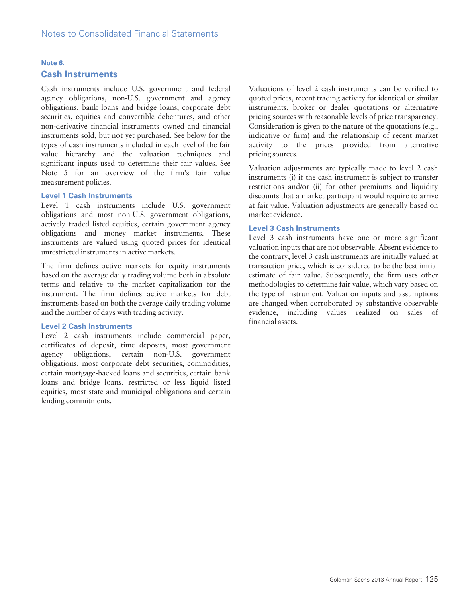# **Note 6.**

# **Cash Instruments**

Cash instruments include U.S. government and federal agency obligations, non-U.S. government and agency obligations, bank loans and bridge loans, corporate debt securities, equities and convertible debentures, and other non-derivative financial instruments owned and financial instruments sold, but not yet purchased. See below for the types of cash instruments included in each level of the fair value hierarchy and the valuation techniques and significant inputs used to determine their fair values. See Note 5 for an overview of the firm's fair value measurement policies.

#### **Level 1 Cash Instruments**

Level 1 cash instruments include U.S. government obligations and most non-U.S. government obligations, actively traded listed equities, certain government agency obligations and money market instruments. These instruments are valued using quoted prices for identical unrestricted instruments in active markets.

The firm defines active markets for equity instruments based on the average daily trading volume both in absolute terms and relative to the market capitalization for the instrument. The firm defines active markets for debt instruments based on both the average daily trading volume and the number of days with trading activity.

## **Level 2 Cash Instruments**

Level 2 cash instruments include commercial paper, certificates of deposit, time deposits, most government agency obligations, certain non-U.S. government obligations, most corporate debt securities, commodities, certain mortgage-backed loans and securities, certain bank loans and bridge loans, restricted or less liquid listed equities, most state and municipal obligations and certain lending commitments.

Valuations of level 2 cash instruments can be verified to quoted prices, recent trading activity for identical or similar instruments, broker or dealer quotations or alternative pricing sources with reasonable levels of price transparency. Consideration is given to the nature of the quotations (e.g., indicative or firm) and the relationship of recent market activity to the prices provided from alternative pricing sources.

Valuation adjustments are typically made to level 2 cash instruments (i) if the cash instrument is subject to transfer restrictions and/or (ii) for other premiums and liquidity discounts that a market participant would require to arrive at fair value. Valuation adjustments are generally based on market evidence.

#### **Level 3 Cash Instruments**

Level 3 cash instruments have one or more significant valuation inputs that are not observable. Absent evidence to the contrary, level 3 cash instruments are initially valued at transaction price, which is considered to be the best initial estimate of fair value. Subsequently, the firm uses other methodologies to determine fair value, which vary based on the type of instrument. Valuation inputs and assumptions are changed when corroborated by substantive observable evidence, including values realized on sales of financial assets.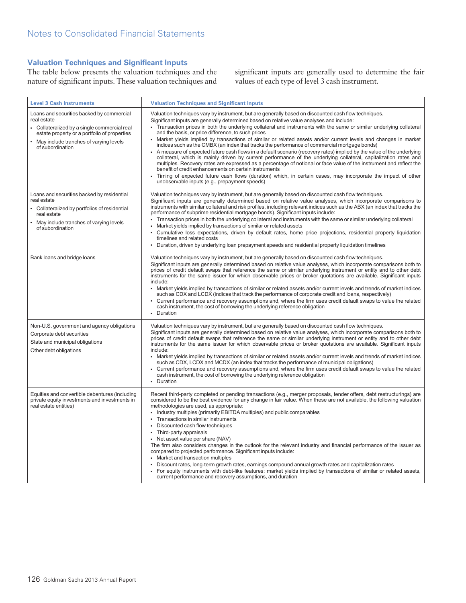# **Valuation Techniques and Significant Inputs**

The table below presents the valuation techniques and the nature of significant inputs. These valuation techniques and significant inputs are generally used to determine the fair values of each type of level 3 cash instrument.

| <b>Level 3 Cash Instruments</b>                                                                                                                                                                                        | <b>Valuation Techniques and Significant Inputs</b>                                                                                                                                                                                                                                                                                                                                                                                                                                                                                                                                                                                                                                                                                                                                                                                                                                                                                                                                                                                                                                                                                                                                             |
|------------------------------------------------------------------------------------------------------------------------------------------------------------------------------------------------------------------------|------------------------------------------------------------------------------------------------------------------------------------------------------------------------------------------------------------------------------------------------------------------------------------------------------------------------------------------------------------------------------------------------------------------------------------------------------------------------------------------------------------------------------------------------------------------------------------------------------------------------------------------------------------------------------------------------------------------------------------------------------------------------------------------------------------------------------------------------------------------------------------------------------------------------------------------------------------------------------------------------------------------------------------------------------------------------------------------------------------------------------------------------------------------------------------------------|
| Loans and securities backed by commercial<br>real estate<br>• Collateralized by a single commercial real<br>estate property or a portfolio of properties<br>May include tranches of varying levels<br>of subordination | Valuation techniques vary by instrument, but are generally based on discounted cash flow techniques.<br>Significant inputs are generally determined based on relative value analyses and include:<br>Transaction prices in both the underlying collateral and instruments with the same or similar underlying collateral<br>and the basis, or price difference, to such prices<br>Market yields implied by transactions of similar or related assets and/or current levels and changes in market<br>indices such as the CMBX (an index that tracks the performance of commercial mortgage bonds)<br>A measure of expected future cash flows in a default scenario (recovery rates) implied by the value of the underlying<br>collateral, which is mainly driven by current performance of the underlying collateral, capitalization rates and<br>multiples. Recovery rates are expressed as a percentage of notional or face value of the instrument and reflect the<br>benefit of credit enhancements on certain instruments<br>Timing of expected future cash flows (duration) which, in certain cases, may incorporate the impact of other<br>unobservable inputs (e.g., prepayment speeds) |
| Loans and securities backed by residential<br>real estate<br>• Collateralized by portfolios of residential<br>real estate<br>May include tranches of varying levels<br>of subordination                                | Valuation techniques vary by instrument, but are generally based on discounted cash flow techniques.<br>Significant inputs are generally determined based on relative value analyses, which incorporate comparisons to<br>instruments with similar collateral and risk profiles, including relevant indices such as the ABX (an index that tracks the<br>performance of subprime residential mortgage bonds). Significant inputs include:<br>• Transaction prices in both the underlying collateral and instruments with the same or similar underlying collateral<br>Market yields implied by transactions of similar or related assets<br>Cumulative loss expectations, driven by default rates, home price projections, residential property liquidation<br>timelines and related costs<br>• Duration, driven by underlying loan prepayment speeds and residential property liquidation timelines                                                                                                                                                                                                                                                                                           |
| Bank loans and bridge loans                                                                                                                                                                                            | Valuation techniques vary by instrument, but are generally based on discounted cash flow techniques.<br>Significant inputs are generally determined based on relative value analyses, which incorporate comparisons both to<br>prices of credit default swaps that reference the same or similar underlying instrument or entity and to other debt<br>instruments for the same issuer for which observable prices or broker quotations are available. Significant inputs<br>include:<br>• Market yields implied by transactions of similar or related assets and/or current levels and trends of market indices<br>such as CDX and LCDX (indices that track the performance of corporate credit and loans, respectively)<br>Current performance and recovery assumptions and, where the firm uses credit default swaps to value the related<br>cash instrument, the cost of borrowing the underlying reference obligation<br>Duration                                                                                                                                                                                                                                                          |
| Non-U.S. government and agency obligations<br>Corporate debt securities<br>State and municipal obligations<br>Other debt obligations                                                                                   | Valuation techniques vary by instrument, but are generally based on discounted cash flow techniques.<br>Significant inputs are generally determined based on relative value analyses, which incorporate comparisons both to<br>prices of credit default swaps that reference the same or similar underlying instrument or entity and to other debt<br>instruments for the same issuer for which observable prices or broker quotations are available. Significant inputs<br>include:<br>• Market yields implied by transactions of similar or related assets and/or current levels and trends of market indices<br>such as CDX, LCDX and MCDX (an index that tracks the performance of municipal obligations)<br>Current performance and recovery assumptions and, where the firm uses credit default swaps to value the related<br>cash instrument, the cost of borrowing the underlying reference obligation<br>• Duration                                                                                                                                                                                                                                                                   |
| Equities and convertible debentures (including<br>private equity investments and investments in<br>real estate entities)                                                                                               | Recent third-party completed or pending transactions (e.g., merger proposals, tender offers, debt restructurings) are<br>considered to be the best evidence for any change in fair value. When these are not available, the following valuation<br>methodologies are used, as appropriate:<br>Industry multiples (primarily EBITDA multiples) and public comparables<br>$\bullet$<br>Transactions in similar instruments<br>$\bullet$<br>Discounted cash flow techniques<br>Third-party appraisals<br>$\bullet$<br>• Net asset value per share (NAV)<br>The firm also considers changes in the outlook for the relevant industry and financial performance of the issuer as<br>compared to projected performance. Significant inputs include:<br>• Market and transaction multiples<br>• Discount rates, long-term growth rates, earnings compound annual growth rates and capitalization rates<br>For equity instruments with debt-like features: market yields implied by transactions of similar or related assets,<br>current performance and recovery assumptions, and duration                                                                                                           |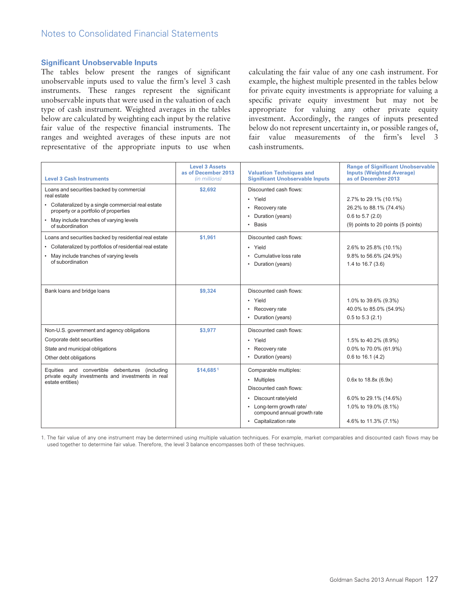## **Significant Unobservable Inputs**

The tables below present the ranges of significant unobservable inputs used to value the firm's level 3 cash instruments. These ranges represent the significant unobservable inputs that were used in the valuation of each type of cash instrument. Weighted averages in the tables below are calculated by weighting each input by the relative fair value of the respective financial instruments. The ranges and weighted averages of these inputs are not representative of the appropriate inputs to use when calculating the fair value of any one cash instrument. For example, the highest multiple presented in the tables below for private equity investments is appropriate for valuing a specific private equity investment but may not be appropriate for valuing any other private equity investment. Accordingly, the ranges of inputs presented below do not represent uncertainty in, or possible ranges of, fair value measurements of the firm's level 3 cash instruments.

| <b>Level 3 Cash Instruments</b>                                        | <b>Level 3 Assets</b><br>as of December 2013<br>(in millions) | <b>Valuation Techniques and</b><br><b>Significant Unobservable Inputs</b> | <b>Range of Significant Unobservable</b><br><b>Inputs (Weighted Average)</b><br>as of December 2013 |
|------------------------------------------------------------------------|---------------------------------------------------------------|---------------------------------------------------------------------------|-----------------------------------------------------------------------------------------------------|
| Loans and securities backed by commercial                              | \$2,692                                                       | Discounted cash flows:                                                    |                                                                                                     |
| real estate                                                            |                                                               | • Yield                                                                   | 2.7% to 29.1% (10.1%)                                                                               |
| • Collateralized by a single commercial real estate                    |                                                               | • Recovery rate                                                           | 26.2% to 88.1% (74.4%)                                                                              |
| property or a portfolio of properties                                  |                                                               | • Duration (years)                                                        | $0.6$ to 5.7 (2.0)                                                                                  |
| • May include tranches of varying levels<br>of subordination           |                                                               | • Basis                                                                   | (9) points to 20 points (5 points)                                                                  |
| Loans and securities backed by residential real estate                 | \$1.961                                                       | Discounted cash flows:                                                    |                                                                                                     |
| • Collateralized by portfolios of residential real estate              |                                                               | • Yield                                                                   | 2.6% to 25.8% (10.1%)                                                                               |
| • May include tranches of varying levels                               |                                                               | • Cumulative loss rate                                                    | 9.8% to 56.6% (24.9%)                                                                               |
| of subordination                                                       |                                                               | • Duration (years)                                                        | 1.4 to 16.7 (3.6)                                                                                   |
|                                                                        |                                                               |                                                                           |                                                                                                     |
| Bank loans and bridge loans                                            | \$9,324                                                       | Discounted cash flows:                                                    |                                                                                                     |
|                                                                        |                                                               | • Yield                                                                   | 1.0% to 39.6% (9.3%)                                                                                |
|                                                                        |                                                               | • Recovery rate                                                           | 40.0% to 85.0% (54.9%)                                                                              |
|                                                                        |                                                               | • Duration (years)                                                        | $0.5$ to $5.3$ (2.1)                                                                                |
| Non-U.S. government and agency obligations                             | \$3,977                                                       | Discounted cash flows:                                                    |                                                                                                     |
| Corporate debt securities                                              |                                                               | • Yield                                                                   | 1.5% to 40.2% (8.9%)                                                                                |
| State and municipal obligations                                        |                                                               | • Recovery rate                                                           | 0.0% to 70.0% (61.9%)                                                                               |
| Other debt obligations                                                 |                                                               | • Duration (years)                                                        | 0.6 to 16.1 (4.2)                                                                                   |
| Equities and convertible debentures (including                         | \$14,6851                                                     | Comparable multiples:                                                     |                                                                                                     |
| private equity investments and investments in real<br>estate entities) |                                                               | • Multiples                                                               | 0.6x to 18.8x (6.9x)                                                                                |
|                                                                        |                                                               | Discounted cash flows:                                                    |                                                                                                     |
|                                                                        |                                                               | • Discount rate/yield                                                     | 6.0% to 29.1% (14.6%)                                                                               |
|                                                                        |                                                               | • Long-term growth rate/                                                  | 1.0% to 19.0% (8.1%)                                                                                |
|                                                                        |                                                               | compound annual growth rate                                               |                                                                                                     |
|                                                                        |                                                               | • Capitalization rate                                                     | 4.6% to 11.3% (7.1%)                                                                                |

1. The fair value of any one instrument may be determined using multiple valuation techniques. For example, market comparables and discounted cash flows may be used together to determine fair value. Therefore, the level 3 balance encompasses both of these techniques.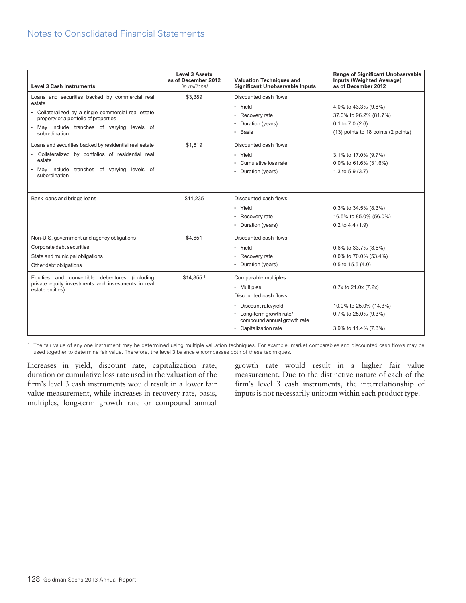| <b>Level 3 Cash Instruments</b>                                                                                                                                                                                          | <b>Level 3 Assets</b><br>as of December 2012<br>(in millions) | <b>Valuation Techniques and</b><br><b>Significant Unobservable Inputs</b>                                                                                                   | <b>Range of Significant Unobservable</b><br><b>Inputs (Weighted Average)</b><br>as of December 2012             |
|--------------------------------------------------------------------------------------------------------------------------------------------------------------------------------------------------------------------------|---------------------------------------------------------------|-----------------------------------------------------------------------------------------------------------------------------------------------------------------------------|-----------------------------------------------------------------------------------------------------------------|
| Loans and securities backed by commercial real<br>estate<br>• Collateralized by a single commercial real estate<br>property or a portfolio of properties<br>• May include tranches of varying levels of<br>subordination | \$3,389                                                       | Discounted cash flows:<br>• Yield<br>• Recovery rate<br>• Duration (years)<br>• Basis                                                                                       | 4.0% to 43.3% (9.8%)<br>37.0% to 96.2% (81.7%)<br>$0.1$ to $7.0$ $(2.6)$<br>(13) points to 18 points (2 points) |
| Loans and securities backed by residential real estate<br>· Collateralized by portfolios of residential real<br>estate<br>• May include tranches of varying levels of<br>subordination                                   | \$1.619                                                       | Discounted cash flows:<br>• Yield<br>• Cumulative loss rate<br>• Duration (years)                                                                                           | 3.1% to 17.0% (9.7%)<br>0.0% to 61.6% (31.6%)<br>1.3 to 5.9 (3.7)                                               |
| Bank loans and bridge loans                                                                                                                                                                                              | \$11.235                                                      | Discounted cash flows:<br>• Yield<br>• Recovery rate<br>• Duration (years)                                                                                                  | 0.3% to 34.5% (8.3%)<br>16.5% to 85.0% (56.0%)<br>$0.2$ to 4.4 (1.9)                                            |
| Non-U.S. government and agency obligations<br>Corporate debt securities<br>State and municipal obligations<br>Other debt obligations                                                                                     | \$4,651                                                       | Discounted cash flows:<br>• Yield<br>• Recovery rate<br>• Duration (years)                                                                                                  | 0.6% to 33.7% (8.6%)<br>0.0% to 70.0% (53.4%)<br>$0.5$ to 15.5 (4.0)                                            |
| Equities and convertible debentures (including<br>private equity investments and investments in real<br>estate entities)                                                                                                 | \$14,8551                                                     | Comparable multiples:<br>• Multiples<br>Discounted cash flows:<br>• Discount rate/yield<br>• Long-term growth rate/<br>compound annual growth rate<br>• Capitalization rate | 0.7x to 21.0x (7.2x)<br>10.0% to 25.0% (14.3%)<br>0.7% to 25.0% (9.3%)<br>3.9% to 11.4% (7.3%)                  |

1. The fair value of any one instrument may be determined using multiple valuation techniques. For example, market comparables and discounted cash flows may be used together to determine fair value. Therefore, the level 3 balance encompasses both of these techniques.

Increases in yield, discount rate, capitalization rate, duration or cumulative loss rate used in the valuation of the firm's level 3 cash instruments would result in a lower fair value measurement, while increases in recovery rate, basis, multiples, long-term growth rate or compound annual

growth rate would result in a higher fair value measurement. Due to the distinctive nature of each of the firm's level 3 cash instruments, the interrelationship of inputs is not necessarily uniform within each product type.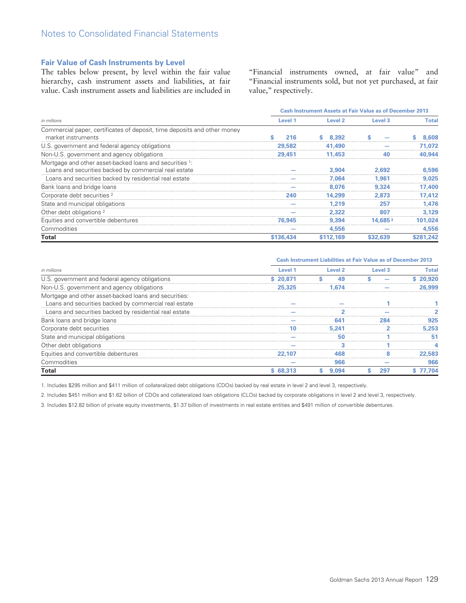# **Fair Value of Cash Instruments by Level**

The tables below present, by level within the fair value hierarchy, cash instrument assets and liabilities, at fair value. Cash instrument assets and liabilities are included in

"Financial instruments owned, at fair value" and "Financial instruments sold, but not yet purchased, at fair value," respectively.

|                                                                          | Cash Instrument Assets at Fair Value as of December 2013 |           |         |           |  |  |  |  |
|--------------------------------------------------------------------------|----------------------------------------------------------|-----------|---------|-----------|--|--|--|--|
| in millions                                                              | Level 1                                                  | Level 2   | Level 3 | Total     |  |  |  |  |
| Commercial paper, certificates of deposit, time deposits and other money |                                                          |           |         |           |  |  |  |  |
| market instruments                                                       |                                                          | 8.392     |         |           |  |  |  |  |
| U.S. government and federal agency obligations                           | 29.582                                                   | 41.490    |         | 71.072    |  |  |  |  |
| Non-U.S. government and agency obligations                               | 29,451                                                   | 11.453    |         | 40.944    |  |  |  |  |
| Mortgage and other asset-backed loans and securities 1:                  |                                                          |           |         |           |  |  |  |  |
| Loans and securities backed by commercial real estate                    |                                                          | 3.904     | 2.692   | 6.596     |  |  |  |  |
| Loans and securities backed by residential real estate                   |                                                          | 7.064     | I 961   | 9.025     |  |  |  |  |
| Bank loans and bridge loans                                              |                                                          | 8.076     | 9.324   | 17.400    |  |  |  |  |
| Corporate debt securities 2                                              |                                                          | 14.299    | 2.873   | 17.412    |  |  |  |  |
| State and municipal obligations                                          |                                                          | .219      | 257     | .476      |  |  |  |  |
| Other debt obligations <sup>2</sup>                                      |                                                          | 2.322     |         | 3.129     |  |  |  |  |
| Equities and convertible debentures                                      | 76.945                                                   | 9.394     |         | 101.024   |  |  |  |  |
| Commodities                                                              |                                                          | 4.556     |         | 4.556     |  |  |  |  |
| Total                                                                    | \$136.434                                                | \$112.169 |         | \$281.242 |  |  |  |  |

|                                                                                                                |         | <b>Cash Instrument Liabilities at Fair Value as of December 2013</b> |         |              |  |  |  |
|----------------------------------------------------------------------------------------------------------------|---------|----------------------------------------------------------------------|---------|--------------|--|--|--|
| in millions                                                                                                    | Level 1 | Level 2                                                              | Level 3 | <b>Total</b> |  |  |  |
| U.S. government and federal agency obligations                                                                 |         |                                                                      |         |              |  |  |  |
| Non-U.S. government and agency obligations                                                                     | 25.325  |                                                                      |         |              |  |  |  |
| Mortgage and other asset-backed loans and securities:<br>Loans and securities backed by commercial real estate |         |                                                                      |         |              |  |  |  |
| Loans and securities backed by residential real estate                                                         |         |                                                                      |         |              |  |  |  |
| Bank loans and bridge loans                                                                                    |         |                                                                      |         |              |  |  |  |
| Corporate debt securities                                                                                      |         |                                                                      |         |              |  |  |  |
| State and municipal obligations                                                                                |         |                                                                      |         |              |  |  |  |
| Other debt obligations                                                                                         |         |                                                                      |         |              |  |  |  |
| Equities and convertible debentures                                                                            |         |                                                                      |         | .583         |  |  |  |
| Commodities.                                                                                                   |         | 966                                                                  |         | 966          |  |  |  |
|                                                                                                                |         |                                                                      |         |              |  |  |  |

1. Includes \$295 million and \$411 million of collateralized debt obligations (CDOs) backed by real estate in level 2 and level 3, respectively.

2. Includes \$451 million and \$1.62 billion of CDOs and collateralized loan obligations (CLOs) backed by corporate obligations in level 2 and level 3, respectively.

3. Includes \$12.82 billion of private equity investments, \$1.37 billion of investments in real estate entities and \$491 million of convertible debentures.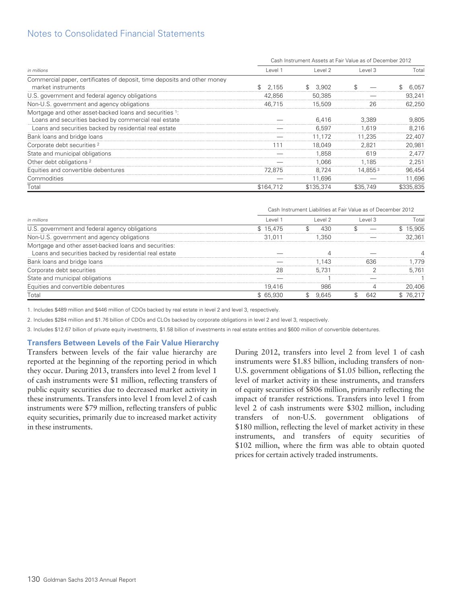# Notes to Consolidated Financial Statements

|                                                                                                                  | Cash Instrument Assets at Fair Value as of December 2012 |           |                |           |  |  |  |  |
|------------------------------------------------------------------------------------------------------------------|----------------------------------------------------------|-----------|----------------|-----------|--|--|--|--|
| in millions                                                                                                      | Level 1                                                  | Level $2$ | Level 3        | Total     |  |  |  |  |
| Commercial paper, certificates of deposit, time deposits and other money<br>market instruments                   | 2.155                                                    | 3.902     |                | 6.057     |  |  |  |  |
| U.S. government and federal agency obligations                                                                   | 42.856                                                   | 50.385    |                | 93.241    |  |  |  |  |
| Non-U.S. government and agency obligations                                                                       | 46.715                                                   | 15,509    | 2ĥ             | 62.250    |  |  |  |  |
| Mortgage and other asset-backed loans and securities 1:<br>Loans and securities backed by commercial real estate |                                                          | 6.416     | 3.389          | 9.805     |  |  |  |  |
| Loans and securities backed by residential real estate                                                           |                                                          | 6.597     | 1.619          | 8.216     |  |  |  |  |
| Bank loans and bridge loans                                                                                      |                                                          | 11.172    | 11.235         | 22,407    |  |  |  |  |
| Corporate debt securities 2                                                                                      |                                                          | 18.049    | $2.82^{\circ}$ | 20.981    |  |  |  |  |
| State and municipal obligations                                                                                  |                                                          | 1.858     | 619            | 2.477     |  |  |  |  |
| Other debt obligations <sup>2</sup>                                                                              |                                                          | 1.066     | 1.185          | 2.251     |  |  |  |  |
| Equities and convertible debentures                                                                              | 72.875                                                   | 8.724     | 14.8553        | 96.454    |  |  |  |  |
| Commodities                                                                                                      |                                                          | 11.696    |                | 11,696    |  |  |  |  |
| Total                                                                                                            | \$164,712                                                | \$135,374 | \$35,749       | \$335.835 |  |  |  |  |

|                                                                                                                 |        | Cash Instrument Liabilities at Fair Value as of December 2012 |       |  |      |      |  |
|-----------------------------------------------------------------------------------------------------------------|--------|---------------------------------------------------------------|-------|--|------|------|--|
| in millions                                                                                                     | l evel |                                                               |       |  | evel | ntal |  |
| U.S. government and federal agency obligations                                                                  | 5475   |                                                               |       |  |      |      |  |
| Non-U.S. government and agency obligations                                                                      |        |                                                               | 350   |  |      | 36   |  |
| Mortgage and other asset-backed loans and securities:<br>Loans and securities backed by residential real estate |        |                                                               |       |  |      |      |  |
| Bank loans and bridge loans                                                                                     |        |                                                               | 143   |  |      |      |  |
| Corporate debt securities                                                                                       |        |                                                               | 5 731 |  |      |      |  |
| State and municipal obligations                                                                                 |        |                                                               |       |  |      |      |  |
| Equities and convertible debentures                                                                             | 19416  |                                                               |       |  |      | -406 |  |
|                                                                                                                 |        |                                                               |       |  |      |      |  |

1. Includes \$489 million and \$446 million of CDOs backed by real estate in level 2 and level 3, respectively.

2. Includes \$284 million and \$1.76 billion of CDOs and CLOs backed by corporate obligations in level 2 and level 3, respectively.

3. Includes \$12.67 billion of private equity investments, \$1.58 billion of investments in real estate entities and \$600 million of convertible debentures.

#### **Transfers Between Levels of the Fair Value Hierarchy**

Transfers between levels of the fair value hierarchy are reported at the beginning of the reporting period in which they occur. During 2013, transfers into level 2 from level 1 of cash instruments were \$1 million, reflecting transfers of public equity securities due to decreased market activity in these instruments. Transfers into level 1 from level 2 of cash instruments were \$79 million, reflecting transfers of public equity securities, primarily due to increased market activity in these instruments.

During 2012, transfers into level 2 from level 1 of cash instruments were \$1.85 billion, including transfers of non-U.S. government obligations of \$1.05 billion, reflecting the level of market activity in these instruments, and transfers of equity securities of \$806 million, primarily reflecting the impact of transfer restrictions. Transfers into level 1 from level 2 of cash instruments were \$302 million, including transfers of non-U.S. government obligations of \$180 million, reflecting the level of market activity in these instruments, and transfers of equity securities of \$102 million, where the firm was able to obtain quoted prices for certain actively traded instruments.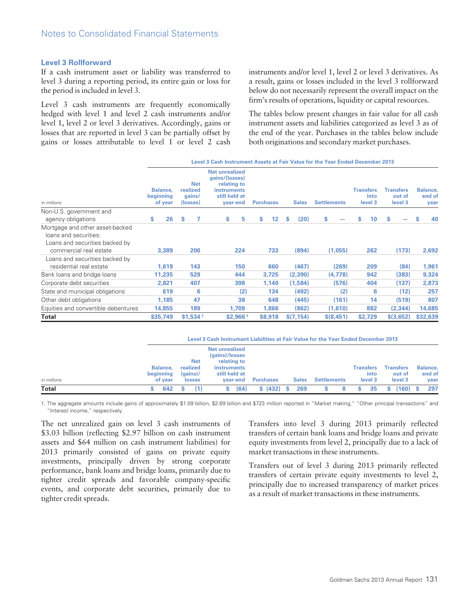#### **Level 3 Rollforward**

If a cash instrument asset or liability was transferred to level 3 during a reporting period, its entire gain or loss for the period is included in level 3.

Level 3 cash instruments are frequently economically hedged with level 1 and level 2 cash instruments and/or level 1, level 2 or level 3 derivatives. Accordingly, gains or losses that are reported in level 3 can be partially offset by gains or losses attributable to level 1 or level 2 cash instruments and/or level 1, level 2 or level 3 derivatives. As a result, gains or losses included in the level 3 rollforward below do not necessarily represent the overall impact on the firm's results of operations, liquidity or capital resources.

The tables below present changes in fair value for all cash instrument assets and liabilities categorized as level 3 as of the end of the year. Purchases in the tables below include both originations and secondary market purchases.

|                                                                                                                      | Level 3 Cash Instrument Assets at Fair Value for the Year Ended December 2013 |                                              |                                                                                                           |                  |              |                    |                                     |                                                  |                            |  |
|----------------------------------------------------------------------------------------------------------------------|-------------------------------------------------------------------------------|----------------------------------------------|-----------------------------------------------------------------------------------------------------------|------------------|--------------|--------------------|-------------------------------------|--------------------------------------------------|----------------------------|--|
| in millions                                                                                                          | <b>Balance.</b><br>beginning<br>of year                                       | <b>Net</b><br>realized<br>qains/<br>(losses) | <b>Net unrealized</b><br>gains/(losses)<br>relating to<br><b>instruments</b><br>still held at<br>vear-end | <b>Purchases</b> | <b>Sales</b> | <b>Settlements</b> | <b>Transfers</b><br>into<br>level 3 | <b>Transfers</b><br>out of<br>level <sub>3</sub> | Balance,<br>end of<br>year |  |
| Non-U.S. government and                                                                                              |                                                                               |                                              |                                                                                                           |                  |              |                    |                                     |                                                  |                            |  |
| agency obligations                                                                                                   | 26                                                                            |                                              |                                                                                                           | 12               | (20)         |                    | 10                                  |                                                  |                            |  |
| Mortgage and other asset-backed<br>loans and securities:<br>Loans and securities backed by<br>commercial real estate | 3,389                                                                         | 206                                          | 224                                                                                                       | 733              | (894)        | (1.055)            | 262                                 | (173)                                            | 2.692                      |  |
| Loans and securities backed by<br>residential real estate                                                            | 1,619                                                                         | 143                                          | 150                                                                                                       | 660              | (467)        | (269)              | 209                                 | (84)                                             | 1,961                      |  |
| Bank loans and bridge loans                                                                                          | 11.235                                                                        | 529                                          | 444                                                                                                       | 3,725            | (2,390)      | (4.778)            | 942                                 | (383)                                            | 9,324                      |  |
| Corporate debt securities                                                                                            | 2.821                                                                         | 407                                          | 398                                                                                                       | 1.140            | (1.584)      | (576)              | 404                                 | (137)                                            | 2.873                      |  |
| State and municipal obligations                                                                                      | 619                                                                           |                                              | (2)                                                                                                       | 134              | (492)        | $\mathbf{2}$       |                                     | (12)                                             | 257                        |  |
| Other debt obligations                                                                                               | 1.185                                                                         | 47                                           | 38                                                                                                        | 648              | (445)        | (161)              | 14                                  | (519)                                            | 807                        |  |
| Equities and convertible debentures                                                                                  | 14,855                                                                        | 189                                          | 1,709                                                                                                     | 1,866            | (862)        | (1,610)            | 882                                 | (2, 344)                                         | 14,685                     |  |
| Total                                                                                                                | \$35,749                                                                      | \$1,5341                                     | \$2,9661                                                                                                  | \$8,918          | \$(7, 154)   | \$ (8, 451)        | \$2,729                             | \$(3,652)                                        | \$32,639                   |  |

|              |                                  |                                                                  | Level 3 Cash Instrument Liabilities at Fair Value for the Year Ended December 2013                        |                  |              |                    |                                     |                                       |                            |
|--------------|----------------------------------|------------------------------------------------------------------|-----------------------------------------------------------------------------------------------------------|------------------|--------------|--------------------|-------------------------------------|---------------------------------------|----------------------------|
| in millions  | Balance.<br>beginning<br>of year | <b>Net</b><br>realized<br>$(_{\text{qains}})$ /<br><b>losses</b> | <b>Net unrealized</b><br>(gains)/losses<br>relating to<br><b>instruments</b><br>still held at<br>vear-end | <b>Purchases</b> | <b>Sales</b> | <b>Settlements</b> | <b>Transfers</b><br>into<br>level 3 | <b>Transfers</b><br>out of<br>level 3 | Balance,<br>end of<br>vear |
| <b>Total</b> | 642                              | (1)                                                              | (64)                                                                                                      | \$ (432)         | 269<br>-S    |                    | 35                                  | (160) \$<br>S                         | 297                        |

1. The aggregate amounts include gains of approximately \$1.09 billion, \$2.69 billion and \$723 million reported in "Market making," "Other principal transactions" and "Interest income," respectively.

The net unrealized gain on level 3 cash instruments of \$3.03 billion (reflecting \$2.97 billion on cash instrument assets and \$64 million on cash instrument liabilities) for 2013 primarily consisted of gains on private equity investments, principally driven by strong corporate performance, bank loans and bridge loans, primarily due to tighter credit spreads and favorable company-specific events, and corporate debt securities, primarily due to tighter credit spreads.

Transfers into level 3 during 2013 primarily reflected transfers of certain bank loans and bridge loans and private equity investments from level 2, principally due to a lack of market transactions in these instruments.

Transfers out of level 3 during 2013 primarily reflected transfers of certain private equity investments to level 2, principally due to increased transparency of market prices as a result of market transactions in these instruments.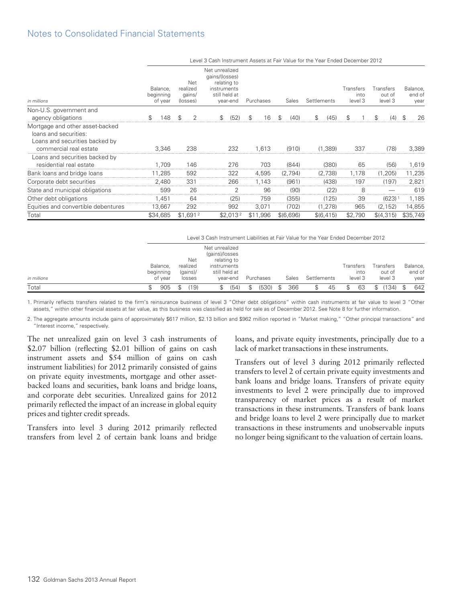| in millions                                                                                                          | Balance.<br>beginning<br>of year | Net<br>realized<br>aains/<br>(losses) | Net unrealized<br>qains/(losses)<br>relating to<br>instruments<br>still held at<br>year-end | Purchases | Sales     | Settlements | Transfers<br>into<br>level 3 | <b>Transfers</b><br>out of<br>level 3 | Balance,<br>end of<br>year |
|----------------------------------------------------------------------------------------------------------------------|----------------------------------|---------------------------------------|---------------------------------------------------------------------------------------------|-----------|-----------|-------------|------------------------------|---------------------------------------|----------------------------|
| Non-U.S. government and<br>agency obligations                                                                        | 148                              |                                       | 152                                                                                         | 16        | (40)      | (45)        |                              | (4)                                   | 26                         |
| Mortgage and other asset-backed<br>loans and securities:<br>Loans and securities backed by<br>commercial real estate | 3.346                            | 238                                   | 232                                                                                         | 1.613     | (910)     | (1.389)     | 337                          | (78)                                  | 3,389                      |
| Loans and securities backed by<br>residential real estate                                                            | 1.709                            | 146                                   | 276                                                                                         | 703       | (844)     | (380)       | 65                           | (56)                                  | 1,619                      |
| Bank loans and bridge loans                                                                                          | 11.285                           | 592                                   | 322                                                                                         | 4,595     | (2,794)   | (2.738)     | 1,178                        | (1,205)                               | 11,235                     |
| Corporate debt securities                                                                                            | 2.480                            | 331                                   | 266                                                                                         | 1.143     | (961)     | (438)       | 197                          | (197)                                 | 2,821                      |
| State and municipal obligations                                                                                      | 599                              | 26                                    |                                                                                             | 96        | (90)      | (22)        | 8                            |                                       | 619                        |
| Other debt obligations                                                                                               | 1.451                            | 64                                    | (25                                                                                         | 759       | (355)     | (125)       | 39                           | (623)                                 | 1,185                      |
| Equities and convertible debentures                                                                                  | 13,667                           | 292                                   | 992                                                                                         | 3,071     | (702)     | (1, 278)    | 965                          | (2, 152)                              | 14,855                     |
| Total                                                                                                                | \$34,685                         | \$1.691 <sup>2</sup>                  | \$2,013 <sup>2</sup>                                                                        | \$11,996  | \$(6,696) | \$(6, 415)  | \$2,790                      | \$(4,315)                             | \$35,749                   |

Level 3 Cash Instrument Assets at Fair Value for the Year Ended December 2012

Level 3 Cash Instrument Liabilities at Fair Value for the Year Ended December 2012

| in millions | Balance.<br>beginning<br>of year | Net<br>realized<br>(gains)/<br>losses | Net unrealized<br>(gains)/losses<br>relating to<br>instruments<br>still held at<br>vear-end | Purchases   | Sales    | Settlements | Transfers<br>into<br>level 3 | Transfers<br>out of<br>level 3 | Balance,<br>end of<br>vear |
|-------------|----------------------------------|---------------------------------------|---------------------------------------------------------------------------------------------|-------------|----------|-------------|------------------------------|--------------------------------|----------------------------|
| Total       | 905                              | (19)                                  | (54)<br>\$                                                                                  | (530)<br>\$ | 366<br>S | \$<br>45    | 63<br>\$                     | (134)                          | 642                        |

1. Primarily reflects transfers related to the firm's reinsurance business of level 3 "Other debt obligations" within cash instruments at fair value to level 3 "Other assets," within other financial assets at fair value, as this business was classified as held for sale as of December 2012. See Note 8 for further information.

2. The aggregate amounts include gains of approximately \$617 million, \$2.13 billion and \$962 million reported in "Market making," "Other principal transactions" and "Interest income," respectively.

The net unrealized gain on level 3 cash instruments of \$2.07 billion (reflecting \$2.01 billion of gains on cash instrument assets and \$54 million of gains on cash instrument liabilities) for 2012 primarily consisted of gains on private equity investments, mortgage and other assetbacked loans and securities, bank loans and bridge loans, and corporate debt securities. Unrealized gains for 2012 primarily reflected the impact of an increase in global equity prices and tighter credit spreads.

Transfers into level 3 during 2012 primarily reflected transfers from level 2 of certain bank loans and bridge loans, and private equity investments, principally due to a lack of market transactions in these instruments.

Transfers out of level 3 during 2012 primarily reflected transfers to level 2 of certain private equity investments and bank loans and bridge loans. Transfers of private equity investments to level 2 were principally due to improved transparency of market prices as a result of market transactions in these instruments. Transfers of bank loans and bridge loans to level 2 were principally due to market transactions in these instruments and unobservable inputs no longer being significant to the valuation of certain loans.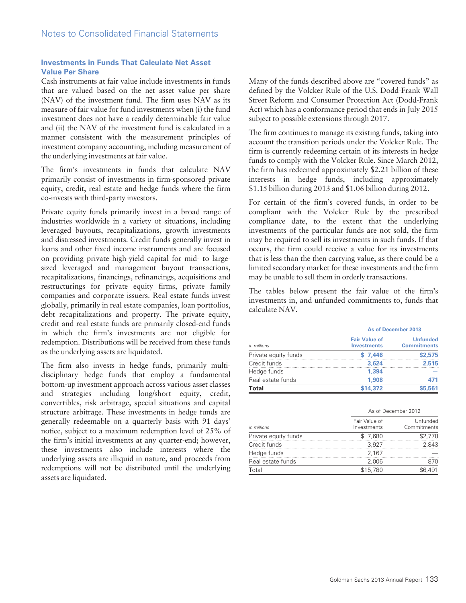# **Investments in Funds That Calculate Net Asset Value Per Share**

Cash instruments at fair value include investments in funds that are valued based on the net asset value per share (NAV) of the investment fund. The firm uses NAV as its measure of fair value for fund investments when (i) the fund investment does not have a readily determinable fair value and (ii) the NAV of the investment fund is calculated in a manner consistent with the measurement principles of investment company accounting, including measurement of the underlying investments at fair value.

The firm's investments in funds that calculate NAV primarily consist of investments in firm-sponsored private equity, credit, real estate and hedge funds where the firm co-invests with third-party investors.

Private equity funds primarily invest in a broad range of industries worldwide in a variety of situations, including leveraged buyouts, recapitalizations, growth investments and distressed investments. Credit funds generally invest in loans and other fixed income instruments and are focused on providing private high-yield capital for mid- to largesized leveraged and management buyout transactions, recapitalizations, financings, refinancings, acquisitions and restructurings for private equity firms, private family companies and corporate issuers. Real estate funds invest globally, primarily in real estate companies, loan portfolios, debt recapitalizations and property. The private equity, credit and real estate funds are primarily closed-end funds in which the firm's investments are not eligible for redemption. Distributions will be received from these funds as the underlying assets are liquidated.

The firm also invests in hedge funds, primarily multidisciplinary hedge funds that employ a fundamental bottom-up investment approach across various asset classes and strategies including long/short equity, credit, convertibles, risk arbitrage, special situations and capital structure arbitrage. These investments in hedge funds are generally redeemable on a quarterly basis with 91 days' notice, subject to a maximum redemption level of 25% of the firm's initial investments at any quarter-end; however, these investments also include interests where the underlying assets are illiquid in nature, and proceeds from redemptions will not be distributed until the underlying assets are liquidated.

Many of the funds described above are "covered funds" as defined by the Volcker Rule of the U.S. Dodd-Frank Wall Street Reform and Consumer Protection Act (Dodd-Frank Act) which has a conformance period that ends in July 2015 subject to possible extensions through 2017.

The firm continues to manage its existing funds, taking into account the transition periods under the Volcker Rule. The firm is currently redeeming certain of its interests in hedge funds to comply with the Volcker Rule. Since March 2012, the firm has redeemed approximately \$2.21 billion of these interests in hedge funds, including approximately \$1.15 billion during 2013 and \$1.06 billion during 2012.

For certain of the firm's covered funds, in order to be compliant with the Volcker Rule by the prescribed compliance date, to the extent that the underlying investments of the particular funds are not sold, the firm may be required to sell its investments in such funds. If that occurs, the firm could receive a value for its investments that is less than the then carrying value, as there could be a limited secondary market for these investments and the firm may be unable to sell them in orderly transactions.

The tables below present the fair value of the firm's investments in, and unfunded commitments to, funds that calculate NAV.

|                      |                                            | As of December 2013                   |
|----------------------|--------------------------------------------|---------------------------------------|
| in millions          | <b>Fair Value of</b><br><b>Investments</b> | <b>Unfunded</b><br><b>Commitments</b> |
| Private equity funds | \$7,446                                    | \$2,575                               |
| Credit funds         | 3.624                                      | 2.515                                 |
| Hedge funds          | 1.394                                      |                                       |
| Real estate funds    | 1.908                                      |                                       |
| Total                | \$14,372                                   | \$5,561                               |

|                      |                              | As of December 2012     |
|----------------------|------------------------------|-------------------------|
| in millions          | Fair Value of<br>Investments | Unfunded<br>Commitments |
| Private equity funds | \$7.680                      | \$2,778                 |
| Credit funds         | 3.927                        | 2.843                   |
| Hedge funds          | 2.167                        |                         |
| Real estate funds    | 2,006                        |                         |
| Г∩tal                | \$15,780                     |                         |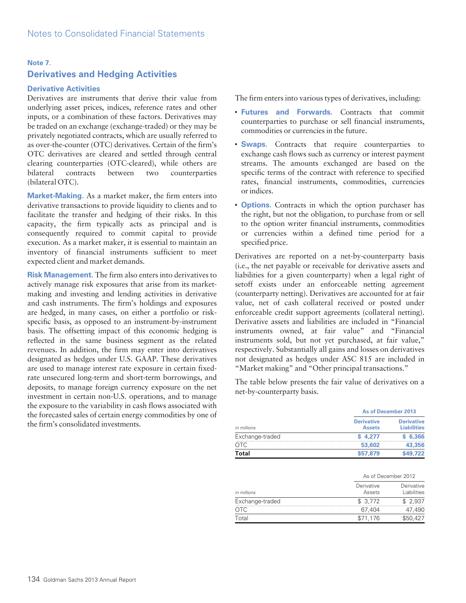## **Note 7.**

# **Derivatives and Hedging Activities**

## **Derivative Activities**

Derivatives are instruments that derive their value from underlying asset prices, indices, reference rates and other inputs, or a combination of these factors. Derivatives may be traded on an exchange (exchange-traded) or they may be privately negotiated contracts, which are usually referred to as over-the-counter (OTC) derivatives. Certain of the firm's OTC derivatives are cleared and settled through central clearing counterparties (OTC-cleared), while others are bilateral contracts between two counterparties (bilateral OTC).

**Market-Making.** As a market maker, the firm enters into derivative transactions to provide liquidity to clients and to facilitate the transfer and hedging of their risks. In this capacity, the firm typically acts as principal and is consequently required to commit capital to provide execution. As a market maker, it is essential to maintain an inventory of financial instruments sufficient to meet expected client and market demands.

**Risk Management.** The firm also enters into derivatives to actively manage risk exposures that arise from its marketmaking and investing and lending activities in derivative and cash instruments. The firm's holdings and exposures are hedged, in many cases, on either a portfolio or riskspecific basis, as opposed to an instrument-by-instrument basis. The offsetting impact of this economic hedging is reflected in the same business segment as the related revenues. In addition, the firm may enter into derivatives designated as hedges under U.S. GAAP. These derivatives are used to manage interest rate exposure in certain fixedrate unsecured long-term and short-term borrowings, and deposits, to manage foreign currency exposure on the net investment in certain non-U.S. operations, and to manage the exposure to the variability in cash flows associated with the forecasted sales of certain energy commodities by one of the firm's consolidated investments.

The firm enters into various types of derivatives, including:

- ‰ **Futures and Forwards.** Contracts that commit counterparties to purchase or sell financial instruments, commodities or currencies in the future.
- ‰ **Swaps.** Contracts that require counterparties to exchange cash flows such as currency or interest payment streams. The amounts exchanged are based on the specific terms of the contract with reference to specified rates, financial instruments, commodities, currencies or indices.
- **Options.** Contracts in which the option purchaser has the right, but not the obligation, to purchase from or sell to the option writer financial instruments, commodities or currencies within a defined time period for a specified price.

Derivatives are reported on a net-by-counterparty basis (i.e., the net payable or receivable for derivative assets and liabilities for a given counterparty) when a legal right of setoff exists under an enforceable netting agreement (counterparty netting). Derivatives are accounted for at fair value, net of cash collateral received or posted under enforceable credit support agreements (collateral netting). Derivative assets and liabilities are included in "Financial instruments owned, at fair value" and "Financial instruments sold, but not yet purchased, at fair value," respectively. Substantially all gains and losses on derivatives not designated as hedges under ASC 815 are included in "Market making" and "Other principal transactions."

The table below presents the fair value of derivatives on a net-by-counterparty basis.

|                 |                                    | As of December 2013                     |
|-----------------|------------------------------------|-----------------------------------------|
| in millions     | <b>Derivative</b><br><b>Assets</b> | <b>Derivative</b><br><b>Liabilities</b> |
| Exchange-traded | \$4.277                            | 6,366                                   |
| OTC             | 53,602                             | 43,356                                  |
| Total           | \$57,879                           | \$49,722                                |

|                 | As of December 2012  |                           |  |
|-----------------|----------------------|---------------------------|--|
| in millions     | Derivative<br>Assets | Derivative<br>Liabilities |  |
| Exchange-traded | \$3,772              | \$2,937                   |  |
| <b>OTC</b>      | 67.404               | 47.490                    |  |
| Total           | \$71.176             | \$50,427                  |  |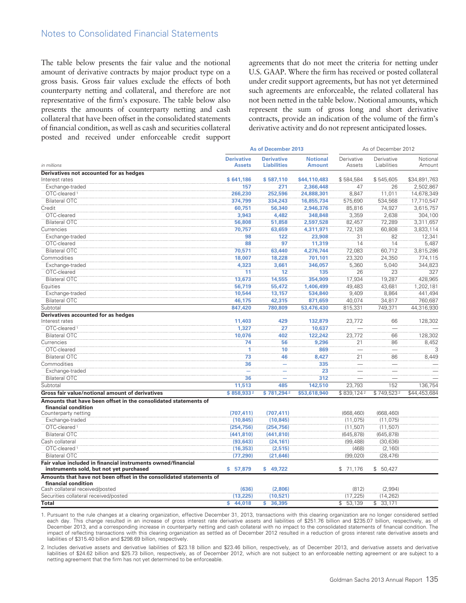# Notes to Consolidated Financial Statements

The table below presents the fair value and the notional amount of derivative contracts by major product type on a gross basis. Gross fair values exclude the effects of both counterparty netting and collateral, and therefore are not representative of the firm's exposure. The table below also presents the amounts of counterparty netting and cash collateral that have been offset in the consolidated statements of financial condition, as well as cash and securities collateral posted and received under enforceable credit support agreements that do not meet the criteria for netting under U.S. GAAP. Where the firm has received or posted collateral under credit support agreements, but has not yet determined such agreements are enforceable, the related collateral has not been netted in the table below. Notional amounts, which represent the sum of gross long and short derivative contracts, provide an indication of the volume of the firm's derivative activity and do not represent anticipated losses.

|                                                                     | <b>As of December 2013</b> |                    |                 | As of December 2012 |              |              |
|---------------------------------------------------------------------|----------------------------|--------------------|-----------------|---------------------|--------------|--------------|
|                                                                     | <b>Derivative</b>          | <b>Derivative</b>  | <b>Notional</b> | Derivative          | Derivative   | Notional     |
| in millions                                                         | <b>Assets</b>              | <b>Liabilities</b> | <b>Amount</b>   | Assets              | Liabilities  | Amount       |
| Derivatives not accounted for as hedges                             |                            |                    |                 |                     |              |              |
| Interest rates                                                      | \$641.186                  | \$587.110          | \$44,110,483    | \$584,584           | \$545,605    | \$34,891,763 |
| Exchange-traded                                                     | 157                        | 271                | 2,366,448       | 47                  | 26           | 2,502,867    |
| OTC-cleared <sup>1</sup>                                            | 266,230                    | 252,596            | 24,888,301      | 8,847               | 11,011       | 14,678,349   |
| <b>Bilateral OTC</b>                                                | 374,799                    | 334,243            | 16,855,734      | 575,690             | 534,568      | 17,710,547   |
| Credit                                                              | 60,751                     | 56,340             | 2,946,376       | 85,816              | 74,927       | 3,615,757    |
| OTC-cleared                                                         | 3,943                      | 4.482              | 348,848         | 3,359               | 2,638        | 304,100      |
| <b>Bilateral OTC</b>                                                | 56,808                     | 51,858             | 2,597,528       | 82,457              | 72,289       | 3,311,657    |
| Currencies                                                          | 70,757                     | 63,659             | 4,311,971       | 72,128              | 60,808       | 3,833,114    |
| Exchange-traded                                                     | 98                         | 122                | 23,908          | 31                  | 82           | 12,341       |
| OTC-cleared                                                         | 88                         | 97                 | 11,319          | 14                  | 14           | 5,487        |
| <b>Bilateral OTC</b>                                                | 70,571                     | 63,440             | 4,276,744       | 72,083              | 60,712       | 3,815,286    |
| Commodities                                                         | 18,007                     | 18,228             | 701,101         | 23,320              | 24,350       | 774,115      |
| Exchange-traded                                                     | 4,323                      | 3,661              | 346,057         | 5,360               | 5,040        | 344,823      |
| OTC-cleared                                                         | 11                         | 12                 | 135             | 26                  | 23           | 327          |
| <b>Bilateral OTC</b>                                                | 13,673                     | 14,555             | 354,909         | 17,934              | 19,287       | 428,965      |
| Equities                                                            | 56,719                     | 55,472             | 1,406,499       | 49,483              | 43,681       | 1,202,181    |
| Exchange-traded                                                     | 10,544                     | 13.157             | 534,840         | 9,409               | 8,864        | 441,494      |
| <b>Bilateral OTC</b>                                                | 46,175                     | 42,315             | 871,659         | 40,074              | 34,817       | 760,687      |
| Subtotal                                                            | 847.420                    | 780,809            | 53,476,430      | 815,331             | 749,371      | 44,316,930   |
| Derivatives accounted for as hedges                                 |                            |                    |                 |                     |              |              |
| Interest rates                                                      | 11,403                     | 429                | 132,879         | 23,772              | 66           | 128,302      |
| OTC-cleared <sup>1</sup>                                            | 1,327                      | 27                 | 10,637          |                     |              |              |
| <b>Bilateral OTC</b>                                                | 10,076                     | 402                | 122,242         | 23,772              | 66           | 128,302      |
| Currencies                                                          | 74                         | 56                 | 9.296           | 21                  | 86           | 8,452        |
| OTC-cleared                                                         | 1                          | 10                 | 869             |                     |              | 3            |
| <b>Bilateral OTC</b>                                                | 73                         | 46                 | 8,427           | 21                  | 86           | 8,449        |
| Commodities                                                         | 36                         |                    | 335             |                     | $\cdots$     |              |
| Exchange-traded                                                     |                            |                    | 23              | .                   | .            |              |
| <b>Bilateral OTC</b>                                                | 36                         |                    | 312             |                     |              |              |
| Subtotal                                                            | 11,513                     | 485                | 142,510         | 23,793              | 152          | 136,754      |
| Gross fair value/notional amount of derivatives                     | \$858,9332                 | \$781,2942         | \$53,618,940    | \$839,1242          | \$749,5232   | \$44,453,684 |
| Amounts that have been offset in the consolidated statements of     |                            |                    |                 |                     |              |              |
| financial condition                                                 |                            |                    |                 |                     |              |              |
| Counterparty netting                                                | (707, 411)                 | (707, 411)         |                 | (668, 460)          | (668, 460)   |              |
| Exchange-traded                                                     | (10, 845)                  | (10, 845)          |                 | (11, 075)           | (11, 075)    |              |
| OTC-cleared <sup>1</sup>                                            | (254, 756)                 | (254, 756)         |                 | (11, 507)           | (11,507)     |              |
| <b>Bilateral OTC</b>                                                | (441, 810)                 | (441, 810)         |                 | (645, 878)          | (645, 878)   |              |
| Cash collateral                                                     | (93, 643)                  | (24, 161)          |                 | (99, 488)           | (30, 636)    |              |
| OTC-cleared <sup>1</sup>                                            | (16, 353)                  | (2,515)            |                 | (468)               | (2, 160)     |              |
| <b>Bilateral OTC</b>                                                | (77, 290)                  | (21, 646)          |                 | (99, 020)           | (28, 476)    |              |
| Fair value included in financial instruments owned/financial        |                            |                    |                 |                     |              |              |
| instruments sold, but not yet purchased                             | \$57,879                   | \$49,722           |                 | \$71.176            | \$50.427     |              |
| Amounts that have not been offset in the consolidated statements of |                            |                    |                 |                     |              |              |
| financial condition<br>Cash collateral received/posted              | (636)                      | (2,806)            |                 | (812)               | (2,994)      |              |
| Securities collateral received/posted                               | (13, 225)                  | (10, 521)          |                 | (17, 225)           | (14, 262)    |              |
| Total                                                               | \$44,018                   | \$.<br>36,395      |                 | \$53,139            | \$<br>33,171 |              |
|                                                                     |                            |                    |                 |                     |              |              |

1. Pursuant to the rule changes at a clearing organization, effective December 31, 2013, transactions with this clearing organization are no longer considered settled each day. This change resulted in an increase of gross interest rate derivative assets and liabilities of \$251.76 billion and \$235.07 billion, respectively, as of December 2013, and a corresponding increase in counterparty netting and cash collateral with no impact to the consolidated statements of financial condition. The impact of reflecting transactions with this clearing organization as settled as of December 2012 resulted in a reduction of gross interest rate derivative assets and liabilities of \$315.40 billion and \$298.69 billion, respectively.

2. Includes derivative assets and derivative liabilities of \$23.18 billion and \$23.46 billion, respectively, as of December 2013, and derivative assets and derivative liabilities of \$24.62 billion and \$25.73 billion, respectively, as of December 2012, which are not subject to an enforceable netting agreement or are subject to a netting agreement that the firm has not yet determined to be enforceable.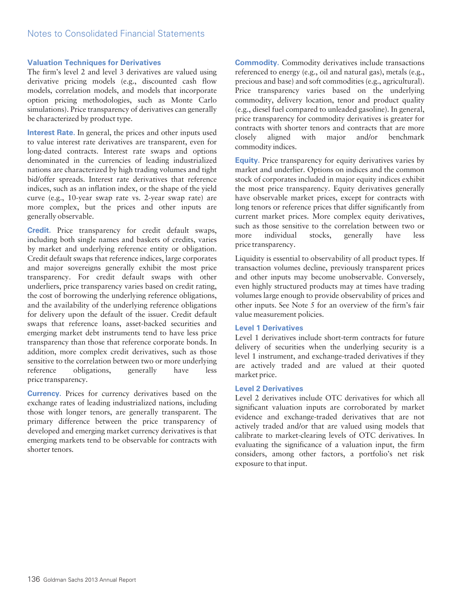## **Valuation Techniques for Derivatives**

The firm's level 2 and level 3 derivatives are valued using derivative pricing models (e.g., discounted cash flow models, correlation models, and models that incorporate option pricing methodologies, such as Monte Carlo simulations). Price transparency of derivatives can generally be characterized by product type.

**Interest Rate.** In general, the prices and other inputs used to value interest rate derivatives are transparent, even for long-dated contracts. Interest rate swaps and options denominated in the currencies of leading industrialized nations are characterized by high trading volumes and tight bid/offer spreads. Interest rate derivatives that reference indices, such as an inflation index, or the shape of the yield curve (e.g., 10-year swap rate vs. 2-year swap rate) are more complex, but the prices and other inputs are generally observable.

**Credit.** Price transparency for credit default swaps, including both single names and baskets of credits, varies by market and underlying reference entity or obligation. Credit default swaps that reference indices, large corporates and major sovereigns generally exhibit the most price transparency. For credit default swaps with other underliers, price transparency varies based on credit rating, the cost of borrowing the underlying reference obligations, and the availability of the underlying reference obligations for delivery upon the default of the issuer. Credit default swaps that reference loans, asset-backed securities and emerging market debt instruments tend to have less price transparency than those that reference corporate bonds. In addition, more complex credit derivatives, such as those sensitive to the correlation between two or more underlying reference obligations, generally have less price transparency.

**Currency.** Prices for currency derivatives based on the exchange rates of leading industrialized nations, including those with longer tenors, are generally transparent. The primary difference between the price transparency of developed and emerging market currency derivatives is that emerging markets tend to be observable for contracts with shorter tenors.

**Commodity.** Commodity derivatives include transactions referenced to energy (e.g., oil and natural gas), metals (e.g., precious and base) and soft commodities (e.g., agricultural). Price transparency varies based on the underlying commodity, delivery location, tenor and product quality (e.g., diesel fuel compared to unleaded gasoline). In general, price transparency for commodity derivatives is greater for contracts with shorter tenors and contracts that are more closely aligned with major and/or benchmark commodity indices.

**Equity.** Price transparency for equity derivatives varies by market and underlier. Options on indices and the common stock of corporates included in major equity indices exhibit the most price transparency. Equity derivatives generally have observable market prices, except for contracts with long tenors or reference prices that differ significantly from current market prices. More complex equity derivatives, such as those sensitive to the correlation between two or<br>more individual stocks, generally have less more individual stocks, generally have price transparency.

Liquidity is essential to observability of all product types. If transaction volumes decline, previously transparent prices and other inputs may become unobservable. Conversely, even highly structured products may at times have trading volumes large enough to provide observability of prices and other inputs. See Note 5 for an overview of the firm's fair value measurement policies.

# **Level 1 Derivatives**

Level 1 derivatives include short-term contracts for future delivery of securities when the underlying security is a level 1 instrument, and exchange-traded derivatives if they are actively traded and are valued at their quoted market price.

# **Level 2 Derivatives**

Level 2 derivatives include OTC derivatives for which all significant valuation inputs are corroborated by market evidence and exchange-traded derivatives that are not actively traded and/or that are valued using models that calibrate to market-clearing levels of OTC derivatives. In evaluating the significance of a valuation input, the firm considers, among other factors, a portfolio's net risk exposure to that input.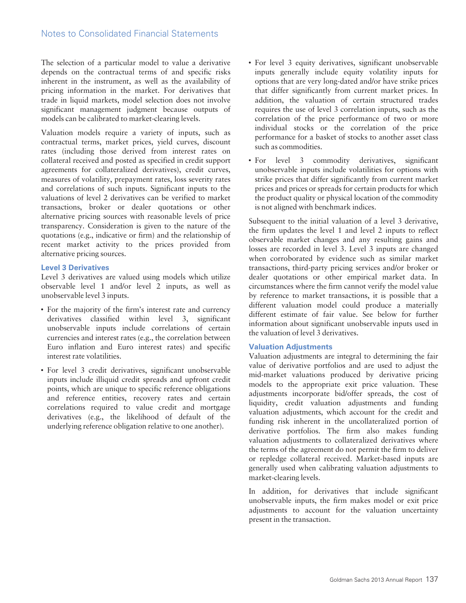The selection of a particular model to value a derivative depends on the contractual terms of and specific risks inherent in the instrument, as well as the availability of pricing information in the market. For derivatives that trade in liquid markets, model selection does not involve significant management judgment because outputs of models can be calibrated to market-clearing levels.

Valuation models require a variety of inputs, such as contractual terms, market prices, yield curves, discount rates (including those derived from interest rates on collateral received and posted as specified in credit support agreements for collateralized derivatives), credit curves, measures of volatility, prepayment rates, loss severity rates and correlations of such inputs. Significant inputs to the valuations of level 2 derivatives can be verified to market transactions, broker or dealer quotations or other alternative pricing sources with reasonable levels of price transparency. Consideration is given to the nature of the quotations (e.g., indicative or firm) and the relationship of recent market activity to the prices provided from alternative pricing sources.

# **Level 3 Derivatives**

Level 3 derivatives are valued using models which utilize observable level 1 and/or level 2 inputs, as well as unobservable level 3 inputs.

- ‰ For the majority of the firm's interest rate and currency derivatives classified within level 3, significant unobservable inputs include correlations of certain currencies and interest rates (e.g., the correlation between Euro inflation and Euro interest rates) and specific interest rate volatilities.
- ‰ For level 3 credit derivatives, significant unobservable inputs include illiquid credit spreads and upfront credit points, which are unique to specific reference obligations and reference entities, recovery rates and certain correlations required to value credit and mortgage derivatives (e.g., the likelihood of default of the underlying reference obligation relative to one another).
- ‰ For level 3 equity derivatives, significant unobservable inputs generally include equity volatility inputs for options that are very long-dated and/or have strike prices that differ significantly from current market prices. In addition, the valuation of certain structured trades requires the use of level 3 correlation inputs, such as the correlation of the price performance of two or more individual stocks or the correlation of the price performance for a basket of stocks to another asset class such as commodities.
- ‰ For level 3 commodity derivatives, significant unobservable inputs include volatilities for options with strike prices that differ significantly from current market prices and prices or spreads for certain products for which the product quality or physical location of the commodity is not aligned with benchmark indices.

Subsequent to the initial valuation of a level 3 derivative, the firm updates the level 1 and level 2 inputs to reflect observable market changes and any resulting gains and losses are recorded in level 3. Level 3 inputs are changed when corroborated by evidence such as similar market transactions, third-party pricing services and/or broker or dealer quotations or other empirical market data. In circumstances where the firm cannot verify the model value by reference to market transactions, it is possible that a different valuation model could produce a materially different estimate of fair value. See below for further information about significant unobservable inputs used in the valuation of level 3 derivatives.

# **Valuation Adjustments**

Valuation adjustments are integral to determining the fair value of derivative portfolios and are used to adjust the mid-market valuations produced by derivative pricing models to the appropriate exit price valuation. These adjustments incorporate bid/offer spreads, the cost of liquidity, credit valuation adjustments and funding valuation adjustments, which account for the credit and funding risk inherent in the uncollateralized portion of derivative portfolios. The firm also makes funding valuation adjustments to collateralized derivatives where the terms of the agreement do not permit the firm to deliver or repledge collateral received. Market-based inputs are generally used when calibrating valuation adjustments to market-clearing levels.

In addition, for derivatives that include significant unobservable inputs, the firm makes model or exit price adjustments to account for the valuation uncertainty present in the transaction.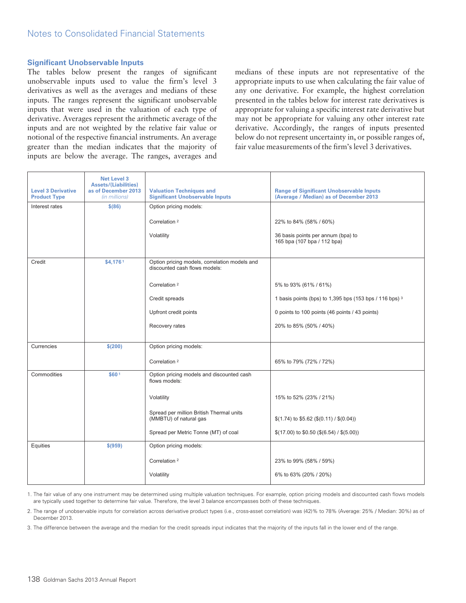### **Significant Unobservable Inputs**

The tables below present the ranges of significant unobservable inputs used to value the firm's level 3 derivatives as well as the averages and medians of these inputs. The ranges represent the significant unobservable inputs that were used in the valuation of each type of derivative. Averages represent the arithmetic average of the inputs and are not weighted by the relative fair value or notional of the respective financial instruments. An average greater than the median indicates that the majority of inputs are below the average. The ranges, averages and

medians of these inputs are not representative of the appropriate inputs to use when calculating the fair value of any one derivative. For example, the highest correlation presented in the tables below for interest rate derivatives is appropriate for valuing a specific interest rate derivative but may not be appropriate for valuing any other interest rate derivative. Accordingly, the ranges of inputs presented below do not represent uncertainty in, or possible ranges of, fair value measurements of the firm's level 3 derivatives.

| <b>Level 3 Derivative</b> | <b>Net Level 3</b><br><b>Assets/(Liabilities)</b><br>as of December 2013 | <b>Valuation Techniques and</b>                                                | <b>Range of Significant Unobservable Inputs</b>                   |
|---------------------------|--------------------------------------------------------------------------|--------------------------------------------------------------------------------|-------------------------------------------------------------------|
| <b>Product Type</b>       | (in millions)                                                            | <b>Significant Unobservable Inputs</b>                                         | (Average / Median) as of December 2013                            |
| Interest rates            | \$(86)                                                                   | Option pricing models:                                                         |                                                                   |
|                           |                                                                          | Correlation <sup>2</sup>                                                       | 22% to 84% (58% / 60%)                                            |
|                           |                                                                          | Volatility                                                                     | 36 basis points per annum (bpa) to<br>165 bpa (107 bpa / 112 bpa) |
| Credit                    | \$4,1761                                                                 | Option pricing models, correlation models and<br>discounted cash flows models: |                                                                   |
|                           |                                                                          | Correlation <sup>2</sup>                                                       | 5% to 93% (61% / 61%)                                             |
|                           |                                                                          | Credit spreads                                                                 | 1 basis points (bps) to 1,395 bps (153 bps / 116 bps) 3           |
|                           |                                                                          | Upfront credit points                                                          | 0 points to 100 points (46 points / 43 points)                    |
|                           |                                                                          | Recovery rates                                                                 | 20% to 85% (50% / 40%)                                            |
| Currencies                | \$(200)                                                                  | Option pricing models:                                                         |                                                                   |
|                           |                                                                          | Correlation <sup>2</sup>                                                       | 65% to 79% (72% / 72%)                                            |
| Commodities               | \$601                                                                    | Option pricing models and discounted cash<br>flows models:                     |                                                                   |
|                           |                                                                          | Volatility                                                                     | 15% to 52% (23% / 21%)                                            |
|                           |                                                                          | Spread per million British Thermal units<br>(MMBTU) of natural gas             | $$(1.74)$ to $$5.62$ ( $$(0.11)$ / $$(0.04)$ )                    |
|                           |                                                                          | Spread per Metric Tonne (MT) of coal                                           | $$(17.00)$ to $$0.50$ ( $$(6.54) / $(5.00)$ )                     |
| Equities                  | \$(959)                                                                  | Option pricing models:                                                         |                                                                   |
|                           |                                                                          | Correlation <sup>2</sup>                                                       | 23% to 99% (58% / 59%)                                            |
|                           |                                                                          | Volatility                                                                     | 6% to 63% (20% / 20%)                                             |

1. The fair value of any one instrument may be determined using multiple valuation techniques. For example, option pricing models and discounted cash flows models are typically used together to determine fair value. Therefore, the level 3 balance encompasses both of these techniques.

2. The range of unobservable inputs for correlation across derivative product types (i.e., cross-asset correlation) was (42)% to 78% (Average: 25% / Median: 30%) as of December 2013.

3. The difference between the average and the median for the credit spreads input indicates that the majority of the inputs fall in the lower end of the range.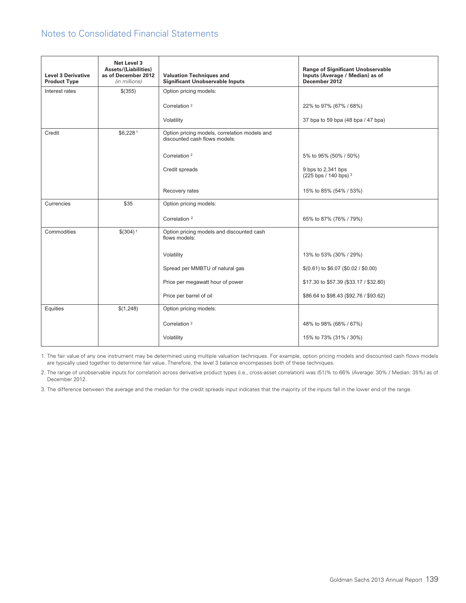| <b>Level 3 Derivative</b><br><b>Product Type</b> | Net Level 3<br><b>Assets/(Liabilities)</b><br>as of December 2012<br>(in millions) | <b>Valuation Techniques and</b><br><b>Significant Unobservable Inputs</b>      | <b>Range of Significant Unobservable</b><br>Inputs (Average / Median) as of<br>December 2012 |
|--------------------------------------------------|------------------------------------------------------------------------------------|--------------------------------------------------------------------------------|----------------------------------------------------------------------------------------------|
| Interest rates                                   | \$(355)                                                                            | Option pricing models:                                                         |                                                                                              |
|                                                  |                                                                                    | Correlation <sup>2</sup>                                                       | 22% to 97% (67% / 68%)                                                                       |
|                                                  |                                                                                    | Volatility                                                                     | 37 bpa to 59 bpa (48 bpa / 47 bpa)                                                           |
| Credit                                           | \$6,2281                                                                           | Option pricing models, correlation models and<br>discounted cash flows models: |                                                                                              |
|                                                  |                                                                                    | Correlation <sup>2</sup>                                                       | 5% to 95% (50% / 50%)                                                                        |
|                                                  |                                                                                    | Credit spreads                                                                 | 9 bps to 2,341 bps<br>(225 bps / 140 bps) 3                                                  |
|                                                  |                                                                                    | Recovery rates                                                                 | 15% to 85% (54% / 53%)                                                                       |
| Currencies                                       | \$35                                                                               | Option pricing models:                                                         |                                                                                              |
|                                                  |                                                                                    | Correlation <sup>2</sup>                                                       | 65% to 87% (76% / 79%)                                                                       |
| Commodities                                      | \$(304) <sup>1</sup>                                                               | Option pricing models and discounted cash<br>flows models:                     |                                                                                              |
|                                                  |                                                                                    | Volatility                                                                     | 13% to 53% (30% / 29%)                                                                       |
|                                                  |                                                                                    | Spread per MMBTU of natural gas                                                | $$(0.61)$ to $$(6.07)$ (\$0.02 / \$0.00)                                                     |
|                                                  |                                                                                    | Price per megawatt hour of power                                               | \$17.30 to \$57.39 (\$33.17 / \$32.80)                                                       |
|                                                  |                                                                                    | Price per barrel of oil                                                        | \$86.64 to \$98.43 (\$92.76 / \$93.62)                                                       |
| Equities                                         | \$(1,248)                                                                          | Option pricing models:                                                         |                                                                                              |
|                                                  |                                                                                    | Correlation <sup>2</sup>                                                       | 48% to 98% (68% / 67%)                                                                       |
|                                                  |                                                                                    | Volatility                                                                     | 15% to 73% (31% / 30%)                                                                       |

1. The fair value of any one instrument may be determined using multiple valuation techniques. For example, option pricing models and discounted cash flows models are typically used together to determine fair value. Therefore, the level 3 balance encompasses both of these techniques.

2. The range of unobservable inputs for correlation across derivative product types (i.e., cross-asset correlation) was (51)% to 66% (Average: 30% / Median: 35%) as of December 2012.

3. The difference between the average and the median for the credit spreads input indicates that the majority of the inputs fall in the lower end of the range.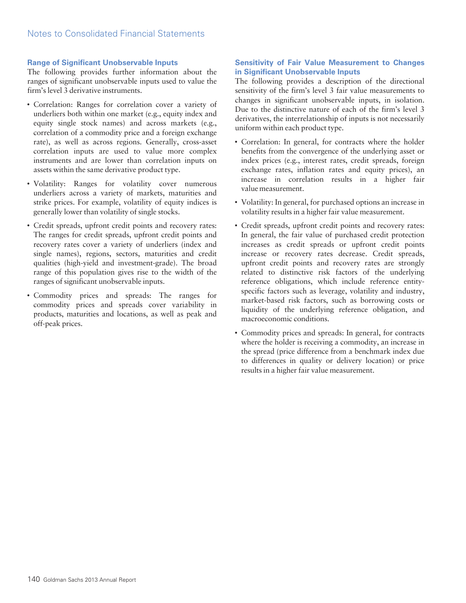### **Range of Significant Unobservable Inputs**

The following provides further information about the ranges of significant unobservable inputs used to value the firm's level 3 derivative instruments.

- ‰ Correlation: Ranges for correlation cover a variety of underliers both within one market (e.g., equity index and equity single stock names) and across markets (e.g., correlation of a commodity price and a foreign exchange rate), as well as across regions. Generally, cross-asset correlation inputs are used to value more complex instruments and are lower than correlation inputs on assets within the same derivative product type.
- ‰ Volatility: Ranges for volatility cover numerous underliers across a variety of markets, maturities and strike prices. For example, volatility of equity indices is generally lower than volatility of single stocks.
- Credit spreads, upfront credit points and recovery rates: The ranges for credit spreads, upfront credit points and recovery rates cover a variety of underliers (index and single names), regions, sectors, maturities and credit qualities (high-yield and investment-grade). The broad range of this population gives rise to the width of the ranges of significant unobservable inputs.
- ‰ Commodity prices and spreads: The ranges for commodity prices and spreads cover variability in products, maturities and locations, as well as peak and off-peak prices.

## **Sensitivity of Fair Value Measurement to Changes in Significant Unobservable Inputs**

The following provides a description of the directional sensitivity of the firm's level 3 fair value measurements to changes in significant unobservable inputs, in isolation. Due to the distinctive nature of each of the firm's level 3 derivatives, the interrelationship of inputs is not necessarily uniform within each product type.

- ‰ Correlation: In general, for contracts where the holder benefits from the convergence of the underlying asset or index prices (e.g., interest rates, credit spreads, foreign exchange rates, inflation rates and equity prices), an increase in correlation results in a higher fair value measurement.
- ‰ Volatility: In general, for purchased options an increase in volatility results in a higher fair value measurement.
- Credit spreads, upfront credit points and recovery rates: In general, the fair value of purchased credit protection increases as credit spreads or upfront credit points increase or recovery rates decrease. Credit spreads, upfront credit points and recovery rates are strongly related to distinctive risk factors of the underlying reference obligations, which include reference entityspecific factors such as leverage, volatility and industry, market-based risk factors, such as borrowing costs or liquidity of the underlying reference obligation, and macroeconomic conditions.
- ‰ Commodity prices and spreads: In general, for contracts where the holder is receiving a commodity, an increase in the spread (price difference from a benchmark index due to differences in quality or delivery location) or price results in a higher fair value measurement.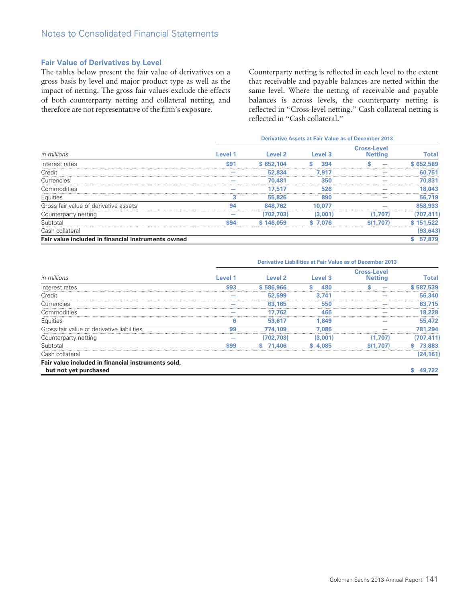### **Fair Value of Derivatives by Level**

The tables below present the fair value of derivatives on a gross basis by level and major product type as well as the impact of netting. The gross fair values exclude the effects of both counterparty netting and collateral netting, and therefore are not representative of the firm's exposure.

Counterparty netting is reflected in each level to the extent that receivable and payable balances are netted within the same level. Where the netting of receivable and payable balances is across levels, the counterparty netting is reflected in "Cross-level netting." Cash collateral netting is reflected in "Cash collateral."

| <b>Derivative Assets at Fair Value as of December 2013</b> |           |          |                               |         |  |  |  |
|------------------------------------------------------------|-----------|----------|-------------------------------|---------|--|--|--|
| l evel 1                                                   | Level 2   | l evel 3 | Cross-Level<br><b>Netting</b> | Total   |  |  |  |
| \$91                                                       | \$652.104 | ر20      |                               |         |  |  |  |
|                                                            | 52.834    |          |                               | 751.    |  |  |  |
|                                                            | 70.481    | 350      |                               | 831.    |  |  |  |
|                                                            | 17.517    | 526      |                               | 18.043  |  |  |  |
|                                                            | 55,826    | 890      |                               | 56,719  |  |  |  |
|                                                            | 848.762   |          |                               | 358.933 |  |  |  |
|                                                            | 702.703   |          | כסי                           |         |  |  |  |
| \$94                                                       | 059       |          |                               |         |  |  |  |
|                                                            |           |          |                               | 93.6431 |  |  |  |
|                                                            |           |          |                               |         |  |  |  |
|                                                            |           |          |                               |         |  |  |  |

#### **Derivative Liabilities at Fair Value as of December 2013**

| in millions                                                                 | l evel | <b>AVAL2</b> | l evel 3 | Cross-Level<br><b>Netting</b> | Total   |
|-----------------------------------------------------------------------------|--------|--------------|----------|-------------------------------|---------|
| Interest rates                                                              | 693    | \$586.966    | 491      |                               |         |
| Credit                                                                      |        | 52.599       | 3 741    |                               | 340     |
| Currencies                                                                  |        | 63.165       | 551      |                               | 715     |
| Commodities.                                                                |        | 17.762       | 466      |                               | 228     |
| Equities                                                                    | b      | 53,617       | .849     |                               | .472    |
| Gross fair value of derivative liabilities                                  | 99     | 774.109      | .086     |                               | 294     |
| Counterparty netting                                                        |        | 702.703)     |          | 707                           |         |
|                                                                             | cac    | 406          |          |                               |         |
| Cash collateral                                                             |        |              |          |                               | 24.161) |
| Fair value included in financial instruments sold,<br>but not yet purchased |        |              |          |                               |         |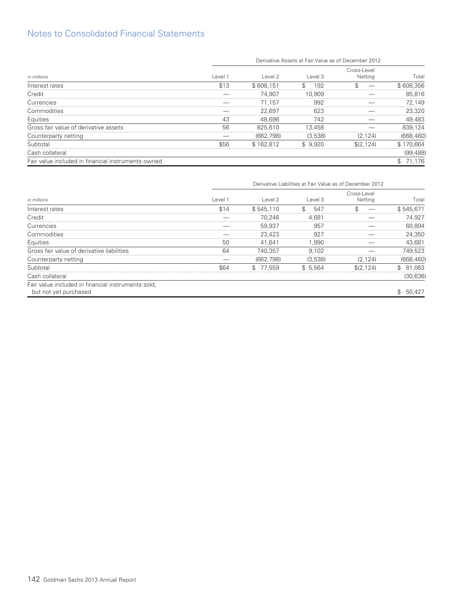|                                                    | Derivative Assets at Fair Value as of December 2012 |            |         |                        |           |  |  |  |  |
|----------------------------------------------------|-----------------------------------------------------|------------|---------|------------------------|-----------|--|--|--|--|
| in millions                                        | Level                                               | Level 2    | evel 3  | Cross-Level<br>Nettino | Total     |  |  |  |  |
| Interest rates                                     | \$13                                                | \$608.151  | 192     |                        | 3.356     |  |  |  |  |
| Credit                                             |                                                     | 74.907     | 10.909  |                        | 85,816    |  |  |  |  |
| Currencies                                         |                                                     | 71,157     | 992     |                        | 72,149    |  |  |  |  |
| Commodities                                        |                                                     | 22.697     | 623     |                        | 23.320    |  |  |  |  |
| Equities                                           | 43                                                  | 48.698     | 742     |                        | 49,483    |  |  |  |  |
| Gross fair value of derivative assets              | 56                                                  | 825.610    | 3.458   |                        | 839.124   |  |  |  |  |
| Counterparty netting                               |                                                     | (662, 798) | (3.538) | 124)                   | (668,460) |  |  |  |  |
| Subtota                                            | ፍ56                                                 |            | -920    |                        |           |  |  |  |  |
| lash collateral                                    |                                                     |            |         |                        | (99.488)  |  |  |  |  |
| Fair value included in financial instruments owned |                                                     |            |         |                        |           |  |  |  |  |

#### Derivative Liabilities at Fair Value as of December 2012

| in millions                                        | Level | evel 2     | evel 3         | Cross-Level<br>Nettina | Total    |
|----------------------------------------------------|-------|------------|----------------|------------------------|----------|
| Interest rates                                     | \$14  | \$545.110  | 547            |                        |          |
| Credit                                             |       | 70.246     | $4.68^{\circ}$ |                        | 92.      |
| Currencies                                         |       | 59.937     | 957            |                        | 894      |
| modifies                                           |       | 23.423     | 92             |                        | .350     |
| Equities                                           | 50    | 41.641     | l.990          |                        | 43,681   |
| Gross fair value of derivative liabilities         | ĥΔ    | 740.357    | 9.102          |                        | 749.523  |
| Counterparty netting                               |       | (662, 798) | .<br>(3.538)   | (2.124)                | .4601    |
|                                                    |       | .559       | .564           |                        |          |
| Cash collateral                                    |       |            |                |                        | (30.636) |
| Fair value included in financial instruments sold, |       |            |                |                        |          |
| but not yet purchased                              |       |            |                |                        |          |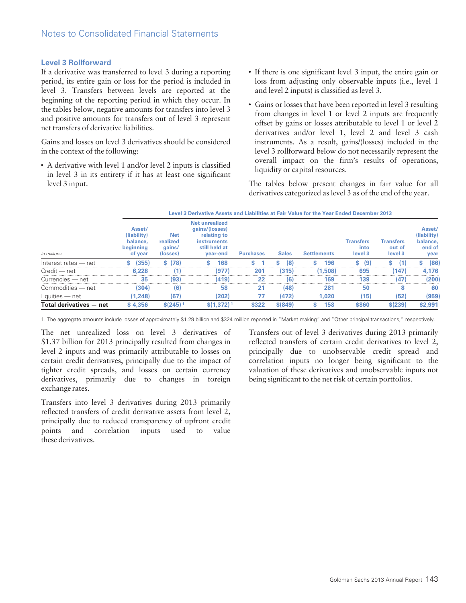## **Level 3 Rollforward**

If a derivative was transferred to level 3 during a reporting period, its entire gain or loss for the period is included in level 3. Transfers between levels are reported at the beginning of the reporting period in which they occur. In the tables below, negative amounts for transfers into level 3 and positive amounts for transfers out of level 3 represent net transfers of derivative liabilities.

Gains and losses on level 3 derivatives should be considered in the context of the following:

‰ A derivative with level 1 and/or level 2 inputs is classified in level 3 in its entirety if it has at least one significant level 3 input.

- ‰ If there is one significant level 3 input, the entire gain or loss from adjusting only observable inputs (i.e., level 1 and level 2 inputs) is classified as level 3.
- ‰ Gains or losses that have been reported in level 3 resulting from changes in level 1 or level 2 inputs are frequently offset by gains or losses attributable to level 1 or level 2 derivatives and/or level 1, level 2 and level 3 cash instruments. As a result, gains/(losses) included in the level 3 rollforward below do not necessarily represent the overall impact on the firm's results of operations, liquidity or capital resources.

The tables below present changes in fair value for all derivatives categorized as level 3 as of the end of the year.

|                         | Level 3 Derivative Assets and Liabilities at Fair Value for the Year Ended December 2013 |                                              |                                                                                                           |                  |              |                    |                                     |                                       |                                                     |  |
|-------------------------|------------------------------------------------------------------------------------------|----------------------------------------------|-----------------------------------------------------------------------------------------------------------|------------------|--------------|--------------------|-------------------------------------|---------------------------------------|-----------------------------------------------------|--|
| in millions             | Asset/<br>(liability)<br>balance.<br>beginning<br>of year                                | <b>Net</b><br>realized<br>gains/<br>(losses) | <b>Net unrealized</b><br>gains/(losses)<br>relating to<br><b>instruments</b><br>still held at<br>year-end | <b>Purchases</b> | <b>Sales</b> | <b>Settlements</b> | <b>Transfers</b><br>into<br>level 3 | <b>Transfers</b><br>out of<br>level 3 | Asset/<br>(liability)<br>balance,<br>end of<br>year |  |
| Interest rates – net    | (355)                                                                                    | 178                                          | 168                                                                                                       |                  | (8)          | 196                | (9                                  |                                       | (86)                                                |  |
| Credit — net            | 228                                                                                      |                                              | 1977                                                                                                      | 201              | (315)        | .5081              | 695                                 | 147                                   | 4.176                                               |  |
| Currencies — net        | 35                                                                                       | 193                                          | (419)                                                                                                     | 22               | 16           | 169                | 139                                 | 47                                    | (200                                                |  |
| Commodities — net       | 304                                                                                      | 16                                           | 58                                                                                                        | 21               | (48)         | 281                | 50                                  |                                       | 60                                                  |  |
| Equities — net          | (1.248)                                                                                  | (67                                          | 202                                                                                                       |                  | (472)        | .020               | 15                                  | 52                                    | (959)                                               |  |
| Total derivatives - net | \$4.356                                                                                  | \$(245)                                      | $.372)$ <sup>1</sup>                                                                                      | \$322            | \$ (849)     | 158                | \$860                               | \$ (239)                              | \$2,991                                             |  |

1. The aggregate amounts include losses of approximately \$1.29 billion and \$324 million reported in "Market making" and "Other principal transactions," respectively.

The net unrealized loss on level 3 derivatives of \$1.37 billion for 2013 principally resulted from changes in level 2 inputs and was primarily attributable to losses on certain credit derivatives, principally due to the impact of tighter credit spreads, and losses on certain currency derivatives, primarily due to changes in foreign exchange rates.

Transfers into level 3 derivatives during 2013 primarily reflected transfers of credit derivative assets from level 2, principally due to reduced transparency of upfront credit points and correlation inputs used to value these derivatives.

Transfers out of level 3 derivatives during 2013 primarily reflected transfers of certain credit derivatives to level 2, principally due to unobservable credit spread and correlation inputs no longer being significant to the valuation of these derivatives and unobservable inputs not being significant to the net risk of certain portfolios.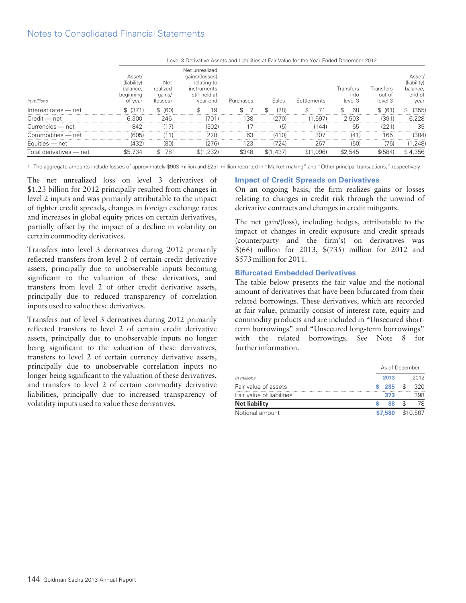| in millions             | Asset/<br>(liability)<br>balance.<br>beginning<br>of year | Net<br>realized<br>gains/<br>(losses) | Net unrealized<br>gains/(losses)<br>relating to<br>instruments<br>still held at<br>vear-end | Purchases | sales    | Settlements | Transfers<br>into<br>level 3 | Transfers<br>out of<br>level 3 | Asset/<br>(liability)<br>balance,<br>end of<br>year |
|-------------------------|-----------------------------------------------------------|---------------------------------------|---------------------------------------------------------------------------------------------|-----------|----------|-------------|------------------------------|--------------------------------|-----------------------------------------------------|
| Interest rates – net    | (371)                                                     | (60)                                  | 19                                                                                          |           | (28      |             | 68                           | - 161                          | (355)                                               |
| Credit — net            | 6.300                                                     | 246                                   | 701'                                                                                        | 138       | 270)     | (1.597)     | .503                         | 391                            | 6.228                                               |
| Currencies - net        | 842                                                       |                                       | (502)                                                                                       |           | (5       | 144         | 65                           |                                | 35                                                  |
| Commodities — net       | 605)                                                      |                                       | 228                                                                                         | 63        | $\Omega$ | 307         | (41                          | 165                            | (304)                                               |
| Equities — net          |                                                           | (80)                                  | 276)                                                                                        | 123       | 724)     | 267         | (50)                         | (76)                           | 1,248)                                              |
| Total derivatives - net | \$5.734                                                   | 78.                                   | .232)                                                                                       | 5348      | .437)    | .096)       | \$2,545                      |                                | \$4,356                                             |

Level 3 Derivative Assets and Liabilities at Fair Value for the Year Ended December 2012

1. The aggregate amounts include losses of approximately \$903 million and \$251 million reported in "Market making" and "Other principal transactions," respectively.

The net unrealized loss on level 3 derivatives of \$1.23 billion for 2012 principally resulted from changes in level 2 inputs and was primarily attributable to the impact of tighter credit spreads, changes in foreign exchange rates and increases in global equity prices on certain derivatives, partially offset by the impact of a decline in volatility on certain commodity derivatives.

Transfers into level 3 derivatives during 2012 primarily reflected transfers from level 2 of certain credit derivative assets, principally due to unobservable inputs becoming significant to the valuation of these derivatives, and transfers from level 2 of other credit derivative assets, principally due to reduced transparency of correlation inputs used to value these derivatives.

Transfers out of level 3 derivatives during 2012 primarily reflected transfers to level 2 of certain credit derivative assets, principally due to unobservable inputs no longer being significant to the valuation of these derivatives, transfers to level 2 of certain currency derivative assets, principally due to unobservable correlation inputs no longer being significant to the valuation of these derivatives, and transfers to level 2 of certain commodity derivative liabilities, principally due to increased transparency of volatility inputs used to value these derivatives.

## **Impact of Credit Spreads on Derivatives**

On an ongoing basis, the firm realizes gains or losses relating to changes in credit risk through the unwind of derivative contracts and changes in credit mitigants.

The net gain/(loss), including hedges, attributable to the impact of changes in credit exposure and credit spreads (counterparty and the firm's) on derivatives was \$(66) million for 2013, \$(735) million for 2012 and \$573 million for 2011.

## **Bifurcated Embedded Derivatives**

The table below presents the fair value and the notional amount of derivatives that have been bifurcated from their related borrowings. These derivatives, which are recorded at fair value, primarily consist of interest rate, equity and commodity products and are included in "Unsecured shortterm borrowings" and "Unsecured long-term borrowings" with the related borrowings. See Note 8 for further information.

|                           | As of December |         |     |          |  |  |
|---------------------------|----------------|---------|-----|----------|--|--|
| in millions               |                | 2013    |     | 2012     |  |  |
| Fair value of assets      |                | 285     | \$. | 320      |  |  |
| Fair value of liabilities |                | 373     |     | 398      |  |  |
| Net liability             |                | 88      | \$. | 78       |  |  |
| Notional amount           |                | \$7,580 |     | \$10.567 |  |  |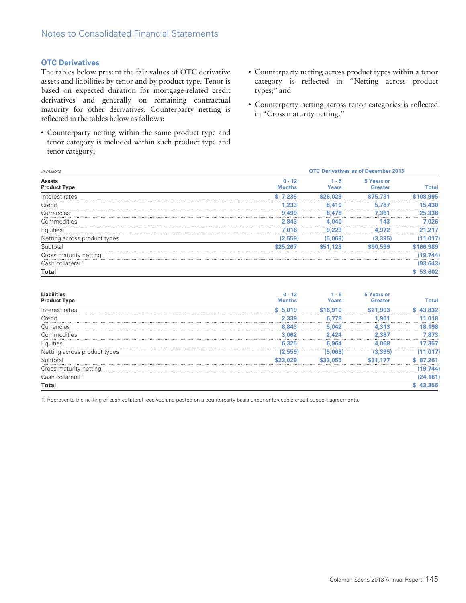## **OTC Derivatives**

The tables below present the fair values of OTC derivative assets and liabilities by tenor and by product type. Tenor is based on expected duration for mortgage-related credit derivatives and generally on remaining contractual maturity for other derivatives. Counterparty netting is reflected in the tables below as follows:

- ‰ Counterparty netting within the same product type and tenor category is included within such product type and tenor category;
- ‰ Counterparty netting across product types within a tenor category is reflected in "Netting across product types;" and
- ‰ Counterparty netting across tenor categories is reflected in "Cross maturity netting."

| in millions                          | <b>OTC Derivatives as of December 2013</b> |              |                       |         |  |  |
|--------------------------------------|--------------------------------------------|--------------|-----------------------|---------|--|--|
| <b>Assets</b><br><b>Product Type</b> | $0 - 12$                                   | - 5<br>Years | 5 Years or<br>Greater | Total   |  |  |
| Interest rates                       | 235                                        |              |                       |         |  |  |
| Credit                               | .233                                       |              |                       | 430     |  |  |
| Currencies                           | 9.499                                      | 478          | 1.361                 | 338     |  |  |
| commodifies                          | 2.843                                      | .040         |                       | .026    |  |  |
| Equities                             | .016                                       |              |                       |         |  |  |
| Netting across product types         | (2.559)                                    |              | .395                  |         |  |  |
| Subtotal                             |                                            |              |                       |         |  |  |
| Cross maturity netting               |                                            |              |                       | 19.744) |  |  |
| Cash collateral                      |                                            |              |                       |         |  |  |
| <sup>-</sup> otal                    |                                            |              |                       |         |  |  |

| <b>Product Type</b>          |      | - 5<br>/ears | 5 Years or<br>Greater | Total |
|------------------------------|------|--------------|-----------------------|-------|
| Interest rates               | 019  |              |                       |       |
| Credit                       | 339  |              |                       |       |
| Currencies                   | 843  |              |                       |       |
| Commodities                  | )62  |              |                       |       |
| Equities                     | 125  |              |                       | 357   |
| Netting across product types | .559 |              | 395                   |       |
|                              |      |              |                       |       |
| Cross maturity netting       |      |              |                       |       |
| :ash collateral              |      |              |                       | .161) |
|                              |      |              |                       |       |

1. Represents the netting of cash collateral received and posted on a counterparty basis under enforceable credit support agreements.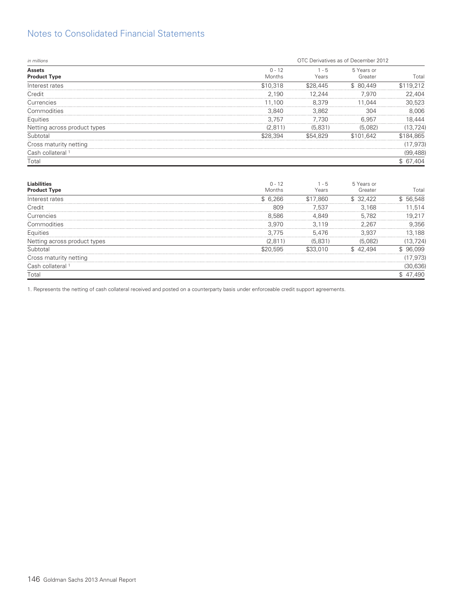| in millions                          | OTC Derivatives as of December 2012 |              |                       |           |  |  |
|--------------------------------------|-------------------------------------|--------------|-----------------------|-----------|--|--|
| <b>Assets</b><br><b>Product Type</b> | $0 - 12$<br>Months                  | - 5<br>'ears | 5 Years or<br>Greater | Total     |  |  |
| Interest rates                       | \$10.318                            | \$28.445     | 449                   |           |  |  |
| Credit                               | 190                                 | 244          | 7 970                 | .404      |  |  |
| Currencies                           | 100                                 |              | N44                   | <br>.523  |  |  |
| Commodities                          | 3.840                               | 3.862        |                       | 8.006     |  |  |
| Equities                             | 3.757                               | 7.730        | 6.957                 | 8.444     |  |  |
| Netting across product types         | (2.811)                             |              | 082)                  | 3,724     |  |  |
|                                      |                                     |              | 642                   | 865       |  |  |
| Cross maturity netting               |                                     |              |                       | '.973)    |  |  |
| Cash collateral                      |                                     |              |                       | (99, 488) |  |  |
| Total                                |                                     |              |                       | .404      |  |  |

| <b>Product Type</b>          |         | - 5<br>ears) | rears or<br>5 Y<br>Greater | Total   |
|------------------------------|---------|--------------|----------------------------|---------|
| Interest rates               | \$6.266 | 860          |                            |         |
| Credit                       | 809     | 1.537        | 3.168                      | 514     |
|                              | .586    |              | 5 782                      |         |
|                              | 970     |              | 2 267                      | 356     |
|                              | <br>/5  |              |                            | 188     |
| Netting across product types |         |              |                            | 724)    |
|                              | .595    |              |                            |         |
| Cross maturity netting       |         |              |                            | .973)   |
| Cash collateral              |         |              |                            | 30,636) |
|                              |         |              |                            |         |

1. Represents the netting of cash collateral received and posted on a counterparty basis under enforceable credit support agreements.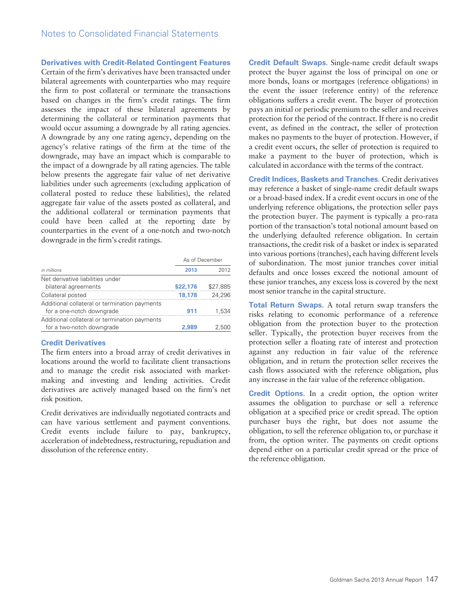**Derivatives with Credit-Related Contingent Features**

Certain of the firm's derivatives have been transacted under bilateral agreements with counterparties who may require the firm to post collateral or terminate the transactions based on changes in the firm's credit ratings. The firm assesses the impact of these bilateral agreements by determining the collateral or termination payments that would occur assuming a downgrade by all rating agencies. A downgrade by any one rating agency, depending on the agency's relative ratings of the firm at the time of the downgrade, may have an impact which is comparable to the impact of a downgrade by all rating agencies. The table below presents the aggregate fair value of net derivative liabilities under such agreements (excluding application of collateral posted to reduce these liabilities), the related aggregate fair value of the assets posted as collateral, and the additional collateral or termination payments that could have been called at the reporting date by counterparties in the event of a one-notch and two-notch downgrade in the firm's credit ratings.

|                                               | As of December |          |  |  |  |  |
|-----------------------------------------------|----------------|----------|--|--|--|--|
| in millions                                   | 2013           | 2012     |  |  |  |  |
| Net derivative liabilities under              |                |          |  |  |  |  |
| bilateral agreements                          | \$22,176       | \$27,885 |  |  |  |  |
| Collateral posted                             | 18,178         | 24,296   |  |  |  |  |
| Additional collateral or termination payments |                |          |  |  |  |  |
| for a one-notch downgrade                     | 911            | 1,534    |  |  |  |  |
| Additional collateral or termination payments |                |          |  |  |  |  |
| for a two-notch downgrade                     | 2.989          | 2,500    |  |  |  |  |

### **Credit Derivatives**

The firm enters into a broad array of credit derivatives in locations around the world to facilitate client transactions and to manage the credit risk associated with marketmaking and investing and lending activities. Credit derivatives are actively managed based on the firm's net risk position.

Credit derivatives are individually negotiated contracts and can have various settlement and payment conventions. Credit events include failure to pay, bankruptcy, acceleration of indebtedness, restructuring, repudiation and dissolution of the reference entity.

**Credit Default Swaps.** Single-name credit default swaps protect the buyer against the loss of principal on one or more bonds, loans or mortgages (reference obligations) in the event the issuer (reference entity) of the reference obligations suffers a credit event. The buyer of protection pays an initial or periodic premium to the seller and receives protection for the period of the contract. If there is no credit event, as defined in the contract, the seller of protection makes no payments to the buyer of protection. However, if a credit event occurs, the seller of protection is required to make a payment to the buyer of protection, which is calculated in accordance with the terms of the contract.

**Credit Indices, Baskets and Tranches.** Credit derivatives may reference a basket of single-name credit default swaps or a broad-based index. If a credit event occurs in one of the underlying reference obligations, the protection seller pays the protection buyer. The payment is typically a pro-rata portion of the transaction's total notional amount based on the underlying defaulted reference obligation. In certain transactions, the credit risk of a basket or index is separated into various portions (tranches), each having different levels of subordination. The most junior tranches cover initial defaults and once losses exceed the notional amount of these junior tranches, any excess loss is covered by the next most senior tranche in the capital structure.

**Total Return Swaps.** A total return swap transfers the risks relating to economic performance of a reference obligation from the protection buyer to the protection seller. Typically, the protection buyer receives from the protection seller a floating rate of interest and protection against any reduction in fair value of the reference obligation, and in return the protection seller receives the cash flows associated with the reference obligation, plus any increase in the fair value of the reference obligation.

**Credit Options.** In a credit option, the option writer assumes the obligation to purchase or sell a reference obligation at a specified price or credit spread. The option purchaser buys the right, but does not assume the obligation, to sell the reference obligation to, or purchase it from, the option writer. The payments on credit options depend either on a particular credit spread or the price of the reference obligation.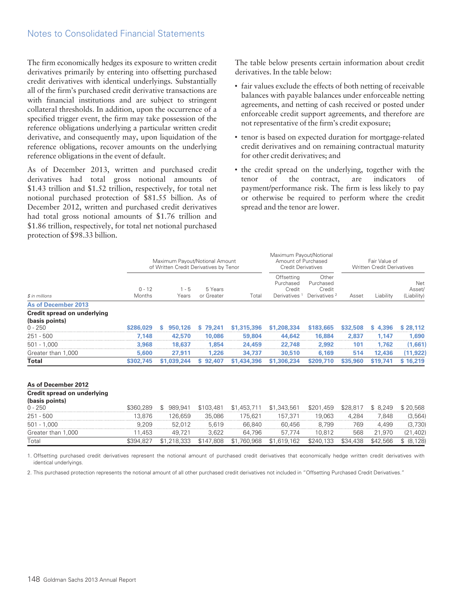The firm economically hedges its exposure to written credit derivatives primarily by entering into offsetting purchased credit derivatives with identical underlyings. Substantially all of the firm's purchased credit derivative transactions are with financial institutions and are subject to stringent collateral thresholds. In addition, upon the occurrence of a specified trigger event, the firm may take possession of the reference obligations underlying a particular written credit derivative, and consequently may, upon liquidation of the reference obligations, recover amounts on the underlying reference obligations in the event of default.

As of December 2013, written and purchased credit derivatives had total gross notional amounts of \$1.43 trillion and \$1.52 trillion, respectively, for total net notional purchased protection of \$81.55 billion. As of December 2012, written and purchased credit derivatives had total gross notional amounts of \$1.76 trillion and \$1.86 trillion, respectively, for total net notional purchased protection of \$98.33 billion.

The table below presents certain information about credit derivatives. In the table below:

- fair values exclude the effects of both netting of receivable balances with payable balances under enforceable netting agreements, and netting of cash received or posted under enforceable credit support agreements, and therefore are not representative of the firm's credit exposure;
- ‰ tenor is based on expected duration for mortgage-related credit derivatives and on remaining contractual maturity for other credit derivatives; and
- the credit spread on the underlying, together with the tenor of the contract, are indicators of payment/performance risk. The firm is less likely to pay or otherwise be required to perform where the credit spread and the tenor are lower.

|                                                                      |                    | Maximum Payout/Notional Amount<br>of Written Credit Derivatives by Tenor |                  |  |                       |             |                                                  | Maximum Payout/Notional<br>Amount of Purchased<br><b>Credit Derivatives</b> | Fair Value of<br><b>Written Credit Derivatives</b> |           |                              |  |
|----------------------------------------------------------------------|--------------------|--------------------------------------------------------------------------|------------------|--|-----------------------|-------------|--------------------------------------------------|-----------------------------------------------------------------------------|----------------------------------------------------|-----------|------------------------------|--|
| \$ in millions                                                       | $0 - 12$<br>Months |                                                                          | $1 - 5$<br>Years |  | 5 Years<br>or Greater | Total       | Offsetting<br>Purchased<br>Credit<br>Derivatives | Other<br>Purchased<br>Credit<br>Derivatives <sup>2</sup>                    | Asset                                              | Liability | Net<br>Asset/<br>(Liability) |  |
| As of December 2013                                                  |                    |                                                                          |                  |  |                       |             |                                                  |                                                                             |                                                    |           |                              |  |
| Credit spread on underlying<br>(basis points)<br>$0 - 250$           | \$286.029          |                                                                          | 950.126          |  | \$79,241              | \$1,315,396 | \$1,208,334                                      | \$183,665                                                                   | \$32,508                                           | \$4.396   | \$28,112                     |  |
| $251 - 500$                                                          | 7.148              |                                                                          | 42,570           |  | 10,086                | 59,804      | 44,642                                           | 16,884                                                                      | 2,837                                              | 1,147     | 1,690                        |  |
| $501 - 1,000$                                                        | 3.968              |                                                                          | 18,637           |  | 1,854                 | 24,459      | 22,748                                           | 2,992                                                                       | 101                                                | 1,762     | (1,661)                      |  |
| Greater than 1,000                                                   | 5,600              |                                                                          | 27,911           |  | 1,226                 | 34,737      | 30,510                                           | 6,169                                                                       | 514                                                | 12,436    | (11, 922)                    |  |
| Total                                                                | \$302,745          |                                                                          | \$1,039,244      |  | \$92,407              | \$1,434,396 | \$1,306,234                                      | \$209,710                                                                   | \$35,960                                           | \$19,741  | \$16,219                     |  |
| As of December 2012<br>Credit spread on underlying<br>(basis points) |                    |                                                                          |                  |  |                       |             |                                                  |                                                                             |                                                    |           |                              |  |
| $0 - 250$                                                            | \$360.289          |                                                                          | 989.941          |  | \$103,481             | \$1,453,711 | \$1,343,561                                      | \$201,459                                                                   | \$28.817                                           | \$8,249   | \$20,568                     |  |

| $251 - 500$            | 3.876     | 126.659     | 35,086    | 175.621 | 157.371                 | 19.063    | 4.284    | 7.848    | .564)    |
|------------------------|-----------|-------------|-----------|---------|-------------------------|-----------|----------|----------|----------|
| $501 - 1,000$          | 9.209     | 52.012      | 5.619     | 66840   | 60.456                  | 8.799     | 769      | 4.499    | (3.730)  |
| .000<br>Greater than 1 | 1.453     | 49.721      | 3.622     | 64.796  | 51/14                   | 10.812    | 568      | 21,970   | (21,402) |
| Total                  | \$394.827 | \$1,218,333 | \$147.808 |         | \$1,760,968 \$1,619,162 | \$240,133 | \$34,438 | \$42,566 | .128     |

1. Offsetting purchased credit derivatives represent the notional amount of purchased credit derivatives that economically hedge written credit derivatives with identical underlyings.

2. This purchased protection represents the notional amount of all other purchased credit derivatives not included in "Offsetting Purchased Credit Derivatives."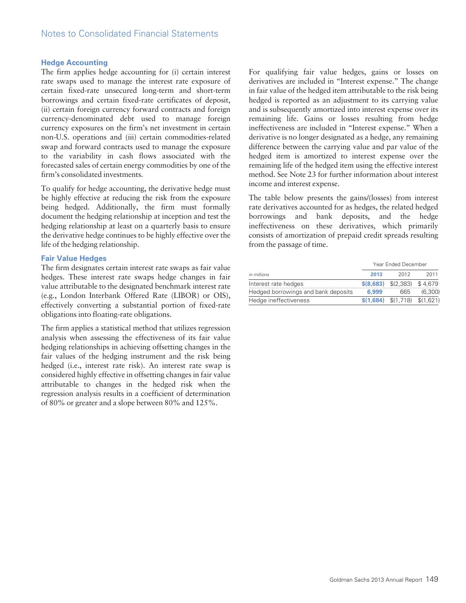### **Hedge Accounting**

The firm applies hedge accounting for (i) certain interest rate swaps used to manage the interest rate exposure of certain fixed-rate unsecured long-term and short-term borrowings and certain fixed-rate certificates of deposit, (ii) certain foreign currency forward contracts and foreign currency-denominated debt used to manage foreign currency exposures on the firm's net investment in certain non-U.S. operations and (iii) certain commodities-related swap and forward contracts used to manage the exposure to the variability in cash flows associated with the forecasted sales of certain energy commodities by one of the firm's consolidated investments.

To qualify for hedge accounting, the derivative hedge must be highly effective at reducing the risk from the exposure being hedged. Additionally, the firm must formally document the hedging relationship at inception and test the hedging relationship at least on a quarterly basis to ensure the derivative hedge continues to be highly effective over the life of the hedging relationship.

### **Fair Value Hedges**

The firm designates certain interest rate swaps as fair value hedges. These interest rate swaps hedge changes in fair value attributable to the designated benchmark interest rate (e.g., London Interbank Offered Rate (LIBOR) or OIS), effectively converting a substantial portion of fixed-rate obligations into floating-rate obligations.

The firm applies a statistical method that utilizes regression analysis when assessing the effectiveness of its fair value hedging relationships in achieving offsetting changes in the fair values of the hedging instrument and the risk being hedged (i.e., interest rate risk). An interest rate swap is considered highly effective in offsetting changes in fair value attributable to changes in the hedged risk when the regression analysis results in a coefficient of determination of 80% or greater and a slope between 80% and 125%.

For qualifying fair value hedges, gains or losses on derivatives are included in "Interest expense." The change in fair value of the hedged item attributable to the risk being hedged is reported as an adjustment to its carrying value and is subsequently amortized into interest expense over its remaining life. Gains or losses resulting from hedge ineffectiveness are included in "Interest expense." When a derivative is no longer designated as a hedge, any remaining difference between the carrying value and par value of the hedged item is amortized to interest expense over the remaining life of the hedged item using the effective interest method. See Note 23 for further information about interest income and interest expense.

The table below presents the gains/(losses) from interest rate derivatives accounted for as hedges, the related hedged borrowings and bank deposits, and the hedge ineffectiveness on these derivatives, which primarily consists of amortization of prepaid credit spreads resulting from the passage of time.

|                                     | Year Ended December |                                  |         |  |  |  |  |  |
|-------------------------------------|---------------------|----------------------------------|---------|--|--|--|--|--|
| in millions                         | 2013                | 2012                             | 2011    |  |  |  |  |  |
| Interest rate hedges                |                     | $$ (8,683) \$ (2,383) \$ 4,679$  |         |  |  |  |  |  |
| Hedged borrowings and bank deposits | 6,999               | 665                              | (6.300) |  |  |  |  |  |
| Hedge ineffectiveness               |                     | $$(1,684)$ $$(1,718)$ $$(1,621)$ |         |  |  |  |  |  |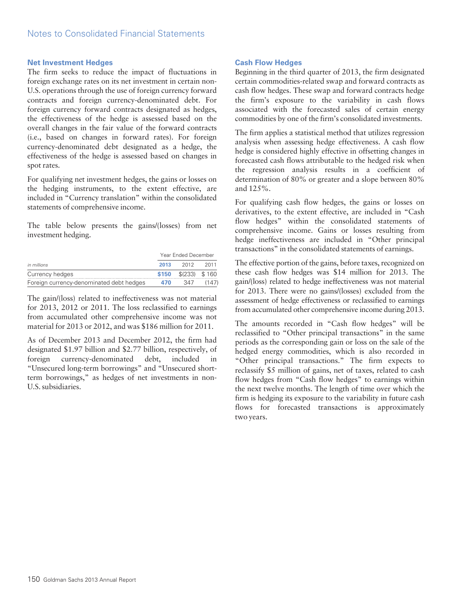#### **Net Investment Hedges**

The firm seeks to reduce the impact of fluctuations in foreign exchange rates on its net investment in certain non-U.S. operations through the use of foreign currency forward contracts and foreign currency-denominated debt. For foreign currency forward contracts designated as hedges, the effectiveness of the hedge is assessed based on the overall changes in the fair value of the forward contracts (i.e., based on changes in forward rates). For foreign currency-denominated debt designated as a hedge, the effectiveness of the hedge is assessed based on changes in spot rates.

For qualifying net investment hedges, the gains or losses on the hedging instruments, to the extent effective, are included in "Currency translation" within the consolidated statements of comprehensive income.

The table below presents the gains/(losses) from net investment hedging.

|                                          |      | Year Ended December   |       |
|------------------------------------------|------|-----------------------|-------|
| in millions                              | 2013 | 2012                  | 2011  |
| Currency hedges                          |      | $$150$ $$1233$ $$160$ |       |
| Foreign currency-denominated debt hedges | 470  | -347                  | (147) |

The gain/(loss) related to ineffectiveness was not material for 2013, 2012 or 2011. The loss reclassified to earnings from accumulated other comprehensive income was not material for 2013 or 2012, and was \$186 million for 2011.

As of December 2013 and December 2012, the firm had designated \$1.97 billion and \$2.77 billion, respectively, of foreign currency-denominated debt, included in "Unsecured long-term borrowings" and "Unsecured shortterm borrowings," as hedges of net investments in non-U.S. subsidiaries.

### **Cash Flow Hedges**

Beginning in the third quarter of 2013, the firm designated certain commodities-related swap and forward contracts as cash flow hedges. These swap and forward contracts hedge the firm's exposure to the variability in cash flows associated with the forecasted sales of certain energy commodities by one of the firm's consolidated investments.

The firm applies a statistical method that utilizes regression analysis when assessing hedge effectiveness. A cash flow hedge is considered highly effective in offsetting changes in forecasted cash flows attributable to the hedged risk when the regression analysis results in a coefficient of determination of 80% or greater and a slope between 80% and 125%.

For qualifying cash flow hedges, the gains or losses on derivatives, to the extent effective, are included in "Cash flow hedges" within the consolidated statements of comprehensive income. Gains or losses resulting from hedge ineffectiveness are included in "Other principal transactions" in the consolidated statements of earnings.

The effective portion of the gains, before taxes, recognized on these cash flow hedges was \$14 million for 2013. The gain/(loss) related to hedge ineffectiveness was not material for 2013. There were no gains/(losses) excluded from the assessment of hedge effectiveness or reclassified to earnings from accumulated other comprehensive income during 2013.

The amounts recorded in "Cash flow hedges" will be reclassified to "Other principal transactions" in the same periods as the corresponding gain or loss on the sale of the hedged energy commodities, which is also recorded in "Other principal transactions." The firm expects to reclassify \$5 million of gains, net of taxes, related to cash flow hedges from "Cash flow hedges" to earnings within the next twelve months. The length of time over which the firm is hedging its exposure to the variability in future cash flows for forecasted transactions is approximately two years.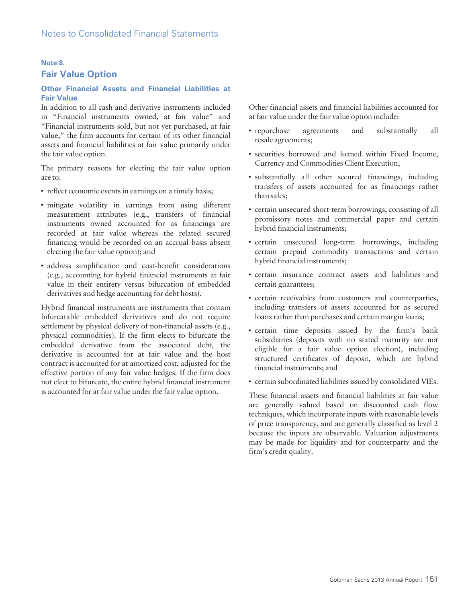### **Note 8.**

## **Fair Value Option**

## **Other Financial Assets and Financial Liabilities at Fair Value**

In addition to all cash and derivative instruments included in "Financial instruments owned, at fair value" and "Financial instruments sold, but not yet purchased, at fair value," the firm accounts for certain of its other financial assets and financial liabilities at fair value primarily under the fair value option.

The primary reasons for electing the fair value option are to:

- reflect economic events in earnings on a timely basis;
- ‰ mitigate volatility in earnings from using different measurement attributes (e.g., transfers of financial instruments owned accounted for as financings are recorded at fair value whereas the related secured financing would be recorded on an accrual basis absent electing the fair value option); and
- address simplification and cost-benefit considerations (e.g., accounting for hybrid financial instruments at fair value in their entirety versus bifurcation of embedded derivatives and hedge accounting for debt hosts).

Hybrid financial instruments are instruments that contain bifurcatable embedded derivatives and do not require settlement by physical delivery of non-financial assets (e.g., physical commodities). If the firm elects to bifurcate the embedded derivative from the associated debt, the derivative is accounted for at fair value and the host contract is accounted for at amortized cost, adjusted for the effective portion of any fair value hedges. If the firm does not elect to bifurcate, the entire hybrid financial instrument is accounted for at fair value under the fair value option.

Other financial assets and financial liabilities accounted for at fair value under the fair value option include:

- repurchase agreements and substantially all resale agreements;
- ‰ securities borrowed and loaned within Fixed Income, Currency and Commodities Client Execution;
- ‰ substantially all other secured financings, including transfers of assets accounted for as financings rather than sales;
- certain unsecured short-term borrowings, consisting of all promissory notes and commercial paper and certain hybrid financial instruments;
- ‰ certain unsecured long-term borrowings, including certain prepaid commodity transactions and certain hybrid financial instruments;
- ‰ certain insurance contract assets and liabilities and certain guarantees;
- ‰ certain receivables from customers and counterparties, including transfers of assets accounted for as secured loans rather than purchases and certain margin loans;
- ‰ certain time deposits issued by the firm's bank subsidiaries (deposits with no stated maturity are not eligible for a fair value option election), including structured certificates of deposit, which are hybrid financial instruments; and
- certain subordinated liabilities issued by consolidated VIEs.

These financial assets and financial liabilities at fair value are generally valued based on discounted cash flow techniques, which incorporate inputs with reasonable levels of price transparency, and are generally classified as level 2 because the inputs are observable. Valuation adjustments may be made for liquidity and for counterparty and the firm's credit quality.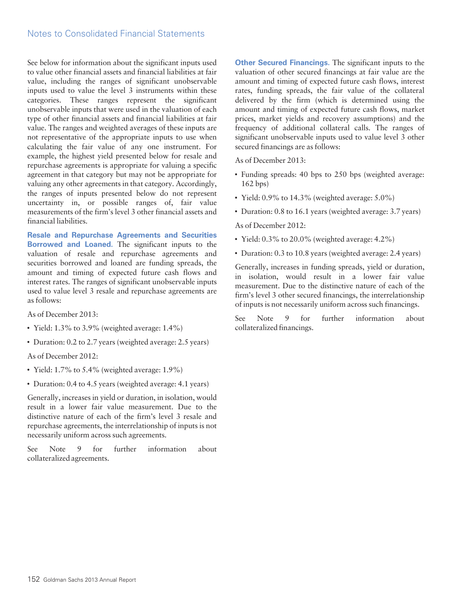See below for information about the significant inputs used to value other financial assets and financial liabilities at fair value, including the ranges of significant unobservable inputs used to value the level 3 instruments within these categories. These ranges represent the significant unobservable inputs that were used in the valuation of each type of other financial assets and financial liabilities at fair value. The ranges and weighted averages of these inputs are not representative of the appropriate inputs to use when calculating the fair value of any one instrument. For example, the highest yield presented below for resale and repurchase agreements is appropriate for valuing a specific agreement in that category but may not be appropriate for valuing any other agreements in that category. Accordingly, the ranges of inputs presented below do not represent uncertainty in, or possible ranges of, fair value measurements of the firm's level 3 other financial assets and financial liabilities.

**Resale and Repurchase Agreements and Securities Borrowed and Loaned.** The significant inputs to the valuation of resale and repurchase agreements and securities borrowed and loaned are funding spreads, the amount and timing of expected future cash flows and interest rates. The ranges of significant unobservable inputs used to value level 3 resale and repurchase agreements are as follows:

As of December 2013:

- Yield:  $1.3\%$  to  $3.9\%$  (weighted average:  $1.4\%$ )
- Duration: 0.2 to 2.7 years (weighted average: 2.5 years)

As of December 2012:

- Yield:  $1.7\%$  to  $5.4\%$  (weighted average:  $1.9\%$ )
- ‰ Duration: 0.4 to 4.5 years (weighted average: 4.1 years)

Generally, increases in yield or duration, in isolation, would result in a lower fair value measurement. Due to the distinctive nature of each of the firm's level 3 resale and repurchase agreements, the interrelationship of inputs is not necessarily uniform across such agreements.

See Note 9 for further information about collateralized agreements.

**Other Secured Financings.** The significant inputs to the valuation of other secured financings at fair value are the amount and timing of expected future cash flows, interest rates, funding spreads, the fair value of the collateral delivered by the firm (which is determined using the amount and timing of expected future cash flows, market prices, market yields and recovery assumptions) and the frequency of additional collateral calls. The ranges of significant unobservable inputs used to value level 3 other secured financings are as follows:

As of December 2013:

- ‰ Funding spreads: 40 bps to 250 bps (weighted average: 162 bps)
- Yield:  $0.9\%$  to 14.3% (weighted average:  $5.0\%$ )
- Duration: 0.8 to 16.1 years (weighted average: 3.7 years)

As of December 2012:

- Yield:  $0.3\%$  to 20.0% (weighted average:  $4.2\%$ )
- ‰ Duration: 0.3 to 10.8 years (weighted average: 2.4 years)

Generally, increases in funding spreads, yield or duration, in isolation, would result in a lower fair value measurement. Due to the distinctive nature of each of the firm's level 3 other secured financings, the interrelationship of inputs is not necessarily uniform across such financings.

See Note 9 for further information about collateralized financings.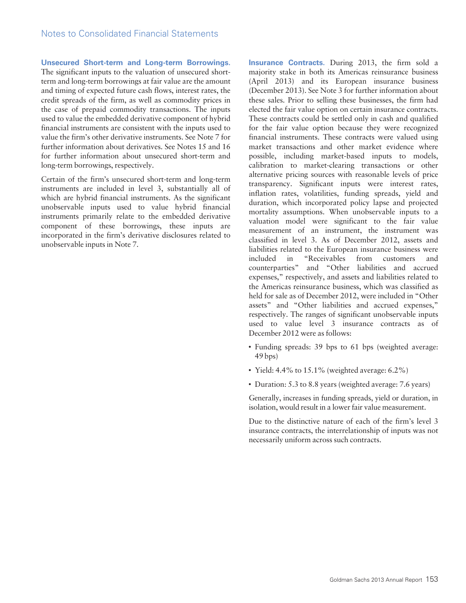**Unsecured Short-term and Long-term Borrowings.**

The significant inputs to the valuation of unsecured shortterm and long-term borrowings at fair value are the amount and timing of expected future cash flows, interest rates, the credit spreads of the firm, as well as commodity prices in the case of prepaid commodity transactions. The inputs used to value the embedded derivative component of hybrid financial instruments are consistent with the inputs used to value the firm's other derivative instruments. See Note 7 for further information about derivatives. See Notes 15 and 16 for further information about unsecured short-term and long-term borrowings, respectively.

Certain of the firm's unsecured short-term and long-term instruments are included in level 3, substantially all of which are hybrid financial instruments. As the significant unobservable inputs used to value hybrid financial instruments primarily relate to the embedded derivative component of these borrowings, these inputs are incorporated in the firm's derivative disclosures related to unobservable inputs in Note 7.

**Insurance Contracts.** During 2013, the firm sold a majority stake in both its Americas reinsurance business (April 2013) and its European insurance business (December 2013). See Note 3 for further information about these sales. Prior to selling these businesses, the firm had elected the fair value option on certain insurance contracts. These contracts could be settled only in cash and qualified for the fair value option because they were recognized financial instruments. These contracts were valued using market transactions and other market evidence where possible, including market-based inputs to models, calibration to market-clearing transactions or other alternative pricing sources with reasonable levels of price transparency. Significant inputs were interest rates, inflation rates, volatilities, funding spreads, yield and duration, which incorporated policy lapse and projected mortality assumptions. When unobservable inputs to a valuation model were significant to the fair value measurement of an instrument, the instrument was classified in level 3. As of December 2012, assets and liabilities related to the European insurance business were included in "Receivables from customers and counterparties" and "Other liabilities and accrued expenses," respectively, and assets and liabilities related to the Americas reinsurance business, which was classified as held for sale as of December 2012, were included in "Other assets" and "Other liabilities and accrued expenses," respectively. The ranges of significant unobservable inputs used to value level 3 insurance contracts as of December 2012 were as follows:

- ‰ Funding spreads: 39 bps to 61 bps (weighted average: 49 bps)
- Yield:  $4.4\%$  to  $15.1\%$  (weighted average:  $6.2\%$ )
- ‰ Duration: 5.3 to 8.8 years (weighted average: 7.6 years)

Generally, increases in funding spreads, yield or duration, in isolation, would result in a lower fair value measurement.

Due to the distinctive nature of each of the firm's level 3 insurance contracts, the interrelationship of inputs was not necessarily uniform across such contracts.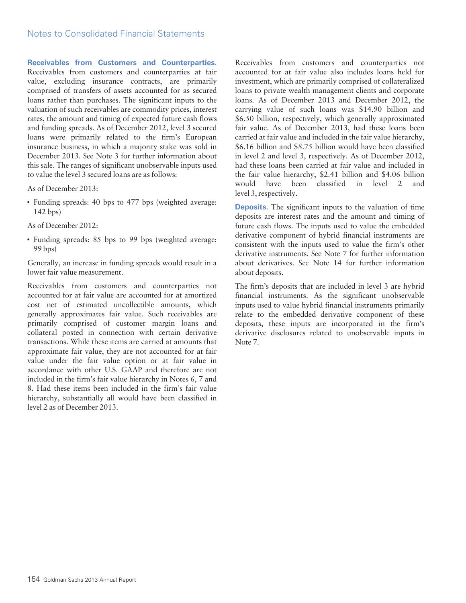**Receivables from Customers and Counterparties.**

Receivables from customers and counterparties at fair value, excluding insurance contracts, are primarily comprised of transfers of assets accounted for as secured loans rather than purchases. The significant inputs to the valuation of such receivables are commodity prices, interest rates, the amount and timing of expected future cash flows and funding spreads. As of December 2012, level 3 secured loans were primarily related to the firm's European insurance business, in which a majority stake was sold in December 2013. See Note 3 for further information about this sale. The ranges of significant unobservable inputs used to value the level 3 secured loans are as follows:

As of December 2013:

- ‰ Funding spreads: 40 bps to 477 bps (weighted average: 142 bps)
- As of December 2012:
- ‰ Funding spreads: 85 bps to 99 bps (weighted average: 99 bps)

Generally, an increase in funding spreads would result in a lower fair value measurement.

Receivables from customers and counterparties not accounted for at fair value are accounted for at amortized cost net of estimated uncollectible amounts, which generally approximates fair value. Such receivables are primarily comprised of customer margin loans and collateral posted in connection with certain derivative transactions. While these items are carried at amounts that approximate fair value, they are not accounted for at fair value under the fair value option or at fair value in accordance with other U.S. GAAP and therefore are not included in the firm's fair value hierarchy in Notes 6, 7 and 8. Had these items been included in the firm's fair value hierarchy, substantially all would have been classified in level 2 as of December 2013.

Receivables from customers and counterparties not accounted for at fair value also includes loans held for investment, which are primarily comprised of collateralized loans to private wealth management clients and corporate loans. As of December 2013 and December 2012, the carrying value of such loans was \$14.90 billion and \$6.50 billion, respectively, which generally approximated fair value. As of December 2013, had these loans been carried at fair value and included in the fair value hierarchy, \$6.16 billion and \$8.75 billion would have been classified in level 2 and level 3, respectively. As of December 2012, had these loans been carried at fair value and included in the fair value hierarchy, \$2.41 billion and \$4.06 billion would have been classified in level 2 and level 3, respectively.

**Deposits.** The significant inputs to the valuation of time deposits are interest rates and the amount and timing of future cash flows. The inputs used to value the embedded derivative component of hybrid financial instruments are consistent with the inputs used to value the firm's other derivative instruments. See Note 7 for further information about derivatives. See Note 14 for further information about deposits.

The firm's deposits that are included in level 3 are hybrid financial instruments. As the significant unobservable inputs used to value hybrid financial instruments primarily relate to the embedded derivative component of these deposits, these inputs are incorporated in the firm's derivative disclosures related to unobservable inputs in Note 7.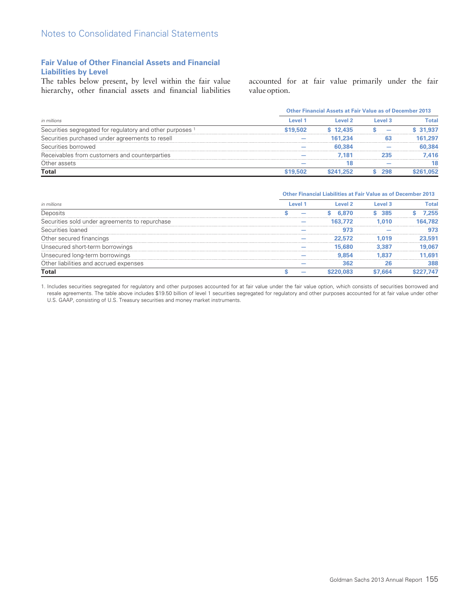## **Fair Value of Other Financial Assets and Financial Liabilities by Level**

The tables below present, by level within the fair value hierarchy, other financial assets and financial liabilities accounted for at fair value primarily under the fair value option.

|                                                                      | Other Financial Assets at Fair Value as of December 2013 |               |          |         |  |  |  |  |  |  |
|----------------------------------------------------------------------|----------------------------------------------------------|---------------|----------|---------|--|--|--|--|--|--|
| in millions                                                          | Level '                                                  | <b>AVAL</b> 2 | l evel 3 |         |  |  |  |  |  |  |
| Securities segregated for regulatory and other purposes <sup>1</sup> | \$19.502                                                 | 12.435        |          |         |  |  |  |  |  |  |
| Securities purchased under agreements to resell                      |                                                          | 161.234       |          | 161.297 |  |  |  |  |  |  |
| Securities borrowed                                                  |                                                          |               |          | 0.384   |  |  |  |  |  |  |
| Receivables from customers and counterparties                        |                                                          | 1 1 8 1       |          | 416     |  |  |  |  |  |  |
| Other assets                                                         |                                                          |               |          |         |  |  |  |  |  |  |
|                                                                      |                                                          |               |          |         |  |  |  |  |  |  |

|                                                | <b>Other Financial Liabilities at Fair Value as of December 2013</b> |      |  |              |             |  |  |  |  |  |  |
|------------------------------------------------|----------------------------------------------------------------------|------|--|--------------|-------------|--|--|--|--|--|--|
| in millions                                    |                                                                      | evel |  | <b>AVAL3</b> | <b>otal</b> |  |  |  |  |  |  |
|                                                |                                                                      |      |  |              | -255        |  |  |  |  |  |  |
| Securities sold under agreements to repurchase |                                                                      |      |  |              |             |  |  |  |  |  |  |
| ities Ioaned                                   |                                                                      |      |  |              |             |  |  |  |  |  |  |
| Other secured financings                       |                                                                      |      |  |              |             |  |  |  |  |  |  |
| Jnsecured short-term borrowings                |                                                                      |      |  |              |             |  |  |  |  |  |  |
| Jnsecured long-term borrowings                 |                                                                      |      |  |              | 69'         |  |  |  |  |  |  |
| Other liabilities and accrued expenses         |                                                                      |      |  |              |             |  |  |  |  |  |  |
|                                                |                                                                      |      |  |              |             |  |  |  |  |  |  |

1. Includes securities segregated for regulatory and other purposes accounted for at fair value under the fair value option, which consists of securities borrowed and resale agreements. The table above includes \$19.50 billion of level 1 securities segregated for regulatory and other purposes accounted for at fair value under other U.S. GAAP, consisting of U.S. Treasury securities and money market instruments.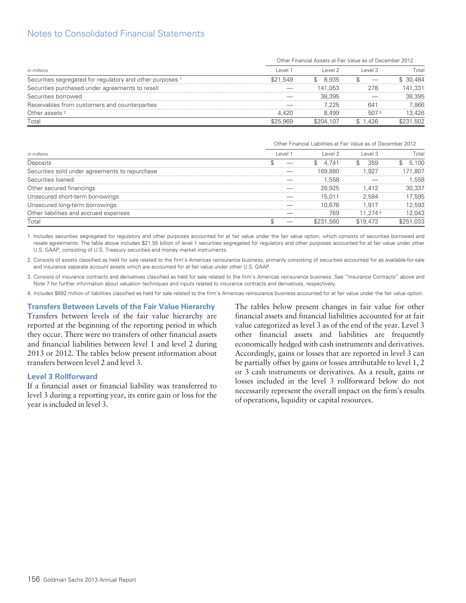|                                                         | Other Financial Assets at Fair Value as of December 2012 |          |          |         |  |  |  |  |  |  |  |
|---------------------------------------------------------|----------------------------------------------------------|----------|----------|---------|--|--|--|--|--|--|--|
| in millions                                             | l evel 1                                                 | l evel 2 | l evel 3 | Total   |  |  |  |  |  |  |  |
| Securities segregated for regulatory and other purposes | \$21.549                                                 | 8935     |          | 484     |  |  |  |  |  |  |  |
| Securities purchased under agreements to resell         |                                                          | 141.053  | 278      | 141.331 |  |  |  |  |  |  |  |
| Securities borrowed                                     |                                                          | 38.395   |          | 8 395   |  |  |  |  |  |  |  |
| Receivables from customers and counterparties           |                                                          | 1 225    | 64       | .866    |  |  |  |  |  |  |  |
| Other assets <sup>2</sup>                               | 12 C                                                     | 8 499    |          | .426    |  |  |  |  |  |  |  |
|                                                         |                                                          |          | 426      | -502    |  |  |  |  |  |  |  |

|                                                | Other Financial Liabilities at Fair Value as of December 2012 |  |         |          |        |  |  |  |  |  |  |
|------------------------------------------------|---------------------------------------------------------------|--|---------|----------|--------|--|--|--|--|--|--|
| in millions                                    | evel                                                          |  |         | l evel 3 | Total  |  |  |  |  |  |  |
| Deposits                                       |                                                               |  |         | 359      | 10C    |  |  |  |  |  |  |
| Securities sold under agreements to repurchase |                                                               |  | 169 880 | 927      | -807   |  |  |  |  |  |  |
| Securities Ioaned                              |                                                               |  | .558    |          | .558   |  |  |  |  |  |  |
| Other secured financings                       |                                                               |  | 925     |          | .337   |  |  |  |  |  |  |
| Unsecured short-term borrowinas                |                                                               |  |         | .584     | '.595  |  |  |  |  |  |  |
| Unsecured long-term borrowings                 |                                                               |  | በ 676   |          | .593   |  |  |  |  |  |  |
| Other liabilities and accrued expenses         |                                                               |  | 769     |          | 2.043  |  |  |  |  |  |  |
| l otal                                         |                                                               |  | '31.560 | \$19 473 | 51.033 |  |  |  |  |  |  |

1. Includes securities segregated for regulatory and other purposes accounted for at fair value under the fair value option, which consists of securities borrowed and resale agreements. The table above includes \$21.55 billion of level 1 securities segregated for regulatory and other purposes accounted for at fair value under other U.S. GAAP, consisting of U.S. Treasury securities and money market instruments.

- 2. Consists of assets classified as held for sale related to the firm's Americas reinsurance business, primarily consisting of securities accounted for as available-for-sale and insurance separate account assets which are accounted for at fair value under other U.S. GAAP.
- 3. Consists of insurance contracts and derivatives classified as held for sale related to the firm's Americas reinsurance business. See "Insurance Contracts" above and Note 7 for further information about valuation techniques and inputs related to insurance contracts and derivatives, respectively.
- 4. Includes \$692 million of liabilities classified as held for sale related to the firm's Americas reinsurance business accounted for at fair value under the fair value option.

### **Transfers Between Levels of the Fair Value Hierarchy**

Transfers between levels of the fair value hierarchy are reported at the beginning of the reporting period in which they occur. There were no transfers of other financial assets and financial liabilities between level 1 and level 2 during 2013 or 2012. The tables below present information about transfers between level 2 and level 3.

### **Level 3 Rollforward**

If a financial asset or financial liability was transferred to level 3 during a reporting year, its entire gain or loss for the year is included in level 3.

The tables below present changes in fair value for other financial assets and financial liabilities accounted for at fair value categorized as level 3 as of the end of the year. Level 3 other financial assets and liabilities are frequently economically hedged with cash instruments and derivatives. Accordingly, gains or losses that are reported in level 3 can be partially offset by gains or losses attributable to level 1, 2 or 3 cash instruments or derivatives. As a result, gains or losses included in the level 3 rollforward below do not necessarily represent the overall impact on the firm's results of operations, liquidity or capital resources.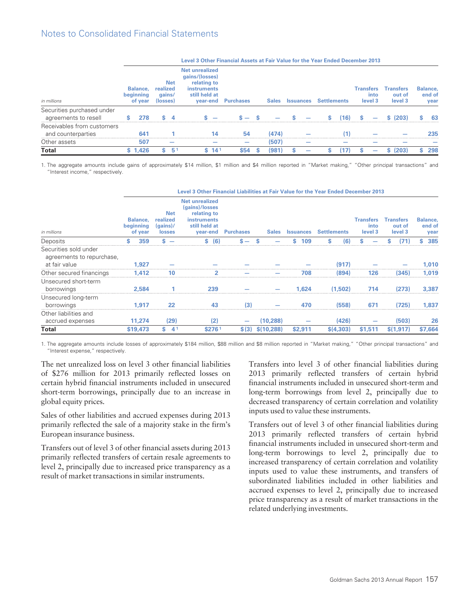|                                                    |                                  |                                |            | Level 3 Other Financial Assets at Fair Value for the Year Ended December 2013                 |                           |                 |  |                    |  |                                     |                                       |          |                |
|----------------------------------------------------|----------------------------------|--------------------------------|------------|-----------------------------------------------------------------------------------------------|---------------------------|-----------------|--|--------------------|--|-------------------------------------|---------------------------------------|----------|----------------|
| in millions                                        | Balance.<br>beginning<br>of year | realized<br>gains/<br>(losses) | <b>Net</b> | <b>Net unrealized</b><br>gains/(losses)<br>relating to<br><b>instruments</b><br>still held at | <b>year-end</b> Purchases | Sales Issuances |  | <b>Settlements</b> |  | <b>Transfers</b><br>into<br>level 3 | <b>Transfers</b><br>out of<br>level 3 | Balance, | end of<br>year |
| Securities purchased under<br>agreements to resell | 278                              |                                |            |                                                                                               |                           |                 |  |                    |  |                                     |                                       |          | 63             |
| Receivables from customers<br>and counterparties   | 641                              |                                |            |                                                                                               | 54                        | (474)           |  |                    |  |                                     |                                       |          |                |
| Other assets                                       | 507                              |                                |            |                                                                                               |                           | (507)           |  |                    |  |                                     |                                       |          |                |
| Total                                              | 1.426                            |                                | 51         | 14 <sup>1</sup>                                                                               | S54                       | (981            |  |                    |  |                                     | 2031                                  |          | 298            |

1. The aggregate amounts include gains of approximately \$14 million, \$1 million and \$4 million reported in "Market making," "Other principal transactions" and "Interest income," respectively.

|                                                                     | Level 3 Other Financial Liabilities at Fair Value for the Year Ended December 2013 |                                                     |                                                                                                           |                  |              |                  |                    |                                     |                                       |                            |  |  |  |  |
|---------------------------------------------------------------------|------------------------------------------------------------------------------------|-----------------------------------------------------|-----------------------------------------------------------------------------------------------------------|------------------|--------------|------------------|--------------------|-------------------------------------|---------------------------------------|----------------------------|--|--|--|--|
| in millions                                                         | Balance.<br>beginning<br>of year                                                   | <b>Net</b><br>realized<br>(gains)/<br><b>losses</b> | <b>Net unrealized</b><br>(gains)/losses<br>relating to<br><b>instruments</b><br>still held at<br>year-end | <b>Purchases</b> | <b>Sales</b> | <b>Issuances</b> | <b>Settlements</b> | <b>Transfers</b><br>into<br>level 3 | <b>Transfers</b><br>out of<br>level 3 | Balance,<br>end of<br>year |  |  |  |  |
| Deposits                                                            | 359                                                                                |                                                     | (6)                                                                                                       |                  |              | 109              | (6)                |                                     |                                       | 385                        |  |  |  |  |
| Securities sold under<br>agreements to repurchase,<br>at fair value | 1.927                                                                              |                                                     |                                                                                                           |                  |              |                  | (917)              |                                     |                                       | 1.010                      |  |  |  |  |
| Other secured financings                                            | 1.412                                                                              | 10                                                  |                                                                                                           |                  |              | 708              | (894)              | 126                                 | (345)                                 | 1.019                      |  |  |  |  |
| Unsecured short-term<br>borrowings                                  | 2.584                                                                              |                                                     | 239                                                                                                       |                  |              | 1.624            | (1.502)            | 714                                 | (273)                                 | 3,387                      |  |  |  |  |
| Unsecured long-term<br>borrowings                                   | 1.917                                                                              | 22                                                  | 43                                                                                                        | (3               |              | 470              | (558)              | 671                                 | (725)                                 | 1.837                      |  |  |  |  |
| Other liabilities and<br>accrued expenses                           | 11.274                                                                             | (29)                                                | (2)                                                                                                       |                  | (10,288)     |                  | (426)              |                                     | (503)                                 | 26                         |  |  |  |  |
| Total                                                               | \$19,473                                                                           | 4 <sup>1</sup><br>S                                 | \$2761                                                                                                    | \$(3)            | \$(10, 288)  | \$2,911          | \$(4,303)          | \$1,511                             | \$(1,917)                             | \$7,664                    |  |  |  |  |

1. The aggregate amounts include losses of approximately \$184 million, \$88 million and \$8 million reported in "Market making," "Other principal transactions" and "Interest expense," respectively.

The net unrealized loss on level 3 other financial liabilities of \$276 million for 2013 primarily reflected losses on certain hybrid financial instruments included in unsecured short-term borrowings, principally due to an increase in global equity prices.

Sales of other liabilities and accrued expenses during 2013 primarily reflected the sale of a majority stake in the firm's European insurance business.

Transfers out of level 3 of other financial assets during 2013 primarily reflected transfers of certain resale agreements to level 2, principally due to increased price transparency as a result of market transactions in similar instruments.

Transfers into level 3 of other financial liabilities during 2013 primarily reflected transfers of certain hybrid financial instruments included in unsecured short-term and long-term borrowings from level 2, principally due to decreased transparency of certain correlation and volatility inputs used to value these instruments.

Transfers out of level 3 of other financial liabilities during 2013 primarily reflected transfers of certain hybrid financial instruments included in unsecured short-term and long-term borrowings to level 2, principally due to increased transparency of certain correlation and volatility inputs used to value these instruments, and transfers of subordinated liabilities included in other liabilities and accrued expenses to level 2, principally due to increased price transparency as a result of market transactions in the related underlying investments.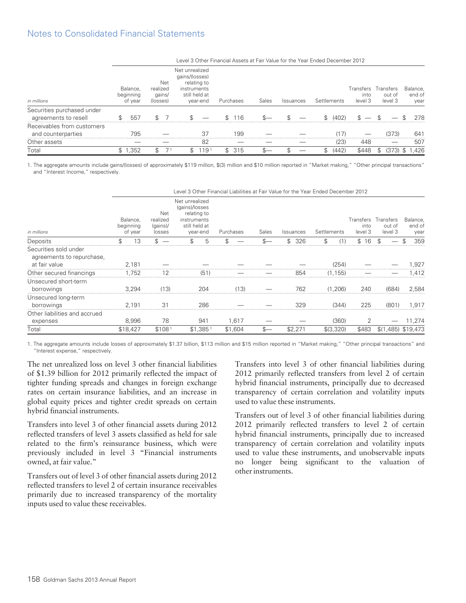| in millions                                        | Balance,<br>beginning<br>of year | Net<br>realized<br>qains/<br>(losses) | Net unrealized<br>gains/(losses)<br>relating to<br>instruments<br>still held at<br>year-end | Purchases | Sales | <b>Issuances</b> | Settlements | Transfers<br>into<br>level 3 | Transfers<br>out of<br>level 3 | Balance,<br>end of<br>year |  |  |  |  |
|----------------------------------------------------|----------------------------------|---------------------------------------|---------------------------------------------------------------------------------------------|-----------|-------|------------------|-------------|------------------------------|--------------------------------|----------------------------|--|--|--|--|
| Securities purchased under<br>agreements to resell | 557<br>\$.                       | \$.                                   |                                                                                             | 116       |       |                  | (402)       |                              |                                | 278                        |  |  |  |  |
| Receivables from customers<br>and counterparties   | 795                              |                                       | 37                                                                                          | 199       |       |                  |             |                              | 373)                           | 641                        |  |  |  |  |
| Other assets                                       |                                  |                                       | 82                                                                                          |           |       |                  | 23)         | 448                          |                                | 507                        |  |  |  |  |
| Total                                              | .352                             | 71<br>\$.                             | 19 <sup>1</sup><br>\$.                                                                      | \$<br>315 |       |                  | (442)       | \$448                        |                                |                            |  |  |  |  |
|                                                    |                                  |                                       |                                                                                             |           |       |                  |             |                              |                                |                            |  |  |  |  |

Level 3 Other Financial Assets at Fair Value for the Year Ended December 2012

1. The aggregate amounts include gains/(losses) of approximately \$119 million, \$(3) million and \$10 million reported in "Market making," "Other principal transactions" and "Interest Income," respectively.

|                                                                     |                                  |                                                 | Level 3 Other Financial Liabilities at Fair Value for the Year Ended December 2012          |           |       |                  |             |                 |                                          |                            |  |  |  |  |  |
|---------------------------------------------------------------------|----------------------------------|-------------------------------------------------|---------------------------------------------------------------------------------------------|-----------|-------|------------------|-------------|-----------------|------------------------------------------|----------------------------|--|--|--|--|--|
| in millions                                                         | Balance,<br>beginning<br>of year | Net<br>realized<br>$\frac{1}{\tan x}$<br>losses | Net unrealized<br>(gains)/losses<br>relating to<br>instruments<br>still held at<br>year-end | Purchases | Sales | <b>Issuances</b> | Settlements | into<br>level 3 | Transfers Transfers<br>out of<br>level 3 | Balance,<br>end of<br>year |  |  |  |  |  |
| Deposits                                                            | 13                               | \$                                              | 5                                                                                           |           |       | 326              |             | \$.<br>16       |                                          | 359                        |  |  |  |  |  |
| Securities sold under<br>agreements to repurchase,<br>at fair value | 2.181                            |                                                 |                                                                                             |           |       |                  | (254)       |                 |                                          | .927                       |  |  |  |  |  |
| Other secured financings                                            | 1.752                            |                                                 | (51                                                                                         |           |       | 854              | (1.155)     |                 |                                          | .412                       |  |  |  |  |  |
| Unsecured short-term<br>borrowings                                  | 3.294                            | (13)                                            | 204                                                                                         |           |       | 762              | (1.206)     | 240             | (684)                                    | 2.584                      |  |  |  |  |  |
| Unsecured long-term<br>borrowings                                   | 2.191                            | 31                                              | 286                                                                                         |           |       | 329              | (344)       | 225             | (801)                                    | 1.917                      |  |  |  |  |  |
| Other liabilities and accrued<br>expenses                           | 8,996                            | 78                                              | 941                                                                                         | 1,617     |       |                  | (360)       |                 |                                          | 11,274                     |  |  |  |  |  |
| Total                                                               | \$18,427                         | \$1081                                          | \$1.385 <sup>1</sup>                                                                        | \$1,604   |       | \$2,271          | \$(3,320)   | \$483           | \$(1,485)                                | \$19,473                   |  |  |  |  |  |

1. The aggregate amounts include losses of approximately \$1.37 billion, \$113 million and \$15 million reported in "Market making," "Other principal transactions" and "Interest expense," respectively.

The net unrealized loss on level 3 other financial liabilities of \$1.39 billion for 2012 primarily reflected the impact of tighter funding spreads and changes in foreign exchange rates on certain insurance liabilities, and an increase in global equity prices and tighter credit spreads on certain hybrid financial instruments.

Transfers into level 3 of other financial assets during 2012 reflected transfers of level 3 assets classified as held for sale related to the firm's reinsurance business, which were previously included in level 3 "Financial instruments owned, at fair value."

Transfers out of level 3 of other financial assets during 2012 reflected transfers to level 2 of certain insurance receivables primarily due to increased transparency of the mortality inputs used to value these receivables.

Transfers into level 3 of other financial liabilities during 2012 primarily reflected transfers from level 2 of certain hybrid financial instruments, principally due to decreased transparency of certain correlation and volatility inputs used to value these instruments.

Transfers out of level 3 of other financial liabilities during 2012 primarily reflected transfers to level 2 of certain hybrid financial instruments, principally due to increased transparency of certain correlation and volatility inputs used to value these instruments, and unobservable inputs no longer being significant to the valuation of other instruments.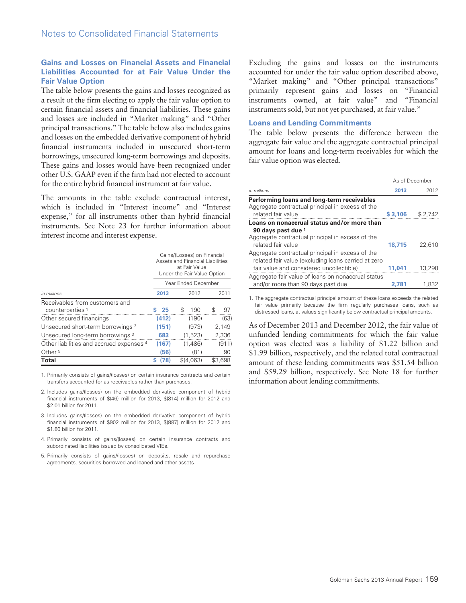## **Gains and Losses on Financial Assets and Financial Liabilities Accounted for at Fair Value Under the Fair Value Option**

The table below presents the gains and losses recognized as a result of the firm electing to apply the fair value option to certain financial assets and financial liabilities. These gains and losses are included in "Market making" and "Other principal transactions." The table below also includes gains and losses on the embedded derivative component of hybrid financial instruments included in unsecured short-term borrowings, unsecured long-term borrowings and deposits. These gains and losses would have been recognized under other U.S. GAAP even if the firm had not elected to account for the entire hybrid financial instrument at fair value.

The amounts in the table exclude contractual interest, which is included in "Interest income" and "Interest expense," for all instruments other than hybrid financial instruments. See Note 23 for further information about interest income and interest expense.

|                                                               | Gains/(Losses) on Financial<br>Assets and Financial Liabilities<br>at Fair Value<br>Under the Fair Value Option |                     |          |  |  |  |
|---------------------------------------------------------------|-----------------------------------------------------------------------------------------------------------------|---------------------|----------|--|--|--|
|                                                               |                                                                                                                 | Year Ended December |          |  |  |  |
| in millions                                                   | 2013                                                                                                            | 2012                | 2011     |  |  |  |
| Receivables from customers and<br>counterparties <sup>1</sup> | - 25<br>s                                                                                                       | 190<br>\$.          | \$<br>97 |  |  |  |
| Other secured financings                                      | (412)                                                                                                           | (190)               | (63)     |  |  |  |
| Unsecured short-term borrowings <sup>2</sup>                  | (151)                                                                                                           | (973)               | 2,149    |  |  |  |
| Unsecured long-term borrowings 3                              | 683                                                                                                             | (1,523)             | 2,336    |  |  |  |
| Other liabilities and accrued expenses 4                      | (167)                                                                                                           | (1,486)             | (911)    |  |  |  |
| Other <sup>5</sup>                                            | (56)                                                                                                            | (81)                | 90       |  |  |  |
| Total                                                         | (78)                                                                                                            | \$(4.063)           | \$3.698  |  |  |  |

1. Primarily consists of gains/(losses) on certain insurance contracts and certain transfers accounted for as receivables rather than purchases.

- 2. Includes gains/(losses) on the embedded derivative component of hybrid financial instruments of \$(46) million for 2013, \$(814) million for 2012 and \$2.01 billion for 2011.
- 3. Includes gains/(losses) on the embedded derivative component of hybrid financial instruments of \$902 million for 2013, \$(887) million for 2012 and \$1.80 billion for 2011.
- 4. Primarily consists of gains/(losses) on certain insurance contracts and subordinated liabilities issued by consolidated VIEs.
- 5. Primarily consists of gains/(losses) on deposits, resale and repurchase agreements, securities borrowed and loaned and other assets.

Excluding the gains and losses on the instruments accounted for under the fair value option described above, "Market making" and "Other principal transactions" primarily represent gains and losses on "Financial instruments owned, at fair value" and "Financial instruments sold, but not yet purchased, at fair value."

## **Loans and Lending Commitments**

The table below presents the difference between the aggregate fair value and the aggregate contractual principal amount for loans and long-term receivables for which the fair value option was elected.

|                                                                                                                                                     |         | As of December |
|-----------------------------------------------------------------------------------------------------------------------------------------------------|---------|----------------|
| in millions                                                                                                                                         | 2013    | 2012           |
| Performing loans and long-term receivables<br>Aggregate contractual principal in excess of the<br>related fair value                                | \$3,106 | \$2.742        |
| Loans on nonaccrual status and/or more than<br>90 days past due 1<br>Aggregate contractual principal in excess of the<br>related fair value         | 18,715  | 22,610         |
| Aggregate contractual principal in excess of the<br>related fair value (excluding loans carried at zero<br>fair value and considered uncollectible) | 11,041  | 13,298         |
| Aggregate fair value of loans on nonaccrual status<br>and/or more than 90 days past due                                                             | 2.781   | 1,832          |

1. The aggregate contractual principal amount of these loans exceeds the related fair value primarily because the firm regularly purchases loans, such as distressed loans, at values significantly below contractual principal amounts.

As of December 2013 and December 2012, the fair value of unfunded lending commitments for which the fair value option was elected was a liability of \$1.22 billion and \$1.99 billion, respectively, and the related total contractual amount of these lending commitments was \$51.54 billion and \$59.29 billion, respectively. See Note 18 for further information about lending commitments.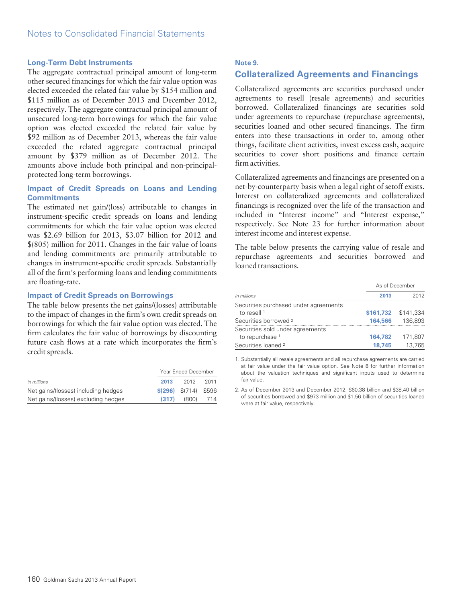## **Long-Term Debt Instruments**

The aggregate contractual principal amount of long-term other secured financings for which the fair value option was elected exceeded the related fair value by \$154 million and \$115 million as of December 2013 and December 2012, respectively. The aggregate contractual principal amount of unsecured long-term borrowings for which the fair value option was elected exceeded the related fair value by \$92 million as of December 2013, whereas the fair value exceeded the related aggregate contractual principal amount by \$379 million as of December 2012. The amounts above include both principal and non-principalprotected long-term borrowings.

## **Impact of Credit Spreads on Loans and Lending Commitments**

The estimated net gain/(loss) attributable to changes in instrument-specific credit spreads on loans and lending commitments for which the fair value option was elected was \$2.69 billion for 2013, \$3.07 billion for 2012 and \$(805) million for 2011. Changes in the fair value of loans and lending commitments are primarily attributable to changes in instrument-specific credit spreads. Substantially all of the firm's performing loans and lending commitments are floating-rate.

#### **Impact of Credit Spreads on Borrowings**

The table below presents the net gains/(losses) attributable to the impact of changes in the firm's own credit spreads on borrowings for which the fair value option was elected. The firm calculates the fair value of borrowings by discounting future cash flows at a rate which incorporates the firm's credit spreads.

|                                     | Year Ended December |                          |      |  |  |
|-------------------------------------|---------------------|--------------------------|------|--|--|
| in millions                         | 2013                | 2012                     | 2011 |  |  |
| Net gains/(losses) including hedges |                     | \$ (296) \$ (714) \$ 596 |      |  |  |
| Net gains/(losses) excluding hedges | (317)               | (800)                    | 714  |  |  |

#### **Note 9.**

## **Collateralized Agreements and Financings**

Collateralized agreements are securities purchased under agreements to resell (resale agreements) and securities borrowed. Collateralized financings are securities sold under agreements to repurchase (repurchase agreements), securities loaned and other secured financings. The firm enters into these transactions in order to, among other things, facilitate client activities, invest excess cash, acquire securities to cover short positions and finance certain firm activities.

Collateralized agreements and financings are presented on a net-by-counterparty basis when a legal right of setoff exists. Interest on collateralized agreements and collateralized financings is recognized over the life of the transaction and included in "Interest income" and "Interest expense," respectively. See Note 23 for further information about interest income and interest expense.

The table below presents the carrying value of resale and repurchase agreements and securities borrowed and loaned transactions.

|                                       |           | As of December |  |  |  |
|---------------------------------------|-----------|----------------|--|--|--|
| in millions                           | 2013      | 2012           |  |  |  |
| Securities purchased under agreements |           |                |  |  |  |
| to resell <sup>1</sup>                | \$161,732 | \$141.334      |  |  |  |
| Securities borrowed <sup>2</sup>      | 164,566   | 136.893        |  |  |  |
| Securities sold under agreements      |           |                |  |  |  |
| to repurchase <sup>1</sup>            | 164,782   | 171.807        |  |  |  |
| Securities loaned <sup>2</sup>        | 18.745    | 13.765         |  |  |  |

1. Substantially all resale agreements and all repurchase agreements are carried at fair value under the fair value option. See Note 8 for further information about the valuation techniques and significant inputs used to determine fair value.

2. As of December 2013 and December 2012, \$60.38 billion and \$38.40 billion of securities borrowed and \$973 million and \$1.56 billion of securities loaned were at fair value, respectively.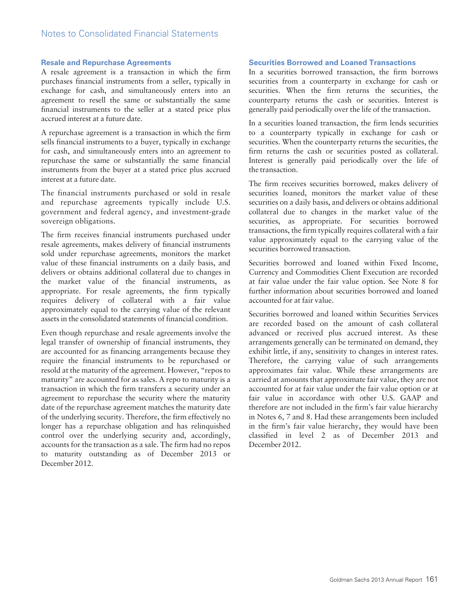#### **Resale and Repurchase Agreements**

A resale agreement is a transaction in which the firm purchases financial instruments from a seller, typically in exchange for cash, and simultaneously enters into an agreement to resell the same or substantially the same financial instruments to the seller at a stated price plus accrued interest at a future date.

A repurchase agreement is a transaction in which the firm sells financial instruments to a buyer, typically in exchange for cash, and simultaneously enters into an agreement to repurchase the same or substantially the same financial instruments from the buyer at a stated price plus accrued interest at a future date.

The financial instruments purchased or sold in resale and repurchase agreements typically include U.S. government and federal agency, and investment-grade sovereign obligations.

The firm receives financial instruments purchased under resale agreements, makes delivery of financial instruments sold under repurchase agreements, monitors the market value of these financial instruments on a daily basis, and delivers or obtains additional collateral due to changes in the market value of the financial instruments, as appropriate. For resale agreements, the firm typically requires delivery of collateral with a fair value approximately equal to the carrying value of the relevant assets in the consolidated statements of financial condition.

Even though repurchase and resale agreements involve the legal transfer of ownership of financial instruments, they are accounted for as financing arrangements because they require the financial instruments to be repurchased or resold at the maturity of the agreement. However, "repos to maturity" are accounted for as sales. A repo to maturity is a transaction in which the firm transfers a security under an agreement to repurchase the security where the maturity date of the repurchase agreement matches the maturity date of the underlying security. Therefore, the firm effectively no longer has a repurchase obligation and has relinquished control over the underlying security and, accordingly, accounts for the transaction as a sale. The firm had no repos to maturity outstanding as of December 2013 or December 2012.

## **Securities Borrowed and Loaned Transactions**

In a securities borrowed transaction, the firm borrows securities from a counterparty in exchange for cash or securities. When the firm returns the securities, the counterparty returns the cash or securities. Interest is generally paid periodically over the life of the transaction.

In a securities loaned transaction, the firm lends securities to a counterparty typically in exchange for cash or securities. When the counterparty returns the securities, the firm returns the cash or securities posted as collateral. Interest is generally paid periodically over the life of the transaction.

The firm receives securities borrowed, makes delivery of securities loaned, monitors the market value of these securities on a daily basis, and delivers or obtains additional collateral due to changes in the market value of the securities, as appropriate. For securities borrowed transactions, the firm typically requires collateral with a fair value approximately equal to the carrying value of the securities borrowed transaction.

Securities borrowed and loaned within Fixed Income, Currency and Commodities Client Execution are recorded at fair value under the fair value option. See Note 8 for further information about securities borrowed and loaned accounted for at fair value.

Securities borrowed and loaned within Securities Services are recorded based on the amount of cash collateral advanced or received plus accrued interest. As these arrangements generally can be terminated on demand, they exhibit little, if any, sensitivity to changes in interest rates. Therefore, the carrying value of such arrangements approximates fair value. While these arrangements are carried at amounts that approximate fair value, they are not accounted for at fair value under the fair value option or at fair value in accordance with other U.S. GAAP and therefore are not included in the firm's fair value hierarchy in Notes 6, 7 and 8. Had these arrangements been included in the firm's fair value hierarchy, they would have been classified in level 2 as of December 2013 and December 2012.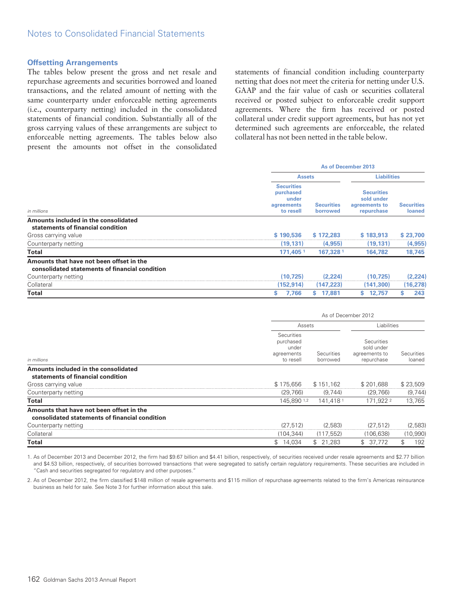#### **Offsetting Arrangements**

The tables below present the gross and net resale and repurchase agreements and securities borrowed and loaned transactions, and the related amount of netting with the same counterparty under enforceable netting agreements (i.e., counterparty netting) included in the consolidated statements of financial condition. Substantially all of the gross carrying values of these arrangements are subject to enforceable netting agreements. The tables below also present the amounts not offset in the consolidated

statements of financial condition including counterparty netting that does not meet the criteria for netting under U.S. GAAP and the fair value of cash or securities collateral received or posted subject to enforceable credit support agreements. Where the firm has received or posted collateral under credit support agreements, but has not yet determined such agreements are enforceable, the related collateral has not been netted in the table below.

|                                                                                            | As of December 2013                                                |                               |                                                                |                                    |  |  |  |
|--------------------------------------------------------------------------------------------|--------------------------------------------------------------------|-------------------------------|----------------------------------------------------------------|------------------------------------|--|--|--|
|                                                                                            | <b>Assets</b>                                                      |                               | <b>Liabilities</b>                                             |                                    |  |  |  |
| in millions                                                                                | <b>Securities</b><br>purchased<br>under<br>agreements<br>to resell | <b>Securities</b><br>borrowed | <b>Securities</b><br>sold under<br>agreements to<br>repurchase | <b>Securities</b><br><b>loaned</b> |  |  |  |
| Amounts included in the consolidated<br>statements of financial condition                  |                                                                    |                               |                                                                |                                    |  |  |  |
| Gross carrying value                                                                       | \$190,536                                                          | \$172,283                     | \$183.913                                                      | \$23.700                           |  |  |  |
| Counterparty netting                                                                       | (19,131)                                                           | (4,955)                       | (19, 131)                                                      | (4, 955)                           |  |  |  |
| <b>Total</b>                                                                               | 171.405 1                                                          | 167.3281                      | 164.782                                                        | 18,745                             |  |  |  |
| Amounts that have not been offset in the<br>consolidated statements of financial condition |                                                                    |                               |                                                                |                                    |  |  |  |
| Counterparty netting                                                                       | (10.725)                                                           | (2.224)                       | (10.725)                                                       | (2,224)                            |  |  |  |
| Collateral                                                                                 | (152.914)                                                          | (147.223)                     | (141.300)                                                      | (16, 278)                          |  |  |  |
| <b>Total</b>                                                                               | 7.766                                                              | 17,881                        | 12.757                                                         | 243                                |  |  |  |

|                                                                                            |                                                             | As of December 2012    |                                                         |                      |  |  |  |  |
|--------------------------------------------------------------------------------------------|-------------------------------------------------------------|------------------------|---------------------------------------------------------|----------------------|--|--|--|--|
|                                                                                            |                                                             | Assets                 |                                                         |                      |  |  |  |  |
| in millions                                                                                | Securities<br>purchased<br>under<br>agreements<br>to resell | Securities<br>borrowed | Securities<br>sold under<br>agreements to<br>repurchase | Securities<br>loaned |  |  |  |  |
| Amounts included in the consolidated                                                       |                                                             |                        |                                                         |                      |  |  |  |  |
| statements of financial condition                                                          |                                                             |                        |                                                         |                      |  |  |  |  |
| Gross carrying value                                                                       | \$175,656                                                   | \$151,162              | \$201,688                                               | \$23,509             |  |  |  |  |
| Counterparty netting                                                                       | (29, 766)                                                   | (9,744)                | (29, 766)                                               | (9,744)              |  |  |  |  |
| Total                                                                                      | 145,890 1,2                                                 | 141,4181               | 171.9222                                                | 13,765               |  |  |  |  |
| Amounts that have not been offset in the<br>consolidated statements of financial condition |                                                             |                        |                                                         |                      |  |  |  |  |
| Counterparty netting                                                                       | (27, 512)                                                   | (2,583)                | (27, 512)                                               | (2,583)              |  |  |  |  |
| Collateral                                                                                 | (104, 344)                                                  | (117, 552)             | (106, 638)                                              | (10,990)             |  |  |  |  |
| <b>Total</b>                                                                               | \$14,034                                                    | \$21,283               | \$37.772                                                | 192<br>\$            |  |  |  |  |

1. As of December 2013 and December 2012, the firm had \$9.67 billion and \$4.41 billion, respectively, of securities received under resale agreements and \$2.77 billion and \$4.53 billion, respectively, of securities borrowed transactions that were segregated to satisfy certain regulatory requirements. These securities are included in "Cash and securities segregated for regulatory and other purposes."

2. As of December 2012, the firm classified \$148 million of resale agreements and \$115 million of repurchase agreements related to the firm's Americas reinsurance business as held for sale. See Note 3 for further information about this sale.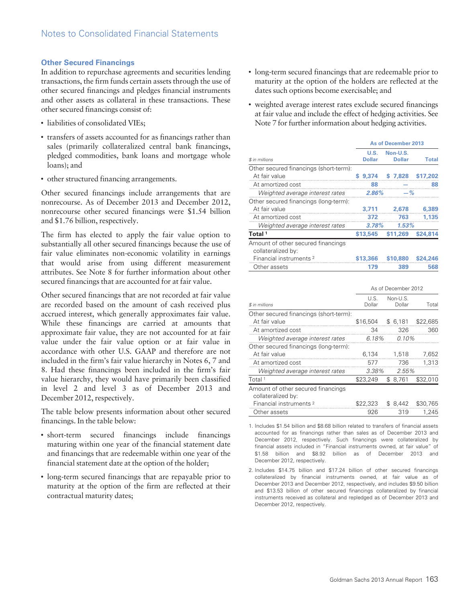#### **Other Secured Financings**

In addition to repurchase agreements and securities lending transactions, the firm funds certain assets through the use of other secured financings and pledges financial instruments and other assets as collateral in these transactions. These other secured financings consist of:

- liabilities of consolidated VIEs;
- transfers of assets accounted for as financings rather than sales (primarily collateralized central bank financings, pledged commodities, bank loans and mortgage whole loans); and
- other structured financing arrangements.

Other secured financings include arrangements that are nonrecourse. As of December 2013 and December 2012, nonrecourse other secured financings were \$1.54 billion and \$1.76 billion, respectively.

The firm has elected to apply the fair value option to substantially all other secured financings because the use of fair value eliminates non-economic volatility in earnings that would arise from using different measurement attributes. See Note 8 for further information about other secured financings that are accounted for at fair value.

Other secured financings that are not recorded at fair value are recorded based on the amount of cash received plus accrued interest, which generally approximates fair value. While these financings are carried at amounts that approximate fair value, they are not accounted for at fair value under the fair value option or at fair value in accordance with other U.S. GAAP and therefore are not included in the firm's fair value hierarchy in Notes 6, 7 and 8. Had these financings been included in the firm's fair value hierarchy, they would have primarily been classified in level 2 and level 3 as of December 2013 and December 2012, respectively.

The table below presents information about other secured financings. In the table below:

- short-term secured financings include financings maturing within one year of the financial statement date and financings that are redeemable within one year of the financial statement date at the option of the holder;
- ‰ long-term secured financings that are repayable prior to maturity at the option of the firm are reflected at their contractual maturity dates;
- ‰ long-term secured financings that are redeemable prior to maturity at the option of the holders are reflected at the dates such options become exercisable; and
- ‰ weighted average interest rates exclude secured financings at fair value and include the effect of hedging activities. See Note 7 for further information about hedging activities.

1. Includes \$1.54 billion and \$8.68 billion related to transfers of financial assets accounted for as financings rather than sales as of December 2013 and December 2012, respectively. Such financings were collateralized by financial assets included in "Financial instruments owned, at fair value" of \$1.58 billion and \$8.92 billion as of December 2013 and December 2012, respectively.

2. Includes \$14.75 billion and \$17.24 billion of other secured financings collateralized by financial instruments owned, at fair value as of December 2013 and December 2012, respectively, and includes \$9.50 billion and \$13.53 billion of other secured financings collateralized by financial instruments received as collateral and repledged as of December 2013 and December 2012, respectively.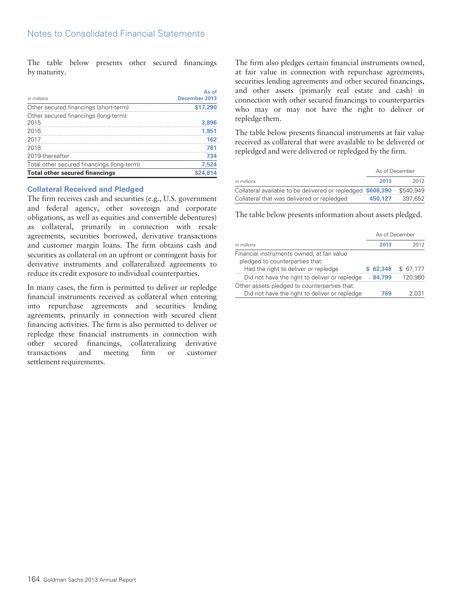The table below presents other secured financings by maturity.

| in millions                                | As of<br>December 2013 |
|--------------------------------------------|------------------------|
| Other secured financings (short-term)      | \$17,290               |
| Other secured financings (long-term):      |                        |
| 2015                                       | 3,896                  |
| 2016                                       | 1.951                  |
| 2017                                       | 162                    |
| 2018                                       | 781                    |
| 2019-thereafter                            | 734                    |
| Total other secured financings (long-term) | 7.524                  |
| <b>Total other secured financings</b>      | \$24,814               |

## **Collateral Received and Pledged**

The firm receives cash and securities (e.g., U.S. government and federal agency, other sovereign and corporate obligations, as well as equities and convertible debentures) as collateral, primarily in connection with resale agreements, securities borrowed, derivative transactions and customer margin loans. The firm obtains cash and securities as collateral on an upfront or contingent basis for derivative instruments and collateralized agreements to reduce its credit exposure to individual counterparties.

In many cases, the firm is permitted to deliver or repledge financial instruments received as collateral when entering into repurchase agreements and securities lending agreements, primarily in connection with secured client financing activities. The firm is also permitted to deliver or repledge these financial instruments in connection with other secured financings, collateralizing derivative transactions and meeting firm or customer settlement requirements.

The firm also pledges certain financial instruments owned, at fair value in connection with repurchase agreements, securities lending agreements and other secured financings, and other assets (primarily real estate and cash) in connection with other secured financings to counterparties who may or may not have the right to deliver or repledge them.

The table below presents financial instruments at fair value received as collateral that were available to be delivered or repledged and were delivered or repledged by the firm.

|                                                             | As of December |           |  |
|-------------------------------------------------------------|----------------|-----------|--|
| in millions                                                 | 2013           | 2012      |  |
| Collateral available to be delivered or repledged \$608,390 |                | \$540.949 |  |
| Collateral that was delivered or repledged                  | 450.127        | 397.652   |  |

The table below presents information about assets pledged.

|                                                                               | As of December |          |  |  |
|-------------------------------------------------------------------------------|----------------|----------|--|--|
| in millions                                                                   | 2013           | 2012     |  |  |
| Financial instruments owned, at fair value<br>pledged to counterparties that: |                |          |  |  |
| Had the right to deliver or repledge                                          | 62,348         | \$67.177 |  |  |
| Did not have the right to deliver or repledge                                 | 84.799         | 120.980  |  |  |
| Other assets pledged to counterparties that:                                  |                |          |  |  |
| Did not have the right to deliver or repledge                                 | 769            | 2.031    |  |  |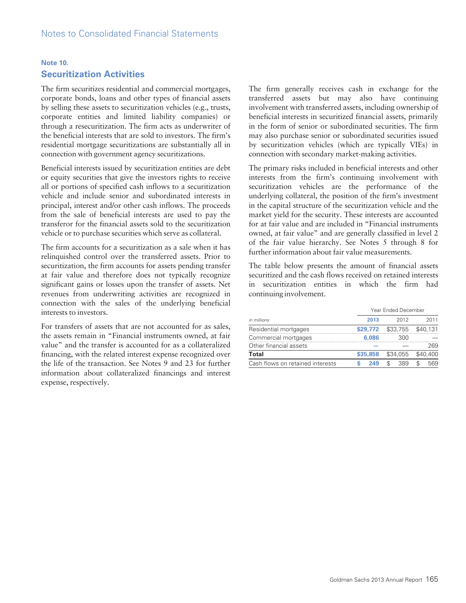## **Note 10. Securitization Activities**

The firm securitizes residential and commercial mortgages, corporate bonds, loans and other types of financial assets by selling these assets to securitization vehicles (e.g., trusts, corporate entities and limited liability companies) or through a resecuritization. The firm acts as underwriter of the beneficial interests that are sold to investors. The firm's residential mortgage securitizations are substantially all in connection with government agency securitizations.

Beneficial interests issued by securitization entities are debt or equity securities that give the investors rights to receive all or portions of specified cash inflows to a securitization vehicle and include senior and subordinated interests in principal, interest and/or other cash inflows. The proceeds from the sale of beneficial interests are used to pay the transferor for the financial assets sold to the securitization vehicle or to purchase securities which serve as collateral.

The firm accounts for a securitization as a sale when it has relinquished control over the transferred assets. Prior to securitization, the firm accounts for assets pending transfer at fair value and therefore does not typically recognize significant gains or losses upon the transfer of assets. Net revenues from underwriting activities are recognized in connection with the sales of the underlying beneficial interests to investors.

For transfers of assets that are not accounted for as sales, the assets remain in "Financial instruments owned, at fair value" and the transfer is accounted for as a collateralized financing, with the related interest expense recognized over the life of the transaction. See Notes 9 and 23 for further information about collateralized financings and interest expense, respectively.

The firm generally receives cash in exchange for the transferred assets but may also have continuing involvement with transferred assets, including ownership of beneficial interests in securitized financial assets, primarily in the form of senior or subordinated securities. The firm may also purchase senior or subordinated securities issued by securitization vehicles (which are typically VIEs) in connection with secondary market-making activities.

The primary risks included in beneficial interests and other interests from the firm's continuing involvement with securitization vehicles are the performance of the underlying collateral, the position of the firm's investment in the capital structure of the securitization vehicle and the market yield for the security. These interests are accounted for at fair value and are included in "Financial instruments owned, at fair value" and are generally classified in level 2 of the fair value hierarchy. See Notes 5 through 8 for further information about fair value measurements.

The table below presents the amount of financial assets securitized and the cash flows received on retained interests in securitization entities in which the firm had continuing involvement.

|                                  | Year Ended December |       |    |          |    |          |  |
|----------------------------------|---------------------|-------|----|----------|----|----------|--|
| in millions                      |                     | 2013  |    | 2012     |    | 2011     |  |
| Residential mortgages            | \$29,772            |       |    | \$33,755 |    | \$40.131 |  |
| Commercial mortgages             |                     | 6.086 |    | 300      |    |          |  |
| Other financial assets           |                     |       |    |          |    | 269      |  |
| Total                            | \$35,858            |       |    | \$34,055 |    | \$40,400 |  |
| Cash flows on retained interests |                     | 249   | \$ | 389      | \$ | 569      |  |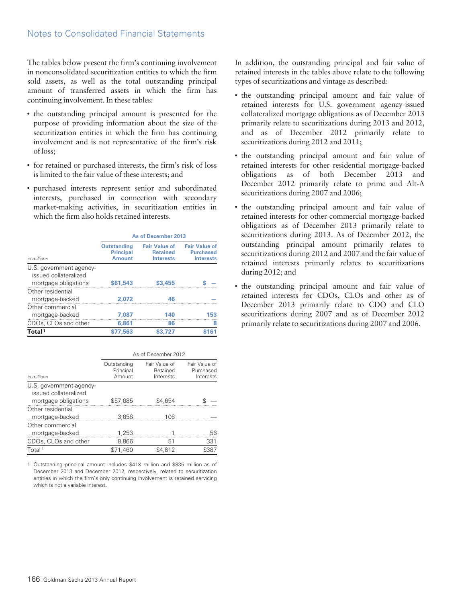The tables below present the firm's continuing involvement in nonconsolidated securitization entities to which the firm sold assets, as well as the total outstanding principal amount of transferred assets in which the firm has continuing involvement. In these tables:

- the outstanding principal amount is presented for the purpose of providing information about the size of the securitization entities in which the firm has continuing involvement and is not representative of the firm's risk of loss;
- ‰ for retained or purchased interests, the firm's risk of loss is limited to the fair value of these interests; and
- ‰ purchased interests represent senior and subordinated interests, purchased in connection with secondary market-making activities, in securitization entities in which the firm also holds retained interests.

|                                                  |                                                         | As of December 2013                                         |                                                              |  |
|--------------------------------------------------|---------------------------------------------------------|-------------------------------------------------------------|--------------------------------------------------------------|--|
| in millions                                      | <b>Outstanding</b><br><b>Principal</b><br><b>Amount</b> | <b>Fair Value of</b><br><b>Retained</b><br><b>Interests</b> | <b>Fair Value of</b><br><b>Purchased</b><br><b>Interests</b> |  |
| U.S. government agency-<br>issued collateralized |                                                         |                                                             |                                                              |  |
| mortgage obligations                             | \$61,543                                                | \$3,455                                                     |                                                              |  |
| Other residential                                |                                                         |                                                             |                                                              |  |
| mortgage-backed                                  | 2.072                                                   | 46                                                          |                                                              |  |
| Other commercial                                 |                                                         |                                                             |                                                              |  |
| mortgage-backed                                  | 7,087                                                   | 140                                                         | 153                                                          |  |
| CDOs, CLOs and other                             | 6,861                                                   | 86                                                          | 8                                                            |  |
| Total <sup>1</sup>                               | \$77.563                                                | \$3,727                                                     | \$161                                                        |  |

|                                                                          |                                    | As of December 2012                    |                                         |
|--------------------------------------------------------------------------|------------------------------------|----------------------------------------|-----------------------------------------|
| in millions                                                              | Outstanding<br>Principal<br>Amount | Fair Value of<br>Retained<br>Interests | Fair Value of<br>Purchased<br>Interests |
| U.S. government agency-<br>issued collateralized<br>mortgage obligations | \$57,685                           | \$4.654                                |                                         |
| Other residential<br>mortgage-backed                                     | 3,656                              | 106                                    |                                         |
| Other commercial<br>mortgage-backed                                      | 1,253                              |                                        | 56                                      |
| CDOs, CLOs and other                                                     | 8.866                              | 51                                     | 331                                     |
| Total <sup>1</sup>                                                       | \$71.460                           | \$4.812                                | \$387                                   |

1. Outstanding principal amount includes \$418 million and \$835 million as of December 2013 and December 2012, respectively, related to securitization entities in which the firm's only continuing involvement is retained servicing which is not a variable interest.

In addition, the outstanding principal and fair value of retained interests in the tables above relate to the following types of securitizations and vintage as described:

- the outstanding principal amount and fair value of retained interests for U.S. government agency-issued collateralized mortgage obligations as of December 2013 primarily relate to securitizations during 2013 and 2012, and as of December 2012 primarily relate to securitizations during 2012 and 2011;
- the outstanding principal amount and fair value of retained interests for other residential mortgage-backed obligations as of both December 2013 and December 2012 primarily relate to prime and Alt-A securitizations during 2007 and 2006;
- the outstanding principal amount and fair value of retained interests for other commercial mortgage-backed obligations as of December 2013 primarily relate to securitizations during 2013. As of December 2012, the outstanding principal amount primarily relates to securitizations during 2012 and 2007 and the fair value of retained interests primarily relates to securitizations during 2012; and
- the outstanding principal amount and fair value of retained interests for CDOs, CLOs and other as of December 2013 primarily relate to CDO and CLO securitizations during 2007 and as of December 2012 primarily relate to securitizations during 2007 and 2006.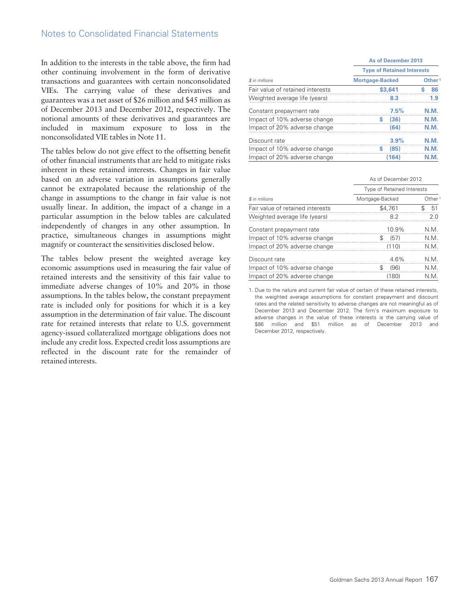In addition to the interests in the table above, the firm had other continuing involvement in the form of derivative transactions and guarantees with certain nonconsolidated VIEs. The carrying value of these derivatives and guarantees was a net asset of \$26 million and \$45 million as of December 2013 and December 2012, respectively. The notional amounts of these derivatives and guarantees are included in maximum exposure to loss in the nonconsolidated VIE tables in Note 11.

The tables below do not give effect to the offsetting benefit of other financial instruments that are held to mitigate risks inherent in these retained interests. Changes in fair value based on an adverse variation in assumptions generally cannot be extrapolated because the relationship of the change in assumptions to the change in fair value is not usually linear. In addition, the impact of a change in a particular assumption in the below tables are calculated independently of changes in any other assumption. In practice, simultaneous changes in assumptions might magnify or counteract the sensitivities disclosed below.

The tables below present the weighted average key economic assumptions used in measuring the fair value of retained interests and the sensitivity of this fair value to immediate adverse changes of 10% and 20% in those assumptions. In the tables below, the constant prepayment rate is included only for positions for which it is a key assumption in the determination of fair value. The discount rate for retained interests that relate to U.S. government agency-issued collateralized mortgage obligations does not include any credit loss. Expected credit loss assumptions are reflected in the discount rate for the remainder of retained interests.

|                                  | As of December 2013               |                    |  |
|----------------------------------|-----------------------------------|--------------------|--|
|                                  | <b>Type of Retained Interests</b> |                    |  |
| \$ in millions                   | <b>Mortgage-Backed</b>            | Other <sup>1</sup> |  |
| Fair value of retained interests | \$3,641                           | 86<br>S            |  |
| Weighted average life (years)    | 8.3                               | 1.9                |  |
| Constant prepayment rate         | 7.5%                              | N.M.               |  |
| Impact of 10% adverse change     | (36)<br>S                         | N.M.               |  |
| Impact of 20% adverse change     | (64)                              | N.M.               |  |
| Discount rate                    | 3.9%                              | N.M.               |  |
| Impact of 10% adverse change     | (85)<br>s                         | N.M.               |  |
| Impact of 20% adverse change     | (164)                             | N.M.               |  |

|                                  | As of December 2012        |                    |
|----------------------------------|----------------------------|--------------------|
|                                  | Type of Retained Interests |                    |
| \$ in millions                   | Mortgage-Backed            | Other <sup>1</sup> |
| Fair value of retained interests | \$4.761                    | 51<br>\$           |
| Weighted average life (years)    | 82                         | 2.0                |
| Constant prepayment rate         | 10.9%                      | N.M.               |
| Impact of 10% adverse change     | (57)<br>S                  | N.M.               |
| Impact of 20% adverse change     | (110)                      | N.M.               |
| Discount rate                    | 4.6%                       | N.M.               |
| Impact of 10% adverse change     | \$<br>(96)                 | N.M.               |
| Impact of 20% adverse change     | (180)                      | N.M.               |

1. Due to the nature and current fair value of certain of these retained interests, the weighted average assumptions for constant prepayment and discount rates and the related sensitivity to adverse changes are not meaningful as of December 2013 and December 2012. The firm's maximum exposure to adverse changes in the value of these interests is the carrying value of \$86 million and \$51 million as of December 2013 and December 2012, respectively.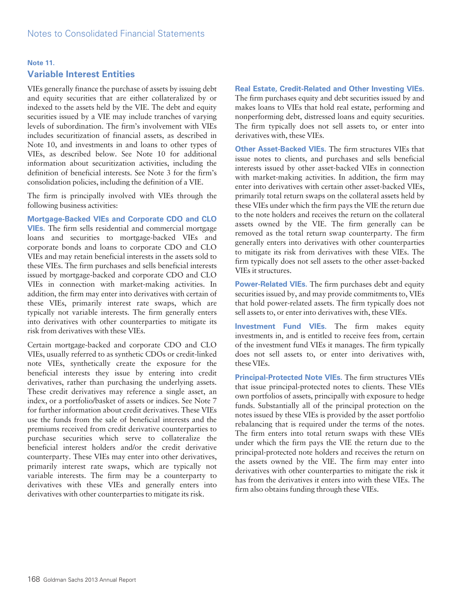## **Note 11. Variable Interest Entities**

VIEs generally finance the purchase of assets by issuing debt and equity securities that are either collateralized by or indexed to the assets held by the VIE. The debt and equity securities issued by a VIE may include tranches of varying levels of subordination. The firm's involvement with VIEs includes securitization of financial assets, as described in Note 10, and investments in and loans to other types of VIEs, as described below. See Note 10 for additional information about securitization activities, including the definition of beneficial interests. See Note 3 for the firm's consolidation policies, including the definition of a VIE.

The firm is principally involved with VIEs through the following business activities:

**Mortgage-Backed VIEs and Corporate CDO and CLO VIEs.** The firm sells residential and commercial mortgage loans and securities to mortgage-backed VIEs and corporate bonds and loans to corporate CDO and CLO VIEs and may retain beneficial interests in the assets sold to these VIEs. The firm purchases and sells beneficial interests issued by mortgage-backed and corporate CDO and CLO VIEs in connection with market-making activities. In addition, the firm may enter into derivatives with certain of these VIEs, primarily interest rate swaps, which are typically not variable interests. The firm generally enters into derivatives with other counterparties to mitigate its risk from derivatives with these VIEs.

Certain mortgage-backed and corporate CDO and CLO VIEs, usually referred to as synthetic CDOs or credit-linked note VIEs, synthetically create the exposure for the beneficial interests they issue by entering into credit derivatives, rather than purchasing the underlying assets. These credit derivatives may reference a single asset, an index, or a portfolio/basket of assets or indices. See Note 7 for further information about credit derivatives. These VIEs use the funds from the sale of beneficial interests and the premiums received from credit derivative counterparties to purchase securities which serve to collateralize the beneficial interest holders and/or the credit derivative counterparty. These VIEs may enter into other derivatives, primarily interest rate swaps, which are typically not variable interests. The firm may be a counterparty to derivatives with these VIEs and generally enters into derivatives with other counterparties to mitigate its risk.

# **Real Estate, Credit-Related and Other Investing VIEs.**

The firm purchases equity and debt securities issued by and makes loans to VIEs that hold real estate, performing and nonperforming debt, distressed loans and equity securities. The firm typically does not sell assets to, or enter into derivatives with, these VIEs.

**Other Asset-Backed VIEs.** The firm structures VIEs that issue notes to clients, and purchases and sells beneficial interests issued by other asset-backed VIEs in connection with market-making activities. In addition, the firm may enter into derivatives with certain other asset-backed VIEs, primarily total return swaps on the collateral assets held by these VIEs under which the firm pays the VIE the return due to the note holders and receives the return on the collateral assets owned by the VIE. The firm generally can be removed as the total return swap counterparty. The firm generally enters into derivatives with other counterparties to mitigate its risk from derivatives with these VIEs. The firm typically does not sell assets to the other asset-backed VIEs it structures.

**Power-Related VIEs.** The firm purchases debt and equity securities issued by, and may provide commitments to, VIEs that hold power-related assets. The firm typically does not sell assets to, or enter into derivatives with, these VIEs.

**Investment Fund VIEs.** The firm makes equity investments in, and is entitled to receive fees from, certain of the investment fund VIEs it manages. The firm typically does not sell assets to, or enter into derivatives with, these VIEs.

**Principal-Protected Note VIEs.** The firm structures VIEs that issue principal-protected notes to clients. These VIEs own portfolios of assets, principally with exposure to hedge funds. Substantially all of the principal protection on the notes issued by these VIEs is provided by the asset portfolio rebalancing that is required under the terms of the notes. The firm enters into total return swaps with these VIEs under which the firm pays the VIE the return due to the principal-protected note holders and receives the return on the assets owned by the VIE. The firm may enter into derivatives with other counterparties to mitigate the risk it has from the derivatives it enters into with these VIEs. The firm also obtains funding through these VIEs.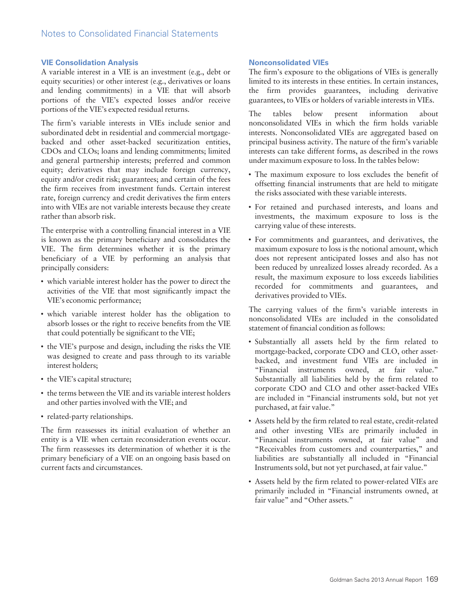### **VIE Consolidation Analysis**

A variable interest in a VIE is an investment (e.g., debt or equity securities) or other interest (e.g., derivatives or loans and lending commitments) in a VIE that will absorb portions of the VIE's expected losses and/or receive portions of the VIE's expected residual returns.

The firm's variable interests in VIEs include senior and subordinated debt in residential and commercial mortgagebacked and other asset-backed securitization entities, CDOs and CLOs; loans and lending commitments; limited and general partnership interests; preferred and common equity; derivatives that may include foreign currency, equity and/or credit risk; guarantees; and certain of the fees the firm receives from investment funds. Certain interest rate, foreign currency and credit derivatives the firm enters into with VIEs are not variable interests because they create rather than absorb risk.

The enterprise with a controlling financial interest in a VIE is known as the primary beneficiary and consolidates the VIE. The firm determines whether it is the primary beneficiary of a VIE by performing an analysis that principally considers:

- which variable interest holder has the power to direct the activities of the VIE that most significantly impact the VIE's economic performance;
- ‰ which variable interest holder has the obligation to absorb losses or the right to receive benefits from the VIE that could potentially be significant to the VIE;
- the VIE's purpose and design, including the risks the VIE was designed to create and pass through to its variable interest holders;
- the VIE's capital structure;
- the terms between the VIE and its variable interest holders and other parties involved with the VIE; and
- related-party relationships.

The firm reassesses its initial evaluation of whether an entity is a VIE when certain reconsideration events occur. The firm reassesses its determination of whether it is the primary beneficiary of a VIE on an ongoing basis based on current facts and circumstances.

## **Nonconsolidated VIEs**

The firm's exposure to the obligations of VIEs is generally limited to its interests in these entities. In certain instances, the firm provides guarantees, including derivative guarantees, to VIEs or holders of variable interests in VIEs.

The tables below present information about nonconsolidated VIEs in which the firm holds variable interests. Nonconsolidated VIEs are aggregated based on principal business activity. The nature of the firm's variable interests can take different forms, as described in the rows under maximum exposure to loss. In the tables below:

- ‰ The maximum exposure to loss excludes the benefit of offsetting financial instruments that are held to mitigate the risks associated with these variable interests.
- ‰ For retained and purchased interests, and loans and investments, the maximum exposure to loss is the carrying value of these interests.
- ‰ For commitments and guarantees, and derivatives, the maximum exposure to loss is the notional amount, which does not represent anticipated losses and also has not been reduced by unrealized losses already recorded. As a result, the maximum exposure to loss exceeds liabilities recorded for commitments and guarantees, and derivatives provided to VIEs.

The carrying values of the firm's variable interests in nonconsolidated VIEs are included in the consolidated statement of financial condition as follows:

- ‰ Substantially all assets held by the firm related to mortgage-backed, corporate CDO and CLO, other assetbacked, and investment fund VIEs are included in "Financial instruments owned, at fair value." Substantially all liabilities held by the firm related to corporate CDO and CLO and other asset-backed VIEs are included in "Financial instruments sold, but not yet purchased, at fair value."
- ‰ Assets held by the firm related to real estate, credit-related and other investing VIEs are primarily included in "Financial instruments owned, at fair value" and "Receivables from customers and counterparties," and liabilities are substantially all included in "Financial Instruments sold, but not yet purchased, at fair value."
- ‰ Assets held by the firm related to power-related VIEs are primarily included in "Financial instruments owned, at fair value" and "Other assets."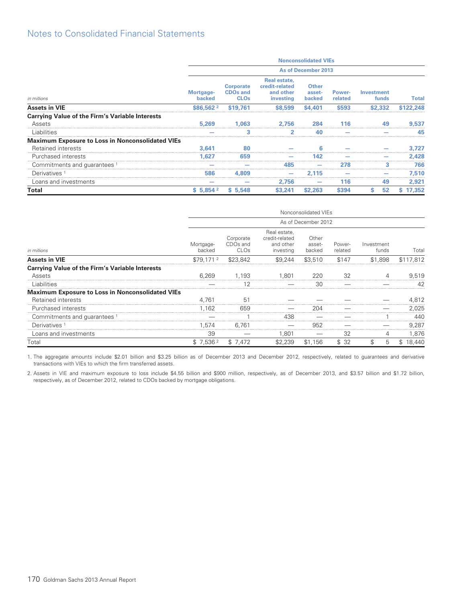|                                                         |                       |                                                    |                                                          | <b>Nonconsolidated VIEs</b>             |                   |                     |              |
|---------------------------------------------------------|-----------------------|----------------------------------------------------|----------------------------------------------------------|-----------------------------------------|-------------------|---------------------|--------------|
|                                                         |                       | As of December 2013                                |                                                          |                                         |                   |                     |              |
| in millions                                             | Mortgage-<br>backed   | <b>Corporate</b><br><b>CDOs and</b><br><b>CLOs</b> | Real estate,<br>credit-related<br>and other<br>investing | <b>Other</b><br>asset-<br><b>backed</b> | Power-<br>related | Investment<br>funds | <b>Total</b> |
| <b>Assets in VIE</b>                                    | \$86.562 <sup>2</sup> | \$19.761                                           | \$8.599                                                  | \$4,401                                 | \$593             | \$2.332             | \$122 248    |
| <b>Carrying Value of the Firm's Variable Interests</b>  |                       |                                                    |                                                          |                                         |                   |                     |              |
| Assets                                                  | 5.269                 | 1.063                                              | 2.756                                                    | 284                                     |                   |                     | 9.537        |
| Liabilities                                             |                       |                                                    |                                                          | 40                                      |                   |                     |              |
| <b>Maximum Exposure to Loss in Nonconsolidated VIEs</b> |                       |                                                    |                                                          |                                         |                   |                     |              |
| Retained interests                                      | 3.641                 |                                                    |                                                          |                                         |                   |                     | 3.727        |
| Purchased interests                                     | 1.627                 | 659                                                |                                                          | 142                                     |                   |                     | 2,428        |
| Commitments and guarantees 1                            |                       |                                                    | 485                                                      |                                         | 279               |                     | 766          |
| Derivatives                                             | 586                   | 4.809                                              |                                                          | 2.115                                   |                   |                     | 7.510        |
| Loans and investments                                   |                       |                                                    | 2.756                                                    |                                         | 116               | 49                  | 2,921        |
| Total                                                   | \$5.854 <sup>2</sup>  | \$5.548                                            | \$3,241                                                  | \$2,263                                 | \$394             | 52                  | 17.352       |

|                                                         |                        |                                           |                                                          | Nonconsolidated VIEs      |                   |                     |       |
|---------------------------------------------------------|------------------------|-------------------------------------------|----------------------------------------------------------|---------------------------|-------------------|---------------------|-------|
|                                                         | As of December 2012    |                                           |                                                          |                           |                   |                     |       |
| in millions                                             | Mortgage-<br>backed    | Corporate<br>CDO <sub>s</sub> and<br>CLOs | Real estate,<br>credit-related<br>and other<br>investing | Other<br>asset-<br>backed | Power-<br>related | Investment<br>funds | Total |
| <b>Assets in VIE</b>                                    | $$79.171$ <sup>2</sup> | \$23.842                                  | \$9,244                                                  | \$3.510                   | \$147             | \$1.898             | .812  |
| <b>Carrying Value of the Firm's Variable Interests</b>  |                        |                                           |                                                          |                           |                   |                     |       |
| Assets                                                  | 6.269                  | 1,193                                     | .801                                                     | 220                       |                   |                     | 9.519 |
| Liabilities                                             |                        |                                           |                                                          | 30                        |                   |                     |       |
| <b>Maximum Exposure to Loss in Nonconsolidated VIEs</b> |                        |                                           |                                                          |                           |                   |                     |       |
| Retained interests                                      | 4.761                  |                                           |                                                          |                           |                   |                     | 1.812 |
| Purchased interests                                     | 1.162                  | 659                                       |                                                          | 204                       |                   |                     | 2.025 |
| Commitments and guarantees 1                            |                        |                                           | 438                                                      |                           |                   |                     | 440   |
| Derivatives <sup>1</sup>                                | .574                   | 6.761                                     |                                                          | 952                       |                   |                     | 9,287 |
| Loans and investments                                   | 39                     |                                           | 1.801                                                    |                           | 32                | 4                   | .876  |
| l otal                                                  | $$7,536^2$             | \$7.472                                   | \$2,239                                                  | \$1,156                   | \$32              | $\mathbb{S}$<br>5   | 8.440 |

1. The aggregate amounts include \$2.01 billion and \$3.25 billion as of December 2013 and December 2012, respectively, related to guarantees and derivative transactions with VIEs to which the firm transferred assets.

2. Assets in VIE and maximum exposure to loss include \$4.55 billion and \$900 million, respectively, as of December 2013, and \$3.57 billion and \$1.72 billion, respectively, as of December 2012, related to CDOs backed by mortgage obligations.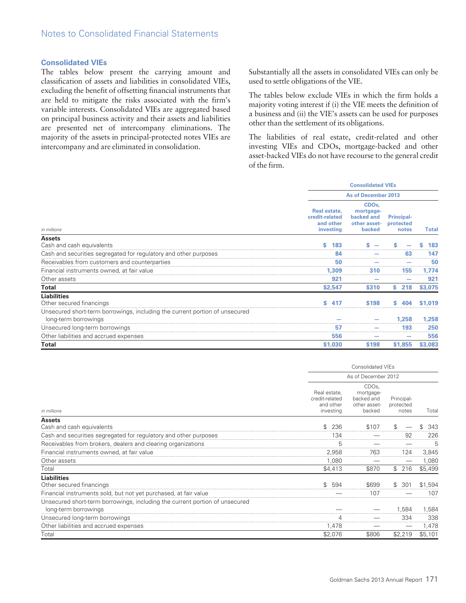#### **Consolidated VIEs**

The tables below present the carrying amount and classification of assets and liabilities in consolidated VIEs, excluding the benefit of offsetting financial instruments that are held to mitigate the risks associated with the firm's variable interests. Consolidated VIEs are aggregated based on principal business activity and their assets and liabilities are presented net of intercompany eliminations. The majority of the assets in principal-protected notes VIEs are intercompany and are eliminated in consolidation.

Substantially all the assets in consolidated VIEs can only be used to settle obligations of the VIE.

The tables below exclude VIEs in which the firm holds a majority voting interest if (i) the VIE meets the definition of a business and (ii) the VIE's assets can be used for purposes other than the settlement of its obligations.

The liabilities of real estate, credit-related and other investing VIEs and CDOs, mortgage-backed and other asset-backed VIEs do not have recourse to the general credit of the firm.

|                                                                                                     | <b>Consolidated VIEs</b>                                 |                                                                         |                                         |              |  |  |  |
|-----------------------------------------------------------------------------------------------------|----------------------------------------------------------|-------------------------------------------------------------------------|-----------------------------------------|--------------|--|--|--|
|                                                                                                     |                                                          | As of December 2013                                                     |                                         |              |  |  |  |
| in millions                                                                                         | Real estate,<br>credit-related<br>and other<br>investing | CDO <sub>s</sub> .<br>mortgage-<br>backed and<br>other asset-<br>backed | <b>Principal-</b><br>protected<br>notes | <b>Total</b> |  |  |  |
| <b>Assets</b>                                                                                       |                                                          |                                                                         |                                         |              |  |  |  |
| Cash and cash equivalents                                                                           | 183                                                      |                                                                         |                                         | 183          |  |  |  |
| Cash and securities segregated for regulatory and other purposes                                    | 84                                                       |                                                                         | 63                                      | 147          |  |  |  |
| Receivables from customers and counterparties                                                       | 50                                                       |                                                                         |                                         | 50           |  |  |  |
| Financial instruments owned, at fair value                                                          | 1.309                                                    | 310                                                                     | 155                                     | .774         |  |  |  |
| Other assets                                                                                        | 921                                                      |                                                                         |                                         | 921          |  |  |  |
| Total                                                                                               | \$2,547                                                  | \$310                                                                   | S.<br>218                               | \$3,075      |  |  |  |
| <b>Liabilities</b><br>Other secured financings                                                      | 417                                                      | \$198                                                                   |                                         | \$1,019      |  |  |  |
| Unsecured short-term borrowings, including the current portion of unsecured<br>long-term borrowings |                                                          |                                                                         | 1.258                                   | 1,258        |  |  |  |
| Unsecured long-term borrowings                                                                      |                                                          |                                                                         | 193                                     | 250          |  |  |  |
| Other liabilities and accrued expenses                                                              | 556                                                      |                                                                         |                                         | 556          |  |  |  |
| Total                                                                                               | \$1,030                                                  | \$198                                                                   | \$1,855                                 | \$3,083      |  |  |  |

|                                                                                                     |                                                          | <b>Consolidated VIEs</b>                                                |                                  |             |  |  |
|-----------------------------------------------------------------------------------------------------|----------------------------------------------------------|-------------------------------------------------------------------------|----------------------------------|-------------|--|--|
|                                                                                                     | As of December 2012                                      |                                                                         |                                  |             |  |  |
| in millions                                                                                         | Real estate,<br>credit-related<br>and other<br>investing | CDO <sub>s</sub> .<br>mortgage-<br>backed and<br>other asset-<br>backed | Principal-<br>protected<br>notes | Total       |  |  |
| <b>Assets</b>                                                                                       |                                                          |                                                                         |                                  |             |  |  |
| Cash and cash equivalents                                                                           | 236                                                      | \$107                                                                   |                                  | 343         |  |  |
| Cash and securities segregated for regulatory and other purposes                                    | 134                                                      |                                                                         | 92                               | 226         |  |  |
| Receivables from brokers, dealers and clearing organizations                                        | 5                                                        |                                                                         |                                  |             |  |  |
| Financial instruments owned, at fair value                                                          | 2,958                                                    | 763                                                                     | 124                              | 3,845       |  |  |
| Other assets                                                                                        | 1,080                                                    |                                                                         |                                  | 1,080       |  |  |
| Total                                                                                               | \$4,413                                                  | \$870                                                                   | \$216                            | \$5,499     |  |  |
| <b>Liabilities</b><br>Other secured financings                                                      | 594                                                      | \$699                                                                   | 301                              | .594<br>\$1 |  |  |
| Financial instruments sold, but not yet purchased, at fair value                                    |                                                          | 107                                                                     |                                  | 107         |  |  |
| Unsecured short-term borrowings, including the current portion of unsecured<br>long-term borrowings |                                                          |                                                                         | 1.584                            | .584        |  |  |
| Unsecured long-term borrowings                                                                      |                                                          |                                                                         | 334                              | 338         |  |  |
| Other liabilities and accrued expenses                                                              | 1,478                                                    |                                                                         |                                  | 1,478       |  |  |
| Total                                                                                               | \$2,076                                                  | \$806                                                                   | \$2,219                          | \$5,101     |  |  |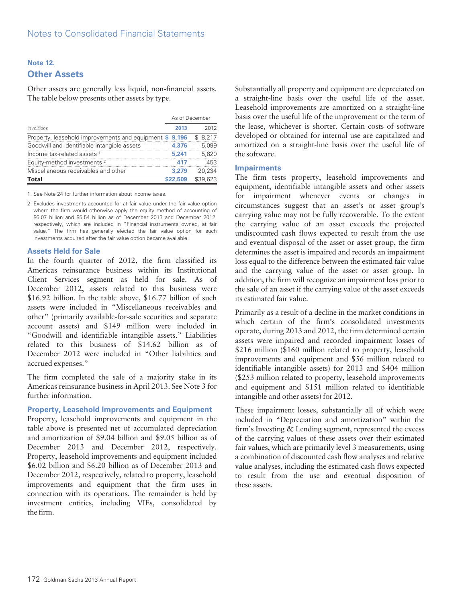## **Note 12. Other Assets**

Other assets are generally less liquid, non-financial assets. The table below presents other assets by type.

|                                                        | As of December |          |  |
|--------------------------------------------------------|----------------|----------|--|
| in millions                                            | 2013           | 2012     |  |
| Property, leasehold improvements and equipment \$9,196 |                | \$8,217  |  |
| Goodwill and identifiable intangible assets            | 4.376          | 5,099    |  |
| Income tax-related assets 1                            | 5.241          | 5,620    |  |
| Equity-method investments <sup>2</sup>                 | 417            | 453      |  |
| Miscellaneous receivables and other                    | 3.279          | 20.234   |  |
| Total                                                  | \$22,509       | \$39.623 |  |

1. See Note 24 for further information about income taxes.

2. Excludes investments accounted for at fair value under the fair value option where the firm would otherwise apply the equity method of accounting of \$6.07 billion and \$5.54 billion as of December 2013 and December 2012, respectively, which are included in "Financial instruments owned, at fair value." The firm has generally elected the fair value option for such investments acquired after the fair value option became available.

## **Assets Held for Sale**

In the fourth quarter of 2012, the firm classified its Americas reinsurance business within its Institutional Client Services segment as held for sale. As of December 2012, assets related to this business were \$16.92 billion. In the table above, \$16.77 billion of such assets were included in "Miscellaneous receivables and other" (primarily available-for-sale securities and separate account assets) and \$149 million were included in "Goodwill and identifiable intangible assets." Liabilities related to this business of \$14.62 billion as of December 2012 were included in "Other liabilities and accrued expenses."

The firm completed the sale of a majority stake in its Americas reinsurance business in April 2013. See Note 3 for further information.

### **Property, Leasehold Improvements and Equipment**

Property, leasehold improvements and equipment in the table above is presented net of accumulated depreciation and amortization of \$9.04 billion and \$9.05 billion as of December 2013 and December 2012, respectively. Property, leasehold improvements and equipment included \$6.02 billion and \$6.20 billion as of December 2013 and December 2012, respectively, related to property, leasehold improvements and equipment that the firm uses in connection with its operations. The remainder is held by investment entities, including VIEs, consolidated by the firm.

Substantially all property and equipment are depreciated on a straight-line basis over the useful life of the asset. Leasehold improvements are amortized on a straight-line basis over the useful life of the improvement or the term of the lease, whichever is shorter. Certain costs of software developed or obtained for internal use are capitalized and amortized on a straight-line basis over the useful life of the software.

## **Impairments**

The firm tests property, leasehold improvements and equipment, identifiable intangible assets and other assets for impairment whenever events or changes in circumstances suggest that an asset's or asset group's carrying value may not be fully recoverable. To the extent the carrying value of an asset exceeds the projected undiscounted cash flows expected to result from the use and eventual disposal of the asset or asset group, the firm determines the asset is impaired and records an impairment loss equal to the difference between the estimated fair value and the carrying value of the asset or asset group. In addition, the firm will recognize an impairment loss prior to the sale of an asset if the carrying value of the asset exceeds its estimated fair value.

Primarily as a result of a decline in the market conditions in which certain of the firm's consolidated investments operate, during 2013 and 2012, the firm determined certain assets were impaired and recorded impairment losses of \$216 million (\$160 million related to property, leasehold improvements and equipment and \$56 million related to identifiable intangible assets) for 2013 and \$404 million (\$253 million related to property, leasehold improvements and equipment and \$151 million related to identifiable intangible and other assets) for 2012.

These impairment losses, substantially all of which were included in "Depreciation and amortization" within the firm's Investing & Lending segment, represented the excess of the carrying values of these assets over their estimated fair values, which are primarily level 3 measurements, using a combination of discounted cash flow analyses and relative value analyses, including the estimated cash flows expected to result from the use and eventual disposition of these assets.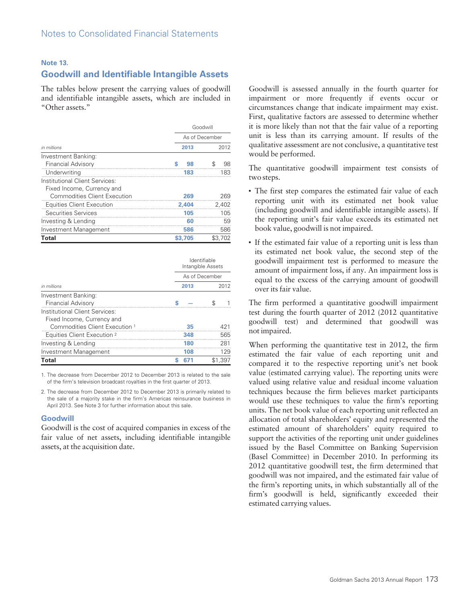#### **Note 13.**

# **Goodwill and Identifiable Intangible Assets**

The tables below present the carrying values of goodwill and identifiable intangible assets, which are included in "Other assets."

|                                  |         | Goodwill       |  |  |  |  |
|----------------------------------|---------|----------------|--|--|--|--|
|                                  |         | As of December |  |  |  |  |
| in millions                      | 2013    | 2012           |  |  |  |  |
| Investment Banking:              |         |                |  |  |  |  |
| <b>Financial Advisory</b>        | 98      | S<br>98        |  |  |  |  |
| Underwriting                     | 183     | 183            |  |  |  |  |
| Institutional Client Services:   |         |                |  |  |  |  |
| Fixed Income, Currency and       |         |                |  |  |  |  |
| Commodities Client Execution     | 269     | 269            |  |  |  |  |
| <b>Equities Client Execution</b> | 2,404   | 2,402          |  |  |  |  |
| Securities Services              | 105     | 105            |  |  |  |  |
| Investing & Lending              | 60      | 59             |  |  |  |  |
| Investment Management            | 586     | 586            |  |  |  |  |
| Total                            | \$3,705 | \$3,702        |  |  |  |  |

|                                        | Identifiable<br>Intangible Assets |                |  |  |
|----------------------------------------|-----------------------------------|----------------|--|--|
|                                        |                                   | As of December |  |  |
| in millions                            | 2013                              | 2012           |  |  |
| Investment Banking:                    |                                   |                |  |  |
| <b>Financial Advisory</b>              | S                                 |                |  |  |
| Institutional Client Services:         |                                   |                |  |  |
| Fixed Income, Currency and             |                                   |                |  |  |
| Commodities Client Execution 1         | 35                                | 421            |  |  |
| Equities Client Execution <sup>2</sup> | 348                               | 565            |  |  |
| Investing & Lending                    | 180                               | 281            |  |  |
| Investment Management                  | 108                               | 129            |  |  |
| <b>Total</b>                           |                                   | \$1.397        |  |  |

1. The decrease from December 2012 to December 2013 is related to the sale of the firm's television broadcast royalties in the first quarter of 2013.

2. The decrease from December 2012 to December 2013 is primarily related to the sale of a majority stake in the firm's Americas reinsurance business in April 2013. See Note 3 for further information about this sale.

#### **Goodwill**

Goodwill is the cost of acquired companies in excess of the fair value of net assets, including identifiable intangible assets, at the acquisition date.

Goodwill is assessed annually in the fourth quarter for impairment or more frequently if events occur or circumstances change that indicate impairment may exist. First, qualitative factors are assessed to determine whether it is more likely than not that the fair value of a reporting unit is less than its carrying amount. If results of the qualitative assessment are not conclusive, a quantitative test would be performed.

The quantitative goodwill impairment test consists of two steps.

- The first step compares the estimated fair value of each reporting unit with its estimated net book value (including goodwill and identifiable intangible assets). If the reporting unit's fair value exceeds its estimated net book value, goodwill is not impaired.
- If the estimated fair value of a reporting unit is less than its estimated net book value, the second step of the goodwill impairment test is performed to measure the amount of impairment loss, if any. An impairment loss is equal to the excess of the carrying amount of goodwill over its fair value.

The firm performed a quantitative goodwill impairment test during the fourth quarter of 2012 (2012 quantitative goodwill test) and determined that goodwill was not impaired.

When performing the quantitative test in 2012, the firm estimated the fair value of each reporting unit and compared it to the respective reporting unit's net book value (estimated carrying value). The reporting units were valued using relative value and residual income valuation techniques because the firm believes market participants would use these techniques to value the firm's reporting units. The net book value of each reporting unit reflected an allocation of total shareholders' equity and represented the estimated amount of shareholders' equity required to support the activities of the reporting unit under guidelines issued by the Basel Committee on Banking Supervision (Basel Committee) in December 2010. In performing its 2012 quantitative goodwill test, the firm determined that goodwill was not impaired, and the estimated fair value of the firm's reporting units, in which substantially all of the firm's goodwill is held, significantly exceeded their estimated carrying values.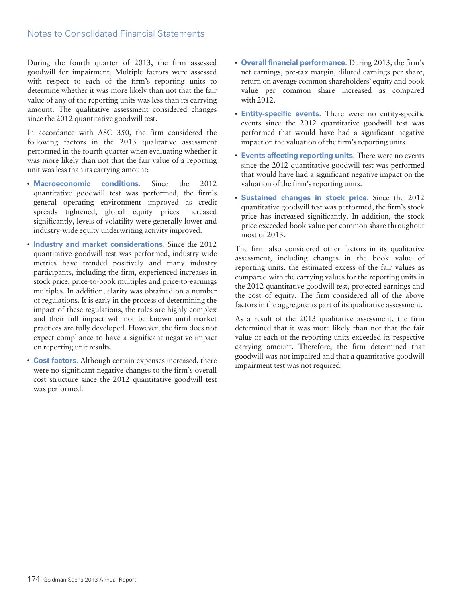During the fourth quarter of 2013, the firm assessed goodwill for impairment. Multiple factors were assessed with respect to each of the firm's reporting units to determine whether it was more likely than not that the fair value of any of the reporting units was less than its carrying amount. The qualitative assessment considered changes since the 2012 quantitative goodwill test.

In accordance with ASC 350, the firm considered the following factors in the 2013 qualitative assessment performed in the fourth quarter when evaluating whether it was more likely than not that the fair value of a reporting unit was less than its carrying amount:

- **Macroeconomic** conditions. Since the 2012 quantitative goodwill test was performed, the firm's general operating environment improved as credit spreads tightened, global equity prices increased significantly, levels of volatility were generally lower and industry-wide equity underwriting activity improved.
- ‰ **Industry and market considerations.** Since the 2012 quantitative goodwill test was performed, industry-wide metrics have trended positively and many industry participants, including the firm, experienced increases in stock price, price-to-book multiples and price-to-earnings multiples. In addition, clarity was obtained on a number of regulations. It is early in the process of determining the impact of these regulations, the rules are highly complex and their full impact will not be known until market practices are fully developed. However, the firm does not expect compliance to have a significant negative impact on reporting unit results.
- ‰ **Cost factors.** Although certain expenses increased, there were no significant negative changes to the firm's overall cost structure since the 2012 quantitative goodwill test was performed.
- ‰ **Overall financial performance.** During 2013, the firm's net earnings, pre-tax margin, diluted earnings per share, return on average common shareholders' equity and book value per common share increased as compared with 2012.
- ‰ **Entity-specific events.** There were no entity-specific events since the 2012 quantitative goodwill test was performed that would have had a significant negative impact on the valuation of the firm's reporting units.
- ‰ **Events affecting reporting units.** There were no events since the 2012 quantitative goodwill test was performed that would have had a significant negative impact on the valuation of the firm's reporting units.
- ‰ **Sustained changes in stock price.** Since the 2012 quantitative goodwill test was performed, the firm's stock price has increased significantly. In addition, the stock price exceeded book value per common share throughout most of 2013.

The firm also considered other factors in its qualitative assessment, including changes in the book value of reporting units, the estimated excess of the fair values as compared with the carrying values for the reporting units in the 2012 quantitative goodwill test, projected earnings and the cost of equity. The firm considered all of the above factors in the aggregate as part of its qualitative assessment.

As a result of the 2013 qualitative assessment, the firm determined that it was more likely than not that the fair value of each of the reporting units exceeded its respective carrying amount. Therefore, the firm determined that goodwill was not impaired and that a quantitative goodwill impairment test was not required.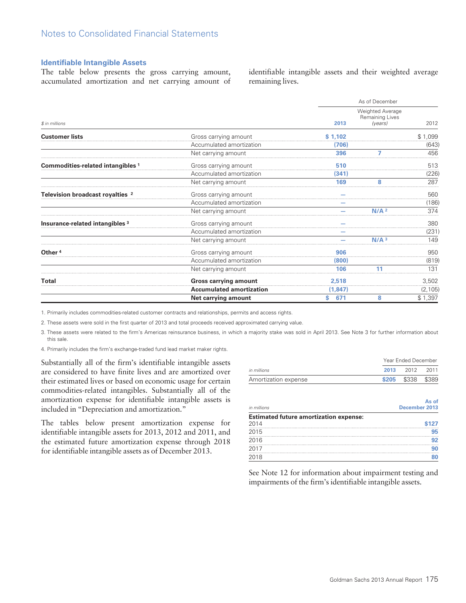#### **Identifiable Intangible Assets**

The table below presents the gross carrying amount, accumulated amortization and net carrying amount of identifiable intangible assets and their weighted average remaining lives.

|                                 |         | As of December                                        |          |
|---------------------------------|---------|-------------------------------------------------------|----------|
|                                 | 2013    | <b>Weighted Average</b><br>Remaining Lives<br>(years) | 2012     |
| Gross carrying amount           | \$1,102 |                                                       | \$1,099  |
| Accumulated amortization        | (706)   |                                                       | (643)    |
| Net carrying amount             | 396     |                                                       | 456      |
| Gross carrying amount           | 510     |                                                       | 513      |
| Accumulated amortization        | (341)   |                                                       | (226)    |
| Net carrying amount             | 169     |                                                       | 287      |
| Gross carrying amount           |         |                                                       | 560      |
| Accumulated amortization        |         |                                                       | (186)    |
| Net carrying amount             |         | $N/\Delta$ 2                                          | 374      |
| Gross carrying amount           |         |                                                       | 380      |
| Accumulated amortization        |         |                                                       | (231)    |
| Net carrying amount             |         | $N/A$ 3                                               | 149      |
| Gross carrying amount           | 906     |                                                       | 950      |
| Accumulated amortization        | (800)   |                                                       | (819)    |
| Net carrying amount             | 106     | 11                                                    | 131      |
| <b>Gross carrying amount</b>    | 2.518   |                                                       | 3,502    |
| <b>Accumulated amortization</b> | (1,847) |                                                       | (2, 105) |
| Net carrying amount             | 671     | 8                                                     | \$1,397  |
|                                 |         |                                                       |          |

1. Primarily includes commodities-related customer contracts and relationships, permits and access rights.

2. These assets were sold in the first quarter of 2013 and total proceeds received approximated carrying value.

3. These assets were related to the firm's Americas reinsurance business, in which a majority stake was sold in April 2013. See Note 3 for further information about this sale.

4. Primarily includes the firm's exchange-traded fund lead market maker rights.

Substantially all of the firm's identifiable intangible assets are considered to have finite lives and are amortized over their estimated lives or based on economic usage for certain commodities-related intangibles. Substantially all of the amortization expense for identifiable intangible assets is included in "Depreciation and amortization."

The tables below present amortization expense for identifiable intangible assets for 2013, 2012 and 2011, and the estimated future amortization expense through 2018 for identifiable intangible assets as of December 2013.

|                      |       | Year Ended December |           |
|----------------------|-------|---------------------|-----------|
| in millions          | 2013  |                     | 2012 2011 |
| Amortization expense | \$205 | \$338 \$389         |           |

| in millions                                           | As of<br>December 2013 |
|-------------------------------------------------------|------------------------|
| <b>Estimated future amortization expense:</b><br>2014 |                        |
| 2015                                                  | 95                     |
| 2016                                                  |                        |
| 2017                                                  |                        |
| 2018                                                  |                        |

See Note 12 for information about impairment testing and impairments of the firm's identifiable intangible assets.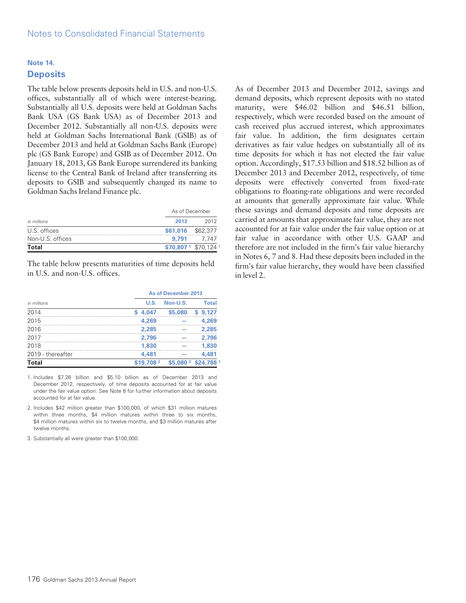### **Note 14. Deposits**

The table below presents deposits held in U.S. and non-U.S. offices, substantially all of which were interest-bearing. Substantially all U.S. deposits were held at Goldman Sachs Bank USA (GS Bank USA) as of December 2013 and December 2012. Substantially all non-U.S. deposits were held at Goldman Sachs International Bank (GSIB) as of December 2013 and held at Goldman Sachs Bank (Europe) plc (GS Bank Europe) and GSIB as of December 2012. On January 18, 2013, GS Bank Europe surrendered its banking license to the Central Bank of Ireland after transferring its deposits to GSIB and subsequently changed its name to Goldman Sachs Ireland Finance plc.

|                  | As of December            |       |
|------------------|---------------------------|-------|
| in millions      | 2013                      | 2012  |
| U.S. offices     | \$61,016 \$62,377         |       |
| Non-U.S. offices | 9.791                     | 7 747 |
| <b>Total</b>     | \$70.807 $1$ \$70.124 $1$ |       |

The table below presents maturities of time deposits held in U.S. and non-U.S. offices.

| in millions       |            | As of December 2013 |              |  |  |
|-------------------|------------|---------------------|--------------|--|--|
|                   | U.S.       | Non-U.S.            | <b>Total</b> |  |  |
| 2014              | 4.047      | \$5,080             | 9.127        |  |  |
| 2015              | 4.269      |                     | 4.269        |  |  |
| 2016              | 2.285      |                     | 2.285        |  |  |
| 2017              | 2,796      |                     | 2,796        |  |  |
| 2018              | 1,830      |                     | 1.830        |  |  |
| 2019 - thereafter | 4,481      |                     | 4.481        |  |  |
| <b>Total</b>      | \$19,708 2 | \$5,080<br>3        | \$24,7881    |  |  |

1. Includes \$7.26 billion and \$5.10 billion as of December 2013 and December 2012, respectively, of time deposits accounted for at fair value under the fair value option. See Note 8 for further information about deposits accounted for at fair value.

2. Includes \$42 million greater than \$100,000, of which \$31 million matures within three months, \$4 million matures within three to six months, \$4 million matures within six to twelve months, and \$3 million matures after twelve months.

3. Substantially all were greater than \$100,000.

As of December 2013 and December 2012, savings and demand deposits, which represent deposits with no stated maturity, were \$46.02 billion and \$46.51 billion, respectively, which were recorded based on the amount of cash received plus accrued interest, which approximates fair value. In addition, the firm designates certain derivatives as fair value hedges on substantially all of its time deposits for which it has not elected the fair value option. Accordingly, \$17.53 billion and \$18.52 billion as of December 2013 and December 2012, respectively, of time deposits were effectively converted from fixed-rate obligations to floating-rate obligations and were recorded at amounts that generally approximate fair value. While these savings and demand deposits and time deposits are carried at amounts that approximate fair value, they are not accounted for at fair value under the fair value option or at fair value in accordance with other U.S. GAAP and therefore are not included in the firm's fair value hierarchy in Notes 6, 7 and 8. Had these deposits been included in the firm's fair value hierarchy, they would have been classified in level 2.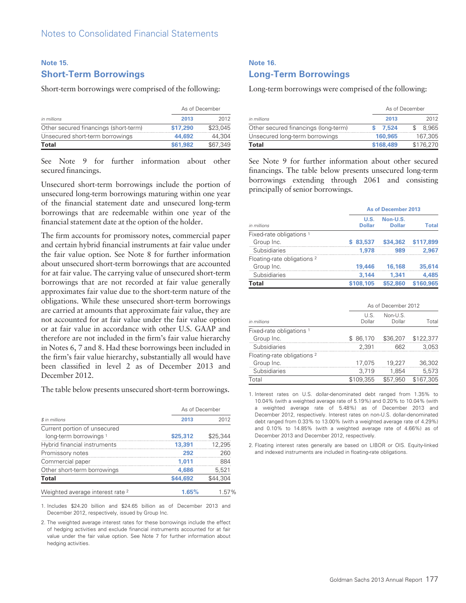## **Note 15. Short-Term Borrowings**

Short-term borrowings were comprised of the following:

|                                       |          | As of December |
|---------------------------------------|----------|----------------|
| in millions                           | 2013     | 2012           |
| Other secured financings (short-term) | \$17,290 | \$23,045       |
| Unsecured short-term borrowings       | 44.692   | 44,304         |
| Total                                 | \$61,982 | \$67,349       |

See Note 9 for further information about other secured financings.

Unsecured short-term borrowings include the portion of unsecured long-term borrowings maturing within one year of the financial statement date and unsecured long-term borrowings that are redeemable within one year of the financial statement date at the option of the holder.

The firm accounts for promissory notes, commercial paper and certain hybrid financial instruments at fair value under the fair value option. See Note 8 for further information about unsecured short-term borrowings that are accounted for at fair value. The carrying value of unsecured short-term borrowings that are not recorded at fair value generally approximates fair value due to the short-term nature of the obligations. While these unsecured short-term borrowings are carried at amounts that approximate fair value, they are not accounted for at fair value under the fair value option or at fair value in accordance with other U.S. GAAP and therefore are not included in the firm's fair value hierarchy in Notes 6, 7 and 8. Had these borrowings been included in the firm's fair value hierarchy, substantially all would have been classified in level 2 as of December 2013 and December 2012.

The table below presents unsecured short-term borrowings.

|                                                                   | As of December |          |  |
|-------------------------------------------------------------------|----------------|----------|--|
| \$ in millions                                                    | 2013           | 2012     |  |
| Current portion of unsecured<br>long-term borrowings <sup>1</sup> | \$25,312       | \$25,344 |  |
| Hybrid financial instruments                                      | 13,391         | 12,295   |  |
| Promissory notes                                                  | 292            | 260      |  |
| Commercial paper                                                  | 1.011          | 884      |  |
| Other short-term borrowings                                       | 4.686          | 5,521    |  |
| <b>Total</b>                                                      | \$44,692       | \$44,304 |  |
| Weighted average interest rate <sup>2</sup>                       | 1.65%          | 1.57%    |  |

1. Includes \$24.20 billion and \$24.65 billion as of December 2013 and December 2012, respectively, issued by Group Inc.

2. The weighted average interest rates for these borrowings include the effect of hedging activities and exclude financial instruments accounted for at fair value under the fair value option. See Note 7 for further information about hedging activities.

## **Note 16. Long-Term Borrowings**

Long-term borrowings were comprised of the following:

|                                      | As of December |           |
|--------------------------------------|----------------|-----------|
| in millions                          | 2013           | 2012      |
| Other secured financings (long-term) | 7.524          | 8.965     |
| Unsecured long-term borrowings       | 160.965        | 167,305   |
| Total                                | \$168,489      | \$176,270 |

See Note 9 for further information about other secured financings. The table below presents unsecured long-term borrowings extending through 2061 and consisting principally of senior borrowings.

|                                        |                       | As of December 2013       |           |  |  |
|----------------------------------------|-----------------------|---------------------------|-----------|--|--|
| in millions                            | U.S.<br><b>Dollar</b> | Non-U.S.<br><b>Dollar</b> | Total     |  |  |
| Fixed-rate obligations <sup>1</sup>    |                       |                           |           |  |  |
| Group Inc.                             | 83,537<br>S           | \$34,362                  | \$117,899 |  |  |
| <b>Subsidiaries</b>                    | 1.978                 | 989                       | 2.967     |  |  |
| Floating-rate obligations <sup>2</sup> |                       |                           |           |  |  |
| Group Inc.                             | 19,446                | 16,168                    | 35,614    |  |  |
| Subsidiaries                           | 3.144                 | 1.341                     | 4,485     |  |  |
| Total                                  | \$108,105             | \$52,860                  | \$160,965 |  |  |

|                                        |                | As of December 2012 |           |  |
|----------------------------------------|----------------|---------------------|-----------|--|
| in millions                            | U.S.<br>Dollar | Non-U.S.<br>Dollar  | Total     |  |
| Fixed-rate obligations <sup>1</sup>    |                |                     |           |  |
| Group Inc.                             | 86,170<br>\$   | \$36,207            | \$122,377 |  |
| Subsidiaries                           | 2,391          | 662                 | 3,053     |  |
| Floating-rate obligations <sup>2</sup> |                |                     |           |  |
| Group Inc.                             | 17,075         | 19,227              | 36,302    |  |
| Subsidiaries                           | 3.719          | 1,854               | 5,573     |  |
| Total                                  | \$109.355      | \$57,950            | \$167,305 |  |

1. Interest rates on U.S. dollar-denominated debt ranged from 1.35% to 10.04% (with a weighted average rate of 5.19%) and 0.20% to 10.04% (with a weighted average rate of 5.48%) as of December 2013 and December 2012, respectively. Interest rates on non-U.S. dollar-denominated debt ranged from 0.33% to 13.00% (with a weighted average rate of 4.29%) and 0.10% to 14.85% (with a weighted average rate of 4.66%) as of December 2013 and December 2012, respectively.

2. Floating interest rates generally are based on LIBOR or OIS. Equity-linked and indexed instruments are included in floating-rate obligations.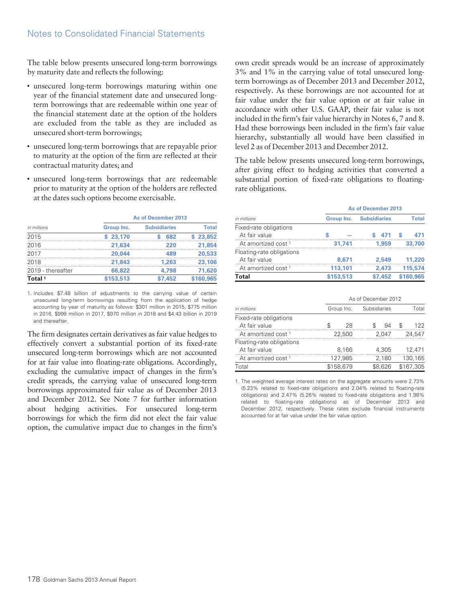The table below presents unsecured long-term borrowings by maturity date and reflects the following:

- unsecured long-term borrowings maturing within one year of the financial statement date and unsecured longterm borrowings that are redeemable within one year of the financial statement date at the option of the holders are excluded from the table as they are included as unsecured short-term borrowings;
- unsecured long-term borrowings that are repayable prior to maturity at the option of the firm are reflected at their contractual maturity dates; and
- unsecured long-term borrowings that are redeemable prior to maturity at the option of the holders are reflected at the dates such options become exercisable.

|                    | As of December 2013 |                     |              |  |
|--------------------|---------------------|---------------------|--------------|--|
| in millions        | Group Inc.          | <b>Subsidiaries</b> | <b>Total</b> |  |
| 2015               | \$23,170            | 682                 | \$23.852     |  |
| 2016               | 21,634              | 220                 | 21.854       |  |
| 2017               | 20.044              | 489                 | 20,533       |  |
| 2018               | 21,843              | 1.263               | 23,106       |  |
| 2019 - thereafter  | 66,822              | 4.798               | 71,620       |  |
| Total <sup>1</sup> | \$153,513           | \$7.452             | \$160,965    |  |

1. Includes \$7.48 billion of adjustments to the carrying value of certain unsecured long-term borrowings resulting from the application of hedge accounting by year of maturity as follows: \$301 million in 2015, \$775 million in 2016, \$999 million in 2017, \$970 million in 2018 and \$4.43 billion in 2019 and thereafter.

The firm designates certain derivatives as fair value hedges to effectively convert a substantial portion of its fixed-rate unsecured long-term borrowings which are not accounted for at fair value into floating-rate obligations. Accordingly, excluding the cumulative impact of changes in the firm's credit spreads, the carrying value of unsecured long-term borrowings approximated fair value as of December 2013 and December 2012. See Note 7 for further information about hedging activities. For unsecured long-term borrowings for which the firm did not elect the fair value option, the cumulative impact due to changes in the firm's own credit spreads would be an increase of approximately 3% and 1% in the carrying value of total unsecured longterm borrowings as of December 2013 and December 2012, respectively. As these borrowings are not accounted for at fair value under the fair value option or at fair value in accordance with other U.S. GAAP, their fair value is not included in the firm's fair value hierarchy in Notes 6, 7 and 8. Had these borrowings been included in the firm's fair value hierarchy, substantially all would have been classified in level 2 as of December 2013 and December 2012.

The table below presents unsecured long-term borrowings, after giving effect to hedging activities that converted a substantial portion of fixed-rate obligations to floatingrate obligations.

|                                            | As of December 2013 |                     |              |  |
|--------------------------------------------|---------------------|---------------------|--------------|--|
| Group Inc.<br>in millions                  |                     | <b>Subsidiaries</b> | <b>Total</b> |  |
| Fixed-rate obligations<br>At fair value    | S                   | 471                 | S<br>471     |  |
| At amortized cost 1                        | 31.741              | 1.959               | 33,700       |  |
| Floating-rate obligations<br>At fair value | 8.671               | 2.549               | 11,220       |  |
| At amortized cost 1                        | 113,101             | 2,473               | 115,574      |  |
| Total                                      | \$153,513           | \$7.452             | \$160,965    |  |

|                                            | As of December 2012 |            |              |         |     |           |
|--------------------------------------------|---------------------|------------|--------------|---------|-----|-----------|
| in millions                                |                     | Group Inc. | Subsidiaries |         |     | Total     |
| Fixed-rate obligations<br>At fair value    | \$                  | 28         | £.           | 94      | \$. | 122       |
| At amortized cost 1                        |                     | 22,500     |              | 2.047   |     | 24.547    |
| Floating-rate obligations<br>At fair value |                     | 8,166      |              | 4,305   |     | 12,471    |
| At amortized cost 1                        |                     | 127,985    |              | 2,180   |     | 130,165   |
| Total                                      |                     | \$158.679  |              | \$8,626 |     | \$167,305 |

1. The weighted average interest rates on the aggregate amounts were 2.73% (5.23% related to fixed-rate obligations and 2.04% related to floating-rate obligations) and 2.47% (5.26% related to fixed-rate obligations and 1.98% related to floating-rate obligations) as of December 2013 and December 2012, respectively. These rates exclude financial instruments accounted for at fair value under the fair value option.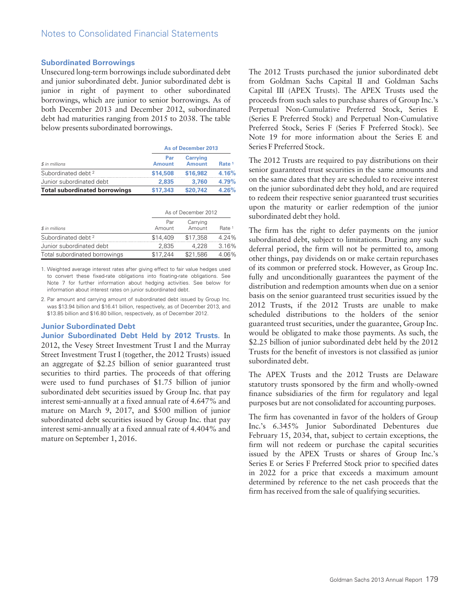#### **Subordinated Borrowings**

Unsecured long-term borrowings include subordinated debt and junior subordinated debt. Junior subordinated debt is junior in right of payment to other subordinated borrowings, which are junior to senior borrowings. As of both December 2013 and December 2012, subordinated debt had maturities ranging from 2015 to 2038. The table below presents subordinated borrowings.

|                                      | As of December 2013  |                                  |                   |  |
|--------------------------------------|----------------------|----------------------------------|-------------------|--|
| \$ in millions                       | Par<br><b>Amount</b> | <b>Carrying</b><br><b>Amount</b> | Rate <sup>1</sup> |  |
| Subordinated debt <sup>2</sup>       | \$14,508             | \$16,982                         | 4.16%             |  |
| Junior subordinated debt             | 2.835                | 3.760                            | 4.79%             |  |
| <b>Total subordinated borrowings</b> | \$17,343             | \$20.742                         | 4.26%             |  |

|                                |               | As of December 2012 |                   |
|--------------------------------|---------------|---------------------|-------------------|
| \$ in millions                 | Par<br>Amount | Carrying<br>Amount  | Rate <sup>1</sup> |
| Subordinated debt <sup>2</sup> | \$14,409      | \$17,358            | 4.24%             |
| Junior subordinated debt       | 2.835         | 4.228               | 3.16%             |
| Total subordinated borrowings  | \$17,244      | \$21,586            | 4.06%             |

1. Weighted average interest rates after giving effect to fair value hedges used to convert these fixed-rate obligations into floating-rate obligations. See Note 7 for further information about hedging activities. See below for information about interest rates on junior subordinated debt.

2. Par amount and carrying amount of subordinated debt issued by Group Inc. was \$13.94 billion and \$16.41 billion, respectively, as of December 2013, and \$13.85 billion and \$16.80 billion, respectively, as of December 2012.

# **Junior Subordinated Debt**

**Junior Subordinated Debt Held by 2012 Trusts.** In 2012, the Vesey Street Investment Trust I and the Murray Street Investment Trust I (together, the 2012 Trusts) issued an aggregate of \$2.25 billion of senior guaranteed trust securities to third parties. The proceeds of that offering were used to fund purchases of \$1.75 billion of junior subordinated debt securities issued by Group Inc. that pay interest semi-annually at a fixed annual rate of 4.647% and mature on March 9, 2017, and \$500 million of junior subordinated debt securities issued by Group Inc. that pay interest semi-annually at a fixed annual rate of 4.404% and mature on September 1, 2016.

The 2012 Trusts purchased the junior subordinated debt from Goldman Sachs Capital II and Goldman Sachs Capital III (APEX Trusts). The APEX Trusts used the proceeds from such sales to purchase shares of Group Inc.'s Perpetual Non-Cumulative Preferred Stock, Series E (Series E Preferred Stock) and Perpetual Non-Cumulative Preferred Stock, Series F (Series F Preferred Stock). See Note 19 for more information about the Series E and Series F Preferred Stock.

The 2012 Trusts are required to pay distributions on their senior guaranteed trust securities in the same amounts and on the same dates that they are scheduled to receive interest on the junior subordinated debt they hold, and are required to redeem their respective senior guaranteed trust securities upon the maturity or earlier redemption of the junior subordinated debt they hold.

The firm has the right to defer payments on the junior subordinated debt, subject to limitations. During any such deferral period, the firm will not be permitted to, among other things, pay dividends on or make certain repurchases of its common or preferred stock. However, as Group Inc. fully and unconditionally guarantees the payment of the distribution and redemption amounts when due on a senior basis on the senior guaranteed trust securities issued by the 2012 Trusts, if the 2012 Trusts are unable to make scheduled distributions to the holders of the senior guaranteed trust securities, under the guarantee, Group Inc. would be obligated to make those payments. As such, the \$2.25 billion of junior subordinated debt held by the 2012 Trusts for the benefit of investors is not classified as junior subordinated debt.

The APEX Trusts and the 2012 Trusts are Delaware statutory trusts sponsored by the firm and wholly-owned finance subsidiaries of the firm for regulatory and legal purposes but are not consolidated for accounting purposes.

The firm has covenanted in favor of the holders of Group Inc.'s 6.345% Junior Subordinated Debentures due February 15, 2034, that, subject to certain exceptions, the firm will not redeem or purchase the capital securities issued by the APEX Trusts or shares of Group Inc.'s Series E or Series F Preferred Stock prior to specified dates in 2022 for a price that exceeds a maximum amount determined by reference to the net cash proceeds that the firm has received from the sale of qualifying securities.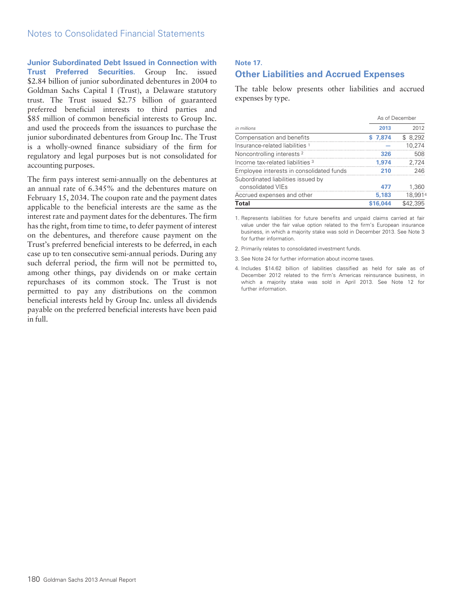### Notes to Consolidated Financial Statements

**Junior Subordinated Debt Issued in Connection with Trust Preferred Securities.** Group Inc. issued \$2.84 billion of junior subordinated debentures in 2004 to Goldman Sachs Capital I (Trust), a Delaware statutory trust. The Trust issued \$2.75 billion of guaranteed preferred beneficial interests to third parties and \$85 million of common beneficial interests to Group Inc. and used the proceeds from the issuances to purchase the junior subordinated debentures from Group Inc. The Trust is a wholly-owned finance subsidiary of the firm for regulatory and legal purposes but is not consolidated for accounting purposes.

The firm pays interest semi-annually on the debentures at an annual rate of 6.345% and the debentures mature on February 15, 2034. The coupon rate and the payment dates applicable to the beneficial interests are the same as the interest rate and payment dates for the debentures. The firm has the right, from time to time, to defer payment of interest on the debentures, and therefore cause payment on the Trust's preferred beneficial interests to be deferred, in each case up to ten consecutive semi-annual periods. During any such deferral period, the firm will not be permitted to, among other things, pay dividends on or make certain repurchases of its common stock. The Trust is not permitted to pay any distributions on the common beneficial interests held by Group Inc. unless all dividends payable on the preferred beneficial interests have been paid in full.

## **Note 17.**

## **Other Liabilities and Accrued Expenses**

The table below presents other liabilities and accrued expenses by type.

|                                          |          | As of December |
|------------------------------------------|----------|----------------|
| in millions                              | 2013     | 2012           |
| Compensation and benefits                | \$7,874  | \$8,292        |
| Insurance-related liabilities 1          |          | 10.274         |
| Noncontrolling interests <sup>2</sup>    | 326      | 508            |
| Income tax-related liabilities 3         | 1,974    | 2,724          |
| Employee interests in consolidated funds | 210      | 246            |
| Subordinated liabilities issued by       |          |                |
| consolidated VIEs                        | 477      | 1,360          |
| Accrued expenses and other               | 5.183    | 18,9914        |
| <b>Total</b>                             | \$16,044 | \$42,395       |

1. Represents liabilities for future benefits and unpaid claims carried at fair value under the fair value option related to the firm's European insurance business, in which a majority stake was sold in December 2013. See Note 3 for further information.

2. Primarily relates to consolidated investment funds.

3. See Note 24 for further information about income taxes.

<sup>4.</sup> Includes \$14.62 billion of liabilities classified as held for sale as of December 2012 related to the firm's Americas reinsurance business, in which a majority stake was sold in April 2013. See Note 12 for further information.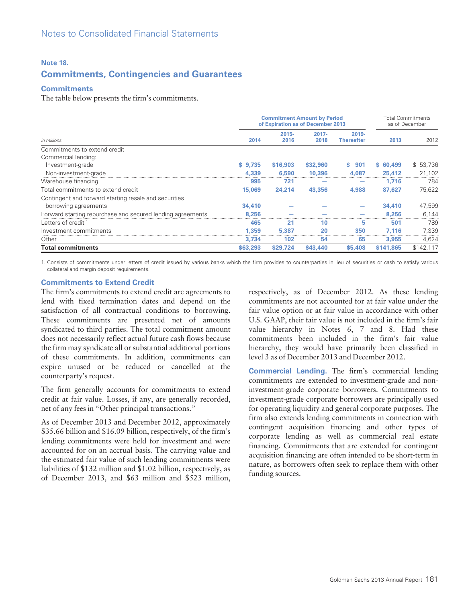#### **Note 18.**

## **Commitments, Contingencies and Guarantees**

### **Commitments**

The table below presents the firm's commitments.

| in millions                                                | <b>Commitment Amount by Period</b><br>of Expiration as of December 2013 |                  |                  |                            | <b>Total Commitments</b><br>as of December |           |
|------------------------------------------------------------|-------------------------------------------------------------------------|------------------|------------------|----------------------------|--------------------------------------------|-----------|
|                                                            | 2014                                                                    | $2015 -$<br>2016 | $2017 -$<br>2018 | 2019-<br><b>Thereafter</b> | 2013                                       | 2012      |
| Commitments to extend credit                               |                                                                         |                  |                  |                            |                                            |           |
| Commercial lending:                                        |                                                                         |                  |                  |                            |                                            |           |
| Investment-grade                                           | 9.735                                                                   | \$16,903         | \$32,960         | 901                        | \$60,499                                   | \$53,736  |
| Non-investment-grade                                       | 4.339                                                                   | 6.590            | 10.396           | 4.087                      | 25.412                                     | 21,102    |
| Warehouse financing                                        | 995                                                                     | 721              |                  |                            | 1.716                                      | 784       |
| Total commitments to extend credit                         | 15,069                                                                  | 24.214           | 43.356           | 4.988                      | 87.627                                     | 75.622    |
| Contingent and forward starting resale and securities      |                                                                         |                  |                  |                            |                                            |           |
| borrowing agreements                                       | 34,410                                                                  |                  |                  |                            | 34,410                                     | 47,599    |
| Forward starting repurchase and secured lending agreements | 8.256                                                                   |                  |                  |                            | 8.256                                      | 6.144     |
| Letters of credit 1                                        | 465                                                                     |                  | 10               |                            | 501                                        | 789       |
| Investment commitments                                     | 1.359                                                                   | 5.387            | 20               | 350                        | 7.116                                      | 7.339     |
| Other                                                      | 3,734                                                                   | 102              | 54               | 65                         | 3,955                                      | 4,624     |
| <b>Total commitments</b>                                   | \$63,293                                                                | \$29,724         | \$43,440         | \$5,408                    | \$141,865                                  | \$142.117 |

1. Consists of commitments under letters of credit issued by various banks which the firm provides to counterparties in lieu of securities or cash to satisfy various collateral and margin deposit requirements.

#### **Commitments to Extend Credit**

The firm's commitments to extend credit are agreements to lend with fixed termination dates and depend on the satisfaction of all contractual conditions to borrowing. These commitments are presented net of amounts syndicated to third parties. The total commitment amount does not necessarily reflect actual future cash flows because the firm may syndicate all or substantial additional portions of these commitments. In addition, commitments can expire unused or be reduced or cancelled at the counterparty's request.

The firm generally accounts for commitments to extend credit at fair value. Losses, if any, are generally recorded, net of any fees in "Other principal transactions."

As of December 2013 and December 2012, approximately \$35.66 billion and \$16.09 billion, respectively, of the firm's lending commitments were held for investment and were accounted for on an accrual basis. The carrying value and the estimated fair value of such lending commitments were liabilities of \$132 million and \$1.02 billion, respectively, as of December 2013, and \$63 million and \$523 million, respectively, as of December 2012. As these lending commitments are not accounted for at fair value under the fair value option or at fair value in accordance with other U.S. GAAP, their fair value is not included in the firm's fair value hierarchy in Notes 6, 7 and 8. Had these commitments been included in the firm's fair value hierarchy, they would have primarily been classified in level 3 as of December 2013 and December 2012.

**Commercial Lending.** The firm's commercial lending commitments are extended to investment-grade and noninvestment-grade corporate borrowers. Commitments to investment-grade corporate borrowers are principally used for operating liquidity and general corporate purposes. The firm also extends lending commitments in connection with contingent acquisition financing and other types of corporate lending as well as commercial real estate financing. Commitments that are extended for contingent acquisition financing are often intended to be short-term in nature, as borrowers often seek to replace them with other funding sources.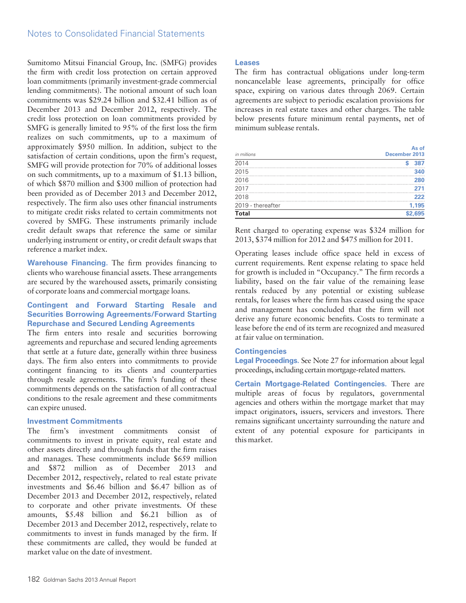### Notes to Consolidated Financial Statements

Sumitomo Mitsui Financial Group, Inc. (SMFG) provides the firm with credit loss protection on certain approved loan commitments (primarily investment-grade commercial lending commitments). The notional amount of such loan commitments was \$29.24 billion and \$32.41 billion as of December 2013 and December 2012, respectively. The credit loss protection on loan commitments provided by SMFG is generally limited to 95% of the first loss the firm realizes on such commitments, up to a maximum of approximately \$950 million. In addition, subject to the satisfaction of certain conditions, upon the firm's request, SMFG will provide protection for 70% of additional losses on such commitments, up to a maximum of \$1.13 billion, of which \$870 million and \$300 million of protection had been provided as of December 2013 and December 2012, respectively. The firm also uses other financial instruments to mitigate credit risks related to certain commitments not covered by SMFG. These instruments primarily include credit default swaps that reference the same or similar underlying instrument or entity, or credit default swaps that reference a market index.

**Warehouse Financing.** The firm provides financing to clients who warehouse financial assets. These arrangements are secured by the warehoused assets, primarily consisting of corporate loans and commercial mortgage loans.

### **Contingent and Forward Starting Resale and Securities Borrowing Agreements/Forward Starting Repurchase and Secured Lending Agreements**

The firm enters into resale and securities borrowing agreements and repurchase and secured lending agreements that settle at a future date, generally within three business days. The firm also enters into commitments to provide contingent financing to its clients and counterparties through resale agreements. The firm's funding of these commitments depends on the satisfaction of all contractual conditions to the resale agreement and these commitments can expire unused.

#### **Investment Commitments**

The firm's investment commitments consist of commitments to invest in private equity, real estate and other assets directly and through funds that the firm raises and manages. These commitments include \$659 million and \$872 million as of December 2013 and December 2012, respectively, related to real estate private investments and \$6.46 billion and \$6.47 billion as of December 2013 and December 2012, respectively, related to corporate and other private investments. Of these amounts, \$5.48 billion and \$6.21 billion as of December 2013 and December 2012, respectively, relate to commitments to invest in funds managed by the firm. If these commitments are called, they would be funded at market value on the date of investment.

#### **Leases**

The firm has contractual obligations under long-term noncancelable lease agreements, principally for office space, expiring on various dates through 2069. Certain agreements are subject to periodic escalation provisions for increases in real estate taxes and other charges. The table below presents future minimum rental payments, net of minimum sublease rentals.

|                   | As of         |  |  |
|-------------------|---------------|--|--|
| in millions       | December 2013 |  |  |
| 2014              | 387           |  |  |
| 2015              | 340           |  |  |
| 2016              | 280           |  |  |
| 2017              | 271           |  |  |
| 2018              | 222           |  |  |
| 2019 - thereafter | 1,195         |  |  |
| <b>Total</b>      | \$2,695       |  |  |

Rent charged to operating expense was \$324 million for 2013, \$374 million for 2012 and \$475 million for 2011.

Operating leases include office space held in excess of current requirements. Rent expense relating to space held for growth is included in "Occupancy." The firm records a liability, based on the fair value of the remaining lease rentals reduced by any potential or existing sublease rentals, for leases where the firm has ceased using the space and management has concluded that the firm will not derive any future economic benefits. Costs to terminate a lease before the end of its term are recognized and measured at fair value on termination.

### **Contingencies**

**Legal Proceedings.** See Note 27 for information about legal proceedings, including certain mortgage-related matters.

**Certain Mortgage-Related Contingencies.** There are multiple areas of focus by regulators, governmental agencies and others within the mortgage market that may impact originators, issuers, servicers and investors. There remains significant uncertainty surrounding the nature and extent of any potential exposure for participants in this market.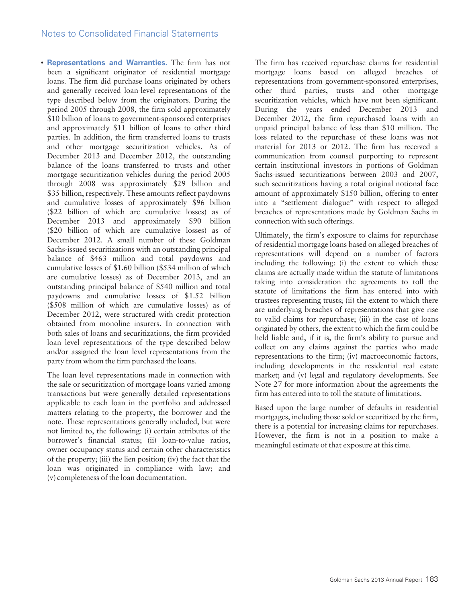‰ **Representations and Warranties.** The firm has not been a significant originator of residential mortgage loans. The firm did purchase loans originated by others and generally received loan-level representations of the type described below from the originators. During the period 2005 through 2008, the firm sold approximately \$10 billion of loans to government-sponsored enterprises and approximately \$11 billion of loans to other third parties. In addition, the firm transferred loans to trusts and other mortgage securitization vehicles. As of December 2013 and December 2012, the outstanding balance of the loans transferred to trusts and other mortgage securitization vehicles during the period 2005 through 2008 was approximately \$29 billion and \$35 billion, respectively. These amounts reflect paydowns and cumulative losses of approximately \$96 billion (\$22 billion of which are cumulative losses) as of December 2013 and approximately \$90 billion (\$20 billion of which are cumulative losses) as of December 2012. A small number of these Goldman Sachs-issued securitizations with an outstanding principal balance of \$463 million and total paydowns and cumulative losses of \$1.60 billion (\$534 million of which are cumulative losses) as of December 2013, and an outstanding principal balance of \$540 million and total paydowns and cumulative losses of \$1.52 billion (\$508 million of which are cumulative losses) as of December 2012, were structured with credit protection obtained from monoline insurers. In connection with both sales of loans and securitizations, the firm provided loan level representations of the type described below and/or assigned the loan level representations from the party from whom the firm purchased the loans.

The loan level representations made in connection with the sale or securitization of mortgage loans varied among transactions but were generally detailed representations applicable to each loan in the portfolio and addressed matters relating to the property, the borrower and the note. These representations generally included, but were not limited to, the following: (i) certain attributes of the borrower's financial status; (ii) loan-to-value ratios, owner occupancy status and certain other characteristics of the property; (iii) the lien position; (iv) the fact that the loan was originated in compliance with law; and (v) completeness of the loan documentation.

The firm has received repurchase claims for residential mortgage loans based on alleged breaches of representations from government-sponsored enterprises, other third parties, trusts and other mortgage securitization vehicles, which have not been significant. During the years ended December 2013 and December 2012, the firm repurchased loans with an unpaid principal balance of less than \$10 million. The loss related to the repurchase of these loans was not material for 2013 or 2012. The firm has received a communication from counsel purporting to represent certain institutional investors in portions of Goldman Sachs-issued securitizations between 2003 and 2007, such securitizations having a total original notional face amount of approximately \$150 billion, offering to enter into a "settlement dialogue" with respect to alleged breaches of representations made by Goldman Sachs in connection with such offerings.

Ultimately, the firm's exposure to claims for repurchase of residential mortgage loans based on alleged breaches of representations will depend on a number of factors including the following: (i) the extent to which these claims are actually made within the statute of limitations taking into consideration the agreements to toll the statute of limitations the firm has entered into with trustees representing trusts; (ii) the extent to which there are underlying breaches of representations that give rise to valid claims for repurchase; (iii) in the case of loans originated by others, the extent to which the firm could be held liable and, if it is, the firm's ability to pursue and collect on any claims against the parties who made representations to the firm; (iv) macroeconomic factors, including developments in the residential real estate market; and (v) legal and regulatory developments. See Note 27 for more information about the agreements the firm has entered into to toll the statute of limitations.

Based upon the large number of defaults in residential mortgages, including those sold or securitized by the firm, there is a potential for increasing claims for repurchases. However, the firm is not in a position to make a meaningful estimate of that exposure at this time.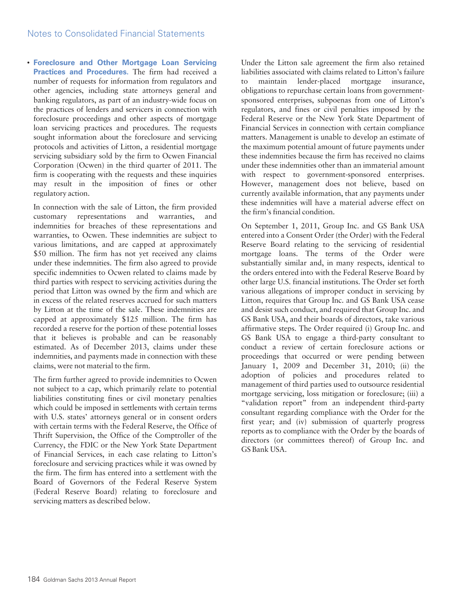‰ **Foreclosure and Other Mortgage Loan Servicing Practices and Procedures.** The firm had received a number of requests for information from regulators and other agencies, including state attorneys general and banking regulators, as part of an industry-wide focus on the practices of lenders and servicers in connection with foreclosure proceedings and other aspects of mortgage loan servicing practices and procedures. The requests sought information about the foreclosure and servicing protocols and activities of Litton, a residential mortgage servicing subsidiary sold by the firm to Ocwen Financial Corporation (Ocwen) in the third quarter of 2011. The firm is cooperating with the requests and these inquiries may result in the imposition of fines or other regulatory action.

In connection with the sale of Litton, the firm provided customary representations and warranties, and indemnities for breaches of these representations and warranties, to Ocwen. These indemnities are subject to various limitations, and are capped at approximately \$50 million. The firm has not yet received any claims under these indemnities. The firm also agreed to provide specific indemnities to Ocwen related to claims made by third parties with respect to servicing activities during the period that Litton was owned by the firm and which are in excess of the related reserves accrued for such matters by Litton at the time of the sale. These indemnities are capped at approximately \$125 million. The firm has recorded a reserve for the portion of these potential losses that it believes is probable and can be reasonably estimated. As of December 2013, claims under these indemnities, and payments made in connection with these claims, were not material to the firm.

The firm further agreed to provide indemnities to Ocwen not subject to a cap, which primarily relate to potential liabilities constituting fines or civil monetary penalties which could be imposed in settlements with certain terms with U.S. states' attorneys general or in consent orders with certain terms with the Federal Reserve, the Office of Thrift Supervision, the Office of the Comptroller of the Currency, the FDIC or the New York State Department of Financial Services, in each case relating to Litton's foreclosure and servicing practices while it was owned by the firm. The firm has entered into a settlement with the Board of Governors of the Federal Reserve System (Federal Reserve Board) relating to foreclosure and servicing matters as described below.

Under the Litton sale agreement the firm also retained liabilities associated with claims related to Litton's failure to maintain lender-placed mortgage insurance, obligations to repurchase certain loans from governmentsponsored enterprises, subpoenas from one of Litton's regulators, and fines or civil penalties imposed by the Federal Reserve or the New York State Department of Financial Services in connection with certain compliance matters. Management is unable to develop an estimate of the maximum potential amount of future payments under these indemnities because the firm has received no claims under these indemnities other than an immaterial amount with respect to government-sponsored enterprises. However, management does not believe, based on currently available information, that any payments under these indemnities will have a material adverse effect on the firm's financial condition.

On September 1, 2011, Group Inc. and GS Bank USA entered into a Consent Order (the Order) with the Federal Reserve Board relating to the servicing of residential mortgage loans. The terms of the Order were substantially similar and, in many respects, identical to the orders entered into with the Federal Reserve Board by other large U.S. financial institutions. The Order set forth various allegations of improper conduct in servicing by Litton, requires that Group Inc. and GS Bank USA cease and desist such conduct, and required that Group Inc. and GS Bank USA, and their boards of directors, take various affirmative steps. The Order required (i) Group Inc. and GS Bank USA to engage a third-party consultant to conduct a review of certain foreclosure actions or proceedings that occurred or were pending between January 1, 2009 and December 31, 2010; (ii) the adoption of policies and procedures related to management of third parties used to outsource residential mortgage servicing, loss mitigation or foreclosure; (iii) a "validation report" from an independent third-party consultant regarding compliance with the Order for the first year; and (iv) submission of quarterly progress reports as to compliance with the Order by the boards of directors (or committees thereof) of Group Inc. and GS Bank USA.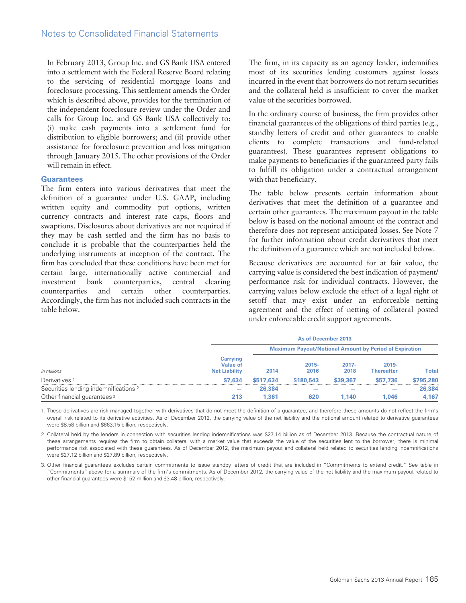In February 2013, Group Inc. and GS Bank USA entered into a settlement with the Federal Reserve Board relating to the servicing of residential mortgage loans and foreclosure processing. This settlement amends the Order which is described above, provides for the termination of the independent foreclosure review under the Order and calls for Group Inc. and GS Bank USA collectively to: (i) make cash payments into a settlement fund for distribution to eligible borrowers; and (ii) provide other assistance for foreclosure prevention and loss mitigation through January 2015. The other provisions of the Order will remain in effect.

### **Guarantees**

The firm enters into various derivatives that meet the definition of a guarantee under U.S. GAAP, including written equity and commodity put options, written currency contracts and interest rate caps, floors and swaptions. Disclosures about derivatives are not required if they may be cash settled and the firm has no basis to conclude it is probable that the counterparties held the underlying instruments at inception of the contract. The firm has concluded that these conditions have been met for certain large, internationally active commercial and investment bank counterparties, central clearing counterparties and certain other counterparties. Accordingly, the firm has not included such contracts in the table below.

The firm, in its capacity as an agency lender, indemnifies most of its securities lending customers against losses incurred in the event that borrowers do not return securities and the collateral held is insufficient to cover the market value of the securities borrowed.

In the ordinary course of business, the firm provides other financial guarantees of the obligations of third parties (e.g., standby letters of credit and other guarantees to enable clients to complete transactions and fund-related guarantees). These guarantees represent obligations to make payments to beneficiaries if the guaranteed party fails to fulfill its obligation under a contractual arrangement with that beneficiary.

The table below presents certain information about derivatives that meet the definition of a guarantee and certain other guarantees. The maximum payout in the table below is based on the notional amount of the contract and therefore does not represent anticipated losses. See Note 7 for further information about credit derivatives that meet the definition of a guarantee which are not included below.

Because derivatives are accounted for at fair value, the carrying value is considered the best indication of payment/ performance risk for individual contracts. However, the carrying values below exclude the effect of a legal right of setoff that may exist under an enforceable netting agreement and the effect of netting of collateral posted under enforceable credit support agreements.

|                                                  |                                              | As of December 2013                                           |               |                  |                     |        |  |  |
|--------------------------------------------------|----------------------------------------------|---------------------------------------------------------------|---------------|------------------|---------------------|--------|--|--|
|                                                  |                                              | <b>Maximum Payout/Notional Amount by Period of Expiration</b> |               |                  |                     |        |  |  |
| in millions                                      | Carrying<br>Value of<br><b>Net Liability</b> | 2014                                                          | 2015-<br>2016 | $2017 -$<br>2018 | 2019-<br>Thereafter | Total  |  |  |
| <b>Derivatives</b>                               | \$7.634                                      | \$517,634                                                     | \$180.543     | \$39.367         | \$57,736            | 5.280  |  |  |
| Securities lending indemnifications <sup>2</sup> |                                              | 26 384                                                        |               |                  |                     | 26.384 |  |  |
| Other financial guarantees <sup>3</sup>          |                                              |                                                               |               | 140              | 046                 | .167   |  |  |

1. These derivatives are risk managed together with derivatives that do not meet the definition of a guarantee, and therefore these amounts do not reflect the firm's overall risk related to its derivative activities. As of December 2012, the carrying value of the net liability and the notional amount related to derivative guarantees were \$8.58 billion and \$663.15 billion, respectively.

2. Collateral held by the lenders in connection with securities lending indemnifications was \$27.14 billion as of December 2013. Because the contractual nature of these arrangements requires the firm to obtain collateral with a market value that exceeds the value of the securities lent to the borrower, there is minimal performance risk associated with these guarantees. As of December 2012, the maximum payout and collateral held related to securities lending indemnifications were \$27.12 billion and \$27.89 billion, respectively.

3. Other financial guarantees excludes certain commitments to issue standby letters of credit that are included in "Commitments to extend credit." See table in "Commitments" above for a summary of the firm's commitments. As of December 2012, the carrying value of the net liability and the maximum payout related to other financial guarantees were \$152 million and \$3.48 billion, respectively.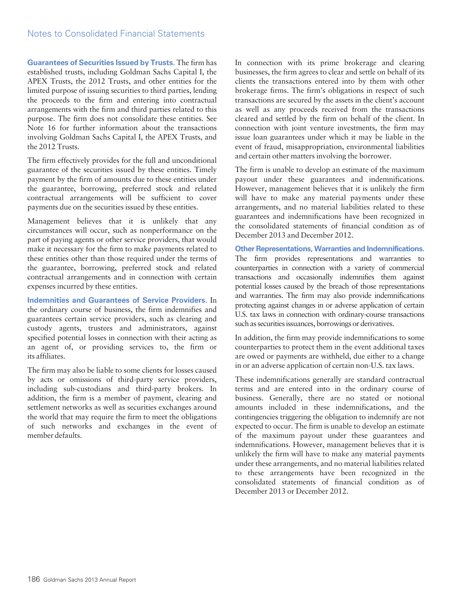**Guarantees of Securities Issued by Trusts.** The firm has established trusts, including Goldman Sachs Capital I, the APEX Trusts, the 2012 Trusts, and other entities for the limited purpose of issuing securities to third parties, lending the proceeds to the firm and entering into contractual arrangements with the firm and third parties related to this purpose. The firm does not consolidate these entities. See Note 16 for further information about the transactions involving Goldman Sachs Capital I, the APEX Trusts, and the 2012 Trusts.

The firm effectively provides for the full and unconditional guarantee of the securities issued by these entities. Timely payment by the firm of amounts due to these entities under the guarantee, borrowing, preferred stock and related contractual arrangements will be sufficient to cover payments due on the securities issued by these entities.

Management believes that it is unlikely that any circumstances will occur, such as nonperformance on the part of paying agents or other service providers, that would make it necessary for the firm to make payments related to these entities other than those required under the terms of the guarantee, borrowing, preferred stock and related contractual arrangements and in connection with certain expenses incurred by these entities.

**Indemnities and Guarantees of Service Providers.** In the ordinary course of business, the firm indemnifies and guarantees certain service providers, such as clearing and custody agents, trustees and administrators, against specified potential losses in connection with their acting as an agent of, or providing services to, the firm or its affiliates.

The firm may also be liable to some clients for losses caused by acts or omissions of third-party service providers, including sub-custodians and third-party brokers. In addition, the firm is a member of payment, clearing and settlement networks as well as securities exchanges around the world that may require the firm to meet the obligations of such networks and exchanges in the event of member defaults.

In connection with its prime brokerage and clearing businesses, the firm agrees to clear and settle on behalf of its clients the transactions entered into by them with other brokerage firms. The firm's obligations in respect of such transactions are secured by the assets in the client's account as well as any proceeds received from the transactions cleared and settled by the firm on behalf of the client. In connection with joint venture investments, the firm may issue loan guarantees under which it may be liable in the event of fraud, misappropriation, environmental liabilities and certain other matters involving the borrower.

The firm is unable to develop an estimate of the maximum payout under these guarantees and indemnifications. However, management believes that it is unlikely the firm will have to make any material payments under these arrangements, and no material liabilities related to these guarantees and indemnifications have been recognized in the consolidated statements of financial condition as of December 2013 and December 2012.

**Other Representations, Warranties and Indemnifications.** The firm provides representations and warranties to counterparties in connection with a variety of commercial transactions and occasionally indemnifies them against potential losses caused by the breach of those representations and warranties. The firm may also provide indemnifications protecting against changes in or adverse application of certain U.S. tax laws in connection with ordinary-course transactions such as securities issuances, borrowings or derivatives.

In addition, the firm may provide indemnifications to some counterparties to protect them in the event additional taxes are owed or payments are withheld, due either to a change in or an adverse application of certain non-U.S. tax laws.

These indemnifications generally are standard contractual terms and are entered into in the ordinary course of business. Generally, there are no stated or notional amounts included in these indemnifications, and the contingencies triggering the obligation to indemnify are not expected to occur. The firm is unable to develop an estimate of the maximum payout under these guarantees and indemnifications. However, management believes that it is unlikely the firm will have to make any material payments under these arrangements, and no material liabilities related to these arrangements have been recognized in the consolidated statements of financial condition as of December 2013 or December 2012.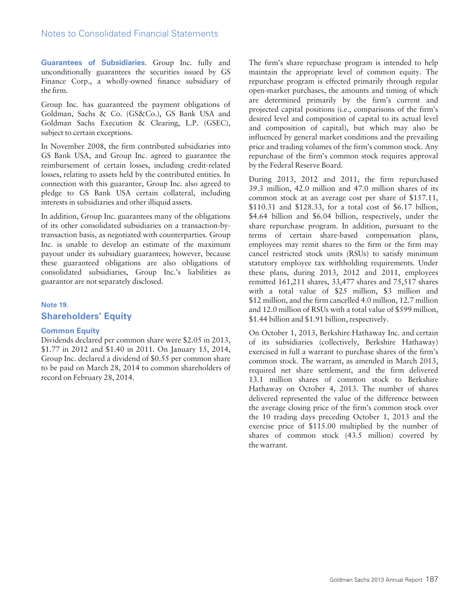**Guarantees of Subsidiaries.** Group Inc. fully and unconditionally guarantees the securities issued by GS Finance Corp., a wholly-owned finance subsidiary of the firm.

Group Inc. has guaranteed the payment obligations of Goldman, Sachs & Co. (GS&Co.), GS Bank USA and Goldman Sachs Execution & Clearing, L.P. (GSEC), subject to certain exceptions.

In November 2008, the firm contributed subsidiaries into GS Bank USA, and Group Inc. agreed to guarantee the reimbursement of certain losses, including credit-related losses, relating to assets held by the contributed entities. In connection with this guarantee, Group Inc. also agreed to pledge to GS Bank USA certain collateral, including interests in subsidiaries and other illiquid assets.

In addition, Group Inc. guarantees many of the obligations of its other consolidated subsidiaries on a transaction-bytransaction basis, as negotiated with counterparties. Group Inc. is unable to develop an estimate of the maximum payout under its subsidiary guarantees; however, because these guaranteed obligations are also obligations of consolidated subsidiaries, Group Inc.'s liabilities as guarantor are not separately disclosed.

### **Note 19.**

### **Shareholders' Equity**

### **Common Equity**

Dividends declared per common share were \$2.05 in 2013, \$1.77 in 2012 and \$1.40 in 2011. On January 15, 2014, Group Inc. declared a dividend of \$0.55 per common share to be paid on March 28, 2014 to common shareholders of record on February 28, 2014.

The firm's share repurchase program is intended to help maintain the appropriate level of common equity. The repurchase program is effected primarily through regular open-market purchases, the amounts and timing of which are determined primarily by the firm's current and projected capital positions (i.e., comparisons of the firm's desired level and composition of capital to its actual level and composition of capital), but which may also be influenced by general market conditions and the prevailing price and trading volumes of the firm's common stock. Any repurchase of the firm's common stock requires approval by the Federal Reserve Board.

During 2013, 2012 and 2011, the firm repurchased 39.3 million, 42.0 million and 47.0 million shares of its common stock at an average cost per share of \$157.11, \$110.31 and \$128.33, for a total cost of \$6.17 billion, \$4.64 billion and \$6.04 billion, respectively, under the share repurchase program. In addition, pursuant to the terms of certain share-based compensation plans, employees may remit shares to the firm or the firm may cancel restricted stock units (RSUs) to satisfy minimum statutory employee tax withholding requirements. Under these plans, during 2013, 2012 and 2011, employees remitted 161,211 shares, 33,477 shares and 75,517 shares with a total value of \$25 million, \$3 million and \$12 million, and the firm cancelled 4.0 million, 12.7 million and 12.0 million of RSUs with a total value of \$599 million, \$1.44 billion and \$1.91 billion, respectively.

On October 1, 2013, Berkshire Hathaway Inc. and certain of its subsidiaries (collectively, Berkshire Hathaway) exercised in full a warrant to purchase shares of the firm's common stock. The warrant, as amended in March 2013, required net share settlement, and the firm delivered 13.1 million shares of common stock to Berkshire Hathaway on October 4, 2013. The number of shares delivered represented the value of the difference between the average closing price of the firm's common stock over the 10 trading days preceding October 1, 2013 and the exercise price of \$115.00 multiplied by the number of shares of common stock (43.5 million) covered by the warrant.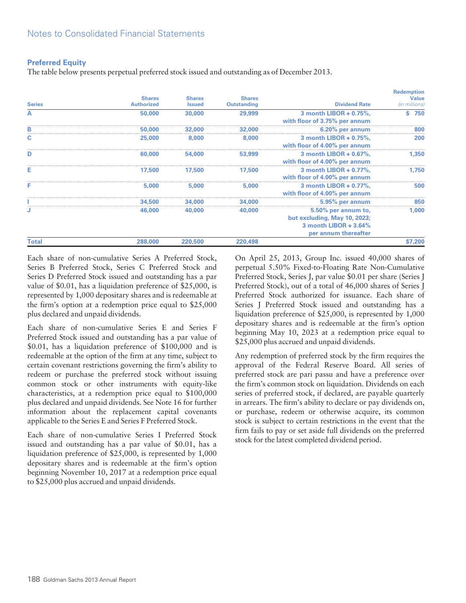### **Preferred Equity**

The table below presents perpetual preferred stock issued and outstanding as of December 2013.

| <b>Series</b> | <b>Shares</b><br><b>Authorized</b> | <b>Shares</b><br><b>Issued</b> | <b>Shares</b><br><b>Outstanding</b> | <b>Dividend Rate</b>                                                                                   | <b>Redemption</b><br>Value<br>(in millions) |
|---------------|------------------------------------|--------------------------------|-------------------------------------|--------------------------------------------------------------------------------------------------------|---------------------------------------------|
|               | 50,000                             | 30,000                         | 29,999                              | 3 month LIBOR + 0.75%,<br>with floor of 3.75% per annum                                                | 750                                         |
| в             | 50,000                             | 32,000                         | 32,000                              | 6.20% per annum                                                                                        | 800                                         |
|               | 25,000                             | 8,000                          | 8,000                               | 3 month LIBOR + 0.75%,<br>with floor of 4.00% per annum                                                | 200                                         |
| D             | 60,000                             | 54.000                         | 53,999                              | 3 month LIBOR + $0.67\%$ .<br>with floor of 4.00% per annum                                            | 1.350                                       |
| Е             | 17.500                             | 17.500                         | 17,500                              | 3 month LIBOR + 0.77%,<br>with floor of 4.00% per annum                                                | 1.750                                       |
| E             | 5.000                              | 5.000                          | 5,000                               | 3 month LIBOR + 0.77%,<br>with floor of 4.00% per annum                                                | 500                                         |
|               | 34,500                             | 34,000                         | 34,000                              | 5.95% per annum                                                                                        | 850                                         |
|               | 46,000                             | 40,000                         | 40,000                              | 5.50% per annum to,<br>but excluding, May 10, 2023;<br>3 month LIBOR $+3.64\%$<br>per annum thereafter | 1.000                                       |
| Total         | 288,000                            | 220,500                        | 220,498                             |                                                                                                        | \$7,200                                     |

Each share of non-cumulative Series A Preferred Stock, Series B Preferred Stock, Series C Preferred Stock and Series D Preferred Stock issued and outstanding has a par value of \$0.01, has a liquidation preference of \$25,000, is represented by 1,000 depositary shares and is redeemable at the firm's option at a redemption price equal to \$25,000 plus declared and unpaid dividends.

Each share of non-cumulative Series E and Series F Preferred Stock issued and outstanding has a par value of \$0.01, has a liquidation preference of \$100,000 and is redeemable at the option of the firm at any time, subject to certain covenant restrictions governing the firm's ability to redeem or purchase the preferred stock without issuing common stock or other instruments with equity-like characteristics, at a redemption price equal to \$100,000 plus declared and unpaid dividends. See Note 16 for further information about the replacement capital covenants applicable to the Series E and Series F Preferred Stock.

Each share of non-cumulative Series I Preferred Stock issued and outstanding has a par value of \$0.01, has a liquidation preference of \$25,000, is represented by 1,000 depositary shares and is redeemable at the firm's option beginning November 10, 2017 at a redemption price equal to \$25,000 plus accrued and unpaid dividends.

On April 25, 2013, Group Inc. issued 40,000 shares of perpetual 5.50% Fixed-to-Floating Rate Non-Cumulative Preferred Stock, Series J, par value \$0.01 per share (Series J Preferred Stock), out of a total of 46,000 shares of Series J Preferred Stock authorized for issuance. Each share of Series J Preferred Stock issued and outstanding has a liquidation preference of \$25,000, is represented by 1,000 depositary shares and is redeemable at the firm's option beginning May 10, 2023 at a redemption price equal to \$25,000 plus accrued and unpaid dividends.

Any redemption of preferred stock by the firm requires the approval of the Federal Reserve Board. All series of preferred stock are pari passu and have a preference over the firm's common stock on liquidation. Dividends on each series of preferred stock, if declared, are payable quarterly in arrears. The firm's ability to declare or pay dividends on, or purchase, redeem or otherwise acquire, its common stock is subject to certain restrictions in the event that the firm fails to pay or set aside full dividends on the preferred stock for the latest completed dividend period.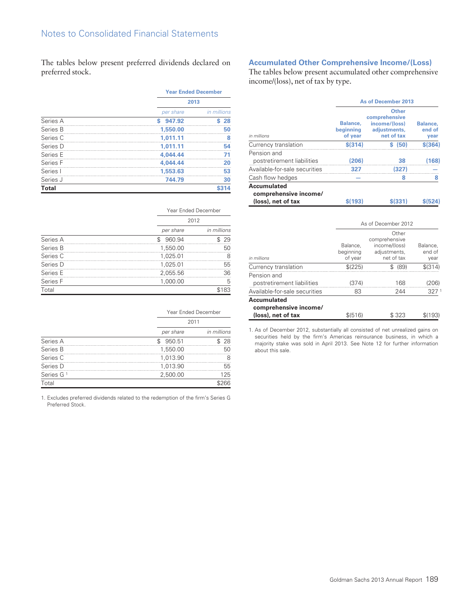The tables below present preferred dividends declared on preferred stock.

|              |             | <b>Year Ended December</b> |  |  |
|--------------|-------------|----------------------------|--|--|
|              | 2013        |                            |  |  |
|              | per share   | in millions                |  |  |
| Series A     | 947.92<br>S | 28<br>S                    |  |  |
| Series B     | 1,550.00    | 50                         |  |  |
| Series C     | 1,011.11    | 8                          |  |  |
| Series D     | 1,011.11    | 54                         |  |  |
| Series E     | 4,044.44    | 71                         |  |  |
| Series F     | 4.044.44    | 20                         |  |  |
| Series I     | 1.553.63    | 53                         |  |  |
| Series J     | 744.79      | 30                         |  |  |
| <b>Total</b> |             | \$3                        |  |  |

|          | Year Ended December |             |
|----------|---------------------|-------------|
|          | 2012                |             |
|          | per share           | in millions |
| Series A | 960.94<br>S         | -29<br>ደ    |
| Series B | 1,550.00            | 50          |
| Series C | 1,025.01            | 8           |
| Series D | 1,025.01            | 55          |
| Series E | 2,055.56            | 36          |
| Series F | 1,000.00            | 5           |
| Total    |                     | \$183       |

|                       | Year Ended December |             |
|-----------------------|---------------------|-------------|
|                       | 2011                |             |
|                       | per share           | in millions |
| Series A              | 950.51<br>S         | 28          |
| Series B              | 1,550.00            | 50          |
| Series C              | 1,013.90            | 8           |
| Series D              | 1,013.90            | 55          |
| Series G <sup>1</sup> | 2,500.00            | 125         |
| Total                 |                     | CORR        |

1. Excludes preferred dividends related to the redemption of the firm's Series G Preferred Stock.

### **Accumulated Other Comprehensive Income/(Loss)**

The tables below present accumulated other comprehensive income/(loss), net of tax by type.

|                                                                   |                                  | As of December 2013                                                          |                                   |  |  |
|-------------------------------------------------------------------|----------------------------------|------------------------------------------------------------------------------|-----------------------------------|--|--|
| in millions                                                       | Balance.<br>beginning<br>of year | <b>Other</b><br>comprehensive<br>income/(loss)<br>adjustments,<br>net of tax | <b>Balance.</b><br>end of<br>year |  |  |
| Currency translation                                              | \$ (314)                         | \$ (50)                                                                      | \$ (364)                          |  |  |
| Pension and                                                       |                                  |                                                                              |                                   |  |  |
| postretirement liabilities                                        | (206)                            | 38                                                                           | (168)                             |  |  |
| Available-for-sale securities                                     | 327                              | (327)                                                                        |                                   |  |  |
| Cash flow hedges                                                  |                                  | 8                                                                            | 8                                 |  |  |
| <b>Accumulated</b><br>comprehensive income/<br>(loss), net of tax | \$(193)                          | \$ (331)                                                                     | \$(524)                           |  |  |

|                               |                                  | As of December 2012                                                   |                            |
|-------------------------------|----------------------------------|-----------------------------------------------------------------------|----------------------------|
| in millions                   | Balance,<br>beginning<br>of year | Other<br>comprehensive<br>income/(loss)<br>adjustments,<br>net of tax | Balance.<br>end of<br>year |
| Currency translation          | \$ (225)                         | (89)<br>\$                                                            | \$ (314)                   |
| Pension and                   |                                  |                                                                       |                            |
| postretirement liabilities    | (374)                            | 168                                                                   | (206)                      |
| Available-for-sale securities | 83                               | 244                                                                   | 327 <sup>1</sup>           |
| <b>Accumulated</b>            |                                  |                                                                       |                            |
| comprehensive income/         |                                  |                                                                       |                            |
| (loss), net of tax            | \$ (516)                         | \$ 323                                                                | \$(193)                    |

1. As of December 2012, substantially all consisted of net unrealized gains on securities held by the firm's Americas reinsurance business, in which a majority stake was sold in April 2013. See Note 12 for further information about this sale.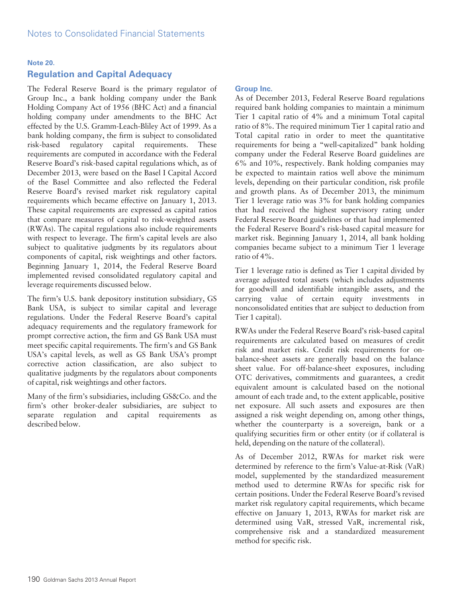#### **Note 20.**

### **Regulation and Capital Adequacy**

The Federal Reserve Board is the primary regulator of Group Inc., a bank holding company under the Bank Holding Company Act of 1956 (BHC Act) and a financial holding company under amendments to the BHC Act effected by the U.S. Gramm-Leach-Bliley Act of 1999. As a bank holding company, the firm is subject to consolidated risk-based regulatory capital requirements. These requirements are computed in accordance with the Federal Reserve Board's risk-based capital regulations which, as of December 2013, were based on the Basel I Capital Accord of the Basel Committee and also reflected the Federal Reserve Board's revised market risk regulatory capital requirements which became effective on January 1, 2013. These capital requirements are expressed as capital ratios that compare measures of capital to risk-weighted assets (RWAs). The capital regulations also include requirements with respect to leverage. The firm's capital levels are also subject to qualitative judgments by its regulators about components of capital, risk weightings and other factors. Beginning January 1, 2014, the Federal Reserve Board implemented revised consolidated regulatory capital and leverage requirements discussed below.

The firm's U.S. bank depository institution subsidiary, GS Bank USA, is subject to similar capital and leverage regulations. Under the Federal Reserve Board's capital adequacy requirements and the regulatory framework for prompt corrective action, the firm and GS Bank USA must meet specific capital requirements. The firm's and GS Bank USA's capital levels, as well as GS Bank USA's prompt corrective action classification, are also subject to qualitative judgments by the regulators about components of capital, risk weightings and other factors.

Many of the firm's subsidiaries, including GS&Co. and the firm's other broker-dealer subsidiaries, are subject to separate regulation and capital requirements as described below.

#### **Group Inc.**

As of December 2013, Federal Reserve Board regulations required bank holding companies to maintain a minimum Tier 1 capital ratio of 4% and a minimum Total capital ratio of 8%. The required minimum Tier 1 capital ratio and Total capital ratio in order to meet the quantitative requirements for being a "well-capitalized" bank holding company under the Federal Reserve Board guidelines are 6% and 10%, respectively. Bank holding companies may be expected to maintain ratios well above the minimum levels, depending on their particular condition, risk profile and growth plans. As of December 2013, the minimum Tier 1 leverage ratio was 3% for bank holding companies that had received the highest supervisory rating under Federal Reserve Board guidelines or that had implemented the Federal Reserve Board's risk-based capital measure for market risk. Beginning January 1, 2014, all bank holding companies became subject to a minimum Tier 1 leverage ratio of 4%.

Tier 1 leverage ratio is defined as Tier 1 capital divided by average adjusted total assets (which includes adjustments for goodwill and identifiable intangible assets, and the carrying value of certain equity investments in nonconsolidated entities that are subject to deduction from Tier 1 capital).

RWAs under the Federal Reserve Board's risk-based capital requirements are calculated based on measures of credit risk and market risk. Credit risk requirements for onbalance-sheet assets are generally based on the balance sheet value. For off-balance-sheet exposures, including OTC derivatives, commitments and guarantees, a credit equivalent amount is calculated based on the notional amount of each trade and, to the extent applicable, positive net exposure. All such assets and exposures are then assigned a risk weight depending on, among other things, whether the counterparty is a sovereign, bank or a qualifying securities firm or other entity (or if collateral is held, depending on the nature of the collateral).

As of December 2012, RWAs for market risk were determined by reference to the firm's Value-at-Risk (VaR) model, supplemented by the standardized measurement method used to determine RWAs for specific risk for certain positions. Under the Federal Reserve Board's revised market risk regulatory capital requirements, which became effective on January 1, 2013, RWAs for market risk are determined using VaR, stressed VaR, incremental risk, comprehensive risk and a standardized measurement method for specific risk.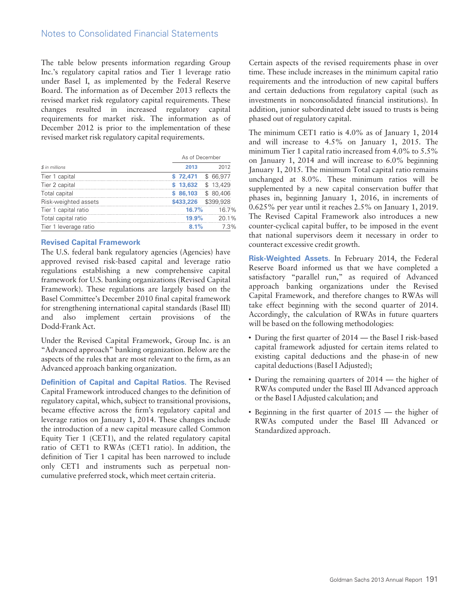### Notes to Consolidated Financial Statements

The table below presents information regarding Group Inc.'s regulatory capital ratios and Tier 1 leverage ratio under Basel I, as implemented by the Federal Reserve Board. The information as of December 2013 reflects the revised market risk regulatory capital requirements. These changes resulted in increased regulatory capital requirements for market risk. The information as of December 2012 is prior to the implementation of these revised market risk regulatory capital requirements.

|                       | As of December |           |
|-----------------------|----------------|-----------|
| \$ in millions        | 2013           | 2012      |
| Tier 1 capital        | \$72,471       | \$ 66,977 |
| Tier 2 capital        | \$13,632       | \$13,429  |
| Total capital         | \$86,103       | \$ 80,406 |
| Risk-weighted assets  | \$433,226      | \$399,928 |
| Tier 1 capital ratio  | 16.7%          | 16.7%     |
| Total capital ratio   | 19.9%          | 20.1%     |
| Tier 1 leverage ratio | 8.1%           | 7.3%      |

### **Revised Capital Framework**

The U.S. federal bank regulatory agencies (Agencies) have approved revised risk-based capital and leverage ratio regulations establishing a new comprehensive capital framework for U.S. banking organizations (Revised Capital Framework). These regulations are largely based on the Basel Committee's December 2010 final capital framework for strengthening international capital standards (Basel III) and also implement certain provisions of the Dodd-Frank Act.

Under the Revised Capital Framework, Group Inc. is an "Advanced approach" banking organization. Below are the aspects of the rules that are most relevant to the firm, as an Advanced approach banking organization.

**Definition of Capital and Capital Ratios.** The Revised Capital Framework introduced changes to the definition of regulatory capital, which, subject to transitional provisions, became effective across the firm's regulatory capital and leverage ratios on January 1, 2014. These changes include the introduction of a new capital measure called Common Equity Tier 1 (CET1), and the related regulatory capital ratio of CET1 to RWAs (CET1 ratio). In addition, the definition of Tier 1 capital has been narrowed to include only CET1 and instruments such as perpetual noncumulative preferred stock, which meet certain criteria.

Certain aspects of the revised requirements phase in over time. These include increases in the minimum capital ratio requirements and the introduction of new capital buffers and certain deductions from regulatory capital (such as investments in nonconsolidated financial institutions). In addition, junior subordinated debt issued to trusts is being phased out of regulatory capital.

The minimum CET1 ratio is 4.0% as of January 1, 2014 and will increase to 4.5% on January 1, 2015. The minimum Tier 1 capital ratio increased from 4.0% to 5.5% on January 1, 2014 and will increase to 6.0% beginning January 1, 2015. The minimum Total capital ratio remains unchanged at 8.0%. These minimum ratios will be supplemented by a new capital conservation buffer that phases in, beginning January 1, 2016, in increments of 0.625% per year until it reaches 2.5% on January 1, 2019. The Revised Capital Framework also introduces a new counter-cyclical capital buffer, to be imposed in the event that national supervisors deem it necessary in order to counteract excessive credit growth.

**Risk-Weighted Assets.** In February 2014, the Federal Reserve Board informed us that we have completed a satisfactory "parallel run," as required of Advanced approach banking organizations under the Revised Capital Framework, and therefore changes to RWAs will take effect beginning with the second quarter of 2014. Accordingly, the calculation of RWAs in future quarters will be based on the following methodologies:

- ‰ During the first quarter of 2014 the Basel I risk-based capital framework adjusted for certain items related to existing capital deductions and the phase-in of new capital deductions (Basel I Adjusted);
- During the remaining quarters of 2014 the higher of RWAs computed under the Basel III Advanced approach or the Basel I Adjusted calculation; and
- Beginning in the first quarter of 2015 the higher of RWAs computed under the Basel III Advanced or Standardized approach.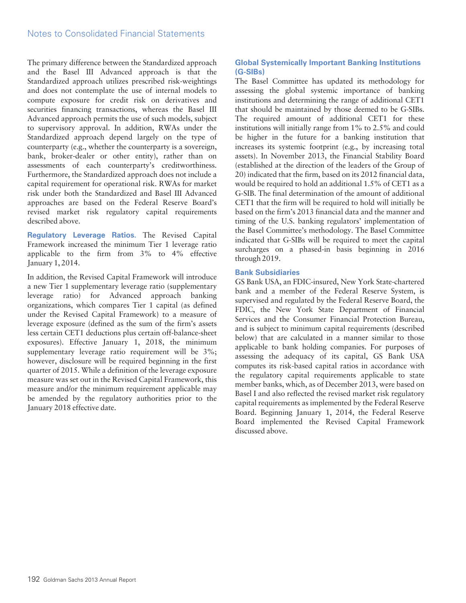The primary difference between the Standardized approach and the Basel III Advanced approach is that the Standardized approach utilizes prescribed risk-weightings and does not contemplate the use of internal models to compute exposure for credit risk on derivatives and securities financing transactions, whereas the Basel III Advanced approach permits the use of such models, subject to supervisory approval. In addition, RWAs under the Standardized approach depend largely on the type of counterparty (e.g., whether the counterparty is a sovereign, bank, broker-dealer or other entity), rather than on assessments of each counterparty's creditworthiness. Furthermore, the Standardized approach does not include a capital requirement for operational risk. RWAs for market risk under both the Standardized and Basel III Advanced approaches are based on the Federal Reserve Board's revised market risk regulatory capital requirements described above.

**Regulatory Leverage Ratios.** The Revised Capital Framework increased the minimum Tier 1 leverage ratio applicable to the firm from 3% to 4% effective January 1, 2014.

In addition, the Revised Capital Framework will introduce a new Tier 1 supplementary leverage ratio (supplementary leverage ratio) for Advanced approach banking organizations, which compares Tier 1 capital (as defined under the Revised Capital Framework) to a measure of leverage exposure (defined as the sum of the firm's assets less certain CET1 deductions plus certain off-balance-sheet exposures). Effective January 1, 2018, the minimum supplementary leverage ratio requirement will be 3%; however, disclosure will be required beginning in the first quarter of 2015. While a definition of the leverage exposure measure was set out in the Revised Capital Framework, this measure and/or the minimum requirement applicable may be amended by the regulatory authorities prior to the January 2018 effective date.

### **Global Systemically Important Banking Institutions (G-SIBs)**

The Basel Committee has updated its methodology for assessing the global systemic importance of banking institutions and determining the range of additional CET1 that should be maintained by those deemed to be G-SIBs. The required amount of additional CET1 for these institutions will initially range from 1% to 2.5% and could be higher in the future for a banking institution that increases its systemic footprint (e.g., by increasing total assets). In November 2013, the Financial Stability Board (established at the direction of the leaders of the Group of 20) indicated that the firm, based on its 2012 financial data, would be required to hold an additional 1.5% of CET1 as a G-SIB. The final determination of the amount of additional CET1 that the firm will be required to hold will initially be based on the firm's 2013 financial data and the manner and timing of the U.S. banking regulators' implementation of the Basel Committee's methodology. The Basel Committee indicated that G-SIBs will be required to meet the capital surcharges on a phased-in basis beginning in 2016 through 2019.

### **Bank Subsidiaries**

GS Bank USA, an FDIC-insured, New York State-chartered bank and a member of the Federal Reserve System, is supervised and regulated by the Federal Reserve Board, the FDIC, the New York State Department of Financial Services and the Consumer Financial Protection Bureau, and is subject to minimum capital requirements (described below) that are calculated in a manner similar to those applicable to bank holding companies. For purposes of assessing the adequacy of its capital, GS Bank USA computes its risk-based capital ratios in accordance with the regulatory capital requirements applicable to state member banks, which, as of December 2013, were based on Basel I and also reflected the revised market risk regulatory capital requirements as implemented by the Federal Reserve Board. Beginning January 1, 2014, the Federal Reserve Board implemented the Revised Capital Framework discussed above.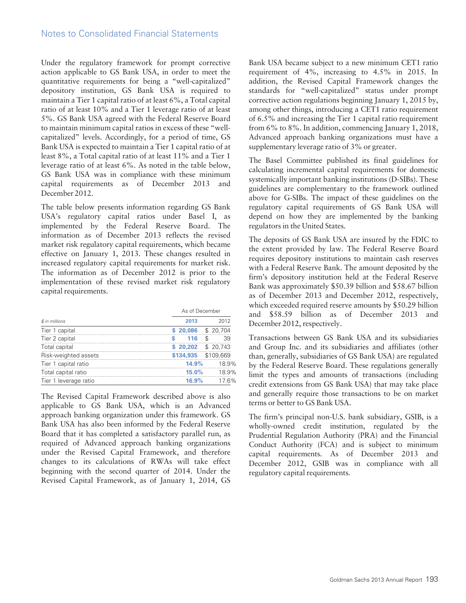Under the regulatory framework for prompt corrective action applicable to GS Bank USA, in order to meet the quantitative requirements for being a "well-capitalized" depository institution, GS Bank USA is required to maintain a Tier 1 capital ratio of at least 6%, a Total capital ratio of at least 10% and a Tier 1 leverage ratio of at least 5%. GS Bank USA agreed with the Federal Reserve Board to maintain minimum capital ratios in excess of these "wellcapitalized" levels. Accordingly, for a period of time, GS Bank USA is expected to maintain a Tier 1 capital ratio of at least 8%, a Total capital ratio of at least 11% and a Tier 1 leverage ratio of at least 6%. As noted in the table below, GS Bank USA was in compliance with these minimum capital requirements as of December 2013 and December 2012.

The table below presents information regarding GS Bank USA's regulatory capital ratios under Basel I, as implemented by the Federal Reserve Board. The information as of December 2013 reflects the revised market risk regulatory capital requirements, which became effective on January 1, 2013. These changes resulted in increased regulatory capital requirements for market risk. The information as of December 2012 is prior to the implementation of these revised market risk regulatory capital requirements.

|                       | As of December |  |           |    |           |
|-----------------------|----------------|--|-----------|----|-----------|
| \$ in millions        |                |  | 2013      |    | 2012      |
| Tier 1 capital        |                |  | \$20.086  |    | \$20.704  |
| Tier 2 capital        | S              |  | 116       | \$ | 39        |
| Total capital         |                |  | \$20.202  |    | \$ 20.743 |
| Risk-weighted assets  |                |  | \$134,935 |    | \$109.669 |
| Tier 1 capital ratio  |                |  | 14.9%     |    | 18.9%     |
| Total capital ratio   |                |  | 15.0%     |    | 18.9%     |
| Tier 1 leverage ratio |                |  | 16.9%     |    | 17.6%     |

The Revised Capital Framework described above is also applicable to GS Bank USA, which is an Advanced approach banking organization under this framework. GS Bank USA has also been informed by the Federal Reserve Board that it has completed a satisfactory parallel run, as required of Advanced approach banking organizations under the Revised Capital Framework, and therefore changes to its calculations of RWAs will take effect beginning with the second quarter of 2014. Under the Revised Capital Framework, as of January 1, 2014, GS

Bank USA became subject to a new minimum CET1 ratio requirement of 4%, increasing to 4.5% in 2015. In addition, the Revised Capital Framework changes the standards for "well-capitalized" status under prompt corrective action regulations beginning January 1, 2015 by, among other things, introducing a CET1 ratio requirement of 6.5% and increasing the Tier 1 capital ratio requirement from 6% to 8%. In addition, commencing January 1, 2018, Advanced approach banking organizations must have a supplementary leverage ratio of 3% or greater.

The Basel Committee published its final guidelines for calculating incremental capital requirements for domestic systemically important banking institutions (D-SIBs). These guidelines are complementary to the framework outlined above for G-SIBs. The impact of these guidelines on the regulatory capital requirements of GS Bank USA will depend on how they are implemented by the banking regulators in the United States.

The deposits of GS Bank USA are insured by the FDIC to the extent provided by law. The Federal Reserve Board requires depository institutions to maintain cash reserves with a Federal Reserve Bank. The amount deposited by the firm's depository institution held at the Federal Reserve Bank was approximately \$50.39 billion and \$58.67 billion as of December 2013 and December 2012, respectively, which exceeded required reserve amounts by \$50.29 billion and \$58.59 billion as of December 2013 and December 2012, respectively.

Transactions between GS Bank USA and its subsidiaries and Group Inc. and its subsidiaries and affiliates (other than, generally, subsidiaries of GS Bank USA) are regulated by the Federal Reserve Board. These regulations generally limit the types and amounts of transactions (including credit extensions from GS Bank USA) that may take place and generally require those transactions to be on market terms or better to GS Bank USA.

The firm's principal non-U.S. bank subsidiary, GSIB, is a wholly-owned credit institution, regulated by the Prudential Regulation Authority (PRA) and the Financial Conduct Authority (FCA) and is subject to minimum capital requirements. As of December 2013 and December 2012, GSIB was in compliance with all regulatory capital requirements.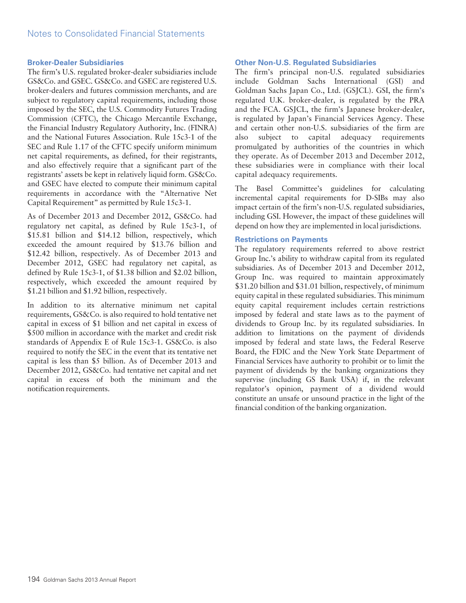### **Broker-Dealer Subsidiaries**

The firm's U.S. regulated broker-dealer subsidiaries include GS&Co. and GSEC. GS&Co. and GSEC are registered U.S. broker-dealers and futures commission merchants, and are subject to regulatory capital requirements, including those imposed by the SEC, the U.S. Commodity Futures Trading Commission (CFTC), the Chicago Mercantile Exchange, the Financial Industry Regulatory Authority, Inc. (FINRA) and the National Futures Association. Rule 15c3-1 of the SEC and Rule 1.17 of the CFTC specify uniform minimum net capital requirements, as defined, for their registrants, and also effectively require that a significant part of the registrants' assets be kept in relatively liquid form. GS&Co. and GSEC have elected to compute their minimum capital requirements in accordance with the "Alternative Net Capital Requirement" as permitted by Rule 15c3-1.

As of December 2013 and December 2012, GS&Co. had regulatory net capital, as defined by Rule 15c3-1, of \$15.81 billion and \$14.12 billion, respectively, which exceeded the amount required by \$13.76 billion and \$12.42 billion, respectively. As of December 2013 and December 2012, GSEC had regulatory net capital, as defined by Rule 15c3-1, of \$1.38 billion and \$2.02 billion, respectively, which exceeded the amount required by \$1.21 billion and \$1.92 billion, respectively.

In addition to its alternative minimum net capital requirements, GS&Co. is also required to hold tentative net capital in excess of \$1 billion and net capital in excess of \$500 million in accordance with the market and credit risk standards of Appendix E of Rule 15c3-1. GS&Co. is also required to notify the SEC in the event that its tentative net capital is less than \$5 billion. As of December 2013 and December 2012, GS&Co. had tentative net capital and net capital in excess of both the minimum and the notification requirements.

#### **Other Non-U.S. Regulated Subsidiaries**

The firm's principal non-U.S. regulated subsidiaries include Goldman Sachs International (GSI) and Goldman Sachs Japan Co., Ltd. (GSJCL). GSI, the firm's regulated U.K. broker-dealer, is regulated by the PRA and the FCA. GSJCL, the firm's Japanese broker-dealer, is regulated by Japan's Financial Services Agency. These and certain other non-U.S. subsidiaries of the firm are also subject to capital adequacy requirements promulgated by authorities of the countries in which they operate. As of December 2013 and December 2012, these subsidiaries were in compliance with their local capital adequacy requirements.

The Basel Committee's guidelines for calculating incremental capital requirements for D-SIBs may also impact certain of the firm's non-U.S. regulated subsidiaries, including GSI. However, the impact of these guidelines will depend on how they are implemented in local jurisdictions.

#### **Restrictions on Payments**

The regulatory requirements referred to above restrict Group Inc.'s ability to withdraw capital from its regulated subsidiaries. As of December 2013 and December 2012, Group Inc. was required to maintain approximately \$31.20 billion and \$31.01 billion, respectively, of minimum equity capital in these regulated subsidiaries. This minimum equity capital requirement includes certain restrictions imposed by federal and state laws as to the payment of dividends to Group Inc. by its regulated subsidiaries. In addition to limitations on the payment of dividends imposed by federal and state laws, the Federal Reserve Board, the FDIC and the New York State Department of Financial Services have authority to prohibit or to limit the payment of dividends by the banking organizations they supervise (including GS Bank USA) if, in the relevant regulator's opinion, payment of a dividend would constitute an unsafe or unsound practice in the light of the financial condition of the banking organization.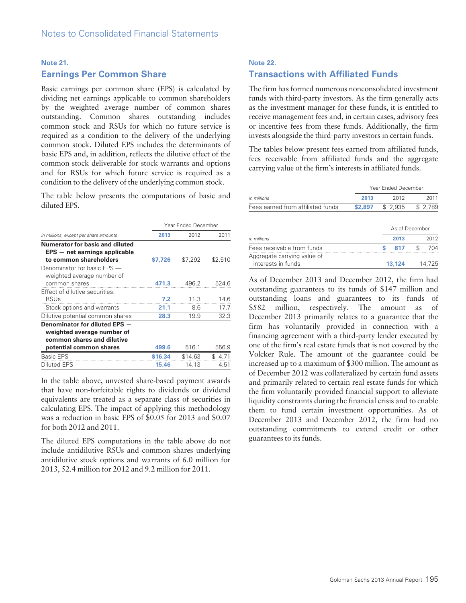### **Note 21. Earnings Per Common Share**

Basic earnings per common share (EPS) is calculated by dividing net earnings applicable to common shareholders by the weighted average number of common shares outstanding. Common shares outstanding includes common stock and RSUs for which no future service is required as a condition to the delivery of the underlying common stock. Diluted EPS includes the determinants of basic EPS and, in addition, reflects the dilutive effect of the common stock deliverable for stock warrants and options and for RSUs for which future service is required as a condition to the delivery of the underlying common stock.

The table below presents the computations of basic and diluted EPS.

|                                       | Year Ended December |         |         |  |
|---------------------------------------|---------------------|---------|---------|--|
| in millions, except per share amounts | 2013                | 2012    | 2011    |  |
| Numerator for basic and diluted       |                     |         |         |  |
| EPS – net earnings applicable         |                     |         |         |  |
| to common shareholders                | \$7,726             | \$7,292 | \$2,510 |  |
| Denominator for basic EPS -           |                     |         |         |  |
| weighted average number of            |                     |         |         |  |
| common shares                         | 471.3               | 496.2   | 524.6   |  |
| Effect of dilutive securities:        |                     |         |         |  |
| <b>RSUs</b>                           | 7.2                 | 11.3    | 14.6    |  |
| Stock options and warrants            | 21.1                | 8.6     | 17.7    |  |
| Dilutive potential common shares      | 28.3                | 19.9    | 32.3    |  |
| Denominator for diluted EPS -         |                     |         |         |  |
| weighted average number of            |                     |         |         |  |
| common shares and dilutive            |                     |         |         |  |
| potential common shares               | 499.6               | 516.1   | 556.9   |  |
| <b>Basic EPS</b>                      | \$16.34             | \$14.63 | \$4.71  |  |
| Diluted EPS                           | 15.46               | 14.13   | 4.51    |  |

In the table above, unvested share-based payment awards that have non-forfeitable rights to dividends or dividend equivalents are treated as a separate class of securities in calculating EPS. The impact of applying this methodology was a reduction in basic EPS of \$0.05 for 2013 and \$0.07 for both 2012 and 2011.

The diluted EPS computations in the table above do not include antidilutive RSUs and common shares underlying antidilutive stock options and warrants of 6.0 million for 2013, 52.4 million for 2012 and 9.2 million for 2011.

### **Note 22.**

### **Transactions with Affiliated Funds**

The firm has formed numerous nonconsolidated investment funds with third-party investors. As the firm generally acts as the investment manager for these funds, it is entitled to receive management fees and, in certain cases, advisory fees or incentive fees from these funds. Additionally, the firm invests alongside the third-party investors in certain funds.

The tables below present fees earned from affiliated funds, fees receivable from affiliated funds and the aggregate carrying value of the firm's interests in affiliated funds.

|                                   |         | Year Ended December |          |
|-----------------------------------|---------|---------------------|----------|
| in millions                       | 2013    | 2012                | 2011     |
| Fees earned from affiliated funds | \$2,897 | \$2.935             | \$ 2,789 |
|                                   |         |                     |          |
|                                   |         |                     |          |

|                             | As of December |        |  |        |
|-----------------------------|----------------|--------|--|--------|
| in millions                 |                | 2013   |  | 2012   |
| Fees receivable from funds  |                | 817    |  | 704    |
| Aggregate carrying value of |                |        |  |        |
| interests in funds          |                | 13,124 |  | 14.725 |

As of December 2013 and December 2012, the firm had outstanding guarantees to its funds of \$147 million and outstanding loans and guarantees to its funds of \$582 million, respectively. The amount as of December 2013 primarily relates to a guarantee that the firm has voluntarily provided in connection with a financing agreement with a third-party lender executed by one of the firm's real estate funds that is not covered by the Volcker Rule. The amount of the guarantee could be increased up to a maximum of \$300 million. The amount as of December 2012 was collateralized by certain fund assets and primarily related to certain real estate funds for which the firm voluntarily provided financial support to alleviate liquidity constraints during the financial crisis and to enable them to fund certain investment opportunities. As of December 2013 and December 2012, the firm had no outstanding commitments to extend credit or other guarantees to its funds.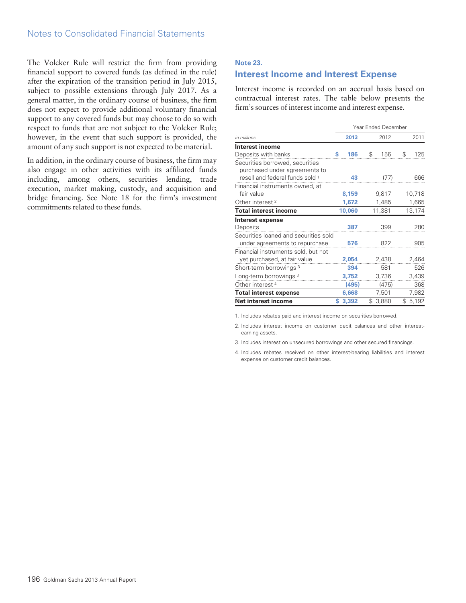### Notes to Consolidated Financial Statements

The Volcker Rule will restrict the firm from providing financial support to covered funds (as defined in the rule) after the expiration of the transition period in July 2015, subject to possible extensions through July 2017. As a general matter, in the ordinary course of business, the firm does not expect to provide additional voluntary financial support to any covered funds but may choose to do so with respect to funds that are not subject to the Volcker Rule; however, in the event that such support is provided, the amount of any such support is not expected to be material.

In addition, in the ordinary course of business, the firm may also engage in other activities with its affiliated funds including, among others, securities lending, trade execution, market making, custody, and acquisition and bridge financing. See Note 18 for the firm's investment commitments related to these funds.

#### **Note 23.**

### **Interest Income and Interest Expense**

Interest income is recorded on an accrual basis based on contractual interest rates. The table below presents the firm's sources of interest income and interest expense.

|                                                                  | Year Ended December |        |    |         |    |        |
|------------------------------------------------------------------|---------------------|--------|----|---------|----|--------|
| in millions                                                      |                     | 2013   |    | 2012    |    | 2011   |
| Interest income                                                  |                     |        |    |         |    |        |
| Deposits with banks                                              | \$                  | 186    | \$ | 156     | \$ | 125    |
| Securities borrowed, securities<br>purchased under agreements to |                     |        |    |         |    |        |
| resell and federal funds sold 1                                  |                     | 43     |    | (77)    |    | 666    |
| Financial instruments owned, at                                  |                     |        |    |         |    |        |
| fair value                                                       |                     | 8,159  |    | 9,817   |    | 10,718 |
| Other interest <sup>2</sup>                                      |                     | 1,672  |    | 1,485   |    | 1,665  |
| <b>Total interest income</b>                                     |                     | 10,060 |    | 11,381  |    | 13,174 |
| Interest expense                                                 |                     |        |    |         |    |        |
| Deposits                                                         |                     | 387    |    | 399     |    | 280    |
| Securities loaned and securities sold                            |                     |        |    |         |    |        |
| under agreements to repurchase                                   |                     | 576    |    | 822     |    | 905    |
| Financial instruments sold, but not                              |                     |        |    |         |    |        |
| yet purchased, at fair value                                     |                     | 2,054  |    | 2,438   |    | 2,464  |
| Short-term borrowings <sup>3</sup>                               |                     | 394    |    | 581     |    | 526    |
| Long-term borrowings <sup>3</sup>                                |                     | 3,752  |    | 3,736   |    | 3,439  |
| Other interest <sup>4</sup>                                      |                     | (495)  |    | (475)   |    | 368    |
| <b>Total interest expense</b>                                    |                     | 6,668  |    | 7,501   |    | 7,982  |
| Net interest income                                              | s                   | 3,392  |    | \$3,880 | \$ | 5,192  |

1. Includes rebates paid and interest income on securities borrowed.

2. Includes interest income on customer debit balances and other interestearning assets.

3. Includes interest on unsecured borrowings and other secured financings.

4. Includes rebates received on other interest-bearing liabilities and interest expense on customer credit balances.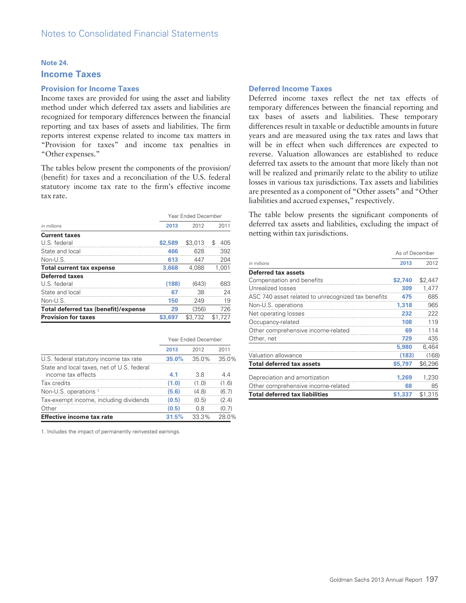### **Note 24. Income Taxes**

#### **Provision for Income Taxes**

Income taxes are provided for using the asset and liability method under which deferred tax assets and liabilities are recognized for temporary differences between the financial reporting and tax bases of assets and liabilities. The firm reports interest expense related to income tax matters in "Provision for taxes" and income tax penalties in "Other expenses."

The tables below present the components of the provision/ (benefit) for taxes and a reconciliation of the U.S. federal statutory income tax rate to the firm's effective income tax rate.

|                                      | Year Ended December |         |          |  |  |
|--------------------------------------|---------------------|---------|----------|--|--|
| in millions                          | 2013                | 2012    | 2011     |  |  |
| <b>Current taxes</b>                 |                     |         |          |  |  |
| U.S. federal                         | \$2,589             | \$3,013 | 405<br>S |  |  |
| State and local                      | 466                 | 628     | 392      |  |  |
| Non-U.S.                             | 613                 | 447     | 204      |  |  |
| <b>Total current tax expense</b>     | 3,668               | 4,088   | 1,001    |  |  |
| <b>Deferred taxes</b>                |                     |         |          |  |  |
| U.S. federal                         | (188)               | (643)   | 683      |  |  |
| State and local                      | 67                  | 38      | 24       |  |  |
| Non-U.S.                             | 150                 | 249     | 19       |  |  |
| Total deferred tax (benefit)/expense | 29                  | (356)   | 726      |  |  |
| <b>Provision for taxes</b>           | \$3,697             | \$3.732 | \$1,727  |  |  |

|                                                                  | Year Ended December |       |       |  |
|------------------------------------------------------------------|---------------------|-------|-------|--|
|                                                                  | 2013                | 2012  | 2011  |  |
| U.S. federal statutory income tax rate                           | 35.0%               | 35.0% | 350%  |  |
| State and local taxes, net of U.S. federal<br>income tax effects | 4.1                 | 38    | 44    |  |
| Tax credits                                                      | (1.0)               | (1.0) | (1.6) |  |
| Non-U.S. operations <sup>1</sup>                                 | (5.6)               | (4.8) | (6.7) |  |
| Tax-exempt income, including dividends                           | (0.5)               | (0.5) | (2.4) |  |
| Other                                                            | (0.5)               | 0.8   | (0.7) |  |
| <b>Effective income tax rate</b>                                 | 31.5%               | 33.3% | 28.0% |  |

1. Includes the impact of permanently reinvested earnings.

### **Deferred Income Taxes**

Deferred income taxes reflect the net tax effects of temporary differences between the financial reporting and tax bases of assets and liabilities. These temporary differences result in taxable or deductible amounts in future years and are measured using the tax rates and laws that will be in effect when such differences are expected to reverse. Valuation allowances are established to reduce deferred tax assets to the amount that more likely than not will be realized and primarily relate to the ability to utilize losses in various tax jurisdictions. Tax assets and liabilities are presented as a component of "Other assets" and "Other liabilities and accrued expenses," respectively.

The table below presents the significant components of deferred tax assets and liabilities, excluding the impact of netting within tax jurisdictions.

|                                                    |         | As of December |
|----------------------------------------------------|---------|----------------|
| in millions                                        | 2013    | 2012           |
| Deferred tax assets                                |         |                |
| Compensation and benefits                          | \$2,740 | \$2,447        |
| Unrealized losses                                  | 309     | 1,477          |
| ASC 740 asset related to unrecognized tax benefits | 475     | 685            |
| Non-U.S. operations                                | 1,318   | 965            |
| Net operating losses                               | 232     | 222            |
| Occupancy-related                                  | 108     | 119            |
| Other comprehensive income-related                 | 69      | 114            |
| Other, net                                         | 729     | 435            |
|                                                    | 5.980   | 6,464          |
| Valuation allowance                                | (183)   | (168)          |
| Total deferred tax assets                          | \$5,797 | \$6,296        |
| Depreciation and amortization                      | 1.269   | 1,230          |
| Other comprehensive income-related                 | 68      | 85             |
| Total deferred tax liabilities                     | \$1,337 | \$1,315        |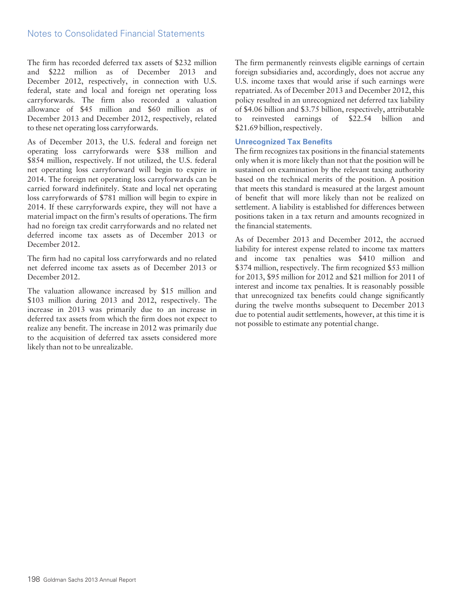The firm has recorded deferred tax assets of \$232 million and \$222 million as of December 2013 and December 2012, respectively, in connection with U.S. federal, state and local and foreign net operating loss carryforwards. The firm also recorded a valuation allowance of \$45 million and \$60 million as of December 2013 and December 2012, respectively, related to these net operating loss carryforwards.

As of December 2013, the U.S. federal and foreign net operating loss carryforwards were \$38 million and \$854 million, respectively. If not utilized, the U.S. federal net operating loss carryforward will begin to expire in 2014. The foreign net operating loss carryforwards can be carried forward indefinitely. State and local net operating loss carryforwards of \$781 million will begin to expire in 2014. If these carryforwards expire, they will not have a material impact on the firm's results of operations. The firm had no foreign tax credit carryforwards and no related net deferred income tax assets as of December 2013 or December 2012.

The firm had no capital loss carryforwards and no related net deferred income tax assets as of December 2013 or December 2012.

The valuation allowance increased by \$15 million and \$103 million during 2013 and 2012, respectively. The increase in 2013 was primarily due to an increase in deferred tax assets from which the firm does not expect to realize any benefit. The increase in 2012 was primarily due to the acquisition of deferred tax assets considered more likely than not to be unrealizable.

The firm permanently reinvests eligible earnings of certain foreign subsidiaries and, accordingly, does not accrue any U.S. income taxes that would arise if such earnings were repatriated. As of December 2013 and December 2012, this policy resulted in an unrecognized net deferred tax liability of \$4.06 billion and \$3.75 billion, respectively, attributable to reinvested earnings of \$22.54 billion and \$21.69 billion, respectively.

### **Unrecognized Tax Benefits**

The firm recognizes tax positions in the financial statements only when it is more likely than not that the position will be sustained on examination by the relevant taxing authority based on the technical merits of the position. A position that meets this standard is measured at the largest amount of benefit that will more likely than not be realized on settlement. A liability is established for differences between positions taken in a tax return and amounts recognized in the financial statements.

As of December 2013 and December 2012, the accrued liability for interest expense related to income tax matters and income tax penalties was \$410 million and \$374 million, respectively. The firm recognized \$53 million for 2013, \$95 million for 2012 and \$21 million for 2011 of interest and income tax penalties. It is reasonably possible that unrecognized tax benefits could change significantly during the twelve months subsequent to December 2013 due to potential audit settlements, however, at this time it is not possible to estimate any potential change.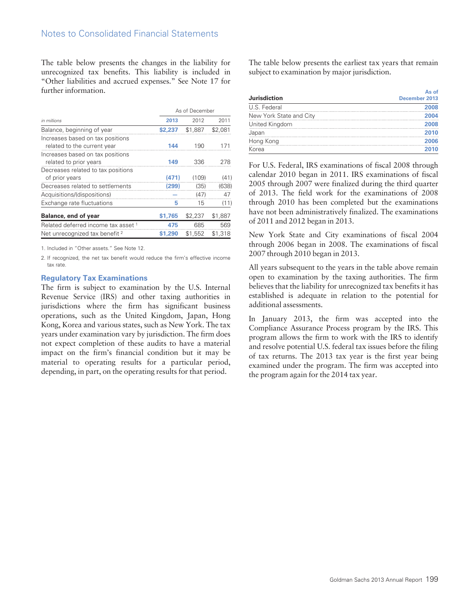The table below presents the changes in the liability for unrecognized tax benefits. This liability is included in "Other liabilities and accrued expenses." See Note 17 for further information.

|                                                            | As of December |         |         |  |
|------------------------------------------------------------|----------------|---------|---------|--|
| in millions                                                | 2013           | 2012    | 2011    |  |
| Balance, beginning of year                                 | \$2,237        | \$1,887 | \$2,081 |  |
| Increases based on tax positions                           |                |         |         |  |
| related to the current year                                | 144            | 190     | 171     |  |
| Increases based on tax positions<br>related to prior years | 149            | 336     | 278     |  |
| Decreases related to tax positions<br>of prior years       | (471)          | (109)   | (41)    |  |
| Decreases related to settlements                           | (299)          | (35)    | (638)   |  |
| Acquisitions/(dispositions)                                |                | (47)    | 47      |  |
| Exchange rate fluctuations                                 | 5              | 15      | (11)    |  |
| Balance, end of year                                       | \$1,765        | \$2,237 | \$1,887 |  |
| Related deferred income tax asset 1                        | 475            | 685     | 569     |  |
| Net unrecognized tax benefit <sup>2</sup>                  | \$1,290        | \$1.552 | \$1,318 |  |

1. Included in "Other assets." See Note 12.

2. If recognized, the net tax benefit would reduce the firm's effective income tax rate.

### **Regulatory Tax Examinations**

The firm is subject to examination by the U.S. Internal Revenue Service (IRS) and other taxing authorities in jurisdictions where the firm has significant business operations, such as the United Kingdom, Japan, Hong Kong, Korea and various states, such as New York. The tax years under examination vary by jurisdiction. The firm does not expect completion of these audits to have a material impact on the firm's financial condition but it may be material to operating results for a particular period, depending, in part, on the operating results for that period.

The table below presents the earliest tax years that remain subject to examination by major jurisdiction.

| <b>Jurisdiction</b>     | As of<br>December 2013 |
|-------------------------|------------------------|
| U.S. Federal            | 2008                   |
| New York State and City | 2004                   |
| United Kingdom          | 2008                   |
| Japan                   | 2010                   |
| Hong Kong               | 2006                   |
| Korea                   | 2010                   |

For U.S. Federal, IRS examinations of fiscal 2008 through calendar 2010 began in 2011. IRS examinations of fiscal 2005 through 2007 were finalized during the third quarter of 2013. The field work for the examinations of 2008 through 2010 has been completed but the examinations have not been administratively finalized. The examinations of 2011 and 2012 began in 2013.

New York State and City examinations of fiscal 2004 through 2006 began in 2008. The examinations of fiscal 2007 through 2010 began in 2013.

All years subsequent to the years in the table above remain open to examination by the taxing authorities. The firm believes that the liability for unrecognized tax benefits it has established is adequate in relation to the potential for additional assessments.

In January 2013, the firm was accepted into the Compliance Assurance Process program by the IRS. This program allows the firm to work with the IRS to identify and resolve potential U.S. federal tax issues before the filing of tax returns. The 2013 tax year is the first year being examined under the program. The firm was accepted into the program again for the 2014 tax year.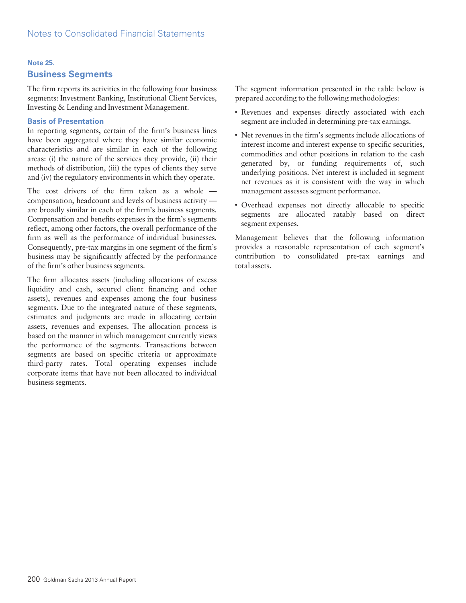## **Note 25.**

### **Business Segments**

The firm reports its activities in the following four business segments: Investment Banking, Institutional Client Services, Investing & Lending and Investment Management.

### **Basis of Presentation**

In reporting segments, certain of the firm's business lines have been aggregated where they have similar economic characteristics and are similar in each of the following areas: (i) the nature of the services they provide, (ii) their methods of distribution, (iii) the types of clients they serve and (iv) the regulatory environments in which they operate.

The cost drivers of the firm taken as a whole compensation, headcount and levels of business activity are broadly similar in each of the firm's business segments. Compensation and benefits expenses in the firm's segments reflect, among other factors, the overall performance of the firm as well as the performance of individual businesses. Consequently, pre-tax margins in one segment of the firm's business may be significantly affected by the performance of the firm's other business segments.

The firm allocates assets (including allocations of excess liquidity and cash, secured client financing and other assets), revenues and expenses among the four business segments. Due to the integrated nature of these segments, estimates and judgments are made in allocating certain assets, revenues and expenses. The allocation process is based on the manner in which management currently views the performance of the segments. Transactions between segments are based on specific criteria or approximate third-party rates. Total operating expenses include corporate items that have not been allocated to individual business segments.

The segment information presented in the table below is prepared according to the following methodologies:

- ‰ Revenues and expenses directly associated with each segment are included in determining pre-tax earnings.
- ‰ Net revenues in the firm's segments include allocations of interest income and interest expense to specific securities, commodities and other positions in relation to the cash generated by, or funding requirements of, such underlying positions. Net interest is included in segment net revenues as it is consistent with the way in which management assesses segment performance.
- ‰ Overhead expenses not directly allocable to specific segments are allocated ratably based on direct segment expenses.

Management believes that the following information provides a reasonable representation of each segment's contribution to consolidated pre-tax earnings and total assets.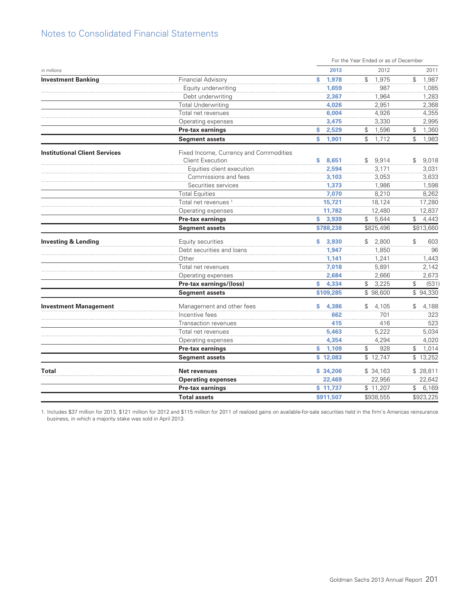## Notes to Consolidated Financial Statements

|                                      |                                        | For the Year Ended or as of December |           |                |           |                |           |
|--------------------------------------|----------------------------------------|--------------------------------------|-----------|----------------|-----------|----------------|-----------|
| in millions                          |                                        |                                      | 2013      |                | 2012      |                | 2011      |
| <b>Investment Banking</b>            | <b>Financial Advisory</b>              | \$.                                  | 1,978     | \$             | 1,975     | \$             | 1,987     |
|                                      | Equity underwriting                    |                                      | 1.659     |                | 987       |                | 1,085     |
|                                      | Debt underwriting                      |                                      | 2,367     |                | 1,964     |                | 1,283     |
|                                      | <b>Total Underwriting</b>              |                                      | 4,026     |                | 2,951     |                | 2,368     |
|                                      | Total net revenues                     |                                      | 6,004     |                | 4,926     |                | 4,355     |
|                                      | Operating expenses                     |                                      | 3,475     |                | 3,330     |                | 2,995     |
|                                      | Pre-tax earnings                       | \$                                   | 2,529     | $\mathfrak{P}$ | 1,596     | \$             | 1,360     |
|                                      | <b>Segment assets</b>                  | \$                                   | 1,901     | $\mathfrak{L}$ | 1,712     | \$             | 1,983     |
| <b>Institutional Client Services</b> | Fixed Income, Currency and Commodities |                                      |           |                |           |                |           |
|                                      | <b>Client Execution</b>                | \$.                                  | 8,651     | \$             | 9,914     | \$             | 9,018     |
|                                      | Equities client execution              |                                      | 2,594     |                | 3,171     |                | 3,031     |
|                                      | Commissions and fees                   |                                      | 3,103     |                | 3,053     |                | 3,633     |
|                                      | Securities services                    |                                      | 1,373     |                | 1,986     |                | 1,598     |
|                                      | <b>Total Equities</b>                  |                                      | 7,070     |                | 8,210     |                | 8,262     |
|                                      | Total net revenues <sup>1</sup>        |                                      | 15.721    |                | 18,124    |                | 17,280    |
|                                      | Operating expenses                     |                                      | 11,782    |                | 12,480    |                | 12,837    |
|                                      | Pre-tax earnings                       |                                      | \$3,939   | $$\tilde$$     | 5,644     | $$\mathbb{S}$$ | 4,443     |
|                                      | Segment assets                         |                                      | \$788,238 |                | \$825,496 |                | \$813,660 |
| <b>Investing &amp; Lending</b>       | Equity securities                      | S.                                   | 3,930     | $\mathbb{S}$   | 2,800     | \$             | 603       |
|                                      | Debt securities and loans              |                                      | 1,947     |                | 1,850     |                | 96        |
|                                      | Other                                  |                                      | 1,141     |                | 1,241     |                | 1,443     |
|                                      | Total net revenues                     |                                      | 7.018     |                | 5,891     |                | 2,142     |
|                                      | Operating expenses                     |                                      | 2,684     |                | 2,666     |                | 2,673     |
|                                      | Pre-tax earnings/(loss)                | s.                                   | 4,334     | $\mathbb S$    | 3,225     | \$             | (531)     |
|                                      | <b>Segment assets</b>                  |                                      | \$109,285 |                | \$98,600  |                | \$94,330  |
| <b>Investment Management</b>         | Management and other fees              | \$.                                  | 4,386     | \$             | 4,105     | \$             | 4,188     |
|                                      | Incentive fees                         |                                      | 662       |                | 701       |                | 323       |
|                                      | <b>Transaction revenues</b>            |                                      | 415       |                | 416       |                | 523       |
|                                      | Total net revenues                     |                                      | 5,463     |                | 5.222     |                | 5,034     |
|                                      | Operating expenses                     |                                      | 4,354     |                | 4,294     |                | 4,020     |
|                                      | Pre-tax earnings                       | \$                                   | 1,109     | $\mathbb S$    | 928       | \$             | 1,014     |
|                                      | <b>Segment assets</b>                  |                                      | \$12,083  |                | \$12,747  |                | \$13,252  |
| Total                                | <b>Net revenues</b>                    |                                      | \$34,206  |                | \$34,163  |                | \$28,811  |
|                                      | <b>Operating expenses</b>              |                                      | 22,469    |                | 22,956    |                | 22,642    |
|                                      | Pre-tax earnings                       |                                      | \$11,737  |                | \$11,207  | $\mathbb{S}$   | 6,169     |
|                                      | <b>Total assets</b>                    |                                      | \$911,507 |                | \$938,555 |                | \$923,225 |

1. Includes \$37 million for 2013, \$121 million for 2012 and \$115 million for 2011 of realized gains on available-for-sale securities held in the firm's Americas reinsurance business, in which a majority stake was sold in April 2013.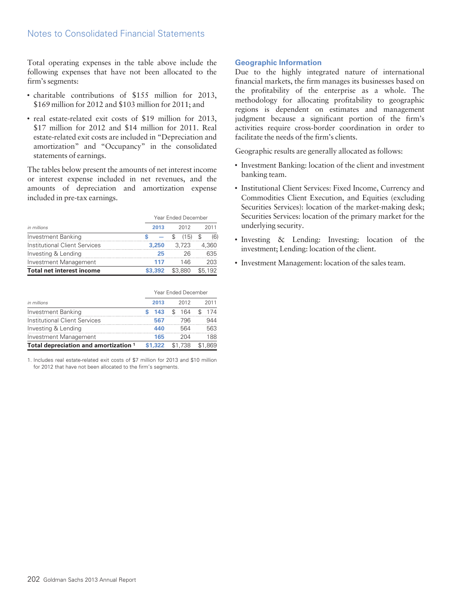Total operating expenses in the table above include the following expenses that have not been allocated to the firm's segments:

- ‰ charitable contributions of \$155 million for 2013, \$169 million for 2012 and \$103 million for 2011; and
- ‰ real estate-related exit costs of \$19 million for 2013, \$17 million for 2012 and \$14 million for 2011. Real estate-related exit costs are included in "Depreciation and amortization" and "Occupancy" in the consolidated statements of earnings.

The tables below present the amounts of net interest income or interest expense included in net revenues, and the amounts of depreciation and amortization expense included in pre-tax earnings.

|                                  | Year Ended December |         |         |  |  |  |
|----------------------------------|---------------------|---------|---------|--|--|--|
| in millions                      | 2013                | 2012    | 2011    |  |  |  |
| Investment Banking               |                     | (15)    | (6)     |  |  |  |
| Institutional Client Services    | 3,250               | 3.723   | 4.360   |  |  |  |
| Investing & Lending              | 25                  | 26      | 635     |  |  |  |
| Investment Management            | 117                 | 146     | 203     |  |  |  |
| <b>Total net interest income</b> | \$3,392             | \$3.880 | \$5,192 |  |  |  |

|                                                  | Year Ended December |  |         |  |         |  |  |
|--------------------------------------------------|---------------------|--|---------|--|---------|--|--|
| in millions                                      | 2013                |  | 2012    |  | 2011    |  |  |
| Investment Banking                               | 143                 |  | 164     |  | 174     |  |  |
| Institutional Client Services                    | 567                 |  | 796     |  | 944     |  |  |
| Investing & Lending                              | 440                 |  | 564     |  | 563     |  |  |
| Investment Management                            | 165                 |  | 204     |  | 188     |  |  |
| Total depreciation and amortization <sup>1</sup> | \$1,322             |  | \$1,738 |  | \$1,869 |  |  |

1. Includes real estate-related exit costs of \$7 million for 2013 and \$10 million for 2012 that have not been allocated to the firm's segments.

### **Geographic Information**

Due to the highly integrated nature of international financial markets, the firm manages its businesses based on the profitability of the enterprise as a whole. The methodology for allocating profitability to geographic regions is dependent on estimates and management judgment because a significant portion of the firm's activities require cross-border coordination in order to facilitate the needs of the firm's clients.

Geographic results are generally allocated as follows:

- ‰ Investment Banking: location of the client and investment banking team.
- ‰ Institutional Client Services: Fixed Income, Currency and Commodities Client Execution, and Equities (excluding Securities Services): location of the market-making desk; Securities Services: location of the primary market for the underlying security.
- Investing & Lending: Investing: location of the investment; Lending: location of the client.
- ‰ Investment Management: location of the sales team.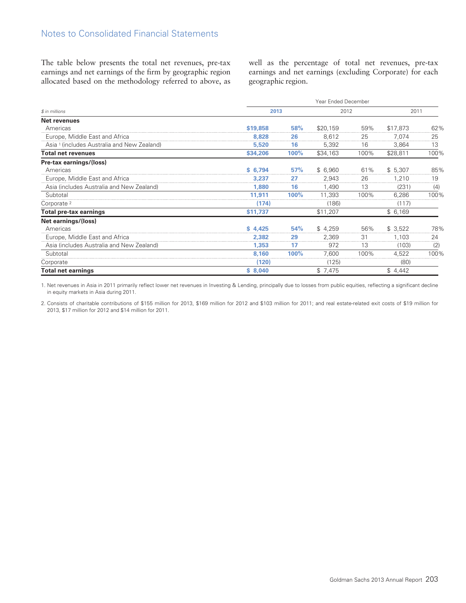The table below presents the total net revenues, pre-tax earnings and net earnings of the firm by geographic region allocated based on the methodology referred to above, as well as the percentage of total net revenues, pre-tax earnings and net earnings (excluding Corporate) for each geographic region.

|                                             | Year Ended December |      |          |      |          |      |  |  |
|---------------------------------------------|---------------------|------|----------|------|----------|------|--|--|
| \$ in millions                              | 2013                |      | 2012     |      | 2011     |      |  |  |
| <b>Net revenues</b>                         |                     |      |          |      |          |      |  |  |
| Americas                                    | \$19,858            | 58%  | \$20,159 | 59%  | \$17,873 | 62%  |  |  |
| Europe, Middle East and Africa              | 8,828               | 26   | 8,612    | 25   | 7,074    | 25   |  |  |
| Asia 1 (includes Australia and New Zealand) | 5,520               | 16   | 5,392    | 16   | 3,864    | 13   |  |  |
| <b>Total net revenues</b>                   | \$34,206            | 100% | \$34,163 | 100% | \$28,811 | 100% |  |  |
| Pre-tax earnings/(loss)                     |                     |      |          |      |          |      |  |  |
| Americas                                    | 6.794               | 57%  | \$6,960  | 61%  | \$5,307  | 85%  |  |  |
| Europe, Middle East and Africa              | 3,237               | 27   | 2,943    | 26   | 1,210    | 19   |  |  |
| Asia (includes Australia and New Zealand)   | 1,880               | 16   | 1,490    | 13   | (231)    | (4)  |  |  |
| Subtotal                                    | 11.911              | 100% | 11.393   | 100% | 6,286    | 100% |  |  |
| Corporate <sup>2</sup>                      | (174)               |      | (186)    |      | (117)    |      |  |  |
| <b>Total pre-tax earnings</b>               | \$11,737            |      | \$11,207 |      | \$6,169  |      |  |  |
| Net earnings/(loss)                         |                     |      |          |      |          |      |  |  |
| Americas                                    | 4.425               | 54%  | \$4,259  | 56%  | \$3,522  | 78%  |  |  |
| Europe, Middle East and Africa              | 2.382               | 29   | 2.369    | 31   | 1.103    | 24   |  |  |
| Asia (includes Australia and New Zealand)   | 1,353               | 17   | 972      | 13   | (103)    | (2)  |  |  |
| Subtotal                                    | 8,160               | 100% | 7.600    | 100% | 4,522    | 100% |  |  |
| Corporate                                   | (120)               |      | (125)    |      | (80)     |      |  |  |
| <b>Total net earnings</b>                   | \$8,040             |      | \$7,475  |      | \$4,442  |      |  |  |

1. Net revenues in Asia in 2011 primarily reflect lower net revenues in Investing & Lending, principally due to losses from public equities, reflecting a significant decline in equity markets in Asia during 2011.

2. Consists of charitable contributions of \$155 million for 2013, \$169 million for 2012 and \$103 million for 2011; and real estate-related exit costs of \$19 million for 2013, \$17 million for 2012 and \$14 million for 2011.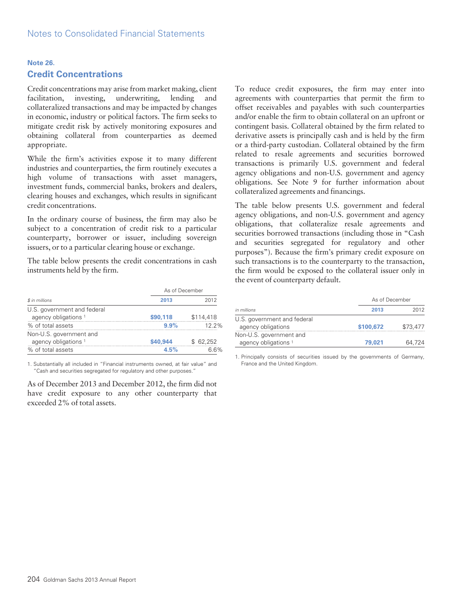### **Note 26. Credit Concentrations**

Credit concentrations may arise from market making, client facilitation, investing, underwriting, lending and collateralized transactions and may be impacted by changes in economic, industry or political factors. The firm seeks to mitigate credit risk by actively monitoring exposures and obtaining collateral from counterparties as deemed appropriate.

While the firm's activities expose it to many different industries and counterparties, the firm routinely executes a high volume of transactions with asset managers, investment funds, commercial banks, brokers and dealers, clearing houses and exchanges, which results in significant credit concentrations.

In the ordinary course of business, the firm may also be subject to a concentration of credit risk to a particular counterparty, borrower or issuer, including sovereign issuers, or to a particular clearing house or exchange.

The table below presents the credit concentrations in cash instruments held by the firm.

|                                 | As of December |           |  |  |
|---------------------------------|----------------|-----------|--|--|
| \$ in millions                  | 2013           | 2012      |  |  |
| U.S. government and federal     |                |           |  |  |
| agency obligations <sup>1</sup> | \$90,118       | \$114,418 |  |  |
| % of total assets               | 9.9%           | $12.2\%$  |  |  |
| Non-U.S. government and         |                |           |  |  |
| agency obligations <sup>1</sup> | \$40,944       | \$62,252  |  |  |
| % of total assets               | 4.5%           | 66%       |  |  |

1. Substantially all included in "Financial instruments owned, at fair value" and "Cash and securities segregated for regulatory and other purposes."

As of December 2013 and December 2012, the firm did not have credit exposure to any other counterparty that exceeded 2% of total assets.

To reduce credit exposures, the firm may enter into agreements with counterparties that permit the firm to offset receivables and payables with such counterparties and/or enable the firm to obtain collateral on an upfront or contingent basis. Collateral obtained by the firm related to derivative assets is principally cash and is held by the firm or a third-party custodian. Collateral obtained by the firm related to resale agreements and securities borrowed transactions is primarily U.S. government and federal agency obligations and non-U.S. government and agency obligations. See Note 9 for further information about collateralized agreements and financings.

The table below presents U.S. government and federal agency obligations, and non-U.S. government and agency obligations, that collateralize resale agreements and securities borrowed transactions (including those in "Cash and securities segregated for regulatory and other purposes"). Because the firm's primary credit exposure on such transactions is to the counterparty to the transaction, the firm would be exposed to the collateral issuer only in the event of counterparty default.

|                                                            | As of December |          |  |  |
|------------------------------------------------------------|----------------|----------|--|--|
| in millions                                                | 2013           | 2012     |  |  |
| U.S. government and federal<br>agency obligations          | \$100,672      | \$73,477 |  |  |
| Non-U.S. government and<br>agency obligations <sup>1</sup> | 79.021         | 64,724   |  |  |

1. Principally consists of securities issued by the governments of Germany, France and the United Kingdom.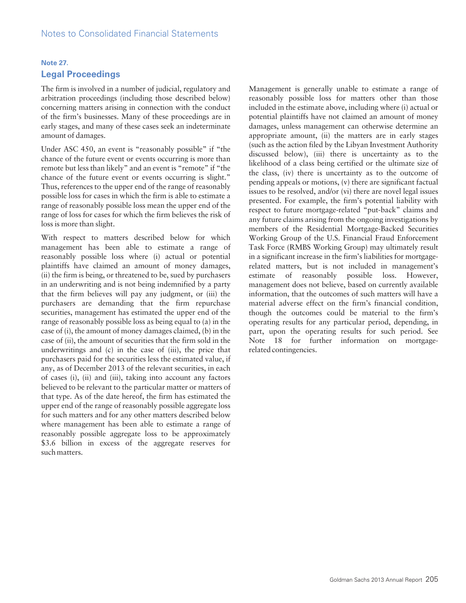## **Note 27. Legal Proceedings**

The firm is involved in a number of judicial, regulatory and arbitration proceedings (including those described below) concerning matters arising in connection with the conduct of the firm's businesses. Many of these proceedings are in early stages, and many of these cases seek an indeterminate amount of damages.

Under ASC 450, an event is "reasonably possible" if "the chance of the future event or events occurring is more than remote but less than likely" and an event is "remote" if "the chance of the future event or events occurring is slight." Thus, references to the upper end of the range of reasonably possible loss for cases in which the firm is able to estimate a range of reasonably possible loss mean the upper end of the range of loss for cases for which the firm believes the risk of loss is more than slight.

With respect to matters described below for which management has been able to estimate a range of reasonably possible loss where (i) actual or potential plaintiffs have claimed an amount of money damages, (ii) the firm is being, or threatened to be, sued by purchasers in an underwriting and is not being indemnified by a party that the firm believes will pay any judgment, or (iii) the purchasers are demanding that the firm repurchase securities, management has estimated the upper end of the range of reasonably possible loss as being equal to (a) in the case of (i), the amount of money damages claimed, (b) in the case of (ii), the amount of securities that the firm sold in the underwritings and (c) in the case of (iii), the price that purchasers paid for the securities less the estimated value, if any, as of December 2013 of the relevant securities, in each of cases (i), (ii) and (iii), taking into account any factors believed to be relevant to the particular matter or matters of that type. As of the date hereof, the firm has estimated the upper end of the range of reasonably possible aggregate loss for such matters and for any other matters described below where management has been able to estimate a range of reasonably possible aggregate loss to be approximately \$3.6 billion in excess of the aggregate reserves for such matters.

Management is generally unable to estimate a range of reasonably possible loss for matters other than those included in the estimate above, including where (i) actual or potential plaintiffs have not claimed an amount of money damages, unless management can otherwise determine an appropriate amount, (ii) the matters are in early stages (such as the action filed by the Libyan Investment Authority discussed below), (iii) there is uncertainty as to the likelihood of a class being certified or the ultimate size of the class, (iv) there is uncertainty as to the outcome of pending appeals or motions, (v) there are significant factual issues to be resolved, and/or (vi) there are novel legal issues presented. For example, the firm's potential liability with respect to future mortgage-related "put-back" claims and any future claims arising from the ongoing investigations by members of the Residential Mortgage-Backed Securities Working Group of the U.S. Financial Fraud Enforcement Task Force (RMBS Working Group) may ultimately result in a significant increase in the firm's liabilities for mortgagerelated matters, but is not included in management's estimate of reasonably possible loss. However, management does not believe, based on currently available information, that the outcomes of such matters will have a material adverse effect on the firm's financial condition, though the outcomes could be material to the firm's operating results for any particular period, depending, in part, upon the operating results for such period. See Note 18 for further information on mortgagerelated contingencies.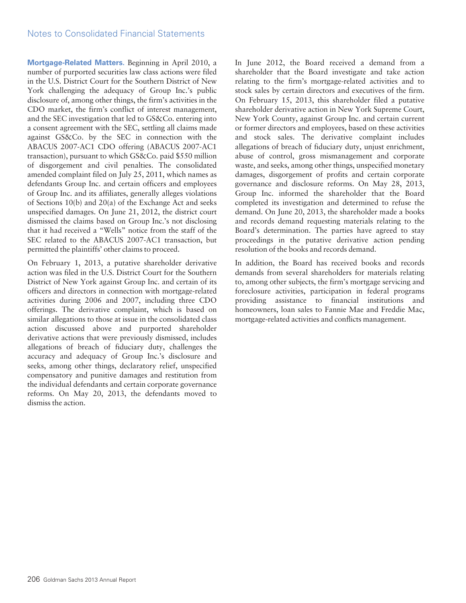### Notes to Consolidated Financial Statements

**Mortgage-Related Matters.** Beginning in April 2010, a number of purported securities law class actions were filed in the U.S. District Court for the Southern District of New York challenging the adequacy of Group Inc.'s public disclosure of, among other things, the firm's activities in the CDO market, the firm's conflict of interest management, and the SEC investigation that led to GS&Co. entering into a consent agreement with the SEC, settling all claims made against GS&Co. by the SEC in connection with the ABACUS 2007-AC1 CDO offering (ABACUS 2007-AC1 transaction), pursuant to which GS&Co. paid \$550 million of disgorgement and civil penalties. The consolidated amended complaint filed on July 25, 2011, which names as defendants Group Inc. and certain officers and employees of Group Inc. and its affiliates, generally alleges violations of Sections 10(b) and 20(a) of the Exchange Act and seeks unspecified damages. On June 21, 2012, the district court dismissed the claims based on Group Inc.'s not disclosing that it had received a "Wells" notice from the staff of the SEC related to the ABACUS 2007-AC1 transaction, but permitted the plaintiffs' other claims to proceed.

On February 1, 2013, a putative shareholder derivative action was filed in the U.S. District Court for the Southern District of New York against Group Inc. and certain of its officers and directors in connection with mortgage-related activities during 2006 and 2007, including three CDO offerings. The derivative complaint, which is based on similar allegations to those at issue in the consolidated class action discussed above and purported shareholder derivative actions that were previously dismissed, includes allegations of breach of fiduciary duty, challenges the accuracy and adequacy of Group Inc.'s disclosure and seeks, among other things, declaratory relief, unspecified compensatory and punitive damages and restitution from the individual defendants and certain corporate governance reforms. On May 20, 2013, the defendants moved to dismiss the action.

In June 2012, the Board received a demand from a shareholder that the Board investigate and take action relating to the firm's mortgage-related activities and to stock sales by certain directors and executives of the firm. On February 15, 2013, this shareholder filed a putative shareholder derivative action in New York Supreme Court, New York County, against Group Inc. and certain current or former directors and employees, based on these activities and stock sales. The derivative complaint includes allegations of breach of fiduciary duty, unjust enrichment, abuse of control, gross mismanagement and corporate waste, and seeks, among other things, unspecified monetary damages, disgorgement of profits and certain corporate governance and disclosure reforms. On May 28, 2013, Group Inc. informed the shareholder that the Board completed its investigation and determined to refuse the demand. On June 20, 2013, the shareholder made a books and records demand requesting materials relating to the Board's determination. The parties have agreed to stay proceedings in the putative derivative action pending resolution of the books and records demand.

In addition, the Board has received books and records demands from several shareholders for materials relating to, among other subjects, the firm's mortgage servicing and foreclosure activities, participation in federal programs providing assistance to financial institutions and homeowners, loan sales to Fannie Mae and Freddie Mac, mortgage-related activities and conflicts management.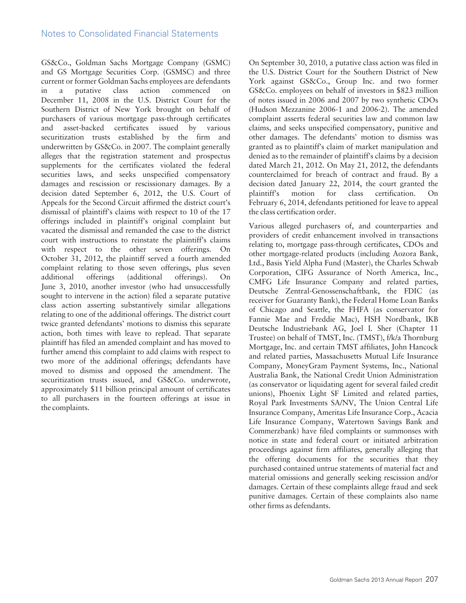GS&Co., Goldman Sachs Mortgage Company (GSMC) and GS Mortgage Securities Corp. (GSMSC) and three current or former Goldman Sachs employees are defendants in a putative class action commenced on December 11, 2008 in the U.S. District Court for the Southern District of New York brought on behalf of purchasers of various mortgage pass-through certificates and asset-backed certificates issued by various securitization trusts established by the firm and underwritten by GS&Co. in 2007. The complaint generally alleges that the registration statement and prospectus supplements for the certificates violated the federal securities laws, and seeks unspecified compensatory damages and rescission or rescissionary damages. By a decision dated September 6, 2012, the U.S. Court of Appeals for the Second Circuit affirmed the district court's dismissal of plaintiff's claims with respect to 10 of the 17 offerings included in plaintiff's original complaint but vacated the dismissal and remanded the case to the district court with instructions to reinstate the plaintiff's claims with respect to the other seven offerings. On October 31, 2012, the plaintiff served a fourth amended complaint relating to those seven offerings, plus seven additional offerings (additional offerings). On June 3, 2010, another investor (who had unsuccessfully sought to intervene in the action) filed a separate putative class action asserting substantively similar allegations relating to one of the additional offerings. The district court twice granted defendants' motions to dismiss this separate action, both times with leave to replead. That separate plaintiff has filed an amended complaint and has moved to further amend this complaint to add claims with respect to two more of the additional offerings; defendants have moved to dismiss and opposed the amendment. The securitization trusts issued, and GS&Co. underwrote, approximately \$11 billion principal amount of certificates to all purchasers in the fourteen offerings at issue in the complaints.

On September 30, 2010, a putative class action was filed in the U.S. District Court for the Southern District of New York against GS&Co., Group Inc. and two former GS&Co. employees on behalf of investors in \$823 million of notes issued in 2006 and 2007 by two synthetic CDOs (Hudson Mezzanine 2006-1 and 2006-2). The amended complaint asserts federal securities law and common law claims, and seeks unspecified compensatory, punitive and other damages. The defendants' motion to dismiss was granted as to plaintiff's claim of market manipulation and denied as to the remainder of plaintiff's claims by a decision dated March 21, 2012. On May 21, 2012, the defendants counterclaimed for breach of contract and fraud. By a decision dated January 22, 2014, the court granted the plaintiff's motion for class certification. On February 6, 2014, defendants petitioned for leave to appeal the class certification order.

Various alleged purchasers of, and counterparties and providers of credit enhancement involved in transactions relating to, mortgage pass-through certificates, CDOs and other mortgage-related products (including Aozora Bank, Ltd., Basis Yield Alpha Fund (Master), the Charles Schwab Corporation, CIFG Assurance of North America, Inc., CMFG Life Insurance Company and related parties, Deutsche Zentral-Genossenschaftbank, the FDIC (as receiver for Guaranty Bank), the Federal Home Loan Banks of Chicago and Seattle, the FHFA (as conservator for Fannie Mae and Freddie Mac), HSH Nordbank, IKB Deutsche Industriebank AG, Joel I. Sher (Chapter 11 Trustee) on behalf of TMST, Inc. (TMST), f/k/a Thornburg Mortgage, Inc. and certain TMST affiliates, John Hancock and related parties, Massachusetts Mutual Life Insurance Company, MoneyGram Payment Systems, Inc., National Australia Bank, the National Credit Union Administration (as conservator or liquidating agent for several failed credit unions), Phoenix Light SF Limited and related parties, Royal Park Investments SA/NV, The Union Central Life Insurance Company, Ameritas Life Insurance Corp., Acacia Life Insurance Company, Watertown Savings Bank and Commerzbank) have filed complaints or summonses with notice in state and federal court or initiated arbitration proceedings against firm affiliates, generally alleging that the offering documents for the securities that they purchased contained untrue statements of material fact and material omissions and generally seeking rescission and/or damages. Certain of these complaints allege fraud and seek punitive damages. Certain of these complaints also name other firms as defendants.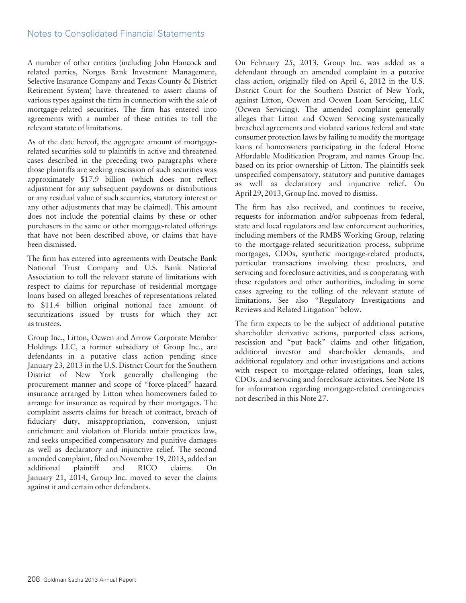A number of other entities (including John Hancock and related parties, Norges Bank Investment Management, Selective Insurance Company and Texas County & District Retirement System) have threatened to assert claims of various types against the firm in connection with the sale of mortgage-related securities. The firm has entered into agreements with a number of these entities to toll the relevant statute of limitations.

As of the date hereof, the aggregate amount of mortgagerelated securities sold to plaintiffs in active and threatened cases described in the preceding two paragraphs where those plaintiffs are seeking rescission of such securities was approximately \$17.9 billion (which does not reflect adjustment for any subsequent paydowns or distributions or any residual value of such securities, statutory interest or any other adjustments that may be claimed). This amount does not include the potential claims by these or other purchasers in the same or other mortgage-related offerings that have not been described above, or claims that have been dismissed.

The firm has entered into agreements with Deutsche Bank National Trust Company and U.S. Bank National Association to toll the relevant statute of limitations with respect to claims for repurchase of residential mortgage loans based on alleged breaches of representations related to \$11.4 billion original notional face amount of securitizations issued by trusts for which they act as trustees.

Group Inc., Litton, Ocwen and Arrow Corporate Member Holdings LLC, a former subsidiary of Group Inc., are defendants in a putative class action pending since January 23, 2013 in the U.S. District Court for the Southern District of New York generally challenging the procurement manner and scope of "force-placed" hazard insurance arranged by Litton when homeowners failed to arrange for insurance as required by their mortgages. The complaint asserts claims for breach of contract, breach of fiduciary duty, misappropriation, conversion, unjust enrichment and violation of Florida unfair practices law, and seeks unspecified compensatory and punitive damages as well as declaratory and injunctive relief. The second amended complaint, filed on November 19, 2013, added an additional plaintiff and RICO claims. On January 21, 2014, Group Inc. moved to sever the claims against it and certain other defendants.

On February 25, 2013, Group Inc. was added as a defendant through an amended complaint in a putative class action, originally filed on April 6, 2012 in the U.S. District Court for the Southern District of New York, against Litton, Ocwen and Ocwen Loan Servicing, LLC (Ocwen Servicing). The amended complaint generally alleges that Litton and Ocwen Servicing systematically breached agreements and violated various federal and state consumer protection laws by failing to modify the mortgage loans of homeowners participating in the federal Home Affordable Modification Program, and names Group Inc. based on its prior ownership of Litton. The plaintiffs seek unspecified compensatory, statutory and punitive damages as well as declaratory and injunctive relief. On April 29, 2013, Group Inc. moved to dismiss.

The firm has also received, and continues to receive, requests for information and/or subpoenas from federal, state and local regulators and law enforcement authorities, including members of the RMBS Working Group, relating to the mortgage-related securitization process, subprime mortgages, CDOs, synthetic mortgage-related products, particular transactions involving these products, and servicing and foreclosure activities, and is cooperating with these regulators and other authorities, including in some cases agreeing to the tolling of the relevant statute of limitations. See also "Regulatory Investigations and Reviews and Related Litigation" below.

The firm expects to be the subject of additional putative shareholder derivative actions, purported class actions, rescission and "put back" claims and other litigation, additional investor and shareholder demands, and additional regulatory and other investigations and actions with respect to mortgage-related offerings, loan sales, CDOs, and servicing and foreclosure activities. See Note 18 for information regarding mortgage-related contingencies not described in this Note 27.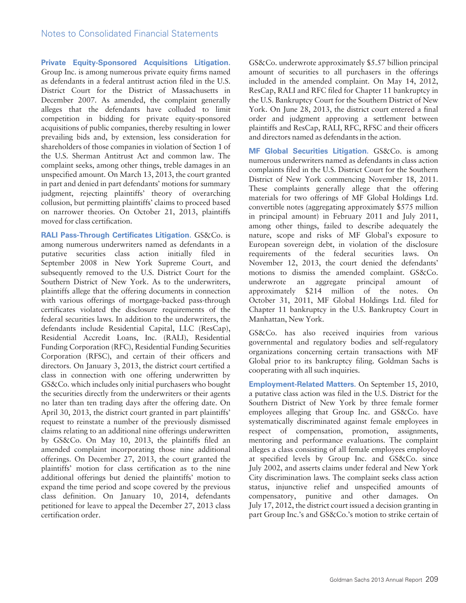**Private Equity-Sponsored Acquisitions Litigation.** Group Inc. is among numerous private equity firms named as defendants in a federal antitrust action filed in the U.S. District Court for the District of Massachusetts in December 2007. As amended, the complaint generally alleges that the defendants have colluded to limit competition in bidding for private equity-sponsored acquisitions of public companies, thereby resulting in lower prevailing bids and, by extension, less consideration for shareholders of those companies in violation of Section 1 of the U.S. Sherman Antitrust Act and common law. The complaint seeks, among other things, treble damages in an unspecified amount. On March 13, 2013, the court granted in part and denied in part defendants' motions for summary judgment, rejecting plaintiffs' theory of overarching collusion, but permitting plaintiffs' claims to proceed based on narrower theories. On October 21, 2013, plaintiffs moved for class certification.

**RALI Pass-Through Certificates Litigation.** GS&Co. is among numerous underwriters named as defendants in a putative securities class action initially filed in September 2008 in New York Supreme Court, and subsequently removed to the U.S. District Court for the Southern District of New York. As to the underwriters, plaintiffs allege that the offering documents in connection with various offerings of mortgage-backed pass-through certificates violated the disclosure requirements of the federal securities laws. In addition to the underwriters, the defendants include Residential Capital, LLC (ResCap), Residential Accredit Loans, Inc. (RALI), Residential Funding Corporation (RFC), Residential Funding Securities Corporation (RFSC), and certain of their officers and directors. On January 3, 2013, the district court certified a class in connection with one offering underwritten by GS&Co. which includes only initial purchasers who bought the securities directly from the underwriters or their agents no later than ten trading days after the offering date. On April 30, 2013, the district court granted in part plaintiffs' request to reinstate a number of the previously dismissed claims relating to an additional nine offerings underwritten by GS&Co. On May 10, 2013, the plaintiffs filed an amended complaint incorporating those nine additional offerings. On December 27, 2013, the court granted the plaintiffs' motion for class certification as to the nine additional offerings but denied the plaintiffs' motion to expand the time period and scope covered by the previous class definition. On January 10, 2014, defendants petitioned for leave to appeal the December 27, 2013 class certification order.

GS&Co. underwrote approximately \$5.57 billion principal amount of securities to all purchasers in the offerings included in the amended complaint. On May 14, 2012, ResCap, RALI and RFC filed for Chapter 11 bankruptcy in the U.S. Bankruptcy Court for the Southern District of New York. On June 28, 2013, the district court entered a final order and judgment approving a settlement between plaintiffs and ResCap, RALI, RFC, RFSC and their officers and directors named as defendants in the action.

**MF Global Securities Litigation.** GS&Co. is among numerous underwriters named as defendants in class action complaints filed in the U.S. District Court for the Southern District of New York commencing November 18, 2011. These complaints generally allege that the offering materials for two offerings of MF Global Holdings Ltd. convertible notes (aggregating approximately \$575 million in principal amount) in February 2011 and July 2011, among other things, failed to describe adequately the nature, scope and risks of MF Global's exposure to European sovereign debt, in violation of the disclosure requirements of the federal securities laws. On November 12, 2013, the court denied the defendants' motions to dismiss the amended complaint. GS&Co. underwrote an aggregate principal amount of approximately \$214 million of the notes. On October 31, 2011, MF Global Holdings Ltd. filed for Chapter 11 bankruptcy in the U.S. Bankruptcy Court in Manhattan, New York.

GS&Co. has also received inquiries from various governmental and regulatory bodies and self-regulatory organizations concerning certain transactions with MF Global prior to its bankruptcy filing. Goldman Sachs is cooperating with all such inquiries.

**Employment-Related Matters.** On September 15, 2010, a putative class action was filed in the U.S. District for the Southern District of New York by three female former employees alleging that Group Inc. and GS&Co. have systematically discriminated against female employees in respect of compensation, promotion, assignments, mentoring and performance evaluations. The complaint alleges a class consisting of all female employees employed at specified levels by Group Inc. and GS&Co. since July 2002, and asserts claims under federal and New York City discrimination laws. The complaint seeks class action status, injunctive relief and unspecified amounts of compensatory, punitive and other damages. On July 17, 2012, the district court issued a decision granting in part Group Inc.'s and GS&Co.'s motion to strike certain of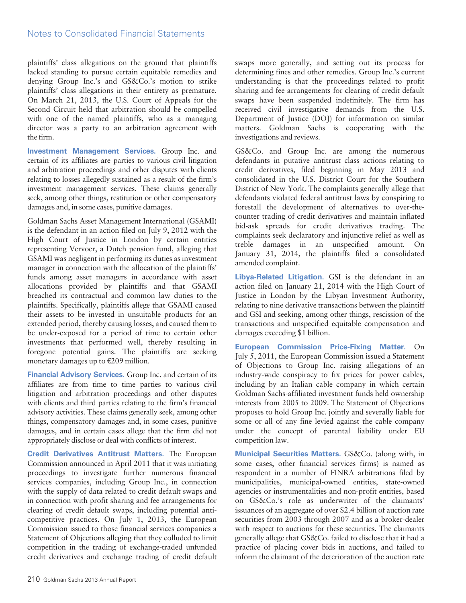### Notes to Consolidated Financial Statements

plaintiffs' class allegations on the ground that plaintiffs lacked standing to pursue certain equitable remedies and denying Group Inc.'s and GS&Co.'s motion to strike plaintiffs' class allegations in their entirety as premature. On March 21, 2013, the U.S. Court of Appeals for the Second Circuit held that arbitration should be compelled with one of the named plaintiffs, who as a managing director was a party to an arbitration agreement with the firm.

**Investment Management Services.** Group Inc. and certain of its affiliates are parties to various civil litigation and arbitration proceedings and other disputes with clients relating to losses allegedly sustained as a result of the firm's investment management services. These claims generally seek, among other things, restitution or other compensatory damages and, in some cases, punitive damages.

Goldman Sachs Asset Management International (GSAMI) is the defendant in an action filed on July 9, 2012 with the High Court of Justice in London by certain entities representing Vervoer, a Dutch pension fund, alleging that GSAMI was negligent in performing its duties as investment manager in connection with the allocation of the plaintiffs' funds among asset managers in accordance with asset allocations provided by plaintiffs and that GSAMI breached its contractual and common law duties to the plaintiffs. Specifically, plaintiffs allege that GSAMI caused their assets to be invested in unsuitable products for an extended period, thereby causing losses, and caused them to be under-exposed for a period of time to certain other investments that performed well, thereby resulting in foregone potential gains. The plaintiffs are seeking monetary damages up to €209 million.

**Financial Advisory Services.** Group Inc. and certain of its affiliates are from time to time parties to various civil litigation and arbitration proceedings and other disputes with clients and third parties relating to the firm's financial advisory activities. These claims generally seek, among other things, compensatory damages and, in some cases, punitive damages, and in certain cases allege that the firm did not appropriately disclose or deal with conflicts of interest.

**Credit Derivatives Antitrust Matters.** The European Commission announced in April 2011 that it was initiating proceedings to investigate further numerous financial services companies, including Group Inc., in connection with the supply of data related to credit default swaps and in connection with profit sharing and fee arrangements for clearing of credit default swaps, including potential anticompetitive practices. On July 1, 2013, the European Commission issued to those financial services companies a Statement of Objections alleging that they colluded to limit competition in the trading of exchange-traded unfunded credit derivatives and exchange trading of credit default

swaps more generally, and setting out its process for determining fines and other remedies. Group Inc.'s current understanding is that the proceedings related to profit sharing and fee arrangements for clearing of credit default swaps have been suspended indefinitely. The firm has received civil investigative demands from the U.S. Department of Justice (DOJ) for information on similar matters. Goldman Sachs is cooperating with the investigations and reviews.

GS&Co. and Group Inc. are among the numerous defendants in putative antitrust class actions relating to credit derivatives, filed beginning in May 2013 and consolidated in the U.S. District Court for the Southern District of New York. The complaints generally allege that defendants violated federal antitrust laws by conspiring to forestall the development of alternatives to over-thecounter trading of credit derivatives and maintain inflated bid-ask spreads for credit derivatives trading. The complaints seek declaratory and injunctive relief as well as treble damages in an unspecified amount. On January 31, 2014, the plaintiffs filed a consolidated amended complaint.

**Libya-Related Litigation.** GSI is the defendant in an action filed on January 21, 2014 with the High Court of Justice in London by the Libyan Investment Authority, relating to nine derivative transactions between the plaintiff and GSI and seeking, among other things, rescission of the transactions and unspecified equitable compensation and damages exceeding \$1 billion.

**European Commission Price-Fixing Matter.** On July 5, 2011, the European Commission issued a Statement of Objections to Group Inc. raising allegations of an industry-wide conspiracy to fix prices for power cables, including by an Italian cable company in which certain Goldman Sachs-affiliated investment funds held ownership interests from 2005 to 2009. The Statement of Objections proposes to hold Group Inc. jointly and severally liable for some or all of any fine levied against the cable company under the concept of parental liability under EU competition law.

**Municipal Securities Matters.** GS&Co. (along with, in some cases, other financial services firms) is named as respondent in a number of FINRA arbitrations filed by municipalities, municipal-owned entities, state-owned agencies or instrumentalities and non-profit entities, based on GS&Co.'s role as underwriter of the claimants' issuances of an aggregate of over \$2.4 billion of auction rate securities from 2003 through 2007 and as a broker-dealer with respect to auctions for these securities. The claimants generally allege that GS&Co. failed to disclose that it had a practice of placing cover bids in auctions, and failed to inform the claimant of the deterioration of the auction rate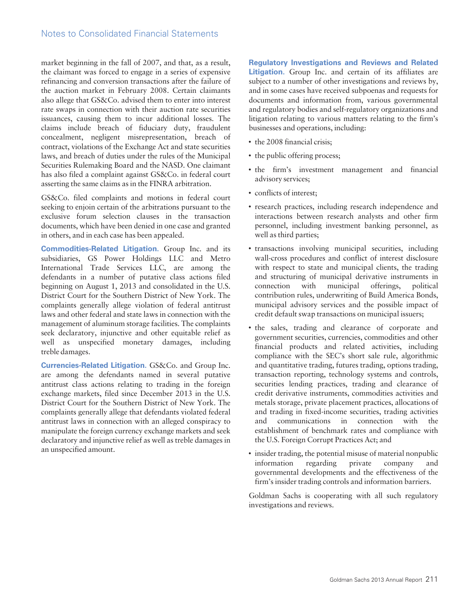market beginning in the fall of 2007, and that, as a result, the claimant was forced to engage in a series of expensive refinancing and conversion transactions after the failure of the auction market in February 2008. Certain claimants also allege that GS&Co. advised them to enter into interest rate swaps in connection with their auction rate securities issuances, causing them to incur additional losses. The claims include breach of fiduciary duty, fraudulent concealment, negligent misrepresentation, breach of contract, violations of the Exchange Act and state securities laws, and breach of duties under the rules of the Municipal Securities Rulemaking Board and the NASD. One claimant has also filed a complaint against GS&Co. in federal court asserting the same claims as in the FINRA arbitration.

GS&Co. filed complaints and motions in federal court seeking to enjoin certain of the arbitrations pursuant to the exclusive forum selection clauses in the transaction documents, which have been denied in one case and granted in others, and in each case has been appealed.

**Commodities-Related Litigation.** Group Inc. and its subsidiaries, GS Power Holdings LLC and Metro International Trade Services LLC, are among the defendants in a number of putative class actions filed beginning on August 1, 2013 and consolidated in the U.S. District Court for the Southern District of New York. The complaints generally allege violation of federal antitrust laws and other federal and state laws in connection with the management of aluminum storage facilities. The complaints seek declaratory, injunctive and other equitable relief as well as unspecified monetary damages, including treble damages.

**Currencies-Related Litigation.** GS&Co. and Group Inc. are among the defendants named in several putative antitrust class actions relating to trading in the foreign exchange markets, filed since December 2013 in the U.S. District Court for the Southern District of New York. The complaints generally allege that defendants violated federal antitrust laws in connection with an alleged conspiracy to manipulate the foreign currency exchange markets and seek declaratory and injunctive relief as well as treble damages in an unspecified amount.

**Regulatory Investigations and Reviews and Related** Litigation. Group Inc. and certain of its affiliates are subject to a number of other investigations and reviews by, and in some cases have received subpoenas and requests for documents and information from, various governmental and regulatory bodies and self-regulatory organizations and litigation relating to various matters relating to the firm's businesses and operations, including:

- the 2008 financial crisis;
- the public offering process;
- the firm's investment management and financial advisory services;
- conflicts of interest;
- ‰ research practices, including research independence and interactions between research analysts and other firm personnel, including investment banking personnel, as well as third parties;
- transactions involving municipal securities, including wall-cross procedures and conflict of interest disclosure with respect to state and municipal clients, the trading and structuring of municipal derivative instruments in connection with municipal offerings, political contribution rules, underwriting of Build America Bonds, municipal advisory services and the possible impact of credit default swap transactions on municipal issuers;
- the sales, trading and clearance of corporate and government securities, currencies, commodities and other financial products and related activities, including compliance with the SEC's short sale rule, algorithmic and quantitative trading, futures trading, options trading, transaction reporting, technology systems and controls, securities lending practices, trading and clearance of credit derivative instruments, commodities activities and metals storage, private placement practices, allocations of and trading in fixed-income securities, trading activities and communications in connection with the establishment of benchmark rates and compliance with the U.S. Foreign Corrupt Practices Act; and
- insider trading, the potential misuse of material nonpublic information regarding private company and governmental developments and the effectiveness of the firm's insider trading controls and information barriers.

Goldman Sachs is cooperating with all such regulatory investigations and reviews.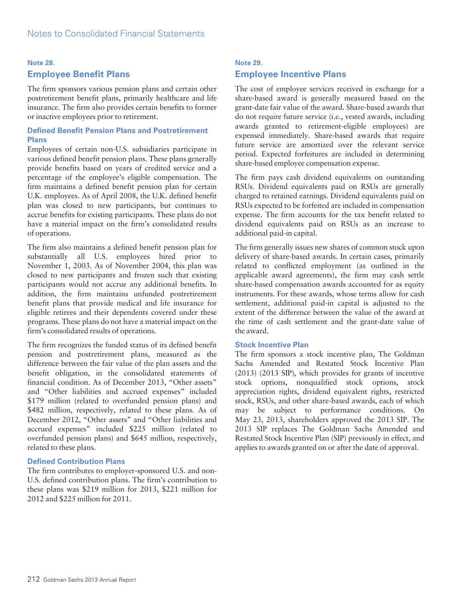# **Note 28. Employee Benefit Plans**

The firm sponsors various pension plans and certain other postretirement benefit plans, primarily healthcare and life insurance. The firm also provides certain benefits to former or inactive employees prior to retirement.

## **Defined Benefit Pension Plans and Postretirement Plans**

Employees of certain non-U.S. subsidiaries participate in various defined benefit pension plans. These plans generally provide benefits based on years of credited service and a percentage of the employee's eligible compensation. The firm maintains a defined benefit pension plan for certain U.K. employees. As of April 2008, the U.K. defined benefit plan was closed to new participants, but continues to accrue benefits for existing participants. These plans do not have a material impact on the firm's consolidated results of operations.

The firm also maintains a defined benefit pension plan for substantially all U.S. employees hired prior to November 1, 2003. As of November 2004, this plan was closed to new participants and frozen such that existing participants would not accrue any additional benefits. In addition, the firm maintains unfunded postretirement benefit plans that provide medical and life insurance for eligible retirees and their dependents covered under these programs. These plans do not have a material impact on the firm's consolidated results of operations.

The firm recognizes the funded status of its defined benefit pension and postretirement plans, measured as the difference between the fair value of the plan assets and the benefit obligation, in the consolidated statements of financial condition. As of December 2013, "Other assets" and "Other liabilities and accrued expenses" included \$179 million (related to overfunded pension plans) and \$482 million, respectively, related to these plans. As of December 2012, "Other assets" and "Other liabilities and accrued expenses" included \$225 million (related to overfunded pension plans) and \$645 million, respectively, related to these plans.

## **Defined Contribution Plans**

The firm contributes to employer-sponsored U.S. and non-U.S. defined contribution plans. The firm's contribution to these plans was \$219 million for 2013, \$221 million for 2012 and \$225 million for 2011.

# **Note 29. Employee Incentive Plans**

The cost of employee services received in exchange for a share-based award is generally measured based on the grant-date fair value of the award. Share-based awards that do not require future service (i.e., vested awards, including awards granted to retirement-eligible employees) are expensed immediately. Share-based awards that require future service are amortized over the relevant service period. Expected forfeitures are included in determining share-based employee compensation expense.

The firm pays cash dividend equivalents on outstanding RSUs. Dividend equivalents paid on RSUs are generally charged to retained earnings. Dividend equivalents paid on RSUs expected to be forfeited are included in compensation expense. The firm accounts for the tax benefit related to dividend equivalents paid on RSUs as an increase to additional paid-in capital.

The firm generally issues new shares of common stock upon delivery of share-based awards. In certain cases, primarily related to conflicted employment (as outlined in the applicable award agreements), the firm may cash settle share-based compensation awards accounted for as equity instruments. For these awards, whose terms allow for cash settlement, additional paid-in capital is adjusted to the extent of the difference between the value of the award at the time of cash settlement and the grant-date value of the award.

### **Stock Incentive Plan**

The firm sponsors a stock incentive plan, The Goldman Sachs Amended and Restated Stock Incentive Plan (2013) (2013 SIP), which provides for grants of incentive stock options, nonqualified stock options, stock appreciation rights, dividend equivalent rights, restricted stock, RSUs, and other share-based awards, each of which may be subject to performance conditions. On May 23, 2013, shareholders approved the 2013 SIP. The 2013 SIP replaces The Goldman Sachs Amended and Restated Stock Incentive Plan (SIP) previously in effect, and applies to awards granted on or after the date of approval.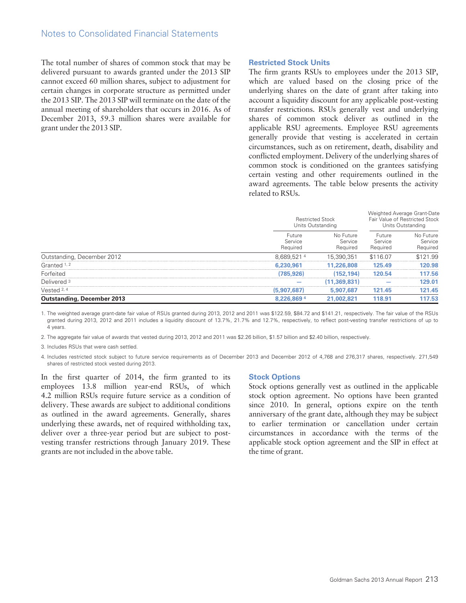The total number of shares of common stock that may be delivered pursuant to awards granted under the 2013 SIP cannot exceed 60 million shares, subject to adjustment for certain changes in corporate structure as permitted under the 2013 SIP. The 2013 SIP will terminate on the date of the annual meeting of shareholders that occurs in 2016. As of December 2013, 59.3 million shares were available for grant under the 2013 SIP.

#### **Restricted Stock Units**

The firm grants RSUs to employees under the 2013 SIP, which are valued based on the closing price of the underlying shares on the date of grant after taking into account a liquidity discount for any applicable post-vesting transfer restrictions. RSUs generally vest and underlying shares of common stock deliver as outlined in the applicable RSU agreements. Employee RSU agreements generally provide that vesting is accelerated in certain circumstances, such as on retirement, death, disability and conflicted employment. Delivery of the underlying shares of common stock is conditioned on the grantees satisfying certain vesting and other requirements outlined in the award agreements. The table below presents the activity related to RSUs.

|                            | <b>Restricted Stock</b><br>Units Outstanding |                                  | Weighted Average Grant-Date<br>Fair Value of Restricted Stock<br>Units Outstanding |                                  |
|----------------------------|----------------------------------------------|----------------------------------|------------------------------------------------------------------------------------|----------------------------------|
|                            | Future<br>Service<br>Required                | No Future<br>Service<br>Required | Future<br>Service<br>Required                                                      | No Future<br>Service<br>Required |
| Outstanding, December 2012 | 8 689 521 4                                  | 15.390.351                       | \$116 07                                                                           | \$121.99                         |
| Granted 1, 2               | 0 961                                        | 226.808                          | 125 49                                                                             | 20.98                            |
| Forfeited                  | 785.926                                      | 152.194                          | 120 54                                                                             | 17.56                            |
| Delivered <sup>3</sup>     |                                              | 11.369.831)                      |                                                                                    | 29.01                            |
| Vested 2, 4                | (5.907.687)                                  | 5.907.687                        | 121.45                                                                             | 21.45                            |
| Outstanding, December 2013 |                                              | 21.002.821                       | 118.91                                                                             | 117.53                           |

1. The weighted average grant-date fair value of RSUs granted during 2013, 2012 and 2011 was \$122.59, \$84.72 and \$141.21, respectively. The fair value of the RSUs granted during 2013, 2012 and 2011 includes a liquidity discount of 13.7%, 21.7% and 12.7%, respectively, to reflect post-vesting transfer restrictions of up to 4 years.

2. The aggregate fair value of awards that vested during 2013, 2012 and 2011 was \$2.26 billion, \$1.57 billion and \$2.40 billion, respectively.

3. Includes RSUs that were cash settled.

4. Includes restricted stock subject to future service requirements as of December 2013 and December 2012 of 4,768 and 276,317 shares, respectively. 271,549 shares of restricted stock vested during 2013.

In the first quarter of 2014, the firm granted to its employees 13.8 million year-end RSUs, of which 4.2 million RSUs require future service as a condition of delivery. These awards are subject to additional conditions as outlined in the award agreements. Generally, shares underlying these awards, net of required withholding tax, deliver over a three-year period but are subject to postvesting transfer restrictions through January 2019. These grants are not included in the above table.

### **Stock Options**

Stock options generally vest as outlined in the applicable stock option agreement. No options have been granted since 2010. In general, options expire on the tenth anniversary of the grant date, although they may be subject to earlier termination or cancellation under certain circumstances in accordance with the terms of the applicable stock option agreement and the SIP in effect at the time of grant.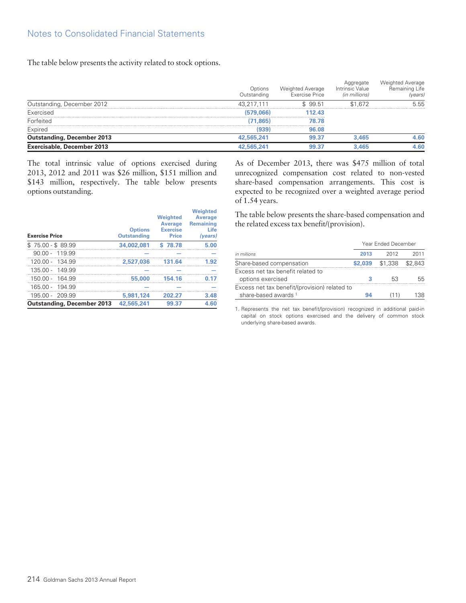# Notes to Consolidated Financial Statements

The table below presents the activity related to stock options.

|                                   | Options<br>Outstanding | Weighted Average<br><b>Exercise Price</b> | Aqqreqate<br>Intrinsic Value<br>(in millions) | <b>Weighted Average</b><br>Remaining Life<br>vears) |
|-----------------------------------|------------------------|-------------------------------------------|-----------------------------------------------|-----------------------------------------------------|
| Outstanding, December 2012        | 43.217.111             | \$99.51                                   | \$1.672                                       | 5.55                                                |
| Exercised                         | 79 በ66                 | 112.43                                    |                                               |                                                     |
| Forfeited                         | 71.865                 | 78.78                                     |                                               |                                                     |
| Expired                           | 1939                   | .<br><br>96.08                            |                                               |                                                     |
| <b>Outstanding, December 2013</b> | 42,565,241             | 99.37                                     | 3.465                                         | 4.60                                                |
| <b>Exercisable, December 2013</b> |                        | 99.37                                     | 3.465                                         | 4.60                                                |

The total intrinsic value of options exercised during 2013, 2012 and 2011 was \$26 million, \$151 million and \$143 million, respectively. The table below presents options outstanding.

| <b>Exercise Price</b>             | <b>Options</b><br><b>Outstanding</b> | Weighted<br><b>Average</b><br><b>Exercise</b><br><b>Price</b> | <b>Weighted</b><br><b>Average</b><br><b>Remaining</b><br>Life<br>(years) |
|-----------------------------------|--------------------------------------|---------------------------------------------------------------|--------------------------------------------------------------------------|
| $$75.00 - $89.99$                 | 34,002,081                           | \$78.78                                                       | 5.00                                                                     |
| $90.00 - 119.99$                  |                                      |                                                               |                                                                          |
| 120.00 - 134.99                   | 2.527.036                            | 131.64                                                        | 1.92                                                                     |
| 135.00 - 149.99                   |                                      |                                                               |                                                                          |
| $150.00 -$<br>164.99              | 55,000                               | 154.16                                                        | 0.17                                                                     |
| $165.00 -$<br>194.99              |                                      |                                                               |                                                                          |
| 195.00 - 209.99                   | 5.981.124                            | 202.27                                                        | 3.48                                                                     |
| <b>Outstanding, December 2013</b> | 42,565,241                           | 99.37                                                         | 4.60                                                                     |

As of December 2013, there was \$475 million of total unrecognized compensation cost related to non-vested share-based compensation arrangements. This cost is expected to be recognized over a weighted average period of 1.54 years.

The table below presents the share-based compensation and the related excess tax benefit/(provision).

|                                                                                  | Year Ended December |         |         |  |
|----------------------------------------------------------------------------------|---------------------|---------|---------|--|
| in millions                                                                      | 2013                | 2012    | 2011    |  |
| Share-based compensation                                                         | \$2,039             | \$1,338 | \$2.843 |  |
| Excess net tax benefit related to<br>options exercised                           |                     | 53      | 55      |  |
| Excess net tax benefit/(provision) related to<br>share-based awards <sup>1</sup> | qд                  |         | 138     |  |

1. Represents the net tax benefit/(provision) recognized in additional paid-in capital on stock options exercised and the delivery of common stock underlying share-based awards.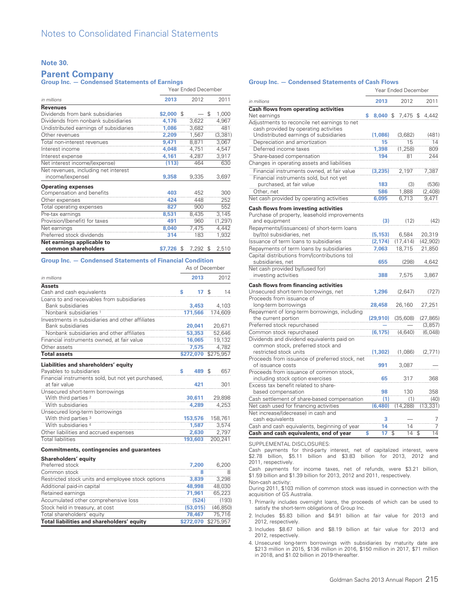#### **Note 30.**

#### **Parent Company**

**Group Inc. — Condensed Statements of Earnings**

|                                        | Year Ended December |       |   |          |
|----------------------------------------|---------------------|-------|---|----------|
| in millions                            | 2013                | 2012  |   | 2011     |
| <b>Revenues</b>                        |                     |       |   |          |
| Dividends from bank subsidiaries       | $$2,000$ \$         | — \$  |   | 1,000    |
| Dividends from nonbank subsidiaries    | 4,176               | 3,622 |   | 4,967    |
| Undistributed earnings of subsidiaries | 1,086               | 3,682 |   | 481      |
| Other revenues                         | 2,209               | 1,567 |   | (3, 381) |
| Total non-interest revenues            | 9,471               | 8,871 |   | 3,067    |
| Interest income                        | 4.048               | 4,751 |   | 4,547    |
| Interest expense                       | 4,161               | 4,287 |   | 3,917    |
| Net interest income/(expense)          | (113)               | 464   |   | 630      |
| Net revenues, including net interest   |                     |       |   |          |
| income/(expense)                       | 9,358               | 9,335 |   | 3,697    |
| <b>Operating expenses</b>              |                     |       |   |          |
| Compensation and benefits              | 403                 | 452   |   | 300      |
| Other expenses                         | 424                 | 448   |   | 252      |
| Total operating expenses               | 827                 | 900   |   | 552      |
| Pre-tax earnings                       | 8.531               | 8,435 |   | 3,145    |
| Provision/(benefit) for taxes          | 491                 | 960   |   | (1, 297) |
| Net earnings                           | 8,040               | 7,475 |   | 4,442    |
| Preferred stock dividends              | 314                 | 183   |   | 1,932    |
| Net earnings applicable to             |                     |       |   |          |
| common shareholders                    | \$7,726<br>S        | 7,292 | S | 2,510    |

#### **Group Inc. — Condensed Statements of Financial Condition**

|                                                    |      |           |  | As of December |  |
|----------------------------------------------------|------|-----------|--|----------------|--|
| in millions                                        | 2013 |           |  | 2012           |  |
| <b>Assets</b>                                      |      |           |  |                |  |
| Cash and cash equivalents                          | Ś    | 17S       |  | 14             |  |
| Loans to and receivables from subsidiaries         |      |           |  |                |  |
| <b>Bank subsidiaries</b>                           |      |           |  | 3,453 4,103    |  |
| Nonbank subsidiaries 1                             |      | 171,566   |  | 174,609        |  |
| Investments in subsidiaries and other affiliates   |      |           |  |                |  |
| Bank subsidiaries                                  |      | 20,041    |  | 20,671         |  |
| Nonbank subsidiaries and other affiliates          |      | 53,353    |  | 52,646         |  |
| Financial instruments owned, at fair value         |      |           |  | 16,065 19,132  |  |
| Other assets                                       |      | 7,575     |  | 4,782          |  |
| <b>Total assets</b>                                |      | \$272,070 |  | \$275,957      |  |
| Liabilities and shareholders' equity               |      |           |  |                |  |
| Payables to subsidiaries                           | s    | 489 \$    |  | 657            |  |
| Financial instruments sold, but not yet purchased, |      |           |  |                |  |
| at fair value                                      |      | 421       |  | 301            |  |
| Unsecured short-term borrowings                    |      |           |  |                |  |
| With third parties <sup>2</sup>                    |      | 30,611    |  | 29,898         |  |
| With subsidiaries                                  |      | 4,289     |  | 4,253          |  |
| Unsecured long-term borrowings                     |      |           |  |                |  |
| With third parties 3                               |      | 153,576   |  | 158,761        |  |
| With subsidiaries 4                                |      | 1,587     |  | 3,574          |  |
| Other liabilities and accrued expenses             |      | 2,630     |  | 2,797          |  |
| <b>Total liabilities</b>                           |      | 193,603   |  | 200,241        |  |
|                                                    |      |           |  |                |  |

#### **Commitments, contingencies and guarantees**

#### **Shareholders' equity**

| Sudienoluers equity<br>Preferred stock            | 7.200     | 6,200     |
|---------------------------------------------------|-----------|-----------|
| Common stock                                      | 8         |           |
| Restricted stock units and employee stock options | 3,839     | 3.298     |
| Additional paid-in capital                        | 48,998    | 48.030    |
| Retained earnings                                 | 71.961    | 65,223    |
| Accumulated other comprehensive loss              | (524)     | (193)     |
| Stock held in treasury, at cost                   | (53.015)  | (46.850)  |
| Total shareholders' equity                        | 78.467    | 75.716    |
| Total liabilities and shareholders' equity        | \$272,070 | \$275.957 |

#### **Group Inc. — Condensed Statements of Cash Flows**

|                                                | Year Ended December   |           |                       |
|------------------------------------------------|-----------------------|-----------|-----------------------|
| in millions                                    | 2013                  | 2012      | 2011                  |
| Cash flows from operating activities           |                       |           |                       |
| Net earnings                                   | 8.040 S<br>s          | 7,475 \$  | 4.442                 |
| Adjustments to reconcile net earnings to net   |                       |           |                       |
| cash provided by operating activities          |                       |           |                       |
| Undistributed earnings of subsidiaries         | (1,086)               | (3,682)   | (481)                 |
| Depreciation and amortization                  | 15                    | 15        | 14                    |
| Deferred income taxes                          | 1,398                 | (1, 258)  | 809                   |
| Share-based compensation                       | 194                   | 81        | 244                   |
| Changes in operating assets and liabilities    |                       |           |                       |
| Financial instruments owned, at fair value     | (3, 235)              | 2,197     | 7,387                 |
| Financial instruments sold, but not yet        |                       |           |                       |
| purchased, at fair value                       | 183                   | (3)       | (536)                 |
| Other, net                                     | 586                   | 1,888     | (2,408)               |
| Net cash provided by operating activities      | 6.095                 | 6.713     | 9.471                 |
| Cash flows from investing activities           |                       |           |                       |
| Purchase of property, leasehold improvements   |                       |           |                       |
| and equipment                                  | (3)                   | (12)      | (42)                  |
| Repayments/(issuances) of short-term loans     |                       |           |                       |
| by/(to) subsidiaries, net                      | (5, 153)              | 6,584     | 20,319                |
| Issuance of term loans to subsidiaries         | (2, 174)              | (17, 414) | (42, 902)             |
| Repayments of term loans by subsidiaries       | 7,063                 | 18,715    | 21,850                |
| Capital distributions from/(contributions to)  |                       |           |                       |
| subsidiaries, net                              | 655                   | (298)     | 4,642                 |
| Net cash provided by/(used for)                |                       |           |                       |
| investing activities                           | 388                   | 7,575     | 3,867                 |
| <b>Cash flows from financing activities</b>    |                       |           |                       |
| Unsecured short-term borrowings, net           | 1,296                 | (2,647)   | (727)                 |
| Proceeds from issuance of                      |                       |           |                       |
| long-term borrowings                           | 28,458                | 26,160    | 27,251                |
| Repayment of long-term borrowings, including   |                       |           |                       |
| the current portion                            | (29, 910)             | (35,608)  | (27, 865)             |
| Preferred stock repurchased                    |                       |           | (3,857)               |
| Common stock repurchased                       | (6, 175)              | (4,640)   | (6,048)               |
| Dividends and dividend equivalents paid on     |                       |           |                       |
| common stock, preferred stock and              |                       |           |                       |
| restricted stock units                         | (1, 302)              | (1,086)   | (2,771)               |
| Proceeds from issuance of preferred stock, net |                       |           |                       |
| of issuance costs                              | 991                   | 3,087     |                       |
| Proceeds from issuance of common stock,        |                       |           |                       |
| including stock option exercises               | 65                    | 317       | 368                   |
| Excess tax benefit related to share-           |                       |           |                       |
| based compensation                             | 98                    | 130       | 358                   |
| Cash settlement of share-based compensation    | (1)                   | (1)       | (40)                  |
| Net cash used for financing activities         | (6, 480)              | (14, 288) | (13, 331)             |
| Net increase/(decrease) in cash and            |                       |           |                       |
| cash equivalents                               | 3                     |           | 7                     |
| Cash and cash equivalents, beginning of year   | 14                    | 14        | 7                     |
| Cash and cash equivalents, end of year         | $\overline{17}$<br>\$ | 14<br>\$  | $\overline{14}$<br>\$ |

SUPPLEMENTAL DISCLOSURES:

Cash payments for third-party interest, net of capitalized interest, were \$2.78 billion, \$5.11 billion and \$3.83 billion for 2013, 2012 and 2011, respectively.

Cash payments for income taxes, net of refunds, were \$3.21 billion, \$1.59 billion and \$1.39 billion for 2013, 2012 and 2011, respectively. Non-cash activity:

During 2011, \$103 million of common stock was issued in connection with the acquisition of GS Australia.

1. Primarily includes overnight loans, the proceeds of which can be used to satisfy the short-term obligations of Group Inc.

2. Includes \$5.83 billion and \$4.91 billion at fair value for 2013 and 2012, respectively.

3. Includes \$8.67 billion and \$8.19 billion at fair value for 2013 and 2012, respectively.

4. Unsecured long-term borrowings with subsidiaries by maturity date are \$213 million in 2015, \$136 million in 2016, \$150 million in 2017, \$71 million in 2018, and \$1.02 billion in 2019-thereafter.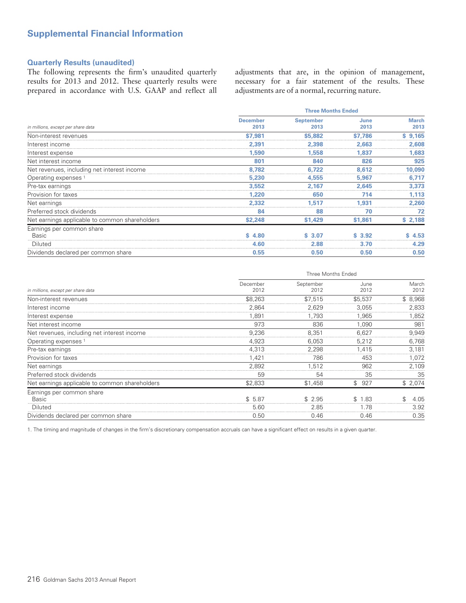## **Quarterly Results (unaudited)**

The following represents the firm's unaudited quarterly results for 2013 and 2012. These quarterly results were prepared in accordance with U.S. GAAP and reflect all adjustments that are, in the opinion of management, necessary for a fair statement of the results. These adjustments are of a normal, recurring nature.

|                                                |                         | Three Months Ended       |              |                      |
|------------------------------------------------|-------------------------|--------------------------|--------------|----------------------|
| in millions, except per share data             | <b>December</b><br>2013 | <b>September</b><br>2013 | June<br>2013 | <b>March</b><br>2013 |
| Non-interest revenues                          | \$7,981                 | \$5,882                  | \$7.786      | 9.165                |
| Interest income                                | 2,391                   | 2,398                    | 2,663        | 2.608                |
| Interest expense                               | 1,590                   | 1,558                    | 1.837        | 1,683                |
| Net interest income                            | 801                     | 840                      | 826          | 925                  |
| Net revenues, including net interest income    | 8,782                   | 6.722                    | 8,612        | 10,090               |
| Operating expenses 1                           | 5,230                   | 4,555                    | 5,967        | 6,717                |
| Pre-tax earnings                               | 3,552                   | 2.167                    | 2.645        | 3.373                |
| Provision for taxes                            | 1,220                   | 650                      | 714          | 1,113                |
| Net earnings                                   | 2,332                   | 1.517                    | 1.931        | 2,260                |
| Preferred stock dividends                      | 84                      | 88                       | 70           | 72                   |
| Net earnings applicable to common shareholders | \$2,248                 | \$1,429                  | \$1,861      | \$2,188              |
| Earnings per common share                      |                         |                          |              |                      |
| <b>Basic</b>                                   | 4.80                    | 3.07                     | 3.92         | 4.53                 |
| Diluted                                        | 4 GN                    | 2 88                     | 3 70         | 4.29                 |
| Dividends declared per common share            | 0.55                    | 0.50                     | 0.50         | 0.50                 |

|                                                |                  | Three Months Ended |              |               |
|------------------------------------------------|------------------|--------------------|--------------|---------------|
| in millions, except per share data             | December<br>2012 | September<br>2012  | June<br>2012 | March<br>2012 |
| Non-interest revenues                          | \$8,263          | \$7.515            | \$5,537      | 8,968         |
| Interest income                                | 2,864            | 2,629              | 3,055        | 2,833         |
| Interest expense                               | 1.891            | 1.793              | 1.965        | 1,852         |
| Net interest income                            | 973              | 836                | 1.090        | 981           |
| Net revenues, including net interest income    | 9,236            | 8,351              | 6,627        | 9,949         |
| Operating expenses 1                           | 4,923            | 6,053              | 5,212        | 6,768         |
| Pre-tax earnings                               | 4.313            | 2.298              | .415         | 3,181         |
| Provision for taxes                            | 1,421            | 786                | 453          | 1,072         |
| Net earnings                                   | 2,892            | 1,512              | 962          | 2,109         |
| Preferred stock dividends                      | 59               | 54                 | 35           | 35            |
| Net earnings applicable to common shareholders | \$2,833          | \$1,458            | 927<br>\$.   | \$2,074       |
| Earnings per common share                      |                  |                    |              |               |
| <b>Basic</b>                                   | 5.87<br>\$.      | \$2.95             | -83          | 4.05          |
| Diluted                                        | 5.60             | 285                | -78          | 3.92          |
| Dividends declared per common share            | 0.50             | 0.46               | 0.46         | 0.35          |

1. The timing and magnitude of changes in the firm's discretionary compensation accruals can have a significant effect on results in a given quarter.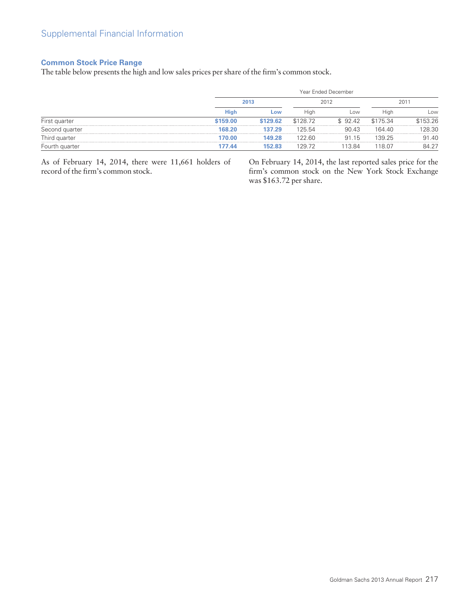## **Common Stock Price Range**

The table below presents the high and low sales prices per share of the firm's common stock.

|                    |          | Year Ended December |       |       |        |            |  |
|--------------------|----------|---------------------|-------|-------|--------|------------|--|
|                    |          | 2013                |       | 2012  |        | 201        |  |
|                    | High     | ∟ow                 | Hıgh  | ∟0W   | ⊣ıat   | LOW.       |  |
| . quarter<br>⊦ırst | \$159.00 | 29 62               |       | -42   | 5.34   |            |  |
| quarter            | 68.20    |                     | 75.54 | -43   | 164 40 |            |  |
| hird<br>. quarter  | 170.00   |                     | - 60  | 91.15 | 139.25 | 91.40<br>. |  |
| ·ourtl             |          |                     |       | -84   |        |            |  |

As of February 14, 2014, there were 11,661 holders of record of the firm's common stock.

On February 14, 2014, the last reported sales price for the firm's common stock on the New York Stock Exchange was \$163.72 per share.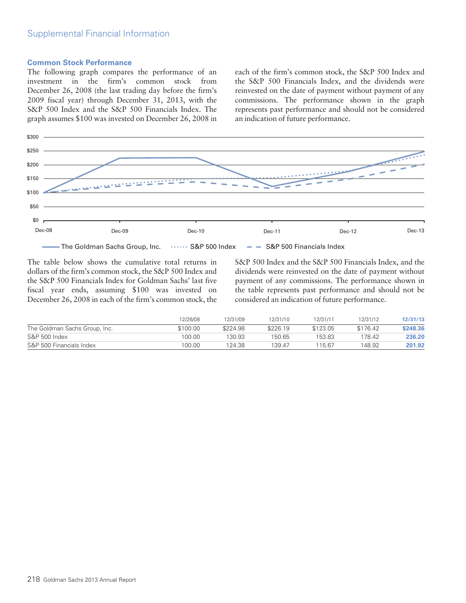### **Common Stock Performance**

The following graph compares the performance of an investment in the firm's common stock from December 26, 2008 (the last trading day before the firm's 2009 fiscal year) through December 31, 2013, with the S&P 500 Index and the S&P 500 Financials Index. The graph assumes \$100 was invested on December 26, 2008 in each of the firm's common stock, the S&P 500 Index and the S&P 500 Financials Index, and the dividends were reinvested on the date of payment without payment of any commissions. The performance shown in the graph represents past performance and should not be considered an indication of future performance.



The table below shows the cumulative total returns in dollars of the firm's common stock, the S&P 500 Index and the S&P 500 Financials Index for Goldman Sachs' last five fiscal year ends, assuming \$100 was invested on December 26, 2008 in each of the firm's common stock, the S&P 500 Index and the S&P 500 Financials Index, and the dividends were reinvested on the date of payment without payment of any commissions. The performance shown in the table represents past performance and should not be considered an indication of future performance.

|                               | 2/26/08 | 2/31/09  | 12/31/10          | 12/31/1 | 12/31/12 | 2/31/13   |
|-------------------------------|---------|----------|-------------------|---------|----------|-----------|
| The Goldman Sachs Group, Inc. | 00.00   | \$224.98 |                   |         | 76 42    | 18.36<br> |
| <b>S&amp;P 500 Index</b>      | .00.00  | 30.93    | ' 50.65           |         | 78.42    | 36.20     |
| S&P 500 Financials Index      |         | 24.38    | 39 4 <sup>2</sup> | 567     | I 48 92  | 1.92      |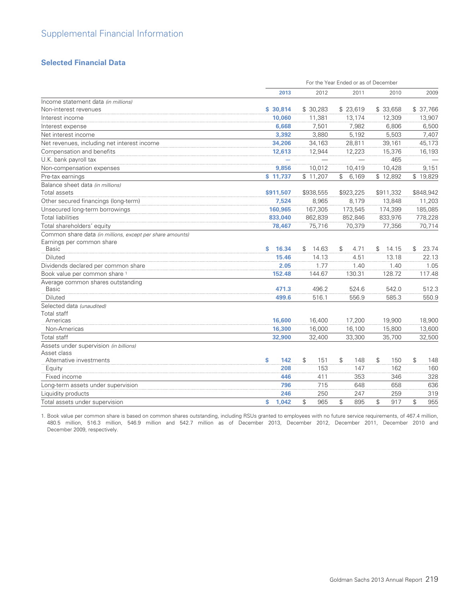## **Selected Financial Data**

| 2012<br>2011<br>2013<br>2010                                                                    | 2009                |
|-------------------------------------------------------------------------------------------------|---------------------|
| Income statement data (in millions)                                                             |                     |
| \$23,619<br>\$30,814<br>\$30,283<br>\$ 33,658<br>Non-interest revenues                          | \$ 37,766           |
| 10,060<br>11,381<br>13,174<br>12,309<br>Interest income                                         | 13,907              |
| 7,501<br>7,982<br>6,806<br>Interest expense<br>6,668                                            | 6,500               |
| 3,392<br>3,880<br>5,192<br>5,503<br>Net interest income                                         | 7,407               |
| Net revenues, including net interest income<br>34,163<br>34,206<br>28,811<br>39,161             | 45,173              |
| Compensation and benefits<br>12,944<br>12,223<br>15,376<br>12,613                               | 16,193              |
| U.K. bank payroll tax<br>465                                                                    |                     |
| 10,012<br>10,419<br>10,428<br>Non-compensation expenses<br>9,856                                | 9,151               |
| $\mathbb{S}$<br>\$11,737<br>\$11,207<br>6,169<br>\$12,892<br>Pre-tax earnings                   | \$19,829            |
| Balance sheet data (in millions)                                                                |                     |
| \$938,555<br>\$923,225<br>\$911,332<br>Total assets<br>\$911,507                                | \$848,942           |
| Other secured financings (long-term)<br>7,524<br>8,965<br>8,179<br>13,848                       | 11,203              |
| Unsecured long-term borrowings<br>160,965<br>167,305<br>173,545<br>174,399                      | 185,085             |
| <b>Total liabilities</b><br>833,040<br>862,839<br>852,846<br>833,976                            | 778,228             |
| Total shareholders' equity<br>75,716<br>70,379<br>77,356<br>78,467                              | 70,714              |
| Common share data (in millions, except per share amounts)                                       |                     |
| Earnings per common share                                                                       |                     |
| 16.34<br>4.71<br>14.15<br><b>Basic</b><br>14.63<br>\$<br>s<br>\$<br>\$                          | 23.74<br>\$         |
| Diluted<br>4.51<br>13.18<br>15.46<br>14.13                                                      | 22.13               |
| 2.05<br>1.77<br>1.40<br>1.40<br>Dividends declared per common share                             | 1.05                |
| Book value per common share 1<br>144.67<br>128.72<br>152.48<br>130.31                           | 117.48              |
| Average common shares outstanding                                                               |                     |
| <b>Basic</b><br>471.3<br>496.2<br>524.6<br>542.0                                                | 512.3               |
| 585.3<br>Diluted<br>499.6<br>516.1<br>556.9                                                     | 550.9               |
| Selected data (unaudited)                                                                       |                     |
| <b>Total staff</b><br>Americas<br>16,600<br>16,400<br>17,200<br>19,900                          | 18,900              |
| Non-Americas                                                                                    |                     |
| 16,000<br>16,300<br>16,100<br>15,800<br><b>Total staff</b>                                      | 13,600              |
| 32,900<br>32,400<br>33,300<br>35,700                                                            | 32,500              |
| Assets under supervision (in billions)<br>Asset class                                           |                     |
| \$<br>148<br>\$<br>Alternative investments<br>\$<br>142<br>151<br>\$<br>150                     | $\mathbb{S}$<br>148 |
| Equity<br>208<br>153<br>147<br>162                                                              | 160                 |
| Fixed income<br>446<br>411<br>353<br>346                                                        | 328                 |
| Long-term assets under supervision<br>796<br>715<br>648<br>658                                  | 636                 |
| Liquidity products<br>250<br>259<br>246<br>247                                                  | 319                 |
| \$<br>$\mathcal{L}$<br>Total assets under supervision<br>\$<br>1,042<br>\$<br>965<br>895<br>917 | 955<br>\$           |

1. Book value per common share is based on common shares outstanding, including RSUs granted to employees with no future service requirements, of 467.4 million, 480.5 million, 516.3 million, 546.9 million and 542.7 million as of December 2013, December 2012, December 2011, December 2010 and December 2009, respectively.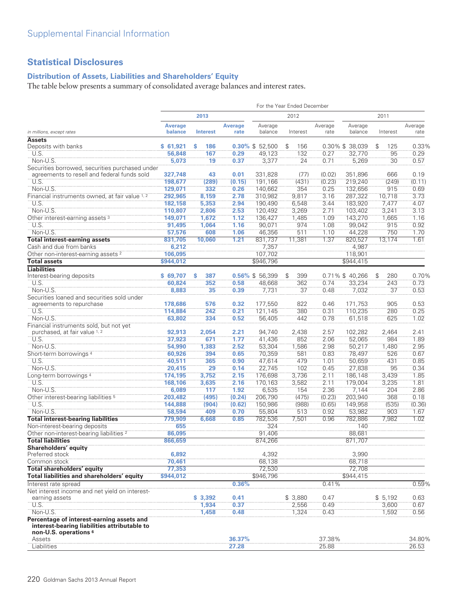# **Statistical Disclosures**

# **Distribution of Assets, Liabilities and Shareholders' Equity**

The table below presents a summary of consolidated average balances and interest rates.

|                                                                                                                    |                |                 |         |                    | For the Year Ended December |         |                 |           |         |
|--------------------------------------------------------------------------------------------------------------------|----------------|-----------------|---------|--------------------|-----------------------------|---------|-----------------|-----------|---------|
|                                                                                                                    |                | 2013            |         |                    | 2012                        |         |                 | 2011      |         |
|                                                                                                                    | <b>Average</b> |                 | Average | Average            |                             | Average | Average         |           | Average |
| in millions, except rates                                                                                          | balance        | <b>Interest</b> | rate    | balance            | Interest                    | rate    | balance         | Interest  | rate    |
| <b>Assets</b><br>Deposits with banks                                                                               | \$61,921       | \$<br>186       |         | $0.30\%$ \$ 52,500 | \$<br>156                   |         | 0.30% \$ 38,039 | \$<br>125 | 0.33%   |
| U.S.                                                                                                               | 56,848         | 167             | 0.29    | 49,123             | 132                         | 0.27    | 32,770          | 95        | 0.29    |
| Non-U.S.                                                                                                           | 5,073          | 19              | 0.37    | 3,377              | 24                          | 0.71    | 5,269           | 30        | 0.57    |
| Securities borrowed, securities purchased under                                                                    |                |                 |         |                    |                             |         |                 |           |         |
| agreements to resell and federal funds sold                                                                        | 327,748        | 43              | 0.01    | 331,828            | (77)                        | (0.02)  | 351,896         | 666       | 0.19    |
| U.S.                                                                                                               | 198.677        | (289)           | (0.15)  | 191,166            | (431)                       | (0.23)  | 219,240         | (249)     | (0.11)  |
| Non-U.S.                                                                                                           | 129,071        | 332             | 0.26    | 140,662            | 354                         | 0.25    | 132,656         | 915       | 0.69    |
| Financial instruments owned, at fair value 1, 2                                                                    | 292,965        | 8,159           | 2.78    | 310,982            | 9,817                       | 3.16    | 287,322         | 10,718    | 3.73    |
| U.S.                                                                                                               | 182,158        | 5,353           | 2.94    | 190,490            | 6,548                       | 3.44    | 183,920         | 7,477     | 4.07    |
| Non-U.S.                                                                                                           | 110,807        | 2,806           | 2.53    | 120,492            | 3,269                       | 2.71    | 103,402         | 3,241     | 3.13    |
| Other interest-earning assets <sup>3</sup>                                                                         | 149,071        | 1,672           | 1.12    | 136,427            | 1,485                       | 1.09    | 143,270         | 1,665     | 1.16    |
| U.S.                                                                                                               | 91,495         | 1,064           | 1.16    | 90,071             | 974                         | 1.08    | 99,042          | 915       | 0.92    |
| Non-U.S.                                                                                                           | 57,576         | 608             | 1.06    | 46,356             | 511                         | 1.10    | 44,228          | 750       | 1.70    |
| <b>Total interest-earning assets</b>                                                                               | 831,705        | 10,060          | 1.21    | 831,737            | 11,381                      | 1.37    | 820,527         | 13,174    | 1.61    |
| Cash and due from banks                                                                                            | 6,212          |                 |         | 7,357              |                             |         | 4,987           |           |         |
| Other non-interest-earning assets <sup>2</sup>                                                                     | 106,095        |                 |         | 107,702            |                             |         | 118,901         |           |         |
| <b>Total assets</b>                                                                                                | \$944,012      |                 |         | \$946,796          |                             |         | \$944,415       |           |         |
| <b>Liabilities</b>                                                                                                 |                |                 |         |                    |                             |         |                 |           |         |
| Interest-bearing deposits                                                                                          | \$69,707       | S<br>387        |         | $0.56\%$ \$ 56,399 | 399<br>\$                   |         | 0.71% \$40,266  | \$<br>280 | 0.70%   |
| U.S.                                                                                                               | 60,824         | 352             | 0.58    | 48,668             | 362                         | 0.74    | 33,234          | 243       | 0.73    |
| Non-U.S.                                                                                                           | 8,883          | 35              | 0.39    | 7,731              | 37                          | 0.48    | 7.032           | 37        | 0.53    |
| Securities loaned and securities sold under                                                                        |                |                 |         |                    |                             |         |                 |           |         |
| agreements to repurchase                                                                                           | 178,686        | 576             | 0.32    | 177,550            | 822                         | 0.46    | 171,753         | 905       | 0.53    |
| U.S.                                                                                                               | 114,884        | 242             | 0.21    | 121,145            | 380                         | 0.31    | 110.235         | 280       | 0.25    |
| Non-U.S.                                                                                                           | 63,802         | 334             | 0.52    | 56,405             | 442                         | 0.78    | 61,518          | 625       | 1.02    |
| Financial instruments sold, but not yet                                                                            |                |                 |         |                    |                             |         |                 |           |         |
| purchased, at fair value 1, 2                                                                                      | 92,913         | 2,054           | 2.21    | 94,740             | 2,438                       | 2.57    | 102,282         | 2,464     | 2.41    |
| U.S.                                                                                                               | 37,923         | 671             | 1.77    | 41,436             | 852                         | 2.06    | 52,065          | 984       | 1.89    |
| Non-U.S.                                                                                                           | 54,990         | 1,383           | 2.52    | 53,304             | 1,586                       | 2.98    | 50,217          | 1,480     | 2.95    |
| Short-term borrowings <sup>4</sup>                                                                                 | 60,926         | 394             | 0.65    | 70,359             | 581                         | 0.83    | 78,497          | 526       | 0.67    |
| U.S.                                                                                                               | 40,511         | 365             | 0.90    | 47,614             | 479                         | 1.01    | 50,659          | 431       | 0.85    |
| Non-U.S.                                                                                                           | 20,415         | 29              | 0.14    | 22,745             | 102                         | 0.45    | 27,838          | 95        | 0.34    |
| Long-term borrowings <sup>4</sup>                                                                                  | 174,195        | 3,752           | 2.15    | 176,698            | 3,736                       | 2.11    | 186,148         | 3,439     | 1.85    |
| U.S.                                                                                                               | 168,106        | 3,635           | 2.16    | 170,163            | 3,582                       | 2.11    | 179,004         | 3,235     | 1.81    |
| Non-U.S.                                                                                                           | 6,089          | 117             | 1.92    | 6,535              | 154                         | 2.36    | 7,144           | 204       | 2.86    |
| Other interest-bearing liabilities <sup>5</sup>                                                                    | 203,482        | (495)           | (0.24)  | 206,790            | (475)                       | (0.23)  | 203,940         | 368       | 0.18    |
| U.S.                                                                                                               | 144,888        | (904)           | (0.62)  | 150,986            | (988)                       | (0.65)  | 149,958         | (535)     | (0.36)  |
| Non-U.S.                                                                                                           | 58,594         | 409             | 0.70    | 55,804             | 513                         | 0.92    | 53,982          | 903       | 1.67    |
| <b>Total interest-bearing liabilities</b>                                                                          | 779,909        | 6,668           | 0.85    | 782,536            | 7,501                       | 0.96    | 782,886         | 7,982     | 1.02    |
| Non-interest-bearing deposits                                                                                      | 655            |                 |         | 324                |                             |         | 140             |           |         |
| Other non-interest-bearing liabilities <sup>2</sup>                                                                | 86,095         |                 |         | 91,406             |                             |         | 88,681          |           |         |
| <b>Total liabilities</b>                                                                                           | 866,659        |                 |         | 874,266            |                             |         | 871,707         |           |         |
| <b>Shareholders' equity</b>                                                                                        |                |                 |         |                    |                             |         |                 |           |         |
| Preferred stock                                                                                                    | 6,892          |                 |         | 4,392              |                             |         | 3,990           |           |         |
| Common stock                                                                                                       | 70,461         |                 |         | 68,138             |                             |         | 68,718          |           |         |
| <b>Total shareholders' equity</b>                                                                                  | 77,353         |                 |         | 72,530             |                             |         | 72,708          |           |         |
| <b>Total liabilities and shareholders' equity</b>                                                                  | \$944,012      |                 |         | \$946,796          |                             |         | \$944,415       |           |         |
| Interest rate spread                                                                                               |                |                 | 0.36%   |                    |                             | 0.41%   |                 |           | 0.59%   |
| Net interest income and net yield on interest-                                                                     |                |                 |         |                    |                             |         |                 |           |         |
| earning assets                                                                                                     |                | \$3,392         | 0.41    |                    | \$ 3,880                    | 0.47    |                 | \$5,192   | 0.63    |
| U.S.                                                                                                               |                | 1,934           | 0.37    |                    | 2,556                       | 0.49    |                 | 3,600     | 0.67    |
| Non-U.S.                                                                                                           |                | 1,458           | 0.48    |                    | 1,324                       | 0.43    |                 | 1,592     | 0.56    |
| Percentage of interest-earning assets and<br>interest-bearing liabilities attributable to<br>non-U.S. operations 6 |                |                 |         |                    |                             |         |                 |           |         |
| Assets                                                                                                             |                |                 | 36.37%  |                    |                             | 37.38%  |                 |           | 34.80%  |
| Liabilities                                                                                                        |                |                 | 27.28   |                    |                             | 25.88   |                 |           | 26.53   |
|                                                                                                                    |                |                 |         |                    |                             |         |                 |           |         |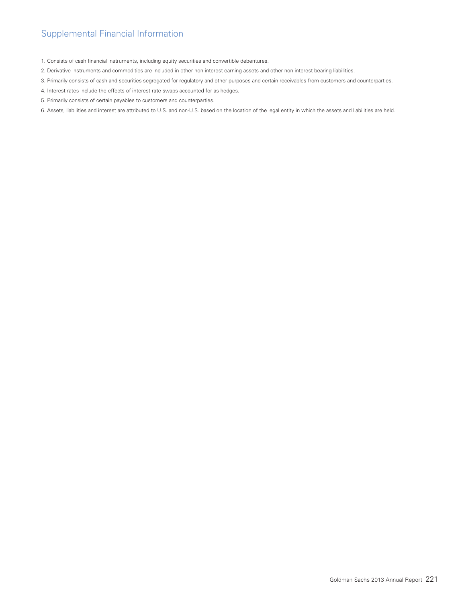# Supplemental Financial Information

1. Consists of cash financial instruments, including equity securities and convertible debentures.

- 2. Derivative instruments and commodities are included in other non-interest-earning assets and other non-interest-bearing liabilities.
- 3. Primarily consists of cash and securities segregated for regulatory and other purposes and certain receivables from customers and counterparties.
- 4. Interest rates include the effects of interest rate swaps accounted for as hedges.
- 5. Primarily consists of certain payables to customers and counterparties.
- 6. Assets, liabilities and interest are attributed to U.S. and non-U.S. based on the location of the legal entity in which the assets and liabilities are held.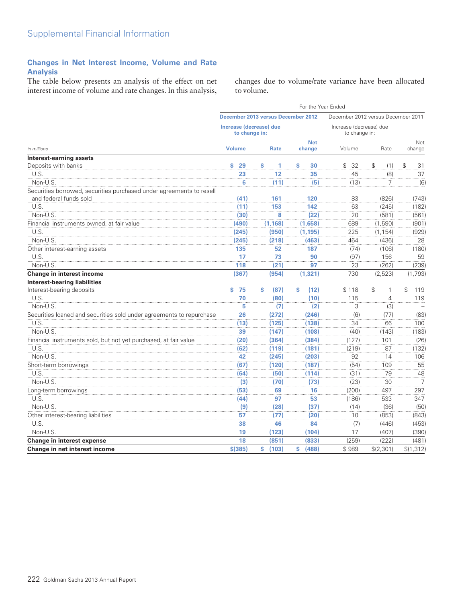# **Changes in Net Interest Income, Volume and Rate Analysis**

The table below presents an analysis of the effect on net interest income of volume and rate changes. In this analysis, changes due to volume/rate variance have been allocated to volume.

|                                                                      |                                          |                                    | For the Year Ended   |                                          |                |                      |
|----------------------------------------------------------------------|------------------------------------------|------------------------------------|----------------------|------------------------------------------|----------------|----------------------|
|                                                                      |                                          | December 2013 versus December 2012 |                      | December 2012 versus December 2011       |                |                      |
|                                                                      | Increase (decrease) due<br>to change in: |                                    |                      | Increase (decrease) due<br>to change in: |                |                      |
| in millions                                                          | <b>Volume</b>                            | Rate                               | <b>Net</b><br>change | Volume                                   | Rate           | Net<br>change        |
| Interest-earning assets                                              |                                          |                                    |                      |                                          |                |                      |
| Deposits with banks                                                  | 29<br>\$                                 | \$<br>1                            | \$<br>30             | \$<br>-32                                | \$<br>(1)      | \$<br>31             |
| U.S.                                                                 | 23                                       | 12                                 | 35                   | 45                                       | (8)            | 37                   |
| Non-U.S.                                                             | 6                                        | (11)                               | (5)                  | (13)                                     | 7              | (6)                  |
| Securities borrowed, securities purchased under agreements to resell |                                          |                                    |                      |                                          |                |                      |
| and federal funds sold                                               | (41)                                     | 161                                | 120                  | 83                                       | (826)          | (743)                |
| U.S.                                                                 | (11)                                     | 153                                | 142                  | 63                                       | (245)          | (182)                |
| Non-U.S.                                                             | (30)                                     | 8                                  | (22)                 | 20                                       | (581)          | (561)                |
| Financial instruments owned, at fair value                           | (490)                                    | (1, 168)                           | (1,658)              | 689                                      | (1,590)        | (901)                |
| U.S.                                                                 | (245)                                    | (950)                              | (1, 195)             | 225                                      | (1, 154)       | (929)                |
| Non-U.S.                                                             | (245)                                    | (218)                              | (463)                | 464                                      | (436)          | 28                   |
| Other interest-earning assets                                        | 135                                      | 52                                 | 187                  | (74)                                     | (106)          | (180)                |
| U.S.                                                                 | 17                                       | 73                                 | 90                   | (97)                                     | 156            | 59                   |
| Non-U.S.                                                             | 118                                      | (21)                               | 97                   | 23                                       | (262)          | (239)                |
| <b>Change in interest income</b>                                     | (367)                                    | (954)                              | (1, 321)             | 730                                      | (2,523)        | (1,793)              |
| <b>Interest-bearing liabilities</b>                                  |                                          |                                    |                      |                                          |                |                      |
| Interest-bearing deposits                                            | \$<br>75                                 | \$<br>(87)                         | \$.<br>(12)          | \$118                                    | \$<br>1        | $\mathcal{L}$<br>119 |
| U.S.                                                                 | 70                                       | (80)                               | (10)                 | 115                                      | $\overline{4}$ | 119                  |
| Non-U.S.                                                             | 5                                        | (7)                                | (2)                  | 3                                        | (3)            |                      |
| Securities loaned and securities sold under agreements to repurchase | 26                                       | (272)                              | (246)                | (6)                                      | (77)           | (83)                 |
| U.S.                                                                 | (13)                                     | (125)                              | (138)                | 34                                       | 66             | 100                  |
| Non-U.S.                                                             | 39                                       | (147)                              | (108)                | (40)                                     | (143)          | (183)                |
| Financial instruments sold, but not yet purchased, at fair value     | (20)                                     | (364)                              | (384)                | (127)                                    | 101            | (26)                 |
| U.S.                                                                 | (62)                                     | (119)                              | (181)                | (219)                                    | 87             | (132)                |
| Non-U.S.                                                             | 42                                       | (245)                              | (203)                | 92                                       | 14             | 106                  |
| Short-term borrowings                                                | (67)                                     | (120)                              | (187)                | (54)                                     | 109            | 55                   |
| U.S.                                                                 | (64)                                     | (50)                               | (114)                | (31)                                     | 79             | 48                   |
| Non-U.S.                                                             | (3)                                      | (70)                               | (73)                 | (23)                                     | 30             | $\overline{7}$       |
| Long-term borrowings                                                 | (53)                                     | 69                                 | 16                   | (200)                                    | 497            | 297                  |
| U.S.                                                                 | (44)                                     | 97                                 | 53                   | (186)                                    | 533            | 347                  |
| Non-U.S.                                                             | (9)                                      | (28)                               | (37)                 | (14)                                     | (36)           | (50)                 |
| Other interest-bearing liabilities                                   | 57                                       | (77)                               | (20)                 | 10                                       | (853)          | (843)                |
| U.S.                                                                 | 38                                       | 46                                 | 84                   | (7)                                      | (446)          | (453)                |
| Non-U.S.                                                             | 19                                       | (123)                              | (104)                | 17                                       | (407)          | (390)                |
| <b>Change in interest expense</b>                                    | 18                                       | (851)                              | (833)                | (259)                                    | (222)          | (481)                |
| Change in net interest income                                        | \$ (385)                                 | \$<br>(103)                        | \$<br>(488)          | \$989                                    | \$(2,301)      | \$(1,312)            |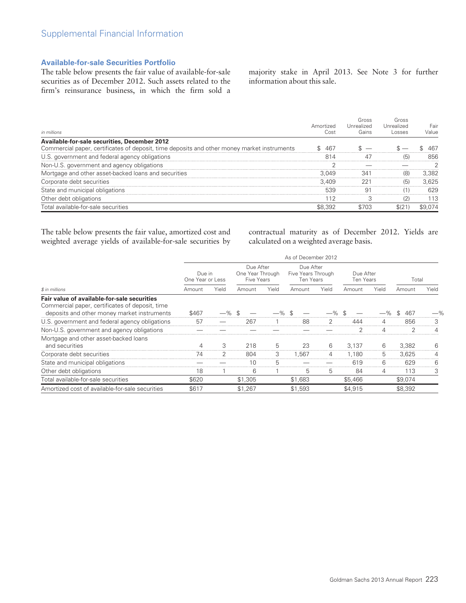### **Available-for-sale Securities Portfolio**

The table below presents the fair value of available-for-sale securities as of December 2012. Such assets related to the firm's reinsurance business, in which the firm sold a

majority stake in April 2013. See Note 3 for further information about this sale.

| in millions                                                                                 | Amortized<br>`ost | Unrealized<br>Gains | Unrealized<br>OSSes | Fair<br>∕alue |
|---------------------------------------------------------------------------------------------|-------------------|---------------------|---------------------|---------------|
| Available-for-sale securities, December 2012                                                |                   |                     |                     |               |
| Commercial paper, certificates of deposit, time deposits and other money market instruments | \$467             |                     |                     | 467           |
| U.S. government and federal agency obligations                                              | 814               | 47                  | (5                  | 856           |
| Non-U.S. government and agency obligations                                                  |                   |                     |                     |               |
| Mortgage and other asset-backed loans and securities                                        | 8 በ49             |                     |                     | 3.382         |
| Corporate debt securities                                                                   | 3 409             |                     | 15                  | 3.625         |
| State and municipal obligations                                                             | 539               | 91                  |                     | 629           |
| Other debt obligations                                                                      |                   |                     |                     |               |
| lotal available-for-sale securities                                                         |                   |                     |                     |               |

The table below presents the fair value, amortized cost and weighted average yields of available-for-sale securities by contractual maturity as of December 2012. Yields are calculated on a weighted average basis.

|                                                                                                                                               | As of December 2012        |       |                                             |       |                                              |       |                        |       |         |       |
|-----------------------------------------------------------------------------------------------------------------------------------------------|----------------------------|-------|---------------------------------------------|-------|----------------------------------------------|-------|------------------------|-------|---------|-------|
|                                                                                                                                               | Due in<br>One Year or Less |       | Due After<br>One Year Through<br>Five Years |       | Due After<br>Five Years Through<br>Ten Years |       | Due After<br>Ten Years |       | Total   |       |
| \$ in millions                                                                                                                                | Amount                     | Yield | Amount                                      | Yield | Amount                                       | Yield | Amount                 | Yield | Amount  | Yield |
| Fair value of available-for-sale securities<br>Commercial paper, certificates of deposit, time<br>deposits and other money market instruments | \$467                      |       |                                             |       |                                              |       |                        |       | 467     |       |
| U.S. government and federal agency obligations                                                                                                | 57                         |       | 267                                         |       | 88                                           |       | 444                    |       | 856     |       |
| Non-U.S. government and agency obligations                                                                                                    |                            |       |                                             |       |                                              |       |                        |       |         |       |
| Mortgage and other asset-backed loans<br>and securities                                                                                       |                            |       | 218                                         | 5     | 23                                           |       | 3,137                  | 6     | 3,382   |       |
| Corporate debt securities                                                                                                                     | 74                         |       | 804                                         |       | .567                                         |       | 1.180                  | 5     | 3.625   |       |
| State and municipal obligations                                                                                                               |                            |       |                                             |       |                                              |       | 619                    | 6     | 629     |       |
| Other debt obligations                                                                                                                        | 18                         |       | b                                           |       | ь                                            | b     | 84                     |       | 113     | -3    |
| Total available-for-sale securities                                                                                                           | \$620                      |       | \$1,305                                     |       | \$1,683                                      |       | \$5,466                |       | \$9,074 |       |
| Amortized cost of available-for-sale securities                                                                                               | \$617                      |       | \$1,267                                     |       | \$1,593                                      |       | \$4,915                |       | \$8,392 |       |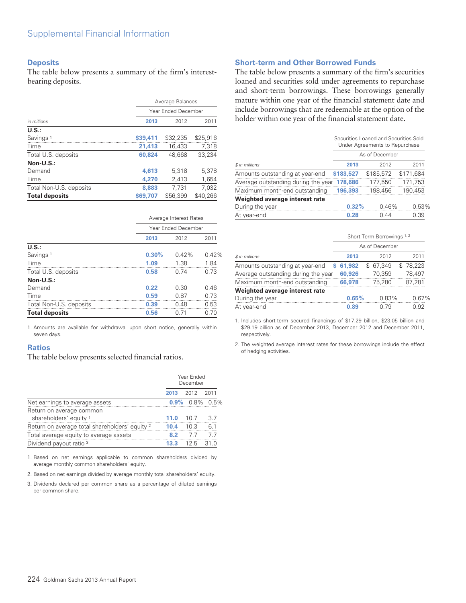## **Deposits**

The table below presents a summary of the firm's interestbearing deposits.

|                         | Average Balances    |          |          |  |  |  |
|-------------------------|---------------------|----------|----------|--|--|--|
|                         | Year Ended December |          |          |  |  |  |
| in millions             | 2013                | 2012     |          |  |  |  |
| $U.S.$ :                |                     |          |          |  |  |  |
| Savings <sup>1</sup>    | \$39,411            | \$32,235 | \$25.916 |  |  |  |
| Time                    | 21.413              | 16.433   | 7,318    |  |  |  |
| Total U.S. deposits     | 60.824              | 48.668   | 33,234   |  |  |  |
| $Non-U.S.$ :            |                     |          |          |  |  |  |
| Demand                  | 4,613               | 5,318    | 5,378    |  |  |  |
| Time                    | 4,270               | 2,413    | 1,654    |  |  |  |
| Total Non-U.S. deposits | 8,883               | 7,731    | 7,032    |  |  |  |
| <b>Total deposits</b>   | \$69,707            | \$56,399 | \$40.266 |  |  |  |

|                         | Average Interest Rates<br>Year Ended December |       |       |  |  |
|-------------------------|-----------------------------------------------|-------|-------|--|--|
|                         |                                               |       |       |  |  |
|                         | 2013                                          | 2012  | 2011  |  |  |
| $U.S.$ :                |                                               |       |       |  |  |
| Savings <sup>1</sup>    | 0.30%                                         | 0.42% | 0.42% |  |  |
| Time                    | 1.09                                          | 1.38  | 1.84  |  |  |
| Total U.S. deposits     | 0.58                                          | 0 74  | በ 73  |  |  |
| $Non-U.S.$ :            |                                               |       |       |  |  |
| Demand                  | 0.22                                          | 0.30  | 0.46  |  |  |
| Time                    | 0.59                                          | 0.87  | 0.73  |  |  |
| Total Non-U.S. deposits | 0.39                                          | 0.48  | 0.53  |  |  |
| <b>Total deposits</b>   | 0.56                                          | O 71  | በ 7በ  |  |  |

1. Amounts are available for withdrawal upon short notice, generally within seven days.

#### **Ratios**

The table below presents selected financial ratios.

|                                                    | Year Ended<br>December |         |      |  |
|----------------------------------------------------|------------------------|---------|------|--|
|                                                    | 2013                   | 2012    | 2011 |  |
| Net earnings to average assets                     | $0.9\%$                | $0.8\%$ | 0.5% |  |
| Return on average common<br>shareholders' equity 1 | 11.0                   | 10.7    | 3.7  |  |
| Return on average total shareholders' equity 2     | 10.4                   | 10.3    | 6.1  |  |
| Total average equity to average assets             | 8.2                    | 77      | 77   |  |
| Dividend payout ratio 3                            | 13.3                   | 125     | 310  |  |

1. Based on net earnings applicable to common shareholders divided by average monthly common shareholders' equity.

2. Based on net earnings divided by average monthly total shareholders' equity.

3. Dividends declared per common share as a percentage of diluted earnings per common share.

### **Short-term and Other Borrowed Funds**

The table below presents a summary of the firm's securities loaned and securities sold under agreements to repurchase and short-term borrowings. These borrowings generally mature within one year of the financial statement date and include borrowings that are redeemable at the option of the holder within one year of the financial statement date.

|                                     | Securities Loaned and Securities Sold<br>Under Agreements to Repurchase |           |           |  |  |  |  |
|-------------------------------------|-------------------------------------------------------------------------|-----------|-----------|--|--|--|--|
|                                     | As of December                                                          |           |           |  |  |  |  |
| \$ in millions                      | 2013                                                                    | 2012      | 2011      |  |  |  |  |
| Amounts outstanding at year-end     | \$183,527                                                               | \$185,572 | \$171.684 |  |  |  |  |
| Average outstanding during the year | 178,686                                                                 | 177,550   | 171,753   |  |  |  |  |
| Maximum month-end outstanding       | 196,393                                                                 | 198,456   | 190,453   |  |  |  |  |
| Weighted average interest rate      |                                                                         |           |           |  |  |  |  |
| During the year                     | 0.32%                                                                   | 0.46%     | 0.53%     |  |  |  |  |
| At year-end                         | 0.28                                                                    | 0.44      | 0.39      |  |  |  |  |

|                                     | Short-Term Borrowings <sup>1,2</sup> |               |          |  |  |  |  |
|-------------------------------------|--------------------------------------|---------------|----------|--|--|--|--|
|                                     | As of December                       |               |          |  |  |  |  |
| \$ in millions                      | 2013                                 | 2012          | 2011     |  |  |  |  |
| Amounts outstanding at year-end     | 61,982                               | 67,349<br>\$. | \$78,223 |  |  |  |  |
| Average outstanding during the year | 60.926                               | 70,359        | 78.497   |  |  |  |  |
| Maximum month-end outstanding       | 66,978                               | 75,280        | 87.281   |  |  |  |  |
| Weighted average interest rate      |                                      |               |          |  |  |  |  |
| During the year                     | 0.65%                                | 0.83%         | $0.67\%$ |  |  |  |  |
| At year-end                         | 0.89                                 | በ 79          | 0.92     |  |  |  |  |

1. Includes short-term secured financings of \$17.29 billion, \$23.05 billion and \$29.19 billion as of December 2013, December 2012 and December 2011, respectively.

2. The weighted average interest rates for these borrowings include the effect of hedging activities.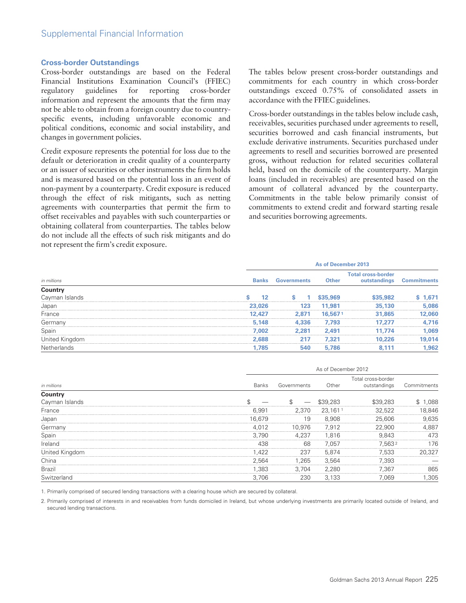#### **Cross-border Outstandings**

Cross-border outstandings are based on the Federal Financial Institutions Examination Council's (FFIEC) regulatory guidelines for reporting cross-border information and represent the amounts that the firm may not be able to obtain from a foreign country due to countryspecific events, including unfavorable economic and political conditions, economic and social instability, and changes in government policies.

Credit exposure represents the potential for loss due to the default or deterioration in credit quality of a counterparty or an issuer of securities or other instruments the firm holds and is measured based on the potential loss in an event of non-payment by a counterparty. Credit exposure is reduced through the effect of risk mitigants, such as netting agreements with counterparties that permit the firm to offset receivables and payables with such counterparties or obtaining collateral from counterparties. The tables below do not include all the effects of such risk mitigants and do not represent the firm's credit exposure.

The tables below present cross-border outstandings and commitments for each country in which cross-border outstandings exceed 0.75% of consolidated assets in accordance with the FFIEC guidelines.

Cross-border outstandings in the tables below include cash, receivables, securities purchased under agreements to resell, securities borrowed and cash financial instruments, but exclude derivative instruments. Securities purchased under agreements to resell and securities borrowed are presented gross, without reduction for related securities collateral held, based on the domicile of the counterparty. Margin loans (included in receivables) are presented based on the amount of collateral advanced by the counterparty. Commitments in the table below primarily consist of commitments to extend credit and forward starting resale and securities borrowing agreements.

| in millions    | As of December 2013 |                    |        |                                                           |       |  |  |
|----------------|---------------------|--------------------|--------|-----------------------------------------------------------|-------|--|--|
|                | <b>Banks</b>        | <b>Governments</b> |        | <b>Total cross-border</b><br><b>Other</b><br>outstandings |       |  |  |
| Countr         |                     |                    |        |                                                           |       |  |  |
| Cavman Islands |                     |                    |        | - 982 -                                                   |       |  |  |
| Japan          | .026                |                    | 11.981 | 35.130                                                    | 5.086 |  |  |
| France         |                     |                    |        |                                                           | .060  |  |  |
| Germany        | 5.148               | 336                |        |                                                           | 716   |  |  |
| Spair          | .002                |                    |        |                                                           | 069   |  |  |
| Jnited Kingdom | .688                | 217                |        |                                                           |       |  |  |
|                | 785                 |                    |        |                                                           | .962  |  |  |

| in millions    |        | As of December 2012 |        |                                    |             |  |  |  |
|----------------|--------|---------------------|--------|------------------------------------|-------------|--|--|--|
|                | Banks  | Governments         | Other  | Total cross-border<br>outstandings | Commitments |  |  |  |
| Countr         |        |                     |        |                                    |             |  |  |  |
| Cayman Islands |        |                     | .283   |                                    | 088         |  |  |  |
| France         | 6.991  | 2.370               | 23,161 | 522.                               | 8.846       |  |  |  |
| Japar          | 16.679 |                     | 8.908  | 25,606                             | 9.635       |  |  |  |
| Germany        |        | .976                | '.912  | 900                                | .887        |  |  |  |
| Spain          | 790    | .237                | .816   | 843                                | 473         |  |  |  |
| Ireland        | 438    | 68                  | '.057  | .5632                              | <br>17F     |  |  |  |
| United Kingdom |        | 237                 | 5.874  | .533                               |             |  |  |  |
| China          | .564   | 265                 | 3.564  | .393                               |             |  |  |  |
| Brazil         | .383   | 3.704               | 2.280  | '.367                              | 865         |  |  |  |
| Switzerland    | 3 706  | 230                 | 3.133  | .069                               | 305         |  |  |  |

1. Primarily comprised of secured lending transactions with a clearing house which are secured by collateral.

2. Primarily comprised of interests in and receivables from funds domiciled in Ireland, but whose underlying investments are primarily located outside of Ireland, and secured lending transactions.